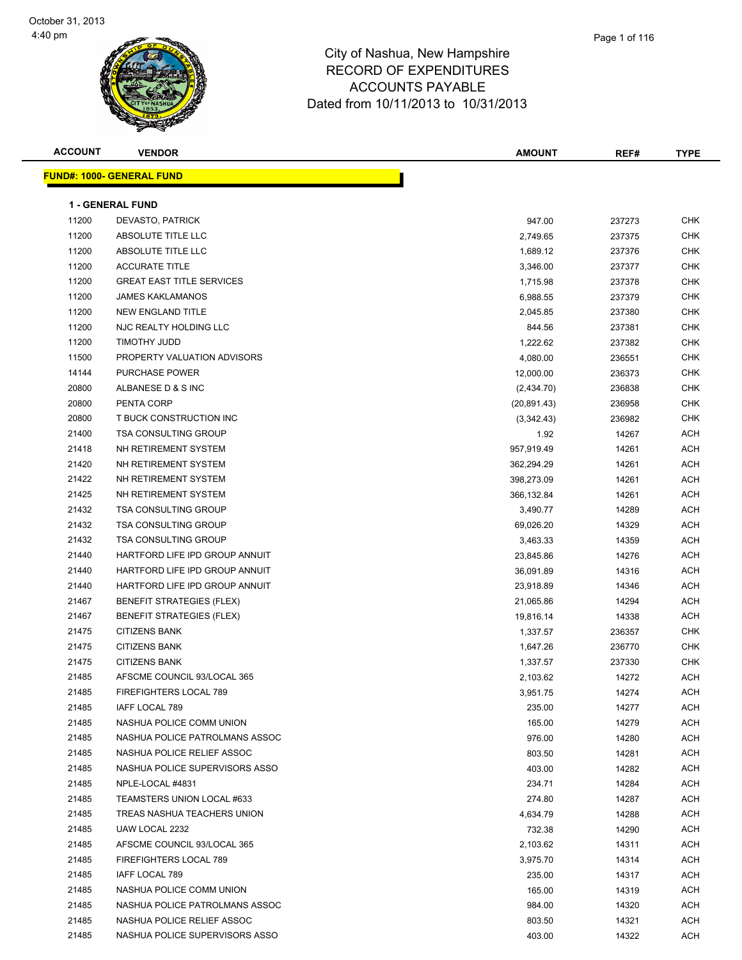| <b>ACCOUNT</b> | <b>VENDOR</b>                     | <b>AMOUNT</b> | REF#   | <b>TYPE</b> |
|----------------|-----------------------------------|---------------|--------|-------------|
|                | <u> FUND#: 1000- GENERAL FUND</u> |               |        |             |
|                |                                   |               |        |             |
|                | <b>1 - GENERAL FUND</b>           |               |        |             |
| 11200          | DEVASTO, PATRICK                  | 947.00        | 237273 | <b>CHK</b>  |
| 11200          | ABSOLUTE TITLE LLC                | 2,749.65      | 237375 | CHK         |
| 11200          | ABSOLUTE TITLE LLC                | 1,689.12      | 237376 | <b>CHK</b>  |
| 11200          | <b>ACCURATE TITLE</b>             | 3,346.00      | 237377 | <b>CHK</b>  |
| 11200          | <b>GREAT EAST TITLE SERVICES</b>  | 1,715.98      | 237378 | <b>CHK</b>  |
| 11200          | <b>JAMES KAKLAMANOS</b>           | 6,988.55      | 237379 | <b>CHK</b>  |
| 11200          | NEW ENGLAND TITLE                 | 2,045.85      | 237380 | <b>CHK</b>  |
| 11200          | NJC REALTY HOLDING LLC            | 844.56        | 237381 | <b>CHK</b>  |
| 11200          | TIMOTHY JUDD                      | 1,222.62      | 237382 | <b>CHK</b>  |
| 11500          | PROPERTY VALUATION ADVISORS       | 4,080.00      | 236551 | CHK         |
| 14144          | PURCHASE POWER                    | 12,000.00     | 236373 | <b>CHK</b>  |
| 20800          | ALBANESE D & S INC                | (2,434.70)    | 236838 | CHK         |
| 20800          | PENTA CORP                        | (20, 891.43)  | 236958 | <b>CHK</b>  |
| 20800          | T BUCK CONSTRUCTION INC           | (3,342.43)    | 236982 | <b>CHK</b>  |
| 21400          | <b>TSA CONSULTING GROUP</b>       | 1.92          | 14267  | ACH         |
| 21418          | NH RETIREMENT SYSTEM              | 957,919.49    | 14261  | ACH         |
| 21420          | NH RETIREMENT SYSTEM              | 362,294.29    | 14261  | ACH         |
| 21422          | NH RETIREMENT SYSTEM              | 398,273.09    | 14261  | ACH         |
| 21425          | NH RETIREMENT SYSTEM              | 366,132.84    | 14261  | ACH         |
| 21432          | <b>TSA CONSULTING GROUP</b>       | 3,490.77      | 14289  | <b>ACH</b>  |
| 21432          | TSA CONSULTING GROUP              | 69,026.20     | 14329  | ACH         |
| 21432          | <b>TSA CONSULTING GROUP</b>       | 3,463.33      | 14359  | ACH         |
| 21440          | HARTFORD LIFE IPD GROUP ANNUIT    | 23,845.86     | 14276  | ACH         |
| 21440          | HARTFORD LIFE IPD GROUP ANNUIT    | 36,091.89     | 14316  | ACH         |
| 21440          | HARTFORD LIFE IPD GROUP ANNUIT    | 23,918.89     | 14346  | ACH         |
| 21467          | <b>BENEFIT STRATEGIES (FLEX)</b>  | 21,065.86     | 14294  | ACH         |
| 21467          | <b>BENEFIT STRATEGIES (FLEX)</b>  | 19,816.14     | 14338  | ACH         |
| 21475          | <b>CITIZENS BANK</b>              | 1,337.57      | 236357 | <b>CHK</b>  |
| 21475          | <b>CITIZENS BANK</b>              | 1,647.26      | 236770 | <b>CHK</b>  |
| 21475          | <b>CITIZENS BANK</b>              | 1,337.57      | 237330 | CHK         |
| 21485          | AFSCME COUNCIL 93/LOCAL 365       | 2,103.62      | 14272  | <b>ACH</b>  |
| 21485          | FIREFIGHTERS LOCAL 789            | 3,951.75      | 14274  | ACH         |
| 21485          | IAFF LOCAL 789                    | 235.00        | 14277  | ACH         |
| 21485          | NASHUA POLICE COMM UNION          | 165.00        | 14279  | ACH         |
| 21485          | NASHUA POLICE PATROLMANS ASSOC    | 976.00        | 14280  | ACH         |
| 21485          | NASHUA POLICE RELIEF ASSOC        | 803.50        | 14281  | ACH         |
| 21485          | NASHUA POLICE SUPERVISORS ASSO    | 403.00        | 14282  | ACH         |
| 21485          | NPLE-LOCAL #4831                  | 234.71        | 14284  | ACH         |
| 21485          | TEAMSTERS UNION LOCAL #633        | 274.80        | 14287  | ACH         |
| 21485          | TREAS NASHUA TEACHERS UNION       | 4,634.79      | 14288  | ACH         |
| 21485          | UAW LOCAL 2232                    | 732.38        | 14290  | ACH         |
| 21485          | AFSCME COUNCIL 93/LOCAL 365       | 2,103.62      | 14311  | ACH         |
| 21485          | FIREFIGHTERS LOCAL 789            | 3,975.70      | 14314  | ACH         |
| 21485          | IAFF LOCAL 789                    | 235.00        | 14317  | ACH         |
| 21485          | NASHUA POLICE COMM UNION          | 165.00        | 14319  | ACH         |
| 21485          | NASHUA POLICE PATROLMANS ASSOC    | 984.00        | 14320  | ACH         |
| 21485          | NASHUA POLICE RELIEF ASSOC        | 803.50        | 14321  | ACH         |
| 21485          | NASHUA POLICE SUPERVISORS ASSO    | 403.00        | 14322  | ACH         |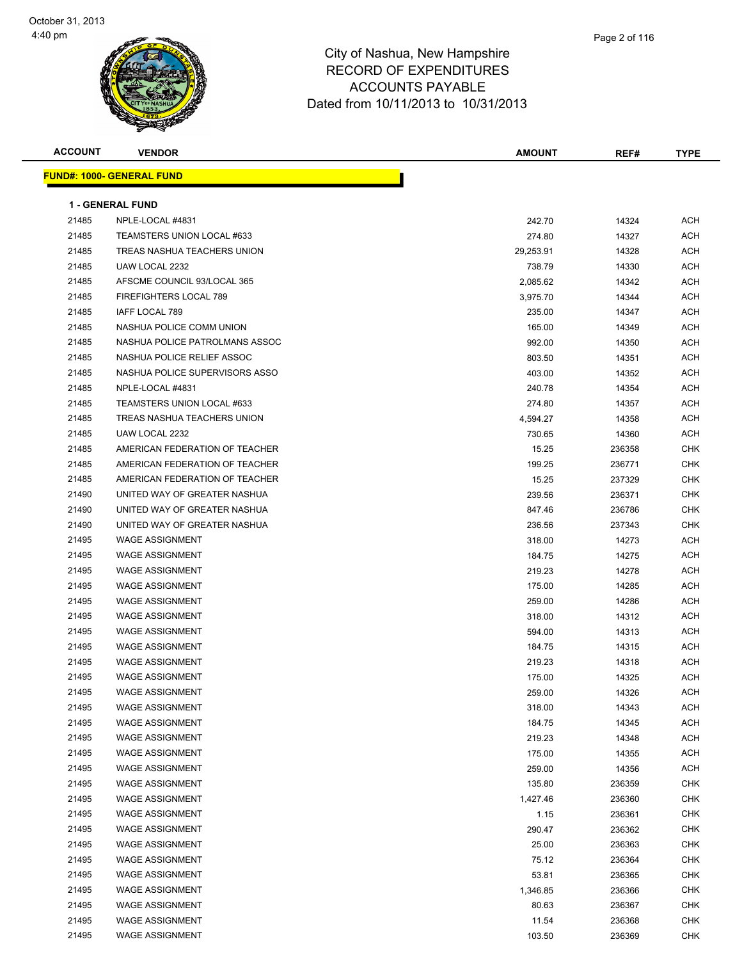

| <b>ACCOUNT</b> | <b>VENDOR</b>                    | <b>AMOUNT</b> | REF#   | <b>TYPE</b> |
|----------------|----------------------------------|---------------|--------|-------------|
|                | <b>FUND#: 1000- GENERAL FUND</b> |               |        |             |
|                |                                  |               |        |             |
|                | <b>1 - GENERAL FUND</b>          |               |        |             |
| 21485          | NPLE-LOCAL #4831                 | 242.70        | 14324  | ACH         |
| 21485          | TEAMSTERS UNION LOCAL #633       | 274.80        | 14327  | ACH         |
| 21485          | TREAS NASHUA TEACHERS UNION      | 29,253.91     | 14328  | ACH         |
| 21485          | UAW LOCAL 2232                   | 738.79        | 14330  | ACH         |
| 21485          | AFSCME COUNCIL 93/LOCAL 365      | 2,085.62      | 14342  | ACH         |
| 21485          | <b>FIREFIGHTERS LOCAL 789</b>    | 3,975.70      | 14344  | ACH         |
| 21485          | IAFF LOCAL 789                   | 235.00        | 14347  | ACH         |
| 21485          | NASHUA POLICE COMM UNION         | 165.00        | 14349  | ACH         |
| 21485          | NASHUA POLICE PATROLMANS ASSOC   | 992.00        | 14350  | ACH         |
| 21485          | NASHUA POLICE RELIEF ASSOC       | 803.50        | 14351  | ACH         |
| 21485          | NASHUA POLICE SUPERVISORS ASSO   | 403.00        | 14352  | ACH         |
| 21485          | NPLE-LOCAL #4831                 | 240.78        | 14354  | ACH         |
| 21485          | TEAMSTERS UNION LOCAL #633       | 274.80        | 14357  | ACH         |
| 21485          | TREAS NASHUA TEACHERS UNION      | 4,594.27      | 14358  | ACH         |
| 21485          | UAW LOCAL 2232                   | 730.65        | 14360  | ACH         |
| 21485          | AMERICAN FEDERATION OF TEACHER   | 15.25         | 236358 | CHK         |
| 21485          | AMERICAN FEDERATION OF TEACHER   | 199.25        | 236771 | <b>CHK</b>  |
| 21485          | AMERICAN FEDERATION OF TEACHER   | 15.25         | 237329 | <b>CHK</b>  |
| 21490          | UNITED WAY OF GREATER NASHUA     | 239.56        | 236371 | CHK         |
| 21490          | UNITED WAY OF GREATER NASHUA     | 847.46        | 236786 | <b>CHK</b>  |
| 21490          | UNITED WAY OF GREATER NASHUA     | 236.56        | 237343 | <b>CHK</b>  |
| 21495          | <b>WAGE ASSIGNMENT</b>           | 318.00        | 14273  | ACH         |
| 21495          | <b>WAGE ASSIGNMENT</b>           | 184.75        | 14275  | ACH         |
| 21495          | <b>WAGE ASSIGNMENT</b>           | 219.23        | 14278  | ACH         |
| 21495          | <b>WAGE ASSIGNMENT</b>           | 175.00        | 14285  | ACH         |
| 21495          | <b>WAGE ASSIGNMENT</b>           | 259.00        | 14286  | ACH         |
| 21495          | <b>WAGE ASSIGNMENT</b>           | 318.00        | 14312  | ACH         |
| 21495          | WAGE ASSIGNMENT                  | 594.00        | 14313  | ACH         |
| 21495          | <b>WAGE ASSIGNMENT</b>           | 184.75        | 14315  | ACH         |
| 21495          | <b>WAGE ASSIGNMENT</b>           | 219.23        | 14318  | ACH         |
| 21495          | <b>WAGE ASSIGNMENT</b>           | 175.00        | 14325  | ACH         |
| 21495          | <b>WAGE ASSIGNMENT</b>           | 259.00        | 14326  | <b>ACH</b>  |
| 21495          | <b>WAGE ASSIGNMENT</b>           | 318.00        | 14343  | <b>ACH</b>  |
| 21495          | <b>WAGE ASSIGNMENT</b>           | 184.75        | 14345  | ACH         |
| 21495          | <b>WAGE ASSIGNMENT</b>           | 219.23        | 14348  | <b>ACH</b>  |
| 21495          | <b>WAGE ASSIGNMENT</b>           | 175.00        | 14355  | <b>ACH</b>  |
| 21495          | <b>WAGE ASSIGNMENT</b>           | 259.00        | 14356  | <b>ACH</b>  |
| 21495          | <b>WAGE ASSIGNMENT</b>           | 135.80        | 236359 | <b>CHK</b>  |
| 21495          | <b>WAGE ASSIGNMENT</b>           | 1,427.46      | 236360 | CHK         |
| 21495          | <b>WAGE ASSIGNMENT</b>           | 1.15          | 236361 | CHK         |
| 21495          | <b>WAGE ASSIGNMENT</b>           | 290.47        | 236362 | CHK         |
| 21495          | <b>WAGE ASSIGNMENT</b>           | 25.00         | 236363 | CHK         |
| 21495          | <b>WAGE ASSIGNMENT</b>           | 75.12         | 236364 | <b>CHK</b>  |
| 21495          | <b>WAGE ASSIGNMENT</b>           | 53.81         | 236365 | CHK         |
| 21495          | <b>WAGE ASSIGNMENT</b>           | 1,346.85      | 236366 | CHK         |
| 21495          | <b>WAGE ASSIGNMENT</b>           | 80.63         | 236367 | CHK         |
| 21495          | <b>WAGE ASSIGNMENT</b>           | 11.54         | 236368 | <b>CHK</b>  |
| 21495          | <b>WAGE ASSIGNMENT</b>           | 103.50        | 236369 | <b>CHK</b>  |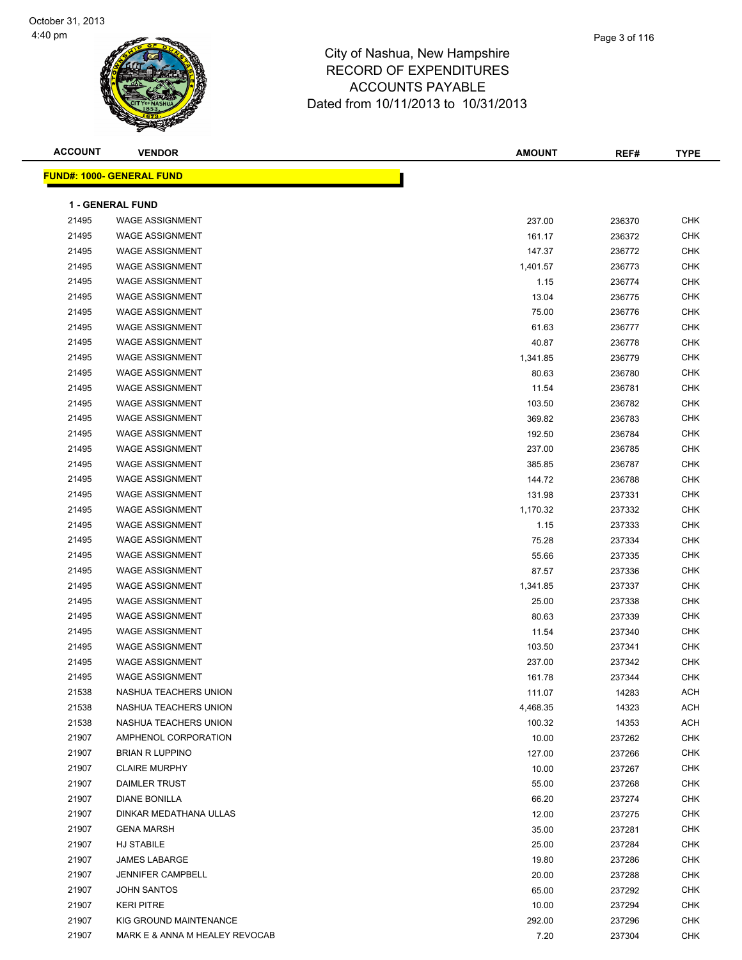

| <b>ACCOUNT</b> | <b>VENDOR</b>                    | <b>AMOUNT</b> | REF#   | <b>TYPE</b> |
|----------------|----------------------------------|---------------|--------|-------------|
|                | <b>FUND#: 1000- GENERAL FUND</b> |               |        |             |
|                |                                  |               |        |             |
|                | <b>1 - GENERAL FUND</b>          |               |        |             |
| 21495          | <b>WAGE ASSIGNMENT</b>           | 237.00        | 236370 | <b>CHK</b>  |
| 21495          | <b>WAGE ASSIGNMENT</b>           | 161.17        | 236372 | <b>CHK</b>  |
| 21495          | <b>WAGE ASSIGNMENT</b>           | 147.37        | 236772 | <b>CHK</b>  |
| 21495          | <b>WAGE ASSIGNMENT</b>           | 1,401.57      | 236773 | <b>CHK</b>  |
| 21495          | <b>WAGE ASSIGNMENT</b>           | 1.15          | 236774 | <b>CHK</b>  |
| 21495          | <b>WAGE ASSIGNMENT</b>           | 13.04         | 236775 | <b>CHK</b>  |
| 21495          | <b>WAGE ASSIGNMENT</b>           | 75.00         | 236776 | <b>CHK</b>  |
| 21495          | <b>WAGE ASSIGNMENT</b>           | 61.63         | 236777 | <b>CHK</b>  |
| 21495          | <b>WAGE ASSIGNMENT</b>           | 40.87         | 236778 | <b>CHK</b>  |
| 21495          | <b>WAGE ASSIGNMENT</b>           | 1,341.85      | 236779 | <b>CHK</b>  |
| 21495          | <b>WAGE ASSIGNMENT</b>           | 80.63         | 236780 | <b>CHK</b>  |
| 21495          | <b>WAGE ASSIGNMENT</b>           | 11.54         | 236781 | <b>CHK</b>  |
| 21495          | <b>WAGE ASSIGNMENT</b>           | 103.50        | 236782 | <b>CHK</b>  |
| 21495          | <b>WAGE ASSIGNMENT</b>           | 369.82        | 236783 | <b>CHK</b>  |
| 21495          | <b>WAGE ASSIGNMENT</b>           | 192.50        | 236784 | <b>CHK</b>  |
| 21495          | <b>WAGE ASSIGNMENT</b>           | 237.00        | 236785 | <b>CHK</b>  |
| 21495          | <b>WAGE ASSIGNMENT</b>           | 385.85        | 236787 | <b>CHK</b>  |
| 21495          | <b>WAGE ASSIGNMENT</b>           | 144.72        | 236788 | <b>CHK</b>  |
| 21495          | <b>WAGE ASSIGNMENT</b>           | 131.98        | 237331 | <b>CHK</b>  |
| 21495          | <b>WAGE ASSIGNMENT</b>           | 1,170.32      | 237332 | <b>CHK</b>  |
| 21495          | <b>WAGE ASSIGNMENT</b>           | 1.15          | 237333 | <b>CHK</b>  |
| 21495          | <b>WAGE ASSIGNMENT</b>           | 75.28         | 237334 | <b>CHK</b>  |
| 21495          | <b>WAGE ASSIGNMENT</b>           | 55.66         | 237335 | <b>CHK</b>  |
| 21495          | <b>WAGE ASSIGNMENT</b>           | 87.57         | 237336 | <b>CHK</b>  |
| 21495          | <b>WAGE ASSIGNMENT</b>           | 1,341.85      | 237337 | <b>CHK</b>  |
| 21495          | <b>WAGE ASSIGNMENT</b>           | 25.00         | 237338 | <b>CHK</b>  |
| 21495          | <b>WAGE ASSIGNMENT</b>           | 80.63         | 237339 | <b>CHK</b>  |
| 21495          | <b>WAGE ASSIGNMENT</b>           | 11.54         | 237340 | <b>CHK</b>  |
| 21495          | <b>WAGE ASSIGNMENT</b>           | 103.50        | 237341 | <b>CHK</b>  |
| 21495          | <b>WAGE ASSIGNMENT</b>           | 237.00        | 237342 | <b>CHK</b>  |
| 21495          | <b>WAGE ASSIGNMENT</b>           | 161.78        | 237344 | <b>CHK</b>  |
| 21538          | NASHUA TEACHERS UNION            | 111.07        | 14283  | <b>ACH</b>  |
| 21538          | NASHUA TEACHERS UNION            | 4,468.35      | 14323  | <b>ACH</b>  |
| 21538          | NASHUA TEACHERS UNION            | 100.32        | 14353  | <b>ACH</b>  |
| 21907          | AMPHENOL CORPORATION             | 10.00         | 237262 | CHK         |
| 21907          | <b>BRIAN R LUPPINO</b>           | 127.00        | 237266 | CHK         |
| 21907          | <b>CLAIRE MURPHY</b>             | 10.00         | 237267 | CHK         |
| 21907          | DAIMLER TRUST                    | 55.00         | 237268 | CHK         |
| 21907          | DIANE BONILLA                    | 66.20         | 237274 | <b>CHK</b>  |
| 21907          | DINKAR MEDATHANA ULLAS           | 12.00         | 237275 | <b>CHK</b>  |
| 21907          | <b>GENA MARSH</b>                | 35.00         | 237281 | CHK         |
| 21907          | HJ STABILE                       | 25.00         | 237284 | CHK         |
| 21907          | JAMES LABARGE                    | 19.80         | 237286 | <b>CHK</b>  |
| 21907          | <b>JENNIFER CAMPBELL</b>         | 20.00         | 237288 | CHK         |
| 21907          | <b>JOHN SANTOS</b>               | 65.00         | 237292 | <b>CHK</b>  |
| 21907          | <b>KERI PITRE</b>                | 10.00         | 237294 | CHK         |
| 21907          | KIG GROUND MAINTENANCE           | 292.00        | 237296 | CHK         |
| 21907          | MARK E & ANNA M HEALEY REVOCAB   | 7.20          | 237304 | <b>CHK</b>  |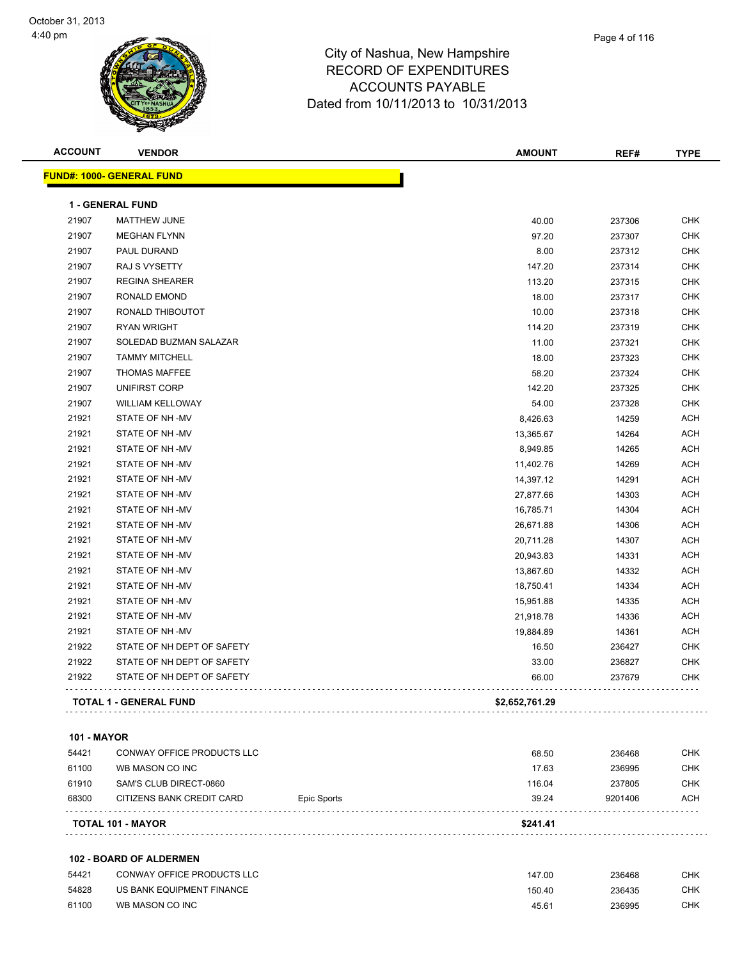

| <b>ACCOUNT</b> | <b>VENDOR</b>                     | <b>AMOUNT</b>  | REF#   | <b>TYPE</b> |
|----------------|-----------------------------------|----------------|--------|-------------|
|                | <u> FUND#: 1000- GENERAL FUND</u> |                |        |             |
|                | 1 - GENERAL FUND                  |                |        |             |
| 21907          | <b>MATTHEW JUNE</b>               | 40.00          | 237306 | <b>CHK</b>  |
| 21907          | <b>MEGHAN FLYNN</b>               | 97.20          | 237307 | <b>CHK</b>  |
| 21907          | PAUL DURAND                       | 8.00           | 237312 | CHK         |
| 21907          | RAJ S VYSETTY                     | 147.20         | 237314 | <b>CHK</b>  |
| 21907          | <b>REGINA SHEARER</b>             | 113.20         | 237315 | <b>CHK</b>  |
| 21907          | <b>RONALD EMOND</b>               | 18.00          | 237317 | <b>CHK</b>  |
| 21907          | RONALD THIBOUTOT                  | 10.00          | 237318 | <b>CHK</b>  |
| 21907          | <b>RYAN WRIGHT</b>                | 114.20         | 237319 | <b>CHK</b>  |
| 21907          | SOLEDAD BUZMAN SALAZAR            | 11.00          | 237321 | <b>CHK</b>  |
| 21907          | <b>TAMMY MITCHELL</b>             | 18.00          | 237323 | <b>CHK</b>  |
| 21907          | <b>THOMAS MAFFEE</b>              | 58.20          | 237324 | <b>CHK</b>  |
| 21907          | UNIFIRST CORP                     | 142.20         | 237325 | <b>CHK</b>  |
| 21907          | <b>WILLIAM KELLOWAY</b>           | 54.00          | 237328 | <b>CHK</b>  |
| 21921          | STATE OF NH-MV                    | 8,426.63       | 14259  | <b>ACH</b>  |
| 21921          | STATE OF NH-MV                    | 13,365.67      | 14264  | ACH         |
| 21921          | STATE OF NH-MV                    | 8,949.85       | 14265  | ACH         |
| 21921          | STATE OF NH-MV                    | 11,402.76      | 14269  | <b>ACH</b>  |
| 21921          | STATE OF NH-MV                    | 14,397.12      | 14291  | <b>ACH</b>  |
| 21921          | STATE OF NH-MV                    | 27,877.66      | 14303  | <b>ACH</b>  |
| 21921          | STATE OF NH-MV                    | 16,785.71      | 14304  | <b>ACH</b>  |
| 21921          | STATE OF NH-MV                    | 26,671.88      | 14306  | <b>ACH</b>  |
| 21921          | STATE OF NH-MV                    | 20,711.28      | 14307  | <b>ACH</b>  |
| 21921          | STATE OF NH-MV                    | 20,943.83      | 14331  | <b>ACH</b>  |
| 21921          | STATE OF NH-MV                    | 13,867.60      | 14332  | <b>ACH</b>  |
| 21921          | STATE OF NH-MV                    | 18,750.41      | 14334  | <b>ACH</b>  |
| 21921          | STATE OF NH-MV                    | 15,951.88      | 14335  | <b>ACH</b>  |
| 21921          | STATE OF NH-MV                    | 21,918.78      | 14336  | <b>ACH</b>  |
| 21921          | STATE OF NH-MV                    | 19,884.89      | 14361  | <b>ACH</b>  |
| 21922          | STATE OF NH DEPT OF SAFETY        | 16.50          | 236427 | <b>CHK</b>  |
| 21922          | STATE OF NH DEPT OF SAFETY        | 33.00          | 236827 | <b>CHK</b>  |
| 21922          | STATE OF NH DEPT OF SAFETY        | 66.00          | 237679 | <b>CHK</b>  |
|                | <b>TOTAL 1 - GENERAL FUND</b>     | \$2,652,761.29 |        |             |
|                |                                   |                |        |             |

#### **101 - MAYOR**

| <b>TOTAL 101 - MAYOR</b> |                            |             | \$241.41 |         |            |
|--------------------------|----------------------------|-------------|----------|---------|------------|
| 68300                    | CITIZENS BANK CREDIT CARD  | Epic Sports | 39.24    | 9201406 | ACH        |
| 61910                    | SAM'S CLUB DIRECT-0860     |             | 116.04   | 237805  | снк        |
| 61100                    | WB MASON CO INC            |             | 17.63    | 236995  | <b>CHK</b> |
| 54421                    | CONWAY OFFICE PRODUCTS LLC |             | 68.50    | 236468  | снк        |

#### **102 - BOARD OF ALDERMEN**

| 54421 | CONWAY OFFICE PRODUCTS LLC | 147.00 | 236468 | CHK        |
|-------|----------------------------|--------|--------|------------|
| 54828 | US BANK EQUIPMENT FINANCE  | 150.40 | 236435 | <b>CHK</b> |
| 61100 | WB MASON CO INC            | 45.61  | 236995 | CHK        |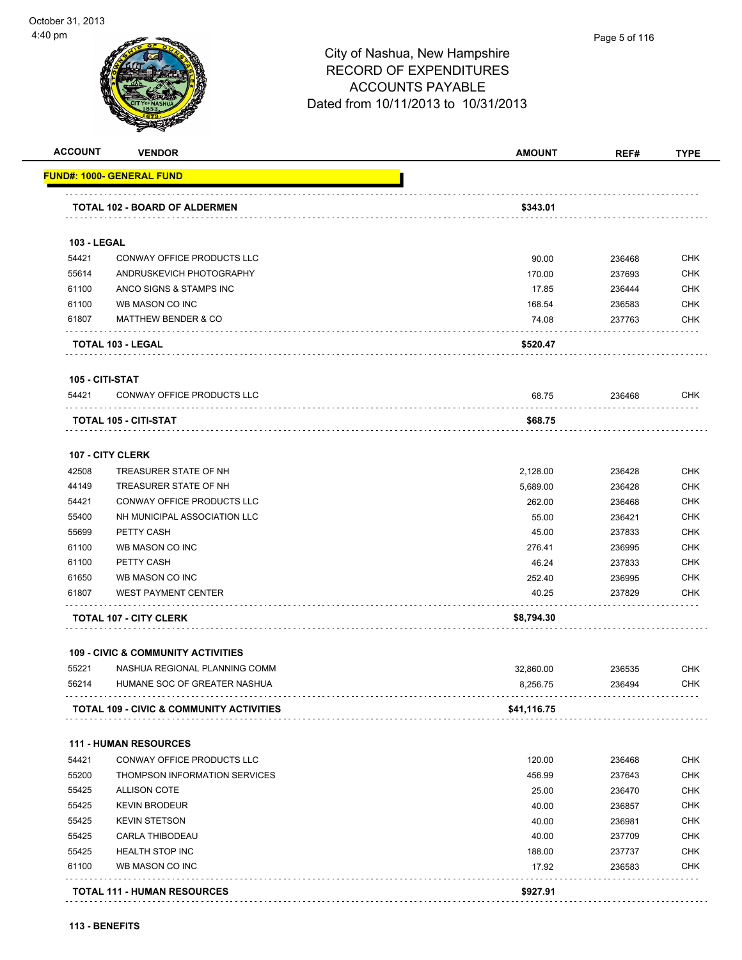

| <b>ACCOUNT</b>     | <b>VENDOR</b>                                       | <b>AMOUNT</b> | REF#   | <b>TYPE</b> |
|--------------------|-----------------------------------------------------|---------------|--------|-------------|
|                    | <u> FUND#: 1000- GENERAL FUND</u>                   |               |        |             |
|                    | TOTAL 102 - BOARD OF ALDERMEN                       | \$343.01      |        |             |
| <b>103 - LEGAL</b> |                                                     |               |        |             |
| 54421              | CONWAY OFFICE PRODUCTS LLC                          | 90.00         | 236468 | <b>CHK</b>  |
| 55614              | ANDRUSKEVICH PHOTOGRAPHY                            | 170.00        | 237693 | <b>CHK</b>  |
| 61100              | ANCO SIGNS & STAMPS INC                             | 17.85         | 236444 | <b>CHK</b>  |
| 61100              | WB MASON CO INC                                     | 168.54        | 236583 | <b>CHK</b>  |
| 61807              | <b>MATTHEW BENDER &amp; CO</b>                      | 74.08         | 237763 | <b>CHK</b>  |
|                    | TOTAL 103 - LEGAL                                   | \$520.47      |        |             |
| 105 - CITI-STAT    |                                                     |               |        |             |
| 54421              | CONWAY OFFICE PRODUCTS LLC                          | 68.75         | 236468 | <b>CHK</b>  |
|                    |                                                     |               |        |             |
|                    | TOTAL 105 - CITI-STAT                               | \$68.75       |        |             |
|                    | <b>107 - CITY CLERK</b>                             |               |        |             |
| 42508              | TREASURER STATE OF NH                               | 2,128.00      | 236428 | <b>CHK</b>  |
| 44149              | TREASURER STATE OF NH                               | 5,689.00      | 236428 | <b>CHK</b>  |
| 54421              | CONWAY OFFICE PRODUCTS LLC                          | 262.00        | 236468 | <b>CHK</b>  |
| 55400              | NH MUNICIPAL ASSOCIATION LLC                        | 55.00         | 236421 | <b>CHK</b>  |
| 55699              | PETTY CASH                                          | 45.00         | 237833 | <b>CHK</b>  |
| 61100              | WB MASON CO INC                                     | 276.41        | 236995 | <b>CHK</b>  |
| 61100              | PETTY CASH                                          | 46.24         | 237833 | <b>CHK</b>  |
| 61650              | WB MASON CO INC                                     | 252.40        | 236995 | <b>CHK</b>  |
| 61807              | <b>WEST PAYMENT CENTER</b>                          | 40.25         | 237829 | <b>CHK</b>  |
|                    | <b>TOTAL 107 - CITY CLERK</b>                       | \$8,794.30    |        |             |
|                    | <b>109 - CIVIC &amp; COMMUNITY ACTIVITIES</b>       |               |        |             |
| 55221              | NASHUA REGIONAL PLANNING COMM                       | 32,860.00     | 236535 | <b>CHK</b>  |
| 56214              | HUMANE SOC OF GREATER NASHUA                        | 8,256.75      | 236494 | <b>CHK</b>  |
|                    | <b>TOTAL 109 - CIVIC &amp; COMMUNITY ACTIVITIES</b> | \$41,116.75   |        |             |
|                    | <b>111 - HUMAN RESOURCES</b>                        |               |        |             |
| 54421              | <b>CONWAY OFFICE PRODUCTS LLC</b>                   | 120.00        | 236468 | <b>CHK</b>  |
| 55200              | THOMPSON INFORMATION SERVICES                       | 456.99        | 237643 | <b>CHK</b>  |
| 55425              | <b>ALLISON COTE</b>                                 | 25.00         | 236470 | <b>CHK</b>  |
| 55425              | <b>KEVIN BRODEUR</b>                                | 40.00         | 236857 | <b>CHK</b>  |
| 55425              | <b>KEVIN STETSON</b>                                | 40.00         | 236981 | <b>CHK</b>  |
| 55425              | <b>CARLA THIBODEAU</b>                              | 40.00         | 237709 | <b>CHK</b>  |
| 55425              | <b>HEALTH STOP INC</b>                              | 188.00        | 237737 | <b>CHK</b>  |
| 61100              | WB MASON CO INC                                     | 17.92         | 236583 | <b>CHK</b>  |
|                    |                                                     |               |        |             |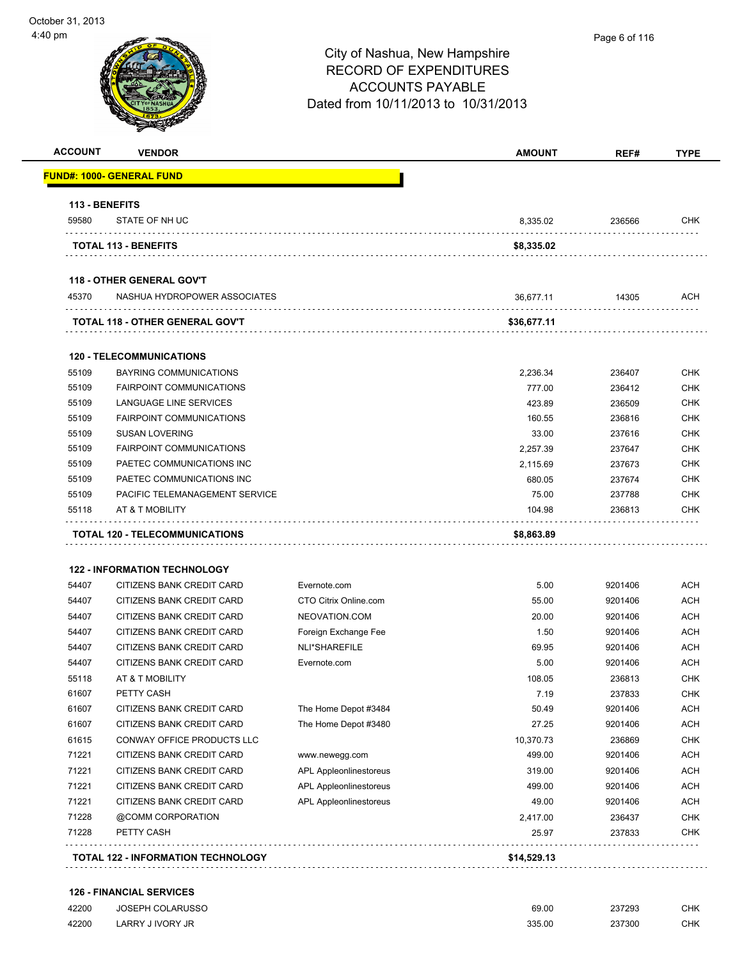| <b>ACCOUNT</b> | <b>VENDOR</b>                                          |                               | <b>AMOUNT</b> | REF#    | <b>TYPE</b> |
|----------------|--------------------------------------------------------|-------------------------------|---------------|---------|-------------|
|                | <b>FUND#: 1000- GENERAL FUND</b>                       |                               |               |         |             |
| 113 - BENEFITS |                                                        |                               |               |         |             |
| 59580          | STATE OF NH UC                                         |                               | 8,335.02      | 236566  | <b>CHK</b>  |
|                | <b>TOTAL 113 - BENEFITS</b>                            |                               | \$8,335.02    |         |             |
|                | <b>118 - OTHER GENERAL GOV'T</b>                       |                               |               |         |             |
| 45370          | NASHUA HYDROPOWER ASSOCIATES                           |                               | 36,677.11     | 14305   | ACH         |
|                | TOTAL 118 - OTHER GENERAL GOV'T                        |                               | \$36,677.11   |         |             |
|                | <b>120 - TELECOMMUNICATIONS</b>                        |                               |               |         |             |
| 55109          | <b>BAYRING COMMUNICATIONS</b>                          |                               | 2,236.34      | 236407  | <b>CHK</b>  |
| 55109          | <b>FAIRPOINT COMMUNICATIONS</b>                        |                               | 777.00        | 236412  | <b>CHK</b>  |
| 55109          | LANGUAGE LINE SERVICES                                 |                               | 423.89        | 236509  | <b>CHK</b>  |
| 55109          | <b>FAIRPOINT COMMUNICATIONS</b>                        |                               | 160.55        | 236816  | <b>CHK</b>  |
| 55109          | <b>SUSAN LOVERING</b>                                  |                               | 33.00         | 237616  | <b>CHK</b>  |
| 55109          | <b>FAIRPOINT COMMUNICATIONS</b>                        |                               | 2,257.39      | 237647  | <b>CHK</b>  |
| 55109          | PAETEC COMMUNICATIONS INC                              |                               | 2,115.69      | 237673  | <b>CHK</b>  |
| 55109          | PAETEC COMMUNICATIONS INC                              |                               | 680.05        | 237674  | <b>CHK</b>  |
| 55109          | PACIFIC TELEMANAGEMENT SERVICE                         |                               | 75.00         | 237788  | <b>CHK</b>  |
| 55118          | AT & T MOBILITY                                        |                               | 104.98        | 236813  | <b>CHK</b>  |
|                | TOTAL 120 - TELECOMMUNICATIONS                         |                               | \$8,863.89    |         |             |
|                | <b>122 - INFORMATION TECHNOLOGY</b>                    |                               |               |         |             |
| 54407          | CITIZENS BANK CREDIT CARD                              | Evernote.com                  | 5.00          | 9201406 | ACH         |
| 54407          | CITIZENS BANK CREDIT CARD                              | CTO Citrix Online.com         | 55.00         | 9201406 | <b>ACH</b>  |
| 54407          | CITIZENS BANK CREDIT CARD                              | NEOVATION.COM                 | 20.00         | 9201406 | <b>ACH</b>  |
| 54407          | CITIZENS BANK CREDIT CARD                              | Foreign Exchange Fee          | 1.50          | 9201406 | ACH         |
| 54407          | CITIZENS BANK CREDIT CARD                              | NLI*SHAREFILE                 | 69.95         | 9201406 | <b>ACH</b>  |
| 54407          | CITIZENS BANK CREDIT CARD                              | Evernote.com                  | 5.00          | 9201406 | <b>ACH</b>  |
|                |                                                        |                               |               |         |             |
| 55118          | AT & T MOBILITY                                        |                               | 108.05        | 236813  | <b>CHK</b>  |
| 61607          | PETTY CASH                                             |                               | 7.19          | 237833  | <b>CHK</b>  |
| 61607          | CITIZENS BANK CREDIT CARD<br>CITIZENS BANK CREDIT CARD | The Home Depot #3484          | 50.49         | 9201406 | <b>ACH</b>  |
| 61607          |                                                        | The Home Depot #3480          | 27.25         | 9201406 | <b>ACH</b>  |
| 61615          | CONWAY OFFICE PRODUCTS LLC                             |                               | 10,370.73     | 236869  | <b>CHK</b>  |
| 71221          | CITIZENS BANK CREDIT CARD                              | www.newegg.com                | 499.00        | 9201406 | <b>ACH</b>  |
| 71221          | CITIZENS BANK CREDIT CARD                              | <b>APL Appleonlinestoreus</b> | 319.00        | 9201406 | <b>ACH</b>  |
| 71221          | CITIZENS BANK CREDIT CARD                              | APL Appleonlinestoreus        | 499.00        | 9201406 | <b>ACH</b>  |
| 71221          | CITIZENS BANK CREDIT CARD                              | <b>APL Appleonlinestoreus</b> | 49.00         | 9201406 | <b>ACH</b>  |
| 71228          | @COMM CORPORATION                                      |                               | 2,417.00      | 236437  | <b>CHK</b>  |
| 71228          | PETTY CASH                                             |                               | 25.97         | 237833  | <b>CHK</b>  |
|                |                                                        |                               |               |         |             |

#### **126 - FINANCIAL SERVICES**

| 42200 | <b>JOSEPH COLARUSSO</b> | 69.00<br>. | 237293 | CHK |
|-------|-------------------------|------------|--------|-----|
| 42200 | LARRY J IVORY JR        | 335.00     | 237300 | CHK |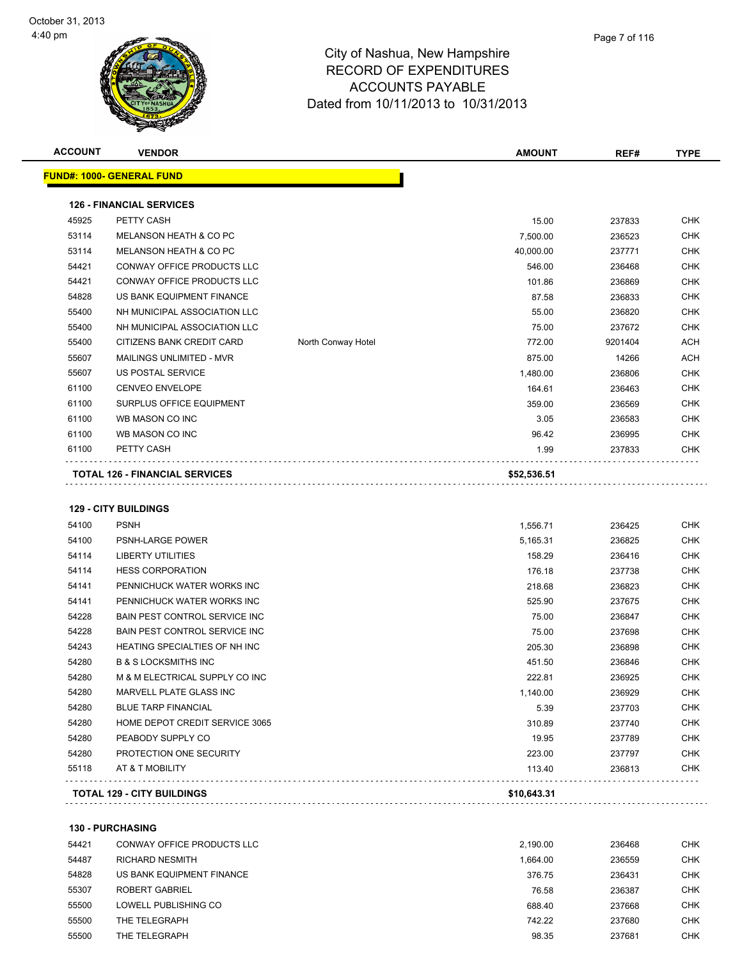

|    | Page 7 of 116 |
|----|---------------|
| re |               |
| :S |               |

| <b>ACCOUNT</b> | <b>VENDOR</b>                         |                    | <b>AMOUNT</b> | REF#    | <b>TYPE</b> |
|----------------|---------------------------------------|--------------------|---------------|---------|-------------|
|                | <u> FUND#: 1000- GENERAL FUND</u>     |                    |               |         |             |
|                | <b>126 - FINANCIAL SERVICES</b>       |                    |               |         |             |
| 45925          | PETTY CASH                            |                    | 15.00         | 237833  | <b>CHK</b>  |
| 53114          | MELANSON HEATH & CO PC                |                    | 7,500.00      | 236523  | <b>CHK</b>  |
| 53114          | MELANSON HEATH & CO PC                |                    | 40,000.00     | 237771  | <b>CHK</b>  |
| 54421          | CONWAY OFFICE PRODUCTS LLC            |                    | 546.00        | 236468  | <b>CHK</b>  |
| 54421          | CONWAY OFFICE PRODUCTS LLC            |                    | 101.86        | 236869  | <b>CHK</b>  |
| 54828          | US BANK EQUIPMENT FINANCE             |                    | 87.58         | 236833  | <b>CHK</b>  |
| 55400          | NH MUNICIPAL ASSOCIATION LLC          |                    | 55.00         | 236820  | <b>CHK</b>  |
| 55400          | NH MUNICIPAL ASSOCIATION LLC          |                    | 75.00         | 237672  | <b>CHK</b>  |
| 55400          | CITIZENS BANK CREDIT CARD             | North Conway Hotel | 772.00        | 9201404 | <b>ACH</b>  |
| 55607          | MAILINGS UNLIMITED - MVR              |                    | 875.00        | 14266   | <b>ACH</b>  |
| 55607          | US POSTAL SERVICE                     |                    | 1,480.00      | 236806  | <b>CHK</b>  |
| 61100          | CENVEO ENVELOPE                       |                    | 164.61        | 236463  | <b>CHK</b>  |
| 61100          | <b>SURPLUS OFFICE EQUIPMENT</b>       |                    | 359.00        | 236569  | <b>CHK</b>  |
| 61100          | WB MASON CO INC                       |                    | 3.05          | 236583  | <b>CHK</b>  |
| 61100          | WB MASON CO INC                       |                    | 96.42         | 236995  | <b>CHK</b>  |
| 61100          | PETTY CASH                            |                    | 1.99          | 237833  | <b>CHK</b>  |
|                | <b>TOTAL 126 - FINANCIAL SERVICES</b> |                    | \$52,536.51   |         |             |
|                |                                       |                    |               |         |             |
|                |                                       |                    |               |         |             |
|                | <b>129 - CITY BUILDINGS</b>           |                    |               |         |             |
| 54100          | <b>PSNH</b>                           |                    | 1,556.71      | 236425  | <b>CHK</b>  |
| 54100          | PSNH-LARGE POWER                      |                    | 5,165.31      | 236825  | <b>CHK</b>  |
| 54114          | <b>LIBERTY UTILITIES</b>              |                    | 158.29        | 236416  | <b>CHK</b>  |
| 54114          | <b>HESS CORPORATION</b>               |                    | 176.18        | 237738  | <b>CHK</b>  |
| 54141          | PENNICHUCK WATER WORKS INC            |                    | 218.68        | 236823  | <b>CHK</b>  |
| 54141          | PENNICHUCK WATER WORKS INC            |                    | 525.90        | 237675  | <b>CHK</b>  |
| 54228          | <b>BAIN PEST CONTROL SERVICE INC</b>  |                    | 75.00         | 236847  | <b>CHK</b>  |
| 54228          | BAIN PEST CONTROL SERVICE INC         |                    | 75.00         | 237698  | <b>CHK</b>  |
| 54243          | HEATING SPECIALTIES OF NH INC         |                    | 205.30        | 236898  | <b>CHK</b>  |
| 54280          | <b>B &amp; S LOCKSMITHS INC</b>       |                    | 451.50        | 236846  | <b>CHK</b>  |
| 54280          | M & M ELECTRICAL SUPPLY CO INC        |                    | 222.81        | 236925  | <b>CHK</b>  |
| 54280          | MARVELL PLATE GLASS INC               |                    | 1,140.00      | 236929  | CHK         |
| 54280          | <b>BLUE TARP FINANCIAL</b>            |                    | 5.39          | 237703  | <b>CHK</b>  |
| 54280          | HOME DEPOT CREDIT SERVICE 3065        |                    | 310.89        | 237740  | <b>CHK</b>  |
| 54280          | PEABODY SUPPLY CO                     |                    | 19.95         | 237789  | <b>CHK</b>  |
| 54280          | PROTECTION ONE SECURITY               |                    | 223.00        | 237797  | <b>CHK</b>  |
| 55118          | AT & T MOBILITY                       |                    | 113.40        | 236813  | <b>CHK</b>  |
|                | <b>TOTAL 129 - CITY BUILDINGS</b>     |                    | \$10,643.31   |         |             |
|                | <b>130 - PURCHASING</b>               |                    |               |         |             |
| 54421          | CONWAY OFFICE PRODUCTS LLC            |                    | 2,190.00      | 236468  | <b>CHK</b>  |
|                |                                       |                    |               |         |             |

| 544Z I | CONWAY OFFICE PRODUCTS LLC | 2.190.00 | 236468 | UMN.       |
|--------|----------------------------|----------|--------|------------|
| 54487  | RICHARD NESMITH            | 1.664.00 | 236559 | <b>CHK</b> |
| 54828  | US BANK EQUIPMENT FINANCE  | 376.75   | 236431 | <b>CHK</b> |
| 55307  | ROBERT GABRIEL             | 76.58    | 236387 | <b>CHK</b> |
| 55500  | LOWELL PUBLISHING CO       | 688.40   | 237668 | <b>CHK</b> |
| 55500  | THE TELEGRAPH              | 742.22   | 237680 | <b>CHK</b> |
| 55500  | THE TELEGRAPH              | 98.35    | 237681 | <b>CHK</b> |
|        |                            |          |        |            |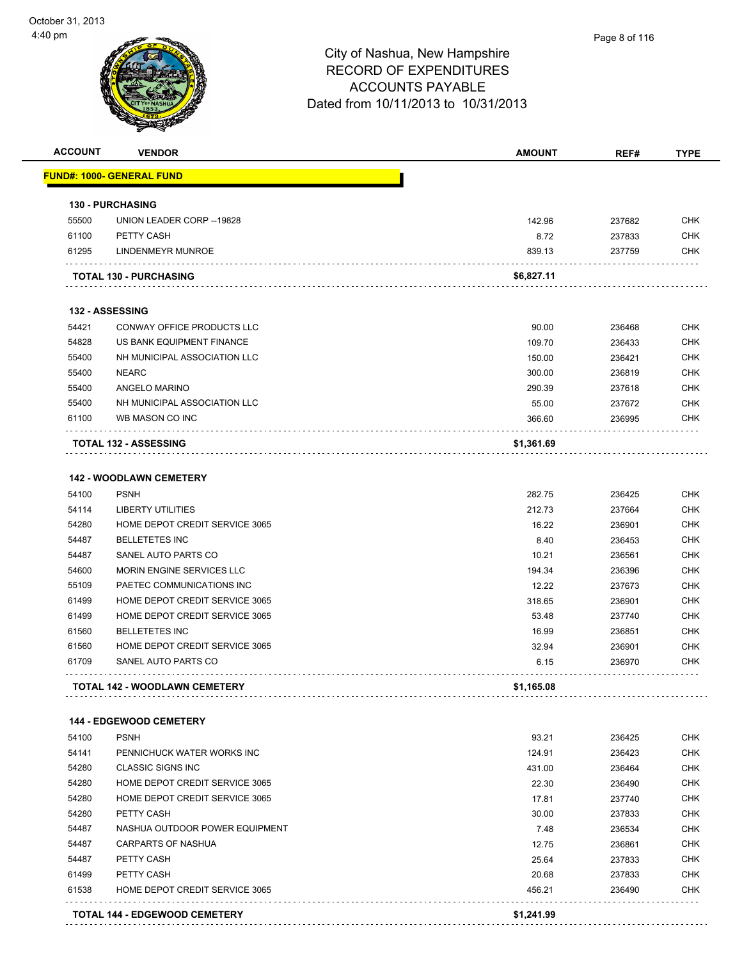| <b>ACCOUNT</b> | <b>VENDOR</b>                        | <b>AMOUNT</b> | REF#     | <b>TYPE</b> |
|----------------|--------------------------------------|---------------|----------|-------------|
|                | <b>FUND#: 1000- GENERAL FUND</b>     |               |          |             |
|                | <b>130 - PURCHASING</b>              |               |          |             |
| 55500          | UNION LEADER CORP -- 19828           | 142.96        | 237682   | <b>CHK</b>  |
| 61100          | PETTY CASH                           | 8.72          | 237833   | <b>CHK</b>  |
| 61295          | LINDENMEYR MUNROE                    | 839.13        | 237759   | <b>CHK</b>  |
|                | <b>TOTAL 130 - PURCHASING</b>        | \$6,827.11    |          |             |
|                | 132 - ASSESSING                      |               |          |             |
| 54421          | CONWAY OFFICE PRODUCTS LLC           | 90.00         | 236468   | <b>CHK</b>  |
| 54828          | US BANK EQUIPMENT FINANCE            | 109.70        | 236433   | <b>CHK</b>  |
| 55400          | NH MUNICIPAL ASSOCIATION LLC         | 150.00        | 236421   | <b>CHK</b>  |
| 55400          | <b>NEARC</b>                         | 300.00        | 236819   | <b>CHK</b>  |
| 55400          | ANGELO MARINO                        | 290.39        | 237618   | <b>CHK</b>  |
| 55400          | NH MUNICIPAL ASSOCIATION LLC         | 55.00         | 237672   | <b>CHK</b>  |
| 61100          | WB MASON CO INC                      | 366.60        | 236995   | <b>CHK</b>  |
|                | <b>TOTAL 132 - ASSESSING</b>         | \$1,361.69    |          |             |
|                |                                      |               |          |             |
|                | <b>142 - WOODLAWN CEMETERY</b>       |               |          |             |
| 54100          | <b>PSNH</b>                          | 282.75        | 236425   | <b>CHK</b>  |
| 54114          | <b>LIBERTY UTILITIES</b>             | 212.73        | 237664   | <b>CHK</b>  |
| 54280          | HOME DEPOT CREDIT SERVICE 3065       | 16.22         | 236901   | <b>CHK</b>  |
| 54487          | <b>BELLETETES INC</b>                | 8.40          | 236453   | <b>CHK</b>  |
| 54487          | SANEL AUTO PARTS CO                  | 10.21         | 236561   | <b>CHK</b>  |
| 54600          | MORIN ENGINE SERVICES LLC            | 194.34        | 236396   | <b>CHK</b>  |
| 55109          | PAETEC COMMUNICATIONS INC            | 12.22         | 237673   | <b>CHK</b>  |
| 61499          | HOME DEPOT CREDIT SERVICE 3065       | 318.65        | 236901   | <b>CHK</b>  |
| 61499          | HOME DEPOT CREDIT SERVICE 3065       | 53.48         | 237740   | <b>CHK</b>  |
| 61560          | <b>BELLETETES INC</b>                | 16.99         | 236851   | CHK         |
| 61560          | HOME DEPOT CREDIT SERVICE 3065       | 32.94         | 236901   | <b>CHK</b>  |
| 61709          | SANEL AUTO PARTS CO                  | 6.15          | 236970   | CHK         |
|                | <b>TOTAL 142 - WOODLAWN CEMETERY</b> | \$1,165.08    |          |             |
|                | 144 - EDGEWOOD CEMETERY              |               |          |             |
| 54100          | <b>PSNH</b>                          | 93.21         | 236425   | <b>CHK</b>  |
| 54141          | PENNICHUCK WATER WORKS INC           | 124.91        | 236423   | <b>CHK</b>  |
| 54280          | <b>CLASSIC SIGNS INC</b>             | 431.00        | 236464   | <b>CHK</b>  |
| 54280          | HOME DEPOT CREDIT SERVICE 3065       | 22.30         | 236490   | <b>CHK</b>  |
| 54280          | HOME DEPOT CREDIT SERVICE 3065       | 17.81         | 237740   | <b>CHK</b>  |
| 54280          | PETTY CASH                           | 30.00         | 237833   | <b>CHK</b>  |
| 54487          | NASHUA OUTDOOR POWER EQUIPMENT       | 7.48          | 236534   | <b>CHK</b>  |
| 54487          | CARPARTS OF NASHIJA                  | 12.75         | $226961$ | <b>CHK</b>  |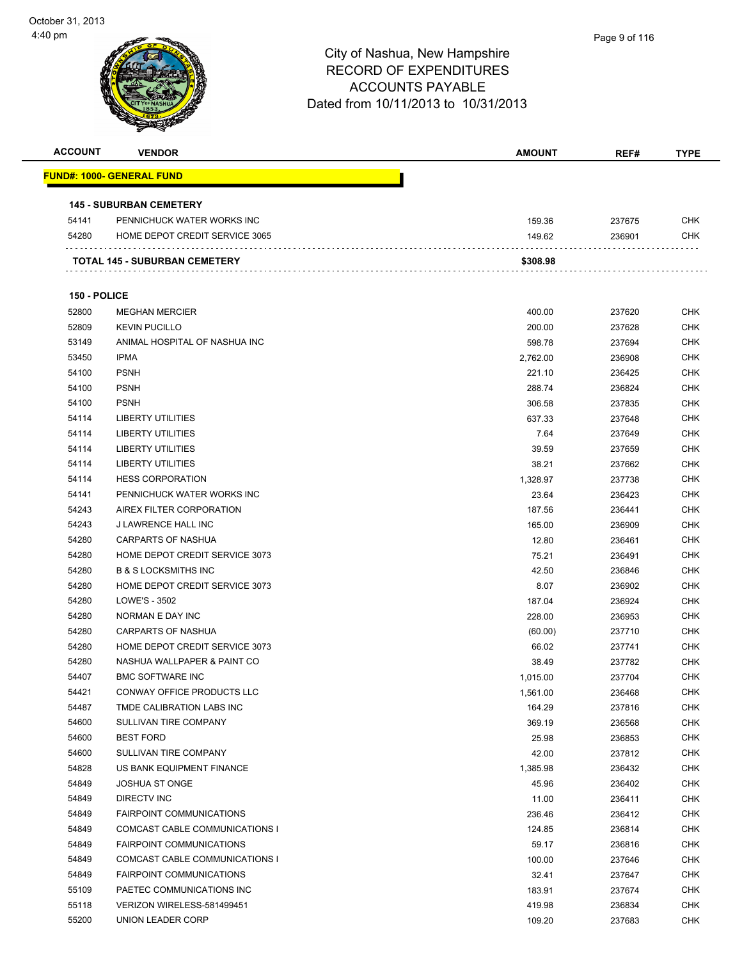| <b>ACCOUNT</b> | <b>VENDOR</b>                     | <b>AMOUNT</b> | REF#   | <b>TYPE</b> |
|----------------|-----------------------------------|---------------|--------|-------------|
|                | <u> FUND#: 1000- GENERAL FUND</u> |               |        |             |
|                | <b>145 - SUBURBAN CEMETERY</b>    |               |        |             |
| 54141          | PENNICHUCK WATER WORKS INC        | 159.36        | 237675 | <b>CHK</b>  |
| 54280          | HOME DEPOT CREDIT SERVICE 3065    | 149.62        | 236901 | <b>CHK</b>  |
|                | TOTAL 145 - SUBURBAN CEMETERY     | \$308.98      |        |             |
| 150 - POLICE   |                                   |               |        |             |
| 52800          | <b>MEGHAN MERCIER</b>             | 400.00        | 237620 | <b>CHK</b>  |
| 52809          | <b>KEVIN PUCILLO</b>              | 200.00        | 237628 | <b>CHK</b>  |
| 53149          | ANIMAL HOSPITAL OF NASHUA INC     | 598.78        | 237694 | <b>CHK</b>  |
| 53450          | <b>IPMA</b>                       | 2,762.00      | 236908 | <b>CHK</b>  |
| 54100          | <b>PSNH</b>                       | 221.10        | 236425 | <b>CHK</b>  |
| 54100          | <b>PSNH</b>                       | 288.74        | 236824 | <b>CHK</b>  |
| 54100          | <b>PSNH</b>                       | 306.58        | 237835 | <b>CHK</b>  |
| 54114          | <b>LIBERTY UTILITIES</b>          | 637.33        | 237648 | <b>CHK</b>  |
| 54114          | <b>LIBERTY UTILITIES</b>          | 7.64          | 237649 | <b>CHK</b>  |
| 54114          | <b>LIBERTY UTILITIES</b>          | 39.59         | 237659 | <b>CHK</b>  |
| 54114          | <b>LIBERTY UTILITIES</b>          | 38.21         | 237662 | <b>CHK</b>  |
| 54114          | <b>HESS CORPORATION</b>           | 1,328.97      | 237738 | <b>CHK</b>  |
| 54141          | PENNICHUCK WATER WORKS INC        | 23.64         | 236423 | <b>CHK</b>  |
| 54243          | AIREX FILTER CORPORATION          | 187.56        | 236441 | <b>CHK</b>  |
| 54243          | J LAWRENCE HALL INC               | 165.00        | 236909 | <b>CHK</b>  |
| 54280          | CARPARTS OF NASHUA                | 12.80         | 236461 | <b>CHK</b>  |
| 54280          | HOME DEPOT CREDIT SERVICE 3073    | 75.21         | 236491 | <b>CHK</b>  |
| 54280          | <b>B &amp; S LOCKSMITHS INC</b>   | 42.50         | 236846 | <b>CHK</b>  |
| 54280          | HOME DEPOT CREDIT SERVICE 3073    | 8.07          | 236902 | <b>CHK</b>  |
| 54280          | LOWE'S - 3502                     | 187.04        | 236924 | <b>CHK</b>  |
| 54280          | NORMAN E DAY INC                  | 228.00        | 236953 | <b>CHK</b>  |
| 54280          | <b>CARPARTS OF NASHUA</b>         | (60.00)       | 237710 | <b>CHK</b>  |
| 54280          | HOME DEPOT CREDIT SERVICE 3073    | 66.02         | 237741 | <b>CHK</b>  |
| 54280          | NASHUA WALLPAPER & PAINT CO       | 38.49         | 237782 | CHK         |
| 54407          | <b>BMC SOFTWARE INC</b>           | 1,015.00      | 237704 | <b>CHK</b>  |
| 54421          | CONWAY OFFICE PRODUCTS LLC        | 1,561.00      | 236468 | <b>CHK</b>  |
| 54487          | TMDE CALIBRATION LABS INC         | 164.29        | 237816 | <b>CHK</b>  |
| 54600          | SULLIVAN TIRE COMPANY             | 369.19        | 236568 | <b>CHK</b>  |
| 54600          | <b>BEST FORD</b>                  | 25.98         | 236853 | <b>CHK</b>  |
| 54600          | SULLIVAN TIRE COMPANY             | 42.00         | 237812 | <b>CHK</b>  |
| 54828          | US BANK EQUIPMENT FINANCE         | 1,385.98      | 236432 | <b>CHK</b>  |
| 54849          | <b>JOSHUA ST ONGE</b>             | 45.96         | 236402 | <b>CHK</b>  |
| 54849          | DIRECTV INC                       | 11.00         | 236411 | <b>CHK</b>  |
| 54849          | <b>FAIRPOINT COMMUNICATIONS</b>   | 236.46        | 236412 | <b>CHK</b>  |
| 54849          | COMCAST CABLE COMMUNICATIONS I    | 124.85        | 236814 | <b>CHK</b>  |
| 54849          | <b>FAIRPOINT COMMUNICATIONS</b>   | 59.17         | 236816 | <b>CHK</b>  |
| 54849          | COMCAST CABLE COMMUNICATIONS I    | 100.00        | 237646 | CHK         |
| 54849          | <b>FAIRPOINT COMMUNICATIONS</b>   | 32.41         | 237647 | <b>CHK</b>  |
| 55109          | PAETEC COMMUNICATIONS INC         | 183.91        | 237674 | <b>CHK</b>  |
| 55118          | VERIZON WIRELESS-581499451        | 419.98        | 236834 | <b>CHK</b>  |
| 55200          | UNION LEADER CORP                 | 109.20        | 237683 | <b>CHK</b>  |
|                |                                   |               |        |             |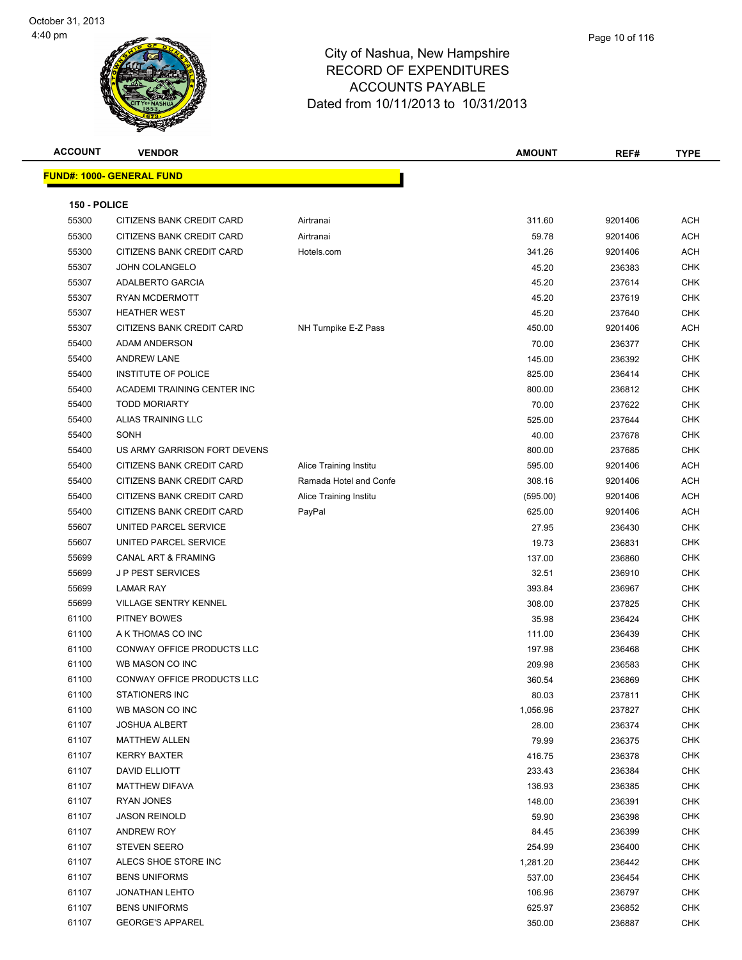

**ACCOUNT VENDOR AMOUNT REF# TYPE FUND#: 1000- GENERAL FUND 150 - POLICE** 55300 CITIZENS BANK CREDIT CARD Airtranai 311.60 9201406 ACH 55300 CITIZENS BANK CREDIT CARD Airtranai 59.78 9201406 ACH 55300 CITIZENS BANK CREDIT CARD Hotels.com 341.26 9201406 ACH JOHN COLANGELO 45.20 236383 CHK ADALBERTO GARCIA 45.20 237614 CHK RYAN MCDERMOTT 45.20 237619 CHK HEATHER WEST 45.20 237640 CHK 55307 CITIZENS BANK CREDIT CARD NH Turnpike E-Z Pass 450.00 450.00 9201406 ACH ADAM ANDERSON 70.00 236377 CHK ANDREW LANE 145.00 236392 CHK 55400 INSTITUTE OF POLICE **CHING A CHING A CHING A CHING A CHING A CHING A CHING A CHING A CHING A CHING A CHING A CHING A CHING A CHING A CHING A CHING A CHING A CHING A CHING A CHING A CHING A CHING A CHING A CHING A CHI** 55400 ACADEMI TRAINING CENTER INC 800.00 236812 CHK TODD MORIARTY 70.00 237622 CHK ALIAS TRAINING LLC 525.00 237644 CHK SONH 40.00 237678 CHK US ARMY GARRISON FORT DEVENS 800.00 237685 CHK 55400 CITIZENS BANK CREDIT CARD Alice Training Institu 595.00 9201406 ACH 55400 CITIZENS BANK CREDIT CARD Ramada Hotel and Confe 308.16 9201406 ACH 55400 CITIZENS BANK CREDIT CARD Alice Training Institu (595.00) 9201406 ACH 55400 CITIZENS BANK CREDIT CARD PayPal 625.00 9201406 ACH UNITED PARCEL SERVICE 27.95 236430 CHK 55607 UNITED PARCEL SERVICE NERVICE And the series of the series of the series of the series of the series of the series of the series of the series of the series of the series of the series of the series of the series of CANAL ART & FRAMING 137.00 236860 CHK J P PEST SERVICES 32.51 236910 CHK LAMAR RAY 393.84 236967 CHK VILLAGE SENTRY KENNEL 308.00 237825 CHK PITNEY BOWES 35.98 236424 CHK A K THOMAS CO INC 111.00 236439 CHK 61100 CONWAY OFFICE PRODUCTS LLC **197.98** 236468 CHK WB MASON CO INC 209.98 236583 CHK er and the conway of Fig. 236869 CHK CHC CHC 360.54 236869 CHK er and the STATIONERS INC and the STATIONERS INC and the STATIONERS INCLUSION ASSOCIATE A SERVER AND THE STATIONERS INCLUSION AND THE STATIONERS INCLUSION AND THE STATIONERS INCLUSION AND THE STATIONERS INCLUSION AND THE S WB MASON CO INC 1,056.96 237827 CHK JOSHUA ALBERT 28.00 236374 CHK MATTHEW ALLEN 79.99 236375 CHK KERRY BAXTER 416.75 236378 CHK DAVID ELLIOTT 233.43 236384 CHK er and the Matter of the Matter of the Matter of the Matter of the Matter of the Matter of the Matter of the Matter of the Matter of the Matter of the Matter of the Matter of the Matter of the Matter of the Matter of the M RYAN JONES 148.00 236391 CHK JASON REINOLD 59.90 236398 CHK ANDREW ROY 84.45 236399 CHK STEVEN SEERO 254.99 236400 CHK ALECS SHOE STORE INC 1,281.20 236442 CHK BENS UNIFORMS 537.00 236454 CHK JONATHAN LEHTO 106.96 236797 CHK BENS UNIFORMS 625.97 236852 CHK er and the GEORGE'S APPAREL And the state of the state of the state of the state of the state of the state of the state of the state of the state of the state of the state of the state of the state of the state of the stat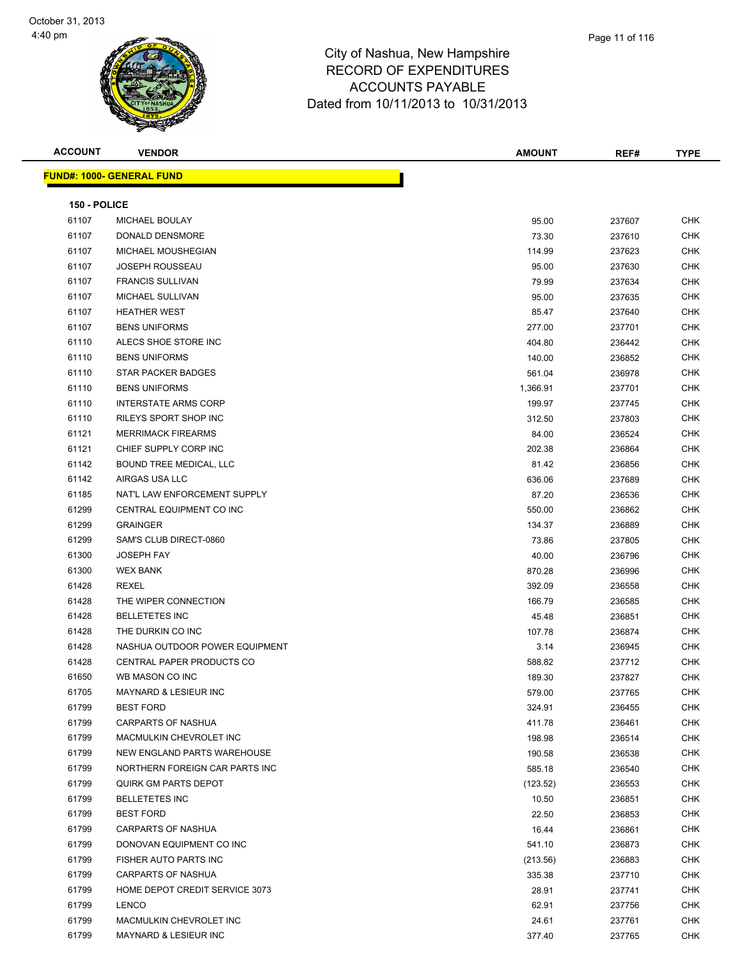

| <b>ACCOUNT</b> | <b>VENDOR</b>                    | <b>AMOUNT</b> | REF#   | <b>TYPE</b> |
|----------------|----------------------------------|---------------|--------|-------------|
|                | <b>FUND#: 1000- GENERAL FUND</b> |               |        |             |
|                |                                  |               |        |             |
| 150 - POLICE   |                                  |               |        |             |
| 61107          | MICHAEL BOULAY                   | 95.00         | 237607 | CHK         |
| 61107          | DONALD DENSMORE                  | 73.30         | 237610 | CHK         |
| 61107          | MICHAEL MOUSHEGIAN               | 114.99        | 237623 | CHK         |
| 61107          | <b>JOSEPH ROUSSEAU</b>           | 95.00         | 237630 | <b>CHK</b>  |
| 61107          | <b>FRANCIS SULLIVAN</b>          | 79.99         | 237634 | <b>CHK</b>  |
| 61107          | MICHAEL SULLIVAN                 | 95.00         | 237635 | CHK         |
| 61107          | <b>HEATHER WEST</b>              | 85.47         | 237640 | CHK         |
| 61107          | <b>BENS UNIFORMS</b>             | 277.00        | 237701 | CHK         |
| 61110          | ALECS SHOE STORE INC             | 404.80        | 236442 | <b>CHK</b>  |
| 61110          | <b>BENS UNIFORMS</b>             | 140.00        | 236852 | <b>CHK</b>  |
| 61110          | <b>STAR PACKER BADGES</b>        | 561.04        | 236978 | CHK         |
| 61110          | <b>BENS UNIFORMS</b>             | 1,366.91      | 237701 | CHK         |
| 61110          | <b>INTERSTATE ARMS CORP</b>      | 199.97        | 237745 | CHK         |
| 61110          | RILEYS SPORT SHOP INC            | 312.50        | 237803 | CHK         |
| 61121          | <b>MERRIMACK FIREARMS</b>        | 84.00         | 236524 | CHK         |
| 61121          | CHIEF SUPPLY CORP INC            | 202.38        | 236864 | <b>CHK</b>  |
| 61142          | BOUND TREE MEDICAL, LLC          | 81.42         | 236856 | CHK         |
| 61142          | AIRGAS USA LLC                   | 636.06        | 237689 | CHK         |
| 61185          | NAT'L LAW ENFORCEMENT SUPPLY     | 87.20         | 236536 | <b>CHK</b>  |
| 61299          | CENTRAL EQUIPMENT CO INC         | 550.00        | 236862 | <b>CHK</b>  |
| 61299          | <b>GRAINGER</b>                  | 134.37        | 236889 | <b>CHK</b>  |
| 61299          | SAM'S CLUB DIRECT-0860           | 73.86         | 237805 | CHK         |
| 61300          | <b>JOSEPH FAY</b>                | 40.00         | 236796 | CHK         |
| 61300          | <b>WEX BANK</b>                  | 870.28        | 236996 | CHK         |
| 61428          | REXEL                            | 392.09        | 236558 | <b>CHK</b>  |
| 61428          | THE WIPER CONNECTION             | 166.79        | 236585 | <b>CHK</b>  |
| 61428          | <b>BELLETETES INC</b>            | 45.48         | 236851 | <b>CHK</b>  |
| 61428          | THE DURKIN CO INC                | 107.78        | 236874 | CHK         |
| 61428          | NASHUA OUTDOOR POWER EQUIPMENT   | 3.14          | 236945 | <b>CHK</b>  |
| 61428          | CENTRAL PAPER PRODUCTS CO        | 588.82        | 237712 | CHK         |
| 61650          | WB MASON CO INC                  | 189.30        | 237827 | <b>CHK</b>  |
| 61705          | MAYNARD & LESIEUR INC            | 579.00        | 237765 | CHK         |
| 61799          | <b>BEST FORD</b>                 | 324.91        | 236455 | CHK         |
| 61799          | CARPARTS OF NASHUA               | 411.78        | 236461 | CHK         |
| 61799          | MACMULKIN CHEVROLET INC          | 198.98        | 236514 | <b>CHK</b>  |
| 61799          | NEW ENGLAND PARTS WAREHOUSE      | 190.58        | 236538 | CHK         |
| 61799          | NORTHERN FOREIGN CAR PARTS INC   | 585.18        | 236540 | CHK         |
| 61799          | QUIRK GM PARTS DEPOT             | (123.52)      | 236553 | <b>CHK</b>  |
| 61799          | <b>BELLETETES INC</b>            | 10.50         | 236851 | CHK         |
| 61799          | <b>BEST FORD</b>                 | 22.50         | 236853 | CHK         |
| 61799          | CARPARTS OF NASHUA               | 16.44         | 236861 | CHK         |
| 61799          | DONOVAN EQUIPMENT CO INC         | 541.10        | 236873 | CHK         |
| 61799          | FISHER AUTO PARTS INC            | (213.56)      | 236883 | CHK         |
| 61799          | CARPARTS OF NASHUA               | 335.38        | 237710 | CHK         |
| 61799          | HOME DEPOT CREDIT SERVICE 3073   | 28.91         | 237741 | CHK         |
| 61799          | <b>LENCO</b>                     | 62.91         | 237756 | <b>CHK</b>  |
| 61799          | MACMULKIN CHEVROLET INC          | 24.61         | 237761 | <b>CHK</b>  |

MAYNARD & LESIEUR INC 377.40 237765 CHK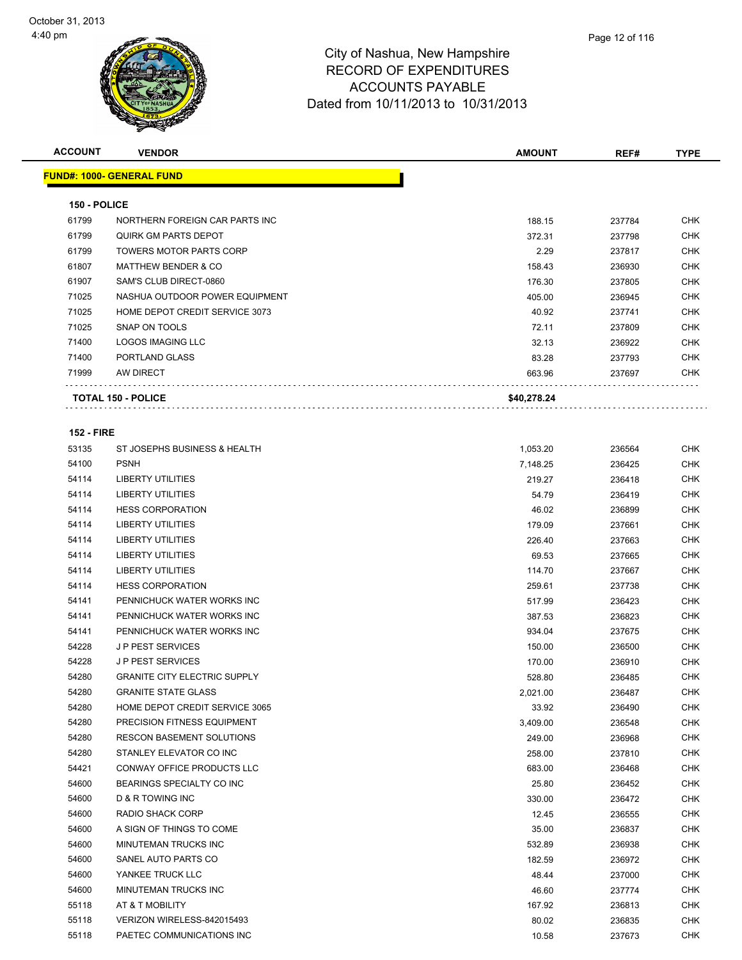

| Page 12 of 116 |  |  |  |  |  |
|----------------|--|--|--|--|--|
|----------------|--|--|--|--|--|

| <b>ACCOUNT</b>    | <b>VENDOR</b>                       | <b>AMOUNT</b> | REF#   | <b>TYPE</b> |
|-------------------|-------------------------------------|---------------|--------|-------------|
|                   | <b>FUND#: 1000- GENERAL FUND</b>    |               |        |             |
|                   |                                     |               |        |             |
| 150 - POLICE      |                                     |               |        |             |
| 61799             | NORTHERN FOREIGN CAR PARTS INC      | 188.15        | 237784 | CHK         |
| 61799             | <b>QUIRK GM PARTS DEPOT</b>         | 372.31        | 237798 | <b>CHK</b>  |
| 61799             | <b>TOWERS MOTOR PARTS CORP</b>      | 2.29          | 237817 | <b>CHK</b>  |
| 61807             | <b>MATTHEW BENDER &amp; CO</b>      | 158.43        | 236930 | <b>CHK</b>  |
| 61907             | SAM'S CLUB DIRECT-0860              | 176.30        | 237805 | <b>CHK</b>  |
| 71025             | NASHUA OUTDOOR POWER EQUIPMENT      | 405.00        | 236945 | <b>CHK</b>  |
| 71025             | HOME DEPOT CREDIT SERVICE 3073      | 40.92         | 237741 | <b>CHK</b>  |
| 71025             | SNAP ON TOOLS                       | 72.11         | 237809 | <b>CHK</b>  |
| 71400             | <b>LOGOS IMAGING LLC</b>            | 32.13         | 236922 | CHK         |
| 71400             | PORTLAND GLASS                      | 83.28         | 237793 | CHK         |
| 71999             | AW DIRECT                           | 663.96        | 237697 | CHK         |
|                   | <b>TOTAL 150 - POLICE</b>           | \$40,278.24   |        |             |
|                   |                                     |               |        |             |
| <b>152 - FIRE</b> |                                     |               |        |             |
| 53135             | ST JOSEPHS BUSINESS & HEALTH        | 1,053.20      | 236564 | <b>CHK</b>  |
| 54100             | <b>PSNH</b>                         | 7,148.25      | 236425 | <b>CHK</b>  |
| 54114             | <b>LIBERTY UTILITIES</b>            | 219.27        | 236418 | <b>CHK</b>  |
| 54114             | <b>LIBERTY UTILITIES</b>            | 54.79         | 236419 | <b>CHK</b>  |
| 54114             | <b>HESS CORPORATION</b>             | 46.02         | 236899 | <b>CHK</b>  |
| 54114             | <b>LIBERTY UTILITIES</b>            | 179.09        | 237661 | <b>CHK</b>  |
| 54114             | LIBERTY UTILITIES                   | 226.40        | 237663 | <b>CHK</b>  |
| 54114             | <b>LIBERTY UTILITIES</b>            | 69.53         | 237665 | CHK         |
| 54114             | <b>LIBERTY UTILITIES</b>            | 114.70        | 237667 | <b>CHK</b>  |
| 54114             | <b>HESS CORPORATION</b>             | 259.61        | 237738 | <b>CHK</b>  |
| 54141             | PENNICHUCK WATER WORKS INC          | 517.99        | 236423 | <b>CHK</b>  |
| 54141             | PENNICHUCK WATER WORKS INC          | 387.53        | 236823 | <b>CHK</b>  |
| 54141             | PENNICHUCK WATER WORKS INC          | 934.04        | 237675 | CHK         |
| 54228             | <b>JP PEST SERVICES</b>             | 150.00        | 236500 | CHK         |
| 54228             | <b>JP PEST SERVICES</b>             | 170.00        | 236910 | <b>CHK</b>  |
| 54280             | <b>GRANITE CITY ELECTRIC SUPPLY</b> | 528.80        | 236485 | <b>CHK</b>  |
| 54280             | <b>GRANITE STATE GLASS</b>          | 2,021.00      | 236487 | CHK         |
| 54280             | HOME DEPOT CREDIT SERVICE 3065      | 33.92         | 236490 | <b>CHK</b>  |
| 54280             | PRECISION FITNESS EQUIPMENT         | 3,409.00      | 236548 | <b>CHK</b>  |
| 54280             | <b>RESCON BASEMENT SOLUTIONS</b>    | 249.00        | 236968 | <b>CHK</b>  |
| 54280             | STANLEY ELEVATOR CO INC             | 258.00        | 237810 | <b>CHK</b>  |
| 54421             | CONWAY OFFICE PRODUCTS LLC          | 683.00        | 236468 | <b>CHK</b>  |
| 54600             | BEARINGS SPECIALTY CO INC           | 25.80         | 236452 | <b>CHK</b>  |
| 54600             | <b>D &amp; R TOWING INC</b>         | 330.00        | 236472 | CHK         |
| 54600             | RADIO SHACK CORP                    | 12.45         | 236555 | <b>CHK</b>  |
| 54600             | A SIGN OF THINGS TO COME            | 35.00         | 236837 | <b>CHK</b>  |
| 54600             | MINUTEMAN TRUCKS INC                | 532.89        | 236938 | <b>CHK</b>  |

 SANEL AUTO PARTS CO 182.59 236972 CHK YANKEE TRUCK LLC 48.44 237000 CHK MINUTEMAN TRUCKS INC 46.60 237774 CHK AT & T MOBILITY 167.92 236813 CHK VERIZON WIRELESS-842015493 80.02 236835 CHK PAETEC COMMUNICATIONS INC 10.58 237673 CHK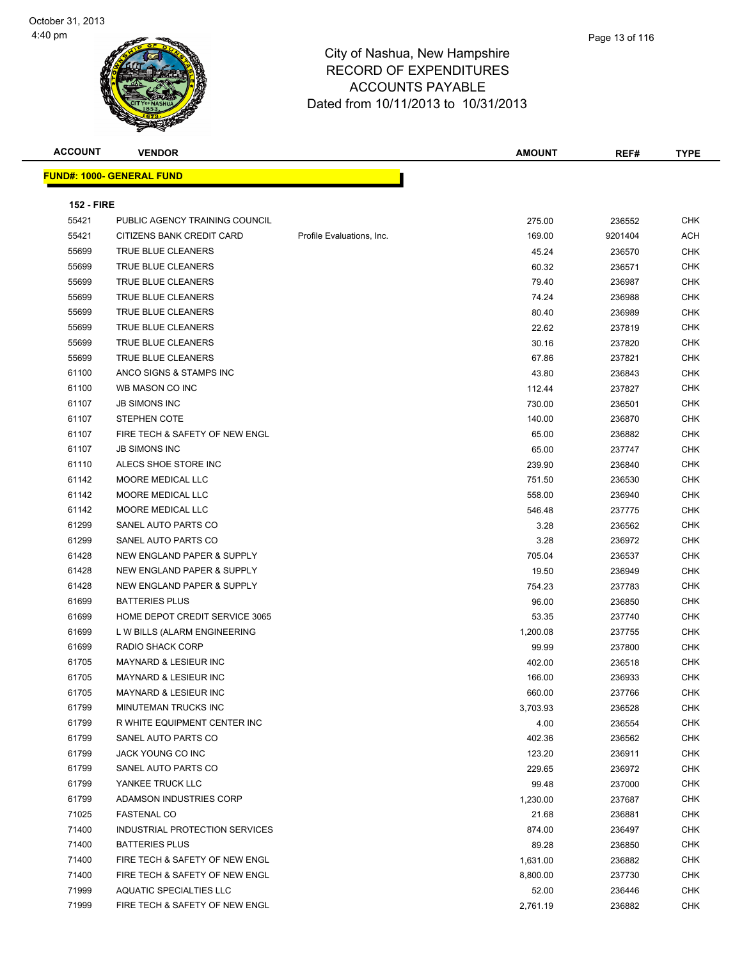

| <b>ACCOUNT</b>    | <b>VENDOR</b>                    |                           | <b>AMOUNT</b> | REF#    | <b>TYPE</b> |
|-------------------|----------------------------------|---------------------------|---------------|---------|-------------|
|                   | <b>FUND#: 1000- GENERAL FUND</b> |                           |               |         |             |
|                   |                                  |                           |               |         |             |
| <b>152 - FIRE</b> |                                  |                           |               |         |             |
| 55421             | PUBLIC AGENCY TRAINING COUNCIL   |                           | 275.00        | 236552  | <b>CHK</b>  |
| 55421             | CITIZENS BANK CREDIT CARD        | Profile Evaluations, Inc. | 169.00        | 9201404 | <b>ACH</b>  |
| 55699             | TRUE BLUE CLEANERS               |                           | 45.24         | 236570  | <b>CHK</b>  |
| 55699             | TRUE BLUE CLEANERS               |                           | 60.32         | 236571  | <b>CHK</b>  |
| 55699             | TRUE BLUE CLEANERS               |                           | 79.40         | 236987  | <b>CHK</b>  |
| 55699             | TRUE BLUE CLEANERS               |                           | 74.24         | 236988  | <b>CHK</b>  |
| 55699             | TRUE BLUE CLEANERS               |                           | 80.40         | 236989  | <b>CHK</b>  |
| 55699             | TRUE BLUE CLEANERS               |                           | 22.62         | 237819  | <b>CHK</b>  |
| 55699             | TRUE BLUE CLEANERS               |                           | 30.16         | 237820  | <b>CHK</b>  |
| 55699             | TRUE BLUE CLEANERS               |                           | 67.86         | 237821  | <b>CHK</b>  |
| 61100             | ANCO SIGNS & STAMPS INC          |                           | 43.80         | 236843  | <b>CHK</b>  |
| 61100             | WB MASON CO INC                  |                           | 112.44        | 237827  | <b>CHK</b>  |
| 61107             | JB SIMONS INC                    |                           | 730.00        | 236501  | <b>CHK</b>  |
| 61107             | <b>STEPHEN COTE</b>              |                           | 140.00        | 236870  | <b>CHK</b>  |
| 61107             | FIRE TECH & SAFETY OF NEW ENGL   |                           | 65.00         | 236882  | <b>CHK</b>  |
| 61107             | <b>JB SIMONS INC</b>             |                           | 65.00         | 237747  | <b>CHK</b>  |
| 61110             | ALECS SHOE STORE INC             |                           | 239.90        | 236840  | <b>CHK</b>  |
| 61142             | MOORE MEDICAL LLC                |                           | 751.50        | 236530  | <b>CHK</b>  |
| 61142             | MOORE MEDICAL LLC                |                           | 558.00        | 236940  | <b>CHK</b>  |
| 61142             | MOORE MEDICAL LLC                |                           | 546.48        | 237775  | <b>CHK</b>  |
| 61299             | SANEL AUTO PARTS CO              |                           | 3.28          | 236562  | <b>CHK</b>  |
| 61299             | SANEL AUTO PARTS CO              |                           | 3.28          | 236972  | <b>CHK</b>  |
| 61428             | NEW ENGLAND PAPER & SUPPLY       |                           | 705.04        | 236537  | <b>CHK</b>  |
| 61428             | NEW ENGLAND PAPER & SUPPLY       |                           | 19.50         | 236949  | <b>CHK</b>  |
| 61428             | NEW ENGLAND PAPER & SUPPLY       |                           | 754.23        | 237783  | <b>CHK</b>  |
| 61699             | <b>BATTERIES PLUS</b>            |                           | 96.00         | 236850  | <b>CHK</b>  |
| 61699             | HOME DEPOT CREDIT SERVICE 3065   |                           | 53.35         | 237740  | <b>CHK</b>  |
| 61699             | L W BILLS (ALARM ENGINEERING     |                           | 1,200.08      | 237755  | <b>CHK</b>  |
| 61699             | <b>RADIO SHACK CORP</b>          |                           | 99.99         | 237800  | <b>CHK</b>  |
| 61705             | MAYNARD & LESIEUR INC            |                           | 402.00        | 236518  | <b>CHK</b>  |
| 61705             | MAYNARD & LESIEUR INC            |                           | 166.00        | 236933  | <b>CHK</b>  |
| 61705             | MAYNARD & LESIEUR INC            |                           | 660.00        | 237766  | <b>CHK</b>  |
| 61799             | MINUTEMAN TRUCKS INC             |                           | 3,703.93      | 236528  | <b>CHK</b>  |
| 61799             | R WHITE EQUIPMENT CENTER INC     |                           | 4.00          | 236554  | <b>CHK</b>  |
| 61799             | SANEL AUTO PARTS CO              |                           | 402.36        | 236562  | <b>CHK</b>  |
| 61799             | JACK YOUNG CO INC                |                           | 123.20        | 236911  | <b>CHK</b>  |
| 61799             | SANEL AUTO PARTS CO              |                           | 229.65        | 236972  | <b>CHK</b>  |

 YANKEE TRUCK LLC 99.48 237000 CHK ADAMSON INDUSTRIES CORP 1,230.00 237687 CHK FASTENAL CO 21.68 236881 CHK The State of the UNDUSTRIAL PROTECTION SERVICES And the State of the State of the State of the State of the State of the State of the State of the State of the State of the State of the State of the State of the State of t BATTERIES PLUS 89.28 236850 CHK The State of the State of the State of the State of the State of the State of the State of the State of the State of the State of the State of the State of the State of the State of the State of the State of the State of t THE TECH & SAFETY OF NEW ENGLASHED AS A SAFETY OF NEW ENGLASHED ASSOCIATE A SAFETY OF NEW ENGLASHED ASSOCIATE A SAFETY OF NEW ENGLASHED ASSOCIATE A SAFETY OF NEW ENGLASHED ASSOCIATE A SAFETY OF NEW ENGLASHED ASSOCIATE A SA The Second Aquatic Special ties and the second second second second second second second second second second second second second second second second second second second second second second second second second second FIRE TECH & SAFETY OF NEW ENGL 2,761.19 236882 CHK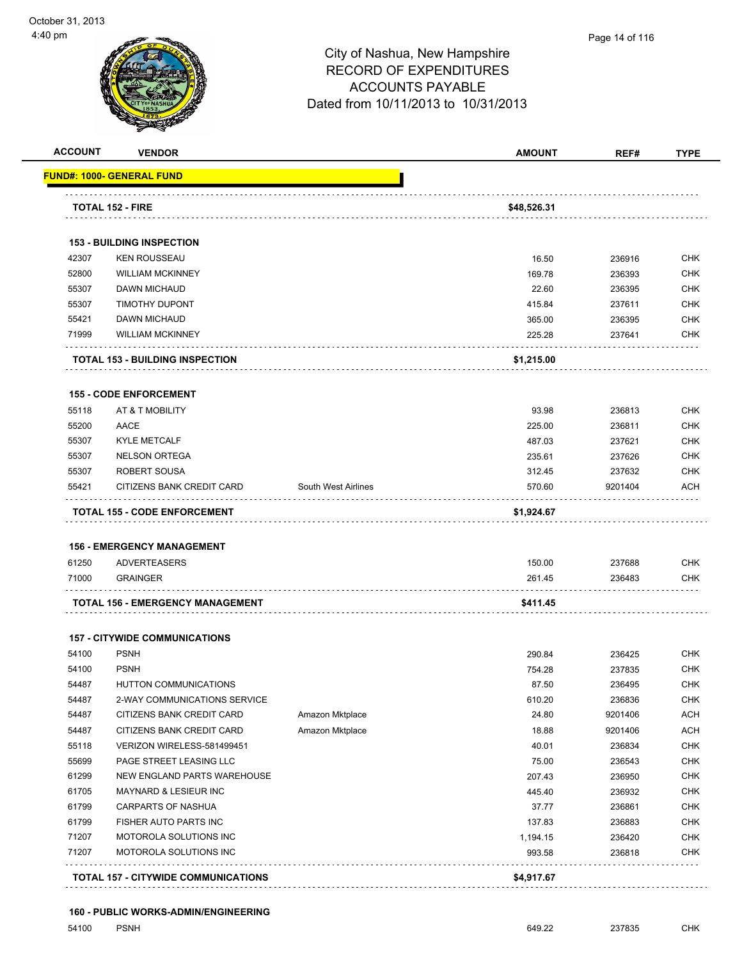|                | <b>VENDOR</b>                                    |                     | <b>AMOUNT</b>      | REF#             | <b>TYPE</b>                                                                                                                                                                                      |
|----------------|--------------------------------------------------|---------------------|--------------------|------------------|--------------------------------------------------------------------------------------------------------------------------------------------------------------------------------------------------|
|                | FUND#: 1000- GENERAL FUND                        |                     |                    |                  |                                                                                                                                                                                                  |
|                | <b>TOTAL 152 - FIRE</b>                          |                     | \$48,526.31        |                  |                                                                                                                                                                                                  |
|                |                                                  |                     |                    |                  |                                                                                                                                                                                                  |
|                | <b>153 - BUILDING INSPECTION</b>                 |                     |                    |                  |                                                                                                                                                                                                  |
| 42307          | <b>KEN ROUSSEAU</b>                              |                     | 16.50              | 236916           | <b>CHK</b>                                                                                                                                                                                       |
| 52800          | <b>WILLIAM MCKINNEY</b>                          |                     | 169.78             | 236393           | <b>CHK</b>                                                                                                                                                                                       |
| 55307          | <b>DAWN MICHAUD</b>                              |                     | 22.60              | 236395           | <b>CHK</b>                                                                                                                                                                                       |
| 55307          | <b>TIMOTHY DUPONT</b>                            |                     | 415.84             | 237611           | <b>CHK</b>                                                                                                                                                                                       |
| 55421          | DAWN MICHAUD                                     |                     | 365.00             | 236395           | <b>CHK</b>                                                                                                                                                                                       |
| 71999          | <b>WILLIAM MCKINNEY</b>                          |                     | 225.28             | 237641           | <b>CHK</b>                                                                                                                                                                                       |
|                | <b>TOTAL 153 - BUILDING INSPECTION</b>           |                     | \$1,215.00         |                  |                                                                                                                                                                                                  |
|                | <b>155 - CODE ENFORCEMENT</b>                    |                     |                    |                  |                                                                                                                                                                                                  |
| 55118          | AT & T MOBILITY                                  |                     | 93.98              | 236813           | <b>CHK</b>                                                                                                                                                                                       |
| 55200          | AACE                                             |                     | 225.00             | 236811           | <b>CHK</b>                                                                                                                                                                                       |
| 55307          | <b>KYLE METCALF</b>                              |                     | 487.03             | 237621           | <b>CHK</b>                                                                                                                                                                                       |
| 55307          | <b>NELSON ORTEGA</b>                             |                     | 235.61             | 237626           | <b>CHK</b>                                                                                                                                                                                       |
| 55307          | ROBERT SOUSA                                     |                     | 312.45             | 237632           | <b>CHK</b>                                                                                                                                                                                       |
| 55421          | CITIZENS BANK CREDIT CARD                        | South West Airlines | 570.60             | 9201404          | ACH                                                                                                                                                                                              |
|                |                                                  |                     |                    |                  |                                                                                                                                                                                                  |
|                | <b>TOTAL 155 - CODE ENFORCEMENT</b>              |                     | \$1,924.67         |                  |                                                                                                                                                                                                  |
|                |                                                  |                     |                    |                  |                                                                                                                                                                                                  |
|                | <b>156 - EMERGENCY MANAGEMENT</b>                |                     |                    |                  |                                                                                                                                                                                                  |
| 61250          | <b>ADVERTEASERS</b>                              |                     | 150.00             | 237688           |                                                                                                                                                                                                  |
| 71000          | <b>GRAINGER</b>                                  |                     | 261.45             | 236483           |                                                                                                                                                                                                  |
|                | TOTAL 156 - EMERGENCY MANAGEMENT                 |                     | \$411.45           |                  | <b>CHK</b><br><b>CHK</b>                                                                                                                                                                         |
|                | <b>157 - CITYWIDE COMMUNICATIONS</b>             |                     |                    |                  |                                                                                                                                                                                                  |
| 54100          | <b>PSNH</b>                                      |                     | 290.84             | 236425           |                                                                                                                                                                                                  |
| 54100          | <b>PSNH</b>                                      |                     | 754.28             | 237835           |                                                                                                                                                                                                  |
| 54487          | <b>HUTTON COMMUNICATIONS</b>                     |                     | 87.50              | 236495           |                                                                                                                                                                                                  |
| 54487          | 2-WAY COMMUNICATIONS SERVICE                     |                     | 610.20             | 236836           |                                                                                                                                                                                                  |
| 54487          | CITIZENS BANK CREDIT CARD                        | Amazon Mktplace     | 24.80              | 9201406          |                                                                                                                                                                                                  |
|                |                                                  |                     |                    |                  |                                                                                                                                                                                                  |
| 54487          | CITIZENS BANK CREDIT CARD                        | Amazon Mktplace     | 18.88              | 9201406          |                                                                                                                                                                                                  |
| 55118          | VERIZON WIRELESS-581499451                       |                     | 40.01              | 236834           |                                                                                                                                                                                                  |
| 55699          | PAGE STREET LEASING LLC                          |                     | 75.00              | 236543           |                                                                                                                                                                                                  |
| 61299          | NEW ENGLAND PARTS WAREHOUSE                      |                     | 207.43             | 236950           |                                                                                                                                                                                                  |
| 61705          | MAYNARD & LESIEUR INC                            |                     | 445.40             | 236932           |                                                                                                                                                                                                  |
| 61799          | CARPARTS OF NASHUA                               |                     | 37.77              | 236861           |                                                                                                                                                                                                  |
| 61799          | FISHER AUTO PARTS INC                            |                     | 137.83             | 236883           |                                                                                                                                                                                                  |
| 71207<br>71207 | MOTOROLA SOLUTIONS INC<br>MOTOROLA SOLUTIONS INC |                     | 1,194.15<br>993.58 | 236420<br>236818 | <b>CHK</b><br><b>CHK</b><br><b>CHK</b><br><b>CHK</b><br><b>ACH</b><br><b>ACH</b><br><b>CHK</b><br><b>CHK</b><br><b>CHK</b><br><b>CHK</b><br><b>CHK</b><br><b>CHK</b><br><b>CHK</b><br><b>CHK</b> |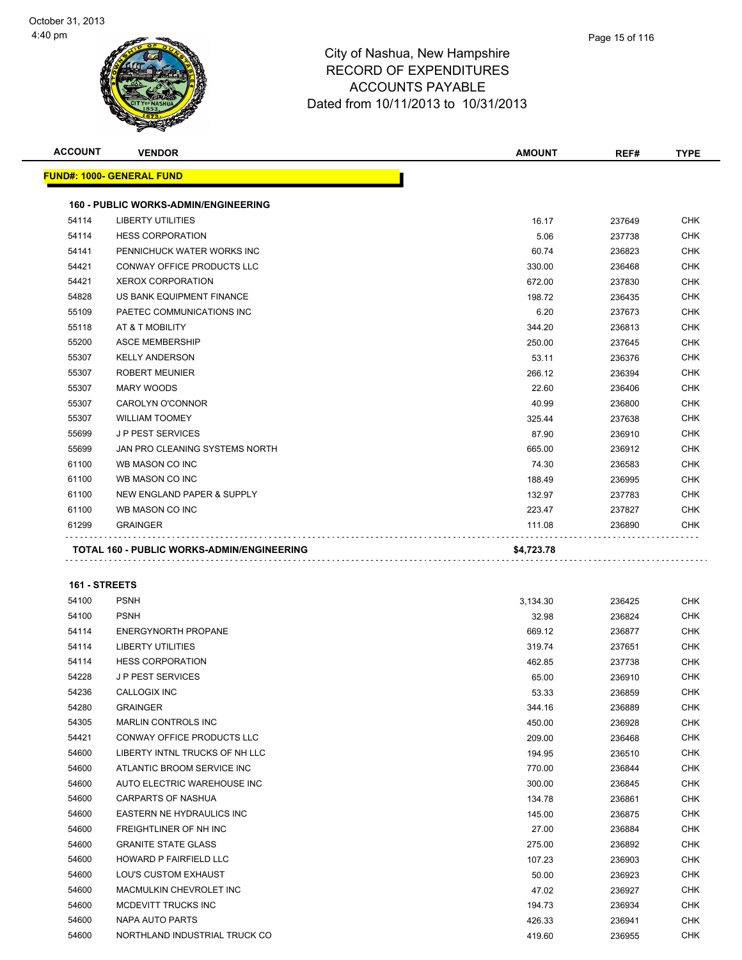

| Page 15 of 116 |
|----------------|
|                |

| <b>ACCOUNT</b> | <b>VENDOR</b>                                     | <b>AMOUNT</b> | REF#   | <b>TYPE</b> |
|----------------|---------------------------------------------------|---------------|--------|-------------|
|                | <b>FUND#: 1000- GENERAL FUND</b>                  |               |        |             |
|                | <b>160 - PUBLIC WORKS-ADMIN/ENGINEERING</b>       |               |        |             |
| 54114          | <b>LIBERTY UTILITIES</b>                          | 16.17         | 237649 | <b>CHK</b>  |
| 54114          | <b>HESS CORPORATION</b>                           | 5.06          | 237738 | <b>CHK</b>  |
| 54141          | PENNICHUCK WATER WORKS INC                        | 60.74         | 236823 | <b>CHK</b>  |
| 54421          | <b>CONWAY OFFICE PRODUCTS LLC</b>                 | 330.00        | 236468 | <b>CHK</b>  |
| 54421          | <b>XEROX CORPORATION</b>                          | 672.00        | 237830 | <b>CHK</b>  |
| 54828          | US BANK EQUIPMENT FINANCE                         | 198.72        | 236435 | <b>CHK</b>  |
| 55109          | PAETEC COMMUNICATIONS INC                         | 6.20          | 237673 | <b>CHK</b>  |
| 55118          | AT & T MOBILITY                                   | 344.20        | 236813 | <b>CHK</b>  |
| 55200          | <b>ASCE MEMBERSHIP</b>                            | 250.00        | 237645 | <b>CHK</b>  |
| 55307          | <b>KELLY ANDERSON</b>                             | 53.11         | 236376 | <b>CHK</b>  |
| 55307          | <b>ROBERT MEUNIER</b>                             | 266.12        | 236394 | <b>CHK</b>  |
| 55307          | MARY WOODS                                        | 22.60         | 236406 | <b>CHK</b>  |
| 55307          | <b>CAROLYN O'CONNOR</b>                           | 40.99         | 236800 | <b>CHK</b>  |
| 55307          | <b>WILLIAM TOOMEY</b>                             | 325.44        | 237638 | <b>CHK</b>  |
| 55699          | <b>JP PEST SERVICES</b>                           | 87.90         | 236910 | <b>CHK</b>  |
| 55699          | JAN PRO CLEANING SYSTEMS NORTH                    | 665.00        | 236912 | <b>CHK</b>  |
| 61100          | WB MASON CO INC                                   | 74.30         | 236583 | <b>CHK</b>  |
| 61100          | WB MASON CO INC                                   | 188.49        | 236995 | <b>CHK</b>  |
| 61100          | NEW ENGLAND PAPER & SUPPLY                        | 132.97        | 237783 | <b>CHK</b>  |
| 61100          | WB MASON CO INC                                   | 223.47        | 237827 | <b>CHK</b>  |
| 61299          | <b>GRAINGER</b>                                   | 111.08        | 236890 | <b>CHK</b>  |
|                | <b>TOTAL 160 - PUBLIC WORKS-ADMIN/ENGINEERING</b> | \$4,723.78    |        |             |

#### **161 - STREETS**

| 54100 | <b>PSNH</b>                       | 3,134.30 | 236425 | <b>CHK</b> |
|-------|-----------------------------------|----------|--------|------------|
| 54100 | <b>PSNH</b>                       | 32.98    | 236824 | <b>CHK</b> |
| 54114 | <b>ENERGYNORTH PROPANE</b>        | 669.12   | 236877 | <b>CHK</b> |
| 54114 | <b>LIBERTY UTILITIES</b>          | 319.74   | 237651 | <b>CHK</b> |
| 54114 | <b>HESS CORPORATION</b>           | 462.85   | 237738 | <b>CHK</b> |
| 54228 | <b>JP PEST SERVICES</b>           | 65.00    | 236910 | <b>CHK</b> |
| 54236 | <b>CALLOGIX INC</b>               | 53.33    | 236859 | <b>CHK</b> |
| 54280 | <b>GRAINGER</b>                   | 344.16   | 236889 | <b>CHK</b> |
| 54305 | <b>MARLIN CONTROLS INC</b>        | 450.00   | 236928 | <b>CHK</b> |
| 54421 | <b>CONWAY OFFICE PRODUCTS LLC</b> | 209.00   | 236468 | <b>CHK</b> |
| 54600 | LIBERTY INTNL TRUCKS OF NH LLC    | 194.95   | 236510 | <b>CHK</b> |
| 54600 | ATLANTIC BROOM SERVICE INC        | 770.00   | 236844 | <b>CHK</b> |
| 54600 | AUTO ELECTRIC WAREHOUSE INC       | 300.00   | 236845 | <b>CHK</b> |
| 54600 | <b>CARPARTS OF NASHUA</b>         | 134.78   | 236861 | <b>CHK</b> |
| 54600 | EASTERN NE HYDRAULICS INC         | 145.00   | 236875 | <b>CHK</b> |
| 54600 | <b>FREIGHTLINER OF NH INC</b>     | 27.00    | 236884 | <b>CHK</b> |
| 54600 | <b>GRANITE STATE GLASS</b>        | 275.00   | 236892 | <b>CHK</b> |
| 54600 | <b>HOWARD P FAIRFIELD LLC</b>     | 107.23   | 236903 | CHK        |
| 54600 | <b>LOU'S CUSTOM EXHAUST</b>       | 50.00    | 236923 | <b>CHK</b> |
| 54600 | MACMULKIN CHEVROLET INC           | 47.02    | 236927 | CHK        |
| 54600 | MCDEVITT TRUCKS INC               | 194.73   | 236934 | <b>CHK</b> |
| 54600 | <b>NAPA AUTO PARTS</b>            | 426.33   | 236941 | CHK        |
| 54600 | NORTHLAND INDUSTRIAL TRUCK CO     | 419.60   | 236955 | <b>CHK</b> |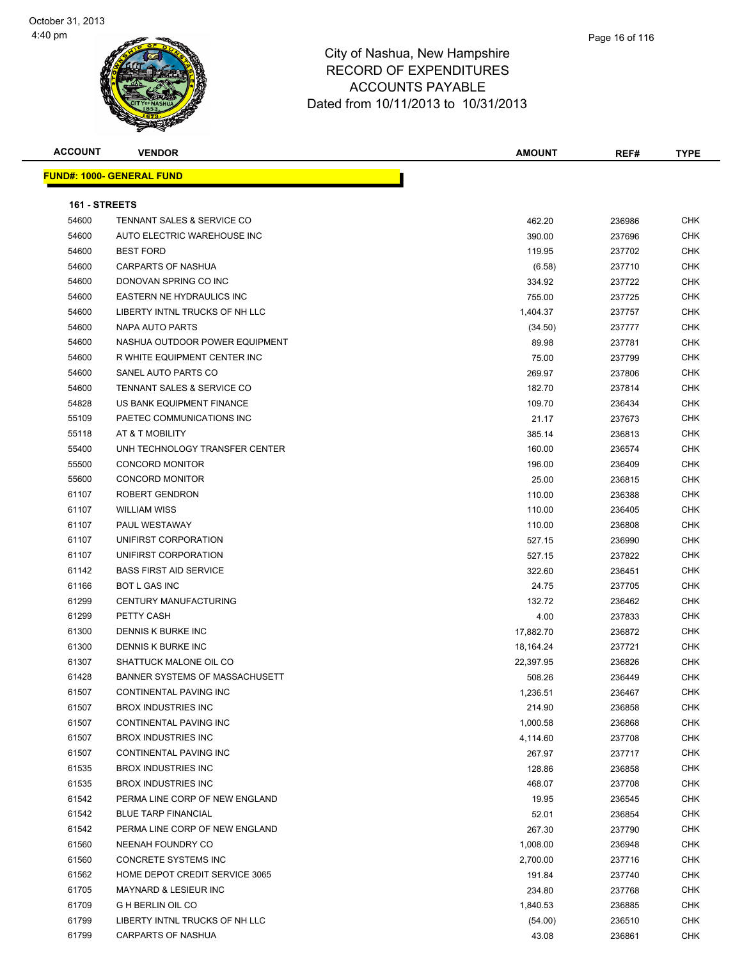

| <b>ACCOUNT</b> | <b>VENDOR</b>                         | <b>AMOUNT</b> | REF#   | <b>TYPE</b> |
|----------------|---------------------------------------|---------------|--------|-------------|
|                | <b>FUND#: 1000- GENERAL FUND</b>      |               |        |             |
|                |                                       |               |        |             |
| 161 - STREETS  |                                       |               |        |             |
| 54600          | TENNANT SALES & SERVICE CO            | 462.20        | 236986 | CHK         |
| 54600          | AUTO ELECTRIC WAREHOUSE INC           | 390.00        | 237696 | <b>CHK</b>  |
| 54600          | <b>BEST FORD</b>                      | 119.95        | 237702 | CHK         |
| 54600          | <b>CARPARTS OF NASHUA</b>             | (6.58)        | 237710 | CHK         |
| 54600          | DONOVAN SPRING CO INC                 | 334.92        | 237722 | CHK         |
| 54600          | <b>EASTERN NE HYDRAULICS INC</b>      | 755.00        | 237725 | CHK         |
| 54600          | LIBERTY INTNL TRUCKS OF NH LLC        | 1,404.37      | 237757 | CHK         |
| 54600          | NAPA AUTO PARTS                       | (34.50)       | 237777 | CHK         |
| 54600          | NASHUA OUTDOOR POWER EQUIPMENT        | 89.98         | 237781 | CHK         |
| 54600          | R WHITE EQUIPMENT CENTER INC          | 75.00         | 237799 | CHK         |
| 54600          | SANEL AUTO PARTS CO                   | 269.97        | 237806 | CHK         |
| 54600          | <b>TENNANT SALES &amp; SERVICE CO</b> | 182.70        | 237814 | <b>CHK</b>  |
| 54828          | US BANK EQUIPMENT FINANCE             | 109.70        | 236434 | CHK         |
| 55109          | PAETEC COMMUNICATIONS INC             | 21.17         | 237673 | CHK         |
| 55118          | AT & T MOBILITY                       | 385.14        | 236813 | CHK         |
| 55400          | UNH TECHNOLOGY TRANSFER CENTER        | 160.00        | 236574 | <b>CHK</b>  |
| 55500          | <b>CONCORD MONITOR</b>                | 196.00        | 236409 | <b>CHK</b>  |
| 55600          | <b>CONCORD MONITOR</b>                | 25.00         | 236815 | CHK         |
| 61107          | ROBERT GENDRON                        | 110.00        | 236388 | CHK         |
| 61107          | <b>WILLIAM WISS</b>                   | 110.00        | 236405 | CHK         |
| 61107          | PAUL WESTAWAY                         | 110.00        | 236808 | CHK         |
| 61107          | UNIFIRST CORPORATION                  | 527.15        | 236990 | <b>CHK</b>  |
| 61107          | UNIFIRST CORPORATION                  | 527.15        | 237822 | <b>CHK</b>  |
| 61142          | <b>BASS FIRST AID SERVICE</b>         | 322.60        | 236451 | <b>CHK</b>  |
| 61166          | <b>BOT L GAS INC</b>                  | 24.75         | 237705 | CHK         |
| 61299          | CENTURY MANUFACTURING                 | 132.72        | 236462 | CHK         |
| 61299          | PETTY CASH                            | 4.00          | 237833 | CHK         |
| 61300          | DENNIS K BURKE INC                    | 17,882.70     | 236872 | CHK         |
| 61300          | <b>DENNIS K BURKE INC</b>             | 18,164.24     | 237721 | CHK         |
| 61307          | SHATTUCK MALONE OIL CO                | 22,397.95     | 236826 | CHK         |
| 61428          | <b>BANNER SYSTEMS OF MASSACHUSETT</b> | 508.26        | 236449 | CHK         |
| 61507          | CONTINENTAL PAVING INC                | 1,236.51      | 236467 | CHK         |
| 61507          | <b>BROX INDUSTRIES INC</b>            | 214.90        | 236858 | CHK         |
| 61507          | CONTINENTAL PAVING INC                | 1,000.58      | 236868 | CHK         |
| 61507          | <b>BROX INDUSTRIES INC</b>            | 4,114.60      | 237708 | <b>CHK</b>  |
| 61507          | CONTINENTAL PAVING INC                | 267.97        | 237717 | CHK         |
| 61535          | <b>BROX INDUSTRIES INC</b>            | 128.86        | 236858 | CHK         |
| 61535          | <b>BROX INDUSTRIES INC</b>            | 468.07        | 237708 | CHK         |
| 61542          | PERMA LINE CORP OF NEW ENGLAND        | 19.95         | 236545 | CHK         |
| 61542          | <b>BLUE TARP FINANCIAL</b>            | 52.01         | 236854 | CHK         |
| 61542          | PERMA LINE CORP OF NEW ENGLAND        | 267.30        | 237790 | <b>CHK</b>  |
| 61560          | NEENAH FOUNDRY CO                     | 1,008.00      | 236948 | CHK         |
| 61560          | CONCRETE SYSTEMS INC                  | 2,700.00      | 237716 | CHK         |
| 61562          | HOME DEPOT CREDIT SERVICE 3065        | 191.84        | 237740 | CHK         |
| 61705          | MAYNARD & LESIEUR INC                 | 234.80        | 237768 | CHK         |
| 61709          | G H BERLIN OIL CO                     | 1,840.53      | 236885 | CHK         |
| 61799          | LIBERTY INTNL TRUCKS OF NH LLC        | (54.00)       | 236510 | CHK         |
| 61799          | CARPARTS OF NASHUA                    | 43.08         | 236861 | <b>CHK</b>  |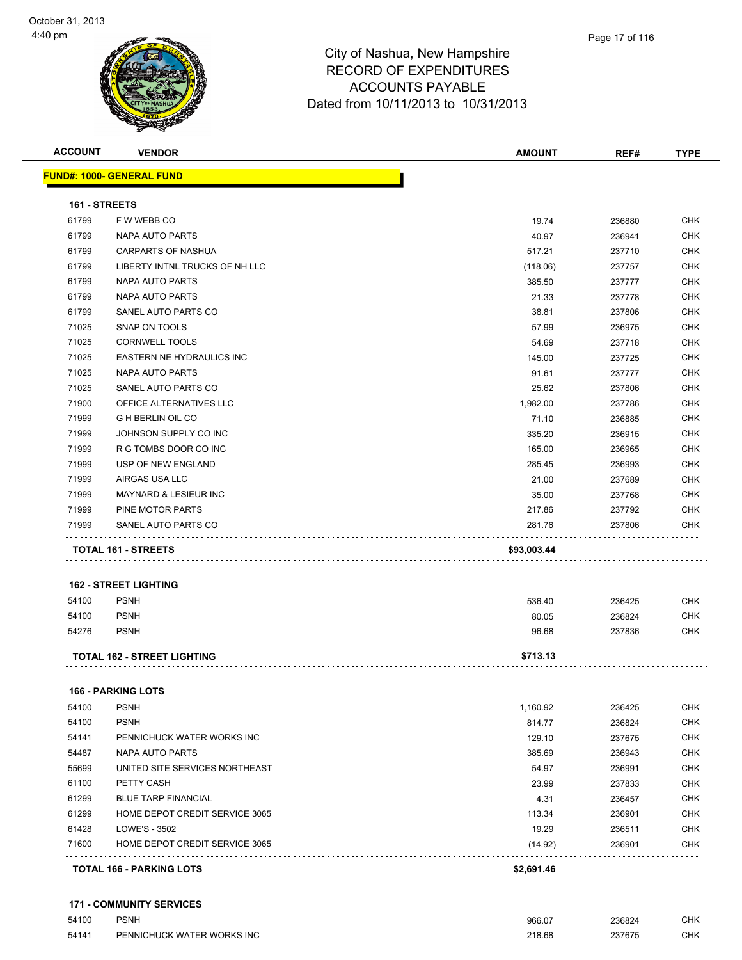

| <b>ACCOUNT</b> | <b>VENDOR</b>                      | <b>AMOUNT</b> | REF#   | <b>TYPE</b> |
|----------------|------------------------------------|---------------|--------|-------------|
|                | <u> FUND#: 1000- GENERAL FUND</u>  |               |        |             |
| 161 - STREETS  |                                    |               |        |             |
| 61799          | F W WEBB CO                        | 19.74         | 236880 | <b>CHK</b>  |
| 61799          | NAPA AUTO PARTS                    | 40.97         | 236941 | <b>CHK</b>  |
| 61799          | CARPARTS OF NASHUA                 | 517.21        | 237710 | <b>CHK</b>  |
| 61799          | LIBERTY INTNL TRUCKS OF NH LLC     | (118.06)      | 237757 | <b>CHK</b>  |
| 61799          | NAPA AUTO PARTS                    | 385.50        | 237777 | <b>CHK</b>  |
| 61799          | NAPA AUTO PARTS                    | 21.33         | 237778 | <b>CHK</b>  |
| 61799          | SANEL AUTO PARTS CO                | 38.81         | 237806 | <b>CHK</b>  |
| 71025          | SNAP ON TOOLS                      | 57.99         | 236975 | <b>CHK</b>  |
| 71025          | <b>CORNWELL TOOLS</b>              | 54.69         | 237718 | <b>CHK</b>  |
| 71025          | EASTERN NE HYDRAULICS INC          | 145.00        | 237725 | <b>CHK</b>  |
| 71025          | NAPA AUTO PARTS                    | 91.61         | 237777 | <b>CHK</b>  |
| 71025          | SANEL AUTO PARTS CO                | 25.62         | 237806 | <b>CHK</b>  |
| 71900          | OFFICE ALTERNATIVES LLC            | 1,982.00      | 237786 | <b>CHK</b>  |
| 71999          | <b>GHBERLIN OIL CO</b>             | 71.10         | 236885 | <b>CHK</b>  |
| 71999          | JOHNSON SUPPLY CO INC              | 335.20        | 236915 | <b>CHK</b>  |
| 71999          | R G TOMBS DOOR CO INC              | 165.00        | 236965 | <b>CHK</b>  |
| 71999          | USP OF NEW ENGLAND                 | 285.45        | 236993 | <b>CHK</b>  |
| 71999          | AIRGAS USA LLC                     | 21.00         | 237689 | <b>CHK</b>  |
| 71999          | <b>MAYNARD &amp; LESIEUR INC</b>   | 35.00         | 237768 | <b>CHK</b>  |
| 71999          | PINE MOTOR PARTS                   | 217.86        | 237792 | <b>CHK</b>  |
| 71999          | SANEL AUTO PARTS CO                | 281.76        | 237806 | CHK         |
|                | TOTAL 161 - STREETS                | \$93,003.44   |        |             |
|                |                                    |               |        |             |
|                | <b>162 - STREET LIGHTING</b>       |               |        |             |
| 54100          | <b>PSNH</b>                        | 536.40        | 236425 | <b>CHK</b>  |
| 54100          | <b>PSNH</b>                        | 80.05         | 236824 | <b>CHK</b>  |
| 54276          | <b>PSNH</b>                        | 96.68         | 237836 | CHK         |
|                | <b>TOTAL 162 - STREET LIGHTING</b> | \$713.13      |        |             |
|                | <b>166 - PARKING LOTS</b>          |               |        |             |
| 54100          | <b>PSNH</b>                        | 1,160.92      | 236425 | CHK         |
| 54100          | <b>PSNH</b>                        | 814.77        | 236824 | <b>CHK</b>  |
| 54141          | PENNICHUCK WATER WORKS INC         | 129.10        | 237675 | <b>CHK</b>  |
| 54487          | NAPA AUTO PARTS                    | 385.69        | 236943 | <b>CHK</b>  |
| 55699          | UNITED SITE SERVICES NORTHEAST     | 54.97         | 236991 | <b>CHK</b>  |
| 61100          | PETTY CASH                         | 23.99         | 237833 | <b>CHK</b>  |
| 61299          | <b>BLUE TARP FINANCIAL</b>         | 4.31          | 236457 | <b>CHK</b>  |
| 61299          | HOME DEPOT CREDIT SERVICE 3065     | 113.34        | 236901 | <b>CHK</b>  |
| 61428          | LOWE'S - 3502                      | 19.29         | 236511 | <b>CHK</b>  |
| 71600          | HOME DEPOT CREDIT SERVICE 3065     | (14.92)       | 236901 | <b>CHK</b>  |
|                |                                    |               |        |             |

#### **171 - COMMUNITY SERVICES**

| 54100 | <b>PSNH</b>                | 966.07 | 236824 | CHK |
|-------|----------------------------|--------|--------|-----|
| 54141 | PENNICHUCK WATER WORKS INC | 218.68 | 237675 | СНК |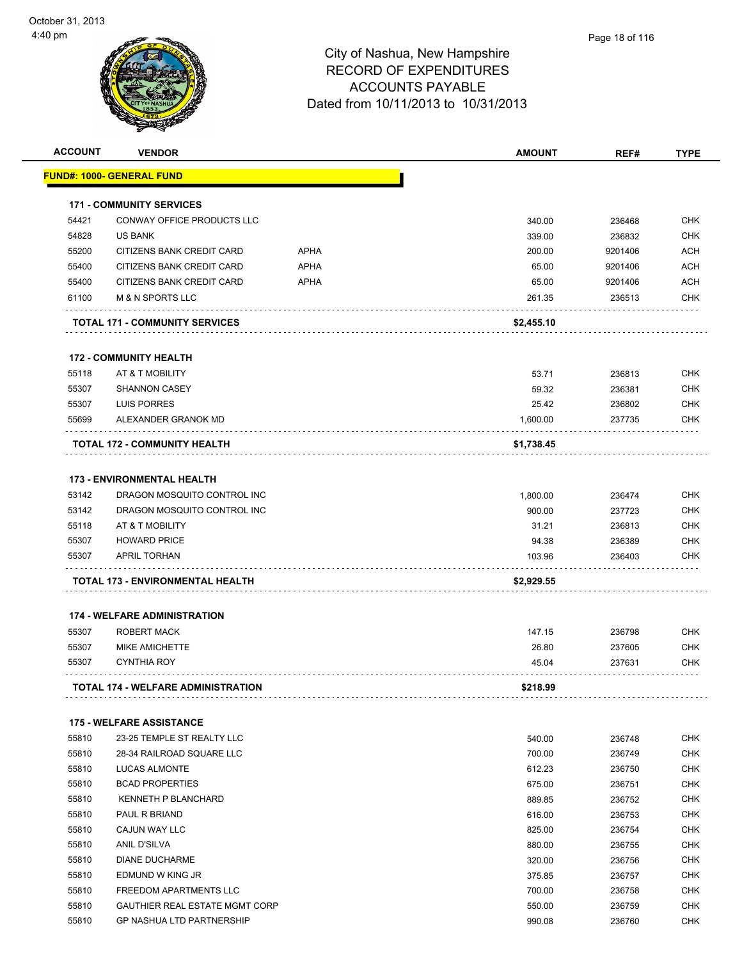| <b>ACCOUNT</b> | <b>VENDOR</b>                              |             | <b>AMOUNT</b> | REF#    | <b>TYPE</b> |
|----------------|--------------------------------------------|-------------|---------------|---------|-------------|
|                | <b>FUND#: 1000- GENERAL FUND</b>           |             |               |         |             |
|                | <b>171 - COMMUNITY SERVICES</b>            |             |               |         |             |
| 54421          | CONWAY OFFICE PRODUCTS LLC                 |             | 340.00        | 236468  | <b>CHK</b>  |
| 54828          | <b>US BANK</b>                             |             | 339.00        | 236832  | <b>CHK</b>  |
| 55200          | CITIZENS BANK CREDIT CARD                  | <b>APHA</b> | 200.00        | 9201406 | ACH         |
| 55400          | CITIZENS BANK CREDIT CARD                  | <b>APHA</b> | 65.00         | 9201406 | <b>ACH</b>  |
| 55400          | CITIZENS BANK CREDIT CARD                  | <b>APHA</b> | 65.00         | 9201406 | <b>ACH</b>  |
| 61100          | <b>M &amp; N SPORTS LLC</b>                |             | 261.35        | 236513  | <b>CHK</b>  |
|                | <b>TOTAL 171 - COMMUNITY SERVICES</b>      |             | \$2,455.10    |         |             |
|                | <b>172 - COMMUNITY HEALTH</b>              |             |               |         |             |
| 55118          | AT & T MOBILITY                            |             | 53.71         | 236813  | <b>CHK</b>  |
| 55307          | <b>SHANNON CASEY</b>                       |             | 59.32         | 236381  | <b>CHK</b>  |
| 55307          | LUIS PORRES                                |             | 25.42         | 236802  | CHK         |
| 55699          | ALEXANDER GRANOK MD                        |             | 1,600.00      | 237735  | <b>CHK</b>  |
|                | TOTAL 172 - COMMUNITY HEALTH               |             | \$1,738.45    |         |             |
|                |                                            |             |               |         |             |
|                | <b>173 - ENVIRONMENTAL HEALTH</b>          |             |               |         |             |
| 53142          | DRAGON MOSQUITO CONTROL INC                |             | 1,800.00      | 236474  | <b>CHK</b>  |
| 53142          | DRAGON MOSQUITO CONTROL INC                |             | 900.00        | 237723  | <b>CHK</b>  |
| 55118          | AT & T MOBILITY                            |             | 31.21         | 236813  | <b>CHK</b>  |
| 55307<br>55307 | <b>HOWARD PRICE</b><br><b>APRIL TORHAN</b> |             | 94.38         | 236389  | <b>CHK</b>  |
|                |                                            |             | 103.96        | 236403  | CHK         |
|                | TOTAL 173 - ENVIRONMENTAL HEALTH           |             | \$2,929.55    |         |             |
|                | <b>174 - WELFARE ADMINISTRATION</b>        |             |               |         |             |
| 55307          | <b>ROBERT MACK</b>                         |             | 147.15        | 236798  | <b>CHK</b>  |
| 55307          | <b>MIKE AMICHETTE</b>                      |             | 26.80         | 237605  | CHK         |
| 55307          | <b>CYNTHIA ROY</b>                         |             | 45.04         | 237631  | CHK         |
|                | TOTAL 174 - WELFARE ADMINISTRATION         |             | \$218.99      |         |             |
|                | <b>175 - WELFARE ASSISTANCE</b>            |             |               |         |             |
| 55810          | 23-25 TEMPLE ST REALTY LLC                 |             | 540.00        | 236748  | <b>CHK</b>  |
| 55810          | 28-34 RAILROAD SQUARE LLC                  |             | 700.00        | 236749  | <b>CHK</b>  |
| 55810          | <b>LUCAS ALMONTE</b>                       |             | 612.23        | 236750  | CHK         |
| 55810          | <b>BCAD PROPERTIES</b>                     |             | 675.00        | 236751  | <b>CHK</b>  |
| 55810          | <b>KENNETH P BLANCHARD</b>                 |             | 889.85        | 236752  | <b>CHK</b>  |
| 55810          | PAUL R BRIAND                              |             | 616.00        | 236753  | <b>CHK</b>  |
| 55810          | CAJUN WAY LLC                              |             | 825.00        | 236754  | <b>CHK</b>  |
| 55810          | ANIL D'SILVA                               |             | 880.00        | 236755  | <b>CHK</b>  |
| 55810          | <b>DIANE DUCHARME</b>                      |             | 320.00        | 236756  | <b>CHK</b>  |
| 55810          | EDMUND W KING JR                           |             | 375.85        | 236757  | <b>CHK</b>  |
| 55810          | FREEDOM APARTMENTS LLC                     |             | 700.00        | 236758  | <b>CHK</b>  |
| 55810          | <b>GAUTHIER REAL ESTATE MGMT CORP</b>      |             | 550.00        | 236759  | CHK         |
| 55810          | GP NASHUA LTD PARTNERSHIP                  |             | 990.08        | 236760  | <b>CHK</b>  |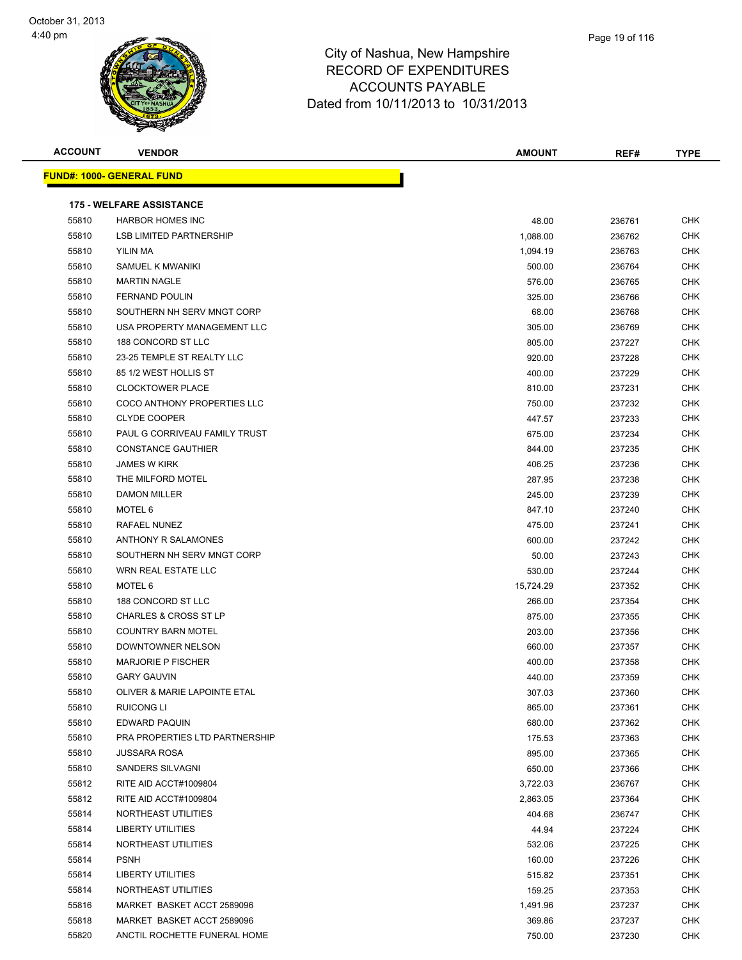



|      | Page 19 of 116 |
|------|----------------|
| hire |                |
| ES   |                |

| <b>ACCOUNT</b> | <b>VENDOR</b>                    | <b>AMOUNT</b> | REF#   | <b>TYPE</b> |
|----------------|----------------------------------|---------------|--------|-------------|
|                | <b>FUND#: 1000- GENERAL FUND</b> |               |        |             |
|                | <b>175 - WELFARE ASSISTANCE</b>  |               |        |             |
| 55810          | <b>HARBOR HOMES INC</b>          | 48.00         | 236761 | <b>CHK</b>  |
| 55810          | <b>LSB LIMITED PARTNERSHIP</b>   | 1,088.00      | 236762 | <b>CHK</b>  |
| 55810          | YILIN MA                         | 1,094.19      | 236763 | <b>CHK</b>  |
| 55810          | SAMUEL K MWANIKI                 | 500.00        | 236764 | CHK         |
| 55810          | <b>MARTIN NAGLE</b>              | 576.00        | 236765 | CHK         |
| 55810          | <b>FERNAND POULIN</b>            | 325.00        | 236766 | CHK         |
| 55810          | SOUTHERN NH SERV MNGT CORP       | 68.00         | 236768 | <b>CHK</b>  |
| 55810          | USA PROPERTY MANAGEMENT LLC      | 305.00        | 236769 | CHK         |
| 55810          | 188 CONCORD ST LLC               | 805.00        | 237227 | <b>CHK</b>  |
| 55810          | 23-25 TEMPLE ST REALTY LLC       | 920.00        | 237228 | <b>CHK</b>  |
| 55810          | 85 1/2 WEST HOLLIS ST            | 400.00        | 237229 | <b>CHK</b>  |
| 55810          | <b>CLOCKTOWER PLACE</b>          | 810.00        | 237231 | CHK         |
| 55810          | COCO ANTHONY PROPERTIES LLC      | 750.00        | 237232 | <b>CHK</b>  |
| 55810          | <b>CLYDE COOPER</b>              | 447.57        | 237233 | <b>CHK</b>  |
| 55810          | PAUL G CORRIVEAU FAMILY TRUST    | 675.00        | 237234 | <b>CHK</b>  |
| 55810          | <b>CONSTANCE GAUTHIER</b>        | 844.00        | 237235 | CHK         |
| 55810          | <b>JAMES W KIRK</b>              | 406.25        | 237236 | CHK         |
| 55810          | THE MILFORD MOTEL                | 287.95        | 237238 | <b>CHK</b>  |
| 55810          | <b>DAMON MILLER</b>              | 245.00        | 237239 | CHK         |
| 55810          | MOTEL 6                          | 847.10        | 237240 | <b>CHK</b>  |
| 55810          | RAFAEL NUNEZ                     | 475.00        | 237241 | CHK         |
| 55810          | ANTHONY R SALAMONES              | 600.00        | 237242 | CHK         |
| 55810          | SOUTHERN NH SERV MNGT CORP       | 50.00         | 237243 | CHK         |
| 55810          | <b>WRN REAL ESTATE LLC</b>       | 530.00        | 237244 | CHK         |
| 55810          | MOTEL 6                          | 15,724.29     | 237352 | CHK         |
| 55810          | 188 CONCORD ST LLC               | 266.00        | 237354 | <b>CHK</b>  |
| 55810          | <b>CHARLES &amp; CROSS ST LP</b> | 875.00        | 237355 | CHK         |
| 55810          | <b>COUNTRY BARN MOTEL</b>        | 203.00        | 237356 | CHK         |
| 55810          | DOWNTOWNER NELSON                | 660.00        | 237357 | <b>CHK</b>  |
| 55810          | <b>MARJORIE P FISCHER</b>        | 400.00        | 237358 | <b>CHK</b>  |
| 55810          | <b>GARY GAUVIN</b>               | 440.00        | 237359 | <b>CHK</b>  |
| 55810          | OLIVER & MARIE LAPOINTE ETAL     | 307.03        | 237360 | <b>CHK</b>  |
| 55810          | RUICONG LI                       | 865.00        | 237361 | <b>CHK</b>  |
| 55810          | EDWARD PAQUIN                    | 680.00        | 237362 | CHK         |
| 55810          | PRA PROPERTIES LTD PARTNERSHIP   | 175.53        | 237363 | CHK         |
| 55810          | <b>JUSSARA ROSA</b>              | 895.00        | 237365 | CHK         |
| 55810          | SANDERS SILVAGNI                 | 650.00        | 237366 | <b>CHK</b>  |
| 55812          | RITE AID ACCT#1009804            | 3,722.03      | 236767 | CHK         |
| 55812          | RITE AID ACCT#1009804            | 2,863.05      | 237364 | <b>CHK</b>  |
| 55814          | NORTHEAST UTILITIES              | 404.68        | 236747 | <b>CHK</b>  |
| 55814          | <b>LIBERTY UTILITIES</b>         | 44.94         | 237224 | CHK         |
| 55814          | NORTHEAST UTILITIES              | 532.06        | 237225 | <b>CHK</b>  |
| 55814          | <b>PSNH</b>                      | 160.00        | 237226 | <b>CHK</b>  |
| 55814          | <b>LIBERTY UTILITIES</b>         | 515.82        | 237351 | <b>CHK</b>  |
| 55814          | NORTHEAST UTILITIES              | 159.25        | 237353 | <b>CHK</b>  |
| 55816          | MARKET BASKET ACCT 2589096       | 1,491.96      | 237237 | CHK         |
| 55818          | MARKET BASKET ACCT 2589096       | 369.86        | 237237 | CHK         |
| 55820          | ANCTIL ROCHETTE FUNERAL HOME     | 750.00        | 237230 | <b>CHK</b>  |
|                |                                  |               |        |             |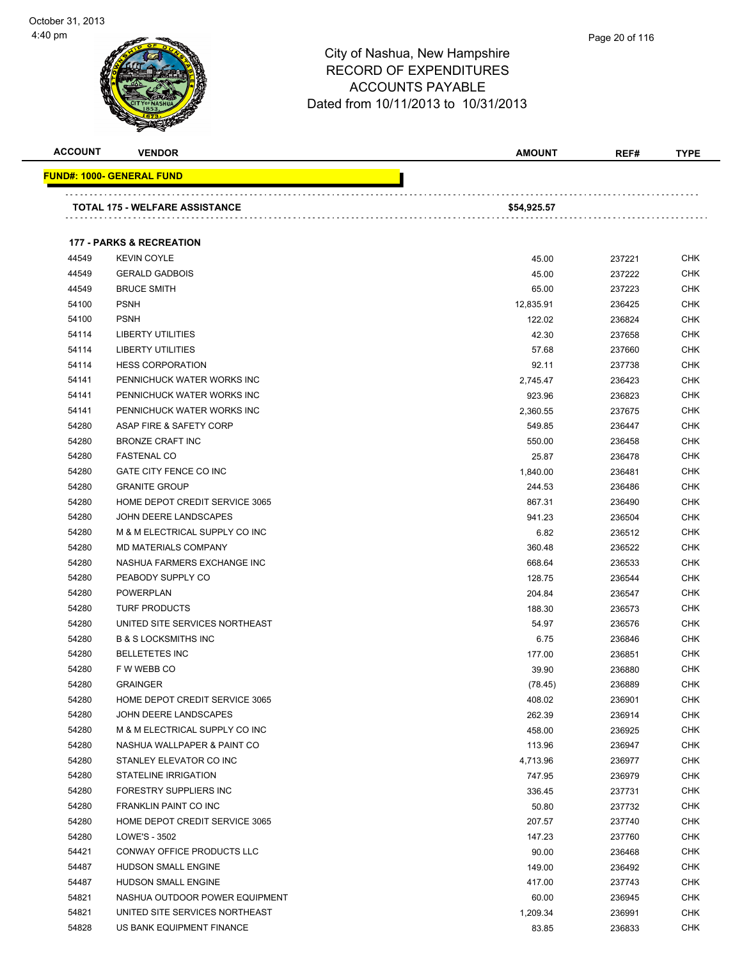

Page 20 of 116

| <b>ACCOUNT</b> | <b>VENDOR</b>                       | <b>AMOUNT</b> | REF#   | <b>TYPE</b> |
|----------------|-------------------------------------|---------------|--------|-------------|
|                | <u> FUND#: 1000- GENERAL FUND</u>   |               |        |             |
|                | TOTAL 175 - WELFARE ASSISTANCE      | \$54,925.57   |        |             |
|                | <b>177 - PARKS &amp; RECREATION</b> |               |        |             |
| 44549          | <b>KEVIN COYLE</b>                  | 45.00         | 237221 | CHK         |
| 44549          | <b>GERALD GADBOIS</b>               | 45.00         | 237222 | <b>CHK</b>  |
| 44549          | <b>BRUCE SMITH</b>                  | 65.00         | 237223 | <b>CHK</b>  |
| 54100          | <b>PSNH</b>                         | 12,835.91     | 236425 | CHK         |
| 54100          | <b>PSNH</b>                         | 122.02        | 236824 | CHK         |
| 54114          | <b>LIBERTY UTILITIES</b>            | 42.30         | 237658 | CHK         |
| 54114          | <b>LIBERTY UTILITIES</b>            | 57.68         | 237660 | CHK         |
| 54114          | <b>HESS CORPORATION</b>             | 92.11         | 237738 | <b>CHK</b>  |
| 54141          | PENNICHUCK WATER WORKS INC          | 2,745.47      | 236423 | CHK         |
| 54141          | PENNICHUCK WATER WORKS INC          | 923.96        | 236823 | CHK         |
| 54141          | PENNICHUCK WATER WORKS INC          | 2,360.55      | 237675 | CHK         |
| 54280          | ASAP FIRE & SAFETY CORP             | 549.85        | 236447 | CHK         |
| 54280          | <b>BRONZE CRAFT INC</b>             | 550.00        | 236458 | <b>CHK</b>  |
| 54280          | <b>FASTENAL CO</b>                  | 25.87         | 236478 | <b>CHK</b>  |
| 54280          | GATE CITY FENCE CO INC              | 1,840.00      | 236481 | CHK         |
| 54280          | <b>GRANITE GROUP</b>                | 244.53        | 236486 | <b>CHK</b>  |
| 54280          | HOME DEPOT CREDIT SERVICE 3065      | 867.31        | 236490 | CHK         |
| 54280          | JOHN DEERE LANDSCAPES               | 941.23        | 236504 | <b>CHK</b>  |
| 54280          | M & M ELECTRICAL SUPPLY CO INC      | 6.82          | 236512 | <b>CHK</b>  |
| 54280          | <b>MD MATERIALS COMPANY</b>         | 360.48        | 236522 | CHK         |
| 54280          | NASHUA FARMERS EXCHANGE INC         | 668.64        | 236533 | CHK         |
| 54280          | PEABODY SUPPLY CO                   | 128.75        | 236544 | CHK         |
| 54280          | <b>POWERPLAN</b>                    | 204.84        | 236547 | CHK         |
| 54280          | <b>TURF PRODUCTS</b>                | 188.30        | 236573 | <b>CHK</b>  |
| 54280          | UNITED SITE SERVICES NORTHEAST      | 54.97         | 236576 | CHK         |
| 54280          | <b>B &amp; S LOCKSMITHS INC</b>     | 6.75          | 236846 | CHK         |
| 54280          | <b>BELLETETES INC</b>               | 177.00        | 236851 | CHK         |
| 54280          | F W WEBB CO                         | 39.90         | 236880 | CHK         |
| 54280          | <b>GRAINGER</b>                     | (78.45)       | 236889 | <b>CHK</b>  |
| 54280          | HOME DEPOT CREDIT SERVICE 3065      | 408.02        | 236901 | <b>CHK</b>  |
| 54280          | JOHN DEERE LANDSCAPES               | 262.39        | 236914 | CHK         |
| 54280          | M & M ELECTRICAL SUPPLY CO INC      | 458.00        | 236925 | <b>CHK</b>  |
| 54280          | NASHUA WALLPAPER & PAINT CO         | 113.96        | 236947 | <b>CHK</b>  |
| 54280          | STANLEY ELEVATOR CO INC             | 4,713.96      | 236977 | <b>CHK</b>  |
| 54280          | STATELINE IRRIGATION                | 747.95        | 236979 | <b>CHK</b>  |
| 54280          | <b>FORESTRY SUPPLIERS INC</b>       | 336.45        | 237731 | <b>CHK</b>  |
| 54280          | FRANKLIN PAINT CO INC               | 50.80         | 237732 | <b>CHK</b>  |
| 54280          | HOME DEPOT CREDIT SERVICE 3065      | 207.57        | 237740 | <b>CHK</b>  |
| 54280          | LOWE'S - 3502                       | 147.23        | 237760 | <b>CHK</b>  |
| 54421          | CONWAY OFFICE PRODUCTS LLC          | 90.00         | 236468 | <b>CHK</b>  |
| 54487          | HUDSON SMALL ENGINE                 | 149.00        | 236492 | CHK         |
| 54487          | HUDSON SMALL ENGINE                 | 417.00        | 237743 | CHK         |
| 54821          | NASHUA OUTDOOR POWER EQUIPMENT      | 60.00         | 236945 | CHK         |
| 54821          | UNITED SITE SERVICES NORTHEAST      | 1,209.34      | 236991 | <b>CHK</b>  |
| 54828          | US BANK EQUIPMENT FINANCE           | 83.85         | 236833 | <b>CHK</b>  |
|                |                                     |               |        |             |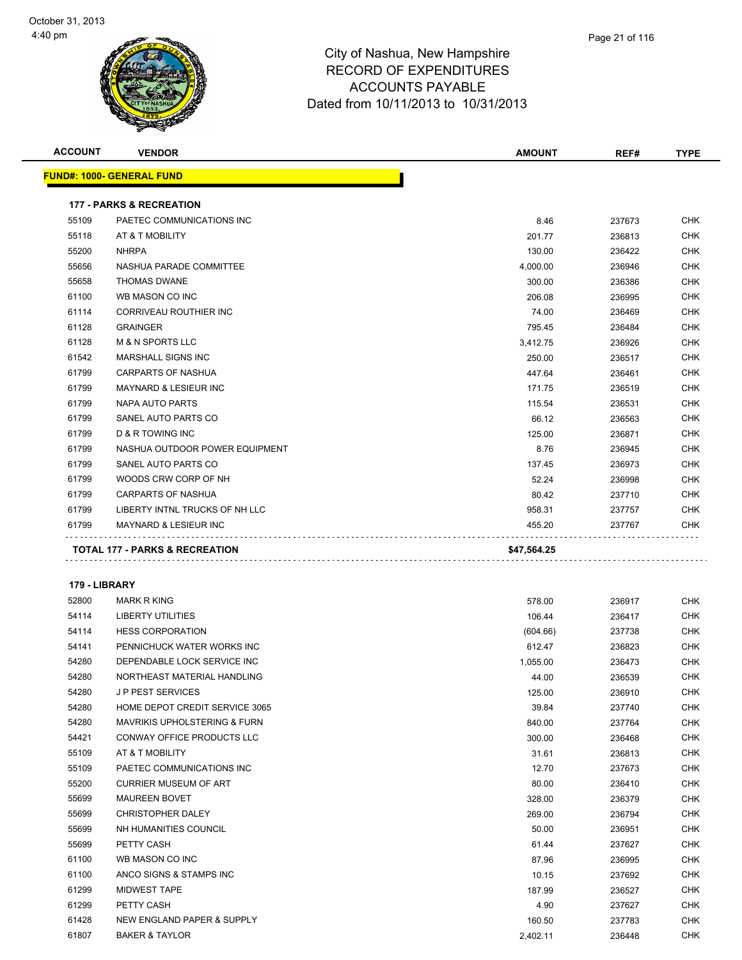| <b>ACCOUNT</b> | <b>VENDOR</b>                             | <b>AMOUNT</b> | REF#   | <b>TYPE</b> |
|----------------|-------------------------------------------|---------------|--------|-------------|
|                | <b>FUND#: 1000- GENERAL FUND</b>          |               |        |             |
|                | <b>177 - PARKS &amp; RECREATION</b>       |               |        |             |
| 55109          | PAETEC COMMUNICATIONS INC                 | 8.46          | 237673 | <b>CHK</b>  |
| 55118          | AT & T MOBILITY                           | 201.77        | 236813 | <b>CHK</b>  |
| 55200          | <b>NHRPA</b>                              | 130.00        | 236422 | <b>CHK</b>  |
| 55656          | NASHUA PARADE COMMITTEE                   | 4,000.00      | 236946 | <b>CHK</b>  |
| 55658          | <b>THOMAS DWANE</b>                       | 300.00        | 236386 | <b>CHK</b>  |
| 61100          | WB MASON CO INC                           | 206.08        | 236995 | <b>CHK</b>  |
| 61114          | CORRIVEAU ROUTHIER INC                    | 74.00         | 236469 | <b>CHK</b>  |
| 61128          | <b>GRAINGER</b>                           | 795.45        | 236484 | <b>CHK</b>  |
| 61128          | <b>M &amp; N SPORTS LLC</b>               | 3,412.75      | 236926 | <b>CHK</b>  |
| 61542          | <b>MARSHALL SIGNS INC</b>                 | 250.00        | 236517 | <b>CHK</b>  |
| 61799          | <b>CARPARTS OF NASHUA</b>                 | 447.64        | 236461 | <b>CHK</b>  |
| 61799          | <b>MAYNARD &amp; LESIEUR INC</b>          | 171.75        | 236519 | <b>CHK</b>  |
| 61799          | NAPA AUTO PARTS                           | 115.54        | 236531 | <b>CHK</b>  |
| 61799          | SANEL AUTO PARTS CO                       | 66.12         | 236563 | <b>CHK</b>  |
| 61799          | <b>D &amp; R TOWING INC</b>               | 125.00        | 236871 | <b>CHK</b>  |
| 61799          | NASHUA OUTDOOR POWER EQUIPMENT            | 8.76          | 236945 | <b>CHK</b>  |
| 61799          | SANEL AUTO PARTS CO                       | 137.45        | 236973 | <b>CHK</b>  |
| 61799          | WOODS CRW CORP OF NH                      | 52.24         | 236998 | <b>CHK</b>  |
| 61799          | <b>CARPARTS OF NASHUA</b>                 | 80.42         | 237710 | <b>CHK</b>  |
| 61799          | LIBERTY INTNL TRUCKS OF NH LLC            | 958.31        | 237757 | <b>CHK</b>  |
| 61799          | <b>MAYNARD &amp; LESIEUR INC</b>          | 455.20        | 237767 | <b>CHK</b>  |
|                | <b>TOTAL 177 - PARKS &amp; RECREATION</b> | \$47,564.25   |        |             |
|                |                                           |               |        |             |

| 179 - LIBRARY |  |
|---------------|--|
|               |  |

| 52800 | <b>MARK R KING</b>                      | 578.00   | 236917 | <b>CHK</b> |
|-------|-----------------------------------------|----------|--------|------------|
| 54114 | <b>LIBERTY UTILITIES</b>                | 106.44   | 236417 | <b>CHK</b> |
| 54114 | <b>HESS CORPORATION</b>                 | (604.66) | 237738 | <b>CHK</b> |
| 54141 | PENNICHUCK WATER WORKS INC              | 612.47   | 236823 | <b>CHK</b> |
| 54280 | DEPENDABLE LOCK SERVICE INC             | 1,055.00 | 236473 | <b>CHK</b> |
| 54280 | NORTHEAST MATERIAL HANDLING             | 44.00    | 236539 | <b>CHK</b> |
| 54280 | <b>JP PEST SERVICES</b>                 | 125.00   | 236910 | <b>CHK</b> |
| 54280 | HOME DEPOT CREDIT SERVICE 3065          | 39.84    | 237740 | <b>CHK</b> |
| 54280 | <b>MAVRIKIS UPHOLSTERING &amp; FURN</b> | 840.00   | 237764 | <b>CHK</b> |
| 54421 | <b>CONWAY OFFICE PRODUCTS LLC</b>       | 300.00   | 236468 | <b>CHK</b> |
| 55109 | AT & T MOBILITY                         | 31.61    | 236813 | <b>CHK</b> |
| 55109 | PAETEC COMMUNICATIONS INC               | 12.70    | 237673 | <b>CHK</b> |
| 55200 | <b>CURRIER MUSEUM OF ART</b>            | 80.00    | 236410 | <b>CHK</b> |
| 55699 | <b>MAUREEN BOVET</b>                    | 328.00   | 236379 | <b>CHK</b> |
| 55699 | <b>CHRISTOPHER DALEY</b>                | 269.00   | 236794 | <b>CHK</b> |
| 55699 | NH HUMANITIES COUNCIL                   | 50.00    | 236951 | <b>CHK</b> |
| 55699 | PETTY CASH                              | 61.44    | 237627 | <b>CHK</b> |
| 61100 | WB MASON CO INC                         | 87.96    | 236995 | <b>CHK</b> |
| 61100 | ANCO SIGNS & STAMPS INC                 | 10.15    | 237692 | <b>CHK</b> |
| 61299 | <b>MIDWEST TAPE</b>                     | 187.99   | 236527 | <b>CHK</b> |
| 61299 | PETTY CASH                              | 4.90     | 237627 | <b>CHK</b> |
| 61428 | NEW ENGLAND PAPER & SUPPLY              | 160.50   | 237783 | <b>CHK</b> |
| 61807 | <b>BAKER &amp; TAYLOR</b>               | 2,402.11 | 236448 | <b>CHK</b> |
|       |                                         |          |        |            |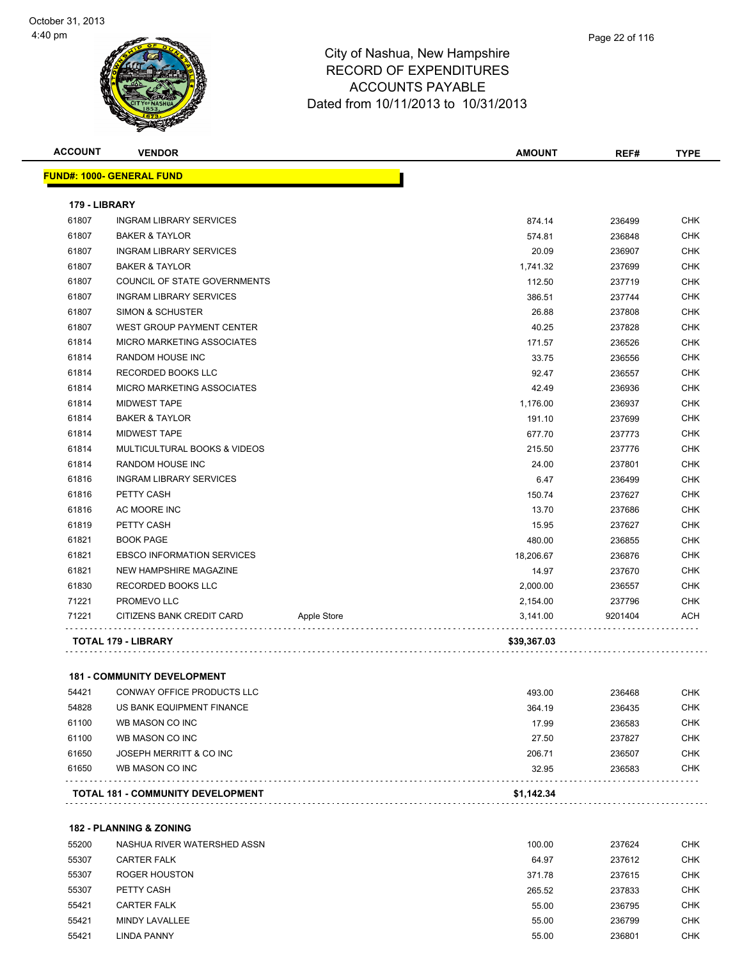

|   | Page 22 of 116 |
|---|----------------|
| е |                |

|               | <b>FUND#: 1000- GENERAL FUND</b>   |             |             |         |            |
|---------------|------------------------------------|-------------|-------------|---------|------------|
|               |                                    |             |             |         |            |
| 179 - LIBRARY |                                    |             |             |         |            |
| 61807         | <b>INGRAM LIBRARY SERVICES</b>     |             | 874.14      | 236499  | <b>CHK</b> |
| 61807         | <b>BAKER &amp; TAYLOR</b>          |             | 574.81      | 236848  | <b>CHK</b> |
| 61807         | <b>INGRAM LIBRARY SERVICES</b>     |             | 20.09       | 236907  | <b>CHK</b> |
| 61807         | <b>BAKER &amp; TAYLOR</b>          |             | 1,741.32    | 237699  | <b>CHK</b> |
| 61807         | COUNCIL OF STATE GOVERNMENTS       |             | 112.50      | 237719  | <b>CHK</b> |
| 61807         | <b>INGRAM LIBRARY SERVICES</b>     |             | 386.51      | 237744  | CHK        |
| 61807         | <b>SIMON &amp; SCHUSTER</b>        |             | 26.88       | 237808  | <b>CHK</b> |
| 61807         | WEST GROUP PAYMENT CENTER          |             | 40.25       | 237828  | <b>CHK</b> |
| 61814         | <b>MICRO MARKETING ASSOCIATES</b>  |             | 171.57      | 236526  | <b>CHK</b> |
| 61814         | RANDOM HOUSE INC                   |             | 33.75       | 236556  | <b>CHK</b> |
| 61814         | RECORDED BOOKS LLC                 |             | 92.47       | 236557  | <b>CHK</b> |
| 61814         | MICRO MARKETING ASSOCIATES         |             | 42.49       | 236936  | <b>CHK</b> |
| 61814         | <b>MIDWEST TAPE</b>                |             | 1,176.00    | 236937  | <b>CHK</b> |
| 61814         | <b>BAKER &amp; TAYLOR</b>          |             | 191.10      | 237699  | <b>CHK</b> |
| 61814         | <b>MIDWEST TAPE</b>                |             | 677.70      | 237773  | <b>CHK</b> |
| 61814         | MULTICULTURAL BOOKS & VIDEOS       |             | 215.50      | 237776  | <b>CHK</b> |
| 61814         | RANDOM HOUSE INC                   |             | 24.00       | 237801  | <b>CHK</b> |
| 61816         | <b>INGRAM LIBRARY SERVICES</b>     |             | 6.47        | 236499  | <b>CHK</b> |
| 61816         | PETTY CASH                         |             | 150.74      | 237627  | <b>CHK</b> |
| 61816         | AC MOORE INC                       |             | 13.70       | 237686  | <b>CHK</b> |
| 61819         | PETTY CASH                         |             | 15.95       | 237627  | <b>CHK</b> |
| 61821         | <b>BOOK PAGE</b>                   |             | 480.00      | 236855  | <b>CHK</b> |
| 61821         | <b>EBSCO INFORMATION SERVICES</b>  |             | 18,206.67   | 236876  | <b>CHK</b> |
| 61821         | NEW HAMPSHIRE MAGAZINE             |             | 14.97       | 237670  | <b>CHK</b> |
| 61830         | RECORDED BOOKS LLC                 |             | 2,000.00    | 236557  | <b>CHK</b> |
| 71221         | PROMEVO LLC                        |             | 2,154.00    | 237796  | <b>CHK</b> |
| 71221         | CITIZENS BANK CREDIT CARD          | Apple Store | 3,141.00    | 9201404 | ACH        |
|               | TOTAL 179 - LIBRARY                |             | \$39,367.03 |         |            |
|               |                                    |             |             |         |            |
|               | <b>181 - COMMUNITY DEVELOPMENT</b> |             |             |         |            |

|       | <b>TOTAL 181 - COMMUNITY DEVELOPMENT</b> | \$1.142.34 |        |            |
|-------|------------------------------------------|------------|--------|------------|
| 61650 | WB MASON CO INC                          | 32.95      | 236583 | <b>CHK</b> |
| 61650 | JOSEPH MERRITT & CO INC                  | 206.71     | 236507 | <b>CHK</b> |
| 61100 | WB MASON CO INC                          | 27.50      | 237827 | <b>CHK</b> |
| 61100 | WB MASON CO INC                          | 17.99      | 236583 | <b>CHK</b> |
| 54828 | US BANK EQUIPMENT FINANCE                | 364.19     | 236435 | <b>CHK</b> |
| 54421 | CONWAY OFFICE PRODUCTS LLC               | 493.00     | 236468 | <b>CHK</b> |

**182 - PLANNING & ZONING**

| 55200 | NASHUA RIVER WATERSHED ASSN | 100.00 | 237624 | <b>CHK</b> |
|-------|-----------------------------|--------|--------|------------|
| 55307 | <b>CARTER FALK</b>          | 64.97  | 237612 | <b>CHK</b> |
| 55307 | ROGER HOUSTON               | 371.78 | 237615 | <b>CHK</b> |
| 55307 | PETTY CASH                  | 265.52 | 237833 | <b>CHK</b> |
| 55421 | <b>CARTER FALK</b>          | 55.00  | 236795 | <b>CHK</b> |
| 55421 | MINDY LAVALLEE              | 55.00  | 236799 | <b>CHK</b> |
| 55421 | <b>LINDA PANNY</b>          | 55.00  | 236801 | <b>CHK</b> |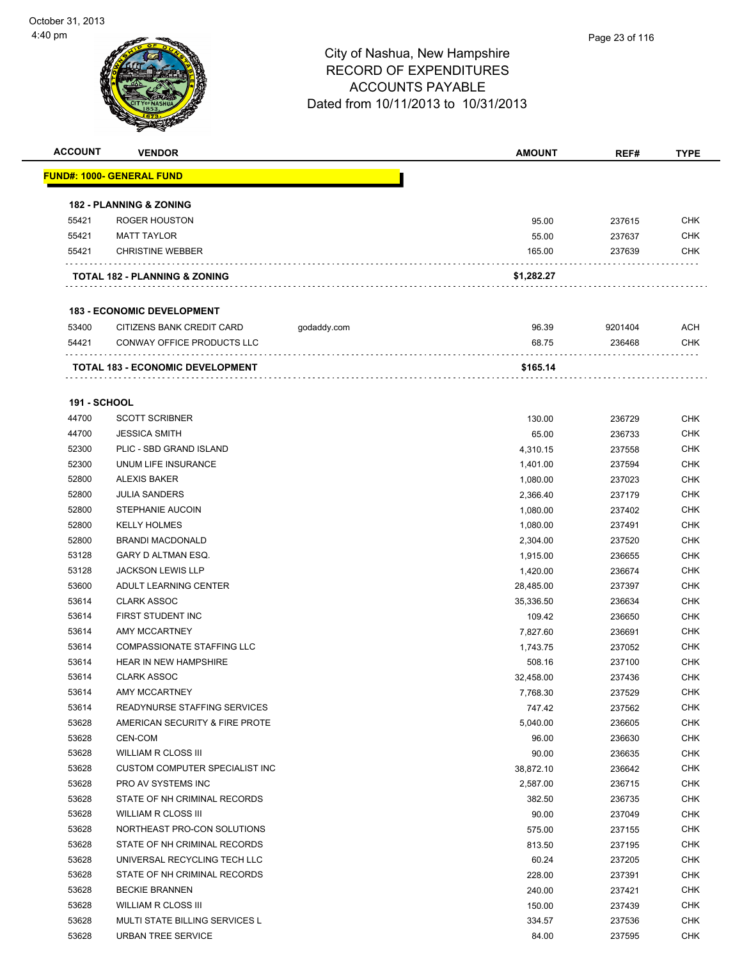

| <b>ACCOUNT</b>      | <b>VENDOR</b>                            |             | <b>AMOUNT</b> | REF#    | <b>TYPE</b> |
|---------------------|------------------------------------------|-------------|---------------|---------|-------------|
|                     | <b>FUND#: 1000- GENERAL FUND</b>         |             |               |         |             |
|                     | <b>182 - PLANNING &amp; ZONING</b>       |             |               |         |             |
| 55421               | ROGER HOUSTON                            |             | 95.00         | 237615  | <b>CHK</b>  |
| 55421               | <b>MATT TAYLOR</b>                       |             | 55.00         | 237637  | <b>CHK</b>  |
| 55421               | <b>CHRISTINE WEBBER</b>                  |             | 165.00        | 237639  | CHK         |
|                     | <b>TOTAL 182 - PLANNING &amp; ZONING</b> |             | \$1,282.27    |         |             |
|                     | <b>183 - ECONOMIC DEVELOPMENT</b>        |             |               |         |             |
| 53400               | CITIZENS BANK CREDIT CARD                | godaddy.com | 96.39         | 9201404 | <b>ACH</b>  |
| 54421               | CONWAY OFFICE PRODUCTS LLC               |             | 68.75         | 236468  | <b>CHK</b>  |
|                     |                                          |             |               |         |             |
|                     | <b>TOTAL 183 - ECONOMIC DEVELOPMENT</b>  |             | \$165.14      |         |             |
| <b>191 - SCHOOL</b> |                                          |             |               |         |             |
| 44700               | <b>SCOTT SCRIBNER</b>                    |             | 130.00        | 236729  | CHK         |
| 44700               | <b>JESSICA SMITH</b>                     |             | 65.00         | 236733  | <b>CHK</b>  |
| 52300               | PLIC - SBD GRAND ISLAND                  |             | 4,310.15      | 237558  | <b>CHK</b>  |
| 52300               | UNUM LIFE INSURANCE                      |             | 1,401.00      | 237594  | CHK         |
| 52800               | <b>ALEXIS BAKER</b>                      |             | 1,080.00      | 237023  | <b>CHK</b>  |
| 52800               | <b>JULIA SANDERS</b>                     |             | 2,366.40      | 237179  | <b>CHK</b>  |
| 52800               | STEPHANIE AUCOIN                         |             | 1,080.00      | 237402  | <b>CHK</b>  |
| 52800               | <b>KELLY HOLMES</b>                      |             | 1,080.00      | 237491  | <b>CHK</b>  |
| 52800               | <b>BRANDI MACDONALD</b>                  |             | 2,304.00      | 237520  | <b>CHK</b>  |
| 53128               | GARY D ALTMAN ESQ.                       |             | 1,915.00      | 236655  | <b>CHK</b>  |
| 53128               | <b>JACKSON LEWIS LLP</b>                 |             | 1,420.00      | 236674  | <b>CHK</b>  |
| 53600               | ADULT LEARNING CENTER                    |             | 28,485.00     | 237397  | <b>CHK</b>  |
| 53614               | <b>CLARK ASSOC</b>                       |             | 35,336.50     | 236634  | <b>CHK</b>  |
| 53614               | FIRST STUDENT INC                        |             | 109.42        | 236650  | <b>CHK</b>  |
| 53614               | AMY MCCARTNEY                            |             | 7,827.60      | 236691  | <b>CHK</b>  |
| 53614               | <b>COMPASSIONATE STAFFING LLC</b>        |             | 1,743.75      | 237052  | <b>CHK</b>  |
| 53614               | <b>HEAR IN NEW HAMPSHIRE</b>             |             | 508.16        | 237100  | <b>CHK</b>  |
| 53614               | <b>CLARK ASSOC</b>                       |             | 32,458.00     | 237436  | <b>CHK</b>  |
| 53614               | AMY MCCARTNEY                            |             | 7,768.30      | 237529  | <b>CHK</b>  |
| 53614               | READYNURSE STAFFING SERVICES             |             | 747.42        | 237562  | CHK         |
| 53628               | AMERICAN SECURITY & FIRE PROTE           |             | 5,040.00      | 236605  | <b>CHK</b>  |
| 53628               | CEN-COM                                  |             | 96.00         | 236630  | <b>CHK</b>  |
| 53628               | WILLIAM R CLOSS III                      |             | 90.00         | 236635  | <b>CHK</b>  |
| 53628               | CUSTOM COMPUTER SPECIALIST INC           |             | 38,872.10     | 236642  | <b>CHK</b>  |
| 53628               | PRO AV SYSTEMS INC                       |             | 2,587.00      | 236715  | <b>CHK</b>  |
| 53628               | STATE OF NH CRIMINAL RECORDS             |             | 382.50        | 236735  | <b>CHK</b>  |
| 53628               | WILLIAM R CLOSS III                      |             | 90.00         | 237049  | <b>CHK</b>  |
| 53628               | NORTHEAST PRO-CON SOLUTIONS              |             | 575.00        | 237155  | <b>CHK</b>  |
| 53628               | STATE OF NH CRIMINAL RECORDS             |             | 813.50        | 237195  | <b>CHK</b>  |
| 53628               | UNIVERSAL RECYCLING TECH LLC             |             | 60.24         | 237205  | <b>CHK</b>  |
| 53628               | STATE OF NH CRIMINAL RECORDS             |             | 228.00        | 237391  | <b>CHK</b>  |
| 53628               | <b>BECKIE BRANNEN</b>                    |             | 240.00        | 237421  | <b>CHK</b>  |
| 53628               | WILLIAM R CLOSS III                      |             | 150.00        | 237439  | <b>CHK</b>  |
| 53628               | MULTI STATE BILLING SERVICES L           |             | 334.57        | 237536  | <b>CHK</b>  |
| 53628               | URBAN TREE SERVICE                       |             | 84.00         | 237595  | <b>CHK</b>  |
|                     |                                          |             |               |         |             |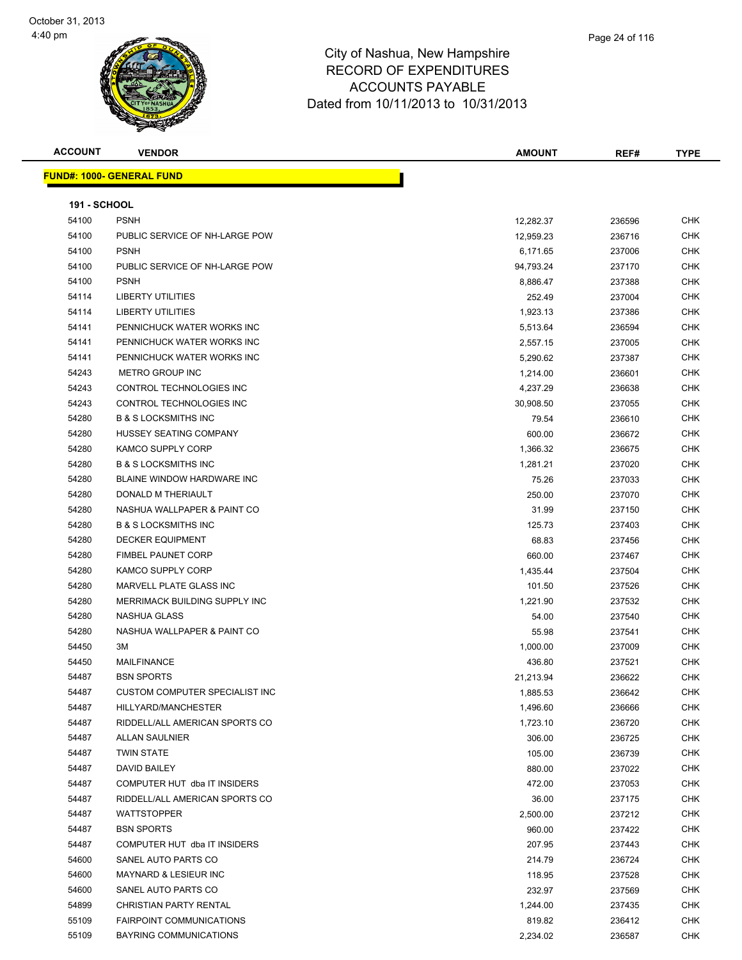



| <b>ACCOUNT</b>      | <b>VENDOR</b>                     | <b>AMOUNT</b> | REF#   | <b>TYPE</b> |
|---------------------|-----------------------------------|---------------|--------|-------------|
|                     | <b>FUND#: 1000- GENERAL FUND</b>  |               |        |             |
|                     |                                   |               |        |             |
| <b>191 - SCHOOL</b> |                                   |               |        |             |
| 54100               | <b>PSNH</b>                       | 12,282.37     | 236596 | <b>CHK</b>  |
| 54100               | PUBLIC SERVICE OF NH-LARGE POW    | 12,959.23     | 236716 | <b>CHK</b>  |
| 54100               | <b>PSNH</b>                       | 6,171.65      | 237006 | <b>CHK</b>  |
| 54100               | PUBLIC SERVICE OF NH-LARGE POW    | 94,793.24     | 237170 | <b>CHK</b>  |
| 54100               | <b>PSNH</b>                       | 8,886.47      | 237388 | <b>CHK</b>  |
| 54114               | <b>LIBERTY UTILITIES</b>          | 252.49        | 237004 | <b>CHK</b>  |
| 54114               | <b>LIBERTY UTILITIES</b>          | 1,923.13      | 237386 | <b>CHK</b>  |
| 54141               | PENNICHUCK WATER WORKS INC        | 5,513.64      | 236594 | <b>CHK</b>  |
| 54141               | PENNICHUCK WATER WORKS INC        | 2,557.15      | 237005 | <b>CHK</b>  |
| 54141               | PENNICHUCK WATER WORKS INC        | 5,290.62      | 237387 | <b>CHK</b>  |
| 54243               | METRO GROUP INC                   | 1,214.00      | 236601 | <b>CHK</b>  |
| 54243               | CONTROL TECHNOLOGIES INC          | 4,237.29      | 236638 | <b>CHK</b>  |
| 54243               | CONTROL TECHNOLOGIES INC          | 30,908.50     | 237055 | <b>CHK</b>  |
| 54280               | <b>B &amp; S LOCKSMITHS INC</b>   | 79.54         | 236610 | <b>CHK</b>  |
| 54280               | <b>HUSSEY SEATING COMPANY</b>     | 600.00        | 236672 | <b>CHK</b>  |
| 54280               | <b>KAMCO SUPPLY CORP</b>          | 1,366.32      | 236675 | <b>CHK</b>  |
| 54280               | <b>B &amp; S LOCKSMITHS INC</b>   | 1,281.21      | 237020 | <b>CHK</b>  |
| 54280               | <b>BLAINE WINDOW HARDWARE INC</b> | 75.26         | 237033 | <b>CHK</b>  |
| 54280               | DONALD M THERIAULT                | 250.00        | 237070 | <b>CHK</b>  |
| 54280               | NASHUA WALLPAPER & PAINT CO       | 31.99         | 237150 | <b>CHK</b>  |
| 54280               | <b>B &amp; S LOCKSMITHS INC</b>   | 125.73        | 237403 | <b>CHK</b>  |
| 54280               | <b>DECKER EQUIPMENT</b>           | 68.83         | 237456 | <b>CHK</b>  |
| 54280               | <b>FIMBEL PAUNET CORP</b>         | 660.00        | 237467 | <b>CHK</b>  |
| 54280               | <b>KAMCO SUPPLY CORP</b>          | 1,435.44      | 237504 | <b>CHK</b>  |
| 54280               | MARVELL PLATE GLASS INC           | 101.50        | 237526 | <b>CHK</b>  |
| 54280               | MERRIMACK BUILDING SUPPLY INC     | 1,221.90      | 237532 | <b>CHK</b>  |
| 54280               | NASHUA GLASS                      | 54.00         | 237540 | <b>CHK</b>  |
| 54280               | NASHUA WALLPAPER & PAINT CO       | 55.98         | 237541 | <b>CHK</b>  |
| 54450               | 3M                                | 1,000.00      | 237009 | <b>CHK</b>  |
| 54450               | <b>MAILFINANCE</b>                | 436.80        | 237521 | <b>CHK</b>  |
| 54487               | <b>BSN SPORTS</b>                 | 21,213.94     | 236622 | <b>CHK</b>  |
| 54487               | CUSTOM COMPUTER SPECIALIST INC    | 1,885.53      | 236642 | CHK         |
| 54487               | HILLYARD/MANCHESTER               | 1,496.60      | 236666 | <b>CHK</b>  |
| 54487               | RIDDELL/ALL AMERICAN SPORTS CO    | 1,723.10      | 236720 | <b>CHK</b>  |
| 54487               | ALLAN SAULNIER                    | 306.00        | 236725 | <b>CHK</b>  |
| 54487               | <b>TWIN STATE</b>                 | 105.00        | 236739 | <b>CHK</b>  |
| 54487               | DAVID BAILEY                      | 880.00        | 237022 | <b>CHK</b>  |
| 54487               | COMPUTER HUT dba IT INSIDERS      | 472.00        | 237053 | <b>CHK</b>  |
| 54487               | RIDDELL/ALL AMERICAN SPORTS CO    | 36.00         | 237175 | <b>CHK</b>  |
| 54487               | <b>WATTSTOPPER</b>                | 2,500.00      | 237212 | <b>CHK</b>  |
| 54487               | <b>BSN SPORTS</b>                 | 960.00        | 237422 | <b>CHK</b>  |
| 54487               | COMPUTER HUT dba IT INSIDERS      | 207.95        | 237443 | <b>CHK</b>  |
| 54600               | SANEL AUTO PARTS CO               | 214.79        | 236724 | <b>CHK</b>  |
| 54600               | MAYNARD & LESIEUR INC             | 118.95        | 237528 | <b>CHK</b>  |
| 54600               | SANEL AUTO PARTS CO               | 232.97        | 237569 | <b>CHK</b>  |
| 54899               | CHRISTIAN PARTY RENTAL            | 1,244.00      | 237435 | <b>CHK</b>  |
| 55109               | FAIRPOINT COMMUNICATIONS          | 819.82        | 236412 | <b>CHK</b>  |
| 55109               | BAYRING COMMUNICATIONS            | 2,234.02      | 236587 | <b>CHK</b>  |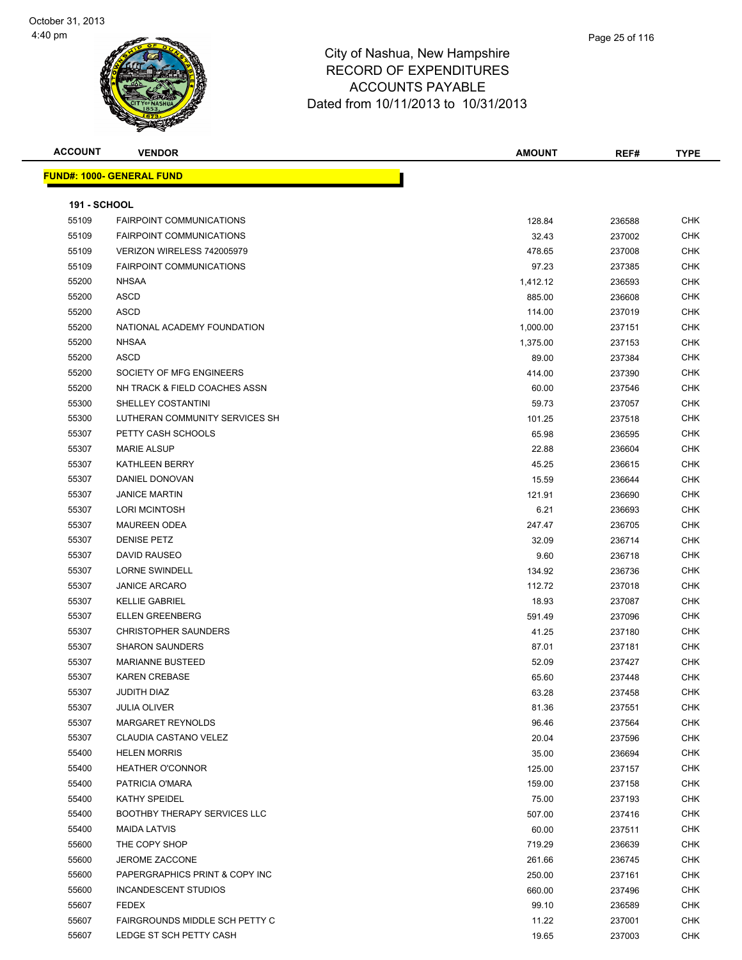

| <b>ACCOUNT</b>      | <b>VENDOR</b>                       | <b>AMOUNT</b> | REF#   | <b>TYPE</b> |
|---------------------|-------------------------------------|---------------|--------|-------------|
|                     | <b>FUND#: 1000- GENERAL FUND</b>    |               |        |             |
|                     |                                     |               |        |             |
| <b>191 - SCHOOL</b> |                                     |               |        |             |
| 55109               | <b>FAIRPOINT COMMUNICATIONS</b>     | 128.84        | 236588 | <b>CHK</b>  |
| 55109               | <b>FAIRPOINT COMMUNICATIONS</b>     | 32.43         | 237002 | <b>CHK</b>  |
| 55109               | VERIZON WIRELESS 742005979          | 478.65        | 237008 | <b>CHK</b>  |
| 55109               | <b>FAIRPOINT COMMUNICATIONS</b>     | 97.23         | 237385 | <b>CHK</b>  |
| 55200               | <b>NHSAA</b>                        | 1,412.12      | 236593 | <b>CHK</b>  |
| 55200               | <b>ASCD</b>                         | 885.00        | 236608 | <b>CHK</b>  |
| 55200               | ASCD                                | 114.00        | 237019 | CHK         |
| 55200               | NATIONAL ACADEMY FOUNDATION         | 1,000.00      | 237151 | CHK         |
| 55200               | <b>NHSAA</b>                        | 1,375.00      | 237153 | CHK         |
| 55200               | <b>ASCD</b>                         | 89.00         | 237384 | <b>CHK</b>  |
| 55200               | SOCIETY OF MFG ENGINEERS            | 414.00        | 237390 | CHK         |
| 55200               | NH TRACK & FIELD COACHES ASSN       | 60.00         | 237546 | <b>CHK</b>  |
| 55300               | SHELLEY COSTANTINI                  | 59.73         | 237057 | <b>CHK</b>  |
| 55300               | LUTHERAN COMMUNITY SERVICES SH      | 101.25        | 237518 | <b>CHK</b>  |
| 55307               | PETTY CASH SCHOOLS                  | 65.98         | 236595 | <b>CHK</b>  |
| 55307               | <b>MARIE ALSUP</b>                  | 22.88         | 236604 | <b>CHK</b>  |
| 55307               | <b>KATHLEEN BERRY</b>               | 45.25         | 236615 | <b>CHK</b>  |
| 55307               | <b>DANIEL DONOVAN</b>               | 15.59         | 236644 | <b>CHK</b>  |
| 55307               | <b>JANICE MARTIN</b>                | 121.91        | 236690 | <b>CHK</b>  |
| 55307               | <b>LORI MCINTOSH</b>                | 6.21          | 236693 | <b>CHK</b>  |
| 55307               | <b>MAUREEN ODEA</b>                 | 247.47        | 236705 | <b>CHK</b>  |
| 55307               | <b>DENISE PETZ</b>                  | 32.09         | 236714 | <b>CHK</b>  |
| 55307               | DAVID RAUSEO                        | 9.60          | 236718 | <b>CHK</b>  |
| 55307               | <b>LORNE SWINDELL</b>               | 134.92        | 236736 | CHK         |
| 55307               | <b>JANICE ARCARO</b>                | 112.72        | 237018 | <b>CHK</b>  |
| 55307               | <b>KELLIE GABRIEL</b>               | 18.93         | 237087 | <b>CHK</b>  |
| 55307               | <b>ELLEN GREENBERG</b>              | 591.49        | 237096 | <b>CHK</b>  |
| 55307               | <b>CHRISTOPHER SAUNDERS</b>         | 41.25         | 237180 | <b>CHK</b>  |
| 55307               | <b>SHARON SAUNDERS</b>              | 87.01         | 237181 | CHK         |
| 55307               | <b>MARIANNE BUSTEED</b>             | 52.09         | 237427 | <b>CHK</b>  |
| 55307               | <b>KAREN CREBASE</b>                | 65.60         | 237448 | <b>CHK</b>  |
| 55307               | JUDITH DIAZ                         | 63.28         | 237458 | <b>CHK</b>  |
| 55307               | <b>JULIA OLIVER</b>                 | 81.36         | 237551 | CHK         |
| 55307               | MARGARET REYNOLDS                   | 96.46         | 237564 | CHK         |
| 55307               | <b>CLAUDIA CASTANO VELEZ</b>        | 20.04         | 237596 | <b>CHK</b>  |
| 55400               | <b>HELEN MORRIS</b>                 | 35.00         | 236694 | CHK         |
| 55400               | <b>HEATHER O'CONNOR</b>             | 125.00        | 237157 | <b>CHK</b>  |
| 55400               | PATRICIA O'MARA                     | 159.00        | 237158 | <b>CHK</b>  |
| 55400               | <b>KATHY SPEIDEL</b>                | 75.00         | 237193 | CHK         |
| 55400               | <b>BOOTHBY THERAPY SERVICES LLC</b> | 507.00        | 237416 | CHK         |
| 55400               | <b>MAIDA LATVIS</b>                 | 60.00         | 237511 | CHK         |
| 55600               | THE COPY SHOP                       | 719.29        | 236639 | CHK         |
| 55600               | JEROME ZACCONE                      | 261.66        | 236745 | CHK         |
| 55600               | PAPERGRAPHICS PRINT & COPY INC      | 250.00        | 237161 | CHK         |
| 55600               | INCANDESCENT STUDIOS                | 660.00        | 237496 | CHK         |
| 55607               | <b>FEDEX</b>                        | 99.10         | 236589 | CHK         |
| 55607               | FAIRGROUNDS MIDDLE SCH PETTY C      | 11.22         | 237001 | <b>CHK</b>  |
| 55607               | LEDGE ST SCH PETTY CASH             | 19.65         | 237003 | <b>CHK</b>  |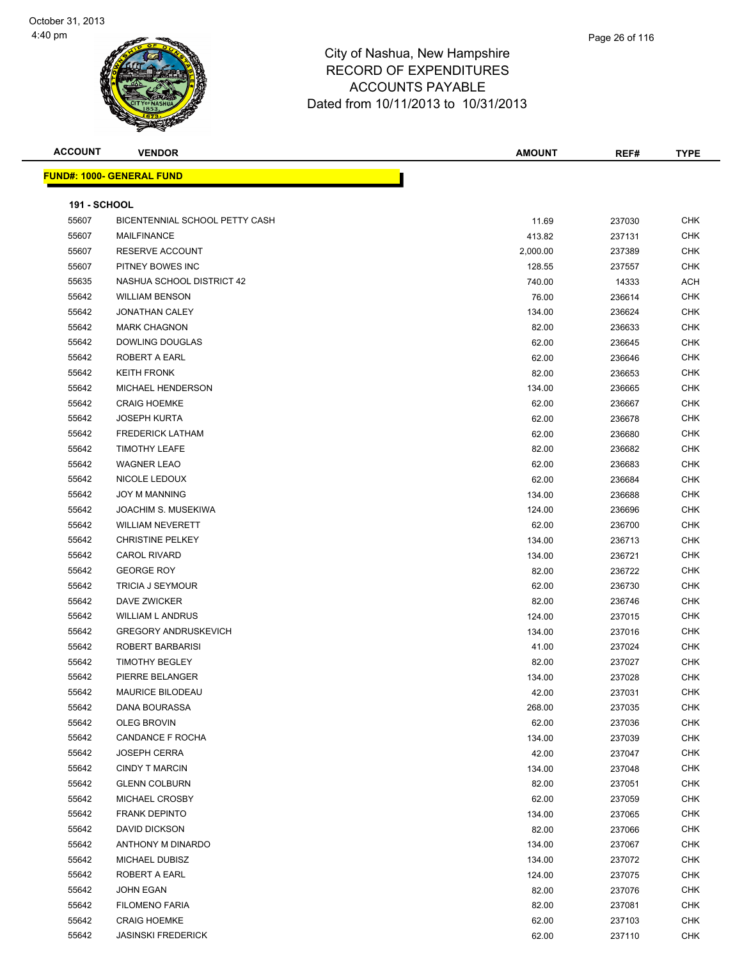



| <b>ACCOUNT</b>      | <b>VENDOR</b>                    | <b>AMOUNT</b> | REF#   | <b>TYPE</b> |
|---------------------|----------------------------------|---------------|--------|-------------|
|                     | <b>FUND#: 1000- GENERAL FUND</b> |               |        |             |
|                     |                                  |               |        |             |
| <b>191 - SCHOOL</b> |                                  |               |        |             |
| 55607               | BICENTENNIAL SCHOOL PETTY CASH   | 11.69         | 237030 | <b>CHK</b>  |
| 55607               | MAILFINANCE                      | 413.82        | 237131 | <b>CHK</b>  |
| 55607               | RESERVE ACCOUNT                  | 2,000.00      | 237389 | <b>CHK</b>  |
| 55607               | PITNEY BOWES INC                 | 128.55        | 237557 | <b>CHK</b>  |
| 55635               | NASHUA SCHOOL DISTRICT 42        | 740.00        | 14333  | <b>ACH</b>  |
| 55642               | <b>WILLIAM BENSON</b>            | 76.00         | 236614 | <b>CHK</b>  |
| 55642               | <b>JONATHAN CALEY</b>            | 134.00        | 236624 | <b>CHK</b>  |
| 55642               | <b>MARK CHAGNON</b>              | 82.00         | 236633 | <b>CHK</b>  |
| 55642               | DOWLING DOUGLAS                  | 62.00         | 236645 | <b>CHK</b>  |
| 55642               | ROBERT A EARL                    | 62.00         | 236646 | <b>CHK</b>  |
| 55642               | <b>KEITH FRONK</b>               | 82.00         | 236653 | <b>CHK</b>  |
| 55642               | MICHAEL HENDERSON                | 134.00        | 236665 | <b>CHK</b>  |
| 55642               | <b>CRAIG HOEMKE</b>              | 62.00         | 236667 | <b>CHK</b>  |
| 55642               | <b>JOSEPH KURTA</b>              | 62.00         | 236678 | <b>CHK</b>  |
| 55642               | <b>FREDERICK LATHAM</b>          | 62.00         | 236680 | <b>CHK</b>  |
| 55642               | <b>TIMOTHY LEAFE</b>             | 82.00         | 236682 | <b>CHK</b>  |
| 55642               | <b>WAGNER LEAO</b>               | 62.00         | 236683 | <b>CHK</b>  |
| 55642               | NICOLE LEDOUX                    | 62.00         | 236684 | <b>CHK</b>  |
| 55642               | <b>JOY M MANNING</b>             | 134.00        | 236688 | <b>CHK</b>  |
| 55642               | JOACHIM S. MUSEKIWA              | 124.00        | 236696 | <b>CHK</b>  |
| 55642               | <b>WILLIAM NEVERETT</b>          | 62.00         | 236700 | <b>CHK</b>  |
| 55642               | <b>CHRISTINE PELKEY</b>          | 134.00        | 236713 | <b>CHK</b>  |
| 55642               | <b>CAROL RIVARD</b>              | 134.00        | 236721 | CHK         |
| 55642               | <b>GEORGE ROY</b>                | 82.00         | 236722 | <b>CHK</b>  |
| 55642               | <b>TRICIA J SEYMOUR</b>          | 62.00         | 236730 | <b>CHK</b>  |
| 55642               | DAVE ZWICKER                     | 82.00         | 236746 | <b>CHK</b>  |
| 55642               | <b>WILLIAM L ANDRUS</b>          | 124.00        | 237015 | <b>CHK</b>  |
| 55642               | <b>GREGORY ANDRUSKEVICH</b>      | 134.00        | 237016 | <b>CHK</b>  |
| 55642               | ROBERT BARBARISI                 | 41.00         | 237024 | <b>CHK</b>  |
| 55642               | <b>TIMOTHY BEGLEY</b>            | 82.00         | 237027 | <b>CHK</b>  |
| 55642               | PIERRE BELANGER                  | 134.00        | 237028 | CHK         |
| 55642               | <b>MAURICE BILODEAU</b>          | 42.00         | 237031 | CHK         |
| 55642               | DANA BOURASSA                    | 268.00        | 237035 | <b>CHK</b>  |
| 55642               | <b>OLEG BROVIN</b>               | 62.00         | 237036 | <b>CHK</b>  |
| 55642               | CANDANCE F ROCHA                 | 134.00        | 237039 | <b>CHK</b>  |
| 55642               | <b>JOSEPH CERRA</b>              | 42.00         | 237047 | <b>CHK</b>  |
| 55642               | <b>CINDY T MARCIN</b>            | 134.00        | 237048 | <b>CHK</b>  |
| 55642               | <b>GLENN COLBURN</b>             | 82.00         | 237051 | <b>CHK</b>  |
| 55642               | MICHAEL CROSBY                   | 62.00         | 237059 | <b>CHK</b>  |
| 55642               | <b>FRANK DEPINTO</b>             | 134.00        | 237065 | <b>CHK</b>  |
| 55642               | DAVID DICKSON                    | 82.00         | 237066 | <b>CHK</b>  |
| 55642               | ANTHONY M DINARDO                | 134.00        | 237067 | <b>CHK</b>  |
| 55642               | MICHAEL DUBISZ                   | 134.00        | 237072 | <b>CHK</b>  |
| 55642               | ROBERT A EARL                    | 124.00        | 237075 | <b>CHK</b>  |
| 55642               | JOHN EGAN                        | 82.00         | 237076 | <b>CHK</b>  |
| 55642               | <b>FILOMENO FARIA</b>            | 82.00         | 237081 | <b>CHK</b>  |
| 55642               | <b>CRAIG HOEMKE</b>              |               |        | <b>CHK</b>  |
| 55642               | <b>JASINSKI FREDERICK</b>        | 62.00         | 237103 |             |
|                     |                                  | 62.00         | 237110 | <b>CHK</b>  |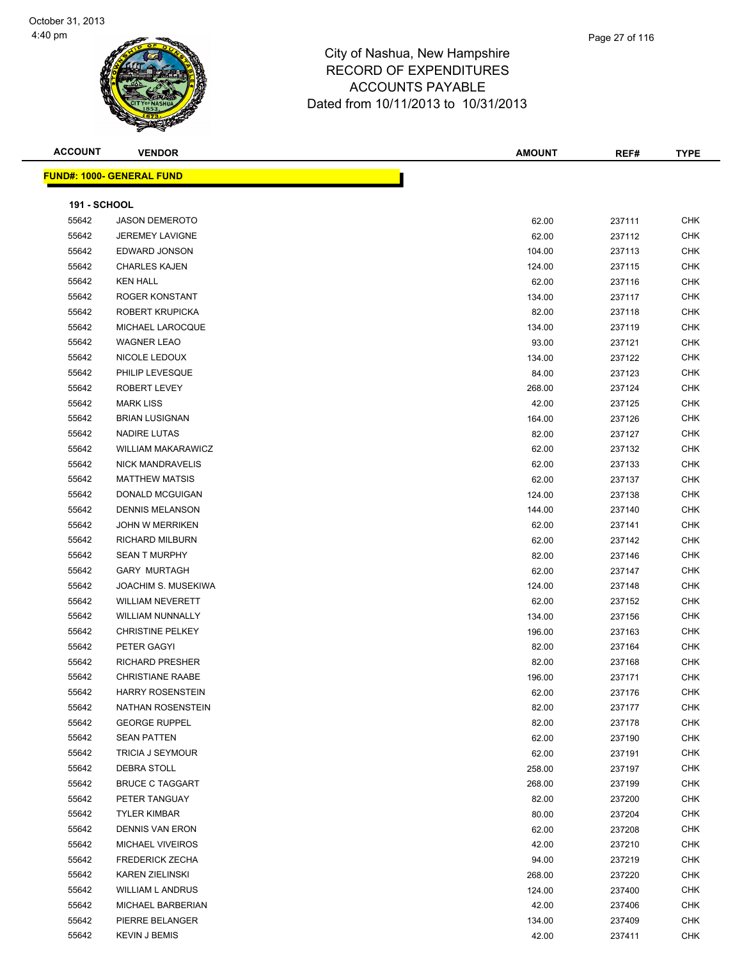

| Page 27 of 116 |  |
|----------------|--|
|                |  |
|                |  |

| <b>ACCOUNT</b>      | <b>VENDOR</b>                    | <b>AMOUNT</b> | REF#   | <b>TYPE</b> |
|---------------------|----------------------------------|---------------|--------|-------------|
|                     | <b>FUND#: 1000- GENERAL FUND</b> |               |        |             |
|                     |                                  |               |        |             |
| <b>191 - SCHOOL</b> |                                  |               |        |             |
| 55642               | <b>JASON DEMEROTO</b>            | 62.00         | 237111 | <b>CHK</b>  |
| 55642               | <b>JEREMEY LAVIGNE</b>           | 62.00         | 237112 | <b>CHK</b>  |
| 55642               | EDWARD JONSON                    | 104.00        | 237113 | <b>CHK</b>  |
| 55642               | <b>CHARLES KAJEN</b>             | 124.00        | 237115 | <b>CHK</b>  |
| 55642               | <b>KEN HALL</b>                  | 62.00         | 237116 | <b>CHK</b>  |
| 55642               | ROGER KONSTANT                   | 134.00        | 237117 | <b>CHK</b>  |
| 55642               | ROBERT KRUPICKA                  | 82.00         | 237118 | <b>CHK</b>  |
| 55642               | MICHAEL LAROCQUE                 | 134.00        | 237119 | <b>CHK</b>  |
| 55642               | <b>WAGNER LEAO</b>               | 93.00         | 237121 | <b>CHK</b>  |
| 55642               | NICOLE LEDOUX                    | 134.00        | 237122 | <b>CHK</b>  |
| 55642               | PHILIP LEVESQUE                  | 84.00         | 237123 | <b>CHK</b>  |
| 55642               | ROBERT LEVEY                     | 268.00        | 237124 | <b>CHK</b>  |
| 55642               | <b>MARK LISS</b>                 | 42.00         | 237125 | <b>CHK</b>  |
| 55642               | <b>BRIAN LUSIGNAN</b>            | 164.00        | 237126 | <b>CHK</b>  |
| 55642               | NADIRE LUTAS                     | 82.00         | 237127 | <b>CHK</b>  |
| 55642               | <b>WILLIAM MAKARAWICZ</b>        | 62.00         | 237132 | <b>CHK</b>  |
| 55642               | <b>NICK MANDRAVELIS</b>          | 62.00         | 237133 | <b>CHK</b>  |
| 55642               | <b>MATTHEW MATSIS</b>            | 62.00         | 237137 | <b>CHK</b>  |
| 55642               | DONALD MCGUIGAN                  | 124.00        | 237138 | <b>CHK</b>  |
| 55642               | <b>DENNIS MELANSON</b>           | 144.00        | 237140 | <b>CHK</b>  |
| 55642               | <b>JOHN W MERRIKEN</b>           | 62.00         | 237141 | <b>CHK</b>  |
| 55642               | RICHARD MILBURN                  | 62.00         | 237142 | <b>CHK</b>  |
| 55642               | <b>SEAN T MURPHY</b>             | 82.00         | 237146 | <b>CHK</b>  |
| 55642               | GARY MURTAGH                     | 62.00         | 237147 | <b>CHK</b>  |
| 55642               | JOACHIM S. MUSEKIWA              | 124.00        | 237148 | <b>CHK</b>  |
| 55642               | <b>WILLIAM NEVERETT</b>          | 62.00         | 237152 | <b>CHK</b>  |
| 55642               | <b>WILLIAM NUNNALLY</b>          | 134.00        | 237156 | <b>CHK</b>  |
| 55642               | <b>CHRISTINE PELKEY</b>          | 196.00        | 237163 | CHK         |
| 55642               | PETER GAGYI                      | 82.00         | 237164 | <b>CHK</b>  |
| 55642               | <b>RICHARD PRESHER</b>           | 82.00         | 237168 | <b>CHK</b>  |
| 55642               | <b>CHRISTIANE RAABE</b>          | 196.00        | 237171 | <b>CHK</b>  |
| 55642               | <b>HARRY ROSENSTEIN</b>          | 62.00         | 237176 | <b>CHK</b>  |
| 55642               | NATHAN ROSENSTEIN                | 82.00         | 237177 | <b>CHK</b>  |
| 55642               | <b>GEORGE RUPPEL</b>             | 82.00         | 237178 | <b>CHK</b>  |
| 55642               | <b>SEAN PATTEN</b>               | 62.00         | 237190 | <b>CHK</b>  |
| 55642               | <b>TRICIA J SEYMOUR</b>          | 62.00         | 237191 | CHK         |
| 55642               | DEBRA STOLL                      | 258.00        | 237197 | CHK         |
| 55642               | <b>BRUCE C TAGGART</b>           | 268.00        | 237199 | CHK         |
| 55642               | PETER TANGUAY                    | 82.00         | 237200 | CHK         |
| 55642               | <b>TYLER KIMBAR</b>              | 80.00         | 237204 | <b>CHK</b>  |
| 55642               | <b>DENNIS VAN ERON</b>           | 62.00         | 237208 | CHK         |
| 55642               | <b>MICHAEL VIVEIROS</b>          | 42.00         | 237210 | CHK         |
| 55642               | <b>FREDERICK ZECHA</b>           | 94.00         | 237219 | CHK         |
| 55642               | <b>KAREN ZIELINSKI</b>           | 268.00        | 237220 | CHK         |
| 55642               | <b>WILLIAM L ANDRUS</b>          | 124.00        | 237400 | CHK         |
| 55642               | MICHAEL BARBERIAN                | 42.00         | 237406 | CHK         |
| 55642               | PIERRE BELANGER                  | 134.00        | 237409 | CHK         |
| 55642               | <b>KEVIN J BEMIS</b>             | 42.00         | 237411 | <b>CHK</b>  |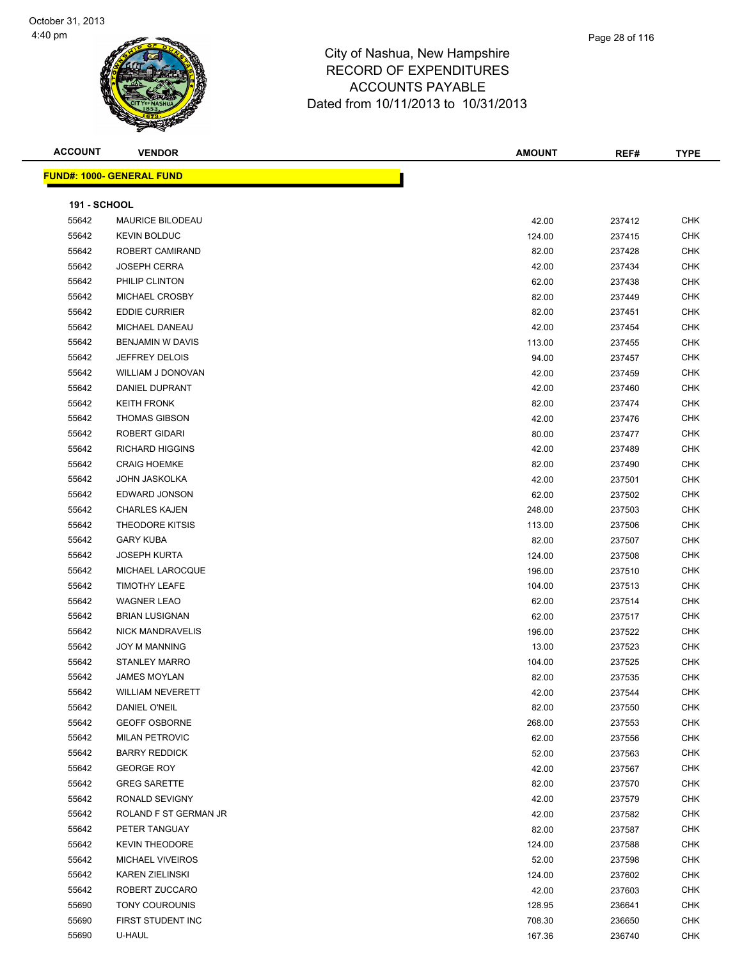

T

| Page 28 of 116 |
|----------------|
|                |

**ACCOUNT VENDOR AMOUNT REF# TYPE FUND#: 1000- GENERAL FUND**

| <b>191 - SCHOOL</b> |                         |        |        |            |
|---------------------|-------------------------|--------|--------|------------|
| 55642               | MAURICE BILODEAU        | 42.00  | 237412 | <b>CHK</b> |
| 55642               | <b>KEVIN BOLDUC</b>     | 124.00 | 237415 | <b>CHK</b> |
| 55642               | ROBERT CAMIRAND         | 82.00  | 237428 | <b>CHK</b> |
| 55642               | <b>JOSEPH CERRA</b>     | 42.00  | 237434 | <b>CHK</b> |
| 55642               | PHILIP CLINTON          | 62.00  | 237438 | <b>CHK</b> |
| 55642               | MICHAEL CROSBY          | 82.00  | 237449 | <b>CHK</b> |
| 55642               | <b>EDDIE CURRIER</b>    | 82.00  | 237451 | <b>CHK</b> |
| 55642               | MICHAEL DANEAU          | 42.00  | 237454 | <b>CHK</b> |
| 55642               | BENJAMIN W DAVIS        | 113.00 | 237455 | <b>CHK</b> |
| 55642               | <b>JEFFREY DELOIS</b>   | 94.00  | 237457 | <b>CHK</b> |
| 55642               | WILLIAM J DONOVAN       | 42.00  | 237459 | <b>CHK</b> |
| 55642               | DANIEL DUPRANT          | 42.00  | 237460 | CHK        |
| 55642               | <b>KEITH FRONK</b>      | 82.00  | 237474 | CHK        |
| 55642               | <b>THOMAS GIBSON</b>    | 42.00  | 237476 | <b>CHK</b> |
| 55642               | ROBERT GIDARI           | 80.00  | 237477 | <b>CHK</b> |
| 55642               | <b>RICHARD HIGGINS</b>  | 42.00  | 237489 | <b>CHK</b> |
| 55642               | <b>CRAIG HOEMKE</b>     | 82.00  | 237490 | <b>CHK</b> |
| 55642               | <b>JOHN JASKOLKA</b>    | 42.00  | 237501 | <b>CHK</b> |
| 55642               | EDWARD JONSON           | 62.00  | 237502 | <b>CHK</b> |
| 55642               | <b>CHARLES KAJEN</b>    | 248.00 | 237503 | <b>CHK</b> |
| 55642               | <b>THEODORE KITSIS</b>  | 113.00 | 237506 | <b>CHK</b> |
| 55642               | <b>GARY KUBA</b>        | 82.00  | 237507 | <b>CHK</b> |
| 55642               | <b>JOSEPH KURTA</b>     | 124.00 | 237508 | CHK        |
| 55642               | MICHAEL LAROCQUE        | 196.00 | 237510 | <b>CHK</b> |
| 55642               | <b>TIMOTHY LEAFE</b>    | 104.00 | 237513 | <b>CHK</b> |
| 55642               | <b>WAGNER LEAO</b>      | 62.00  | 237514 | <b>CHK</b> |
| 55642               | <b>BRIAN LUSIGNAN</b>   | 62.00  | 237517 | <b>CHK</b> |
| 55642               | NICK MANDRAVELIS        | 196.00 | 237522 | <b>CHK</b> |
| 55642               | <b>JOY M MANNING</b>    | 13.00  | 237523 | <b>CHK</b> |
| 55642               | <b>STANLEY MARRO</b>    | 104.00 | 237525 | <b>CHK</b> |
| 55642               | <b>JAMES MOYLAN</b>     | 82.00  | 237535 | <b>CHK</b> |
| 55642               | <b>WILLIAM NEVERETT</b> | 42.00  | 237544 | <b>CHK</b> |
| 55642               | DANIEL O'NEIL           | 82.00  | 237550 | <b>CHK</b> |
| 55642               | <b>GEOFF OSBORNE</b>    | 268.00 | 237553 | <b>CHK</b> |
| 55642               | <b>MILAN PETROVIC</b>   | 62.00  | 237556 | <b>CHK</b> |
| 55642               | <b>BARRY REDDICK</b>    | 52.00  | 237563 | <b>CHK</b> |
| 55642               | <b>GEORGE ROY</b>       | 42.00  | 237567 | <b>CHK</b> |
| 55642               | <b>GREG SARETTE</b>     | 82.00  | 237570 | <b>CHK</b> |
| 55642               | RONALD SEVIGNY          | 42.00  | 237579 | <b>CHK</b> |
| 55642               | ROLAND F ST GERMAN JR   | 42.00  | 237582 | <b>CHK</b> |
| 55642               | PETER TANGUAY           | 82.00  | 237587 | CHK        |
| 55642               | <b>KEVIN THEODORE</b>   | 124.00 | 237588 | <b>CHK</b> |
| 55642               | <b>MICHAEL VIVEIROS</b> | 52.00  | 237598 | CHK        |
| 55642               | <b>KAREN ZIELINSKI</b>  | 124.00 | 237602 | CHK        |
| 55642               | ROBERT ZUCCARO          | 42.00  | 237603 | CHK        |
| 55690               | TONY COUROUNIS          | 128.95 | 236641 | CHK        |
| 55690               | FIRST STUDENT INC       | 708.30 | 236650 | <b>CHK</b> |
| 55690               | U-HAUL                  | 167.36 | 236740 | <b>CHK</b> |
|                     |                         |        |        |            |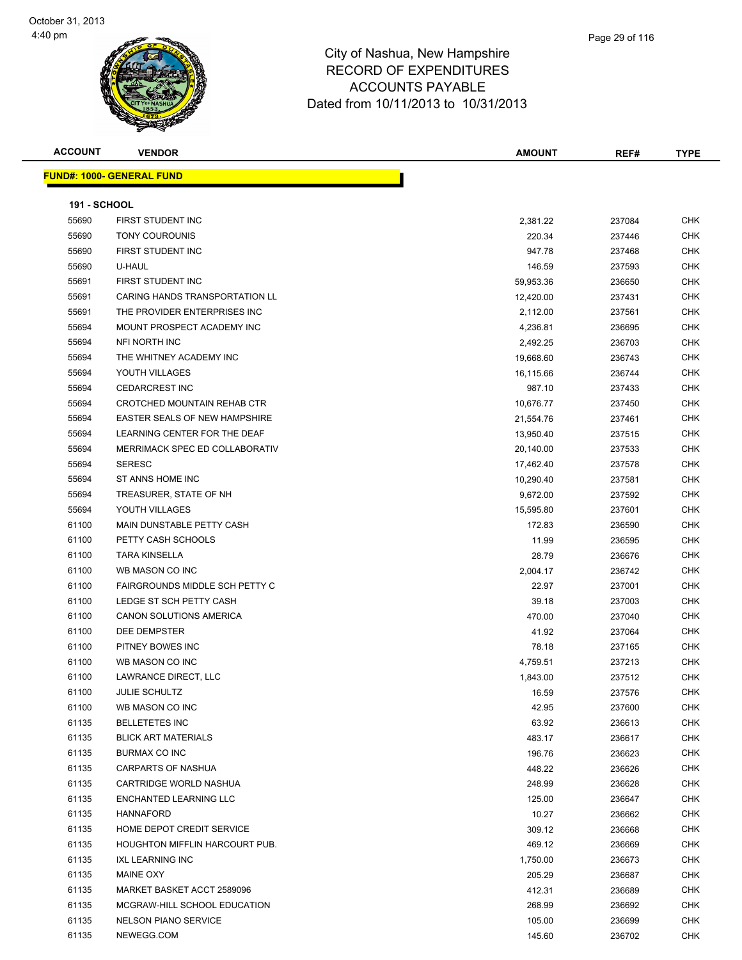| <b>ACCOUNT</b>                   | <b>VENDOR</b> |  | <b>AMOUNT</b> | REF# | TYPE |
|----------------------------------|---------------|--|---------------|------|------|
| <b>FUND#: 1000- GENERAL FUND</b> |               |  |               |      |      |
|                                  |               |  |               |      |      |

| <b>191 - SCHOOL</b> |                                       |           |        |            |
|---------------------|---------------------------------------|-----------|--------|------------|
| 55690               | FIRST STUDENT INC                     | 2,381.22  | 237084 | <b>CHK</b> |
| 55690               | <b>TONY COUROUNIS</b>                 | 220.34    | 237446 | <b>CHK</b> |
| 55690               | FIRST STUDENT INC                     | 947.78    | 237468 | <b>CHK</b> |
| 55690               | U-HAUL                                | 146.59    | 237593 | <b>CHK</b> |
| 55691               | <b>FIRST STUDENT INC</b>              | 59,953.36 | 236650 | <b>CHK</b> |
| 55691               | CARING HANDS TRANSPORTATION LL        | 12,420.00 | 237431 | <b>CHK</b> |
| 55691               | THE PROVIDER ENTERPRISES INC          | 2,112.00  | 237561 | <b>CHK</b> |
| 55694               | MOUNT PROSPECT ACADEMY INC            | 4,236.81  | 236695 | <b>CHK</b> |
| 55694               | NFI NORTH INC                         | 2,492.25  | 236703 | <b>CHK</b> |
| 55694               | THE WHITNEY ACADEMY INC               | 19,668.60 | 236743 | CHK        |
| 55694               | YOUTH VILLAGES                        | 16,115.66 | 236744 | <b>CHK</b> |
| 55694               | <b>CEDARCREST INC</b>                 | 987.10    | 237433 | <b>CHK</b> |
| 55694               | CROTCHED MOUNTAIN REHAB CTR           | 10,676.77 | 237450 | <b>CHK</b> |
| 55694               | <b>EASTER SEALS OF NEW HAMPSHIRE</b>  | 21,554.76 | 237461 | <b>CHK</b> |
| 55694               | LEARNING CENTER FOR THE DEAF          | 13,950.40 | 237515 | CHK        |
| 55694               | MERRIMACK SPEC ED COLLABORATIV        | 20,140.00 | 237533 | CHK        |
| 55694               | <b>SERESC</b>                         | 17,462.40 | 237578 | <b>CHK</b> |
| 55694               | ST ANNS HOME INC                      | 10,290.40 | 237581 | <b>CHK</b> |
| 55694               | TREASURER, STATE OF NH                | 9,672.00  | 237592 | <b>CHK</b> |
| 55694               | YOUTH VILLAGES                        | 15,595.80 | 237601 | <b>CHK</b> |
| 61100               | MAIN DUNSTABLE PETTY CASH             | 172.83    | 236590 | <b>CHK</b> |
| 61100               | PETTY CASH SCHOOLS                    | 11.99     | 236595 | <b>CHK</b> |
| 61100               | <b>TARA KINSELLA</b>                  | 28.79     | 236676 | <b>CHK</b> |
| 61100               | WB MASON CO INC                       | 2,004.17  | 236742 | CHK        |
| 61100               | FAIRGROUNDS MIDDLE SCH PETTY C        | 22.97     | 237001 | <b>CHK</b> |
| 61100               | LEDGE ST SCH PETTY CASH               | 39.18     | 237003 | CHK        |
| 61100               | <b>CANON SOLUTIONS AMERICA</b>        | 470.00    | 237040 | <b>CHK</b> |
| 61100               | DEE DEMPSTER                          | 41.92     | 237064 | <b>CHK</b> |
| 61100               | PITNEY BOWES INC                      | 78.18     | 237165 | <b>CHK</b> |
| 61100               | WB MASON CO INC                       | 4,759.51  | 237213 | <b>CHK</b> |
| 61100               | LAWRANCE DIRECT, LLC                  | 1,843.00  | 237512 | <b>CHK</b> |
| 61100               | <b>JULIE SCHULTZ</b>                  | 16.59     | 237576 | <b>CHK</b> |
| 61100               | WB MASON CO INC                       | 42.95     | 237600 | <b>CHK</b> |
| 61135               | <b>BELLETETES INC</b>                 | 63.92     | 236613 | <b>CHK</b> |
| 61135               | <b>BLICK ART MATERIALS</b>            | 483.17    | 236617 | <b>CHK</b> |
| 61135               | BURMAX CO INC                         | 196.76    | 236623 | <b>CHK</b> |
| 61135               | <b>CARPARTS OF NASHUA</b>             | 448.22    | 236626 | <b>CHK</b> |
| 61135               | CARTRIDGE WORLD NASHUA                | 248.99    | 236628 | <b>CHK</b> |
| 61135               | ENCHANTED LEARNING LLC                | 125.00    | 236647 | <b>CHK</b> |
| 61135               | <b>HANNAFORD</b>                      | 10.27     | 236662 | <b>CHK</b> |
| 61135               | HOME DEPOT CREDIT SERVICE             | 309.12    | 236668 | <b>CHK</b> |
| 61135               | <b>HOUGHTON MIFFLIN HARCOURT PUB.</b> | 469.12    | 236669 | <b>CHK</b> |
| 61135               | <b>IXL LEARNING INC</b>               | 1,750.00  | 236673 | <b>CHK</b> |
| 61135               | MAINE OXY                             | 205.29    | 236687 | <b>CHK</b> |
| 61135               | MARKET BASKET ACCT 2589096            | 412.31    | 236689 | <b>CHK</b> |
| 61135               | MCGRAW-HILL SCHOOL EDUCATION          | 268.99    | 236692 | <b>CHK</b> |
| 61135               | <b>NELSON PIANO SERVICE</b>           | 105.00    | 236699 | <b>CHK</b> |
| 61135               | NEWEGG.COM                            | 145.60    | 236702 | <b>CHK</b> |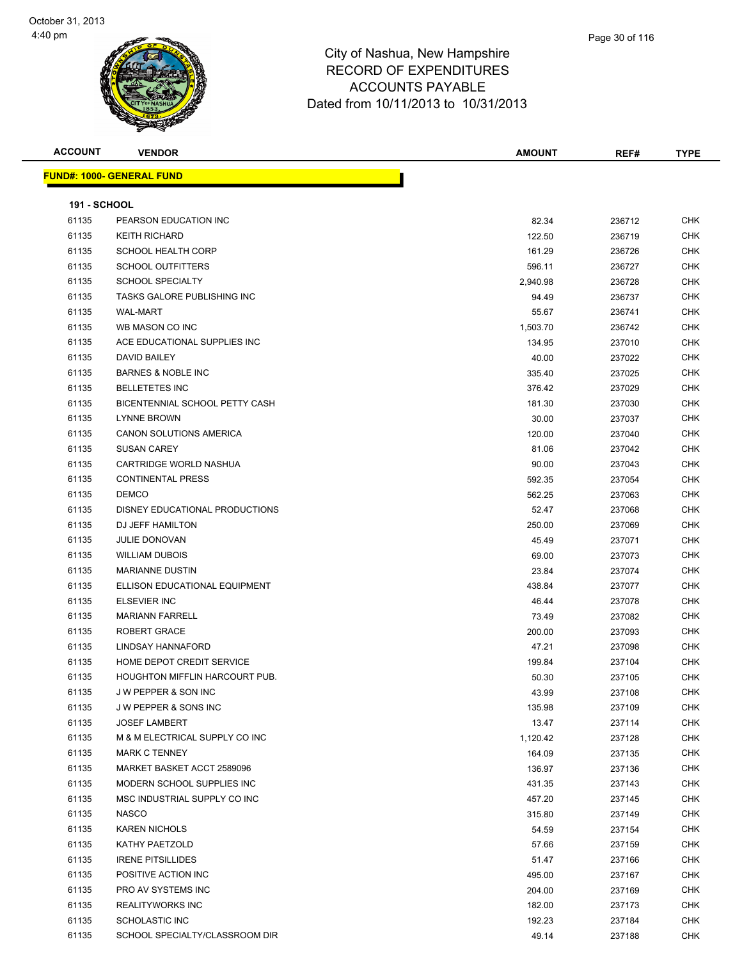

| <b>ACCOUNT</b>      | <b>VENDOR</b>                    | <b>AMOUNT</b> | REF#   | <b>TYPE</b> |
|---------------------|----------------------------------|---------------|--------|-------------|
|                     | <b>FUND#: 1000- GENERAL FUND</b> |               |        |             |
|                     |                                  |               |        |             |
| <b>191 - SCHOOL</b> |                                  |               |        |             |
| 61135               | PEARSON EDUCATION INC            | 82.34         | 236712 | <b>CHK</b>  |
| 61135               | <b>KEITH RICHARD</b>             | 122.50        | 236719 | <b>CHK</b>  |
| 61135               | <b>SCHOOL HEALTH CORP</b>        | 161.29        | 236726 | <b>CHK</b>  |
| 61135               | <b>SCHOOL OUTFITTERS</b>         | 596.11        | 236727 | <b>CHK</b>  |
| 61135               | <b>SCHOOL SPECIALTY</b>          | 2,940.98      | 236728 | <b>CHK</b>  |
| 61135               | TASKS GALORE PUBLISHING INC      | 94.49         | 236737 | <b>CHK</b>  |
| 61135               | <b>WAL-MART</b>                  | 55.67         | 236741 | CHK         |
| 61135               | WB MASON CO INC                  | 1,503.70      | 236742 | CHK         |
| 61135               | ACE EDUCATIONAL SUPPLIES INC     | 134.95        | 237010 | <b>CHK</b>  |
| 61135               | DAVID BAILEY                     | 40.00         | 237022 | <b>CHK</b>  |
| 61135               | <b>BARNES &amp; NOBLE INC</b>    | 335.40        | 237025 | CHK         |
| 61135               | <b>BELLETETES INC</b>            | 376.42        | 237029 | <b>CHK</b>  |
| 61135               | BICENTENNIAL SCHOOL PETTY CASH   | 181.30        | 237030 | <b>CHK</b>  |
| 61135               | <b>LYNNE BROWN</b>               | 30.00         | 237037 | <b>CHK</b>  |
| 61135               | CANON SOLUTIONS AMERICA          | 120.00        | 237040 | <b>CHK</b>  |
| 61135               | <b>SUSAN CAREY</b>               | 81.06         | 237042 | <b>CHK</b>  |
| 61135               | CARTRIDGE WORLD NASHUA           | 90.00         | 237043 | <b>CHK</b>  |
| 61135               | <b>CONTINENTAL PRESS</b>         | 592.35        | 237054 | CHK         |
| 61135               | <b>DEMCO</b>                     | 562.25        | 237063 | <b>CHK</b>  |
| 61135               | DISNEY EDUCATIONAL PRODUCTIONS   | 52.47         | 237068 | <b>CHK</b>  |
| 61135               | DJ JEFF HAMILTON                 | 250.00        | 237069 | <b>CHK</b>  |
| 61135               | <b>JULIE DONOVAN</b>             | 45.49         | 237071 | <b>CHK</b>  |
| 61135               | <b>WILLIAM DUBOIS</b>            | 69.00         | 237073 | <b>CHK</b>  |
| 61135               | <b>MARIANNE DUSTIN</b>           | 23.84         | 237074 | <b>CHK</b>  |
| 61135               | ELLISON EDUCATIONAL EQUIPMENT    | 438.84        | 237077 | <b>CHK</b>  |
| 61135               | <b>ELSEVIER INC</b>              | 46.44         | 237078 | CHK         |
| 61135               | <b>MARIANN FARRELL</b>           | 73.49         | 237082 | <b>CHK</b>  |
| 61135               | <b>ROBERT GRACE</b>              | 200.00        | 237093 | <b>CHK</b>  |
| 61135               | LINDSAY HANNAFORD                | 47.21         | 237098 | CHK         |
| 61135               | HOME DEPOT CREDIT SERVICE        | 199.84        | 237104 | CHK         |
| 61135               | HOUGHTON MIFFLIN HARCOURT PUB.   | 50.30         | 237105 | <b>CHK</b>  |
| 61135               | J W PEPPER & SON INC             | 43.99         | 237108 | <b>CHK</b>  |
| 61135               | <b>JW PEPPER &amp; SONS INC</b>  | 135.98        | 237109 | <b>CHK</b>  |
| 61135               | <b>JOSEF LAMBERT</b>             | 13.47         | 237114 | <b>CHK</b>  |
| 61135               | M & M ELECTRICAL SUPPLY CO INC   | 1,120.42      | 237128 | <b>CHK</b>  |
| 61135               | <b>MARK C TENNEY</b>             | 164.09        | 237135 | <b>CHK</b>  |
| 61135               | MARKET BASKET ACCT 2589096       | 136.97        | 237136 | <b>CHK</b>  |
| 61135               | MODERN SCHOOL SUPPLIES INC       | 431.35        | 237143 | <b>CHK</b>  |
| 61135               | MSC INDUSTRIAL SUPPLY CO INC     | 457.20        | 237145 | <b>CHK</b>  |
| 61135               | <b>NASCO</b>                     | 315.80        | 237149 | <b>CHK</b>  |
| 61135               | <b>KAREN NICHOLS</b>             | 54.59         | 237154 | <b>CHK</b>  |
| 61135               | KATHY PAETZOLD                   | 57.66         | 237159 | <b>CHK</b>  |
| 61135               | <b>IRENE PITSILLIDES</b>         | 51.47         | 237166 | <b>CHK</b>  |
| 61135               | POSITIVE ACTION INC              | 495.00        | 237167 | <b>CHK</b>  |
| 61135               | PRO AV SYSTEMS INC               | 204.00        | 237169 | <b>CHK</b>  |
| 61135               | REALITYWORKS INC                 | 182.00        | 237173 | <b>CHK</b>  |
| 61135               | <b>SCHOLASTIC INC</b>            | 192.23        | 237184 | <b>CHK</b>  |
| 61135               | SCHOOL SPECIALTY/CLASSROOM DIR   | 49.14         | 237188 | <b>CHK</b>  |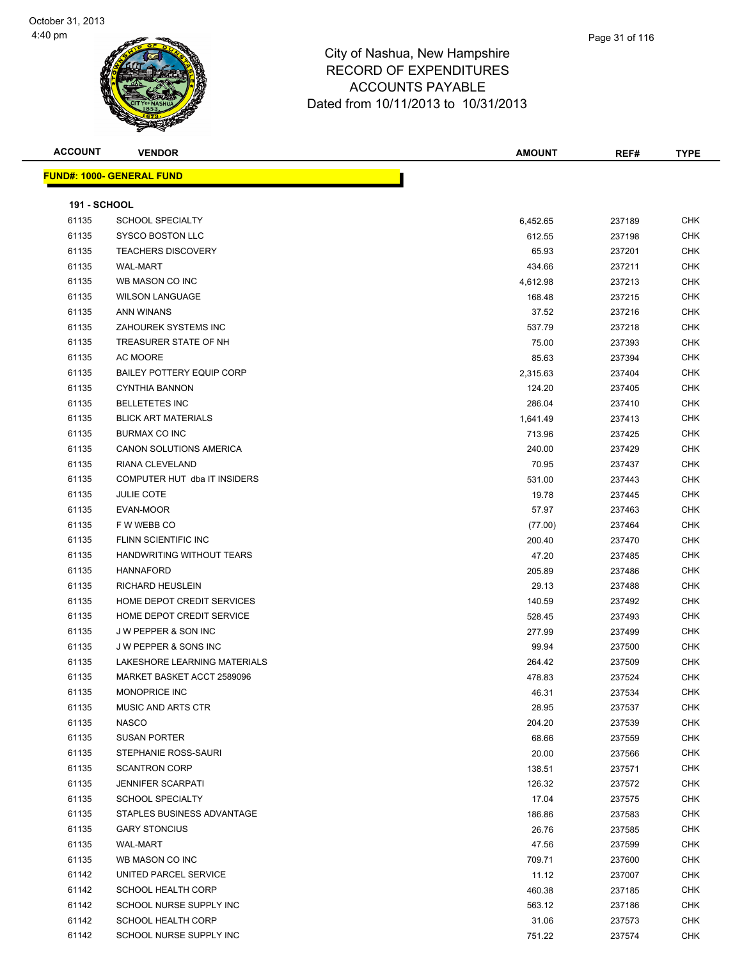

| <b>ACCOUNT</b>      | <b>VENDOR</b>                     | <b>AMOUNT</b> | REF#   | <b>TYPE</b> |
|---------------------|-----------------------------------|---------------|--------|-------------|
|                     | <u> FUND#: 1000- GENERAL FUND</u> |               |        |             |
|                     |                                   |               |        |             |
| <b>191 - SCHOOL</b> |                                   |               |        |             |
| 61135               | <b>SCHOOL SPECIALTY</b>           | 6,452.65      | 237189 | <b>CHK</b>  |
| 61135               | SYSCO BOSTON LLC                  | 612.55        | 237198 | <b>CHK</b>  |
| 61135               | <b>TEACHERS DISCOVERY</b>         | 65.93         | 237201 | <b>CHK</b>  |
| 61135               | <b>WAL-MART</b>                   | 434.66        | 237211 | CHK         |
| 61135               | WB MASON CO INC                   | 4,612.98      | 237213 | <b>CHK</b>  |
| 61135               | <b>WILSON LANGUAGE</b>            | 168.48        | 237215 | <b>CHK</b>  |
| 61135               | ANN WINANS                        | 37.52         | 237216 | <b>CHK</b>  |
| 61135               | ZAHOUREK SYSTEMS INC              | 537.79        | 237218 | <b>CHK</b>  |
| 61135               | TREASURER STATE OF NH             | 75.00         | 237393 | CHK         |
| 61135               | AC MOORE                          | 85.63         | 237394 | CHK         |
| 61135               | <b>BAILEY POTTERY EQUIP CORP</b>  | 2,315.63      | 237404 | CHK         |
| 61135               | <b>CYNTHIA BANNON</b>             | 124.20        | 237405 | CHK         |
| 61135               | <b>BELLETETES INC</b>             | 286.04        | 237410 | CHK         |
| 61135               | <b>BLICK ART MATERIALS</b>        | 1,641.49      | 237413 | <b>CHK</b>  |
| 61135               | <b>BURMAX CO INC</b>              | 713.96        | 237425 | CHK         |
| 61135               | CANON SOLUTIONS AMERICA           | 240.00        | 237429 | <b>CHK</b>  |
| 61135               | RIANA CLEVELAND                   | 70.95         | 237437 | <b>CHK</b>  |
| 61135               | COMPUTER HUT dba IT INSIDERS      | 531.00        | 237443 | <b>CHK</b>  |
| 61135               | <b>JULIE COTE</b>                 | 19.78         | 237445 | <b>CHK</b>  |
| 61135               | EVAN-MOOR                         | 57.97         | 237463 | CHK         |
| 61135               | F W WEBB CO                       | (77.00)       | 237464 | CHK         |
| 61135               | FLINN SCIENTIFIC INC              | 200.40        | 237470 | <b>CHK</b>  |
| 61135               | HANDWRITING WITHOUT TEARS         | 47.20         | 237485 | CHK         |
| 61135               | <b>HANNAFORD</b>                  | 205.89        | 237486 | <b>CHK</b>  |
| 61135               | RICHARD HEUSLEIN                  | 29.13         | 237488 | <b>CHK</b>  |
| 61135               | HOME DEPOT CREDIT SERVICES        | 140.59        | 237492 | CHK         |
| 61135               | HOME DEPOT CREDIT SERVICE         | 528.45        | 237493 | <b>CHK</b>  |
| 61135               | J W PEPPER & SON INC              | 277.99        | 237499 | <b>CHK</b>  |
| 61135               | <b>JW PEPPER &amp; SONS INC</b>   | 99.94         | 237500 | <b>CHK</b>  |
| 61135               | LAKESHORE LEARNING MATERIALS      | 264.42        | 237509 | CHK         |
| 61135               | MARKET BASKET ACCT 2589096        | 478.83        | 237524 | <b>CHK</b>  |
| 61135               | MONOPRICE INC                     | 46.31         | 237534 | CHK         |
| 61135               | <b>MUSIC AND ARTS CTR</b>         | 28.95         | 237537 | <b>CHK</b>  |
| 61135               | <b>NASCO</b>                      | 204.20        | 237539 | <b>CHK</b>  |
| 61135               | <b>SUSAN PORTER</b>               | 68.66         | 237559 | <b>CHK</b>  |
| 61135               | STEPHANIE ROSS-SAURI              | 20.00         | 237566 | <b>CHK</b>  |
| 61135               | <b>SCANTRON CORP</b>              | 138.51        | 237571 | CHK         |
| 61135               | <b>JENNIFER SCARPATI</b>          | 126.32        | 237572 | <b>CHK</b>  |
| 61135               | SCHOOL SPECIALTY                  | 17.04         | 237575 | <b>CHK</b>  |
| 61135               | STAPLES BUSINESS ADVANTAGE        | 186.86        | 237583 | CHK         |
| 61135               | <b>GARY STONCIUS</b>              | 26.76         | 237585 | CHK         |
| 61135               | WAL-MART                          | 47.56         | 237599 | CHK         |
| 61135               | WB MASON CO INC                   | 709.71        | 237600 | CHK         |
| 61142               | UNITED PARCEL SERVICE             | 11.12         | 237007 | <b>CHK</b>  |
| 61142               | SCHOOL HEALTH CORP                | 460.38        | 237185 | CHK         |
| 61142               | SCHOOL NURSE SUPPLY INC           | 563.12        | 237186 | CHK         |
| 61142               | SCHOOL HEALTH CORP                | 31.06         | 237573 | <b>CHK</b>  |
| 61142               | SCHOOL NURSE SUPPLY INC           | 751.22        | 237574 | <b>CHK</b>  |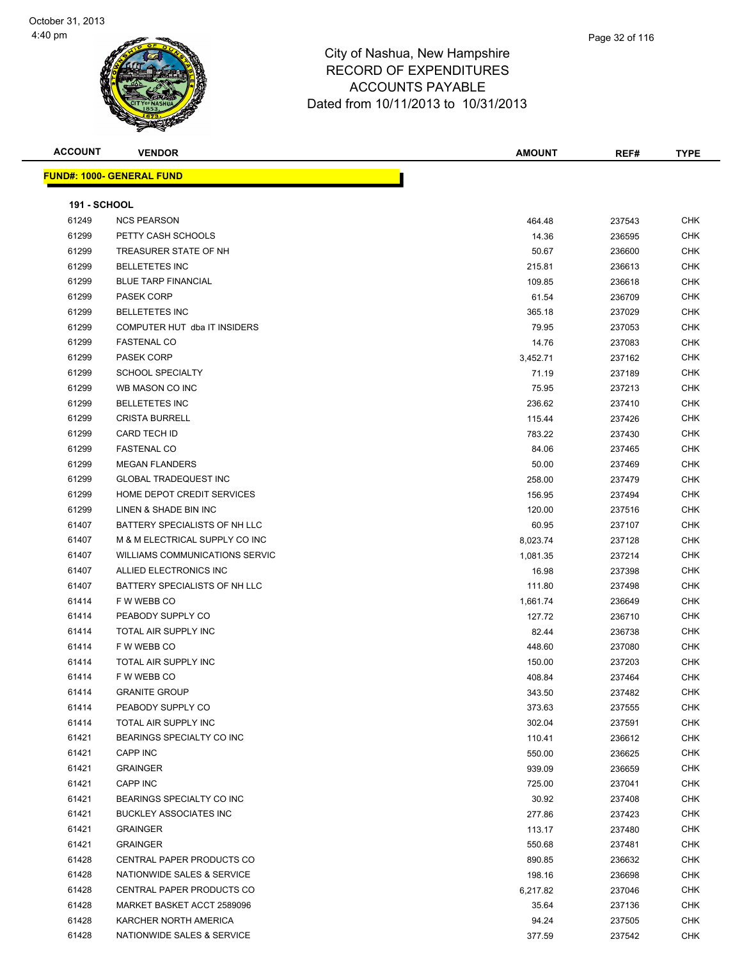

| <b>ACCOUNT</b>      | <b>VENDOR</b>                    | <b>AMOUNT</b> | REF#   | <b>TYPE</b> |
|---------------------|----------------------------------|---------------|--------|-------------|
|                     | <b>FUND#: 1000- GENERAL FUND</b> |               |        |             |
|                     |                                  |               |        |             |
| <b>191 - SCHOOL</b> |                                  |               |        |             |
| 61249               | <b>NCS PEARSON</b>               | 464.48        | 237543 | CHK         |
| 61299               | PETTY CASH SCHOOLS               | 14.36         | 236595 | <b>CHK</b>  |
| 61299               | TREASURER STATE OF NH            | 50.67         | 236600 | <b>CHK</b>  |
| 61299               | <b>BELLETETES INC</b>            | 215.81        | 236613 | <b>CHK</b>  |
| 61299               | <b>BLUE TARP FINANCIAL</b>       | 109.85        | 236618 | <b>CHK</b>  |
| 61299               | <b>PASEK CORP</b>                | 61.54         | 236709 | <b>CHK</b>  |
| 61299               | <b>BELLETETES INC</b>            | 365.18        | 237029 | CHK         |
| 61299               | COMPUTER HUT dba IT INSIDERS     | 79.95         | 237053 | <b>CHK</b>  |
| 61299               | <b>FASTENAL CO</b>               | 14.76         | 237083 | <b>CHK</b>  |
| 61299               | <b>PASEK CORP</b>                | 3,452.71      | 237162 | CHK         |
| 61299               | <b>SCHOOL SPECIALTY</b>          | 71.19         | 237189 | <b>CHK</b>  |
| 61299               | WB MASON CO INC                  | 75.95         | 237213 | <b>CHK</b>  |
| 61299               | <b>BELLETETES INC</b>            | 236.62        | 237410 | <b>CHK</b>  |
| 61299               | <b>CRISTA BURRELL</b>            | 115.44        | 237426 | <b>CHK</b>  |
| 61299               | <b>CARD TECH ID</b>              | 783.22        | 237430 | <b>CHK</b>  |
| 61299               | <b>FASTENAL CO</b>               | 84.06         | 237465 | <b>CHK</b>  |
| 61299               | <b>MEGAN FLANDERS</b>            | 50.00         | 237469 | CHK         |
| 61299               | <b>GLOBAL TRADEQUEST INC</b>     | 258.00        | 237479 | <b>CHK</b>  |
| 61299               | HOME DEPOT CREDIT SERVICES       | 156.95        | 237494 | <b>CHK</b>  |
| 61299               | LINEN & SHADE BIN INC            | 120.00        | 237516 | CHK         |
| 61407               | BATTERY SPECIALISTS OF NH LLC    | 60.95         | 237107 | CHK         |
| 61407               | M & M ELECTRICAL SUPPLY CO INC   | 8,023.74      | 237128 | <b>CHK</b>  |
| 61407               | WILLIAMS COMMUNICATIONS SERVIC   | 1,081.35      | 237214 | <b>CHK</b>  |
| 61407               | ALLIED ELECTRONICS INC           | 16.98         | 237398 | <b>CHK</b>  |
| 61407               | BATTERY SPECIALISTS OF NH LLC    | 111.80        | 237498 | <b>CHK</b>  |
| 61414               | F W WEBB CO                      | 1,661.74      | 236649 | <b>CHK</b>  |
| 61414               | PEABODY SUPPLY CO                | 127.72        | 236710 | CHK         |
| 61414               | TOTAL AIR SUPPLY INC             | 82.44         | 236738 | <b>CHK</b>  |
| 61414               | F W WEBB CO                      | 448.60        | 237080 | CHK         |
| 61414               | TOTAL AIR SUPPLY INC             | 150.00        | 237203 | CHK         |
| 61414               | F W WEBB CO                      | 408.84        | 237464 | CHK         |
| 61414               | <b>GRANITE GROUP</b>             | 343.50        |        | CHK         |
| 61414               | PEABODY SUPPLY CO                |               | 237482 |             |
|                     |                                  | 373.63        | 237555 | CHK         |
| 61414               | TOTAL AIR SUPPLY INC             | 302.04        | 237591 | <b>CHK</b>  |
| 61421               | BEARINGS SPECIALTY CO INC        | 110.41        | 236612 | <b>CHK</b>  |
| 61421               | CAPP INC                         | 550.00        | 236625 | <b>CHK</b>  |
| 61421               | <b>GRAINGER</b>                  | 939.09        | 236659 | CHK         |
| 61421               | <b>CAPP INC</b>                  | 725.00        | 237041 | <b>CHK</b>  |
| 61421               | BEARINGS SPECIALTY CO INC        | 30.92         | 237408 | CHK         |
| 61421               | <b>BUCKLEY ASSOCIATES INC</b>    | 277.86        | 237423 | <b>CHK</b>  |
| 61421               | <b>GRAINGER</b>                  | 113.17        | 237480 | <b>CHK</b>  |
| 61421               | <b>GRAINGER</b>                  | 550.68        | 237481 | <b>CHK</b>  |
| 61428               | CENTRAL PAPER PRODUCTS CO        | 890.85        | 236632 | CHK         |
| 61428               | NATIONWIDE SALES & SERVICE       | 198.16        | 236698 | CHK         |
| 61428               | CENTRAL PAPER PRODUCTS CO        | 6,217.82      | 237046 | CHK         |
| 61428               | MARKET BASKET ACCT 2589096       | 35.64         | 237136 | <b>CHK</b>  |
| 61428               | KARCHER NORTH AMERICA            | 94.24         | 237505 | <b>CHK</b>  |
| 61428               | NATIONWIDE SALES & SERVICE       | 377.59        | 237542 | <b>CHK</b>  |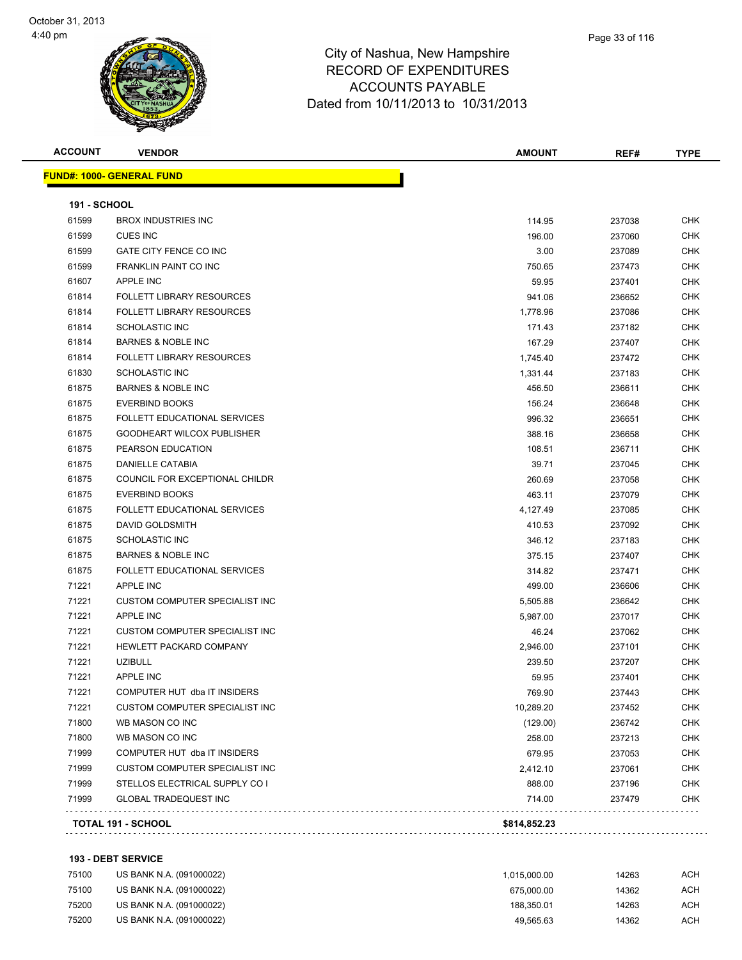

| <b>ACCOUNT</b>      | <b>VENDOR</b>                     | <b>AMOUNT</b> | REF#   | <b>TYPE</b> |
|---------------------|-----------------------------------|---------------|--------|-------------|
|                     | <u> FUND#: 1000- GENERAL FUND</u> |               |        |             |
| <b>191 - SCHOOL</b> |                                   |               |        |             |
| 61599               | <b>BROX INDUSTRIES INC</b>        | 114.95        | 237038 | <b>CHK</b>  |
| 61599               | <b>CUES INC</b>                   | 196.00        | 237060 | <b>CHK</b>  |
| 61599               | GATE CITY FENCE CO INC            | 3.00          | 237089 | CHK         |
| 61599               | FRANKLIN PAINT CO INC             | 750.65        | 237473 | <b>CHK</b>  |
| 61607               | APPLE INC                         | 59.95         | 237401 | CHK         |
| 61814               | <b>FOLLETT LIBRARY RESOURCES</b>  | 941.06        | 236652 | CHK         |
| 61814               | <b>FOLLETT LIBRARY RESOURCES</b>  | 1,778.96      | 237086 | <b>CHK</b>  |
| 61814               | SCHOLASTIC INC                    | 171.43        | 237182 | CHK         |
| 61814               | <b>BARNES &amp; NOBLE INC</b>     | 167.29        | 237407 | <b>CHK</b>  |
| 61814               | <b>FOLLETT LIBRARY RESOURCES</b>  | 1,745.40      | 237472 | <b>CHK</b>  |
| 61830               | SCHOLASTIC INC                    | 1,331.44      | 237183 | CHK         |
| 61875               | <b>BARNES &amp; NOBLE INC</b>     | 456.50        | 236611 | CHK         |
| 61875               | <b>EVERBIND BOOKS</b>             | 156.24        | 236648 | <b>CHK</b>  |
| 61875               | FOLLETT EDUCATIONAL SERVICES      | 996.32        | 236651 | <b>CHK</b>  |
| 61875               | GOODHEART WILCOX PUBLISHER        | 388.16        | 236658 | <b>CHK</b>  |
| 61875               | PEARSON EDUCATION                 | 108.51        | 236711 | CHK         |
| 61875               | <b>DANIELLE CATABIA</b>           | 39.71         | 237045 | CHK         |
| 61875               | COUNCIL FOR EXCEPTIONAL CHILDR    | 260.69        | 237058 | <b>CHK</b>  |
| 61875               | <b>EVERBIND BOOKS</b>             | 463.11        | 237079 | CHK         |
| 61875               | FOLLETT EDUCATIONAL SERVICES      | 4,127.49      | 237085 | <b>CHK</b>  |
| 61875               | DAVID GOLDSMITH                   | 410.53        | 237092 | CHK         |
| 61875               | <b>SCHOLASTIC INC</b>             | 346.12        | 237183 | CHK         |
| 61875               | <b>BARNES &amp; NOBLE INC</b>     | 375.15        | 237407 | CHK         |
| 61875               | FOLLETT EDUCATIONAL SERVICES      | 314.82        | 237471 | <b>CHK</b>  |
| 71221               | APPLE INC                         | 499.00        | 236606 | CHK         |
| 71221               | CUSTOM COMPUTER SPECIALIST INC    | 5,505.88      | 236642 | <b>CHK</b>  |
| 71221               | <b>APPLE INC</b>                  | 5,987.00      | 237017 | <b>CHK</b>  |
| 71221               | CUSTOM COMPUTER SPECIALIST INC    | 46.24         | 237062 | CHK         |
| 71221               | <b>HEWLETT PACKARD COMPANY</b>    | 2,946.00      | 237101 | <b>CHK</b>  |
| 71221               | <b>UZIBULL</b>                    | 239.50        | 237207 | CHK         |
| 71221               | <b>APPLE INC</b>                  | 59.95         | 237401 | <b>CHK</b>  |
| 71221               | COMPUTER HUT dba IT INSIDERS      | 769.90        | 237443 | <b>CHK</b>  |
| 71221               | CUSTOM COMPUTER SPECIALIST INC    | 10,289.20     | 237452 | CHK         |
| 71800               | WB MASON CO INC                   | (129.00)      | 236742 | <b>CHK</b>  |
| 71800               | WB MASON CO INC                   | 258.00        | 237213 | <b>CHK</b>  |
| 71999               | COMPUTER HUT dba IT INSIDERS      | 679.95        | 237053 | <b>CHK</b>  |
| 71999               | CUSTOM COMPUTER SPECIALIST INC    | 2,412.10      | 237061 | <b>CHK</b>  |
| 71999               | STELLOS ELECTRICAL SUPPLY CO I    | 888.00        | 237196 | <b>CHK</b>  |
| 71999               | <b>GLOBAL TRADEQUEST INC</b>      | 714.00        | 237479 | <b>CHK</b>  |

#### **193 - DEBT SERVICE**

| 75100 | US BANK N.A. (091000022) | 1.015.000.00 | 14263 | ACH |
|-------|--------------------------|--------------|-------|-----|
| 75100 | US BANK N.A. (091000022) | 675.000.00   | 14362 | ACH |
| 75200 | US BANK N.A. (091000022) | 188.350.01   | 14263 | ACH |
| 75200 | US BANK N.A. (091000022) | 49.565.63    | 14362 | ACH |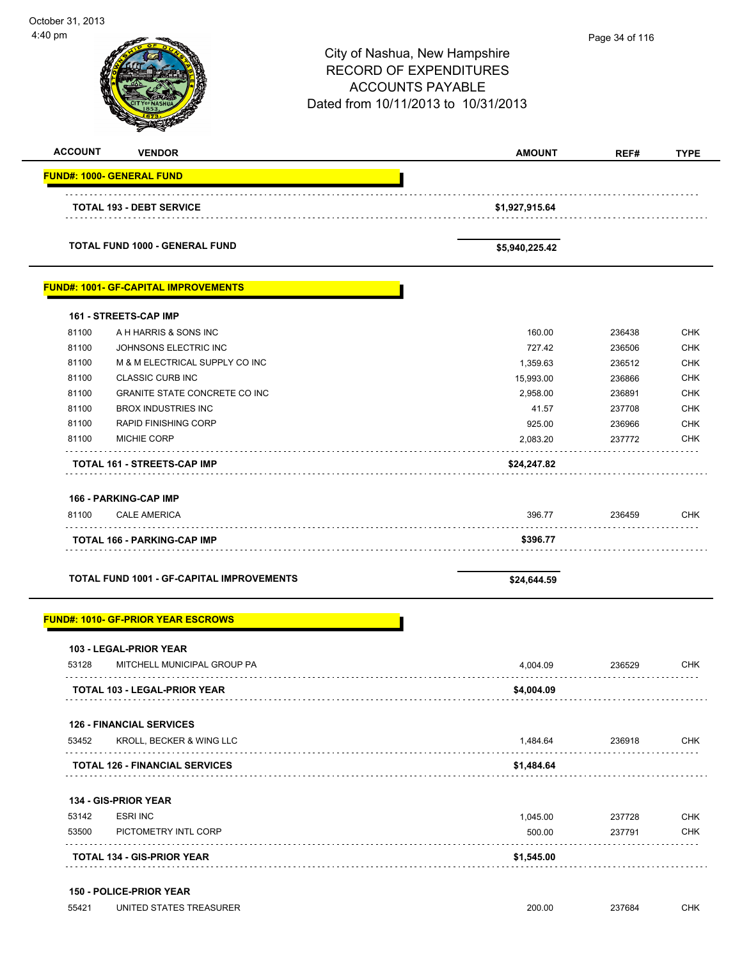| October 31, 2013<br>4:40 pm              |                                                  | City of Nashua, New Hampshire<br><b>RECORD OF EXPENDITURES</b><br><b>ACCOUNTS PAYABLE</b><br>Dated from 10/11/2013 to 10/31/2013 | Page 34 of 116 |             |
|------------------------------------------|--------------------------------------------------|----------------------------------------------------------------------------------------------------------------------------------|----------------|-------------|
| <b>ACCOUNT</b>                           | <b>VENDOR</b>                                    | <b>AMOUNT</b>                                                                                                                    | REF#           | <b>TYPE</b> |
| <b>FUND#: 1000- GENERAL FUND</b>         |                                                  |                                                                                                                                  |                |             |
|                                          | <b>TOTAL 193 - DEBT SERVICE</b>                  | \$1,927,915.64                                                                                                                   |                |             |
|                                          | TOTAL FUND 1000 - GENERAL FUND                   | \$5,940,225.42                                                                                                                   |                |             |
|                                          | <b>FUND#: 1001- GF-CAPITAL IMPROVEMENTS</b>      |                                                                                                                                  |                |             |
| 161 - STREETS-CAP IMP                    |                                                  |                                                                                                                                  |                |             |
| 81100                                    | A H HARRIS & SONS INC                            | 160.00                                                                                                                           | 236438         | <b>CHK</b>  |
| 81100                                    | JOHNSONS ELECTRIC INC                            | 727.42                                                                                                                           | 236506         | <b>CHK</b>  |
| 81100                                    | M & M ELECTRICAL SUPPLY CO INC                   | 1,359.63                                                                                                                         | 236512         | <b>CHK</b>  |
| 81100                                    | <b>CLASSIC CURB INC</b>                          | 15,993.00                                                                                                                        | 236866         | <b>CHK</b>  |
| 81100                                    | GRANITE STATE CONCRETE CO INC                    | 2,958.00                                                                                                                         | 236891         | <b>CHK</b>  |
| 81100                                    | <b>BROX INDUSTRIES INC</b>                       | 41.57                                                                                                                            | 237708         | <b>CHK</b>  |
| 81100                                    | <b>RAPID FINISHING CORP</b>                      | 925.00                                                                                                                           | 236966         | <b>CHK</b>  |
| 81100                                    | <b>MICHIE CORP</b>                               | 2,083.20                                                                                                                         | 237772         | <b>CHK</b>  |
|                                          | TOTAL 161 - STREETS-CAP IMP                      | \$24,247.82                                                                                                                      |                |             |
| 166 - PARKING-CAP IMP<br>81100           | <b>CALE AMERICA</b>                              | 396.77                                                                                                                           | 236459         | CHK         |
|                                          | <b>TOTAL 166 - PARKING-CAP IMP</b>               | \$396.77                                                                                                                         |                |             |
|                                          | <b>TOTAL FUND 1001 - GF-CAPITAL IMPROVEMENTS</b> | \$24,644.59                                                                                                                      |                |             |
|                                          | <b>FUND#: 1010- GF-PRIOR YEAR ESCROWS</b>        |                                                                                                                                  |                |             |
| <b>103 - LEGAL-PRIOR YEAR</b><br>53128   | MITCHELL MUNICIPAL GROUP PA                      | 4,004.09                                                                                                                         | 236529         | <b>CHK</b>  |
|                                          | TOTAL 103 - LEGAL-PRIOR YEAR                     | \$4,004.09                                                                                                                       |                |             |
|                                          |                                                  |                                                                                                                                  |                |             |
| <b>126 - FINANCIAL SERVICES</b><br>53452 | KROLL, BECKER & WING LLC                         | 1,484.64                                                                                                                         | 236918         | <b>CHK</b>  |
|                                          | <b>TOTAL 126 - FINANCIAL SERVICES</b>            | \$1,484.64                                                                                                                       |                |             |
| 134 - GIS-PRIOR YEAR                     |                                                  |                                                                                                                                  |                |             |
| <b>ESRI INC</b><br>53142                 |                                                  | 1,045.00                                                                                                                         | 237728         | <b>CHK</b>  |
| 53500                                    | PICTOMETRY INTL CORP                             | 500.00                                                                                                                           | 237791         | <b>CHK</b>  |
|                                          | TOTAL 134 - GIS-PRIOR YEAR                       | \$1,545.00                                                                                                                       |                |             |
|                                          |                                                  |                                                                                                                                  |                |             |
| <b>150 - POLICE-PRIOR YEAR</b><br>55421  | UNITED STATES TREASURER                          | 200.00                                                                                                                           | 237684         | <b>CHK</b>  |
|                                          |                                                  |                                                                                                                                  |                |             |

-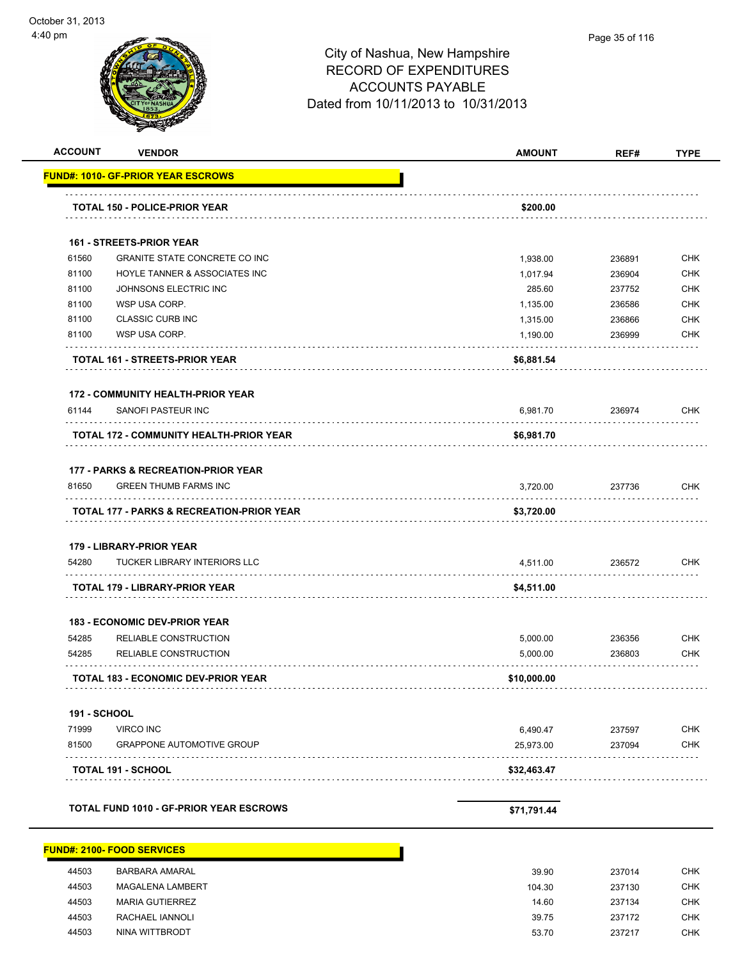|                     | <b>FUND#: 1010- GF-PRIOR YEAR ESCROWS</b>      |             |        |            |
|---------------------|------------------------------------------------|-------------|--------|------------|
|                     |                                                |             |        |            |
|                     | <b>TOTAL 150 - POLICE-PRIOR YEAR</b>           | \$200.00    |        |            |
|                     |                                                |             |        |            |
|                     | <b>161 - STREETS-PRIOR YEAR</b>                |             |        |            |
| 61560               | <b>GRANITE STATE CONCRETE CO INC</b>           | 1,938.00    | 236891 | <b>CHK</b> |
| 81100               | HOYLE TANNER & ASSOCIATES INC                  | 1,017.94    | 236904 | <b>CHK</b> |
| 81100               | JOHNSONS ELECTRIC INC                          | 285.60      | 237752 | <b>CHK</b> |
| 81100               | WSP USA CORP.                                  | 1,135.00    | 236586 | <b>CHK</b> |
| 81100               | <b>CLASSIC CURB INC</b>                        | 1,315.00    | 236866 | <b>CHK</b> |
| 81100               | WSP USA CORP.                                  | 1,190.00    | 236999 | <b>CHK</b> |
|                     | TOTAL 161 - STREETS-PRIOR YEAR                 | \$6,881.54  |        |            |
|                     | <b>172 - COMMUNITY HEALTH-PRIOR YEAR</b>       |             |        |            |
| 61144               | SANOFI PASTEUR INC<br>.                        | 6,981.70    | 236974 | CHK        |
|                     | <b>TOTAL 172 - COMMUNITY HEALTH-PRIOR YEAR</b> | \$6,981.70  |        |            |
|                     | <b>177 - PARKS &amp; RECREATION-PRIOR YEAR</b> |             |        |            |
| 81650               | <b>GREEN THUMB FARMS INC</b>                   | 3,720.00    | 237736 | <b>CHK</b> |
|                     | TOTAL 177 - PARKS & RECREATION-PRIOR YEAR      | \$3,720.00  |        |            |
|                     | 179 - LIBRARY-PRIOR YEAR                       |             |        |            |
| 54280               | TUCKER LIBRARY INTERIORS LLC                   | 4,511.00    | 236572 | <b>CHK</b> |
|                     | TOTAL 179 - LIBRARY-PRIOR YEAR                 | \$4,511.00  |        |            |
|                     | <b>183 - ECONOMIC DEV-PRIOR YEAR</b>           |             |        |            |
| 54285               | RELIABLE CONSTRUCTION                          | 5,000.00    | 236356 | <b>CHK</b> |
| 54285               | RELIABLE CONSTRUCTION                          | 5,000.00    | 236803 | CHK        |
|                     | <b>TOTAL 183 - ECONOMIC DEV-PRIOR YEAR</b>     | \$10,000.00 |        |            |
| <b>191 - SCHOOL</b> |                                                |             |        |            |
| 71999               | <b>VIRCO INC</b>                               | 6,490.47    | 237597 | <b>CHK</b> |
| 81500               | <b>GRAPPONE AUTOMOTIVE GROUP</b>               | 25,973.00   | 237094 | CHK        |
|                     | TOTAL 191 - SCHOOL                             | \$32,463.47 |        |            |
|                     | <b>TOTAL FUND 1010 - GF-PRIOR YEAR ESCROWS</b> | \$71,791.44 |        |            |
|                     |                                                |             |        |            |
|                     | <b>FUND#: 2100- FOOD SERVICES</b>              |             |        |            |

| 44503 | BARBARA AMARAL          | 39.90  | 237014 | <b>CHK</b> |
|-------|-------------------------|--------|--------|------------|
| 44503 | <b>MAGALENA LAMBERT</b> | 104.30 | 237130 | <b>CHK</b> |
| 44503 | <b>MARIA GUTIERREZ</b>  | 14.60  | 237134 | CHK        |
| 44503 | RACHAEL IANNOLI         | 39.75  | 237172 | CHK        |
| 44503 | NINA WITTBRODT          | 53.70  | 237217 | <b>CHK</b> |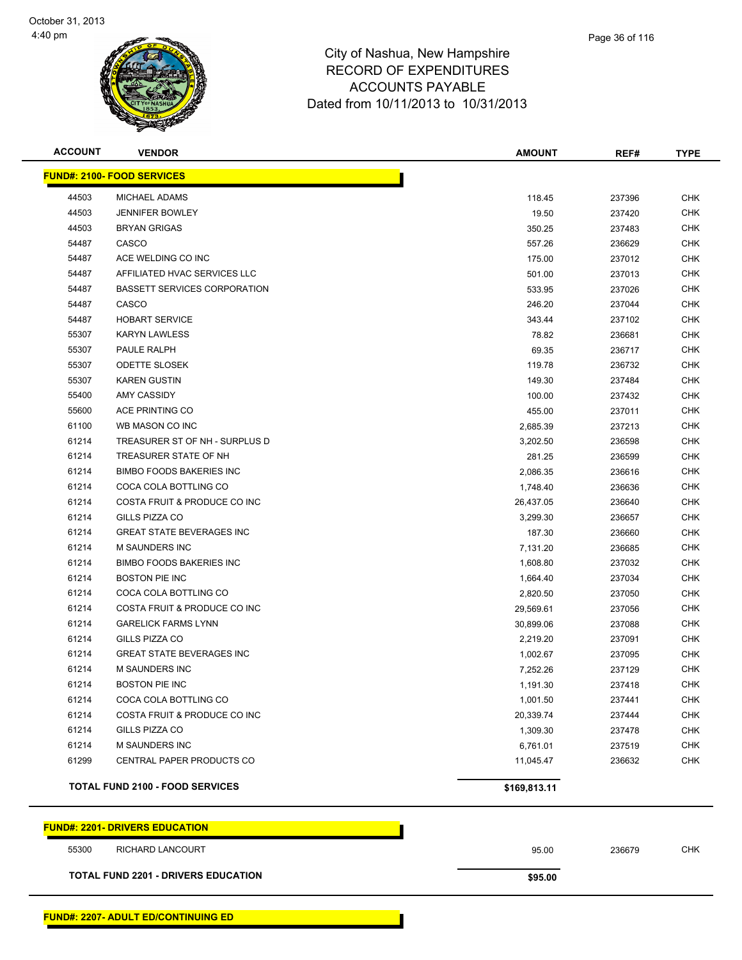

| <b>ACCOUNT</b>                             | <b>VENDOR</b>                          | <b>AMOUNT</b> | REF#   | <b>TYPE</b> |
|--------------------------------------------|----------------------------------------|---------------|--------|-------------|
|                                            | <b>FUND#: 2100- FOOD SERVICES</b>      |               |        |             |
| 44503                                      | MICHAEL ADAMS                          | 118.45        | 237396 | <b>CHK</b>  |
| 44503                                      | <b>JENNIFER BOWLEY</b>                 | 19.50         | 237420 | <b>CHK</b>  |
| 44503                                      | <b>BRYAN GRIGAS</b>                    | 350.25        | 237483 | <b>CHK</b>  |
| 54487                                      | CASCO                                  | 557.26        | 236629 | <b>CHK</b>  |
| 54487                                      | ACE WELDING CO INC                     | 175.00        | 237012 | <b>CHK</b>  |
| 54487                                      | AFFILIATED HVAC SERVICES LLC           | 501.00        | 237013 | <b>CHK</b>  |
| 54487                                      | <b>BASSETT SERVICES CORPORATION</b>    | 533.95        | 237026 | <b>CHK</b>  |
| 54487                                      | CASCO                                  | 246.20        | 237044 | <b>CHK</b>  |
| 54487                                      | <b>HOBART SERVICE</b>                  | 343.44        | 237102 | CHK         |
| 55307                                      | <b>KARYN LAWLESS</b>                   | 78.82         | 236681 | CHK         |
| 55307                                      | PAULE RALPH                            | 69.35         | 236717 | <b>CHK</b>  |
| 55307                                      | <b>ODETTE SLOSEK</b>                   | 119.78        | 236732 | CHK         |
| 55307                                      | <b>KAREN GUSTIN</b>                    | 149.30        | 237484 | <b>CHK</b>  |
| 55400                                      | AMY CASSIDY                            | 100.00        | 237432 | <b>CHK</b>  |
| 55600                                      | ACE PRINTING CO                        | 455.00        | 237011 | <b>CHK</b>  |
| 61100                                      | WB MASON CO INC                        | 2,685.39      | 237213 | <b>CHK</b>  |
| 61214                                      | TREASURER ST OF NH - SURPLUS D         | 3,202.50      | 236598 | <b>CHK</b>  |
| 61214                                      | TREASURER STATE OF NH                  | 281.25        | 236599 | <b>CHK</b>  |
| 61214                                      | <b>BIMBO FOODS BAKERIES INC</b>        | 2,086.35      | 236616 | <b>CHK</b>  |
| 61214                                      | COCA COLA BOTTLING CO                  | 1,748.40      | 236636 | <b>CHK</b>  |
| 61214                                      | COSTA FRUIT & PRODUCE CO INC           | 26,437.05     | 236640 | <b>CHK</b>  |
| 61214                                      | GILLS PIZZA CO                         | 3,299.30      | 236657 | <b>CHK</b>  |
| 61214                                      | <b>GREAT STATE BEVERAGES INC</b>       | 187.30        | 236660 | <b>CHK</b>  |
| 61214                                      | <b>M SAUNDERS INC</b>                  | 7,131.20      | 236685 | <b>CHK</b>  |
| 61214                                      | <b>BIMBO FOODS BAKERIES INC</b>        | 1,608.80      | 237032 | <b>CHK</b>  |
| 61214                                      | <b>BOSTON PIE INC</b>                  | 1,664.40      | 237034 | <b>CHK</b>  |
| 61214                                      | COCA COLA BOTTLING CO                  | 2,820.50      | 237050 | <b>CHK</b>  |
| 61214                                      | COSTA FRUIT & PRODUCE CO INC           | 29,569.61     | 237056 | <b>CHK</b>  |
| 61214                                      | <b>GARELICK FARMS LYNN</b>             | 30,899.06     | 237088 | <b>CHK</b>  |
| 61214                                      | GILLS PIZZA CO                         | 2,219.20      | 237091 | <b>CHK</b>  |
| 61214                                      | <b>GREAT STATE BEVERAGES INC</b>       | 1,002.67      | 237095 | CHK         |
| 61214                                      | <b>M SAUNDERS INC</b>                  | 7,252.26      | 237129 | <b>CHK</b>  |
| 61214                                      | <b>BOSTON PIE INC</b>                  | 1,191.30      | 237418 | <b>CHK</b>  |
| 61214                                      | COCA COLA BOTTLING CO                  | 1,001.50      | 237441 | <b>CHK</b>  |
| 61214                                      | COSTA FRUIT & PRODUCE CO INC           | 20,339.74     | 237444 | <b>CHK</b>  |
| 61214                                      | GILLS PIZZA CO                         | 1,309.30      | 237478 | <b>CHK</b>  |
| 61214                                      | M SAUNDERS INC                         | 6,761.01      | 237519 | <b>CHK</b>  |
| 61299                                      | CENTRAL PAPER PRODUCTS CO              | 11,045.47     | 236632 | <b>CHK</b>  |
|                                            | <b>TOTAL FUND 2100 - FOOD SERVICES</b> | \$169,813.11  |        |             |
|                                            | <b>FUND#: 2201- DRIVERS EDUCATION</b>  |               |        |             |
| 55300                                      | RICHARD LANCOURT                       | 95.00         | 236679 | <b>CHK</b>  |
| <b>TOTAL FUND 2201 - DRIVERS EDUCATION</b> |                                        | \$95.00       |        |             |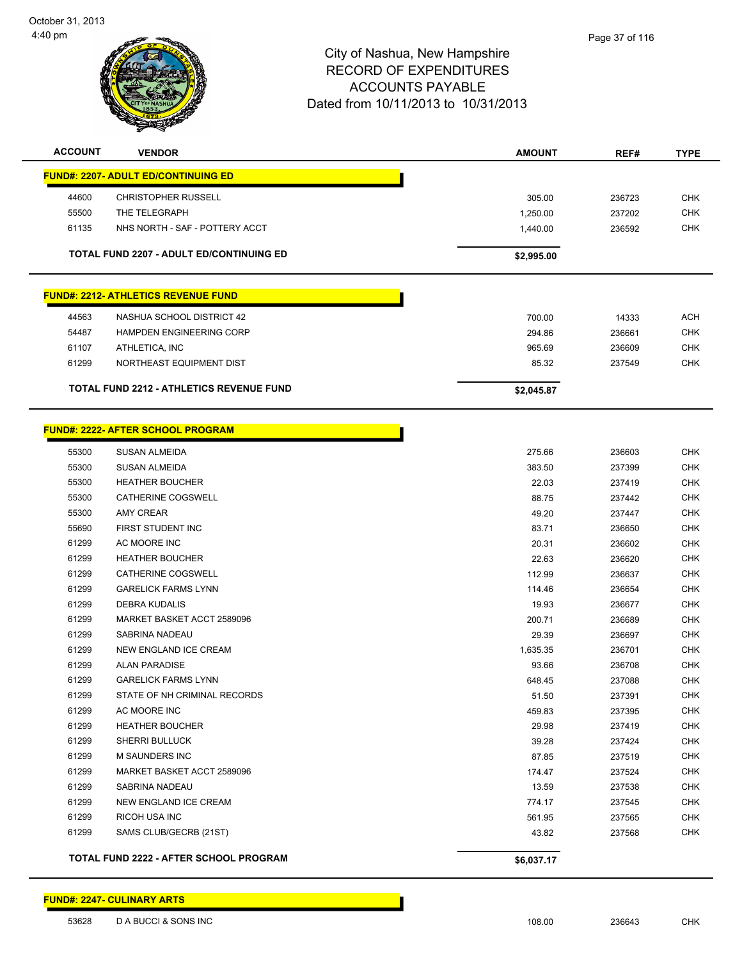

| <b>ACCOUNT</b> | <b>VENDOR</b>                                   | <b>AMOUNT</b> | REF#   | <b>TYPE</b> |
|----------------|-------------------------------------------------|---------------|--------|-------------|
|                | <b>FUND#: 2207- ADULT ED/CONTINUING ED</b>      |               |        |             |
| 44600          | <b>CHRISTOPHER RUSSELL</b>                      | 305.00        | 236723 | <b>CHK</b>  |
| 55500          | THE TELEGRAPH                                   | 1,250.00      | 237202 | <b>CHK</b>  |
| 61135          | NHS NORTH - SAF - POTTERY ACCT                  | 1,440.00      | 236592 | <b>CHK</b>  |
|                | <b>TOTAL FUND 2207 - ADULT ED/CONTINUING ED</b> | \$2,995.00    |        |             |
|                |                                                 |               |        |             |
|                | <b>FUND#: 2212- ATHLETICS REVENUE FUND</b>      |               |        |             |
| 44563          | NASHUA SCHOOL DISTRICT 42                       | 700.00        | 14333  | <b>ACH</b>  |
| 54487          | <b>HAMPDEN ENGINEERING CORP</b>                 | 294.86        | 236661 | <b>CHK</b>  |
| 61107          | ATHLETICA, INC                                  | 965.69        | 236609 | <b>CHK</b>  |
| 61299          | NORTHEAST EQUIPMENT DIST                        | 85.32         | 237549 | <b>CHK</b>  |
|                | <b>TOTAL FUND 2212 - ATHLETICS REVENUE FUND</b> | \$2,045.87    |        |             |
|                |                                                 |               |        |             |
|                | <b>FUND#: 2222- AFTER SCHOOL PROGRAM</b>        |               |        |             |
|                |                                                 |               |        |             |
| 55300          | SUSAN ALMEIDA                                   | 275.66        | 236603 | <b>CHK</b>  |
| 55300          | <b>SUSAN ALMEIDA</b>                            | 383.50        | 237399 | CHK         |
| 55300          | <b>HEATHER BOUCHER</b>                          | 22.03         | 237419 | <b>CHK</b>  |
| 55300          | CATHERINE COGSWELL                              | 88.75         | 237442 | <b>CHK</b>  |
| 55300          | <b>AMY CREAR</b>                                | 49.20         | 237447 | <b>CHK</b>  |
| 55690          | FIRST STUDENT INC                               | 83.71         | 236650 | <b>CHK</b>  |
| 61299          | AC MOORE INC                                    | 20.31         | 236602 | <b>CHK</b>  |
| 61299          | <b>HEATHER BOUCHER</b>                          | 22.63         | 236620 | <b>CHK</b>  |
| 61299          | CATHERINE COGSWELL                              | 112.99        | 236637 | <b>CHK</b>  |
| 61299          | <b>GARELICK FARMS LYNN</b>                      | 114.46        | 236654 | <b>CHK</b>  |
| 61299          | <b>DEBRA KUDALIS</b>                            | 19.93         | 236677 | <b>CHK</b>  |
| 61299          | MARKET BASKET ACCT 2589096                      | 200.71        | 236689 | <b>CHK</b>  |
| 61299          | SABRINA NADEAU                                  | 29.39         | 236697 | <b>CHK</b>  |
| 61299          | NEW ENGLAND ICE CREAM                           | 1,635.35      | 236701 | <b>CHK</b>  |
| 61299          | <b>ALAN PARADISE</b>                            | 93.66         | 236708 | <b>CHK</b>  |
| 61299          | <b>GARELICK FARMS LYNN</b>                      | 648.45        | 237088 | <b>CHK</b>  |
| 61299          | STATE OF NH CRIMINAL RECORDS                    | 51.50         | 237391 | <b>CHK</b>  |
| 61299          | AC MOORE INC                                    | 459.83        | 237395 | CHK         |
| 61299          | <b>HEATHER BOUCHER</b>                          | 29.98         | 237419 | <b>CHK</b>  |
| 61299          | <b>SHERRI BULLUCK</b>                           | 39.28         | 237424 | <b>CHK</b>  |
| 61299          | <b>M SAUNDERS INC</b>                           | 87.85         | 237519 | <b>CHK</b>  |
| 61299          | MARKET BASKET ACCT 2589096                      | 174.47        | 237524 | <b>CHK</b>  |
| 61299          | SABRINA NADEAU                                  | 13.59         | 237538 | <b>CHK</b>  |
| 61299          | NEW ENGLAND ICE CREAM                           | 774.17        | 237545 | <b>CHK</b>  |
| 61299          | RICOH USA INC                                   | 561.95        | 237565 | <b>CHK</b>  |
| 61299          | SAMS CLUB/GECRB (21ST)                          | 43.82         | 237568 | <b>CHK</b>  |
|                | <b>TOTAL FUND 2222 - AFTER SCHOOL PROGRAM</b>   | \$6,037.17    |        |             |

**FUND#: 2247- CULINARY ARTS**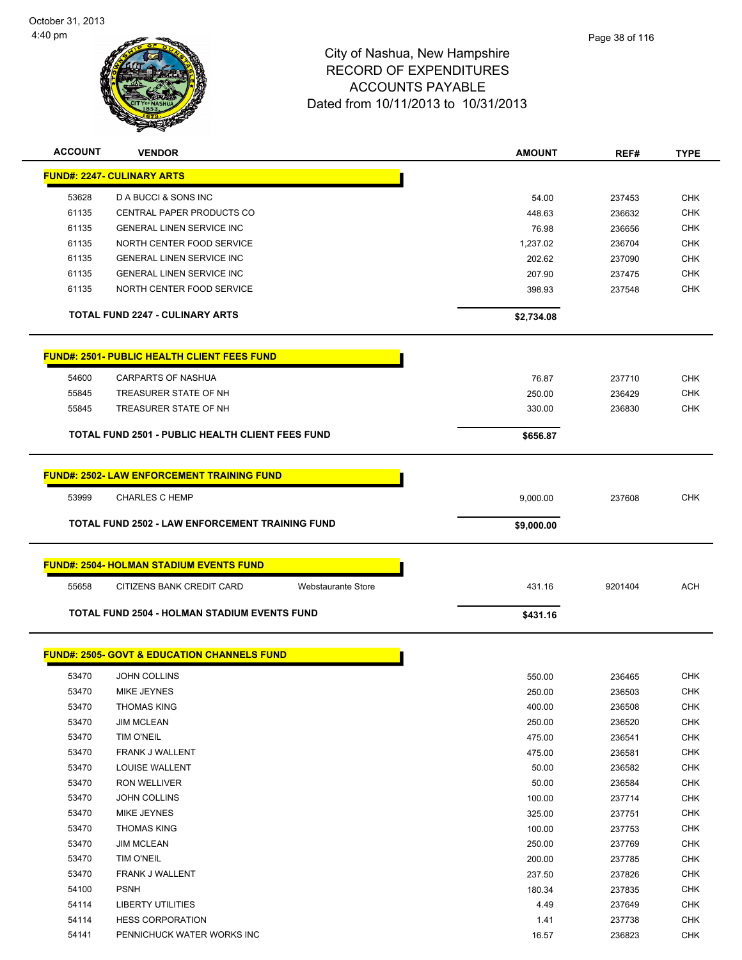

| <b>ACCOUNT</b> | <b>VENDOR</b>                                           | <b>AMOUNT</b> | REF#    | <b>TYPE</b> |
|----------------|---------------------------------------------------------|---------------|---------|-------------|
|                | <b>FUND#: 2247- CULINARY ARTS</b>                       |               |         |             |
| 53628          | D A BUCCI & SONS INC                                    | 54.00         | 237453  | <b>CHK</b>  |
| 61135          | <b>CENTRAL PAPER PRODUCTS CO</b>                        | 448.63        | 236632  | <b>CHK</b>  |
| 61135          | <b>GENERAL LINEN SERVICE INC</b>                        | 76.98         | 236656  | CHK         |
| 61135          | NORTH CENTER FOOD SERVICE                               | 1,237.02      | 236704  | <b>CHK</b>  |
| 61135          | <b>GENERAL LINEN SERVICE INC</b>                        | 202.62        | 237090  | <b>CHK</b>  |
| 61135          | <b>GENERAL LINEN SERVICE INC</b>                        | 207.90        | 237475  | CHK         |
| 61135          | NORTH CENTER FOOD SERVICE                               | 398.93        | 237548  | <b>CHK</b>  |
|                | <b>TOTAL FUND 2247 - CULINARY ARTS</b>                  | \$2,734.08    |         |             |
|                | <b>FUND#: 2501- PUBLIC HEALTH CLIENT FEES FUND</b>      |               |         |             |
| 54600          | <b>CARPARTS OF NASHUA</b>                               | 76.87         | 237710  | <b>CHK</b>  |
| 55845          | TREASURER STATE OF NH                                   | 250.00        | 236429  | <b>CHK</b>  |
| 55845          | TREASURER STATE OF NH                                   | 330.00        | 236830  | <b>CHK</b>  |
|                | <b>TOTAL FUND 2501 - PUBLIC HEALTH CLIENT FEES FUND</b> | \$656.87      |         |             |
|                | <b>FUND#: 2502- LAW ENFORCEMENT TRAINING FUND</b>       |               |         |             |
| 53999          | <b>CHARLES C HEMP</b>                                   | 9,000.00      | 237608  | <b>CHK</b>  |
|                | <b>TOTAL FUND 2502 - LAW ENFORCEMENT TRAINING FUND</b>  | \$9,000.00    |         |             |
|                |                                                         |               |         |             |
|                | <b>FUND#: 2504- HOLMAN STADIUM EVENTS FUND</b>          |               |         |             |
| 55658          | CITIZENS BANK CREDIT CARD<br><b>Webstaurante Store</b>  | 431.16        | 9201404 | <b>ACH</b>  |
|                | TOTAL FUND 2504 - HOLMAN STADIUM EVENTS FUND            | \$431.16      |         |             |
|                | <b>FUND#: 2505- GOVT &amp; EDUCATION CHANNELS FUND</b>  |               |         |             |
| 53470          | <b>JOHN COLLINS</b>                                     | 550.00        | 236465  | <b>CHK</b>  |
| 53470          | MIKE JEYNES                                             | 250.00        | 236503  | <b>CHK</b>  |
| 53470          | <b>THOMAS KING</b>                                      | 400.00        | 236508  | <b>CHK</b>  |
| 53470          | <b>JIM MCLEAN</b>                                       | 250.00        | 236520  | <b>CHK</b>  |
| 53470          | TIM O'NEIL                                              | 475.00        | 236541  | <b>CHK</b>  |
| 53470          | FRANK J WALLENT                                         | 475.00        | 236581  | <b>CHK</b>  |
| 53470          | LOUISE WALLENT                                          | 50.00         | 236582  | <b>CHK</b>  |
| 53470          | RON WELLIVER                                            | 50.00         | 236584  | <b>CHK</b>  |
| 53470          | JOHN COLLINS                                            | 100.00        | 237714  | <b>CHK</b>  |
| 53470          | MIKE JEYNES                                             | 325.00        | 237751  | <b>CHK</b>  |
| 53470          | <b>THOMAS KING</b>                                      | 100.00        | 237753  | <b>CHK</b>  |
| 53470          | <b>JIM MCLEAN</b>                                       | 250.00        | 237769  | <b>CHK</b>  |
| 53470          | TIM O'NEIL                                              | 200.00        | 237785  | <b>CHK</b>  |
| 53470          | FRANK J WALLENT                                         | 237.50        | 237826  | <b>CHK</b>  |
| 54100          | <b>PSNH</b>                                             | 180.34        | 237835  | <b>CHK</b>  |
| 54114          | <b>LIBERTY UTILITIES</b>                                | 4.49          | 237649  | <b>CHK</b>  |
| 54114          | <b>HESS CORPORATION</b>                                 | 1.41          | 237738  | <b>CHK</b>  |
| 54141          | PENNICHUCK WATER WORKS INC                              | 16.57         | 236823  | <b>CHK</b>  |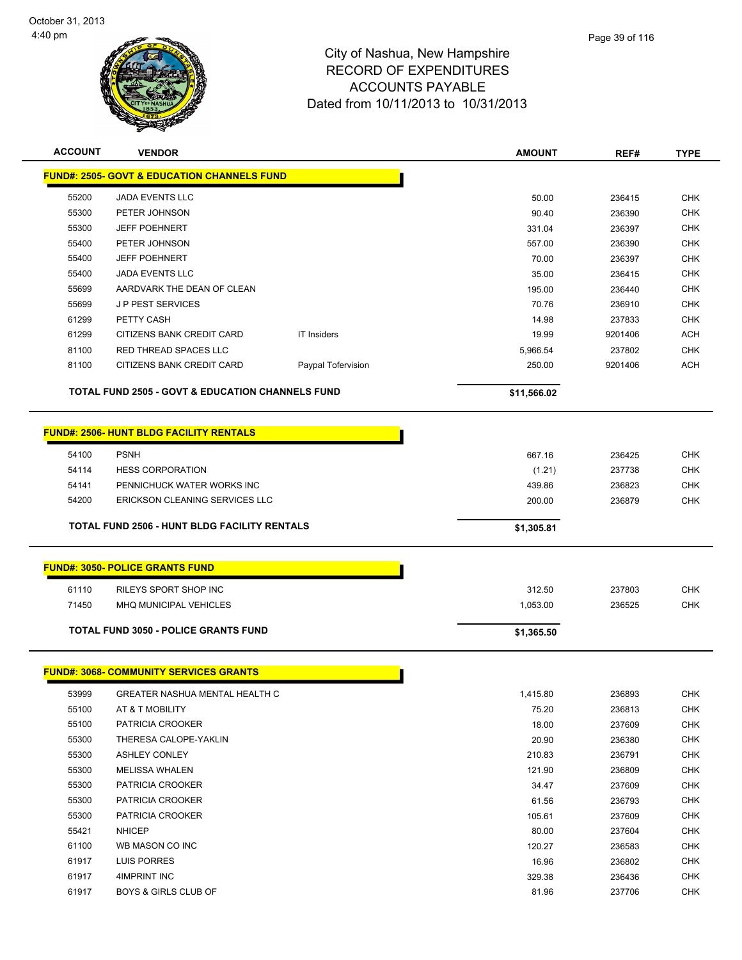

| <b>ACCOUNT</b> | <b>VENDOR</b>                                               |                    | <b>AMOUNT</b> | REF#    | <b>TYPE</b> |
|----------------|-------------------------------------------------------------|--------------------|---------------|---------|-------------|
|                | <b>FUND#: 2505- GOVT &amp; EDUCATION CHANNELS FUND</b>      |                    |               |         |             |
| 55200          | <b>JADA EVENTS LLC</b>                                      |                    | 50.00         | 236415  | <b>CHK</b>  |
| 55300          | PETER JOHNSON                                               |                    | 90.40         | 236390  | <b>CHK</b>  |
| 55300          | <b>JEFF POEHNERT</b>                                        |                    | 331.04        | 236397  | <b>CHK</b>  |
| 55400          | PETER JOHNSON                                               |                    | 557.00        | 236390  | <b>CHK</b>  |
| 55400          | <b>JEFF POEHNERT</b>                                        |                    | 70.00         | 236397  | <b>CHK</b>  |
| 55400          | <b>JADA EVENTS LLC</b>                                      |                    | 35.00         | 236415  | <b>CHK</b>  |
| 55699          | AARDVARK THE DEAN OF CLEAN                                  |                    | 195.00        | 236440  | <b>CHK</b>  |
| 55699          | <b>JP PEST SERVICES</b>                                     |                    | 70.76         | 236910  | <b>CHK</b>  |
| 61299          | PETTY CASH                                                  |                    | 14.98         | 237833  | <b>CHK</b>  |
| 61299          | CITIZENS BANK CREDIT CARD                                   | <b>IT Insiders</b> | 19.99         | 9201406 | <b>ACH</b>  |
| 81100          | <b>RED THREAD SPACES LLC</b>                                |                    | 5,966.54      | 237802  | <b>CHK</b>  |
| 81100          | CITIZENS BANK CREDIT CARD                                   | Paypal Tofervision | 250.00        | 9201406 | <b>ACH</b>  |
|                |                                                             |                    |               |         |             |
|                | <b>TOTAL FUND 2505 - GOVT &amp; EDUCATION CHANNELS FUND</b> |                    | \$11,566.02   |         |             |
|                |                                                             |                    |               |         |             |
|                | <b>FUND#: 2506- HUNT BLDG FACILITY RENTALS</b>              |                    |               |         |             |
| 54100          | <b>PSNH</b>                                                 |                    | 667.16        | 236425  | <b>CHK</b>  |
| 54114          | <b>HESS CORPORATION</b>                                     |                    | (1.21)        | 237738  | <b>CHK</b>  |
| 54141          | PENNICHUCK WATER WORKS INC                                  |                    | 439.86        | 236823  | <b>CHK</b>  |
| 54200          | ERICKSON CLEANING SERVICES LLC                              |                    | 200.00        | 236879  | <b>CHK</b>  |
|                | <b>TOTAL FUND 2506 - HUNT BLDG FACILITY RENTALS</b>         |                    | \$1,305.81    |         |             |
|                |                                                             |                    |               |         |             |
|                | <b>FUND#: 3050- POLICE GRANTS FUND</b>                      |                    |               |         |             |
| 61110          | RILEYS SPORT SHOP INC                                       |                    | 312.50        | 237803  | <b>CHK</b>  |
| 71450          | <b>MHQ MUNICIPAL VEHICLES</b>                               |                    | 1,053.00      | 236525  | <b>CHK</b>  |
|                |                                                             |                    |               |         |             |
|                | <b>TOTAL FUND 3050 - POLICE GRANTS FUND</b>                 |                    | \$1,365.50    |         |             |
|                |                                                             |                    |               |         |             |
|                | <b>FUND#: 3068- COMMUNITY SERVICES GRANTS</b>               |                    |               |         |             |
| 53999          | GREATER NASHUA MENTAL HEALTH C                              |                    | 1,415.80      | 236893  | CHK         |
| 55100          | AT & T MOBILITY                                             |                    | 75.20         | 236813  | <b>CHK</b>  |
| 55100          | PATRICIA CROOKER                                            |                    | 18.00         | 237609  | <b>CHK</b>  |
| 55300          | THERESA CALOPE-YAKLIN                                       |                    | 20.90         | 236380  | <b>CHK</b>  |
| 55300          | <b>ASHLEY CONLEY</b>                                        |                    | 210.83        | 236791  | <b>CHK</b>  |
| 55300          | <b>MELISSA WHALEN</b>                                       |                    | 121.90        | 236809  | <b>CHK</b>  |
| 55300          | PATRICIA CROOKER                                            |                    | 34.47         | 237609  | <b>CHK</b>  |
| 55300          | PATRICIA CROOKER                                            |                    | 61.56         | 236793  | <b>CHK</b>  |
| 55300          | PATRICIA CROOKER                                            |                    | 105.61        | 237609  | <b>CHK</b>  |
| 55421          | <b>NHICEP</b>                                               |                    | 80.00         | 237604  | <b>CHK</b>  |
| 61100          | WB MASON CO INC                                             |                    | 120.27        | 236583  | <b>CHK</b>  |
| 61917          | LUIS PORRES                                                 |                    | 16.96         | 236802  | <b>CHK</b>  |
| 61917          | 4IMPRINT INC                                                |                    | 329.38        | 236436  | <b>CHK</b>  |
| 61917          | <b>BOYS &amp; GIRLS CLUB OF</b>                             |                    | 81.96         | 237706  | <b>CHK</b>  |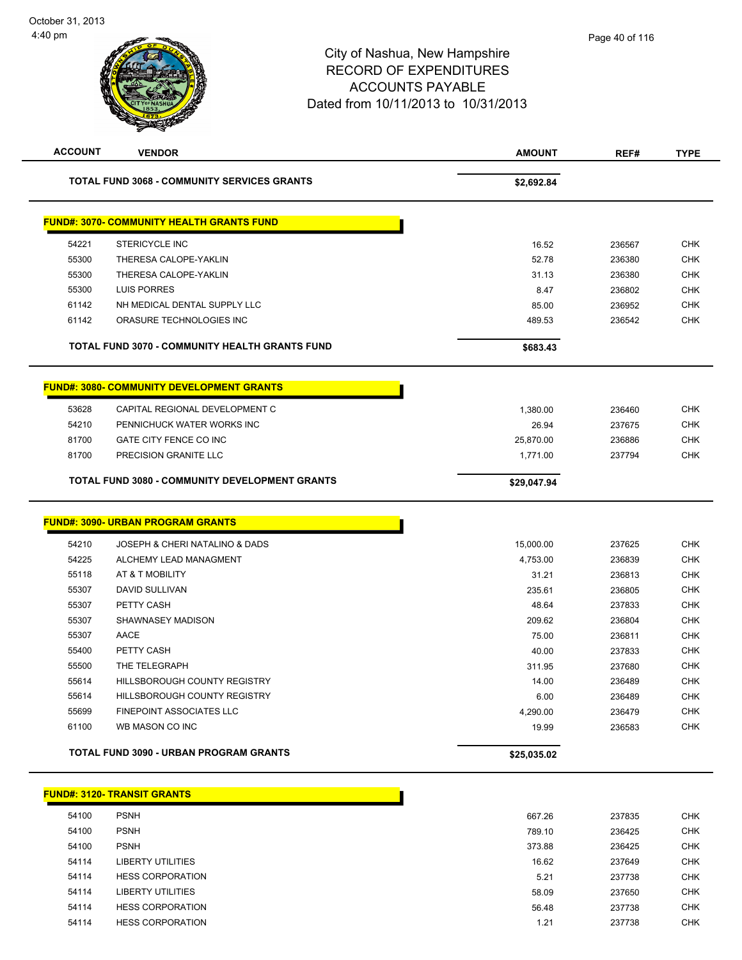$$29,047.94$ 

# City of Nashua, New Hampshire RECORD OF EXPENDITURES ACCOUNTS PAYABLE Dated from 10/11/2013 to 10/31/2013 **ACCOUNT VENDOR AMOUNT REF# TYPE TOTAL FUND 3068 - COMMUNITY SERVICES GRANTS \$2,692.84**

|       | <b>FUND#: 3070- COMMUNITY HEALTH GRANTS FUND</b>      |           |        |            |
|-------|-------------------------------------------------------|-----------|--------|------------|
| 54221 | <b>STERICYCLE INC</b>                                 | 16.52     | 236567 | <b>CHK</b> |
| 55300 | THERESA CALOPE-YAKLIN                                 | 52.78     | 236380 | <b>CHK</b> |
| 55300 | THERESA CALOPE-YAKLIN                                 | 31.13     | 236380 | <b>CHK</b> |
| 55300 | LUIS PORRES                                           | 8.47      | 236802 | <b>CHK</b> |
| 61142 | NH MEDICAL DENTAL SUPPLY LLC                          | 85.00     | 236952 | <b>CHK</b> |
| 61142 | ORASURE TECHNOLOGIES INC                              | 489.53    | 236542 | <b>CHK</b> |
|       |                                                       |           |        |            |
|       | <b>TOTAL FUND 3070 - COMMUNITY HEALTH GRANTS FUND</b> | \$683.43  |        |            |
|       | <b>FUND#: 3080- COMMUNITY DEVELOPMENT GRANTS</b>      |           |        |            |
| 53628 | CAPITAL REGIONAL DEVELOPMENT C                        | 1,380.00  | 236460 | <b>CHK</b> |
| 54210 | PENNICHUCK WATER WORKS INC                            | 26.94     | 237675 | <b>CHK</b> |
| 81700 | GATE CITY FENCE CO INC                                | 25,870.00 | 236886 | <b>CHK</b> |

| <b>TOTAL FUND 3080 - COMMUNITY DEVELOPMENT GRANTS</b> |  |
|-------------------------------------------------------|--|
|-------------------------------------------------------|--|

|       | <u> FUND#: 3090- URBAN PROGRAM GRANTS</u>     |             |        |            |
|-------|-----------------------------------------------|-------------|--------|------------|
| 54210 | JOSEPH & CHERI NATALINO & DADS                | 15,000.00   | 237625 | <b>CHK</b> |
| 54225 | ALCHEMY LEAD MANAGMENT                        | 4,753.00    | 236839 | <b>CHK</b> |
| 55118 | AT & T MOBILITY                               | 31.21       | 236813 | <b>CHK</b> |
| 55307 | DAVID SULLIVAN                                | 235.61      | 236805 | <b>CHK</b> |
| 55307 | PETTY CASH                                    | 48.64       | 237833 | <b>CHK</b> |
| 55307 | SHAWNASEY MADISON                             | 209.62      | 236804 | <b>CHK</b> |
| 55307 | AACE                                          | 75.00       | 236811 | <b>CHK</b> |
| 55400 | PETTY CASH                                    | 40.00       | 237833 | <b>CHK</b> |
| 55500 | THE TELEGRAPH                                 | 311.95      | 237680 | <b>CHK</b> |
| 55614 | <b>HILLSBOROUGH COUNTY REGISTRY</b>           | 14.00       | 236489 | <b>CHK</b> |
| 55614 | <b>HILLSBOROUGH COUNTY REGISTRY</b>           | 6.00        | 236489 | <b>CHK</b> |
| 55699 | <b>FINEPOINT ASSOCIATES LLC</b>               | 4,290.00    | 236479 | <b>CHK</b> |
| 61100 | WB MASON CO INC                               | 19.99       | 236583 | <b>CHK</b> |
|       | <b>TOTAL FUND 3090 - URBAN PROGRAM GRANTS</b> | \$25,035.02 |        |            |

|       | <b>FUND#: 3120- TRANSIT GRANTS</b> |        |        |            |
|-------|------------------------------------|--------|--------|------------|
| 54100 | <b>PSNH</b>                        | 667.26 | 237835 | <b>CHK</b> |
| 54100 | <b>PSNH</b>                        | 789.10 | 236425 | <b>CHK</b> |
| 54100 | <b>PSNH</b>                        | 373.88 | 236425 | <b>CHK</b> |
| 54114 | LIBERTY UTILITIES                  | 16.62  | 237649 | <b>CHK</b> |
| 54114 | <b>HESS CORPORATION</b>            | 5.21   | 237738 | <b>CHK</b> |
| 54114 | <b>LIBERTY UTILITIES</b>           | 58.09  | 237650 | <b>CHK</b> |
| 54114 | <b>HESS CORPORATION</b>            | 56.48  | 237738 | <b>CHK</b> |
| 54114 | <b>HESS CORPORATION</b>            | 1.21   | 237738 | <b>CHK</b> |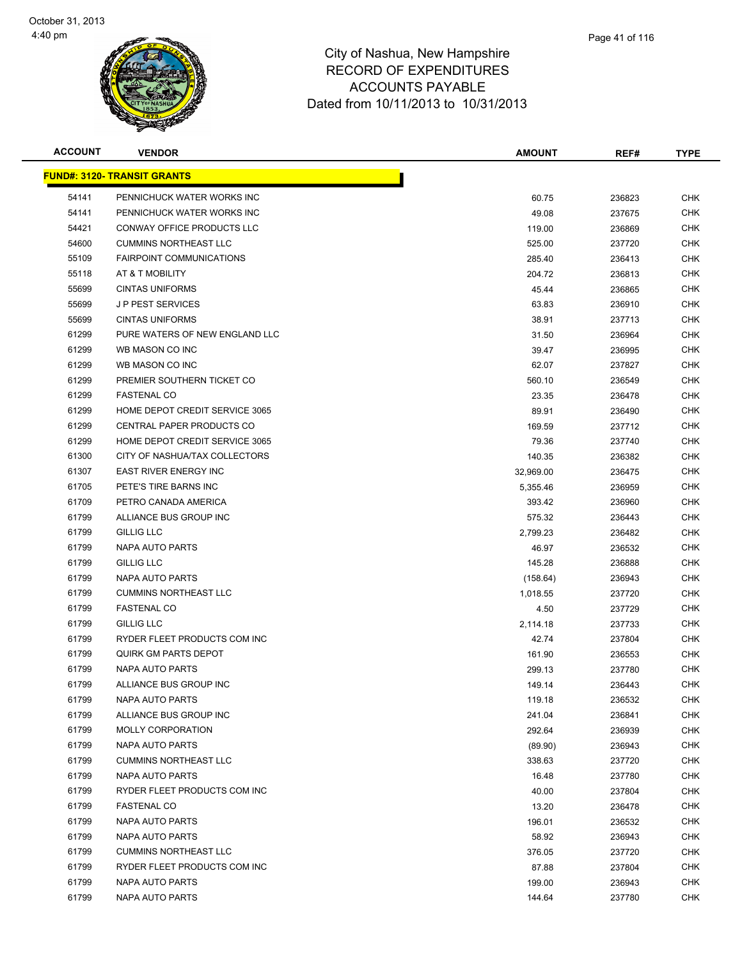

| <b>ACCOUNT</b> | <b>VENDOR</b>                       | <b>AMOUNT</b> | REF#   | <b>TYPE</b> |
|----------------|-------------------------------------|---------------|--------|-------------|
|                | <u> FUND#: 3120- TRANSIT GRANTS</u> |               |        |             |
| 54141          | PENNICHUCK WATER WORKS INC          | 60.75         | 236823 | <b>CHK</b>  |
| 54141          | PENNICHUCK WATER WORKS INC          | 49.08         | 237675 | <b>CHK</b>  |
| 54421          | CONWAY OFFICE PRODUCTS LLC          | 119.00        | 236869 | <b>CHK</b>  |
| 54600          | <b>CUMMINS NORTHEAST LLC</b>        | 525.00        | 237720 | <b>CHK</b>  |
| 55109          | <b>FAIRPOINT COMMUNICATIONS</b>     | 285.40        | 236413 | <b>CHK</b>  |
| 55118          | AT & T MOBILITY                     | 204.72        | 236813 | <b>CHK</b>  |
| 55699          | <b>CINTAS UNIFORMS</b>              | 45.44         | 236865 | <b>CHK</b>  |
| 55699          | <b>JP PEST SERVICES</b>             | 63.83         | 236910 | <b>CHK</b>  |
| 55699          | <b>CINTAS UNIFORMS</b>              | 38.91         | 237713 | <b>CHK</b>  |
| 61299          | PURE WATERS OF NEW ENGLAND LLC      | 31.50         | 236964 | CHK         |
| 61299          | WB MASON CO INC                     | 39.47         | 236995 | <b>CHK</b>  |
| 61299          | WB MASON CO INC                     | 62.07         | 237827 | <b>CHK</b>  |
| 61299          | PREMIER SOUTHERN TICKET CO          | 560.10        | 236549 | <b>CHK</b>  |
| 61299          | <b>FASTENAL CO</b>                  | 23.35         | 236478 | <b>CHK</b>  |
| 61299          | HOME DEPOT CREDIT SERVICE 3065      | 89.91         | 236490 | <b>CHK</b>  |
| 61299          | CENTRAL PAPER PRODUCTS CO           | 169.59        | 237712 | <b>CHK</b>  |
| 61299          | HOME DEPOT CREDIT SERVICE 3065      | 79.36         | 237740 | <b>CHK</b>  |
| 61300          | CITY OF NASHUA/TAX COLLECTORS       | 140.35        | 236382 | <b>CHK</b>  |
| 61307          | <b>EAST RIVER ENERGY INC</b>        | 32,969.00     | 236475 | <b>CHK</b>  |
| 61705          | PETE'S TIRE BARNS INC               | 5,355.46      | 236959 | <b>CHK</b>  |
| 61709          | PETRO CANADA AMERICA                | 393.42        | 236960 | <b>CHK</b>  |
| 61799          | ALLIANCE BUS GROUP INC              | 575.32        | 236443 | <b>CHK</b>  |
| 61799          | <b>GILLIG LLC</b>                   | 2,799.23      | 236482 | <b>CHK</b>  |
| 61799          | NAPA AUTO PARTS                     | 46.97         | 236532 | <b>CHK</b>  |
| 61799          | <b>GILLIG LLC</b>                   | 145.28        | 236888 | <b>CHK</b>  |
| 61799          | NAPA AUTO PARTS                     | (158.64)      | 236943 | <b>CHK</b>  |
| 61799          | <b>CUMMINS NORTHEAST LLC</b>        | 1,018.55      | 237720 | <b>CHK</b>  |
| 61799          | <b>FASTENAL CO</b>                  | 4.50          | 237729 | <b>CHK</b>  |
| 61799          | <b>GILLIG LLC</b>                   | 2,114.18      | 237733 | <b>CHK</b>  |
| 61799          | RYDER FLEET PRODUCTS COM INC        | 42.74         | 237804 | <b>CHK</b>  |
| 61799          | <b>QUIRK GM PARTS DEPOT</b>         | 161.90        | 236553 | <b>CHK</b>  |
| 61799          | <b>NAPA AUTO PARTS</b>              | 299.13        | 237780 | <b>CHK</b>  |
| 61799          | ALLIANCE BUS GROUP INC              | 149.14        | 236443 | <b>CHK</b>  |
| 61799          | NAPA AUTO PARTS                     | 119.18        | 236532 | <b>CHK</b>  |
| 61799          | ALLIANCE BUS GROUP INC              | 241.04        | 236841 | <b>CHK</b>  |
| 61799          | <b>MOLLY CORPORATION</b>            | 292.64        | 236939 | <b>CHK</b>  |
| 61799          | NAPA AUTO PARTS                     | (89.90)       | 236943 | <b>CHK</b>  |
| 61799          | <b>CUMMINS NORTHEAST LLC</b>        | 338.63        | 237720 | <b>CHK</b>  |
| 61799          | <b>NAPA AUTO PARTS</b>              | 16.48         | 237780 | <b>CHK</b>  |
| 61799          | RYDER FLEET PRODUCTS COM INC        | 40.00         | 237804 | <b>CHK</b>  |
| 61799          | <b>FASTENAL CO</b>                  | 13.20         | 236478 | <b>CHK</b>  |
| 61799          | <b>NAPA AUTO PARTS</b>              | 196.01        | 236532 | <b>CHK</b>  |
| 61799          | NAPA AUTO PARTS                     | 58.92         | 236943 | <b>CHK</b>  |
| 61799          | <b>CUMMINS NORTHEAST LLC</b>        | 376.05        | 237720 | <b>CHK</b>  |
| 61799          | RYDER FLEET PRODUCTS COM INC        | 87.88         | 237804 | CHK         |
| 61799          | NAPA AUTO PARTS                     | 199.00        | 236943 | CHK         |
| 61799          | NAPA AUTO PARTS                     | 144.64        | 237780 | <b>CHK</b>  |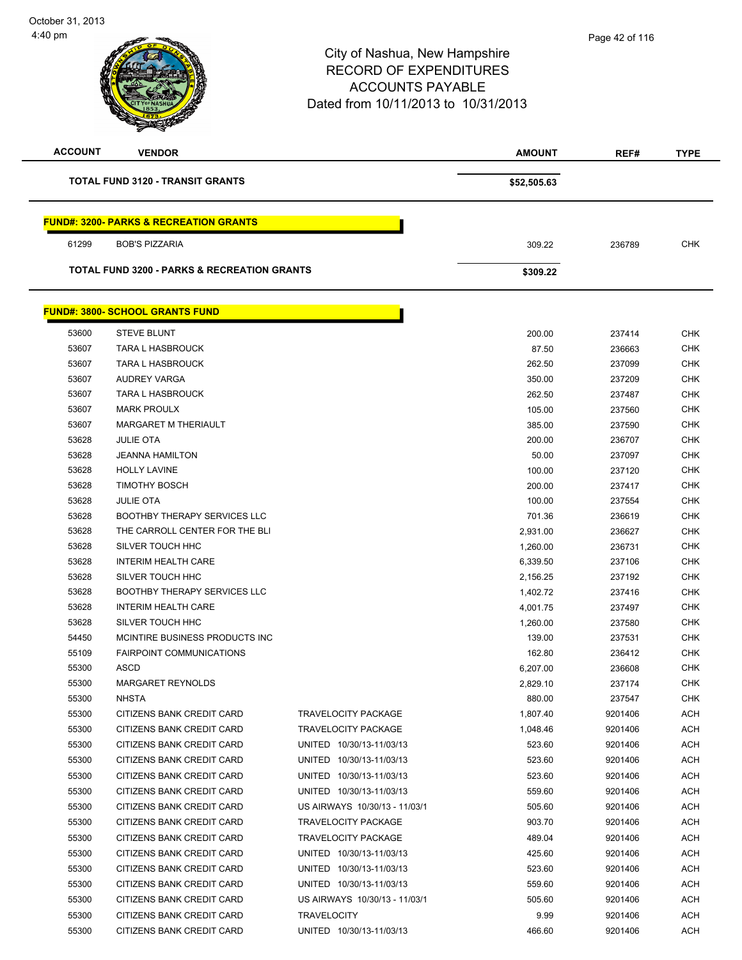**TOTAL FUND 3120 - TRANSIT GRANTS \$52,505.63** 

# City of Nashua, New Hampshire RECORD OF EXPENDITURES ACCOUNTS PAYABLE Dated from 10/11/2013 to 10/31/2013 **ACCOUNT VENDOR AMOUNT REF# TYPE**

Т

|  |  |  |  | <b>TOTAL FUND 3120 - TRANSIT GRANTS</b> |  |
|--|--|--|--|-----------------------------------------|--|
|--|--|--|--|-----------------------------------------|--|

#### **FUND#: 3200- PARKS & RECREATION GRANTS**

|       | <b>TOTAL FUND 3200 - PARKS &amp; RECREATION GRANTS</b> | \$309.22 |        |     |
|-------|--------------------------------------------------------|----------|--------|-----|
| 61299 | <b>BOB'S PIZZARIA</b>                                  | 309.22   | 236789 | СНК |

# **FUND#: 3800- SCHOOL GRANTS FUND**

|       | <u>UND#. 3000- SCHOOL GRANTS FUND</u> |                               |          |         |            |
|-------|---------------------------------------|-------------------------------|----------|---------|------------|
| 53600 | <b>STEVE BLUNT</b>                    |                               | 200.00   | 237414  | <b>CHK</b> |
| 53607 | <b>TARA L HASBROUCK</b>               |                               | 87.50    | 236663  | <b>CHK</b> |
| 53607 | <b>TARA L HASBROUCK</b>               |                               | 262.50   | 237099  | <b>CHK</b> |
| 53607 | <b>AUDREY VARGA</b>                   |                               | 350.00   | 237209  | <b>CHK</b> |
| 53607 | <b>TARA L HASBROUCK</b>               |                               | 262.50   | 237487  | <b>CHK</b> |
| 53607 | <b>MARK PROULX</b>                    |                               | 105.00   | 237560  | <b>CHK</b> |
| 53607 | <b>MARGARET M THERIAULT</b>           |                               | 385.00   | 237590  | <b>CHK</b> |
| 53628 | <b>JULIE OTA</b>                      |                               | 200.00   | 236707  | <b>CHK</b> |
| 53628 | <b>JEANNA HAMILTON</b>                |                               | 50.00    | 237097  | <b>CHK</b> |
| 53628 | <b>HOLLY LAVINE</b>                   |                               | 100.00   | 237120  | <b>CHK</b> |
| 53628 | <b>TIMOTHY BOSCH</b>                  |                               | 200.00   | 237417  | <b>CHK</b> |
| 53628 | <b>JULIE OTA</b>                      |                               | 100.00   | 237554  | <b>CHK</b> |
| 53628 | <b>BOOTHBY THERAPY SERVICES LLC</b>   |                               | 701.36   | 236619  | <b>CHK</b> |
| 53628 | THE CARROLL CENTER FOR THE BLI        |                               | 2,931.00 | 236627  | <b>CHK</b> |
| 53628 | SILVER TOUCH HHC                      |                               | 1,260.00 | 236731  | <b>CHK</b> |
| 53628 | <b>INTERIM HEALTH CARE</b>            |                               | 6,339.50 | 237106  | <b>CHK</b> |
| 53628 | SILVER TOUCH HHC                      |                               | 2,156.25 | 237192  | <b>CHK</b> |
| 53628 | <b>BOOTHBY THERAPY SERVICES LLC</b>   |                               | 1,402.72 | 237416  | <b>CHK</b> |
| 53628 | <b>INTERIM HEALTH CARE</b>            |                               | 4,001.75 | 237497  | <b>CHK</b> |
| 53628 | SILVER TOUCH HHC                      |                               | 1,260.00 | 237580  | <b>CHK</b> |
| 54450 | MCINTIRE BUSINESS PRODUCTS INC        |                               | 139.00   | 237531  | <b>CHK</b> |
| 55109 | FAIRPOINT COMMUNICATIONS              |                               | 162.80   | 236412  | <b>CHK</b> |
| 55300 | <b>ASCD</b>                           |                               | 6,207.00 | 236608  | <b>CHK</b> |
| 55300 | <b>MARGARET REYNOLDS</b>              |                               | 2,829.10 | 237174  | <b>CHK</b> |
| 55300 | <b>NHSTA</b>                          |                               | 880.00   | 237547  | <b>CHK</b> |
| 55300 | CITIZENS BANK CREDIT CARD             | <b>TRAVELOCITY PACKAGE</b>    | 1,807.40 | 9201406 | <b>ACH</b> |
| 55300 | CITIZENS BANK CREDIT CARD             | <b>TRAVELOCITY PACKAGE</b>    | 1,048.46 | 9201406 | <b>ACH</b> |
| 55300 | CITIZENS BANK CREDIT CARD             | UNITED 10/30/13-11/03/13      | 523.60   | 9201406 | <b>ACH</b> |
| 55300 | CITIZENS BANK CREDIT CARD             | UNITED 10/30/13-11/03/13      | 523.60   | 9201406 | <b>ACH</b> |
| 55300 | CITIZENS BANK CREDIT CARD             | UNITED 10/30/13-11/03/13      | 523.60   | 9201406 | <b>ACH</b> |
| 55300 | CITIZENS BANK CREDIT CARD             | UNITED 10/30/13-11/03/13      | 559.60   | 9201406 | <b>ACH</b> |
| 55300 | CITIZENS BANK CREDIT CARD             | US AIRWAYS 10/30/13 - 11/03/1 | 505.60   | 9201406 | <b>ACH</b> |
| 55300 | CITIZENS BANK CREDIT CARD             | <b>TRAVELOCITY PACKAGE</b>    | 903.70   | 9201406 | <b>ACH</b> |
| 55300 | CITIZENS BANK CREDIT CARD             | <b>TRAVELOCITY PACKAGE</b>    | 489.04   | 9201406 | <b>ACH</b> |
| 55300 | CITIZENS BANK CREDIT CARD             | UNITED 10/30/13-11/03/13      | 425.60   | 9201406 | <b>ACH</b> |
| 55300 | CITIZENS BANK CREDIT CARD             | UNITED 10/30/13-11/03/13      | 523.60   | 9201406 | <b>ACH</b> |
| 55300 | CITIZENS BANK CREDIT CARD             | UNITED 10/30/13-11/03/13      | 559.60   | 9201406 | <b>ACH</b> |
| 55300 | CITIZENS BANK CREDIT CARD             | US AIRWAYS 10/30/13 - 11/03/1 | 505.60   | 9201406 | <b>ACH</b> |
| 55300 | CITIZENS BANK CREDIT CARD             | <b>TRAVELOCITY</b>            | 9.99     | 9201406 | <b>ACH</b> |
| 55300 | CITIZENS BANK CREDIT CARD             | UNITED 10/30/13-11/03/13      | 466.60   | 9201406 | ACH        |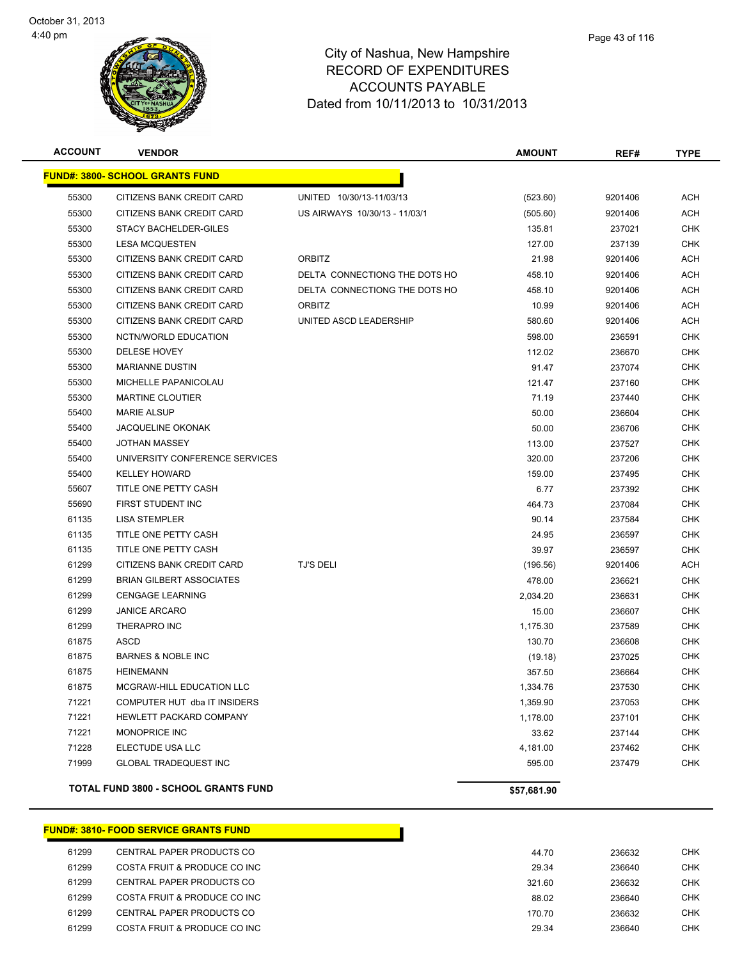**FUND#: 3** 



### City of Nashua, New Hampshire RECORD OF EXPENDITURES ACCOUNTS PAYABLE Dated from 10/11/2013 to 10/31/2013

| ACCOUNT | <b>VENDOR</b>                          |                               | <b>AMOUNT</b> | REF#    | <b>TYPE</b> |
|---------|----------------------------------------|-------------------------------|---------------|---------|-------------|
|         | <u> IND#: 3800- SCHOOL GRANTS FUND</u> |                               |               |         |             |
| 55300   | CITIZENS BANK CREDIT CARD              | UNITED 10/30/13-11/03/13      | (523.60)      | 9201406 | <b>ACH</b>  |
| 55300   | CITIZENS BANK CREDIT CARD              | US AIRWAYS 10/30/13 - 11/03/1 | (505.60)      | 9201406 | ACH         |
| 55300   | STACY BACHELDER-GILES                  |                               | 135.81        | 237021  | <b>CHK</b>  |
| 55300   | <b>LESA MCQUESTEN</b>                  |                               | 127.00        | 237139  | <b>CHK</b>  |
| 55300   | CITIZENS BANK CREDIT CARD              | <b>ORBITZ</b>                 | 21.98         | 9201406 | <b>ACH</b>  |
| 55300   | CITIZENS BANK CREDIT CARD              | DELTA CONNECTIONG THE DOTS HO | 458.10        | 9201406 | ACH         |
| 55300   | CITIZENS BANK CREDIT CARD              | DELTA CONNECTIONG THE DOTS HO | 458.10        | 9201406 | <b>ACH</b>  |
| 55300   | CITIZENS BANK CREDIT CARD              | <b>ORBITZ</b>                 | 10.99         | 9201406 | <b>ACH</b>  |
| 55300   | CITIZENS BANK CREDIT CARD              | UNITED ASCD LEADERSHIP        | 580.60        | 9201406 | <b>ACH</b>  |
| 55300   | NCTN/WORLD EDUCATION                   |                               | 598.00        | 236591  | CHK         |
| 55300   | DELESE HOVEY                           |                               | 112.02        | 236670  | <b>CHK</b>  |
| 55300   | <b>MARIANNE DUSTIN</b>                 |                               | 91.47         | 237074  | <b>CHK</b>  |
| 55300   | MICHELLE PAPANICOLAU                   |                               | 121.47        | 237160  | <b>CHK</b>  |
| 55300   | <b>MARTINE CLOUTIER</b>                |                               | 71.19         | 237440  | <b>CHK</b>  |
| 55400   | <b>MARIE ALSUP</b>                     |                               | 50.00         | 236604  | <b>CHK</b>  |
| 55400   | <b>JACQUELINE OKONAK</b>               |                               | 50.00         | 236706  | <b>CHK</b>  |
| 55400   | <b>JOTHAN MASSEY</b>                   |                               | 113.00        | 237527  | <b>CHK</b>  |
| 55400   | UNIVERSITY CONFERENCE SERVICES         |                               | 320.00        | 237206  | <b>CHK</b>  |
| 55400   | <b>KELLEY HOWARD</b>                   |                               | 159.00        | 237495  | <b>CHK</b>  |
| 55607   | TITLE ONE PETTY CASH                   |                               | 6.77          | 237392  | <b>CHK</b>  |
| 55690   | <b>FIRST STUDENT INC</b>               |                               | 464.73        | 237084  | <b>CHK</b>  |
| 61135   | <b>LISA STEMPLER</b>                   |                               | 90.14         | 237584  | <b>CHK</b>  |
| 61135   | TITLE ONE PETTY CASH                   |                               | 24.95         | 236597  | <b>CHK</b>  |
| 61135   | TITLE ONE PETTY CASH                   |                               | 39.97         | 236597  | <b>CHK</b>  |
| 61299   | CITIZENS BANK CREDIT CARD              | <b>TJ'S DELI</b>              | (196.56)      | 9201406 | <b>ACH</b>  |
| 61299   | <b>BRIAN GILBERT ASSOCIATES</b>        |                               | 478.00        | 236621  | CHK         |
| 61299   | <b>CENGAGE LEARNING</b>                |                               | 2,034.20      | 236631  | <b>CHK</b>  |
| 61299   | <b>JANICE ARCARO</b>                   |                               | 15.00         | 236607  | <b>CHK</b>  |
| 61299   | THERAPRO INC                           |                               | 1,175.30      | 237589  | <b>CHK</b>  |
| 61875   | ASCD                                   |                               | 130.70        | 236608  | CHK         |
| 61875   | <b>BARNES &amp; NOBLE INC</b>          |                               | (19.18)       | 237025  | <b>CHK</b>  |
| 61875   | <b>HEINEMANN</b>                       |                               | 357.50        | 236664  | <b>CHK</b>  |
| 61875   | MCGRAW-HILL EDUCATION LLC              |                               | 1,334.76      | 237530  | <b>CHK</b>  |

 71221 COMPUTER HUT dba IT INSIDERS 1,359.90 237053 CHK The State of the State of the State of the State of the State of the State of the State of the State of the CHK CHK 71221 MONOPRICE INC 33.62 237144 CHK 71228 ELECTUDE USA LLC 4,181.00 237462 CHK The Superintendial of the Superintendial Studies of the Superintendial Studies of the Superintendial Studies of the Superintendial Studies of the Superintendial Studies of the Superintendial Studies of the Superintendial S

| <b>FUND#: 3810- FOOD SERVICE GRANTS FUND</b> |        |        |     |
|----------------------------------------------|--------|--------|-----|
| CENTRAL PAPER PRODUCTS CO                    | 44.70  | 236632 | CHK |
| COSTA FRUIT & PRODUCE CO INC                 | 29.34  | 236640 | CHK |
| CENTRAL PAPER PRODUCTS CO                    | 321.60 | 236632 | CHK |
| COSTA FRUIT & PRODUCE CO INC                 | 88.02  | 236640 | CHK |
|                                              |        |        |     |

**TOTAL FUND 3800 - SCHOOL GRANTS FUND \$57,681.90** 

61299 CENTRAL PAPER PRODUCTS CO 200.70 236632 CENTRAL PAPER PRODUCTS CO 61299 COSTA FRUIT & PRODUCE CO INC

Page 43 of 116

| 44.70 | 236632 | <b>CHK</b> |
|-------|--------|------------|
| 29.34 | 236640 | <b>CHK</b> |
| 21.60 | 236632 | <b>CHK</b> |
| 88.02 | 236640 | <b>CHK</b> |
| 70.70 | 236632 | <b>CHK</b> |
| 29.34 | 236640 | <b>CHK</b> |
|       |        |            |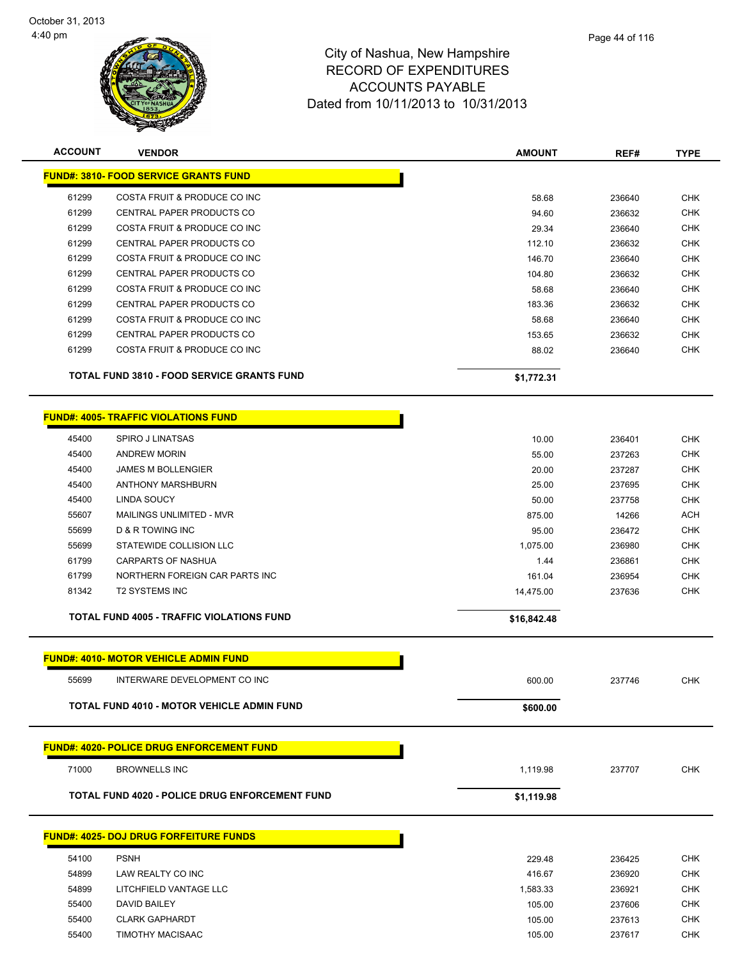L,



| <b>ACCOUNT</b> | <b>VENDOR</b>                                     | <b>AMOUNT</b> | REF#             | <b>TYPE</b> |
|----------------|---------------------------------------------------|---------------|------------------|-------------|
|                | <b>FUND#: 3810- FOOD SERVICE GRANTS FUND</b>      |               |                  |             |
| 61299          | COSTA FRUIT & PRODUCE CO INC                      | 58.68         | 236640           | <b>CHK</b>  |
| 61299          | <b>CENTRAL PAPER PRODUCTS CO</b>                  | 94.60         | 236632           | <b>CHK</b>  |
| 61299          | COSTA FRUIT & PRODUCE CO INC                      | 29.34         | 236640           | <b>CHK</b>  |
| 61299          | CENTRAL PAPER PRODUCTS CO                         | 112.10        | 236632           | <b>CHK</b>  |
| 61299          | COSTA FRUIT & PRODUCE CO INC                      | 146.70        | 236640           | <b>CHK</b>  |
| 61299          | CENTRAL PAPER PRODUCTS CO                         | 104.80        | 236632           | <b>CHK</b>  |
| 61299          | COSTA FRUIT & PRODUCE CO INC                      | 58.68         | 236640           | CHK         |
| 61299          | CENTRAL PAPER PRODUCTS CO                         | 183.36        | 236632           | <b>CHK</b>  |
| 61299          | COSTA FRUIT & PRODUCE CO INC                      | 58.68         | 236640           | <b>CHK</b>  |
| 61299          | CENTRAL PAPER PRODUCTS CO                         | 153.65        | 236632           | CHK         |
| 61299          | COSTA FRUIT & PRODUCE CO INC                      | 88.02         | 236640           | <b>CHK</b>  |
|                | <b>TOTAL FUND 3810 - FOOD SERVICE GRANTS FUND</b> | \$1,772.31    |                  |             |
|                | <b>FUND#: 4005- TRAFFIC VIOLATIONS FUND</b>       |               |                  |             |
| 45400          | <b>SPIRO J LINATSAS</b>                           | 10.00         |                  | <b>CHK</b>  |
| 45400          | <b>ANDREW MORIN</b>                               | 55.00         | 236401<br>237263 | <b>CHK</b>  |
| 45400          | <b>JAMES M BOLLENGIER</b>                         | 20.00         | 237287           | <b>CHK</b>  |
| 45400          | <b>ANTHONY MARSHBURN</b>                          | 25.00         | 237695           | <b>CHK</b>  |
| 45400          | <b>LINDA SOUCY</b>                                | 50.00         | 237758           | <b>CHK</b>  |
| 55607          | MAILINGS UNLIMITED - MVR                          | 875.00        | 14266            | <b>ACH</b>  |
| 55699          | D & R TOWING INC                                  | 95.00         | 236472           | <b>CHK</b>  |
| 55699          | STATEWIDE COLLISION LLC                           | 1,075.00      | 236980           | <b>CHK</b>  |
| 61799          | <b>CARPARTS OF NASHUA</b>                         | 1.44          | 236861           | <b>CHK</b>  |
| 61799          | NORTHERN FOREIGN CAR PARTS INC                    | 161.04        | 236954           | <b>CHK</b>  |
| 81342          | <b>T2 SYSTEMS INC</b>                             | 14,475.00     | 237636           | <b>CHK</b>  |
|                |                                                   |               |                  |             |
|                | <b>TOTAL FUND 4005 - TRAFFIC VIOLATIONS FUND</b>  | \$16,842.48   |                  |             |
|                | <b>FUND#: 4010- MOTOR VEHICLE ADMIN FUND</b>      |               |                  |             |
| 55699          | INTERWARE DEVELOPMENT CO INC                      | 600.00        | 237746           | <b>CHK</b>  |
|                | <b>TOTAL FUND 4010 - MOTOR VEHICLE ADMIN FUND</b> | \$600.00      |                  |             |
|                | <b>FUND#: 4020- POLICE DRUG ENFORCEMENT FUND</b>  |               |                  |             |
| 71000          | <b>BROWNELLS INC</b>                              | 1,119.98      | 237707           | <b>CHK</b>  |
|                | TOTAL FUND 4020 - POLICE DRUG ENFORCEMENT FUND    | \$1,119.98    |                  |             |
|                | <b>FUND#: 4025- DOJ DRUG FORFEITURE FUNDS</b>     |               |                  |             |
|                |                                                   |               |                  |             |
| 54100          | <b>PSNH</b>                                       | 229.48        | 236425           | <b>CHK</b>  |
| 54899          | LAW REALTY CO INC                                 | 416.67        | 236920           | <b>CHK</b>  |
| 54899          | LITCHFIELD VANTAGE LLC                            | 1,583.33      | 236921           | <b>CHK</b>  |
| 55400          | DAVID BAILEY                                      | 105.00        | 237606           | <b>CHK</b>  |
| 55400          | <b>CLARK GAPHARDT</b>                             | 105.00        | 237613           | <b>CHK</b>  |
| 55400          | TIMOTHY MACISAAC                                  | 105.00        | 237617           | <b>CHK</b>  |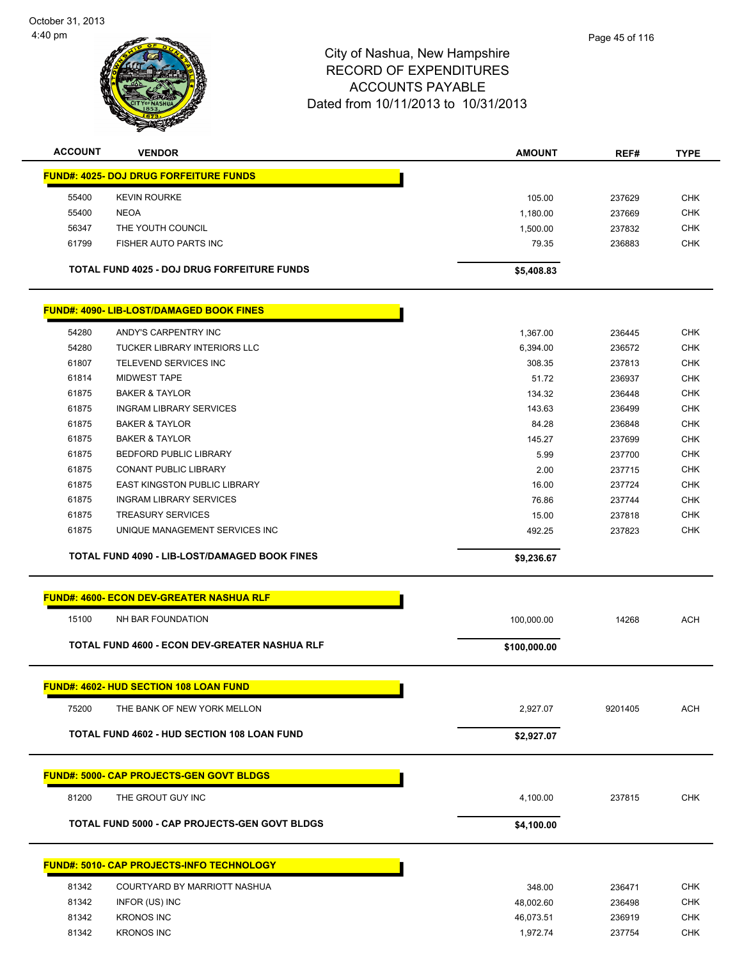

| <b>ACCOUNT</b> | <b>VENDOR</b>                                      | <b>AMOUNT</b> | REF#    | <b>TYPE</b> |
|----------------|----------------------------------------------------|---------------|---------|-------------|
|                | <b>FUND#: 4025- DOJ DRUG FORFEITURE FUNDS</b>      |               |         |             |
| 55400          | <b>KEVIN ROURKE</b>                                | 105.00        | 237629  | <b>CHK</b>  |
| 55400          | <b>NEOA</b>                                        | 1,180.00      | 237669  | <b>CHK</b>  |
| 56347          | THE YOUTH COUNCIL                                  | 1,500.00      | 237832  | <b>CHK</b>  |
| 61799          | FISHER AUTO PARTS INC                              | 79.35         | 236883  | <b>CHK</b>  |
|                | <b>TOTAL FUND 4025 - DOJ DRUG FORFEITURE FUNDS</b> | \$5,408.83    |         |             |
|                | <b>FUND#: 4090- LIB-LOST/DAMAGED BOOK FINES</b>    |               |         |             |
| 54280          | ANDY'S CARPENTRY INC                               | 1,367.00      | 236445  | <b>CHK</b>  |
| 54280          | <b>TUCKER LIBRARY INTERIORS LLC</b>                | 6,394.00      | 236572  | <b>CHK</b>  |
| 61807          | TELEVEND SERVICES INC                              | 308.35        | 237813  | <b>CHK</b>  |
| 61814          | <b>MIDWEST TAPE</b>                                | 51.72         | 236937  | <b>CHK</b>  |
| 61875          | <b>BAKER &amp; TAYLOR</b>                          | 134.32        | 236448  | <b>CHK</b>  |
| 61875          | <b>INGRAM LIBRARY SERVICES</b>                     | 143.63        | 236499  | <b>CHK</b>  |
| 61875          | <b>BAKER &amp; TAYLOR</b>                          | 84.28         | 236848  | <b>CHK</b>  |
| 61875          | <b>BAKER &amp; TAYLOR</b>                          | 145.27        | 237699  | <b>CHK</b>  |
| 61875          | <b>BEDFORD PUBLIC LIBRARY</b>                      | 5.99          | 237700  | <b>CHK</b>  |
| 61875          | <b>CONANT PUBLIC LIBRARY</b>                       | 2.00          | 237715  | <b>CHK</b>  |
| 61875          | <b>EAST KINGSTON PUBLIC LIBRARY</b>                | 16.00         | 237724  | <b>CHK</b>  |
| 61875          | <b>INGRAM LIBRARY SERVICES</b>                     | 76.86         | 237744  | <b>CHK</b>  |
| 61875          | <b>TREASURY SERVICES</b>                           | 15.00         | 237818  | <b>CHK</b>  |
| 61875          | UNIQUE MANAGEMENT SERVICES INC                     | 492.25        | 237823  | <b>CHK</b>  |
|                |                                                    |               |         |             |
|                | TOTAL FUND 4090 - LIB-LOST/DAMAGED BOOK FINES      | \$9,236.67    |         |             |
|                | <b>FUND#: 4600- ECON DEV-GREATER NASHUA RLF</b>    |               |         |             |
| 15100          | NH BAR FOUNDATION                                  | 100,000.00    | 14268   | <b>ACH</b>  |
|                | TOTAL FUND 4600 - ECON DEV-GREATER NASHUA RLF      | \$100,000.00  |         |             |
|                | FUND#: 4602- HUD SECTION 108 LOAN FUND             |               |         |             |
| 75200          | THE BANK OF NEW YORK MELLON                        | 2,927.07      | 9201405 | ACH         |
|                | <b>TOTAL FUND 4602 - HUD SECTION 108 LOAN FUND</b> | \$2,927.07    |         |             |
|                | <b>FUND#: 5000- CAP PROJECTS-GEN GOVT BLDGS</b>    |               |         |             |
| 81200          | THE GROUT GUY INC                                  | 4,100.00      | 237815  | <b>CHK</b>  |
|                | TOTAL FUND 5000 - CAP PROJECTS-GEN GOVT BLDGS      | \$4,100.00    |         |             |
|                |                                                    |               |         |             |
|                | <b>FUND#: 5010- CAP PROJECTS-INFO TECHNOLOGY</b>   |               |         |             |
| 81342          | COURTYARD BY MARRIOTT NASHUA                       | 348.00        | 236471  | <b>CHK</b>  |
| 81342          | INFOR (US) INC                                     | 48,002.60     | 236498  | <b>CHK</b>  |
| 81342          | <b>KRONOS INC</b>                                  | 46,073.51     | 236919  | CHK         |
| 81342          | <b>KRONOS INC</b>                                  | 1,972.74      | 237754  | CHK         |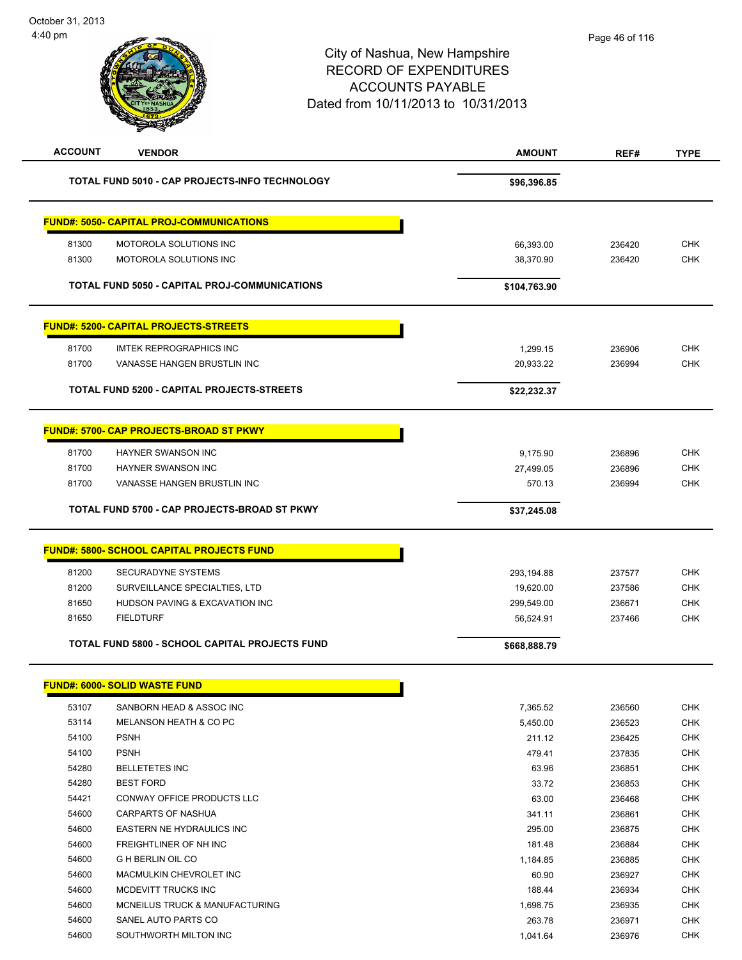# City of Nashua, New Hampshire RECORD OF EXPENDITURES ACCOUNTS PAYABLE Dated from 10/11/2013 to 10/31/2013 **ACCOUNT VENDOR AMOUNT REF# TYPE**

|       | TOTAL FUND 5010 - CAP PROJECTS-INFO TECHNOLOGY        | \$96,396.85  |        |            |
|-------|-------------------------------------------------------|--------------|--------|------------|
|       | <b>FUND#: 5050- CAPITAL PROJ-COMMUNICATIONS</b>       |              |        |            |
| 81300 | MOTOROLA SOLUTIONS INC                                | 66,393.00    | 236420 | <b>CHK</b> |
| 81300 | MOTOROLA SOLUTIONS INC                                | 38,370.90    | 236420 | <b>CHK</b> |
|       |                                                       |              |        |            |
|       | TOTAL FUND 5050 - CAPITAL PROJ-COMMUNICATIONS         | \$104,763.90 |        |            |
|       | <b>FUND#: 5200- CAPITAL PROJECTS-STREETS</b>          |              |        |            |
| 81700 | <b>IMTEK REPROGRAPHICS INC</b>                        | 1,299.15     | 236906 | <b>CHK</b> |
| 81700 | VANASSE HANGEN BRUSTLIN INC                           | 20,933.22    | 236994 | <b>CHK</b> |
|       | TOTAL FUND 5200 - CAPITAL PROJECTS-STREETS            | \$22,232.37  |        |            |
|       | <b>FUND#: 5700- CAP PROJECTS-BROAD ST PKWY</b>        |              |        |            |
| 81700 | HAYNER SWANSON INC                                    | 9,175.90     | 236896 | <b>CHK</b> |
| 81700 | <b>HAYNER SWANSON INC</b>                             | 27,499.05    | 236896 | <b>CHK</b> |
| 81700 | VANASSE HANGEN BRUSTLIN INC                           | 570.13       | 236994 | <b>CHK</b> |
|       | TOTAL FUND 5700 - CAP PROJECTS-BROAD ST PKWY          |              |        |            |
|       |                                                       | \$37,245.08  |        |            |
|       | <b>FUND#: 5800- SCHOOL CAPITAL PROJECTS FUND</b>      |              |        |            |
| 81200 | <b>SECURADYNE SYSTEMS</b>                             | 293,194.88   | 237577 | <b>CHK</b> |
| 81200 | SURVEILLANCE SPECIALTIES, LTD                         | 19,620.00    | 237586 | <b>CHK</b> |
| 81650 | HUDSON PAVING & EXCAVATION INC                        | 299,549.00   | 236671 | <b>CHK</b> |
| 81650 | <b>FIELDTURF</b>                                      | 56,524.91    | 237466 | <b>CHK</b> |
|       | <b>TOTAL FUND 5800 - SCHOOL CAPITAL PROJECTS FUND</b> | \$668,888.79 |        |            |
|       | <b>FUND#: 6000- SOLID WASTE FUND</b>                  |              |        |            |
| 53107 | SANBORN HEAD & ASSOC INC                              | 7,365.52     | 236560 | <b>CHK</b> |
| 53114 | MELANSON HEATH & CO PC                                | 5,450.00     | 236523 | <b>CHK</b> |
| 54100 | <b>PSNH</b>                                           | 211.12       | 236425 | CHK        |
| 54100 | <b>PSNH</b>                                           | 479.41       | 237835 | <b>CHK</b> |
| 54280 | <b>BELLETETES INC</b>                                 | 63.96        | 236851 | <b>CHK</b> |
| 54280 | <b>BEST FORD</b>                                      | 33.72        | 236853 | CHK        |
| 54421 | CONWAY OFFICE PRODUCTS LLC                            | 63.00        | 236468 | <b>CHK</b> |
| 54600 | <b>CARPARTS OF NASHUA</b>                             | 341.11       | 236861 | <b>CHK</b> |
| 54600 | EASTERN NE HYDRAULICS INC                             | 295.00       | 236875 | <b>CHK</b> |
| 54600 | FREIGHTLINER OF NH INC                                | 181.48       | 236884 | <b>CHK</b> |
| 54600 | G H BERLIN OIL CO                                     | 1,184.85     | 236885 | <b>CHK</b> |

 MACMULKIN CHEVROLET INC 60.90 236927 CHK 54600 MCDEVITT TRUCKS INC 236934 CHK MCNEILUS TRUCK & MANUFACTURING 1,698.75 236935 CHK SANEL AUTO PARTS CO 263.78 236971 CHK SOUTHWORTH MILTON INC 1,041.64 236976 CHK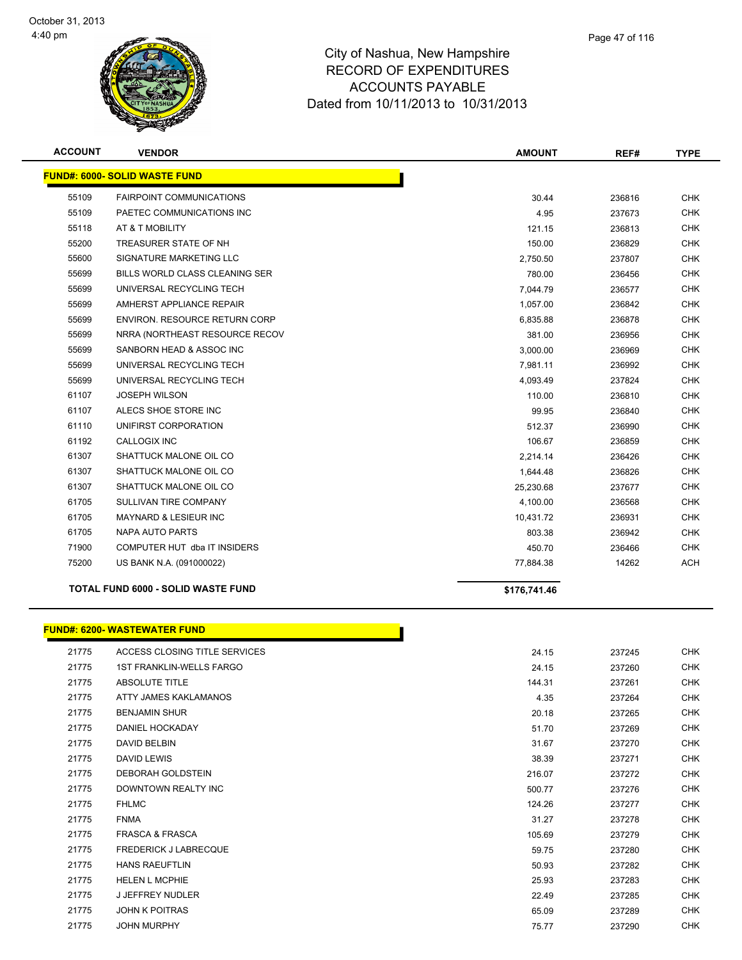

**ACCOUNT VENDOR AMOUNT REF# TYPE**

|       | <b>FUND#: 6000- SOLID WASTE FUND</b> |              |        |            |
|-------|--------------------------------------|--------------|--------|------------|
| 55109 | <b>FAIRPOINT COMMUNICATIONS</b>      | 30.44        | 236816 | <b>CHK</b> |
| 55109 | PAETEC COMMUNICATIONS INC            | 4.95         | 237673 | <b>CHK</b> |
| 55118 | AT & T MOBILITY                      | 121.15       | 236813 | <b>CHK</b> |
| 55200 | TREASURER STATE OF NH                | 150.00       | 236829 | <b>CHK</b> |
| 55600 | SIGNATURE MARKETING LLC              | 2,750.50     | 237807 | <b>CHK</b> |
| 55699 | BILLS WORLD CLASS CLEANING SER       | 780.00       | 236456 | <b>CHK</b> |
| 55699 | UNIVERSAL RECYCLING TECH             | 7,044.79     | 236577 | <b>CHK</b> |
| 55699 | AMHERST APPLIANCE REPAIR             | 1,057.00     | 236842 | <b>CHK</b> |
| 55699 | <b>ENVIRON. RESOURCE RETURN CORP</b> | 6,835.88     | 236878 | <b>CHK</b> |
| 55699 | NRRA (NORTHEAST RESOURCE RECOV       | 381.00       | 236956 | CHK        |
| 55699 | SANBORN HEAD & ASSOC INC             | 3,000.00     | 236969 | <b>CHK</b> |
| 55699 | UNIVERSAL RECYCLING TECH             | 7,981.11     | 236992 | <b>CHK</b> |
| 55699 | UNIVERSAL RECYCLING TECH             | 4,093.49     | 237824 | <b>CHK</b> |
| 61107 | <b>JOSEPH WILSON</b>                 | 110.00       | 236810 | <b>CHK</b> |
| 61107 | ALECS SHOE STORE INC                 | 99.95        | 236840 | <b>CHK</b> |
| 61110 | UNIFIRST CORPORATION                 | 512.37       | 236990 | <b>CHK</b> |
| 61192 | <b>CALLOGIX INC</b>                  | 106.67       | 236859 | <b>CHK</b> |
| 61307 | SHATTUCK MALONE OIL CO               | 2,214.14     | 236426 | <b>CHK</b> |
| 61307 | SHATTUCK MALONE OIL CO               | 1,644.48     | 236826 | <b>CHK</b> |
| 61307 | SHATTUCK MALONE OIL CO               | 25,230.68    | 237677 | <b>CHK</b> |
| 61705 | SULLIVAN TIRE COMPANY                | 4,100.00     | 236568 | <b>CHK</b> |
| 61705 | MAYNARD & LESIEUR INC                | 10,431.72    | 236931 | <b>CHK</b> |
| 61705 | NAPA AUTO PARTS                      | 803.38       | 236942 | <b>CHK</b> |
| 71900 | COMPUTER HUT dba IT INSIDERS         | 450.70       | 236466 | <b>CHK</b> |
|       |                                      |              |        |            |
| 75200 | US BANK N.A. (091000022)             | 77,884.38    | 14262  | ACH        |
|       | TOTAL FUND 6000 - SOLID WASTE FUND   | \$176,741.46 |        |            |
|       |                                      |              |        |            |
|       | <b>FUND#: 6200- WASTEWATER FUND</b>  |              |        |            |
| 21775 | ACCESS CLOSING TITLE SERVICES        | 24.15        | 237245 | <b>CHK</b> |
| 21775 | <b>1ST FRANKLIN-WELLS FARGO</b>      | 24.15        | 237260 | <b>CHK</b> |
| 21775 | <b>ABSOLUTE TITLE</b>                | 144.31       | 237261 | <b>CHK</b> |
| 21775 | ATTY JAMES KAKLAMANOS                | 4.35         | 237264 | <b>CHK</b> |
| 21775 | <b>BENJAMIN SHUR</b>                 | 20.18        | 237265 | <b>CHK</b> |
| 21775 | DANIEL HOCKADAY                      | 51.70        | 237269 | <b>CHK</b> |
| 21775 | DAVID BELBIN                         | 31.67        | 237270 | <b>CHK</b> |
| 21775 | DAVID LEWIS                          | 38.39        | 237271 | <b>CHK</b> |
| 21775 | DEBORAH GOLDSTEIN                    | 216.07       | 237272 | <b>CHK</b> |
| 21775 | DOWNTOWN REALTY INC                  | 500.77       | 237276 | <b>CHK</b> |
| 21775 | <b>FHLMC</b>                         | 124.26       | 237277 | <b>CHK</b> |
| 21775 | <b>FNMA</b>                          | 31.27        | 237278 | <b>CHK</b> |
| 21775 | <b>FRASCA &amp; FRASCA</b>           | 105.69       | 237279 | <b>CHK</b> |
| 21775 | <b>FREDERICK J LABRECQUE</b>         | 59.75        | 237280 | <b>CHK</b> |
| 21775 | <b>HANS RAEUFTLIN</b>                | 50.93        | 237282 | <b>CHK</b> |
| 21775 | <b>HELEN L MCPHIE</b>                | 25.93        | 237283 | <b>CHK</b> |
| 21775 | <b>J JEFFREY NUDLER</b>              | 22.49        | 237285 | <b>CHK</b> |
| 21775 | <b>JOHN K POITRAS</b>                | 65.09        | 237289 | CHK        |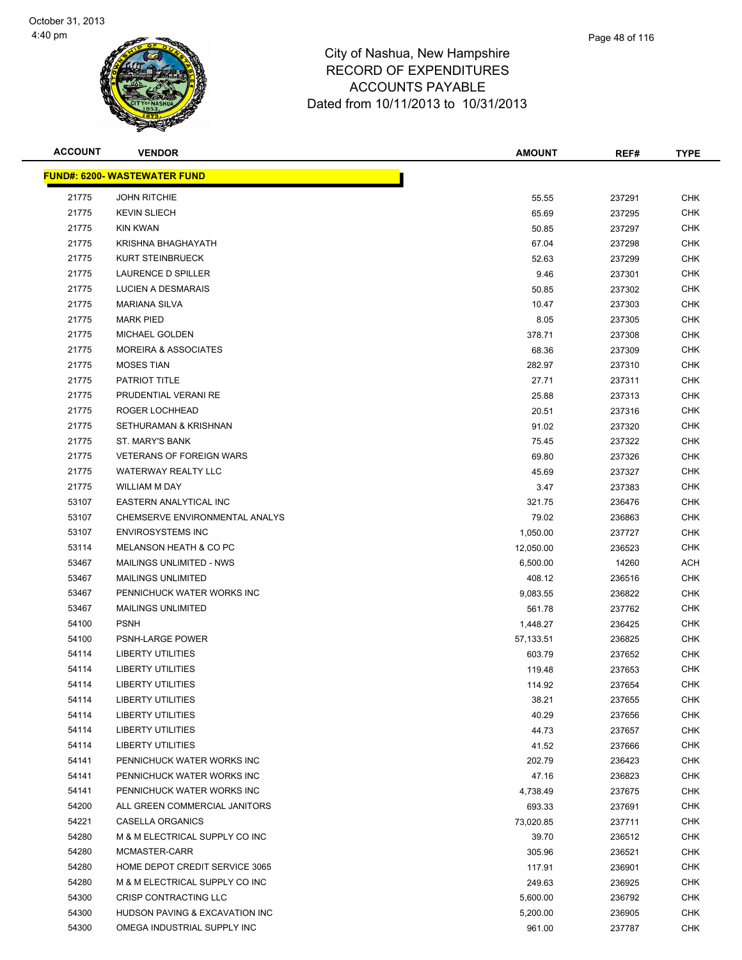

| <b>ACCOUNT</b> | <b>VENDOR</b>                        | <b>AMOUNT</b> | REF#   | <b>TYPE</b> |
|----------------|--------------------------------------|---------------|--------|-------------|
|                | <u> FUND#: 6200- WASTEWATER FUND</u> |               |        |             |
| 21775          | <b>JOHN RITCHIE</b>                  | 55.55         | 237291 | <b>CHK</b>  |
| 21775          | <b>KEVIN SLIECH</b>                  | 65.69         | 237295 | <b>CHK</b>  |
| 21775          | <b>KIN KWAN</b>                      | 50.85         | 237297 | <b>CHK</b>  |
| 21775          | KRISHNA BHAGHAYATH                   | 67.04         | 237298 | <b>CHK</b>  |
| 21775          | KURT STEINBRUECK                     | 52.63         | 237299 | <b>CHK</b>  |
| 21775          | LAURENCE D SPILLER                   | 9.46          | 237301 | <b>CHK</b>  |
| 21775          | LUCIEN A DESMARAIS                   | 50.85         | 237302 | <b>CHK</b>  |
| 21775          | <b>MARIANA SILVA</b>                 | 10.47         | 237303 | <b>CHK</b>  |
| 21775          | <b>MARK PIED</b>                     | 8.05          | 237305 | <b>CHK</b>  |
| 21775          | MICHAEL GOLDEN                       | 378.71        | 237308 | CHK         |
| 21775          | <b>MOREIRA &amp; ASSOCIATES</b>      | 68.36         | 237309 | <b>CHK</b>  |
| 21775          | <b>MOSES TIAN</b>                    | 282.97        | 237310 | <b>CHK</b>  |
| 21775          | PATRIOT TITLE                        | 27.71         | 237311 | <b>CHK</b>  |
| 21775          | PRUDENTIAL VERANI RE                 | 25.88         | 237313 | <b>CHK</b>  |
| 21775          | ROGER LOCHHEAD                       | 20.51         | 237316 | <b>CHK</b>  |
| 21775          | SETHURAMAN & KRISHNAN                | 91.02         | 237320 | <b>CHK</b>  |
| 21775          | ST. MARY'S BANK                      | 75.45         | 237322 | <b>CHK</b>  |
| 21775          | <b>VETERANS OF FOREIGN WARS</b>      | 69.80         | 237326 | <b>CHK</b>  |
| 21775          | <b>WATERWAY REALTY LLC</b>           | 45.69         | 237327 | <b>CHK</b>  |
| 21775          | WILLIAM M DAY                        | 3.47          | 237383 | <b>CHK</b>  |
| 53107          | EASTERN ANALYTICAL INC               | 321.75        | 236476 | <b>CHK</b>  |
| 53107          | CHEMSERVE ENVIRONMENTAL ANALYS       | 79.02         | 236863 | <b>CHK</b>  |
| 53107          | <b>ENVIROSYSTEMS INC</b>             | 1,050.00      | 237727 | <b>CHK</b>  |
| 53114          | MELANSON HEATH & CO PC               | 12,050.00     | 236523 | <b>CHK</b>  |
| 53467          | MAILINGS UNLIMITED - NWS             | 6,500.00      | 14260  | ACH         |
| 53467          | <b>MAILINGS UNLIMITED</b>            | 408.12        | 236516 | <b>CHK</b>  |
| 53467          | PENNICHUCK WATER WORKS INC           | 9,083.55      | 236822 | <b>CHK</b>  |
| 53467          | <b>MAILINGS UNLIMITED</b>            | 561.78        | 237762 | <b>CHK</b>  |
| 54100          | <b>PSNH</b>                          | 1,448.27      | 236425 | <b>CHK</b>  |
| 54100          | <b>PSNH-LARGE POWER</b>              | 57,133.51     | 236825 | <b>CHK</b>  |
| 54114          | LIBERTY UTILITIES                    | 603.79        | 237652 | <b>CHK</b>  |
| 54114          | LIBERTY UTILITIES                    | 119.48        | 237653 | <b>CHK</b>  |
| 54114          | <b>LIBERTY UTILITIES</b>             | 114.92        | 237654 | <b>CHK</b>  |
| 54114          | <b>LIBERTY UTILITIES</b>             | 38.21         | 237655 | <b>CHK</b>  |
| 54114          | <b>LIBERTY UTILITIES</b>             | 40.29         | 237656 | <b>CHK</b>  |
| 54114          | LIBERTY UTILITIES                    | 44.73         | 237657 | <b>CHK</b>  |
| 54114          | <b>LIBERTY UTILITIES</b>             | 41.52         | 237666 | <b>CHK</b>  |
| 54141          | PENNICHUCK WATER WORKS INC           | 202.79        | 236423 | <b>CHK</b>  |
| 54141          | PENNICHUCK WATER WORKS INC           | 47.16         | 236823 | <b>CHK</b>  |
| 54141          | PENNICHUCK WATER WORKS INC           | 4,738.49      | 237675 | <b>CHK</b>  |
| 54200          | ALL GREEN COMMERCIAL JANITORS        | 693.33        | 237691 | <b>CHK</b>  |
| 54221          | <b>CASELLA ORGANICS</b>              | 73,020.85     | 237711 | <b>CHK</b>  |
| 54280          | M & M ELECTRICAL SUPPLY CO INC       | 39.70         | 236512 | <b>CHK</b>  |
| 54280          | MCMASTER-CARR                        | 305.96        | 236521 | <b>CHK</b>  |
| 54280          | HOME DEPOT CREDIT SERVICE 3065       | 117.91        | 236901 | <b>CHK</b>  |
| 54280          | M & M ELECTRICAL SUPPLY CO INC       | 249.63        | 236925 | <b>CHK</b>  |
| 54300          | CRISP CONTRACTING LLC                | 5,600.00      | 236792 | <b>CHK</b>  |
| 54300          | HUDSON PAVING & EXCAVATION INC       | 5,200.00      | 236905 | <b>CHK</b>  |
| 54300          | OMEGA INDUSTRIAL SUPPLY INC          | 961.00        | 237787 | <b>CHK</b>  |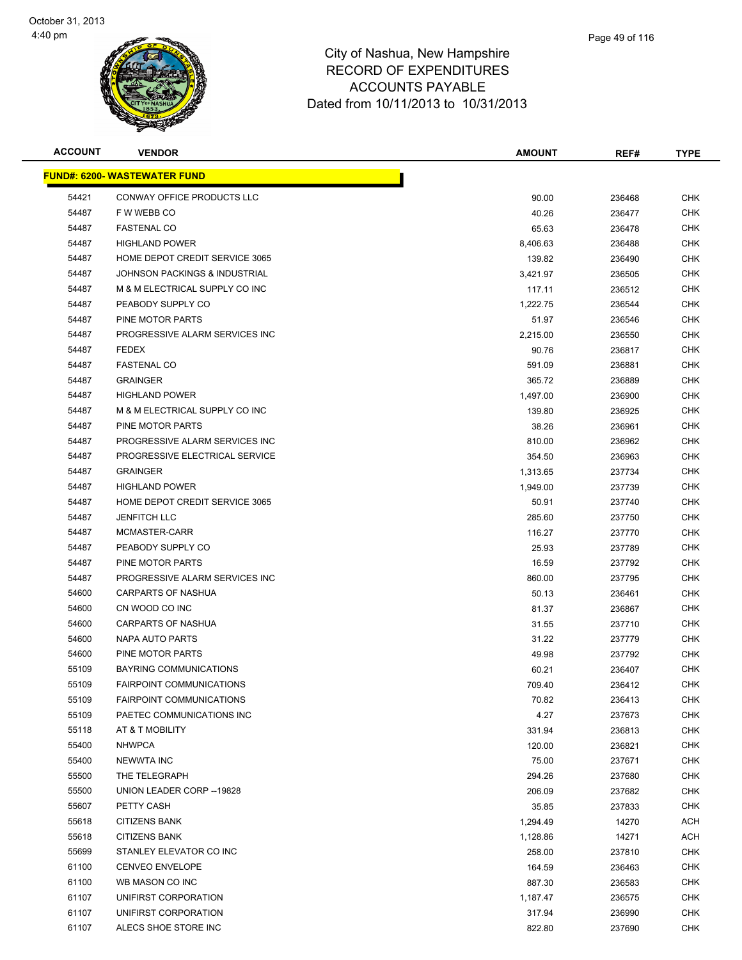

| <b>ACCOUNT</b> | <b>VENDOR</b>                            | <b>AMOUNT</b> | REF#   | <b>TYPE</b> |
|----------------|------------------------------------------|---------------|--------|-------------|
|                | <u> FUND#: 6200- WASTEWATER FUND</u>     |               |        |             |
| 54421          | CONWAY OFFICE PRODUCTS LLC               | 90.00         | 236468 | <b>CHK</b>  |
| 54487          | F W WEBB CO                              | 40.26         | 236477 | <b>CHK</b>  |
| 54487          | <b>FASTENAL CO</b>                       | 65.63         | 236478 | <b>CHK</b>  |
| 54487          | <b>HIGHLAND POWER</b>                    | 8,406.63      | 236488 | <b>CHK</b>  |
| 54487          | HOME DEPOT CREDIT SERVICE 3065           | 139.82        | 236490 | <b>CHK</b>  |
| 54487          | <b>JOHNSON PACKINGS &amp; INDUSTRIAL</b> | 3,421.97      | 236505 | CHK         |
| 54487          | M & M ELECTRICAL SUPPLY CO INC           | 117.11        | 236512 | <b>CHK</b>  |
| 54487          | PEABODY SUPPLY CO                        | 1,222.75      | 236544 | CHK         |
| 54487          | PINE MOTOR PARTS                         | 51.97         | 236546 | CHK         |
| 54487          | PROGRESSIVE ALARM SERVICES INC           | 2,215.00      | 236550 | <b>CHK</b>  |
| 54487          | FEDEX                                    | 90.76         | 236817 | <b>CHK</b>  |
| 54487          | <b>FASTENAL CO</b>                       | 591.09        | 236881 | <b>CHK</b>  |
| 54487          | <b>GRAINGER</b>                          | 365.72        | 236889 | <b>CHK</b>  |
| 54487          | <b>HIGHLAND POWER</b>                    | 1,497.00      | 236900 | <b>CHK</b>  |
| 54487          | M & M ELECTRICAL SUPPLY CO INC           | 139.80        | 236925 | <b>CHK</b>  |
| 54487          | PINE MOTOR PARTS                         | 38.26         | 236961 | <b>CHK</b>  |
| 54487          | PROGRESSIVE ALARM SERVICES INC           | 810.00        | 236962 | <b>CHK</b>  |
| 54487          | PROGRESSIVE ELECTRICAL SERVICE           | 354.50        | 236963 | <b>CHK</b>  |
| 54487          | <b>GRAINGER</b>                          | 1,313.65      | 237734 | <b>CHK</b>  |
| 54487          | <b>HIGHLAND POWER</b>                    | 1,949.00      | 237739 | CHK         |
| 54487          | HOME DEPOT CREDIT SERVICE 3065           | 50.91         | 237740 | <b>CHK</b>  |
| 54487          | <b>JENFITCH LLC</b>                      | 285.60        | 237750 | <b>CHK</b>  |
| 54487          | MCMASTER-CARR                            | 116.27        | 237770 | <b>CHK</b>  |
| 54487          | PEABODY SUPPLY CO                        | 25.93         | 237789 | <b>CHK</b>  |
| 54487          | PINE MOTOR PARTS                         | 16.59         | 237792 | <b>CHK</b>  |
| 54487          | PROGRESSIVE ALARM SERVICES INC           | 860.00        | 237795 | <b>CHK</b>  |
| 54600          | CARPARTS OF NASHUA                       | 50.13         | 236461 | <b>CHK</b>  |
| 54600          | CN WOOD CO INC                           | 81.37         | 236867 | CHK         |
| 54600          | CARPARTS OF NASHUA                       | 31.55         | 237710 | <b>CHK</b>  |
| 54600          | NAPA AUTO PARTS                          | 31.22         | 237779 | CHK         |
| 54600          | PINE MOTOR PARTS                         | 49.98         | 237792 | <b>CHK</b>  |
| 55109          | BAYRING COMMUNICATIONS                   | 60.21         | 236407 | <b>CHK</b>  |
| 55109          | <b>FAIRPOINT COMMUNICATIONS</b>          | 709.40        | 236412 | <b>CHK</b>  |
| 55109          | <b>FAIRPOINT COMMUNICATIONS</b>          | 70.82         | 236413 | <b>CHK</b>  |
| 55109          | PAETEC COMMUNICATIONS INC                | 4.27          | 237673 | <b>CHK</b>  |
| 55118          | AT & T MOBILITY                          | 331.94        | 236813 | <b>CHK</b>  |
| 55400          | <b>NHWPCA</b>                            | 120.00        | 236821 | <b>CHK</b>  |
| 55400          | <b>NEWWTA INC</b>                        | 75.00         | 237671 | <b>CHK</b>  |
| 55500          | THE TELEGRAPH                            | 294.26        | 237680 | <b>CHK</b>  |
| 55500          | UNION LEADER CORP -- 19828               | 206.09        | 237682 | <b>CHK</b>  |
| 55607          | PETTY CASH                               | 35.85         | 237833 | <b>CHK</b>  |
| 55618          | <b>CITIZENS BANK</b>                     | 1,294.49      | 14270  | ACH         |
| 55618          | <b>CITIZENS BANK</b>                     | 1,128.86      | 14271  | ACH         |
| 55699          | STANLEY ELEVATOR CO INC                  | 258.00        | 237810 | CHK         |
| 61100          | <b>CENVEO ENVELOPE</b>                   | 164.59        | 236463 | <b>CHK</b>  |
| 61100          | WB MASON CO INC                          | 887.30        | 236583 | <b>CHK</b>  |
| 61107          | UNIFIRST CORPORATION                     | 1,187.47      | 236575 | <b>CHK</b>  |
| 61107          | UNIFIRST CORPORATION                     | 317.94        | 236990 | <b>CHK</b>  |
| 61107          | ALECS SHOE STORE INC                     | 822.80        | 237690 | <b>CHK</b>  |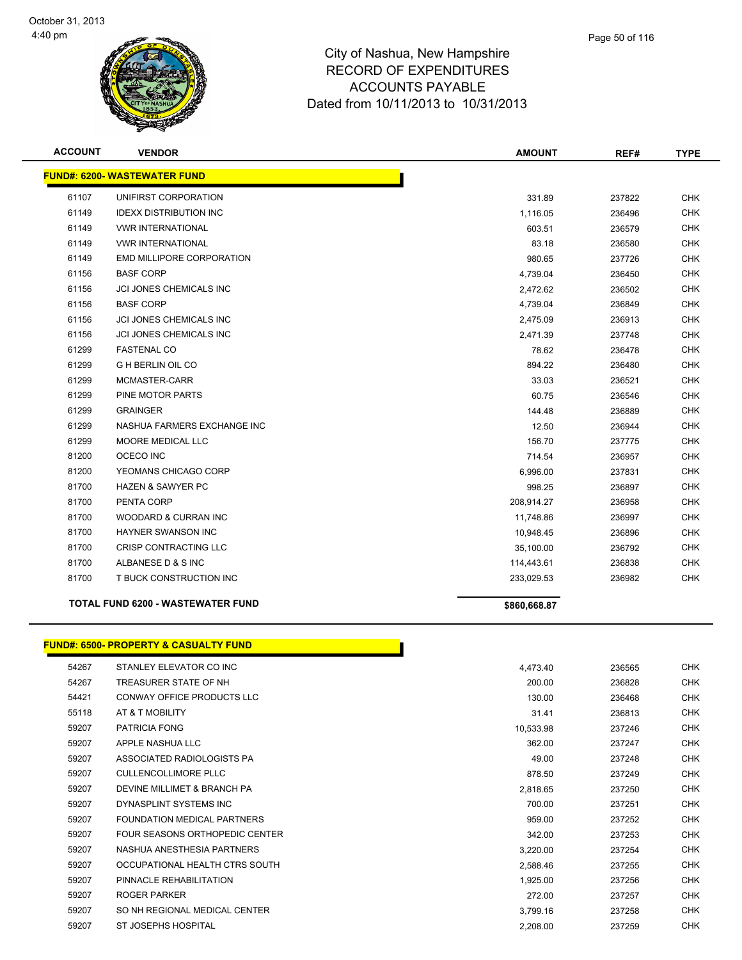

| <b>ACCOUNT</b> | <b>VENDOR</b>                       | <b>AMOUNT</b> | REF#   | <b>TYPE</b> |
|----------------|-------------------------------------|---------------|--------|-------------|
|                | <b>FUND#: 6200- WASTEWATER FUND</b> |               |        |             |
| 61107          | UNIFIRST CORPORATION                | 331.89        | 237822 | <b>CHK</b>  |
| 61149          | <b>IDEXX DISTRIBUTION INC</b>       | 1,116.05      | 236496 | <b>CHK</b>  |
| 61149          | <b><i>VWR INTERNATIONAL</i></b>     | 603.51        | 236579 | <b>CHK</b>  |
| 61149          | <b><i>VWR INTERNATIONAL</i></b>     | 83.18         | 236580 | <b>CHK</b>  |
| 61149          | <b>EMD MILLIPORE CORPORATION</b>    | 980.65        | 237726 | <b>CHK</b>  |
| 61156          | <b>BASF CORP</b>                    | 4,739.04      | 236450 | <b>CHK</b>  |
| 61156          | JCI JONES CHEMICALS INC             | 2,472.62      | 236502 | <b>CHK</b>  |
| 61156          | <b>BASF CORP</b>                    | 4,739.04      | 236849 | <b>CHK</b>  |
| 61156          | <b>JCI JONES CHEMICALS INC</b>      | 2,475.09      | 236913 | <b>CHK</b>  |
| 61156          | JCI JONES CHEMICALS INC             | 2,471.39      | 237748 | <b>CHK</b>  |
| 61299          | <b>FASTENAL CO</b>                  | 78.62         | 236478 | <b>CHK</b>  |
| 61299          | <b>G H BERLIN OIL CO</b>            | 894.22        | 236480 | <b>CHK</b>  |
| 61299          | MCMASTER-CARR                       | 33.03         | 236521 | <b>CHK</b>  |
| 61299          | PINE MOTOR PARTS                    | 60.75         | 236546 | <b>CHK</b>  |
| 61299          | <b>GRAINGER</b>                     | 144.48        | 236889 | <b>CHK</b>  |
| 61299          | NASHUA FARMERS EXCHANGE INC         | 12.50         | 236944 | <b>CHK</b>  |
| 61299          | <b>MOORE MEDICAL LLC</b>            | 156.70        | 237775 | <b>CHK</b>  |
| 81200          | OCECO INC                           | 714.54        | 236957 | <b>CHK</b>  |
| 81200          | YEOMANS CHICAGO CORP                | 6,996.00      | 237831 | <b>CHK</b>  |
| 81700          | <b>HAZEN &amp; SAWYER PC</b>        | 998.25        | 236897 | <b>CHK</b>  |
| 81700          | PENTA CORP                          | 208,914.27    | 236958 | <b>CHK</b>  |
| 81700          | <b>WOODARD &amp; CURRAN INC</b>     | 11,748.86     | 236997 | <b>CHK</b>  |
| 81700          | <b>HAYNER SWANSON INC</b>           | 10,948.45     | 236896 | <b>CHK</b>  |
| 81700          | CRISP CONTRACTING LLC               | 35,100.00     | 236792 | <b>CHK</b>  |
| 81700          | ALBANESE D & S INC                  | 114,443.61    | 236838 | <b>CHK</b>  |
| 81700          | T BUCK CONSTRUCTION INC             | 233,029.53    | 236982 | <b>CHK</b>  |
|                | TOTAL FUND 6200 - WASTEWATER FUND   | \$860,668.87  |        |             |

#### **FUND#: 6500- PROPERTY & CASUALTY FUND**

| 54267 | STANLEY ELEVATOR CO INC        | 4,473.40  | 236565 | <b>CHK</b> |
|-------|--------------------------------|-----------|--------|------------|
| 54267 | TREASURER STATE OF NH          | 200.00    | 236828 | <b>CHK</b> |
| 54421 | CONWAY OFFICE PRODUCTS LLC     | 130.00    | 236468 | <b>CHK</b> |
| 55118 | AT & T MOBILITY                | 31.41     | 236813 | CHK        |
| 59207 | <b>PATRICIA FONG</b>           | 10,533.98 | 237246 | <b>CHK</b> |
| 59207 | APPLE NASHUA LLC               | 362.00    | 237247 | <b>CHK</b> |
| 59207 | ASSOCIATED RADIOLOGISTS PA     | 49.00     | 237248 | <b>CHK</b> |
| 59207 | CULLENCOLLIMORE PLLC           | 878.50    | 237249 | <b>CHK</b> |
| 59207 | DEVINE MILLIMET & BRANCH PA    | 2,818.65  | 237250 | <b>CHK</b> |
| 59207 | DYNASPLINT SYSTEMS INC         | 700.00    | 237251 | CHK        |
| 59207 | FOUNDATION MEDICAL PARTNERS    | 959.00    | 237252 | <b>CHK</b> |
| 59207 | FOUR SEASONS ORTHOPEDIC CENTER | 342.00    | 237253 | <b>CHK</b> |
| 59207 | NASHUA ANESTHESIA PARTNERS     | 3,220.00  | 237254 | <b>CHK</b> |
| 59207 | OCCUPATIONAL HEALTH CTRS SOUTH | 2,588.46  | 237255 | <b>CHK</b> |
| 59207 | PINNACLE REHABILITATION        | 1,925.00  | 237256 | <b>CHK</b> |
| 59207 | <b>ROGER PARKER</b>            | 272.00    | 237257 | CHK        |
| 59207 | SO NH REGIONAL MEDICAL CENTER  | 3,799.16  | 237258 | <b>CHK</b> |
| 59207 | ST JOSEPHS HOSPITAL            | 2.208.00  | 237259 | <b>CHK</b> |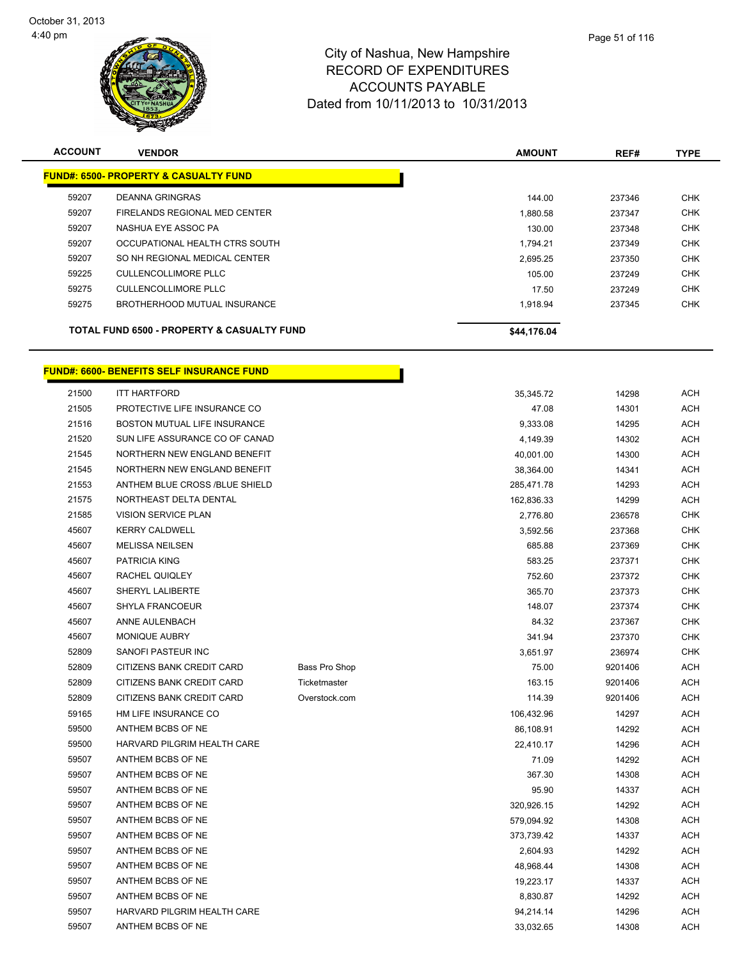

| <b>ACCOUNT</b> | <b>VENDOR</b>                                         | <b>AMOUNT</b> | REF#   | <b>TYPE</b> |
|----------------|-------------------------------------------------------|---------------|--------|-------------|
|                | <b>FUND#: 6500- PROPERTY &amp; CASUALTY FUND</b>      |               |        |             |
| 59207          | DEANNA GRINGRAS                                       | 144.00        | 237346 | <b>CHK</b>  |
| 59207          | FIRELANDS REGIONAL MED CENTER                         | 1,880.58      | 237347 | <b>CHK</b>  |
| 59207          | NASHUA EYE ASSOC PA                                   | 130.00        | 237348 | <b>CHK</b>  |
| 59207          | OCCUPATIONAL HEALTH CTRS SOUTH                        | 1.794.21      | 237349 | <b>CHK</b>  |
| 59207          | SO NH REGIONAL MEDICAL CENTER                         | 2.695.25      | 237350 | <b>CHK</b>  |
| 59225          | CULLENCOLLIMORE PLLC                                  | 105.00        | 237249 | <b>CHK</b>  |
| 59275          | CULLENCOLLIMORE PLLC                                  | 17.50         | 237249 | <b>CHK</b>  |
| 59275          | BROTHERHOOD MUTUAL INSURANCE                          | 1.918.94      | 237345 | <b>CHK</b>  |
|                | <b>TOTAL FUND 6500 - PROPERTY &amp; CASUALTY FUND</b> | \$44,176.04   |        |             |

h

# **FUND#: 6600- BENEFITS SELF INSURANCE FUND**

| 21500 | <b>ITT HARTFORD</b>              |               | 35,345.72  | 14298   | <b>ACH</b> |
|-------|----------------------------------|---------------|------------|---------|------------|
| 21505 | PROTECTIVE LIFE INSURANCE CO     |               | 47.08      | 14301   | <b>ACH</b> |
| 21516 | BOSTON MUTUAL LIFE INSURANCE     |               | 9,333.08   | 14295   | <b>ACH</b> |
| 21520 | SUN LIFE ASSURANCE CO OF CANAD   |               | 4,149.39   | 14302   | <b>ACH</b> |
| 21545 | NORTHERN NEW ENGLAND BENEFIT     |               | 40,001.00  | 14300   | <b>ACH</b> |
| 21545 | NORTHERN NEW ENGLAND BENEFIT     |               | 38,364.00  | 14341   | <b>ACH</b> |
| 21553 | ANTHEM BLUE CROSS /BLUE SHIELD   |               | 285,471.78 | 14293   | <b>ACH</b> |
| 21575 | NORTHEAST DELTA DENTAL           |               | 162,836.33 | 14299   | <b>ACH</b> |
| 21585 | <b>VISION SERVICE PLAN</b>       |               | 2,776.80   | 236578  | <b>CHK</b> |
| 45607 | <b>KERRY CALDWELL</b>            |               | 3,592.56   | 237368  | <b>CHK</b> |
| 45607 | <b>MELISSA NEILSEN</b>           |               | 685.88     | 237369  | <b>CHK</b> |
| 45607 | PATRICIA KING                    |               | 583.25     | 237371  | <b>CHK</b> |
| 45607 | RACHEL QUIQLEY                   |               | 752.60     | 237372  | <b>CHK</b> |
| 45607 | SHERYL LALIBERTE                 |               | 365.70     | 237373  | <b>CHK</b> |
| 45607 | SHYLA FRANCOEUR                  |               | 148.07     | 237374  | <b>CHK</b> |
| 45607 | ANNE AULENBACH                   |               | 84.32      | 237367  | <b>CHK</b> |
| 45607 | MONIQUE AUBRY                    |               | 341.94     | 237370  | <b>CHK</b> |
| 52809 | SANOFI PASTEUR INC               |               | 3,651.97   | 236974  | <b>CHK</b> |
| 52809 | CITIZENS BANK CREDIT CARD        | Bass Pro Shop | 75.00      | 9201406 | <b>ACH</b> |
| 52809 | <b>CITIZENS BANK CREDIT CARD</b> | Ticketmaster  | 163.15     | 9201406 | <b>ACH</b> |
| 52809 | CITIZENS BANK CREDIT CARD        | Overstock.com | 114.39     | 9201406 | <b>ACH</b> |
| 59165 | HM LIFE INSURANCE CO             |               | 106,432.96 | 14297   | <b>ACH</b> |
| 59500 | ANTHEM BCBS OF NE                |               | 86,108.91  | 14292   | <b>ACH</b> |
| 59500 | HARVARD PILGRIM HEALTH CARE      |               | 22,410.17  | 14296   | <b>ACH</b> |
| 59507 | ANTHEM BCBS OF NE                |               | 71.09      | 14292   | <b>ACH</b> |
| 59507 | ANTHEM BCBS OF NE                |               | 367.30     | 14308   | <b>ACH</b> |
| 59507 | ANTHEM BCBS OF NE                |               | 95.90      | 14337   | <b>ACH</b> |
| 59507 | ANTHEM BCBS OF NE                |               | 320,926.15 | 14292   | <b>ACH</b> |
| 59507 | ANTHEM BCBS OF NE                |               | 579,094.92 | 14308   | <b>ACH</b> |
| 59507 | ANTHEM BCBS OF NE                |               | 373,739.42 | 14337   | <b>ACH</b> |
| 59507 | ANTHEM BCBS OF NE                |               | 2,604.93   | 14292   | <b>ACH</b> |
| 59507 | ANTHEM BCBS OF NE                |               | 48,968.44  | 14308   | <b>ACH</b> |
| 59507 | ANTHEM BCBS OF NE                |               | 19,223.17  | 14337   | <b>ACH</b> |
| 59507 | ANTHEM BCBS OF NE                |               | 8,830.87   | 14292   | <b>ACH</b> |
| 59507 | HARVARD PILGRIM HEALTH CARE      |               | 94,214.14  | 14296   | <b>ACH</b> |
| 59507 | ANTHEM BCBS OF NE                |               | 33,032.65  | 14308   | <b>ACH</b> |
|       |                                  |               |            |         |            |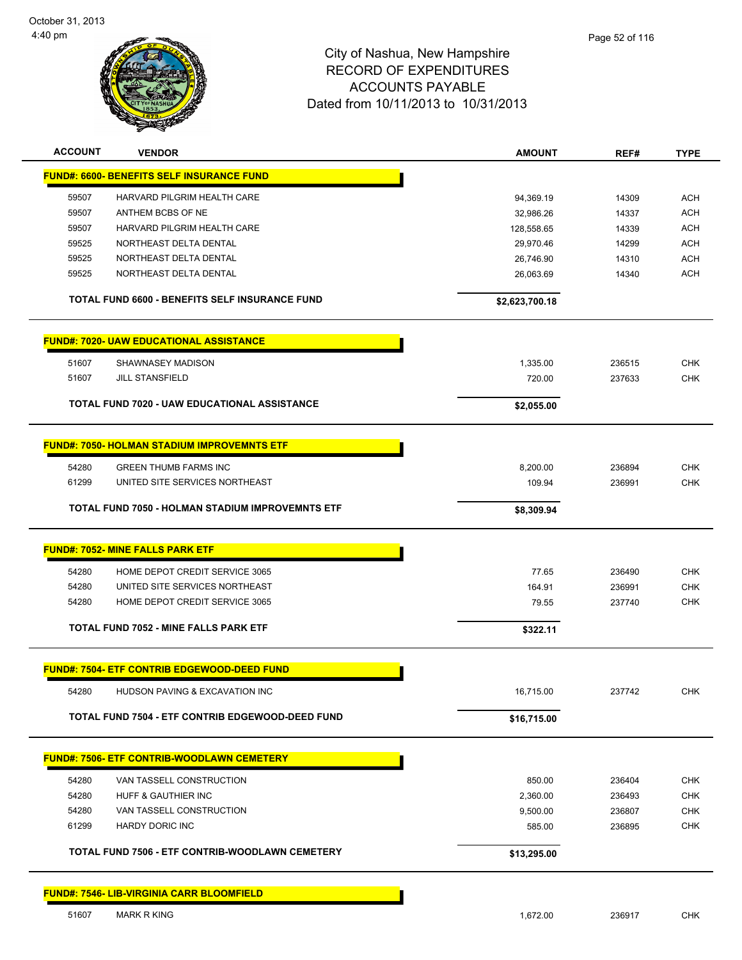

| <b>ACCOUNT</b> | <b>VENDOR</b>                                         | <b>AMOUNT</b>  | REF#   | <b>TYPE</b> |
|----------------|-------------------------------------------------------|----------------|--------|-------------|
|                | <b>FUND#: 6600- BENEFITS SELF INSURANCE FUND</b>      |                |        |             |
| 59507          | HARVARD PILGRIM HEALTH CARE                           | 94,369.19      | 14309  | <b>ACH</b>  |
| 59507          | ANTHEM BCBS OF NE                                     | 32,986.26      | 14337  | <b>ACH</b>  |
| 59507          | HARVARD PILGRIM HEALTH CARE                           | 128,558.65     | 14339  | <b>ACH</b>  |
| 59525          | NORTHEAST DELTA DENTAL                                | 29,970.46      | 14299  | <b>ACH</b>  |
| 59525          | NORTHEAST DELTA DENTAL                                | 26,746.90      | 14310  | <b>ACH</b>  |
| 59525          | NORTHEAST DELTA DENTAL                                | 26,063.69      | 14340  | <b>ACH</b>  |
|                | <b>TOTAL FUND 6600 - BENEFITS SELF INSURANCE FUND</b> | \$2,623,700.18 |        |             |
|                | <b>FUND#: 7020- UAW EDUCATIONAL ASSISTANCE</b>        |                |        |             |
| 51607          | SHAWNASEY MADISON                                     | 1,335.00       | 236515 | <b>CHK</b>  |
| 51607          | <b>JILL STANSFIELD</b>                                | 720.00         | 237633 | CHK         |
|                | <b>TOTAL FUND 7020 - UAW EDUCATIONAL ASSISTANCE</b>   | \$2,055.00     |        |             |
|                | <b>FUND#: 7050- HOLMAN STADIUM IMPROVEMNTS ETF</b>    |                |        |             |
| 54280          | <b>GREEN THUMB FARMS INC</b>                          | 8,200.00       | 236894 | <b>CHK</b>  |
| 61299          | UNITED SITE SERVICES NORTHEAST                        | 109.94         | 236991 | <b>CHK</b>  |
|                | TOTAL FUND 7050 - HOLMAN STADIUM IMPROVEMNTS ETF      | \$8,309.94     |        |             |
|                | <b>FUND#: 7052- MINE FALLS PARK ETF</b>               |                |        |             |
| 54280          | HOME DEPOT CREDIT SERVICE 3065                        | 77.65          | 236490 | <b>CHK</b>  |
| 54280          | UNITED SITE SERVICES NORTHEAST                        | 164.91         | 236991 | <b>CHK</b>  |
| 54280          | HOME DEPOT CREDIT SERVICE 3065                        | 79.55          | 237740 | <b>CHK</b>  |
|                | TOTAL FUND 7052 - MINE FALLS PARK ETF                 | \$322.11       |        |             |
|                | FUND#: 7504- ETF CONTRIB EDGEWOOD-DEED FUND           |                |        |             |
| 54280          | HUDSON PAVING & EXCAVATION INC                        | 16,715.00      | 237742 | <b>CHK</b>  |
|                | TOTAL FUND 7504 - ETF CONTRIB EDGEWOOD-DEED FUND      | \$16,715.00    |        |             |
|                | <b>FUND#: 7506- ETF CONTRIB-WOODLAWN CEMETERY</b>     |                |        |             |
| 54280          | VAN TASSELL CONSTRUCTION                              | 850.00         | 236404 | <b>CHK</b>  |
| 54280          | HUFF & GAUTHIER INC                                   | 2,360.00       | 236493 | <b>CHK</b>  |
| 54280          | VAN TASSELL CONSTRUCTION                              | 9,500.00       | 236807 | <b>CHK</b>  |
| 61299          | <b>HARDY DORIC INC</b>                                | 585.00         | 236895 | <b>CHK</b>  |
|                | TOTAL FUND 7506 - ETF CONTRIB-WOODLAWN CEMETERY       | \$13,295.00    |        |             |
|                | <b>FUND#: 7546- LIB-VIRGINIA CARR BLOOMFIELD</b>      |                |        |             |
| 51607          | <b>MARK R KING</b>                                    | 1,672.00       | 236917 | <b>CHK</b>  |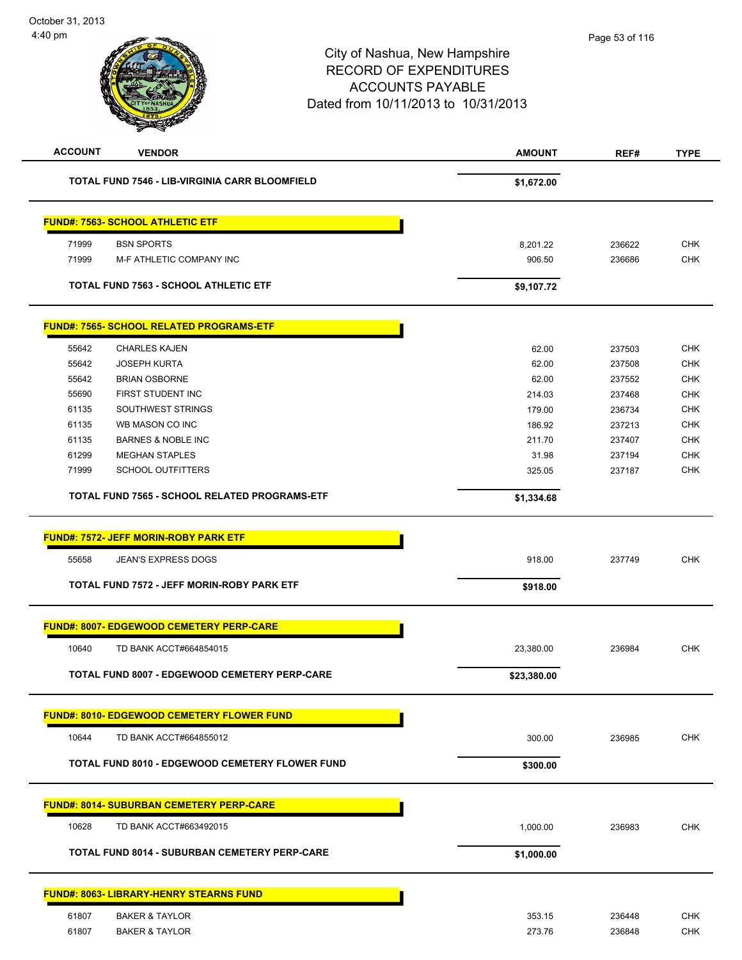# City of Nashua, New Hampshire RECORD OF EXPENDITURES ACCOUNTS PAYABLE Dated from 10/11/2013 to 10/31/2013 **ACCOUNT VENDOR AMOUNT REF# TYPE TOTAL FUND 7546 - LIB-VIRGINIA CARR BLOOMFIELD \$1,672.00 FUND#: 7563- SCHOOL ATHLETIC ETF** 71999 BSN SPORTS 8,201.22 236622 CHK 71999 M-F ATHLETIC COMPANY INC 906.50 236686 CHK

### **TOTAL FUND 7563 - SCHOOL ATHLETIC ETF \$9,107.72**

|       | <b>FUND#: 7565- SCHOOL RELATED PROGRAMS-ETF</b> |            |        |            |
|-------|-------------------------------------------------|------------|--------|------------|
| 55642 | <b>CHARLES KAJEN</b>                            | 62.00      | 237503 | <b>CHK</b> |
| 55642 | <b>JOSEPH KURTA</b>                             | 62.00      | 237508 | <b>CHK</b> |
| 55642 | <b>BRIAN OSBORNE</b>                            | 62.00      | 237552 | <b>CHK</b> |
| 55690 | FIRST STUDENT INC                               | 214.03     | 237468 | <b>CHK</b> |
| 61135 | SOUTHWEST STRINGS                               | 179.00     | 236734 | <b>CHK</b> |
| 61135 | WB MASON CO INC                                 | 186.92     | 237213 | <b>CHK</b> |
| 61135 | <b>BARNES &amp; NOBLE INC</b>                   | 211.70     | 237407 | <b>CHK</b> |
| 61299 | <b>MEGHAN STAPLES</b>                           | 31.98      | 237194 | <b>CHK</b> |
| 71999 | <b>SCHOOL OUTFITTERS</b>                        | 325.05     | 237187 | <b>CHK</b> |
|       | TOTAL FUND 7565 - SCHOOL RELATED PROGRAMS-ETF   | \$1,334.68 |        |            |

| <b>TOTAL FUND 8007 - EDGEWOOD CEMETERY PERP-CARE</b> | \$23,380.00 |        |            |
|------------------------------------------------------|-------------|--------|------------|
| 10640<br>TD BANK ACCT#664854015                      | 23,380.00   | 236984 | <b>CHK</b> |
| <b>FUND#: 8007-EDGEWOOD CEMETERY PERP-CARE</b>       |             |        |            |
| TOTAL FUND 7572 - JEFF MORIN-ROBY PARK ETF           | \$918.00    |        |            |
| 55658<br><b>JEAN'S EXPRESS DOGS</b>                  | 918.00      | 237749 | <b>CHK</b> |
| <b>FUND#: 7572- JEFF MORIN-ROBY PARK ETF</b>         |             |        |            |

### **FUND#: 8010- EDGEWOOD CEMETERY FLOWER FUND**

| 10644<br>TD BANK ACCT#664855012                        | 300.00   | 236985 | <b>CHK</b> |
|--------------------------------------------------------|----------|--------|------------|
| <b>TOTAL FUND 8010 - EDGEWOOD CEMETERY FLOWER FUND</b> | \$300.00 |        |            |

## **FUND#: 8014- SUBURBAN CEMETERY PERP-CARE** 10628 TD BANK ACCT#663492015 1,000.00 236983 CHK **TOTAL FUND 8014 - SUBURBAN CEMETERY PERP-CARE** \$1,000.00

|       | <b>FUND#: 8063- LIBRARY-HENRY STEARNS FUND</b> |        |        |            |
|-------|------------------------------------------------|--------|--------|------------|
| 61807 | <b>BAKER &amp; TAYLOR</b>                      | 353.15 | 236448 | <b>CHK</b> |
| 61807 | <b>BAKER &amp; TAYLOR</b>                      | 273.76 | 236848 | <b>CHK</b> |
|       |                                                |        |        |            |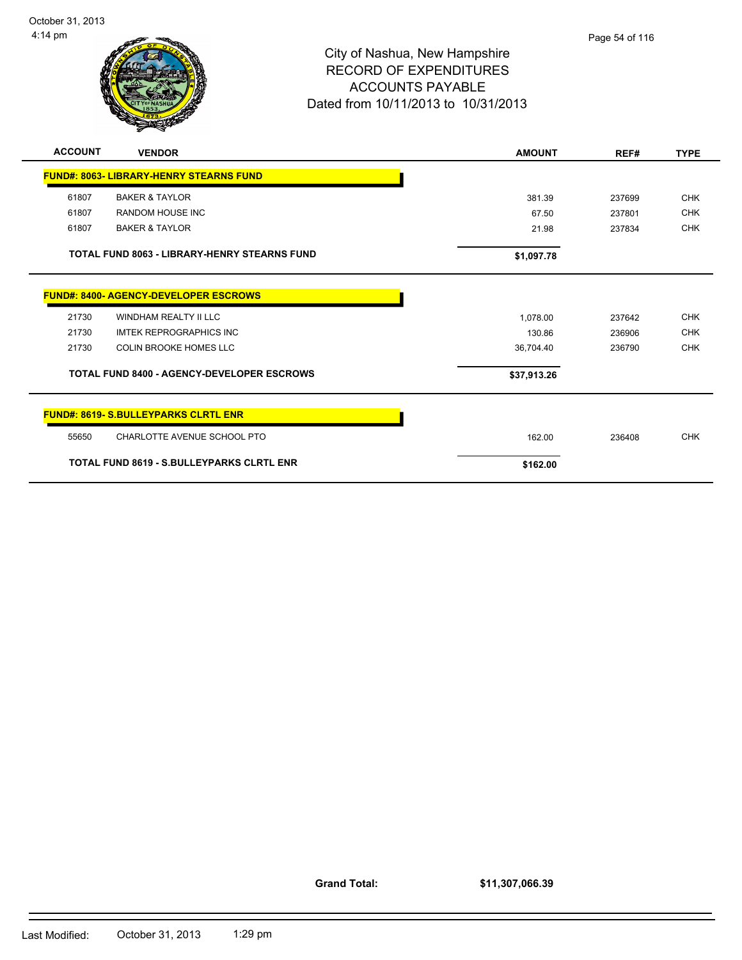

|       | <b>FUND#: 8063- LIBRARY-HENRY STEARNS FUND</b>      |             |        |            |
|-------|-----------------------------------------------------|-------------|--------|------------|
| 61807 | <b>BAKER &amp; TAYLOR</b>                           | 381.39      | 237699 | <b>CHK</b> |
| 61807 | RANDOM HOUSE INC                                    | 67.50       | 237801 | <b>CHK</b> |
| 61807 | <b>BAKER &amp; TAYLOR</b>                           | 21.98       | 237834 | <b>CHK</b> |
|       | <b>TOTAL FUND 8063 - LIBRARY-HENRY STEARNS FUND</b> | \$1,097.78  |        |            |
|       | <b>FUND#: 8400- AGENCY-DEVELOPER ESCROWS</b>        |             |        |            |
| 21730 | WINDHAM REALTY II LLC                               | 1,078.00    | 237642 | <b>CHK</b> |
| 21730 | <b>IMTEK REPROGRAPHICS INC</b>                      | 130.86      | 236906 | <b>CHK</b> |
| 21730 | <b>COLIN BROOKE HOMES LLC</b>                       | 36,704.40   | 236790 | <b>CHK</b> |
|       | <b>TOTAL FUND 8400 - AGENCY-DEVELOPER ESCROWS</b>   | \$37,913.26 |        |            |
|       | <b>FUND#: 8619- S.BULLEYPARKS CLRTL ENR</b>         |             |        |            |
| 55650 | CHARLOTTE AVENUE SCHOOL PTO                         | 162.00      | 236408 | <b>CHK</b> |
|       | <b>TOTAL FUND 8619 - S.BULLEYPARKS CLRTL ENR</b>    | \$162.00    |        |            |

**Grand Total:**

**\$11,307,066.39**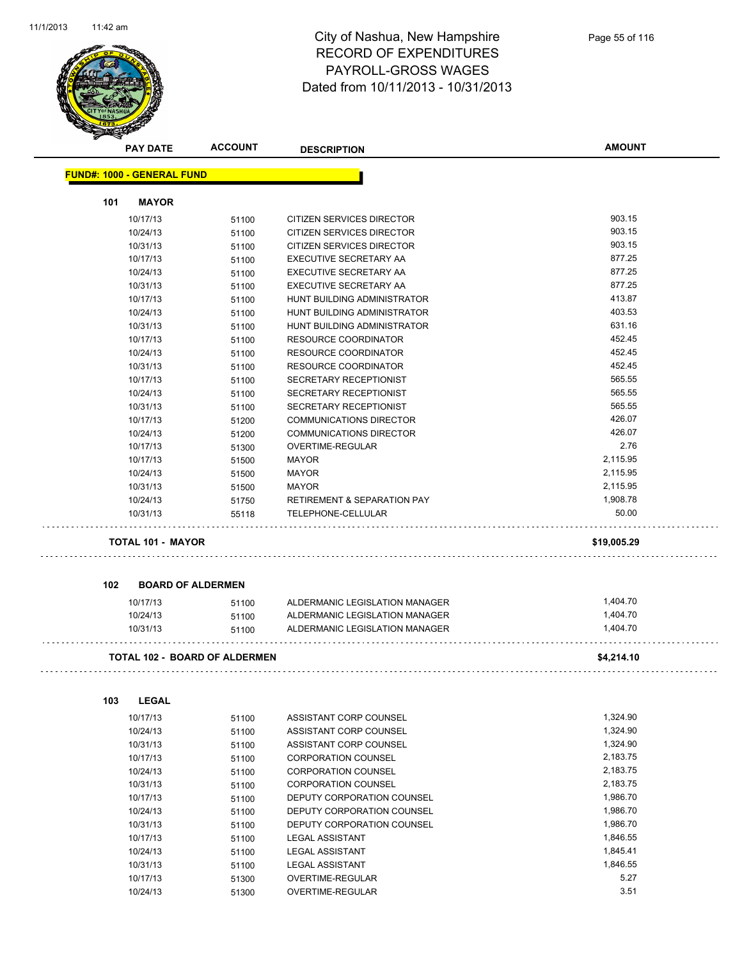l,



### City of Nashua, New Hampshire RECORD OF EXPENDITURES PAYROLL-GROSS WAGES Dated from 10/11/2013 - 10/31/2013

|                                   | <b>PAY DATE</b>          | <b>ACCOUNT</b>                | <b>DESCRIPTION</b>                     | <b>AMOUNT</b> |
|-----------------------------------|--------------------------|-------------------------------|----------------------------------------|---------------|
| <b>FUND#: 1000 - GENERAL FUND</b> |                          |                               |                                        |               |
| 101                               | <b>MAYOR</b>             |                               |                                        |               |
|                                   | 10/17/13                 | 51100                         | CITIZEN SERVICES DIRECTOR              | 903.15        |
|                                   | 10/24/13                 | 51100                         | CITIZEN SERVICES DIRECTOR              | 903.15        |
|                                   | 10/31/13                 | 51100                         | CITIZEN SERVICES DIRECTOR              | 903.15        |
|                                   | 10/17/13                 | 51100                         | <b>EXECUTIVE SECRETARY AA</b>          | 877.25        |
|                                   | 10/24/13                 | 51100                         | EXECUTIVE SECRETARY AA                 | 877.25        |
|                                   | 10/31/13                 | 51100                         | EXECUTIVE SECRETARY AA                 | 877.25        |
|                                   | 10/17/13                 | 51100                         | HUNT BUILDING ADMINISTRATOR            | 413.87        |
|                                   | 10/24/13                 | 51100                         | HUNT BUILDING ADMINISTRATOR            | 403.53        |
|                                   | 10/31/13                 | 51100                         | HUNT BUILDING ADMINISTRATOR            | 631.16        |
|                                   | 10/17/13                 | 51100                         | <b>RESOURCE COORDINATOR</b>            | 452.45        |
|                                   | 10/24/13                 | 51100                         | <b>RESOURCE COORDINATOR</b>            | 452.45        |
|                                   | 10/31/13                 | 51100                         | RESOURCE COORDINATOR                   | 452.45        |
|                                   | 10/17/13                 | 51100                         | SECRETARY RECEPTIONIST                 | 565.55        |
|                                   | 10/24/13                 | 51100                         | <b>SECRETARY RECEPTIONIST</b>          | 565.55        |
|                                   | 10/31/13                 | 51100                         | SECRETARY RECEPTIONIST                 | 565.55        |
|                                   | 10/17/13                 | 51200                         | <b>COMMUNICATIONS DIRECTOR</b>         | 426.07        |
|                                   | 10/24/13                 | 51200                         | <b>COMMUNICATIONS DIRECTOR</b>         | 426.07        |
|                                   | 10/17/13                 | 51300                         | OVERTIME-REGULAR                       | 2.76          |
|                                   | 10/17/13                 | 51500                         | <b>MAYOR</b>                           | 2,115.95      |
|                                   | 10/24/13                 | 51500                         | <b>MAYOR</b>                           | 2,115.95      |
|                                   | 10/31/13                 | 51500                         | <b>MAYOR</b>                           | 2,115.95      |
|                                   | 10/24/13                 | 51750                         | <b>RETIREMENT &amp; SEPARATION PAY</b> | 1,908.78      |
|                                   | 10/31/13                 | 55118                         | TELEPHONE-CELLULAR                     | 50.00         |
|                                   | <b>TOTAL 101 - MAYOR</b> |                               |                                        | \$19,005.29   |
|                                   |                          |                               |                                        |               |
| 102                               |                          | <b>BOARD OF ALDERMEN</b>      |                                        |               |
|                                   | 10/17/13                 | 51100                         | ALDERMANIC LEGISLATION MANAGER         | 1,404.70      |
|                                   | 10/24/13                 | 51100                         | ALDERMANIC LEGISLATION MANAGER         | 1,404.70      |
|                                   | 10/31/13                 | 51100                         | ALDERMANIC LEGISLATION MANAGER         | 1,404.70      |
|                                   |                          | TOTAL 102 - BOARD OF ALDERMEN |                                        | \$4,214.10    |
| 103                               | <b>LEGAL</b>             |                               |                                        |               |
|                                   |                          |                               |                                        |               |
|                                   | 10/17/13                 | 51100                         | ASSISTANT CORP COUNSEL                 | 1,324.90      |
|                                   | 10/24/13                 | 51100                         | ASSISTANT CORP COUNSEL                 | 1,324.90      |
|                                   | 10/31/13                 | 51100                         | ASSISTANT CORP COUNSEL                 | 1,324.90      |
|                                   | 10/17/13                 | 51100                         | <b>CORPORATION COUNSEL</b>             | 2,183.75      |
|                                   | 10/24/13                 | 51100                         | <b>CORPORATION COUNSEL</b>             | 2,183.75      |
|                                   | 10/31/13                 | 51100                         | <b>CORPORATION COUNSEL</b>             | 2,183.75      |
|                                   | 10/17/13                 | 51100                         | DEPUTY CORPORATION COUNSEL             | 1,986.70      |
|                                   | 10/24/13                 | 51100                         | DEPUTY CORPORATION COUNSEL             | 1,986.70      |
|                                   | 10/31/13                 | 51100                         | DEPUTY CORPORATION COUNSEL             | 1,986.70      |
|                                   | 10/17/13                 | 51100                         | <b>LEGAL ASSISTANT</b>                 | 1,846.55      |

10/24/13 51100 LEGAL ASSISTANT 1,845.41 10/31/13 51100 LEGAL ASSISTANT 1,846.55 10/17/13 51300 OVERTIME-REGULAR 5.27 10/24/13 51300 OVERTIME-REGULAR 3.51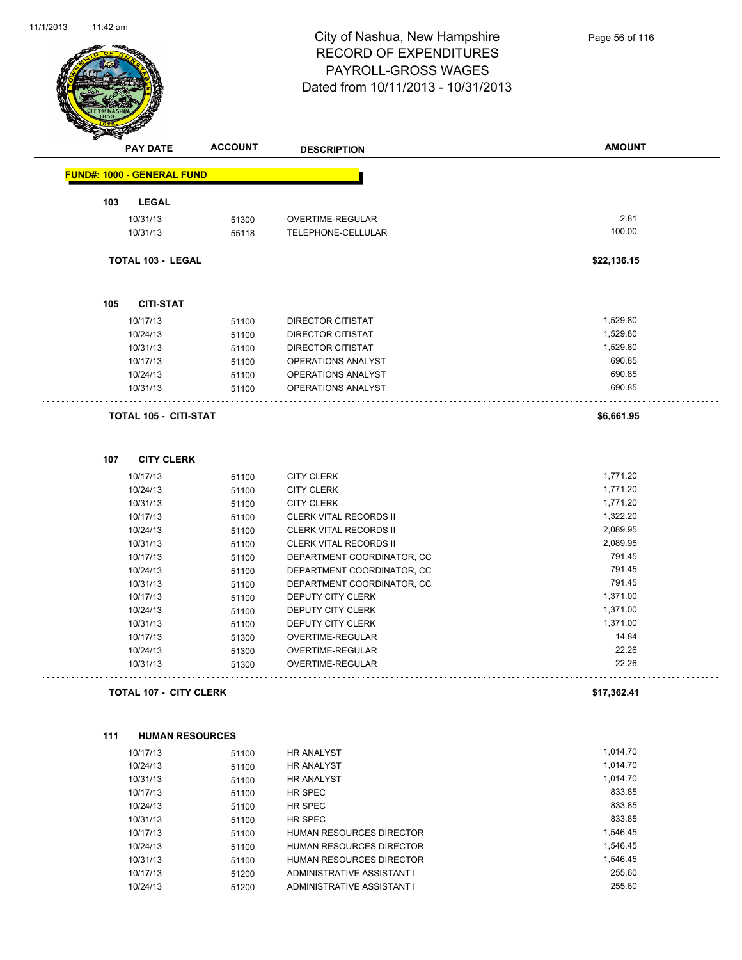

|     | <b>PAY DATE</b>                   | <b>ACCOUNT</b> | <b>DESCRIPTION</b>                       | <b>AMOUNT</b>        |
|-----|-----------------------------------|----------------|------------------------------------------|----------------------|
|     | <b>FUND#: 1000 - GENERAL FUND</b> |                |                                          |                      |
| 103 | <b>LEGAL</b>                      |                |                                          |                      |
|     | 10/31/13                          | 51300          | OVERTIME-REGULAR                         | 2.81                 |
|     | 10/31/13                          | 55118          | TELEPHONE-CELLULAR                       | 100.00               |
|     | TOTAL 103 - LEGAL                 |                | .                                        | \$22,136.15          |
| 105 | <b>CITI-STAT</b>                  |                |                                          |                      |
|     |                                   |                |                                          |                      |
|     | 10/17/13                          | 51100          | DIRECTOR CITISTAT                        | 1,529.80<br>1,529.80 |
|     | 10/24/13<br>10/31/13              | 51100          | DIRECTOR CITISTAT                        | 1,529.80             |
|     | 10/17/13                          | 51100          | DIRECTOR CITISTAT                        | 690.85               |
|     | 10/24/13                          | 51100          | OPERATIONS ANALYST<br>OPERATIONS ANALYST | 690.85               |
|     | 10/31/13                          | 51100<br>51100 | OPERATIONS ANALYST                       | 690.85               |
|     | <b>TOTAL 105 - CITI-STAT</b>      |                |                                          | \$6,661.95           |
|     |                                   |                |                                          |                      |
| 107 | <b>CITY CLERK</b>                 |                |                                          |                      |
|     | 10/17/13                          | 51100          | <b>CITY CLERK</b>                        | 1,771.20             |
|     | 10/24/13                          | 51100          | <b>CITY CLERK</b>                        | 1,771.20             |
|     | 10/31/13                          | 51100          | <b>CITY CLERK</b>                        | 1,771.20             |
|     | 10/17/13                          | 51100          | <b>CLERK VITAL RECORDS II</b>            | 1,322.20             |
|     | 10/24/13                          | 51100          | <b>CLERK VITAL RECORDS II</b>            | 2,089.95             |
|     | 10/31/13                          | 51100          | CLERK VITAL RECORDS II                   | 2,089.95             |
|     | 10/17/13                          | 51100          | DEPARTMENT COORDINATOR, CC               | 791.45               |
|     | 10/24/13                          | 51100          | DEPARTMENT COORDINATOR, CC               | 791.45               |
|     | 10/31/13                          | 51100          | DEPARTMENT COORDINATOR, CC               | 791.45               |
|     | 10/17/13                          | 51100          | DEPUTY CITY CLERK                        | 1,371.00             |
|     | 10/24/13                          | 51100          | DEPUTY CITY CLERK                        | 1,371.00             |
|     | 10/31/13                          | 51100          | <b>DEPUTY CITY CLERK</b>                 | 1,371.00<br>14.84    |
|     | 10/17/13                          | 51300          | OVERTIME-REGULAR<br>OVERTIME-REGULAR     | 22.26                |
|     | 10/24/13<br>10/31/13              | 51300<br>51300 | <b>OVERTIME-REGULAR</b>                  | 22.26                |
|     | <b>TOTAL 107 - CITY CLERK</b>     |                |                                          | \$17,362.41          |
| 111 | <b>HUMAN RESOURCES</b>            |                |                                          |                      |
|     | 10/17/13                          | 51100          | <b>HR ANALYST</b>                        | 1,014.70             |
|     | 10/24/13                          | 51100          | HR ANALYST                               | 1,014.70             |
|     | 10/31/13                          | 51100          | HR ANALYST                               | 1,014.70             |
|     | 10/17/13                          | 51100          | HR SPEC                                  | 833.85               |
|     | 10/24/13                          | 51100          | HR SPEC                                  | 833.85               |
|     | 10/31/13                          | 51100          | HR SPEC                                  | 833.85               |
|     | 10/17/13                          | 51100          | HUMAN RESOURCES DIRECTOR                 | 1,546.45             |
|     | 10/24/13                          | 51100          | HUMAN RESOURCES DIRECTOR                 | 1,546.45             |
|     | 10/31/13                          | 51100          | HUMAN RESOURCES DIRECTOR                 | 1,546.45             |
|     | 10/17/13                          | 51200          | ADMINISTRATIVE ASSISTANT I               | 255.60               |
|     | 10/24/13                          | 51200          | ADMINISTRATIVE ASSISTANT I               | 255.60               |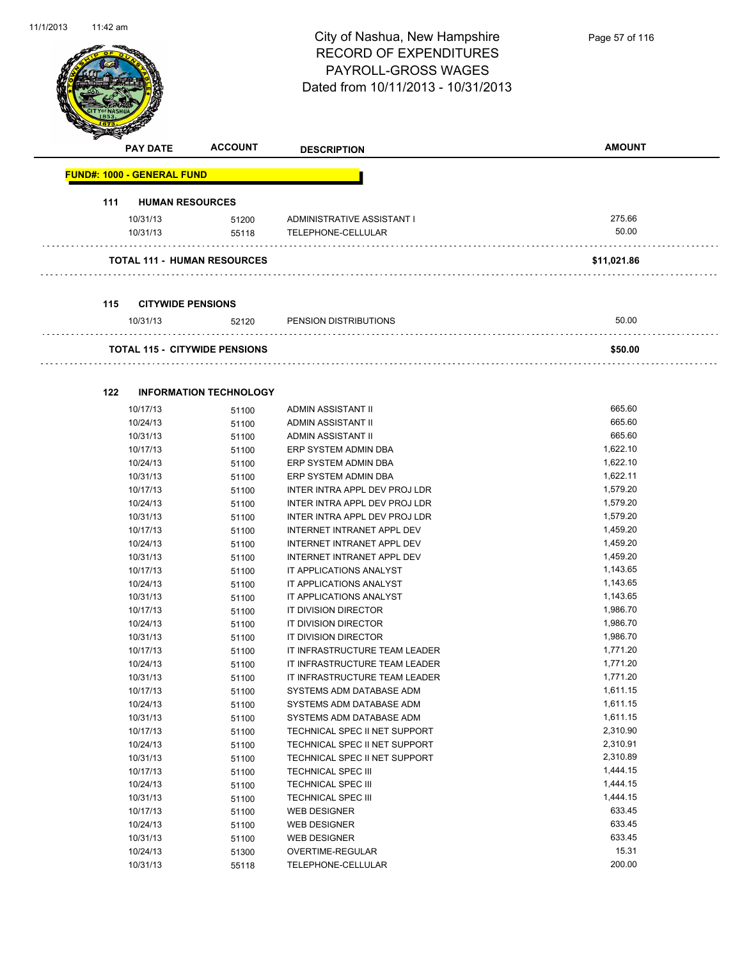

| ⊲   | <b>PAY DATE</b>                   | <b>ACCOUNT</b>                       | <b>DESCRIPTION</b>            | <b>AMOUNT</b> |
|-----|-----------------------------------|--------------------------------------|-------------------------------|---------------|
|     | <b>FUND#: 1000 - GENERAL FUND</b> |                                      |                               |               |
| 111 |                                   | <b>HUMAN RESOURCES</b>               |                               |               |
|     | 10/31/13                          | 51200                                | ADMINISTRATIVE ASSISTANT I    | 275.66        |
|     | 10/31/13                          | 55118                                | TELEPHONE-CELLULAR            | 50.00         |
|     |                                   | <b>TOTAL 111 - HUMAN RESOURCES</b>   |                               | \$11,021.86   |
|     |                                   |                                      |                               |               |
| 115 |                                   | <b>CITYWIDE PENSIONS</b>             |                               |               |
|     | 10/31/13                          | 52120                                | PENSION DISTRIBUTIONS         | 50.00         |
|     |                                   | <b>TOTAL 115 - CITYWIDE PENSIONS</b> |                               | \$50.00       |
|     |                                   |                                      |                               |               |
| 122 |                                   | <b>INFORMATION TECHNOLOGY</b>        |                               |               |
|     | 10/17/13                          | 51100                                | ADMIN ASSISTANT II            | 665.60        |
|     | 10/24/13                          | 51100                                | ADMIN ASSISTANT II            | 665.60        |
|     | 10/31/13                          | 51100                                | ADMIN ASSISTANT II            | 665.60        |
|     | 10/17/13                          | 51100                                | ERP SYSTEM ADMIN DBA          | 1,622.10      |
|     | 10/24/13                          | 51100                                | ERP SYSTEM ADMIN DBA          | 1,622.10      |
|     | 10/31/13                          | 51100                                | ERP SYSTEM ADMIN DBA          | 1,622.11      |
|     | 10/17/13                          | 51100                                | INTER INTRA APPL DEV PROJ LDR | 1,579.20      |
|     | 10/24/13                          | 51100                                | INTER INTRA APPL DEV PROJ LDR | 1,579.20      |
|     | 10/31/13                          | 51100                                | INTER INTRA APPL DEV PROJ LDR | 1,579.20      |
|     | 10/17/13                          | 51100                                | INTERNET INTRANET APPL DEV    | 1,459.20      |
|     | 10/24/13                          | 51100                                | INTERNET INTRANET APPL DEV    | 1,459.20      |
|     | 10/31/13                          | 51100                                | INTERNET INTRANET APPL DEV    | 1,459.20      |
|     | 10/17/13                          | 51100                                | IT APPLICATIONS ANALYST       | 1,143.65      |
|     | 10/24/13                          | 51100                                | IT APPLICATIONS ANALYST       | 1,143.65      |
|     | 10/31/13                          | 51100                                | IT APPLICATIONS ANALYST       | 1,143.65      |
|     | 10/17/13                          | 51100                                | IT DIVISION DIRECTOR          | 1,986.70      |
|     | 10/24/13                          | 51100                                | IT DIVISION DIRECTOR          | 1,986.70      |
|     | 10/31/13                          | 51100                                | IT DIVISION DIRECTOR          | 1,986.70      |
|     | 10/17/13                          | 51100                                | IT INFRASTRUCTURE TEAM LEADER | 1,771.20      |
|     | 10/24/13                          | 51100                                | IT INFRASTRUCTURE TEAM LEADER | 1,771.20      |
|     | 10/31/13                          | 51100                                | IT INFRASTRUCTURE TEAM LEADER | 1,771.20      |
|     | 10/17/13                          | 51100                                | SYSTEMS ADM DATABASE ADM      | 1,611.15      |
|     | 10/24/13                          | 51100                                | SYSTEMS ADM DATABASE ADM      | 1,611.15      |
|     | 10/31/13                          | 51100                                | SYSTEMS ADM DATABASE ADM      | 1,611.15      |
|     | 10/17/13                          | 51100                                | TECHNICAL SPEC II NET SUPPORT | 2,310.90      |
|     | 10/24/13                          | 51100                                | TECHNICAL SPEC II NET SUPPORT | 2,310.91      |
|     | 10/31/13                          | 51100                                | TECHNICAL SPEC II NET SUPPORT | 2,310.89      |
|     | 10/17/13                          | 51100                                | <b>TECHNICAL SPEC III</b>     | 1,444.15      |
|     | 10/24/13                          | 51100                                | TECHNICAL SPEC III            | 1,444.15      |
|     | 10/31/13                          | 51100                                | TECHNICAL SPEC III            | 1,444.15      |
|     | 10/17/13                          | 51100                                | <b>WEB DESIGNER</b>           | 633.45        |
|     | 10/24/13                          | 51100                                | <b>WEB DESIGNER</b>           | 633.45        |
|     | 10/31/13                          | 51100                                | <b>WEB DESIGNER</b>           | 633.45        |
|     | 10/24/13                          | 51300                                | OVERTIME-REGULAR              | 15.31         |
|     | 10/31/13                          | 55118                                | TELEPHONE-CELLULAR            | 200.00        |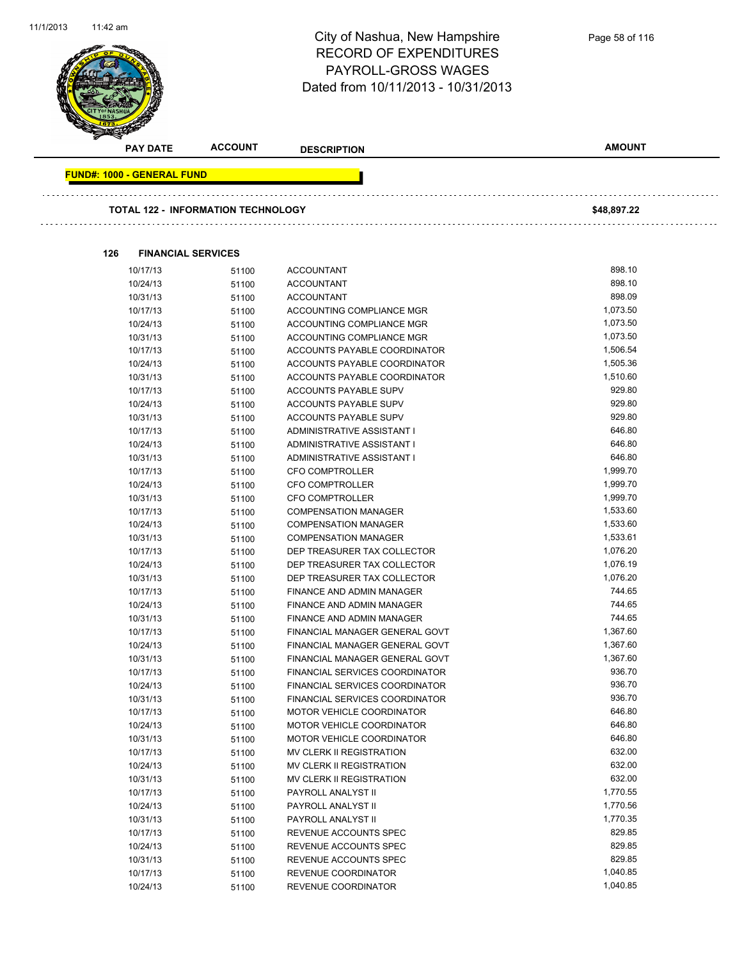

|     | <b>PAY DATE</b>                   | <b>ACCOUNT</b>                     | <b>DESCRIPTION</b>             | <b>AMOUNT</b> |
|-----|-----------------------------------|------------------------------------|--------------------------------|---------------|
|     | <b>FUND#: 1000 - GENERAL FUND</b> |                                    |                                |               |
|     |                                   |                                    |                                |               |
|     |                                   | TOTAL 122 - INFORMATION TECHNOLOGY |                                | \$48,897.22   |
|     |                                   |                                    |                                |               |
| 126 |                                   | <b>FINANCIAL SERVICES</b>          |                                |               |
|     | 10/17/13                          | 51100                              | <b>ACCOUNTANT</b>              | 898.10        |
|     | 10/24/13                          | 51100                              | <b>ACCOUNTANT</b>              | 898.10        |
|     | 10/31/13                          | 51100                              | <b>ACCOUNTANT</b>              | 898.09        |
|     | 10/17/13                          | 51100                              | ACCOUNTING COMPLIANCE MGR      | 1,073.50      |
|     | 10/24/13                          | 51100                              | ACCOUNTING COMPLIANCE MGR      | 1,073.50      |
|     | 10/31/13                          | 51100                              | ACCOUNTING COMPLIANCE MGR      | 1,073.50      |
|     | 10/17/13                          | 51100                              | ACCOUNTS PAYABLE COORDINATOR   | 1,506.54      |
|     | 10/24/13                          | 51100                              | ACCOUNTS PAYABLE COORDINATOR   | 1,505.36      |
|     | 10/31/13                          | 51100                              | ACCOUNTS PAYABLE COORDINATOR   | 1,510.60      |
|     | 10/17/13                          | 51100                              | <b>ACCOUNTS PAYABLE SUPV</b>   | 929.80        |
|     | 10/24/13                          | 51100                              | ACCOUNTS PAYABLE SUPV          | 929.80        |
|     | 10/31/13                          | 51100                              | <b>ACCOUNTS PAYABLE SUPV</b>   | 929.80        |
|     | 10/17/13                          | 51100                              | ADMINISTRATIVE ASSISTANT I     | 646.80        |
|     | 10/24/13                          | 51100                              | ADMINISTRATIVE ASSISTANT I     | 646.80        |
|     | 10/31/13                          | 51100                              | ADMINISTRATIVE ASSISTANT I     | 646.80        |
|     | 10/17/13                          | 51100                              | <b>CFO COMPTROLLER</b>         | 1,999.70      |
|     | 10/24/13                          | 51100                              | CFO COMPTROLLER                | 1,999.70      |
|     | 10/31/13                          | 51100                              | <b>CFO COMPTROLLER</b>         | 1,999.70      |
|     | 10/17/13                          | 51100                              | <b>COMPENSATION MANAGER</b>    | 1,533.60      |
|     | 10/24/13                          | 51100                              | <b>COMPENSATION MANAGER</b>    | 1,533.60      |
|     | 10/31/13                          | 51100                              | <b>COMPENSATION MANAGER</b>    | 1,533.61      |
|     | 10/17/13                          | 51100                              | DEP TREASURER TAX COLLECTOR    | 1,076.20      |
|     | 10/24/13                          | 51100                              | DEP TREASURER TAX COLLECTOR    | 1,076.19      |
|     | 10/31/13                          | 51100                              | DEP TREASURER TAX COLLECTOR    | 1,076.20      |
|     | 10/17/13                          | 51100                              | FINANCE AND ADMIN MANAGER      | 744.65        |
|     | 10/24/13                          | 51100                              | FINANCE AND ADMIN MANAGER      | 744.65        |
|     | 10/31/13                          | 51100                              | FINANCE AND ADMIN MANAGER      | 744.65        |
|     | 10/17/13                          | 51100                              | FINANCIAL MANAGER GENERAL GOVT | 1,367.60      |
|     | 10/24/13                          | 51100                              | FINANCIAL MANAGER GENERAL GOVT | 1,367.60      |
|     | 10/31/13                          | 51100                              | FINANCIAL MANAGER GENERAL GOVT | 1,367.60      |
|     | 10/17/13                          | 51100                              | FINANCIAL SERVICES COORDINATOR | 936.70        |
|     | 10/24/13                          | 51100                              | FINANCIAL SERVICES COORDINATOR | 936.70        |
|     | 10/31/13                          | 51100                              | FINANCIAL SERVICES COORDINATOR | 936.70        |
|     | 10/17/13                          | 51100                              | MOTOR VEHICLE COORDINATOR      | 646.80        |
|     | 10/24/13                          | 51100                              | MOTOR VEHICLE COORDINATOR      | 646.80        |
|     | 10/31/13                          | 51100                              | MOTOR VEHICLE COORDINATOR      | 646.80        |
|     | 10/17/13                          | 51100                              | MV CLERK II REGISTRATION       | 632.00        |
|     | 10/24/13                          | 51100                              | MV CLERK II REGISTRATION       | 632.00        |
|     | 10/31/13                          | 51100                              | MV CLERK II REGISTRATION       | 632.00        |
|     | 10/17/13                          | 51100                              | PAYROLL ANALYST II             | 1,770.55      |
|     | 10/24/13                          | 51100                              | PAYROLL ANALYST II             | 1,770.56      |
|     | 10/31/13                          | 51100                              | PAYROLL ANALYST II             | 1,770.35      |
|     | 10/17/13                          | 51100                              | REVENUE ACCOUNTS SPEC          | 829.85        |
|     | 10/24/13                          | 51100                              | REVENUE ACCOUNTS SPEC          | 829.85        |
|     | 10/31/13                          | 51100                              | REVENUE ACCOUNTS SPEC          | 829.85        |
|     | 10/17/13                          | 51100                              | REVENUE COORDINATOR            | 1,040.85      |
|     | 10/24/13                          | 51100                              | REVENUE COORDINATOR            | 1,040.85      |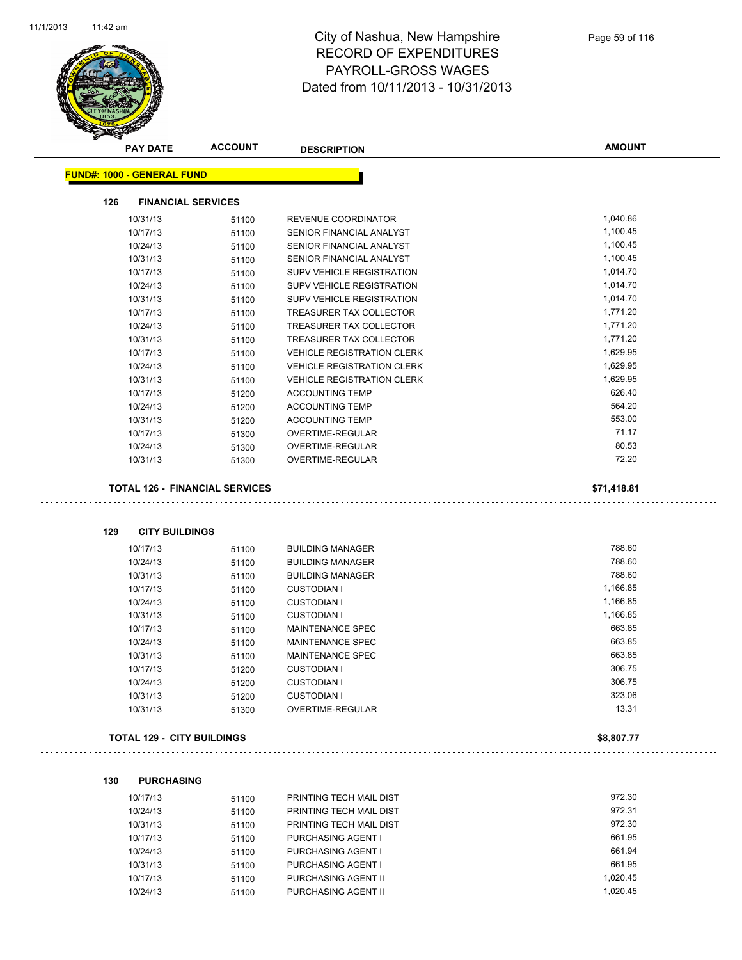$\hat{\mathbb{Z}}$  .

 $\Box$ 



| <b>PAY DATE</b>                   | <b>ACCOUNT</b>                        | <b>DESCRIPTION</b>                | <b>AMOUNT</b> |
|-----------------------------------|---------------------------------------|-----------------------------------|---------------|
| <b>FUND#: 1000 - GENERAL FUND</b> |                                       |                                   |               |
| 126                               | <b>FINANCIAL SERVICES</b>             |                                   |               |
| 10/31/13                          | 51100                                 | REVENUE COORDINATOR               | 1,040.86      |
| 10/17/13                          | 51100                                 | SENIOR FINANCIAL ANALYST          | 1,100.45      |
| 10/24/13                          | 51100                                 | SENIOR FINANCIAL ANALYST          | 1,100.45      |
| 10/31/13                          | 51100                                 | SENIOR FINANCIAL ANALYST          | 1,100.45      |
| 10/17/13                          | 51100                                 | SUPV VEHICLE REGISTRATION         | 1,014.70      |
| 10/24/13                          | 51100                                 | SUPV VEHICLE REGISTRATION         | 1,014.70      |
| 10/31/13                          | 51100                                 | SUPV VEHICLE REGISTRATION         | 1,014.70      |
| 10/17/13                          | 51100                                 | <b>TREASURER TAX COLLECTOR</b>    | 1,771.20      |
| 10/24/13                          | 51100                                 | TREASURER TAX COLLECTOR           | 1,771.20      |
| 10/31/13                          | 51100                                 | TREASURER TAX COLLECTOR           | 1,771.20      |
| 10/17/13                          | 51100                                 | <b>VEHICLE REGISTRATION CLERK</b> | 1,629.95      |
| 10/24/13                          | 51100                                 | <b>VEHICLE REGISTRATION CLERK</b> | 1,629.95      |
| 10/31/13                          | 51100                                 | <b>VEHICLE REGISTRATION CLERK</b> | 1,629.95      |
| 10/17/13                          | 51200                                 | <b>ACCOUNTING TEMP</b>            | 626.40        |
| 10/24/13                          | 51200                                 | <b>ACCOUNTING TEMP</b>            | 564.20        |
| 10/31/13                          | 51200                                 | <b>ACCOUNTING TEMP</b>            | 553.00        |
| 10/17/13                          | 51300                                 | OVERTIME-REGULAR                  | 71.17         |
| 10/24/13                          | 51300                                 | OVERTIME-REGULAR                  | 80.53         |
| 10/31/13                          | 51300                                 | OVERTIME-REGULAR                  | 72.20         |
|                                   | <b>TOTAL 126 - FINANCIAL SERVICES</b> |                                   | \$71,418.81   |
| 129<br><b>CITY BUILDINGS</b>      |                                       |                                   |               |
| 10/17/13                          | 51100                                 | <b>BUILDING MANAGER</b>           | 788.60        |
| 10/24/13                          | 51100                                 | <b>BUILDING MANAGER</b>           | 788.60        |
| 10/31/13                          | 51100                                 | <b>BUILDING MANAGER</b>           | 788.60        |
| 10/17/13                          | 51100                                 | <b>CUSTODIAN I</b>                | 1,166.85      |
| 10/24/13                          | 51100                                 | <b>CUSTODIAN I</b>                | 1,166.85      |
| 10/31/13                          | 51100                                 | <b>CUSTODIAN I</b>                | 1,166.85      |
| 10/17/13                          | 51100                                 | <b>MAINTENANCE SPEC</b>           | 663.85        |
| 10/24/13                          | 51100                                 | MAINTENANCE SPEC                  | 663.85        |
| 10/31/13                          | 51100                                 | <b>MAINTENANCE SPEC</b>           | 663.85        |
| 10/17/13                          | 51200                                 | <b>CUSTODIAN I</b>                | 306.75        |
| 10/24/13                          | 51200                                 | <b>CUSTODIAN I</b>                | 306.75        |
| 10/31/13                          | 51200                                 | <b>CUSTODIAN I</b>                | 323.06        |
| 10/31/13                          | 51300                                 | OVERTIME-REGULAR                  | 13.31         |
|                                   | <b>TOTAL 129 - CITY BUILDINGS</b>     |                                   | \$8,807.77    |

| 130 | <b>PURCHASING</b> |
|-----|-------------------|
|     |                   |

| 10/17/13 | 51100 | PRINTING TECH MAIL DIST   | 972.30   |
|----------|-------|---------------------------|----------|
| 10/24/13 | 51100 | PRINTING TECH MAIL DIST   | 972.31   |
| 10/31/13 | 51100 | PRINTING TECH MAIL DIST   | 972.30   |
| 10/17/13 | 51100 | <b>PURCHASING AGENT I</b> | 661.95   |
| 10/24/13 | 51100 | <b>PURCHASING AGENT I</b> | 661.94   |
| 10/31/13 | 51100 | <b>PURCHASING AGENT I</b> | 661.95   |
| 10/17/13 | 51100 | PURCHASING AGENT II       | 1.020.45 |
| 10/24/13 | 51100 | PURCHASING AGENT II       | 1.020.45 |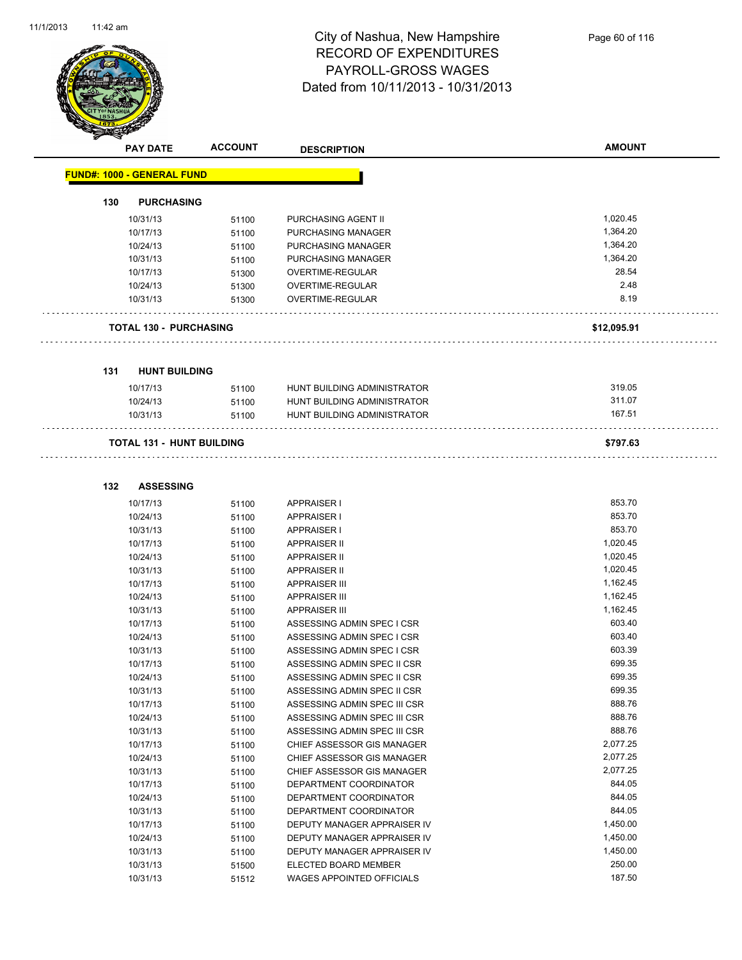

|     | <b>PAY DATE</b>                   | <b>ACCOUNT</b> | <b>DESCRIPTION</b>          | <b>AMOUNT</b> |
|-----|-----------------------------------|----------------|-----------------------------|---------------|
|     | <b>FUND#: 1000 - GENERAL FUND</b> |                |                             |               |
| 130 | <b>PURCHASING</b>                 |                |                             |               |
|     | 10/31/13                          | 51100          | PURCHASING AGENT II         | 1,020.45      |
|     | 10/17/13                          | 51100          | PURCHASING MANAGER          | 1,364.20      |
|     | 10/24/13                          | 51100          | PURCHASING MANAGER          | 1,364.20      |
|     | 10/31/13                          | 51100          | PURCHASING MANAGER          | 1,364.20      |
|     | 10/17/13                          | 51300          | <b>OVERTIME-REGULAR</b>     | 28.54         |
|     | 10/24/13                          | 51300          | OVERTIME-REGULAR            | 2.48          |
|     | 10/31/13                          | 51300          | OVERTIME-REGULAR            | 8.19          |
|     | <b>TOTAL 130 - PURCHASING</b>     |                |                             | \$12,095.91   |
| 131 | <b>HUNT BUILDING</b>              |                |                             |               |
|     | 10/17/13                          | 51100          | HUNT BUILDING ADMINISTRATOR | 319.05        |
|     | 10/24/13                          | 51100          | HUNT BUILDING ADMINISTRATOR | 311.07        |
|     | 10/31/13                          | 51100          | HUNT BUILDING ADMINISTRATOR | 167.51        |
|     | <b>TOTAL 131 - HUNT BUILDING</b>  |                |                             | \$797.63      |
| 132 | <b>ASSESSING</b>                  |                |                             |               |
|     | 10/17/13                          | 51100          | APPRAISER I                 | 853.70        |
|     | 10/24/13                          | 51100          | <b>APPRAISER I</b>          | 853.70        |
|     | 10/31/13                          | 51100          | <b>APPRAISER I</b>          | 853.70        |
|     | 10/17/13                          | 51100          | <b>APPRAISER II</b>         | 1,020.45      |
|     | 10/24/13                          | 51100          | <b>APPRAISER II</b>         | 1,020.45      |
|     | 10/31/13                          | 51100          | <b>APPRAISER II</b>         | 1,020.45      |
|     | 10/17/13                          | 51100          | <b>APPRAISER III</b>        | 1,162.45      |
|     | 10/24/13                          | 51100          | <b>APPRAISER III</b>        | 1,162.45      |
|     | 10/31/13                          | 51100          | <b>APPRAISER III</b>        | 1,162.45      |
|     | 10/17/13                          | 51100          | ASSESSING ADMIN SPEC I CSR  | 603.40        |

| 10/31/13 | 51100 | <b>APPRAISER III</b>             | 1,162.45 |
|----------|-------|----------------------------------|----------|
| 10/17/13 | 51100 | ASSESSING ADMIN SPEC LCSR        | 603.40   |
| 10/24/13 | 51100 | ASSESSING ADMIN SPEC LCSR        | 603.40   |
| 10/31/13 | 51100 | ASSESSING ADMIN SPEC LCSR        | 603.39   |
| 10/17/13 | 51100 | ASSESSING ADMIN SPEC II CSR      | 699.35   |
| 10/24/13 | 51100 | ASSESSING ADMIN SPEC II CSR      | 699.35   |
| 10/31/13 | 51100 | ASSESSING ADMIN SPEC II CSR      | 699.35   |
| 10/17/13 | 51100 | ASSESSING ADMIN SPEC III CSR     | 888.76   |
| 10/24/13 | 51100 | ASSESSING ADMIN SPEC III CSR     | 888.76   |
| 10/31/13 | 51100 | ASSESSING ADMIN SPEC III CSR     | 888.76   |
| 10/17/13 | 51100 | CHIEF ASSESSOR GIS MANAGER       | 2,077.25 |
| 10/24/13 | 51100 | CHIEF ASSESSOR GIS MANAGER       | 2,077.25 |
| 10/31/13 | 51100 | CHIEF ASSESSOR GIS MANAGER       | 2,077.25 |
| 10/17/13 | 51100 | DEPARTMENT COORDINATOR           | 844.05   |
| 10/24/13 | 51100 | DEPARTMENT COORDINATOR           | 844.05   |
| 10/31/13 | 51100 | DEPARTMENT COORDINATOR           | 844.05   |
| 10/17/13 | 51100 | DEPUTY MANAGER APPRAISER IV      | 1,450.00 |
| 10/24/13 | 51100 | DEPUTY MANAGER APPRAISER IV      | 1,450.00 |
| 10/31/13 | 51100 | DEPUTY MANAGER APPRAISER IV      | 1,450.00 |
| 10/31/13 | 51500 | ELECTED BOARD MEMBER             | 250.00   |
| 10/31/13 | 51512 | <b>WAGES APPOINTED OFFICIALS</b> | 187.50   |
|          |       |                                  |          |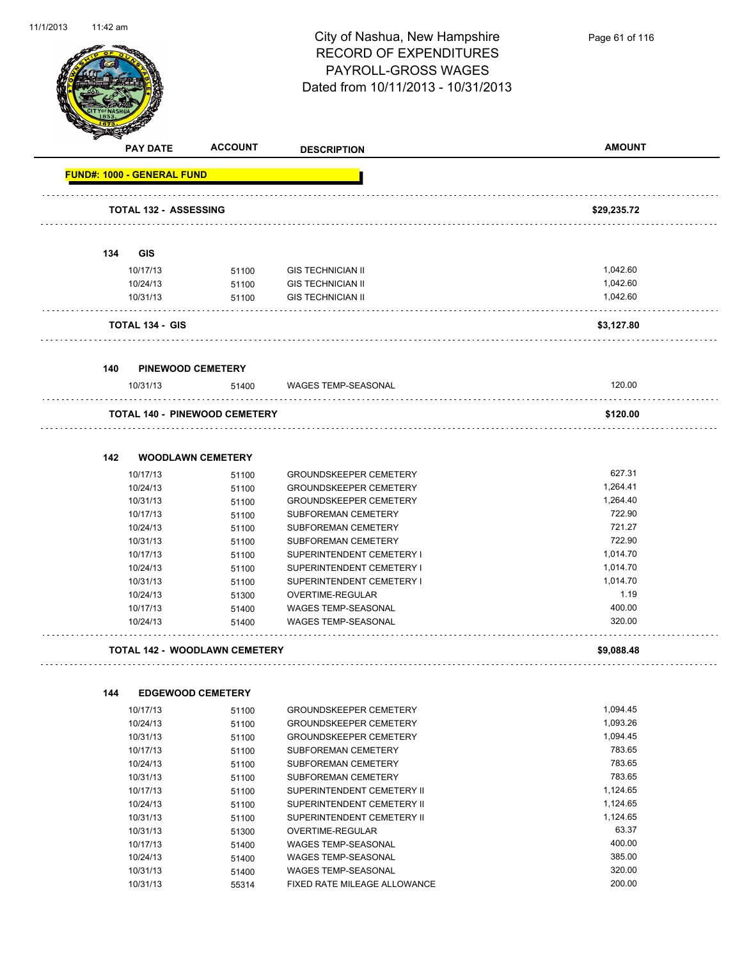

Page 61 of 116

| <b>PAY DATE</b>                   | <b>ACCOUNT</b>                       | <b>DESCRIPTION</b>                                      | <b>AMOUNT</b>    |
|-----------------------------------|--------------------------------------|---------------------------------------------------------|------------------|
| <b>FUND#: 1000 - GENERAL FUND</b> |                                      |                                                         |                  |
|                                   | <b>TOTAL 132 - ASSESSING</b>         |                                                         | \$29,235.72      |
|                                   |                                      |                                                         |                  |
| 134<br>GIS                        |                                      |                                                         |                  |
| 10/17/13                          | 51100                                | <b>GIS TECHNICIAN II</b>                                | 1,042.60         |
| 10/24/13                          | 51100                                | <b>GIS TECHNICIAN II</b>                                | 1,042.60         |
| 10/31/13                          | 51100                                | <b>GIS TECHNICIAN II</b>                                | 1,042.60         |
| <b>TOTAL 134 - GIS</b>            |                                      |                                                         | \$3,127.80       |
| 140                               | <b>PINEWOOD CEMETERY</b>             |                                                         |                  |
| 10/31/13                          | 51400                                | WAGES TEMP-SEASONAL                                     | 120.00           |
|                                   | <b>TOTAL 140 - PINEWOOD CEMETERY</b> |                                                         | \$120.00         |
|                                   |                                      |                                                         |                  |
| 142                               | <b>WOODLAWN CEMETERY</b>             |                                                         |                  |
| 10/17/13                          | 51100                                | <b>GROUNDSKEEPER CEMETERY</b>                           | 627.31           |
| 10/24/13                          | 51100                                | <b>GROUNDSKEEPER CEMETERY</b>                           | 1,264.41         |
| 10/31/13                          | 51100                                | <b>GROUNDSKEEPER CEMETERY</b>                           | 1,264.40         |
| 10/17/13                          | 51100                                | SUBFOREMAN CEMETERY                                     | 722.90           |
| 10/24/13                          | 51100                                | SUBFOREMAN CEMETERY                                     | 721.27           |
| 10/31/13                          | 51100                                | SUBFOREMAN CEMETERY                                     | 722.90           |
| 10/17/13                          | 51100                                | SUPERINTENDENT CEMETERY I                               | 1,014.70         |
| 10/24/13                          | 51100                                | SUPERINTENDENT CEMETERY I                               | 1,014.70         |
| 10/31/13                          | 51100                                | SUPERINTENDENT CEMETERY I                               | 1,014.70<br>1.19 |
| 10/24/13<br>10/17/13              | 51300                                | OVERTIME-REGULAR<br>WAGES TEMP-SEASONAL                 | 400.00           |
| 10/24/13                          | 51400<br>51400                       | <b>WAGES TEMP-SEASONAL</b>                              | 320.00           |
|                                   | <b>TOTAL 142 - WOODLAWN CEMETERY</b> |                                                         | \$9,088.48       |
|                                   |                                      |                                                         |                  |
| 144                               | <b>EDGEWOOD CEMETERY</b>             |                                                         | 1,094.45         |
| 10/17/13<br>10/24/13              | 51100                                | GROUNDSKEEPER CEMETERY<br><b>GROUNDSKEEPER CEMETERY</b> | 1,093.26         |
|                                   | 51100                                | <b>GROUNDSKEEPER CEMETERY</b>                           | 1,094.45         |
| 10/31/13<br>10/17/13              | 51100                                | SUBFOREMAN CEMETERY                                     | 783.65           |
| 10/24/13                          | 51100<br>51100                       | SUBFOREMAN CEMETERY                                     | 783.65           |
| 10/31/13                          | 51100                                | SUBFOREMAN CEMETERY                                     | 783.65           |
| 10/17/13                          | 51100                                | SUPERINTENDENT CEMETERY II                              | 1,124.65         |
| 10/24/13                          | 51100                                | SUPERINTENDENT CEMETERY II                              | 1,124.65         |
| 10/31/13                          | 51100                                | SUPERINTENDENT CEMETERY II                              | 1,124.65         |
| 10/31/13                          | 51300                                | OVERTIME-REGULAR                                        | 63.37            |
| 10/17/13                          | 51400                                | WAGES TEMP-SEASONAL                                     | 400.00           |
| 10/24/13                          | 51400                                | WAGES TEMP-SEASONAL                                     | 385.00           |
| 10/31/13                          | 51400                                | WAGES TEMP-SEASONAL                                     | 320.00           |
| 10/31/13                          | 55314                                | FIXED RATE MILEAGE ALLOWANCE                            | 200.00           |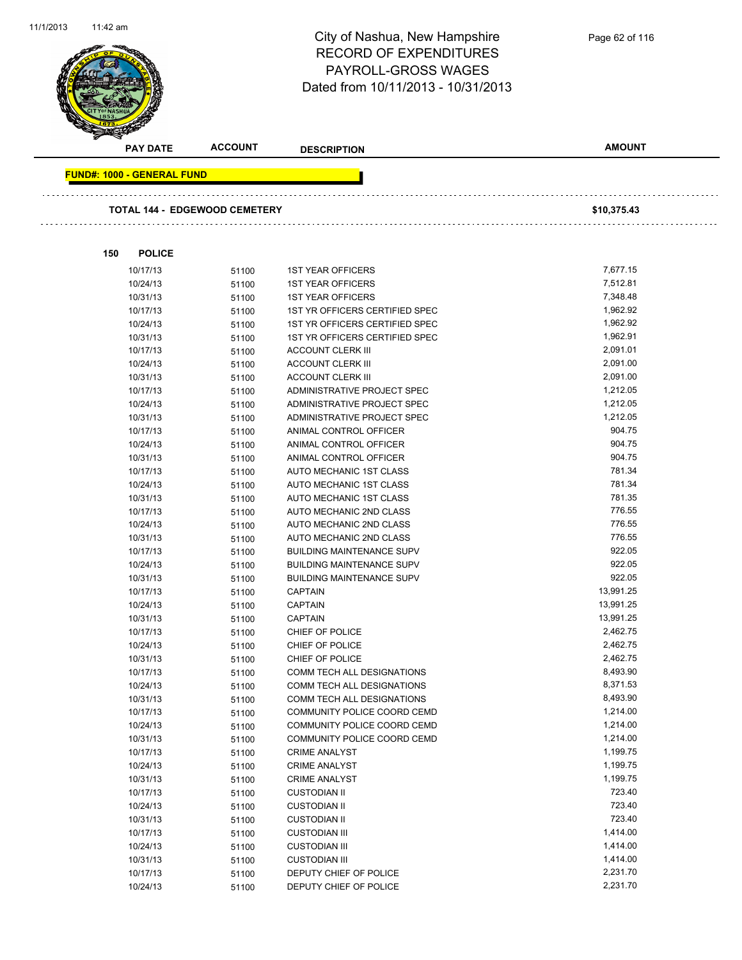

Page 62 of 116

|     | <b>PAY DATE</b>                   | <b>ACCOUNT</b>                       | <b>DESCRIPTION</b>                                               | <b>AMOUNT</b>        |
|-----|-----------------------------------|--------------------------------------|------------------------------------------------------------------|----------------------|
|     | <b>FUND#: 1000 - GENERAL FUND</b> |                                      |                                                                  |                      |
|     |                                   |                                      |                                                                  |                      |
|     |                                   | <b>TOTAL 144 - EDGEWOOD CEMETERY</b> |                                                                  | \$10,375.43          |
| 150 | <b>POLICE</b>                     |                                      |                                                                  |                      |
|     |                                   |                                      |                                                                  |                      |
|     | 10/17/13                          | 51100                                | <b>1ST YEAR OFFICERS</b>                                         | 7,677.15             |
|     | 10/24/13                          | 51100                                | <b>1ST YEAR OFFICERS</b>                                         | 7,512.81             |
|     | 10/31/13<br>10/17/13              | 51100                                | <b>1ST YEAR OFFICERS</b>                                         | 7,348.48<br>1,962.92 |
|     |                                   | 51100                                | 1ST YR OFFICERS CERTIFIED SPEC                                   | 1,962.92             |
|     | 10/24/13                          | 51100                                | 1ST YR OFFICERS CERTIFIED SPEC<br>1ST YR OFFICERS CERTIFIED SPEC | 1,962.91             |
|     | 10/31/13                          | 51100                                |                                                                  | 2,091.01             |
|     | 10/17/13<br>10/24/13              | 51100                                | <b>ACCOUNT CLERK III</b><br><b>ACCOUNT CLERK III</b>             | 2,091.00             |
|     | 10/31/13                          | 51100                                | <b>ACCOUNT CLERK III</b>                                         | 2,091.00             |
|     | 10/17/13                          | 51100<br>51100                       | ADMINISTRATIVE PROJECT SPEC                                      | 1,212.05             |
|     | 10/24/13                          | 51100                                | ADMINISTRATIVE PROJECT SPEC                                      | 1,212.05             |
|     | 10/31/13                          | 51100                                | ADMINISTRATIVE PROJECT SPEC                                      | 1,212.05             |
|     | 10/17/13                          | 51100                                | ANIMAL CONTROL OFFICER                                           | 904.75               |
|     | 10/24/13                          | 51100                                | ANIMAL CONTROL OFFICER                                           | 904.75               |
|     | 10/31/13                          | 51100                                | ANIMAL CONTROL OFFICER                                           | 904.75               |
|     | 10/17/13                          | 51100                                | AUTO MECHANIC 1ST CLASS                                          | 781.34               |
|     | 10/24/13                          | 51100                                | AUTO MECHANIC 1ST CLASS                                          | 781.34               |
|     | 10/31/13                          | 51100                                | AUTO MECHANIC 1ST CLASS                                          | 781.35               |
|     | 10/17/13                          | 51100                                | AUTO MECHANIC 2ND CLASS                                          | 776.55               |
|     | 10/24/13                          | 51100                                | AUTO MECHANIC 2ND CLASS                                          | 776.55               |
|     | 10/31/13                          | 51100                                | AUTO MECHANIC 2ND CLASS                                          | 776.55               |
|     | 10/17/13                          | 51100                                | <b>BUILDING MAINTENANCE SUPV</b>                                 | 922.05               |
|     | 10/24/13                          | 51100                                | <b>BUILDING MAINTENANCE SUPV</b>                                 | 922.05               |
|     | 10/31/13                          | 51100                                | <b>BUILDING MAINTENANCE SUPV</b>                                 | 922.05               |
|     | 10/17/13                          | 51100                                | <b>CAPTAIN</b>                                                   | 13,991.25            |
|     | 10/24/13                          | 51100                                | <b>CAPTAIN</b>                                                   | 13,991.25            |
|     | 10/31/13                          | 51100                                | <b>CAPTAIN</b>                                                   | 13,991.25            |
|     | 10/17/13                          | 51100                                | CHIEF OF POLICE                                                  | 2,462.75             |
|     | 10/24/13                          | 51100                                | CHIEF OF POLICE                                                  | 2,462.75             |
|     | 10/31/13                          | 51100                                | CHIEF OF POLICE                                                  | 2,462.75             |
|     | 10/17/13                          | 51100                                | COMM TECH ALL DESIGNATIONS                                       | 8,493.90             |
|     | 10/24/13                          | 51100                                | COMM TECH ALL DESIGNATIONS                                       | 8,371.53             |
|     | 10/31/13                          | 51100                                | COMM TECH ALL DESIGNATIONS                                       | 8,493.90             |
|     | 10/17/13                          | 51100                                | COMMUNITY POLICE COORD CEMD                                      | 1,214.00             |
|     | 10/24/13                          | 51100                                | COMMUNITY POLICE COORD CEMD                                      | 1,214.00             |
|     | 10/31/13                          | 51100                                | COMMUNITY POLICE COORD CEMD                                      | 1,214.00             |
|     | 10/17/13                          | 51100                                | <b>CRIME ANALYST</b>                                             | 1,199.75             |
|     | 10/24/13                          | 51100                                | <b>CRIME ANALYST</b>                                             | 1,199.75             |
|     | 10/31/13                          | 51100                                | <b>CRIME ANALYST</b>                                             | 1,199.75             |
|     | 10/17/13                          | 51100                                | <b>CUSTODIAN II</b>                                              | 723.40               |
|     | 10/24/13                          | 51100                                | <b>CUSTODIAN II</b>                                              | 723.40               |
|     | 10/31/13                          | 51100                                | <b>CUSTODIAN II</b>                                              | 723.40               |
|     | 10/17/13                          | 51100                                | <b>CUSTODIAN III</b>                                             | 1,414.00             |
|     | 10/24/13                          | 51100                                | <b>CUSTODIAN III</b>                                             | 1,414.00             |
|     | 10/31/13                          | 51100                                | <b>CUSTODIAN III</b>                                             | 1,414.00             |
|     | 10/17/13                          | 51100                                | DEPUTY CHIEF OF POLICE                                           | 2,231.70             |
|     | 10/24/13                          | 51100                                | DEPUTY CHIEF OF POLICE                                           | 2,231.70             |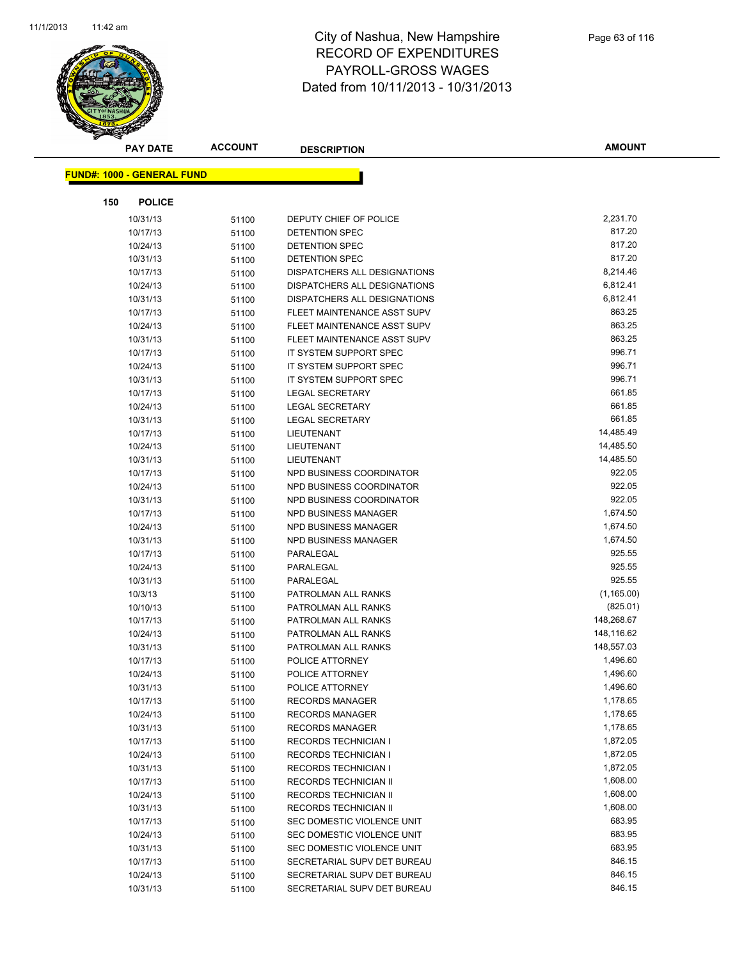

|     | <b>PAY DATE</b>                   | <b>ACCOUNT</b> | <b>DESCRIPTION</b>                                         | <b>AMOUNT</b>        |
|-----|-----------------------------------|----------------|------------------------------------------------------------|----------------------|
|     | <b>FUND#: 1000 - GENERAL FUND</b> |                |                                                            |                      |
|     |                                   |                |                                                            |                      |
| 150 | <b>POLICE</b>                     |                |                                                            |                      |
|     | 10/31/13                          | 51100          | DEPUTY CHIEF OF POLICE                                     | 2,231.70             |
|     | 10/17/13                          | 51100          | DETENTION SPEC                                             | 817.20               |
|     | 10/24/13                          | 51100          | <b>DETENTION SPEC</b>                                      | 817.20               |
|     | 10/31/13                          | 51100          | <b>DETENTION SPEC</b>                                      | 817.20               |
|     | 10/17/13                          | 51100          | DISPATCHERS ALL DESIGNATIONS                               | 8,214.46             |
|     | 10/24/13                          | 51100          | DISPATCHERS ALL DESIGNATIONS                               | 6,812.41             |
|     | 10/31/13                          | 51100          | DISPATCHERS ALL DESIGNATIONS                               | 6,812.41             |
|     | 10/17/13                          | 51100          | FLEET MAINTENANCE ASST SUPV                                | 863.25               |
|     | 10/24/13                          | 51100          | FLEET MAINTENANCE ASST SUPV                                | 863.25               |
|     | 10/31/13                          | 51100          | FLEET MAINTENANCE ASST SUPV                                | 863.25               |
|     | 10/17/13                          | 51100          | IT SYSTEM SUPPORT SPEC                                     | 996.71               |
|     | 10/24/13                          | 51100          | IT SYSTEM SUPPORT SPEC                                     | 996.71               |
|     | 10/31/13                          | 51100          | IT SYSTEM SUPPORT SPEC                                     | 996.71               |
|     | 10/17/13                          | 51100          | <b>LEGAL SECRETARY</b>                                     | 661.85               |
|     | 10/24/13                          | 51100          | <b>LEGAL SECRETARY</b>                                     | 661.85               |
|     | 10/31/13                          | 51100          | <b>LEGAL SECRETARY</b>                                     | 661.85               |
|     | 10/17/13                          | 51100          | LIEUTENANT                                                 | 14,485.49            |
|     | 10/24/13                          | 51100          | LIEUTENANT                                                 | 14,485.50            |
|     | 10/31/13                          | 51100          | LIEUTENANT                                                 | 14,485.50            |
|     | 10/17/13                          | 51100          | NPD BUSINESS COORDINATOR                                   | 922.05               |
|     | 10/24/13                          | 51100          | NPD BUSINESS COORDINATOR                                   | 922.05               |
|     | 10/31/13                          | 51100          | NPD BUSINESS COORDINATOR                                   | 922.05               |
|     | 10/17/13                          | 51100          | NPD BUSINESS MANAGER                                       | 1,674.50             |
|     | 10/24/13                          | 51100          | NPD BUSINESS MANAGER                                       | 1,674.50             |
|     | 10/31/13                          | 51100          | NPD BUSINESS MANAGER                                       | 1,674.50             |
|     | 10/17/13                          | 51100          | PARALEGAL                                                  | 925.55               |
|     | 10/24/13                          | 51100          | PARALEGAL                                                  | 925.55               |
|     | 10/31/13                          | 51100          | PARALEGAL                                                  | 925.55               |
|     | 10/3/13                           | 51100          | PATROLMAN ALL RANKS                                        | (1, 165.00)          |
|     | 10/10/13                          | 51100          | PATROLMAN ALL RANKS                                        | (825.01)             |
|     | 10/17/13                          | 51100          | PATROLMAN ALL RANKS                                        | 148,268.67           |
|     | 10/24/13                          | 51100          | PATROLMAN ALL RANKS                                        | 148,116.62           |
|     | 10/31/13                          | 51100          | PATROLMAN ALL RANKS                                        | 148,557.03           |
|     | 10/17/13                          | 51100          | POLICE ATTORNEY                                            | 1,496.60             |
|     | 10/24/13                          | 51100          | POLICE ATTORNEY                                            | 1,496.60             |
|     | 10/31/13                          | 51100          | POLICE ATTORNEY                                            | 1,496.60             |
|     | 10/17/13                          | 51100          | <b>RECORDS MANAGER</b>                                     | 1,178.65<br>1,178.65 |
|     | 10/24/13                          | 51100          | <b>RECORDS MANAGER</b>                                     |                      |
|     | 10/31/13                          | 51100          | <b>RECORDS MANAGER</b>                                     | 1,178.65<br>1,872.05 |
|     | 10/17/13                          | 51100          | <b>RECORDS TECHNICIAN I</b><br><b>RECORDS TECHNICIAN I</b> | 1,872.05             |
|     | 10/24/13                          | 51100          |                                                            | 1,872.05             |
|     | 10/31/13                          | 51100          | <b>RECORDS TECHNICIAN I</b>                                | 1,608.00             |
|     | 10/17/13<br>10/24/13              | 51100          | RECORDS TECHNICIAN II<br>RECORDS TECHNICIAN II             | 1,608.00             |
|     | 10/31/13                          | 51100          | RECORDS TECHNICIAN II                                      | 1,608.00             |
|     | 10/17/13                          | 51100          | SEC DOMESTIC VIOLENCE UNIT                                 | 683.95               |
|     | 10/24/13                          | 51100          | SEC DOMESTIC VIOLENCE UNIT                                 | 683.95               |
|     | 10/31/13                          | 51100<br>51100 | SEC DOMESTIC VIOLENCE UNIT                                 | 683.95               |
|     | 10/17/13                          | 51100          | SECRETARIAL SUPV DET BUREAU                                | 846.15               |
|     | 10/24/13                          | 51100          | SECRETARIAL SUPV DET BUREAU                                | 846.15               |
|     | 10/31/13                          | 51100          | SECRETARIAL SUPV DET BUREAU                                | 846.15               |
|     |                                   |                |                                                            |                      |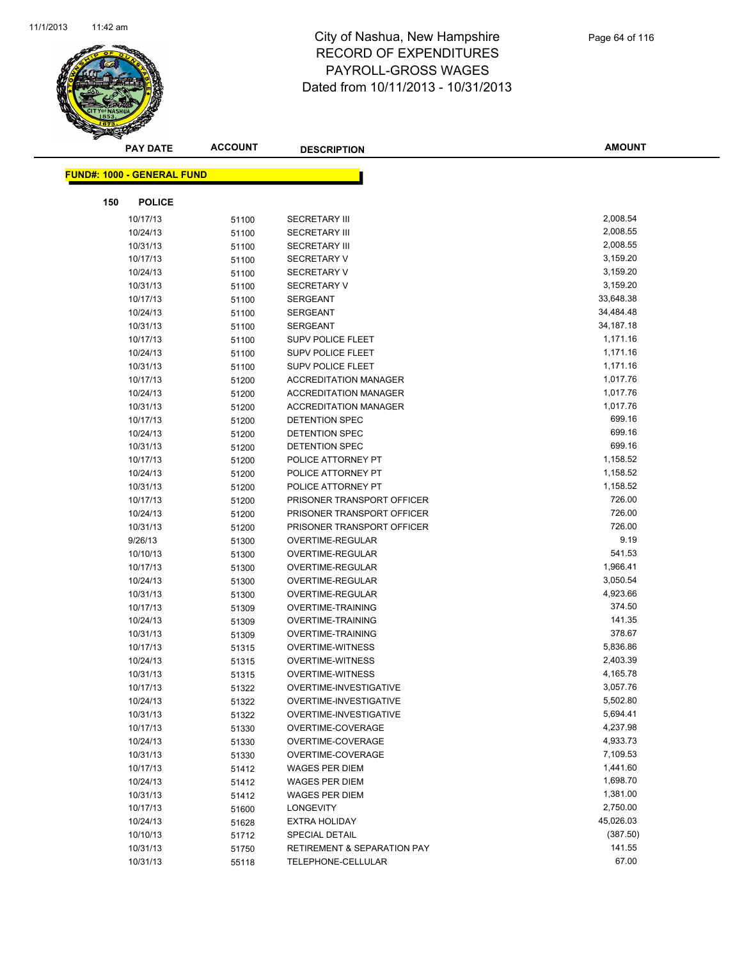

**AMOUNT**

|     | <u> FUND#: 1000 - GENERAL FUND</u> |       |                                        |           |
|-----|------------------------------------|-------|----------------------------------------|-----------|
| 150 | <b>POLICE</b>                      |       |                                        |           |
|     | 10/17/13                           | 51100 | <b>SECRETARY III</b>                   | 2,008.54  |
|     | 10/24/13                           | 51100 | <b>SECRETARY III</b>                   | 2,008.55  |
|     | 10/31/13                           | 51100 | <b>SECRETARY III</b>                   | 2,008.55  |
|     | 10/17/13                           | 51100 | <b>SECRETARY V</b>                     | 3,159.20  |
|     | 10/24/13                           | 51100 | <b>SECRETARY V</b>                     | 3,159.20  |
|     | 10/31/13                           | 51100 | <b>SECRETARY V</b>                     | 3,159.20  |
|     | 10/17/13                           | 51100 | <b>SERGEANT</b>                        | 33,648.38 |
|     | 10/24/13                           | 51100 | <b>SERGEANT</b>                        | 34,484.48 |
|     | 10/31/13                           | 51100 | <b>SERGEANT</b>                        | 34,187.18 |
|     | 10/17/13                           | 51100 | <b>SUPV POLICE FLEET</b>               | 1,171.16  |
|     | 10/24/13                           | 51100 | <b>SUPV POLICE FLEET</b>               | 1,171.16  |
|     | 10/31/13                           | 51100 | <b>SUPV POLICE FLEET</b>               | 1,171.16  |
|     | 10/17/13                           | 51200 | <b>ACCREDITATION MANAGER</b>           | 1,017.76  |
|     | 10/24/13                           | 51200 | <b>ACCREDITATION MANAGER</b>           | 1,017.76  |
|     | 10/31/13                           | 51200 | <b>ACCREDITATION MANAGER</b>           | 1,017.76  |
|     | 10/17/13                           | 51200 | DETENTION SPEC                         | 699.16    |
|     | 10/24/13                           | 51200 | DETENTION SPEC                         | 699.16    |
|     | 10/31/13                           | 51200 | DETENTION SPEC                         | 699.16    |
|     | 10/17/13                           | 51200 | POLICE ATTORNEY PT                     | 1,158.52  |
|     | 10/24/13                           | 51200 | POLICE ATTORNEY PT                     | 1,158.52  |
|     | 10/31/13                           | 51200 | POLICE ATTORNEY PT                     | 1,158.52  |
|     | 10/17/13                           | 51200 | PRISONER TRANSPORT OFFICER             | 726.00    |
|     | 10/24/13                           | 51200 | PRISONER TRANSPORT OFFICER             | 726.00    |
|     | 10/31/13                           | 51200 | PRISONER TRANSPORT OFFICER             | 726.00    |
|     | 9/26/13                            | 51300 | OVERTIME-REGULAR                       | 9.19      |
|     | 10/10/13                           | 51300 | OVERTIME-REGULAR                       | 541.53    |
|     | 10/17/13                           | 51300 | OVERTIME-REGULAR                       | 1,966.41  |
|     | 10/24/13                           | 51300 | OVERTIME-REGULAR                       | 3,050.54  |
|     | 10/31/13                           | 51300 | OVERTIME-REGULAR                       | 4,923.66  |
|     | 10/17/13                           | 51309 | <b>OVERTIME-TRAINING</b>               | 374.50    |
|     | 10/24/13                           | 51309 | <b>OVERTIME-TRAINING</b>               | 141.35    |
|     | 10/31/13                           | 51309 | <b>OVERTIME-TRAINING</b>               | 378.67    |
|     | 10/17/13                           | 51315 | <b>OVERTIME-WITNESS</b>                | 5,836.86  |
|     | 10/24/13                           | 51315 | <b>OVERTIME-WITNESS</b>                | 2,403.39  |
|     | 10/31/13                           | 51315 | <b>OVERTIME-WITNESS</b>                | 4,165.78  |
|     | 10/17/13                           | 51322 | OVERTIME-INVESTIGATIVE                 | 3,057.76  |
|     | 10/24/13                           | 51322 | OVERTIME-INVESTIGATIVE                 | 5,502.80  |
|     | 10/31/13                           | 51322 | OVERTIME-INVESTIGATIVE                 | 5,694.41  |
|     | 10/17/13                           | 51330 | OVERTIME-COVERAGE                      | 4,237.98  |
|     | 10/24/13                           | 51330 | OVERTIME-COVERAGE                      | 4,933.73  |
|     | 10/31/13                           | 51330 | OVERTIME-COVERAGE                      | 7,109.53  |
|     | 10/17/13                           | 51412 | <b>WAGES PER DIEM</b>                  | 1,441.60  |
|     | 10/24/13                           | 51412 | <b>WAGES PER DIEM</b>                  | 1,698.70  |
|     | 10/31/13                           | 51412 | WAGES PER DIEM                         | 1,381.00  |
|     | 10/17/13                           | 51600 | <b>LONGEVITY</b>                       | 2,750.00  |
|     | 10/24/13                           | 51628 | <b>EXTRA HOLIDAY</b>                   | 45,026.03 |
|     | 10/10/13                           | 51712 | <b>SPECIAL DETAIL</b>                  | (387.50)  |
|     | 10/31/13                           | 51750 | <b>RETIREMENT &amp; SEPARATION PAY</b> | 141.55    |
|     | 10/31/13                           | 55118 | TELEPHONE-CELLULAR                     | 67.00     |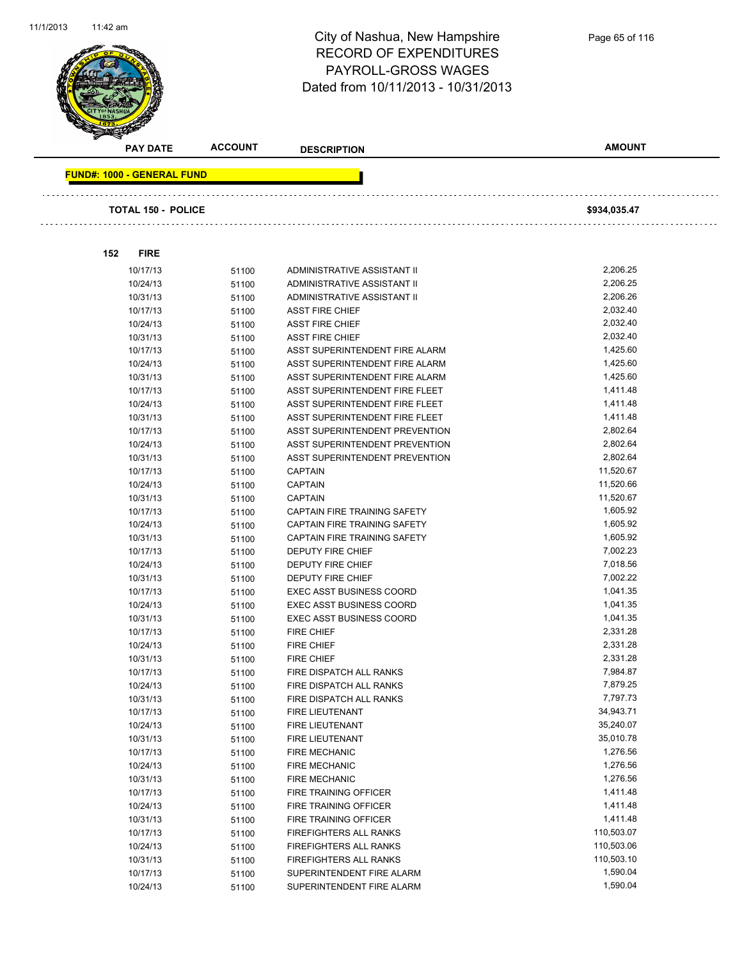

| <b>PAY DATE</b>                   | <b>ACCOUNT</b> | <b>DESCRIPTION</b>              | <b>AMOUNT</b> |  |
|-----------------------------------|----------------|---------------------------------|---------------|--|
| <b>FUND#: 1000 - GENERAL FUND</b> |                |                                 |               |  |
|                                   |                |                                 |               |  |
| <b>TOTAL 150 - POLICE</b>         |                |                                 | \$934,035.47  |  |
|                                   |                |                                 |               |  |
| 152<br><b>FIRE</b>                |                |                                 |               |  |
| 10/17/13                          | 51100          | ADMINISTRATIVE ASSISTANT II     | 2,206.25      |  |
| 10/24/13                          | 51100          | ADMINISTRATIVE ASSISTANT II     | 2,206.25      |  |
| 10/31/13                          | 51100          | ADMINISTRATIVE ASSISTANT II     | 2,206.26      |  |
| 10/17/13                          | 51100          | <b>ASST FIRE CHIEF</b>          | 2,032.40      |  |
| 10/24/13                          | 51100          | <b>ASST FIRE CHIEF</b>          | 2,032.40      |  |
| 10/31/13                          | 51100          | <b>ASST FIRE CHIEF</b>          | 2,032.40      |  |
| 10/17/13                          | 51100          | ASST SUPERINTENDENT FIRE ALARM  | 1,425.60      |  |
| 10/24/13                          | 51100          | ASST SUPERINTENDENT FIRE ALARM  | 1,425.60      |  |
| 10/31/13                          | 51100          | ASST SUPERINTENDENT FIRE ALARM  | 1,425.60      |  |
| 10/17/13                          | 51100          | ASST SUPERINTENDENT FIRE FLEET  | 1,411.48      |  |
| 10/24/13                          | 51100          | ASST SUPERINTENDENT FIRE FLEET  | 1,411.48      |  |
| 10/31/13                          | 51100          | ASST SUPERINTENDENT FIRE FLEET  | 1,411.48      |  |
| 10/17/13                          | 51100          | ASST SUPERINTENDENT PREVENTION  | 2,802.64      |  |
| 10/24/13                          | 51100          | ASST SUPERINTENDENT PREVENTION  | 2,802.64      |  |
| 10/31/13                          | 51100          | ASST SUPERINTENDENT PREVENTION  | 2,802.64      |  |
| 10/17/13                          | 51100          | <b>CAPTAIN</b>                  | 11,520.67     |  |
| 10/24/13                          | 51100          | <b>CAPTAIN</b>                  | 11,520.66     |  |
| 10/31/13                          | 51100          | <b>CAPTAIN</b>                  | 11,520.67     |  |
| 10/17/13                          | 51100          | CAPTAIN FIRE TRAINING SAFETY    | 1,605.92      |  |
| 10/24/13                          | 51100          | CAPTAIN FIRE TRAINING SAFETY    | 1,605.92      |  |
| 10/31/13                          | 51100          | CAPTAIN FIRE TRAINING SAFETY    | 1,605.92      |  |
| 10/17/13                          | 51100          | <b>DEPUTY FIRE CHIEF</b>        | 7,002.23      |  |
| 10/24/13                          | 51100          | <b>DEPUTY FIRE CHIEF</b>        | 7,018.56      |  |
| 10/31/13                          | 51100          | DEPUTY FIRE CHIEF               | 7,002.22      |  |
| 10/17/13                          | 51100          | <b>EXEC ASST BUSINESS COORD</b> | 1,041.35      |  |
| 10/24/13                          | 51100          | <b>EXEC ASST BUSINESS COORD</b> | 1,041.35      |  |
| 10/31/13                          | 51100          | <b>EXEC ASST BUSINESS COORD</b> | 1,041.35      |  |
| 10/17/13                          | 51100          | <b>FIRE CHIEF</b>               | 2,331.28      |  |
| 10/24/13                          | 51100          | <b>FIRE CHIEF</b>               | 2,331.28      |  |
| 10/31/13                          | 51100          | <b>FIRE CHIEF</b>               | 2,331.28      |  |
| 10/17/13                          | 51100          | FIRE DISPATCH ALL RANKS         | 7,984.87      |  |
| 10/24/13                          | 51100          | FIRE DISPATCH ALL RANKS         | 7,879.25      |  |
| 10/31/13                          | 51100          | FIRE DISPATCH ALL RANKS         | 7,797.73      |  |
| 10/17/13                          | 51100          | FIRE LIEUTENANT                 | 34,943.71     |  |
| 10/24/13                          | 51100          | FIRE LIEUTENANT                 | 35,240.07     |  |
| 10/31/13                          | 51100          | FIRE LIEUTENANT                 | 35,010.78     |  |
| 10/17/13                          | 51100          | FIRE MECHANIC                   | 1,276.56      |  |
| 10/24/13                          | 51100          | <b>FIRE MECHANIC</b>            | 1,276.56      |  |
| 10/31/13                          | 51100          | <b>FIRE MECHANIC</b>            | 1,276.56      |  |
| 10/17/13                          | 51100          | FIRE TRAINING OFFICER           | 1,411.48      |  |
| 10/24/13                          | 51100          | FIRE TRAINING OFFICER           | 1,411.48      |  |
| 10/31/13                          | 51100          | FIRE TRAINING OFFICER           | 1,411.48      |  |
| 10/17/13                          | 51100          | FIREFIGHTERS ALL RANKS          | 110,503.07    |  |
| 10/24/13                          | 51100          | FIREFIGHTERS ALL RANKS          | 110,503.06    |  |
| 10/31/13                          | 51100          | FIREFIGHTERS ALL RANKS          | 110,503.10    |  |
| 10/17/13                          | 51100          | SUPERINTENDENT FIRE ALARM       | 1,590.04      |  |
| 10/24/13                          | 51100          | SUPERINTENDENT FIRE ALARM       | 1,590.04      |  |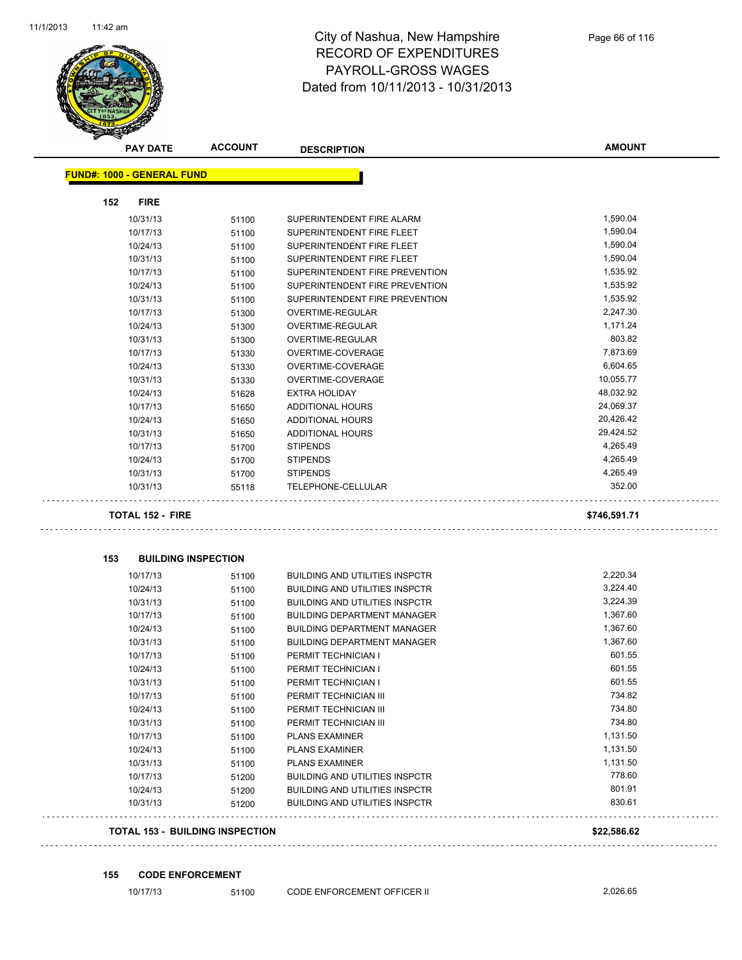

|     | <b>PAY DATE</b>                   | <b>ACCOUNT</b>             | <b>DESCRIPTION</b>                    | <b>AMOUNT</b> |
|-----|-----------------------------------|----------------------------|---------------------------------------|---------------|
|     | <b>FUND#: 1000 - GENERAL FUND</b> |                            |                                       |               |
|     |                                   |                            |                                       |               |
| 152 | <b>FIRE</b>                       |                            |                                       |               |
|     | 10/31/13                          | 51100                      | SUPERINTENDENT FIRE ALARM             | 1,590.04      |
|     | 10/17/13                          | 51100                      | SUPERINTENDENT FIRE FLEET             | 1,590.04      |
|     | 10/24/13                          | 51100                      | SUPERINTENDENT FIRE FLEET             | 1,590.04      |
|     | 10/31/13                          | 51100                      | SUPERINTENDENT FIRE FLEET             | 1,590.04      |
|     | 10/17/13                          | 51100                      | SUPERINTENDENT FIRE PREVENTION        | 1,535.92      |
|     | 10/24/13                          | 51100                      | SUPERINTENDENT FIRE PREVENTION        | 1,535.92      |
|     | 10/31/13                          | 51100                      | SUPERINTENDENT FIRE PREVENTION        | 1,535.92      |
|     | 10/17/13                          | 51300                      | OVERTIME-REGULAR                      | 2,247.30      |
|     | 10/24/13                          | 51300                      | <b>OVERTIME-REGULAR</b>               | 1,171.24      |
|     | 10/31/13                          | 51300                      | OVERTIME-REGULAR                      | 803.82        |
|     | 10/17/13                          | 51330                      | OVERTIME-COVERAGE                     | 7,873.69      |
|     | 10/24/13                          | 51330                      | OVERTIME-COVERAGE                     | 6,604.65      |
|     | 10/31/13                          | 51330                      | OVERTIME-COVERAGE                     | 10,055.77     |
|     | 10/24/13                          | 51628                      | <b>EXTRA HOLIDAY</b>                  | 48,032.92     |
|     | 10/17/13                          | 51650                      | ADDITIONAL HOURS                      | 24,069.37     |
|     | 10/24/13                          | 51650                      | ADDITIONAL HOURS                      | 20,426.42     |
|     | 10/31/13                          | 51650                      | <b>ADDITIONAL HOURS</b>               | 29,424.52     |
|     | 10/17/13                          | 51700                      | <b>STIPENDS</b>                       | 4,265.49      |
|     | 10/24/13                          | 51700                      | <b>STIPENDS</b>                       | 4,265.49      |
|     | 10/31/13                          | 51700                      | <b>STIPENDS</b>                       | 4,265.49      |
|     | 10/31/13                          | 55118                      | TELEPHONE-CELLULAR                    | 352.00        |
|     | <b>TOTAL 152 - FIRE</b>           |                            |                                       | \$746,591.71  |
| 153 |                                   | <b>BUILDING INSPECTION</b> |                                       |               |
|     | 10/17/13                          | 51100                      | <b>BUILDING AND UTILITIES INSPCTR</b> | 2,220.34      |
|     | 10/24/13                          | 51100                      | <b>BUILDING AND UTILITIES INSPCTR</b> | 3,224.40      |
|     | 10/31/13                          | 51100                      | <b>BUILDING AND UTILITIES INSPCTR</b> | 3,224.39      |
|     | 10/17/13                          | 51100                      | <b>BUILDING DEPARTMENT MANAGER</b>    | 1,367.60      |
|     | 10/24/13                          | 51100                      | <b>BUILDING DEPARTMENT MANAGER</b>    | 1,367.60      |
|     | 10/31/13                          | 51100                      | <b>BUILDING DEPARTMENT MANAGER</b>    | 1,367.60      |
|     | 10/17/13                          | 51100                      | PERMIT TECHNICIAN I                   | 601.55        |
|     | 10/24/13                          | 51100                      | PERMIT TECHNICIAN I                   | 601.55        |
|     | 10/31/13                          | 51100                      | PERMIT TECHNICIAN I                   | 601.55        |
|     | 10/17/13                          | 51100                      | PERMIT TECHNICIAN III                 | 734.82        |
|     | 10/24/13                          | 51100                      | PERMIT TECHNICIAN III                 | 734.80        |
|     | 10/31/13                          | 51100                      | PERMIT TECHNICIAN III                 | 734.80        |
|     | 10/17/13                          | 51100                      | <b>PLANS EXAMINER</b>                 | 1,131.50      |
|     | 10/24/13                          | 51100                      | <b>PLANS EXAMINER</b>                 | 1,131.50      |
|     | 10/31/13                          | 51100                      | <b>PLANS EXAMINER</b>                 | 1,131.50      |
|     |                                   |                            |                                       |               |

#### **TOTAL 153 - BUILDING INSPECTION \$22,586.62**

**155 CODE ENFORCEMENT**

10/17/13 51100 CODE ENFORCEMENT OFFICER II 2,026.65

10/17/13 51200 BUILDING AND UTILITIES INSPCTR 778.60 10/24/13 51200 BUILDING AND UTILITIES INSPCTR 801.91 10/31/13 51200 BUILDING AND UTILITIES INSPCTR 830.61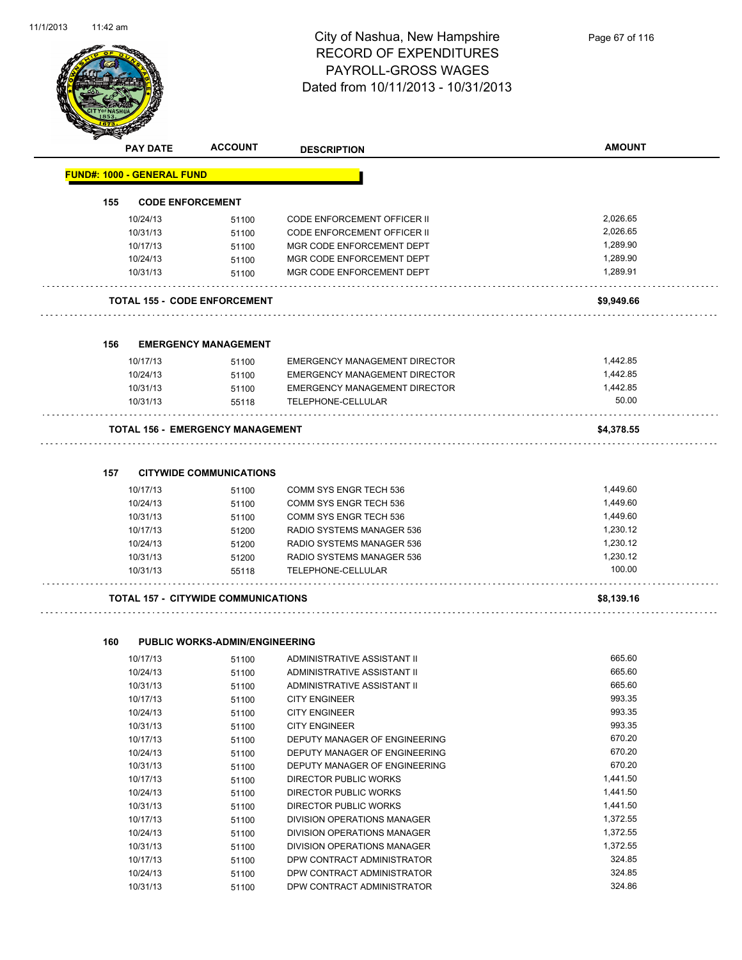

|     | <b>PAY DATE</b>                   | <b>ACCOUNT</b>                             | <b>DESCRIPTION</b>                   | <b>AMOUNT</b> |
|-----|-----------------------------------|--------------------------------------------|--------------------------------------|---------------|
|     | <b>FUND#: 1000 - GENERAL FUND</b> |                                            |                                      |               |
| 155 |                                   | <b>CODE ENFORCEMENT</b>                    |                                      |               |
|     | 10/24/13                          | 51100                                      | <b>CODE ENFORCEMENT OFFICER II</b>   | 2,026.65      |
|     | 10/31/13                          | 51100                                      | <b>CODE ENFORCEMENT OFFICER II</b>   | 2,026.65      |
|     | 10/17/13                          | 51100                                      | MGR CODE ENFORCEMENT DEPT            | 1,289.90      |
|     | 10/24/13                          | 51100                                      | MGR CODE ENFORCEMENT DEPT            | 1,289.90      |
|     | 10/31/13                          | 51100                                      | MGR CODE ENFORCEMENT DEPT            | 1,289.91      |
|     |                                   | <b>TOTAL 155 - CODE ENFORCEMENT</b>        |                                      | \$9,949.66    |
| 156 |                                   | <b>EMERGENCY MANAGEMENT</b>                |                                      |               |
|     | 10/17/13                          | 51100                                      | <b>EMERGENCY MANAGEMENT DIRECTOR</b> | 1,442.85      |
|     | 10/24/13                          | 51100                                      | <b>EMERGENCY MANAGEMENT DIRECTOR</b> | 1,442.85      |
|     | 10/31/13                          | 51100                                      | <b>EMERGENCY MANAGEMENT DIRECTOR</b> | 1,442.85      |
|     | 10/31/13                          | 55118                                      | TELEPHONE-CELLULAR                   | 50.00         |
|     |                                   | <b>TOTAL 156 - EMERGENCY MANAGEMENT</b>    |                                      | \$4,378.55    |
| 157 |                                   | <b>CITYWIDE COMMUNICATIONS</b>             |                                      |               |
|     | 10/17/13                          | 51100                                      | COMM SYS ENGR TECH 536               | 1,449.60      |
|     | 10/24/13                          | 51100                                      | COMM SYS ENGR TECH 536               | 1,449.60      |
|     | 10/31/13                          | 51100                                      | COMM SYS ENGR TECH 536               | 1,449.60      |
|     | 10/17/13                          | 51200                                      | RADIO SYSTEMS MANAGER 536            | 1,230.12      |
|     | 10/24/13                          | 51200                                      | RADIO SYSTEMS MANAGER 536            | 1,230.12      |
|     | 10/31/13                          | 51200                                      | RADIO SYSTEMS MANAGER 536            | 1,230.12      |
|     | 10/31/13                          | 55118                                      | TELEPHONE-CELLULAR                   | 100.00        |
|     |                                   | <b>TOTAL 157 - CITYWIDE COMMUNICATIONS</b> |                                      | \$8,139.16    |
| 160 |                                   | <b>PUBLIC WORKS-ADMIN/ENGINEERING</b>      |                                      |               |
|     | 10/17/13                          | 51100                                      | ADMINISTRATIVE ASSISTANT II          | 665.60        |
|     | 10/24/13                          | 51100                                      | ADMINISTRATIVE ASSISTANT II          | 665.60        |
|     | 10/31/13                          | 51100                                      | ADMINISTRATIVE ASSISTANT II          | 665.60        |
|     | 10/17/13                          | 51100                                      | <b>CITY ENGINEER</b>                 | 993.35        |
|     | 10/24/13                          | 51100                                      | <b>CITY ENGINEER</b>                 | 993.35        |
|     | 10/31/13                          | 51100                                      | <b>CITY ENGINEER</b>                 | 993.35        |
|     | 10/17/13                          | 51100                                      | DEPUTY MANAGER OF ENGINEERING        | 670.20        |
|     | 10/24/13                          | 51100                                      | DEPUTY MANAGER OF ENGINEERING        | 670.20        |
|     | 10/31/13                          | 51100                                      | DEPUTY MANAGER OF ENGINEERING        | 670.20        |

10/17/13 51100 DIRECTOR PUBLIC WORKS 1,441.50 10/24/13 51100 DIRECTOR PUBLIC WORKS 1,441.50 10/31/13 51100 DIRECTOR PUBLIC WORKS 1,441.50 10/17/13 51100 DIVISION OPERATIONS MANAGER 1,372.55 10/24/13 51100 DIVISION OPERATIONS MANAGER 1,372.55 10/31/13 51100 DIVISION OPERATIONS MANAGER 1,372.55 10/17/13 51100 DPW CONTRACT ADMINISTRATOR 324.85 10/24/13 51100 DPW CONTRACT ADMINISTRATOR 324.85 10/31/13 51100 DPW CONTRACT ADMINISTRATOR 324.86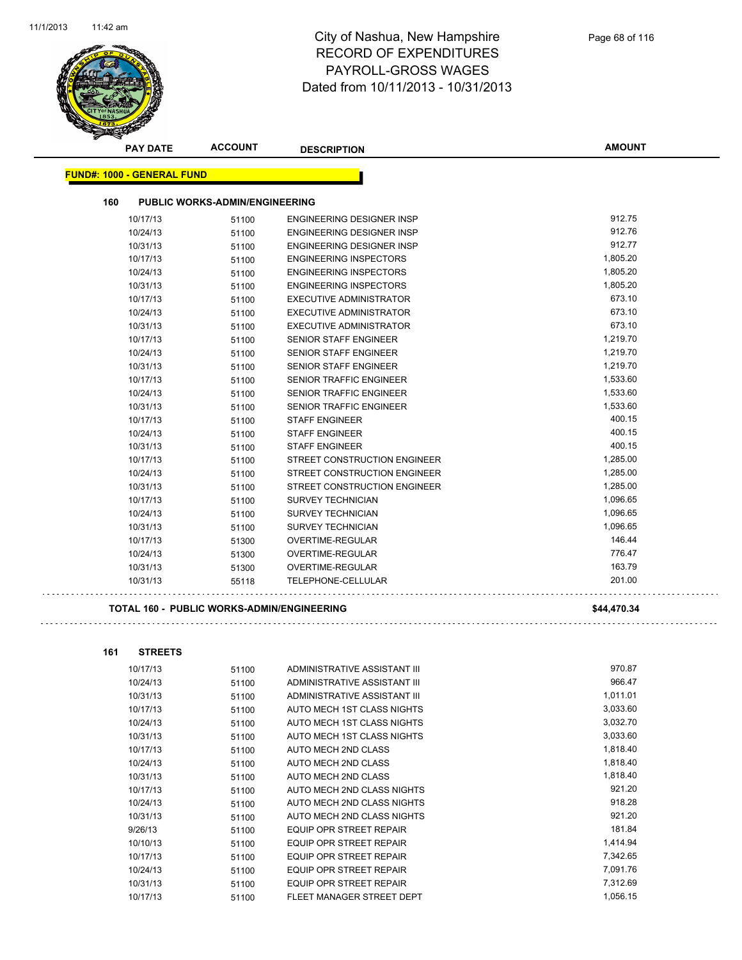

| <b>PAY DATE</b>                   | <b>ACCOUNT</b>                        | <b>DESCRIPTION</b>                  | <b>AMOUNT</b> |
|-----------------------------------|---------------------------------------|-------------------------------------|---------------|
| <b>FUND#: 1000 - GENERAL FUND</b> |                                       |                                     |               |
|                                   |                                       |                                     |               |
| 160                               | <b>PUBLIC WORKS-ADMIN/ENGINEERING</b> |                                     |               |
| 10/17/13                          | 51100                                 | <b>ENGINEERING DESIGNER INSP</b>    | 912.75        |
| 10/24/13                          | 51100                                 | <b>ENGINEERING DESIGNER INSP</b>    | 912.76        |
| 10/31/13                          | 51100                                 | <b>ENGINEERING DESIGNER INSP</b>    | 912.77        |
| 10/17/13                          | 51100                                 | <b>ENGINEERING INSPECTORS</b>       | 1,805.20      |
| 10/24/13                          | 51100                                 | <b>ENGINEERING INSPECTORS</b>       | 1,805.20      |
| 10/31/13                          | 51100                                 | <b>ENGINEERING INSPECTORS</b>       | 1,805.20      |
| 10/17/13                          | 51100                                 | <b>EXECUTIVE ADMINISTRATOR</b>      | 673.10        |
| 10/24/13                          | 51100                                 | EXECUTIVE ADMINISTRATOR             | 673.10        |
| 10/31/13                          | 51100                                 | <b>EXECUTIVE ADMINISTRATOR</b>      | 673.10        |
| 10/17/13                          | 51100                                 | <b>SENIOR STAFF ENGINEER</b>        | 1,219.70      |
| 10/24/13                          | 51100                                 | <b>SENIOR STAFF ENGINEER</b>        | 1,219.70      |
| 10/31/13                          | 51100                                 | <b>SENIOR STAFF ENGINEER</b>        | 1,219.70      |
| 10/17/13                          | 51100                                 | <b>SENIOR TRAFFIC ENGINEER</b>      | 1,533.60      |
| 10/24/13                          | 51100                                 | SENIOR TRAFFIC ENGINEER             | 1,533.60      |
| 10/31/13                          | 51100                                 | <b>SENIOR TRAFFIC ENGINEER</b>      | 1,533.60      |
| 10/17/13                          | 51100                                 | <b>STAFF ENGINEER</b>               | 400.15        |
| 10/24/13                          | 51100                                 | <b>STAFF ENGINEER</b>               | 400.15        |
| 10/31/13                          | 51100                                 | <b>STAFF ENGINEER</b>               | 400.15        |
| 10/17/13                          | 51100                                 | STREET CONSTRUCTION ENGINEER        | 1,285.00      |
| 10/24/13                          | 51100                                 | <b>STREET CONSTRUCTION ENGINEER</b> | 1,285.00      |
| 10/31/13                          | 51100                                 | <b>STREET CONSTRUCTION ENGINEER</b> | 1,285.00      |
| 10/17/13                          | 51100                                 | <b>SURVEY TECHNICIAN</b>            | 1,096.65      |
| 10/24/13                          | 51100                                 | <b>SURVEY TECHNICIAN</b>            | 1,096.65      |
| 10/31/13                          | 51100                                 | <b>SURVEY TECHNICIAN</b>            | 1,096.65      |
| 10/17/13                          | 51300                                 | OVERTIME-REGULAR                    | 146.44        |
| 10/24/13                          | 51300                                 | OVERTIME-REGULAR                    | 776.47        |
| 10/31/13                          | 51300                                 | OVERTIME-REGULAR                    | 163.79        |
| 10/31/13                          | 55118                                 | <b>TELEPHONE-CELLULAR</b>           | 201.00        |
|                                   |                                       |                                     |               |

#### **TOTAL 160 - PUBLIC WORKS-ADMIN/ENGINEERING \$44,470.34**

| 161 | <b>STREETS</b> |       |                                |          |
|-----|----------------|-------|--------------------------------|----------|
|     | 10/17/13       | 51100 | ADMINISTRATIVE ASSISTANT III   | 970.87   |
|     | 10/24/13       | 51100 | ADMINISTRATIVE ASSISTANT III   | 966.47   |
|     | 10/31/13       | 51100 | ADMINISTRATIVE ASSISTANT III   | 1,011.01 |
|     | 10/17/13       | 51100 | AUTO MECH 1ST CLASS NIGHTS     | 3,033.60 |
|     | 10/24/13       | 51100 | AUTO MECH 1ST CLASS NIGHTS     | 3,032.70 |
|     | 10/31/13       | 51100 | AUTO MECH 1ST CLASS NIGHTS     | 3,033.60 |
|     | 10/17/13       | 51100 | AUTO MECH 2ND CLASS            | 1,818.40 |
|     | 10/24/13       | 51100 | AUTO MECH 2ND CLASS            | 1,818.40 |
|     | 10/31/13       | 51100 | AUTO MECH 2ND CLASS            | 1,818.40 |
|     | 10/17/13       | 51100 | AUTO MECH 2ND CLASS NIGHTS     | 921.20   |
|     | 10/24/13       | 51100 | AUTO MECH 2ND CLASS NIGHTS     | 918.28   |
|     | 10/31/13       | 51100 | AUTO MECH 2ND CLASS NIGHTS     | 921.20   |
|     | 9/26/13        | 51100 | <b>EQUIP OPR STREET REPAIR</b> | 181.84   |
|     | 10/10/13       | 51100 | <b>EQUIP OPR STREET REPAIR</b> | 1,414.94 |
|     | 10/17/13       | 51100 | <b>EQUIP OPR STREET REPAIR</b> | 7,342.65 |
|     | 10/24/13       | 51100 | <b>EQUIP OPR STREET REPAIR</b> | 7,091.76 |
|     | 10/31/13       | 51100 | <b>EQUIP OPR STREET REPAIR</b> | 7,312.69 |
|     | 10/17/13       | 51100 | FLEET MANAGER STREET DEPT      | 1,056.15 |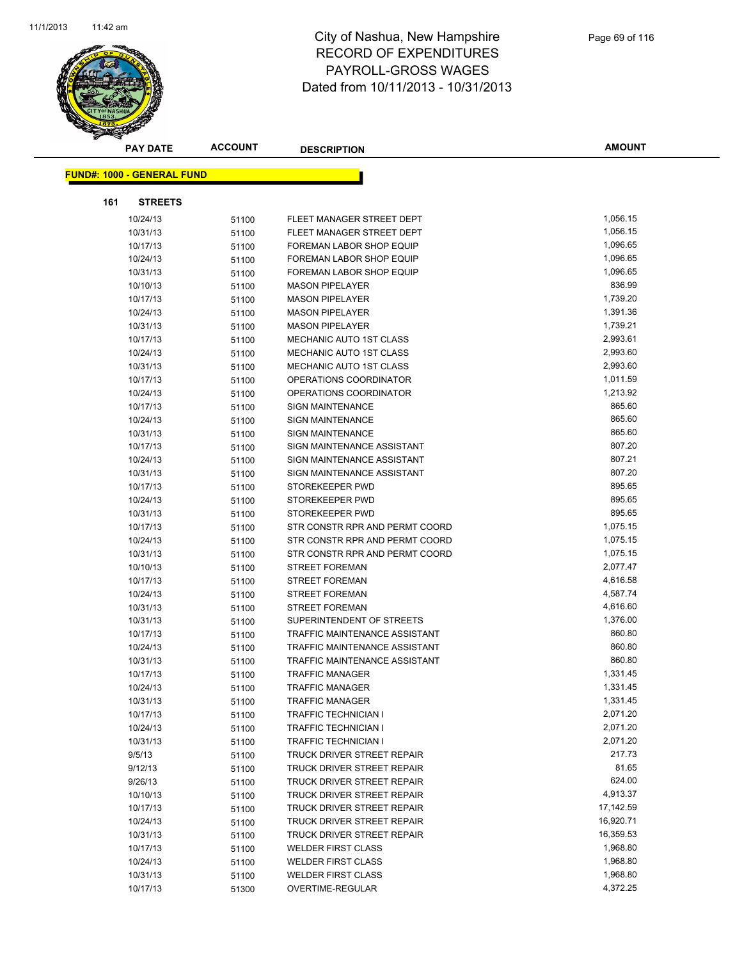

|     | <b>PAY DATE</b>                   | <b>ACCOUNT</b> | <b>DESCRIPTION</b>                | <b>AMOUNT</b> |
|-----|-----------------------------------|----------------|-----------------------------------|---------------|
|     | <b>FUND#: 1000 - GENERAL FUND</b> |                |                                   |               |
|     |                                   |                |                                   |               |
| 161 | <b>STREETS</b>                    |                |                                   |               |
|     | 10/24/13                          | 51100          | FLEET MANAGER STREET DEPT         | 1,056.15      |
|     | 10/31/13                          | 51100          | FLEET MANAGER STREET DEPT         | 1,056.15      |
|     | 10/17/13                          | 51100          | FOREMAN LABOR SHOP EQUIP          | 1,096.65      |
|     | 10/24/13                          | 51100          | FOREMAN LABOR SHOP EQUIP          | 1,096.65      |
|     | 10/31/13                          | 51100          | <b>FOREMAN LABOR SHOP EQUIP</b>   | 1,096.65      |
|     | 10/10/13                          | 51100          | <b>MASON PIPELAYER</b>            | 836.99        |
|     | 10/17/13                          | 51100          | <b>MASON PIPELAYER</b>            | 1,739.20      |
|     | 10/24/13                          | 51100          | <b>MASON PIPELAYER</b>            | 1,391.36      |
|     | 10/31/13                          | 51100          | <b>MASON PIPELAYER</b>            | 1,739.21      |
|     | 10/17/13                          | 51100          | MECHANIC AUTO 1ST CLASS           | 2,993.61      |
|     | 10/24/13                          | 51100          | <b>MECHANIC AUTO 1ST CLASS</b>    | 2,993.60      |
|     | 10/31/13                          | 51100          | MECHANIC AUTO 1ST CLASS           | 2,993.60      |
|     | 10/17/13                          | 51100          | OPERATIONS COORDINATOR            | 1,011.59      |
|     | 10/24/13                          | 51100          | OPERATIONS COORDINATOR            | 1,213.92      |
|     | 10/17/13                          | 51100          | <b>SIGN MAINTENANCE</b>           | 865.60        |
|     | 10/24/13                          | 51100          | <b>SIGN MAINTENANCE</b>           | 865.60        |
|     | 10/31/13                          | 51100          | <b>SIGN MAINTENANCE</b>           | 865.60        |
|     | 10/17/13                          | 51100          | SIGN MAINTENANCE ASSISTANT        | 807.20        |
|     | 10/24/13                          | 51100          | SIGN MAINTENANCE ASSISTANT        | 807.21        |
|     | 10/31/13                          | 51100          | SIGN MAINTENANCE ASSISTANT        | 807.20        |
|     | 10/17/13                          | 51100          | STOREKEEPER PWD                   | 895.65        |
|     | 10/24/13                          | 51100          | STOREKEEPER PWD                   | 895.65        |
|     | 10/31/13                          | 51100          | STOREKEEPER PWD                   | 895.65        |
|     | 10/17/13                          | 51100          | STR CONSTR RPR AND PERMT COORD    | 1,075.15      |
|     | 10/24/13                          | 51100          | STR CONSTR RPR AND PERMT COORD    | 1,075.15      |
|     | 10/31/13                          | 51100          | STR CONSTR RPR AND PERMT COORD    | 1,075.15      |
|     | 10/10/13                          | 51100          | <b>STREET FOREMAN</b>             | 2,077.47      |
|     | 10/17/13                          | 51100          | <b>STREET FOREMAN</b>             | 4,616.58      |
|     | 10/24/13                          | 51100          | <b>STREET FOREMAN</b>             | 4,587.74      |
|     | 10/31/13                          | 51100          | <b>STREET FOREMAN</b>             | 4,616.60      |
|     | 10/31/13                          | 51100          | SUPERINTENDENT OF STREETS         | 1,376.00      |
|     | 10/17/13                          | 51100          | TRAFFIC MAINTENANCE ASSISTANT     | 860.80        |
|     | 10/24/13                          | 51100          | TRAFFIC MAINTENANCE ASSISTANT     | 860.80        |
|     | 10/31/13                          | 51100          | TRAFFIC MAINTENANCE ASSISTANT     | 860.80        |
|     | 10/17/13                          | 51100          | <b>TRAFFIC MANAGER</b>            | 1,331.45      |
|     | 10/24/13                          | 51100          | <b>TRAFFIC MANAGER</b>            | 1,331.45      |
|     | 10/31/13                          | 51100          | <b>TRAFFIC MANAGER</b>            | 1,331.45      |
|     | 10/17/13                          | 51100          | <b>TRAFFIC TECHNICIAN I</b>       | 2,071.20      |
|     | 10/24/13                          | 51100          | <b>TRAFFIC TECHNICIAN I</b>       | 2,071.20      |
|     | 10/31/13                          | 51100          | <b>TRAFFIC TECHNICIAN I</b>       | 2,071.20      |
|     | 9/5/13                            | 51100          | TRUCK DRIVER STREET REPAIR        | 217.73        |
|     | 9/12/13                           | 51100          | TRUCK DRIVER STREET REPAIR        | 81.65         |
|     | 9/26/13                           | 51100          | TRUCK DRIVER STREET REPAIR        | 624.00        |
|     | 10/10/13                          | 51100          | <b>TRUCK DRIVER STREET REPAIR</b> | 4,913.37      |
|     | 10/17/13                          | 51100          | <b>TRUCK DRIVER STREET REPAIR</b> | 17,142.59     |
|     | 10/24/13                          | 51100          | TRUCK DRIVER STREET REPAIR        | 16,920.71     |
|     | 10/31/13                          | 51100          | <b>TRUCK DRIVER STREET REPAIR</b> | 16,359.53     |
|     | 10/17/13                          | 51100          | <b>WELDER FIRST CLASS</b>         | 1,968.80      |
|     | 10/24/13                          | 51100          | <b>WELDER FIRST CLASS</b>         | 1,968.80      |
|     | 10/31/13                          | 51100          | <b>WELDER FIRST CLASS</b>         | 1,968.80      |
|     | 10/17/13                          | 51300          | OVERTIME-REGULAR                  | 4,372.25      |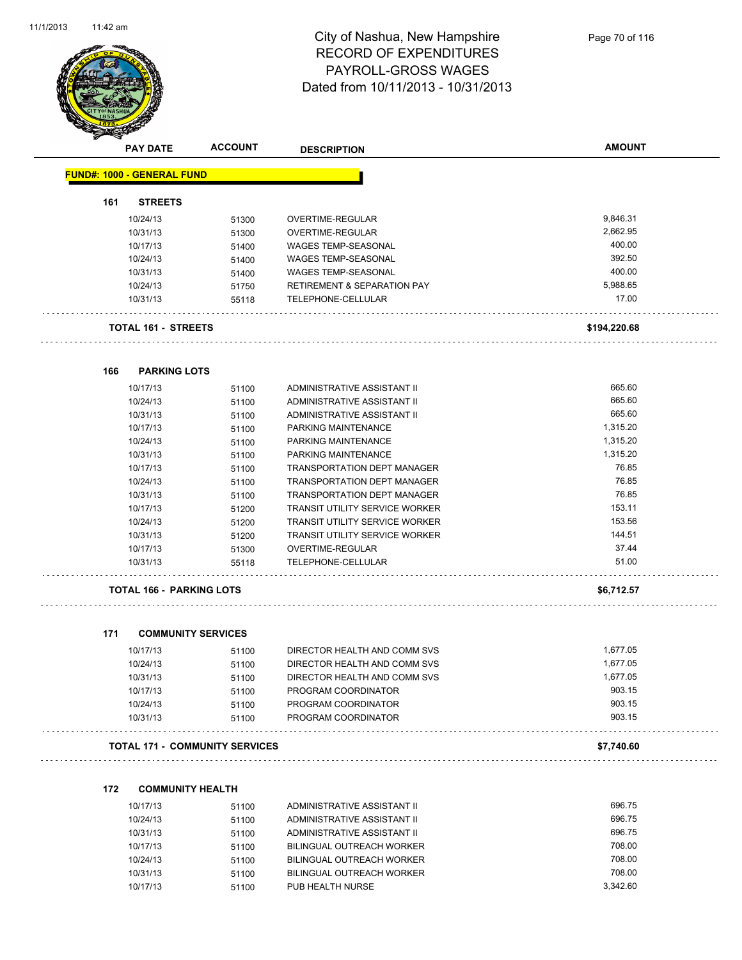

|     | <b>PAY DATE</b>                   | <b>ACCOUNT</b>                        | <b>DESCRIPTION</b>                     | <b>AMOUNT</b> |
|-----|-----------------------------------|---------------------------------------|----------------------------------------|---------------|
|     | <b>FUND#: 1000 - GENERAL FUND</b> |                                       |                                        |               |
| 161 | <b>STREETS</b>                    |                                       |                                        |               |
|     | 10/24/13                          | 51300                                 | OVERTIME-REGULAR                       | 9,846.31      |
|     | 10/31/13                          | 51300                                 | OVERTIME-REGULAR                       | 2,662.95      |
|     | 10/17/13                          | 51400                                 | <b>WAGES TEMP-SEASONAL</b>             | 400.00        |
|     | 10/24/13                          | 51400                                 | <b>WAGES TEMP-SEASONAL</b>             | 392.50        |
|     | 10/31/13                          | 51400                                 | WAGES TEMP-SEASONAL                    | 400.00        |
|     | 10/24/13                          | 51750                                 | <b>RETIREMENT &amp; SEPARATION PAY</b> | 5,988.65      |
|     | 10/31/13                          | 55118                                 | TELEPHONE-CELLULAR                     | 17.00         |
|     | <b>TOTAL 161 - STREETS</b>        |                                       |                                        | \$194,220.68  |
| 166 | <b>PARKING LOTS</b>               |                                       |                                        |               |
|     | 10/17/13                          | 51100                                 | ADMINISTRATIVE ASSISTANT II            | 665.60        |
|     | 10/24/13                          | 51100                                 | ADMINISTRATIVE ASSISTANT II            | 665.60        |
|     | 10/31/13                          | 51100                                 | ADMINISTRATIVE ASSISTANT II            | 665.60        |
|     | 10/17/13                          | 51100                                 | PARKING MAINTENANCE                    | 1,315.20      |
|     | 10/24/13                          | 51100                                 | PARKING MAINTENANCE                    | 1,315.20      |
|     | 10/31/13                          | 51100                                 | PARKING MAINTENANCE                    | 1,315.20      |
|     | 10/17/13                          | 51100                                 | <b>TRANSPORTATION DEPT MANAGER</b>     | 76.85         |
|     | 10/24/13                          | 51100                                 | TRANSPORTATION DEPT MANAGER            | 76.85         |
|     | 10/31/13                          | 51100                                 | TRANSPORTATION DEPT MANAGER            | 76.85         |
|     | 10/17/13                          | 51200                                 | TRANSIT UTILITY SERVICE WORKER         | 153.11        |
|     | 10/24/13                          | 51200                                 | TRANSIT UTILITY SERVICE WORKER         | 153.56        |
|     | 10/31/13                          | 51200                                 | <b>TRANSIT UTILITY SERVICE WORKER</b>  | 144.51        |
|     | 10/17/13                          | 51300                                 | OVERTIME-REGULAR                       | 37.44         |
|     | 10/31/13                          | 55118                                 | TELEPHONE-CELLULAR                     | 51.00         |
|     | <b>TOTAL 166 - PARKING LOTS</b>   |                                       |                                        | \$6,712.57    |
| 171 |                                   | <b>COMMUNITY SERVICES</b>             |                                        |               |
|     | 10/17/13                          | 51100                                 | DIRECTOR HEALTH AND COMM SVS           | 1,677.05      |
|     | 10/24/13                          | 51100                                 | DIRECTOR HEALTH AND COMM SVS           | 1,677.05      |
|     | 10/31/13                          | 51100                                 | DIRECTOR HEALTH AND COMM SVS           | 1,677.05      |
|     | 10/17/13                          | 51100                                 | PROGRAM COORDINATOR                    | 903.15        |
|     | 10/24/13                          | 51100                                 | PROGRAM COORDINATOR                    | 903.15        |
|     | 10/31/13                          | 51100                                 | PROGRAM COORDINATOR                    | 903.15        |
|     |                                   | <b>TOTAL 171 - COMMUNITY SERVICES</b> |                                        | \$7,740.60    |
| 172 | <b>COMMUNITY HEALTH</b>           |                                       |                                        |               |
|     | 10/17/13                          |                                       | ADMINISTRATIVE ASSISTANT II            | 696.75        |
|     | 10/24/13                          | 51100                                 | ADMINISTRATIVE ASSISTANT II            | 696.75        |
|     | 10/31/13                          | 51100<br>51100                        | ADMINISTRATIVE ASSISTANT II            | 696.75        |
|     |                                   |                                       |                                        |               |

| 10/31/13 | 51100 | ADMINISTRATIVE ASSISTANT II | 696.75   |
|----------|-------|-----------------------------|----------|
| 10/17/13 | 51100 | BILINGUAL OUTREACH WORKER   | 708.00   |
| 10/24/13 | 51100 | BILINGUAL OUTREACH WORKER   | 708.00   |
| 10/31/13 | 51100 | BILINGUAL OUTREACH WORKER   | 708.00   |
| 10/17/13 | 51100 | PUB HEALTH NURSE            | 3.342.60 |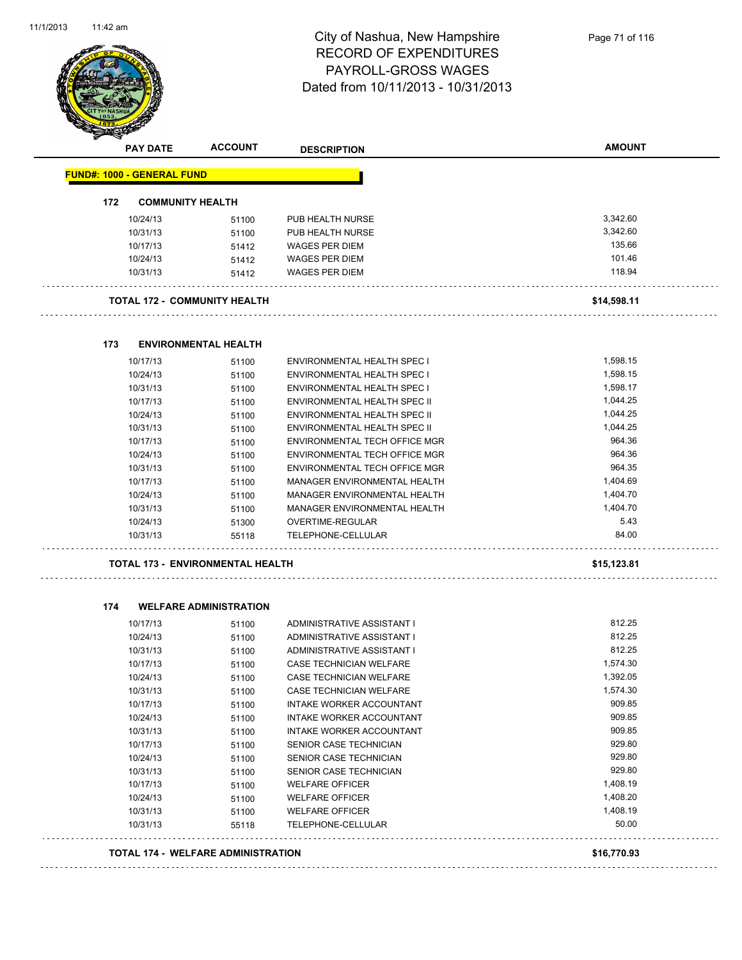

|                                   | <b>PAY DATE</b>         | <b>ACCOUNT</b>                          | <b>DESCRIPTION</b>                  | <b>AMOUNT</b> |
|-----------------------------------|-------------------------|-----------------------------------------|-------------------------------------|---------------|
| <b>FUND#: 1000 - GENERAL FUND</b> |                         |                                         |                                     |               |
| 172                               | <b>COMMUNITY HEALTH</b> |                                         |                                     |               |
|                                   | 10/24/13                | 51100                                   | PUB HEALTH NURSE                    | 3,342.60      |
|                                   | 10/31/13                | 51100                                   | PUB HEALTH NURSE                    | 3,342.60      |
|                                   | 10/17/13                | 51412                                   | <b>WAGES PER DIEM</b>               | 135.66        |
|                                   | 10/24/13                | 51412                                   | <b>WAGES PER DIEM</b>               | 101.46        |
|                                   | 10/31/13                | 51412                                   | <b>WAGES PER DIEM</b>               | 118.94        |
|                                   |                         | <b>TOTAL 172 - COMMUNITY HEALTH</b>     |                                     | \$14,598.11   |
| 173                               |                         | <b>ENVIRONMENTAL HEALTH</b>             |                                     |               |
|                                   | 10/17/13                | 51100                                   | ENVIRONMENTAL HEALTH SPEC I         | 1,598.15      |
|                                   | 10/24/13                | 51100                                   | ENVIRONMENTAL HEALTH SPEC I         | 1,598.15      |
|                                   | 10/31/13                | 51100                                   | <b>ENVIRONMENTAL HEALTH SPEC I</b>  | 1,598.17      |
|                                   | 10/17/13                | 51100                                   | ENVIRONMENTAL HEALTH SPEC II        | 1,044.25      |
|                                   | 10/24/13                | 51100                                   | <b>ENVIRONMENTAL HEALTH SPEC II</b> | 1,044.25      |
|                                   | 10/31/13                | 51100                                   | ENVIRONMENTAL HEALTH SPEC II        | 1,044.25      |
|                                   | 10/17/13                | 51100                                   | ENVIRONMENTAL TECH OFFICE MGR       | 964.36        |
|                                   | 10/24/13                | 51100                                   | ENVIRONMENTAL TECH OFFICE MGR       | 964.36        |
|                                   | 10/31/13                | 51100                                   | ENVIRONMENTAL TECH OFFICE MGR       | 964.35        |
|                                   | 10/17/13                | 51100                                   | MANAGER ENVIRONMENTAL HEALTH        | 1,404.69      |
|                                   | 10/24/13                | 51100                                   | MANAGER ENVIRONMENTAL HEALTH        | 1,404.70      |
|                                   | 10/31/13                | 51100                                   | MANAGER ENVIRONMENTAL HEALTH        | 1,404.70      |
|                                   | 10/24/13                | 51300                                   | OVERTIME-REGULAR                    | 5.43          |
|                                   | 10/31/13                | 55118                                   | TELEPHONE-CELLULAR                  | 84.00         |
|                                   |                         | <b>TOTAL 173 - ENVIRONMENTAL HEALTH</b> |                                     | \$15,123.81   |
| 174                               |                         | <b>WELFARE ADMINISTRATION</b>           |                                     |               |
|                                   | 10/17/13                | 51100                                   | ADMINISTRATIVE ASSISTANT I          | 812.25        |
|                                   | 10/24/13                | 51100                                   | ADMINISTRATIVE ASSISTANT I          | 812.25        |
|                                   | 10/31/13                | 51100                                   | ADMINISTRATIVE ASSISTANT I          | 812.25        |
|                                   | 10/17/13                | 51100                                   | CASE TECHNICIAN WELFARE             | 1,574.30      |
|                                   | 10/24/13                | 51100                                   | CASE TECHNICIAN WELFARE             | 1,392.05      |
|                                   | 10/31/13                | 51100                                   | CASE TECHNICIAN WELFARE             | 1,574.30      |
|                                   | 10/17/13                | 51100                                   | INTAKE WORKER ACCOUNTANT            | 909.85        |
|                                   | 10/24/13                | 51100                                   | INTAKE WORKER ACCOUNTANT            | 909.85        |
|                                   | 10/31/13                | 51100                                   | INTAKE WORKER ACCOUNTANT            | 909.85        |
|                                   | 10/17/13                | 51100                                   | SENIOR CASE TECHNICIAN              | 929.80        |
|                                   | 10/24/13                | 51100                                   | SENIOR CASE TECHNICIAN              | 929.80        |
|                                   | 10/31/13                | 51100                                   | SENIOR CASE TECHNICIAN              | 929.80        |
|                                   | 10/17/13                | 51100                                   | <b>WELFARE OFFICER</b>              | 1,408.19      |
|                                   | 10/24/13                | 51100                                   | <b>WELFARE OFFICER</b>              | 1,408.20      |
|                                   | 10/31/13                | 51100                                   | <b>WELFARE OFFICER</b>              | 1,408.19      |
|                                   | 10/31/13                | 55118                                   | TELEPHONE-CELLULAR                  | 50.00         |
|                                   |                         |                                         |                                     |               |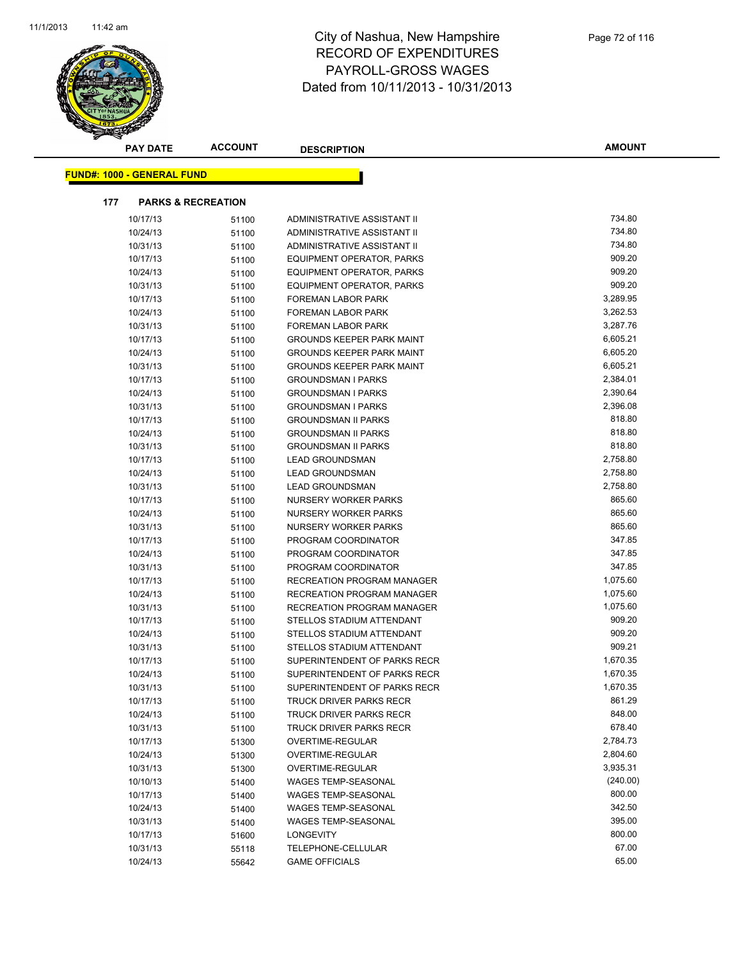

**AMOUNT**

| <b>FUND#: 1000 - GENERAL FUND</b>    |          |       |                                   |          |  |  |
|--------------------------------------|----------|-------|-----------------------------------|----------|--|--|
| 177<br><b>PARKS &amp; RECREATION</b> |          |       |                                   |          |  |  |
|                                      | 10/17/13 | 51100 | ADMINISTRATIVE ASSISTANT II       | 734.80   |  |  |
|                                      | 10/24/13 | 51100 | ADMINISTRATIVE ASSISTANT II       | 734.80   |  |  |
|                                      | 10/31/13 | 51100 | ADMINISTRATIVE ASSISTANT II       | 734.80   |  |  |
|                                      | 10/17/13 | 51100 | <b>EQUIPMENT OPERATOR, PARKS</b>  | 909.20   |  |  |
|                                      | 10/24/13 | 51100 | <b>EQUIPMENT OPERATOR, PARKS</b>  | 909.20   |  |  |
|                                      | 10/31/13 | 51100 | <b>EQUIPMENT OPERATOR, PARKS</b>  | 909.20   |  |  |
|                                      | 10/17/13 | 51100 | FOREMAN LABOR PARK                | 3,289.95 |  |  |
|                                      | 10/24/13 | 51100 | <b>FOREMAN LABOR PARK</b>         | 3,262.53 |  |  |
|                                      | 10/31/13 | 51100 | <b>FOREMAN LABOR PARK</b>         | 3,287.76 |  |  |
|                                      | 10/17/13 | 51100 | <b>GROUNDS KEEPER PARK MAINT</b>  | 6,605.21 |  |  |
|                                      | 10/24/13 | 51100 | <b>GROUNDS KEEPER PARK MAINT</b>  | 6,605.20 |  |  |
|                                      | 10/31/13 | 51100 | <b>GROUNDS KEEPER PARK MAINT</b>  | 6,605.21 |  |  |
|                                      | 10/17/13 | 51100 | <b>GROUNDSMAN I PARKS</b>         | 2,384.01 |  |  |
|                                      | 10/24/13 | 51100 | <b>GROUNDSMAN I PARKS</b>         | 2,390.64 |  |  |
|                                      | 10/31/13 | 51100 | <b>GROUNDSMAN I PARKS</b>         | 2,396.08 |  |  |
|                                      | 10/17/13 | 51100 | <b>GROUNDSMAN II PARKS</b>        | 818.80   |  |  |
|                                      | 10/24/13 | 51100 | <b>GROUNDSMAN II PARKS</b>        | 818.80   |  |  |
|                                      | 10/31/13 | 51100 | <b>GROUNDSMAN II PARKS</b>        | 818.80   |  |  |
|                                      | 10/17/13 | 51100 | <b>LEAD GROUNDSMAN</b>            | 2,758.80 |  |  |
|                                      | 10/24/13 | 51100 | <b>LEAD GROUNDSMAN</b>            | 2,758.80 |  |  |
|                                      | 10/31/13 | 51100 | <b>LEAD GROUNDSMAN</b>            | 2,758.80 |  |  |
|                                      | 10/17/13 | 51100 | NURSERY WORKER PARKS              | 865.60   |  |  |
|                                      | 10/24/13 | 51100 | NURSERY WORKER PARKS              | 865.60   |  |  |
|                                      | 10/31/13 | 51100 | NURSERY WORKER PARKS              | 865.60   |  |  |
|                                      | 10/17/13 | 51100 | PROGRAM COORDINATOR               | 347.85   |  |  |
|                                      | 10/24/13 | 51100 | PROGRAM COORDINATOR               | 347.85   |  |  |
|                                      | 10/31/13 | 51100 | PROGRAM COORDINATOR               | 347.85   |  |  |
|                                      | 10/17/13 | 51100 | <b>RECREATION PROGRAM MANAGER</b> | 1,075.60 |  |  |
|                                      | 10/24/13 | 51100 | RECREATION PROGRAM MANAGER        | 1,075.60 |  |  |
|                                      | 10/31/13 | 51100 | RECREATION PROGRAM MANAGER        | 1,075.60 |  |  |
|                                      | 10/17/13 | 51100 | STELLOS STADIUM ATTENDANT         | 909.20   |  |  |
|                                      | 10/24/13 | 51100 | STELLOS STADIUM ATTENDANT         | 909.20   |  |  |
|                                      | 10/31/13 | 51100 | STELLOS STADIUM ATTENDANT         | 909.21   |  |  |
|                                      | 10/17/13 | 51100 | SUPERINTENDENT OF PARKS RECR      | 1,670.35 |  |  |
|                                      | 10/24/13 | 51100 | SUPERINTENDENT OF PARKS RECR      | 1,670.35 |  |  |
|                                      | 10/31/13 | 51100 | SUPERINTENDENT OF PARKS RECR      | 1,670.35 |  |  |
|                                      | 10/17/13 | 51100 | TRUCK DRIVER PARKS RECR           | 861.29   |  |  |
|                                      | 10/24/13 | 51100 | TRUCK DRIVER PARKS RECR           | 848.00   |  |  |
|                                      | 10/31/13 | 51100 | <b>TRUCK DRIVER PARKS RECR</b>    | 678.40   |  |  |
|                                      | 10/17/13 | 51300 | OVERTIME-REGULAR                  | 2,784.73 |  |  |
|                                      | 10/24/13 | 51300 | OVERTIME-REGULAR                  | 2,804.60 |  |  |
|                                      | 10/31/13 | 51300 | OVERTIME-REGULAR                  | 3,935.31 |  |  |
|                                      | 10/10/13 | 51400 | <b>WAGES TEMP-SEASONAL</b>        | (240.00) |  |  |
|                                      | 10/17/13 | 51400 | <b>WAGES TEMP-SEASONAL</b>        | 800.00   |  |  |
|                                      | 10/24/13 | 51400 | WAGES TEMP-SEASONAL               | 342.50   |  |  |
|                                      | 10/31/13 | 51400 | <b>WAGES TEMP-SEASONAL</b>        | 395.00   |  |  |
|                                      | 10/17/13 | 51600 | <b>LONGEVITY</b>                  | 800.00   |  |  |
|                                      | 10/31/13 | 55118 | TELEPHONE-CELLULAR                | 67.00    |  |  |
|                                      | 10/24/13 | 55642 | <b>GAME OFFICIALS</b>             | 65.00    |  |  |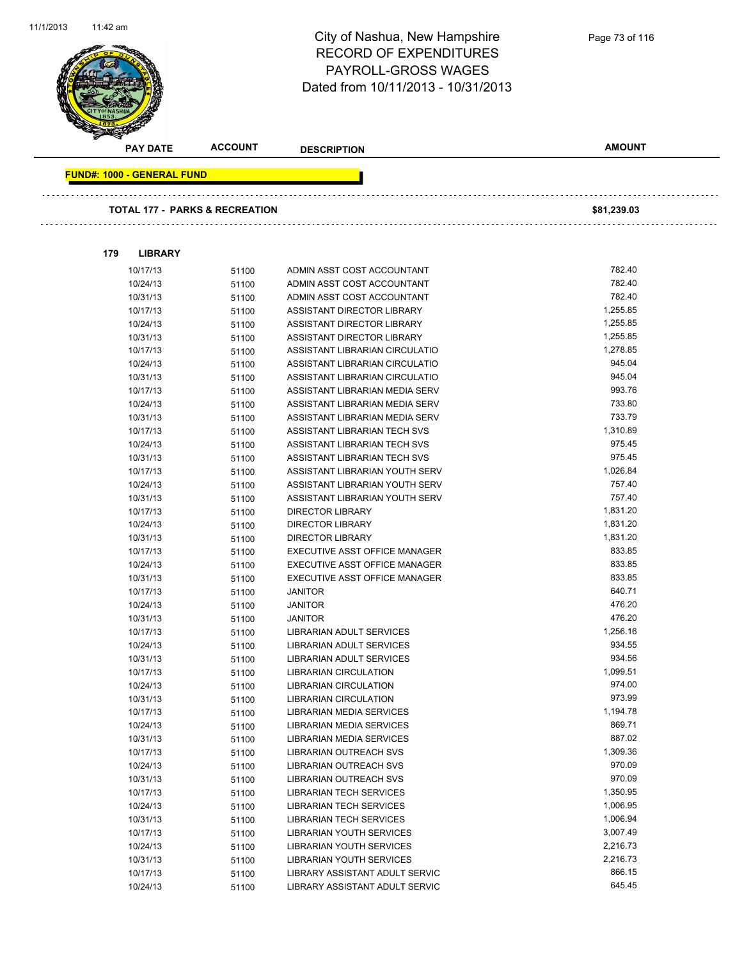| <u>,,,,,</u> ,,,, |                                           |                | City of Nashua, New Hampshire<br><b>RECORD OF EXPENDITURES</b><br>PAYROLL-GROSS WAGES<br>Dated from 10/11/2013 - 10/31/2013 | Page 73 of 116     |  |
|-------------------|-------------------------------------------|----------------|-----------------------------------------------------------------------------------------------------------------------------|--------------------|--|
|                   | <b>PAY DATE</b>                           | <b>ACCOUNT</b> | <b>DESCRIPTION</b>                                                                                                          | <b>AMOUNT</b>      |  |
|                   | <b>FUND#: 1000 - GENERAL FUND</b>         |                |                                                                                                                             |                    |  |
|                   | <b>TOTAL 177 - PARKS &amp; RECREATION</b> |                |                                                                                                                             | \$81,239.03        |  |
|                   | 179                                       |                |                                                                                                                             |                    |  |
|                   | <b>LIBRARY</b>                            |                |                                                                                                                             | 782.40             |  |
|                   | 10/17/13<br>10/24/13                      | 51100          | ADMIN ASST COST ACCOUNTANT<br>ADMIN ASST COST ACCOUNTANT                                                                    | 782.40             |  |
|                   | 10/31/13                                  | 51100<br>51100 | ADMIN ASST COST ACCOUNTANT                                                                                                  | 782.40             |  |
|                   | 10/17/13                                  | 51100          | ASSISTANT DIRECTOR LIBRARY                                                                                                  | 1,255.85           |  |
|                   | 10/24/13                                  | 51100          | ASSISTANT DIRECTOR LIBRARY                                                                                                  | 1,255.85           |  |
|                   | 10/31/13                                  | 51100          | ASSISTANT DIRECTOR LIBRARY                                                                                                  | 1,255.85           |  |
|                   | 10/17/13                                  | 51100          | ASSISTANT LIBRARIAN CIRCULATIO                                                                                              | 1,278.85           |  |
|                   | 10/24/13                                  | 51100          | ASSISTANT LIBRARIAN CIRCULATIO                                                                                              | 945.04             |  |
|                   | 10/31/13                                  | 51100          | ASSISTANT LIBRARIAN CIRCULATIO                                                                                              | 945.04             |  |
|                   | 10/17/13                                  | 51100          | ASSISTANT LIBRARIAN MEDIA SERV                                                                                              | 993.76             |  |
|                   | 10/24/13                                  | 51100          | ASSISTANT LIBRARIAN MEDIA SERV                                                                                              | 733.80             |  |
|                   | 10/31/13                                  | 51100          | ASSISTANT LIBRARIAN MEDIA SERV                                                                                              | 733.79             |  |
|                   | 10/17/13                                  | 51100          | ASSISTANT LIBRARIAN TECH SVS                                                                                                | 1,310.89           |  |
|                   | 10/24/13                                  | 51100          | ASSISTANT LIBRARIAN TECH SVS                                                                                                | 975.45             |  |
|                   | 10/31/13                                  | 51100          | ASSISTANT LIBRARIAN TECH SVS                                                                                                | 975.45             |  |
|                   | 10/17/13                                  | 51100          | ASSISTANT LIBRARIAN YOUTH SERV                                                                                              | 1,026.84           |  |
|                   | 10/24/13                                  | 51100          | ASSISTANT LIBRARIAN YOUTH SERV                                                                                              | 757.40             |  |
|                   | 10/31/13                                  | 51100          | ASSISTANT LIBRARIAN YOUTH SERV                                                                                              | 757.40             |  |
|                   | 10/17/13                                  | 51100          | <b>DIRECTOR LIBRARY</b>                                                                                                     | 1,831.20           |  |
|                   | 10/24/13                                  | 51100          | <b>DIRECTOR LIBRARY</b>                                                                                                     | 1,831.20           |  |
|                   | 10/31/13                                  | 51100          | <b>DIRECTOR LIBRARY</b>                                                                                                     | 1,831.20<br>833.85 |  |
|                   | 10/17/13                                  | 51100          | EXECUTIVE ASST OFFICE MANAGER                                                                                               | 833.85             |  |
|                   | 10/24/13<br>10/31/13                      | 51100          | EXECUTIVE ASST OFFICE MANAGER<br>EXECUTIVE ASST OFFICE MANAGER                                                              | 833.85             |  |
|                   | 10/17/13                                  | 51100          | <b>JANITOR</b>                                                                                                              | 640.71             |  |
|                   | 10/24/13                                  | 51100<br>51100 | <b>JANITOR</b>                                                                                                              | 476.20             |  |
|                   | 10/31/13                                  | 51100          | <b>JANITOR</b>                                                                                                              | 476.20             |  |
|                   | 10/17/13                                  | 51100          | LIBRARIAN ADULT SERVICES                                                                                                    | 1,256.16           |  |
|                   | 10/24/13                                  | 51100          | LIBRARIAN ADULT SERVICES                                                                                                    | 934.55             |  |
|                   | 10/31/13                                  | 51100          | <b>LIBRARIAN ADULT SERVICES</b>                                                                                             | 934.56             |  |
|                   | 10/17/13                                  | 51100          | LIBRARIAN CIRCULATION                                                                                                       | 1,099.51           |  |
|                   | 10/24/13                                  | 51100          | <b>LIBRARIAN CIRCULATION</b>                                                                                                | 974.00             |  |
|                   | 10/31/13                                  | 51100          | LIBRARIAN CIRCULATION                                                                                                       | 973.99             |  |
|                   | 10/17/13                                  | 51100          | LIBRARIAN MEDIA SERVICES                                                                                                    | 1,194.78           |  |
|                   | 10/24/13                                  | 51100          | LIBRARIAN MEDIA SERVICES                                                                                                    | 869.71             |  |
|                   | 10/31/13                                  | 51100          | LIBRARIAN MEDIA SERVICES                                                                                                    | 887.02             |  |
|                   | 10/17/13                                  | 51100          | <b>LIBRARIAN OUTREACH SVS</b>                                                                                               | 1,309.36           |  |
|                   | 10/24/13                                  | 51100          | <b>LIBRARIAN OUTREACH SVS</b>                                                                                               | 970.09             |  |
|                   | 10/31/13                                  | 51100          | LIBRARIAN OUTREACH SVS                                                                                                      | 970.09             |  |
|                   | 10/17/13                                  | 51100          | <b>LIBRARIAN TECH SERVICES</b>                                                                                              | 1,350.95           |  |
|                   | 10/24/13                                  | 51100          | <b>LIBRARIAN TECH SERVICES</b>                                                                                              | 1,006.95           |  |
|                   | 10/31/13                                  | 51100          | <b>LIBRARIAN TECH SERVICES</b>                                                                                              | 1,006.94           |  |
|                   | 10/17/13                                  | 51100          | LIBRARIAN YOUTH SERVICES                                                                                                    | 3,007.49           |  |
|                   | 10/24/13                                  | 51100          | LIBRARIAN YOUTH SERVICES                                                                                                    | 2,216.73           |  |
|                   | 10/31/13                                  | 51100          | LIBRARIAN YOUTH SERVICES                                                                                                    | 2,216.73           |  |
|                   | 10/17/13                                  | 51100          | LIBRARY ASSISTANT ADULT SERVIC                                                                                              | 866.15             |  |
|                   | 10/24/13                                  | 51100          | LIBRARY ASSISTANT ADULT SERVIC                                                                                              | 645.45             |  |

11/1/2013

11:42 am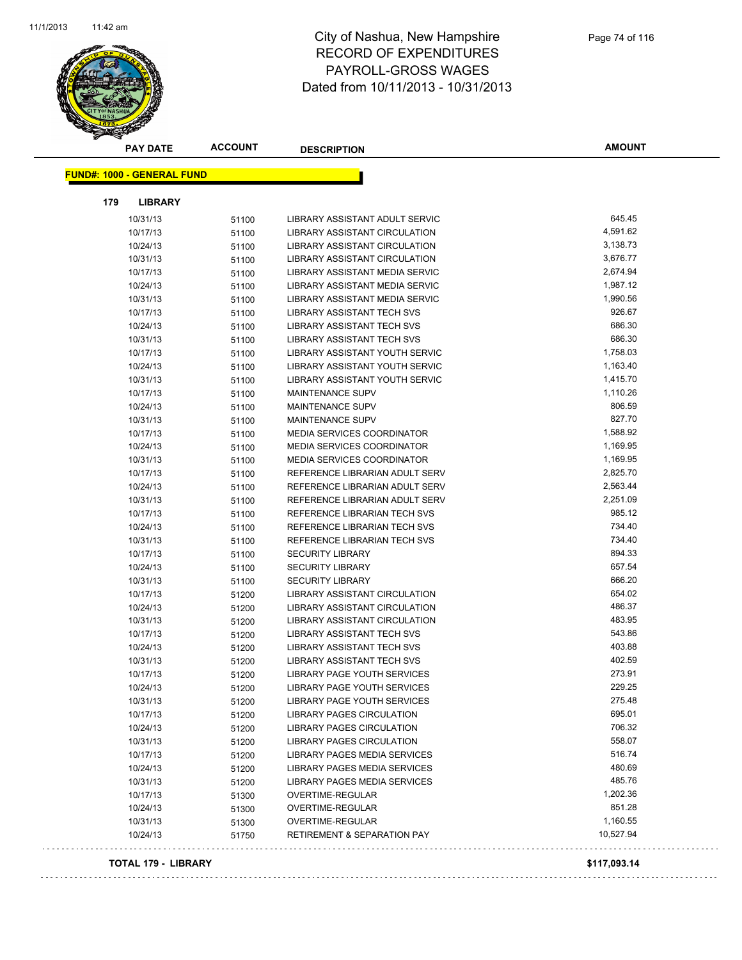

|     | <b>PAY DATE</b>                   | <b>ACCOUNT</b> | <b>DESCRIPTION</b>                     | <b>AMOUNT</b> |
|-----|-----------------------------------|----------------|----------------------------------------|---------------|
|     | <b>FUND#: 1000 - GENERAL FUND</b> |                |                                        |               |
|     |                                   |                |                                        |               |
| 179 | <b>LIBRARY</b>                    |                |                                        |               |
|     | 10/31/13                          | 51100          | LIBRARY ASSISTANT ADULT SERVIC         | 645.45        |
|     | 10/17/13                          | 51100          | LIBRARY ASSISTANT CIRCULATION          | 4,591.62      |
|     | 10/24/13                          | 51100          | LIBRARY ASSISTANT CIRCULATION          | 3,138.73      |
|     | 10/31/13                          | 51100          | LIBRARY ASSISTANT CIRCULATION          | 3,676.77      |
|     | 10/17/13                          | 51100          | LIBRARY ASSISTANT MEDIA SERVIC         | 2,674.94      |
|     | 10/24/13                          | 51100          | LIBRARY ASSISTANT MEDIA SERVIC         | 1,987.12      |
|     | 10/31/13                          | 51100          | LIBRARY ASSISTANT MEDIA SERVIC         | 1,990.56      |
|     | 10/17/13                          | 51100          | <b>LIBRARY ASSISTANT TECH SVS</b>      | 926.67        |
|     | 10/24/13                          | 51100          | LIBRARY ASSISTANT TECH SVS             | 686.30        |
|     | 10/31/13                          | 51100          | LIBRARY ASSISTANT TECH SVS             | 686.30        |
|     | 10/17/13                          | 51100          | LIBRARY ASSISTANT YOUTH SERVIC         | 1,758.03      |
|     | 10/24/13                          | 51100          | LIBRARY ASSISTANT YOUTH SERVIC         | 1,163.40      |
|     | 10/31/13                          | 51100          | <b>LIBRARY ASSISTANT YOUTH SERVIC</b>  | 1,415.70      |
|     | 10/17/13                          | 51100          | <b>MAINTENANCE SUPV</b>                | 1,110.26      |
|     | 10/24/13                          | 51100          | <b>MAINTENANCE SUPV</b>                | 806.59        |
|     | 10/31/13                          | 51100          | <b>MAINTENANCE SUPV</b>                | 827.70        |
|     | 10/17/13                          | 51100          | MEDIA SERVICES COORDINATOR             | 1,588.92      |
|     | 10/24/13                          | 51100          | <b>MEDIA SERVICES COORDINATOR</b>      | 1,169.95      |
|     | 10/31/13                          | 51100          | MEDIA SERVICES COORDINATOR             | 1,169.95      |
|     | 10/17/13                          | 51100          | REFERENCE LIBRARIAN ADULT SERV         | 2,825.70      |
|     | 10/24/13                          | 51100          | REFERENCE LIBRARIAN ADULT SERV         | 2,563.44      |
|     | 10/31/13                          | 51100          | REFERENCE LIBRARIAN ADULT SERV         | 2,251.09      |
|     | 10/17/13                          | 51100          | REFERENCE LIBRARIAN TECH SVS           | 985.12        |
|     | 10/24/13                          | 51100          | REFERENCE LIBRARIAN TECH SVS           | 734.40        |
|     | 10/31/13                          | 51100          | REFERENCE LIBRARIAN TECH SVS           | 734.40        |
|     | 10/17/13                          | 51100          | <b>SECURITY LIBRARY</b>                | 894.33        |
|     | 10/24/13                          | 51100          | <b>SECURITY LIBRARY</b>                | 657.54        |
|     | 10/31/13                          | 51100          | <b>SECURITY LIBRARY</b>                | 666.20        |
|     | 10/17/13                          | 51200          | <b>LIBRARY ASSISTANT CIRCULATION</b>   | 654.02        |
|     | 10/24/13                          | 51200          | LIBRARY ASSISTANT CIRCULATION          | 486.37        |
|     | 10/31/13                          | 51200          | <b>LIBRARY ASSISTANT CIRCULATION</b>   | 483.95        |
|     | 10/17/13                          | 51200          | <b>LIBRARY ASSISTANT TECH SVS</b>      | 543.86        |
|     | 10/24/13                          | 51200          | LIBRARY ASSISTANT TECH SVS             | 403.88        |
|     | 10/31/13                          | 51200          | <b>LIBRARY ASSISTANT TECH SVS</b>      | 402.59        |
|     | 10/17/13                          | 51200          | LIBRARY PAGE YOUTH SERVICES            | 273.91        |
|     | 10/24/13                          | 51200          | LIBRARY PAGE YOUTH SERVICES            | 229.25        |
|     | 10/31/13                          | 51200          | LIBRARY PAGE YOUTH SERVICES            | 275.48        |
|     | 10/17/13                          | 51200          | <b>LIBRARY PAGES CIRCULATION</b>       | 695.01        |
|     | 10/24/13                          | 51200          | LIBRARY PAGES CIRCULATION              | 706.32        |
|     | 10/31/13                          | 51200          | LIBRARY PAGES CIRCULATION              | 558.07        |
|     | 10/17/13                          | 51200          | LIBRARY PAGES MEDIA SERVICES           | 516.74        |
|     | 10/24/13                          | 51200          | LIBRARY PAGES MEDIA SERVICES           | 480.69        |
|     | 10/31/13                          | 51200          | LIBRARY PAGES MEDIA SERVICES           | 485.76        |
|     | 10/17/13                          | 51300          | OVERTIME-REGULAR                       | 1,202.36      |
|     | 10/24/13                          | 51300          | <b>OVERTIME-REGULAR</b>                | 851.28        |
|     | 10/31/13                          | 51300          | OVERTIME-REGULAR                       | 1,160.55      |
|     | 10/24/13                          | 51750          | <b>RETIREMENT &amp; SEPARATION PAY</b> | 10,527.94     |

#### **TOTAL 179 - LIBRARY \$117,093.14**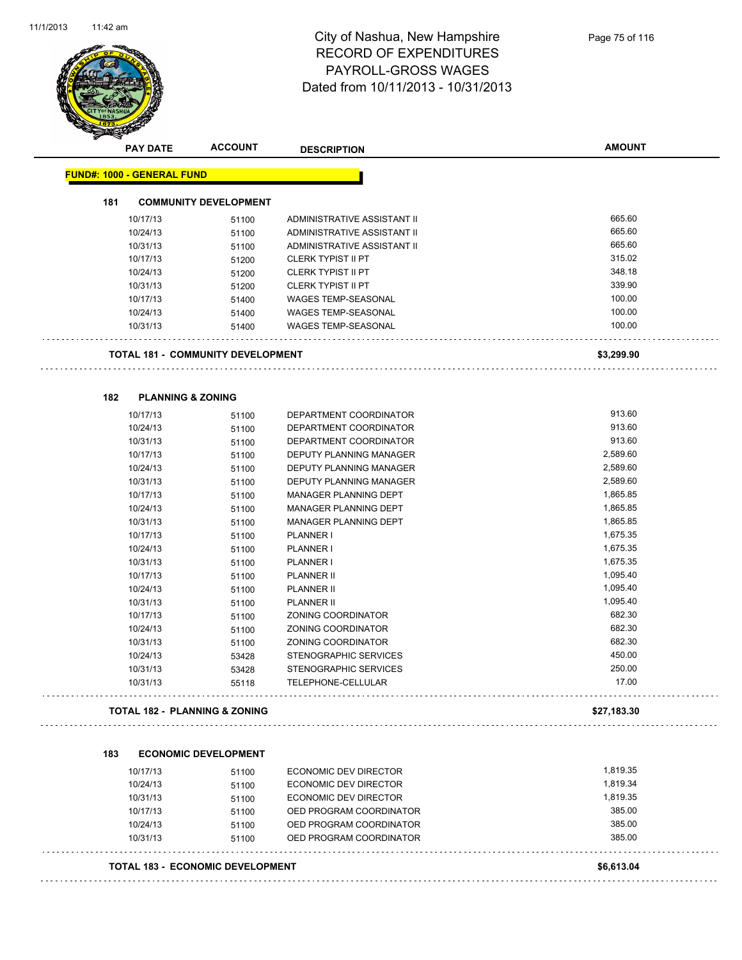

|     | <b>PAY DATE</b>                   | <b>ACCOUNT</b>                           | <b>DESCRIPTION</b>                                               | <b>AMOUNT</b>        |
|-----|-----------------------------------|------------------------------------------|------------------------------------------------------------------|----------------------|
|     | <b>FUND#: 1000 - GENERAL FUND</b> |                                          |                                                                  |                      |
| 181 |                                   | <b>COMMUNITY DEVELOPMENT</b>             |                                                                  |                      |
|     | 10/17/13                          | 51100                                    | ADMINISTRATIVE ASSISTANT II                                      | 665.60               |
|     | 10/24/13                          | 51100                                    | ADMINISTRATIVE ASSISTANT II                                      | 665.60               |
|     | 10/31/13                          | 51100                                    | ADMINISTRATIVE ASSISTANT II                                      | 665.60               |
|     | 10/17/13                          | 51200                                    | <b>CLERK TYPIST II PT</b>                                        | 315.02               |
|     | 10/24/13                          | 51200                                    | <b>CLERK TYPIST II PT</b>                                        | 348.18               |
|     | 10/31/13                          | 51200                                    | <b>CLERK TYPIST II PT</b>                                        | 339.90               |
|     | 10/17/13                          | 51400                                    | <b>WAGES TEMP-SEASONAL</b>                                       | 100.00               |
|     | 10/24/13                          | 51400                                    | <b>WAGES TEMP-SEASONAL</b>                                       | 100.00               |
|     | 10/31/13                          | 51400                                    | WAGES TEMP-SEASONAL                                              | 100.00               |
|     |                                   | <b>TOTAL 181 - COMMUNITY DEVELOPMENT</b> |                                                                  | \$3,299.90           |
|     |                                   |                                          |                                                                  |                      |
| 182 | <b>PLANNING &amp; ZONING</b>      |                                          |                                                                  |                      |
|     | 10/17/13                          | 51100                                    | DEPARTMENT COORDINATOR                                           | 913.60               |
|     | 10/24/13                          | 51100                                    | DEPARTMENT COORDINATOR                                           | 913.60               |
|     | 10/31/13                          | 51100                                    | DEPARTMENT COORDINATOR                                           | 913.60               |
|     | 10/17/13                          | 51100                                    | <b>DEPUTY PLANNING MANAGER</b><br><b>DEPUTY PLANNING MANAGER</b> | 2,589.60             |
|     | 10/24/13                          | 51100                                    |                                                                  | 2,589.60<br>2,589.60 |
|     | 10/31/13<br>10/17/13              | 51100                                    | DEPUTY PLANNING MANAGER                                          | 1,865.85             |
|     |                                   | 51100                                    | MANAGER PLANNING DEPT<br>MANAGER PLANNING DEPT                   | 1,865.85             |
|     | 10/24/13<br>10/31/13              | 51100                                    | MANAGER PLANNING DEPT                                            | 1,865.85             |
|     | 10/17/13                          | 51100                                    | PLANNER I                                                        | 1,675.35             |
|     | 10/24/13                          | 51100<br>51100                           | <b>PLANNER I</b>                                                 | 1,675.35             |
|     | 10/31/13                          | 51100                                    | PLANNER I                                                        | 1,675.35             |
|     | 10/17/13                          | 51100                                    | <b>PLANNER II</b>                                                | 1,095.40             |
|     | 10/24/13                          | 51100                                    | <b>PLANNER II</b>                                                | 1,095.40             |
|     | 10/31/13                          | 51100                                    | <b>PLANNER II</b>                                                | 1,095.40             |
|     | 10/17/13                          | 51100                                    | ZONING COORDINATOR                                               | 682.30               |
|     | 10/24/13                          | 51100                                    | ZONING COORDINATOR                                               | 682.30               |
|     | 10/31/13                          | 51100                                    | <b>ZONING COORDINATOR</b>                                        | 682.30               |
|     | 10/24/13                          | 53428                                    | STENOGRAPHIC SERVICES                                            | 450.00               |
|     | 10/31/13                          | 53428                                    | STENOGRAPHIC SERVICES                                            | 250.00               |
|     | 10/31/13                          | 55118                                    | TELEPHONE-CELLULAR                                               | 17.00                |
|     |                                   | <b>TOTAL 182 - PLANNING &amp; ZONING</b> |                                                                  | \$27,183.30          |
|     |                                   |                                          |                                                                  |                      |
| 183 |                                   | <b>ECONOMIC DEVELOPMENT</b>              |                                                                  |                      |
|     | 10/17/13                          | 51100                                    | <b>ECONOMIC DEV DIRECTOR</b>                                     | 1,819.35             |
|     | 10/24/13                          | 51100                                    | <b>ECONOMIC DEV DIRECTOR</b>                                     | 1,819.34             |
|     | 10/31/13                          | 51100                                    | ECONOMIC DEV DIRECTOR                                            | 1,819.35             |
|     | 10/17/13                          | 51100                                    | OED PROGRAM COORDINATOR                                          | 385.00               |
|     | 10/24/13                          | 51100                                    | OED PROGRAM COORDINATOR                                          | 385.00<br>385.00     |
|     | 10/31/13                          | 51100                                    | OED PROGRAM COORDINATOR                                          |                      |

#### **TOTAL 183 - ECONOMIC DEVELOPMENT \$6,613.04**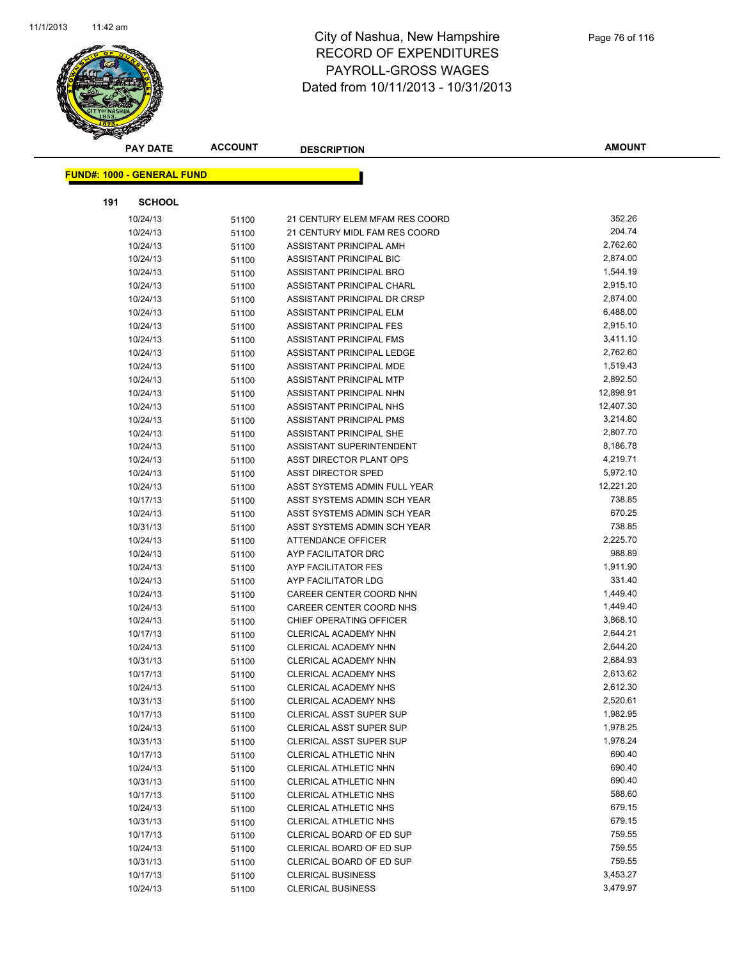

| <b>PAY DATE</b>                   | <b>ACCOUNT</b> | <b>DESCRIPTION</b>             | AMOUNT    |
|-----------------------------------|----------------|--------------------------------|-----------|
| <b>FUND#: 1000 - GENERAL FUND</b> |                |                                |           |
|                                   |                |                                |           |
| 191<br><b>SCHOOL</b>              |                |                                |           |
| 10/24/13                          | 51100          | 21 CENTURY ELEM MFAM RES COORD | 352.26    |
| 10/24/13                          | 51100          | 21 CENTURY MIDL FAM RES COORD  | 204.74    |
| 10/24/13                          | 51100          | ASSISTANT PRINCIPAL AMH        | 2,762.60  |
| 10/24/13                          | 51100          | ASSISTANT PRINCIPAL BIC        | 2,874.00  |
| 10/24/13                          | 51100          | ASSISTANT PRINCIPAL BRO        | 1,544.19  |
| 10/24/13                          | 51100          | ASSISTANT PRINCIPAL CHARL      | 2,915.10  |
| 10/24/13                          | 51100          | ASSISTANT PRINCIPAL DR CRSP    | 2,874.00  |
| 10/24/13                          | 51100          | ASSISTANT PRINCIPAL ELM        | 6,488.00  |
| 10/24/13                          | 51100          | ASSISTANT PRINCIPAL FES        | 2,915.10  |
| 10/24/13                          | 51100          | ASSISTANT PRINCIPAL FMS        | 3,411.10  |
| 10/24/13                          | 51100          | ASSISTANT PRINCIPAL LEDGE      | 2,762.60  |
| 10/24/13                          | 51100          | ASSISTANT PRINCIPAL MDE        | 1,519.43  |
| 10/24/13                          | 51100          | ASSISTANT PRINCIPAL MTP        | 2,892.50  |
| 10/24/13                          | 51100          | ASSISTANT PRINCIPAL NHN        | 12,898.91 |
| 10/24/13                          | 51100          | ASSISTANT PRINCIPAL NHS        | 12,407.30 |
| 10/24/13                          | 51100          | ASSISTANT PRINCIPAL PMS        | 3,214.80  |
| 10/24/13                          | 51100          | ASSISTANT PRINCIPAL SHE        | 2,807.70  |
| 10/24/13                          | 51100          | ASSISTANT SUPERINTENDENT       | 8,186.78  |
| 10/24/13                          | 51100          | ASST DIRECTOR PLANT OPS        | 4,219.71  |
| 10/24/13                          | 51100          | <b>ASST DIRECTOR SPED</b>      | 5,972.10  |
| 10/24/13                          | 51100          | ASST SYSTEMS ADMIN FULL YEAR   | 12,221.20 |
| 10/17/13                          | 51100          | ASST SYSTEMS ADMIN SCH YEAR    | 738.85    |
| 10/24/13                          | 51100          | ASST SYSTEMS ADMIN SCH YEAR    | 670.25    |
| 10/31/13                          | 51100          | ASST SYSTEMS ADMIN SCH YEAR    | 738.85    |
| 10/24/13                          | 51100          | ATTENDANCE OFFICER             | 2,225.70  |
| 10/24/13                          | 51100          | AYP FACILITATOR DRC            | 988.89    |
| 10/24/13                          | 51100          | AYP FACILITATOR FES            | 1,911.90  |
| 10/24/13                          | 51100          | AYP FACILITATOR LDG            | 331.40    |
| 10/24/13                          | 51100          | CAREER CENTER COORD NHN        | 1,449.40  |
| 10/24/13                          | 51100          | CAREER CENTER COORD NHS        | 1,449.40  |
| 10/24/13                          | 51100          | CHIEF OPERATING OFFICER        | 3,868.10  |
| 10/17/13                          | 51100          | CLERICAL ACADEMY NHN           | 2,644.21  |
| 10/24/13                          | 51100          | <b>CLERICAL ACADEMY NHN</b>    | 2,644.20  |
| 10/31/13                          | 51100          | CLERICAL ACADEMY NHN           | 2,684.93  |
| 10/17/13                          | 51100          | <b>CLERICAL ACADEMY NHS</b>    | 2,613.62  |
| 10/24/13                          | 51100          | CLERICAL ACADEMY NHS           | 2,612.30  |
| 10/31/13                          | 51100          | CLERICAL ACADEMY NHS           | 2,520.61  |
| 10/17/13                          | 51100          | <b>CLERICAL ASST SUPER SUP</b> | 1,982.95  |
| 10/24/13                          | 51100          | CLERICAL ASST SUPER SUP        | 1,978.25  |
| 10/31/13                          | 51100          | <b>CLERICAL ASST SUPER SUP</b> | 1,978.24  |
| 10/17/13                          | 51100          | CLERICAL ATHLETIC NHN          | 690.40    |
| 10/24/13                          | 51100          | CLERICAL ATHLETIC NHN          | 690.40    |
| 10/31/13                          | 51100          | CLERICAL ATHLETIC NHN          | 690.40    |
| 10/17/13                          | 51100          | <b>CLERICAL ATHLETIC NHS</b>   | 588.60    |
| 10/24/13                          | 51100          | <b>CLERICAL ATHLETIC NHS</b>   | 679.15    |
| 10/31/13                          | 51100          | <b>CLERICAL ATHLETIC NHS</b>   | 679.15    |
| 10/17/13                          | 51100          | CLERICAL BOARD OF ED SUP       | 759.55    |
| 10/24/13                          | 51100          | CLERICAL BOARD OF ED SUP       | 759.55    |
| 10/31/13                          | 51100          | CLERICAL BOARD OF ED SUP       | 759.55    |
| 10/17/13                          | 51100          | <b>CLERICAL BUSINESS</b>       | 3,453.27  |
| 10/24/13                          | 51100          | <b>CLERICAL BUSINESS</b>       | 3,479.97  |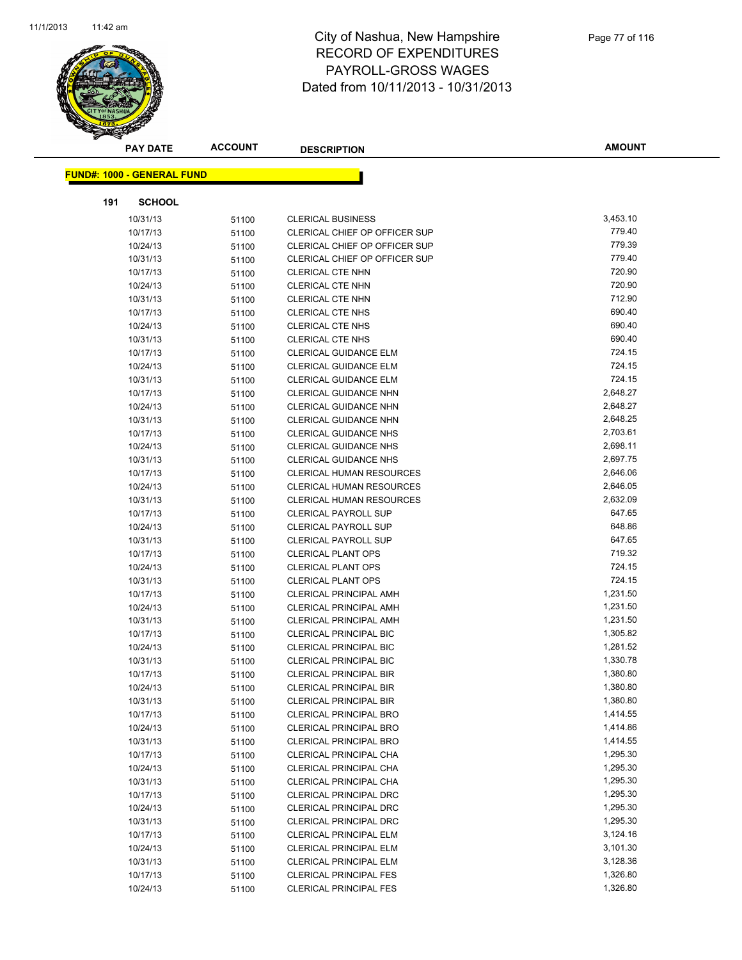

|     | <b>PAY DATE</b>                    | <b>ACCOUNT</b> | <b>DESCRIPTION</b>              | <b>AMOUNT</b> |
|-----|------------------------------------|----------------|---------------------------------|---------------|
|     | <u> FUND#: 1000 - GENERAL FUND</u> |                |                                 |               |
|     |                                    |                |                                 |               |
| 191 | <b>SCHOOL</b>                      |                |                                 |               |
|     | 10/31/13                           | 51100          | <b>CLERICAL BUSINESS</b>        | 3,453.10      |
|     | 10/17/13                           | 51100          | CLERICAL CHIEF OP OFFICER SUP   | 779.40        |
|     | 10/24/13                           | 51100          | CLERICAL CHIEF OP OFFICER SUP   | 779.39        |
|     | 10/31/13                           | 51100          | CLERICAL CHIEF OP OFFICER SUP   | 779.40        |
|     | 10/17/13                           | 51100          | <b>CLERICAL CTE NHN</b>         | 720.90        |
|     | 10/24/13                           | 51100          | <b>CLERICAL CTE NHN</b>         | 720.90        |
|     | 10/31/13                           | 51100          | <b>CLERICAL CTE NHN</b>         | 712.90        |
|     | 10/17/13                           | 51100          | <b>CLERICAL CTE NHS</b>         | 690.40        |
|     | 10/24/13                           | 51100          | <b>CLERICAL CTE NHS</b>         | 690.40        |
|     | 10/31/13                           | 51100          | <b>CLERICAL CTE NHS</b>         | 690.40        |
|     | 10/17/13                           | 51100          | <b>CLERICAL GUIDANCE ELM</b>    | 724.15        |
|     | 10/24/13                           | 51100          | <b>CLERICAL GUIDANCE ELM</b>    | 724.15        |
|     | 10/31/13                           | 51100          | <b>CLERICAL GUIDANCE ELM</b>    | 724.15        |
|     | 10/17/13                           | 51100          | CLERICAL GUIDANCE NHN           | 2,648.27      |
|     | 10/24/13                           | 51100          | CLERICAL GUIDANCE NHN           | 2,648.27      |
|     | 10/31/13                           | 51100          | <b>CLERICAL GUIDANCE NHN</b>    | 2,648.25      |
|     | 10/17/13                           | 51100          | <b>CLERICAL GUIDANCE NHS</b>    | 2,703.61      |
|     | 10/24/13                           | 51100          | <b>CLERICAL GUIDANCE NHS</b>    | 2,698.11      |
|     | 10/31/13                           | 51100          | <b>CLERICAL GUIDANCE NHS</b>    | 2,697.75      |
|     | 10/17/13                           | 51100          | <b>CLERICAL HUMAN RESOURCES</b> | 2,646.06      |
|     | 10/24/13                           | 51100          | <b>CLERICAL HUMAN RESOURCES</b> | 2,646.05      |
|     | 10/31/13                           | 51100          | <b>CLERICAL HUMAN RESOURCES</b> | 2,632.09      |
|     | 10/17/13                           | 51100          | <b>CLERICAL PAYROLL SUP</b>     | 647.65        |
|     | 10/24/13                           | 51100          | <b>CLERICAL PAYROLL SUP</b>     | 648.86        |
|     | 10/31/13                           | 51100          | <b>CLERICAL PAYROLL SUP</b>     | 647.65        |
|     | 10/17/13                           | 51100          | <b>CLERICAL PLANT OPS</b>       | 719.32        |
|     | 10/24/13                           | 51100          | <b>CLERICAL PLANT OPS</b>       | 724.15        |
|     | 10/31/13                           | 51100          | <b>CLERICAL PLANT OPS</b>       | 724.15        |
|     | 10/17/13                           | 51100          | <b>CLERICAL PRINCIPAL AMH</b>   | 1,231.50      |
|     | 10/24/13                           | 51100          | <b>CLERICAL PRINCIPAL AMH</b>   | 1,231.50      |
|     | 10/31/13                           | 51100          | <b>CLERICAL PRINCIPAL AMH</b>   | 1,231.50      |
|     | 10/17/13                           | 51100          | <b>CLERICAL PRINCIPAL BIC</b>   | 1,305.82      |
|     | 10/24/13                           | 51100          | <b>CLERICAL PRINCIPAL BIC</b>   | 1,281.52      |
|     | 10/31/13                           | 51100          | <b>CLERICAL PRINCIPAL BIC</b>   | 1,330.78      |
|     | 10/17/13                           | 51100          | <b>CLERICAL PRINCIPAL BIR</b>   | 1,380.80      |
|     | 10/24/13                           | 51100          | <b>CLERICAL PRINCIPAL BIR</b>   | 1,380.80      |
|     | 10/31/13                           | 51100          | <b>CLERICAL PRINCIPAL BIR</b>   | 1,380.80      |
|     | 10/17/13                           | 51100          | <b>CLERICAL PRINCIPAL BRO</b>   | 1,414.55      |
|     | 10/24/13                           | 51100          | <b>CLERICAL PRINCIPAL BRO</b>   | 1,414.86      |
|     | 10/31/13                           | 51100          | <b>CLERICAL PRINCIPAL BRO</b>   | 1,414.55      |
|     | 10/17/13                           | 51100          | CLERICAL PRINCIPAL CHA          | 1,295.30      |
|     | 10/24/13                           | 51100          | CLERICAL PRINCIPAL CHA          | 1,295.30      |
|     | 10/31/13                           | 51100          | <b>CLERICAL PRINCIPAL CHA</b>   | 1,295.30      |
|     | 10/17/13                           | 51100          | <b>CLERICAL PRINCIPAL DRC</b>   | 1,295.30      |
|     | 10/24/13                           | 51100          | <b>CLERICAL PRINCIPAL DRC</b>   | 1,295.30      |
|     | 10/31/13                           | 51100          | <b>CLERICAL PRINCIPAL DRC</b>   | 1,295.30      |
|     | 10/17/13                           | 51100          | <b>CLERICAL PRINCIPAL ELM</b>   | 3,124.16      |
|     | 10/24/13                           | 51100          | <b>CLERICAL PRINCIPAL ELM</b>   | 3,101.30      |
|     | 10/31/13                           | 51100          | <b>CLERICAL PRINCIPAL ELM</b>   | 3,128.36      |
|     | 10/17/13                           | 51100          | <b>CLERICAL PRINCIPAL FES</b>   | 1,326.80      |
|     | 10/24/13                           | 51100          | <b>CLERICAL PRINCIPAL FES</b>   | 1,326.80      |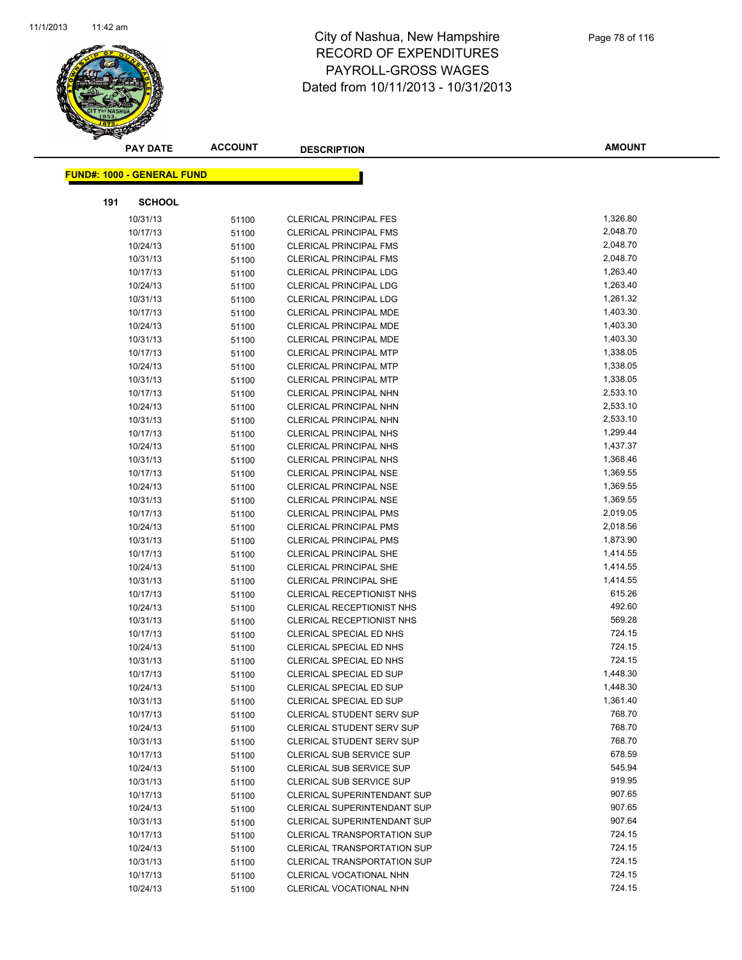

|     | <b>PAY DATE</b>                   | <b>ACCOUNT</b> | <b>DESCRIPTION</b>                 | <b>AMOUNT</b> |
|-----|-----------------------------------|----------------|------------------------------------|---------------|
|     | <b>FUND#: 1000 - GENERAL FUND</b> |                |                                    |               |
|     |                                   |                |                                    |               |
| 191 | <b>SCHOOL</b>                     |                |                                    |               |
|     | 10/31/13                          | 51100          | <b>CLERICAL PRINCIPAL FES</b>      | 1,326.80      |
|     | 10/17/13                          | 51100          | <b>CLERICAL PRINCIPAL FMS</b>      | 2,048.70      |
|     | 10/24/13                          | 51100          | <b>CLERICAL PRINCIPAL FMS</b>      | 2,048.70      |
|     | 10/31/13                          | 51100          | <b>CLERICAL PRINCIPAL FMS</b>      | 2,048.70      |
|     | 10/17/13                          | 51100          | <b>CLERICAL PRINCIPAL LDG</b>      | 1,263.40      |
|     | 10/24/13                          | 51100          | <b>CLERICAL PRINCIPAL LDG</b>      | 1,263.40      |
|     | 10/31/13                          | 51100          | <b>CLERICAL PRINCIPAL LDG</b>      | 1,261.32      |
|     | 10/17/13                          | 51100          | <b>CLERICAL PRINCIPAL MDE</b>      | 1,403.30      |
|     | 10/24/13                          | 51100          | CLERICAL PRINCIPAL MDE             | 1,403.30      |
|     | 10/31/13                          | 51100          | <b>CLERICAL PRINCIPAL MDE</b>      | 1,403.30      |
|     | 10/17/13                          | 51100          | <b>CLERICAL PRINCIPAL MTP</b>      | 1,338.05      |
|     | 10/24/13                          | 51100          | <b>CLERICAL PRINCIPAL MTP</b>      | 1,338.05      |
|     | 10/31/13                          | 51100          | <b>CLERICAL PRINCIPAL MTP</b>      | 1,338.05      |
|     | 10/17/13                          | 51100          | <b>CLERICAL PRINCIPAL NHN</b>      | 2,533.10      |
|     | 10/24/13                          | 51100          | CLERICAL PRINCIPAL NHN             | 2,533.10      |
|     | 10/31/13                          | 51100          | <b>CLERICAL PRINCIPAL NHN</b>      | 2,533.10      |
|     | 10/17/13                          | 51100          | <b>CLERICAL PRINCIPAL NHS</b>      | 1,299.44      |
|     | 10/24/13                          | 51100          | <b>CLERICAL PRINCIPAL NHS</b>      | 1,437.37      |
|     | 10/31/13                          | 51100          | <b>CLERICAL PRINCIPAL NHS</b>      | 1,368.46      |
|     | 10/17/13                          | 51100          | <b>CLERICAL PRINCIPAL NSE</b>      | 1,369.55      |
|     | 10/24/13                          | 51100          | <b>CLERICAL PRINCIPAL NSE</b>      | 1,369.55      |
|     | 10/31/13                          | 51100          | <b>CLERICAL PRINCIPAL NSE</b>      | 1,369.55      |
|     | 10/17/13                          | 51100          | CLERICAL PRINCIPAL PMS             | 2,019.05      |
|     | 10/24/13                          | 51100          | <b>CLERICAL PRINCIPAL PMS</b>      | 2,018.56      |
|     | 10/31/13                          | 51100          | <b>CLERICAL PRINCIPAL PMS</b>      | 1,873.90      |
|     | 10/17/13                          | 51100          | <b>CLERICAL PRINCIPAL SHE</b>      | 1,414.55      |
|     | 10/24/13                          | 51100          | <b>CLERICAL PRINCIPAL SHE</b>      | 1,414.55      |
|     | 10/31/13                          | 51100          | <b>CLERICAL PRINCIPAL SHE</b>      | 1,414.55      |
|     | 10/17/13                          | 51100          | CLERICAL RECEPTIONIST NHS          | 615.26        |
|     | 10/24/13                          | 51100          | CLERICAL RECEPTIONIST NHS          | 492.60        |
|     | 10/31/13                          | 51100          | CLERICAL RECEPTIONIST NHS          | 569.28        |
|     | 10/17/13                          | 51100          | CLERICAL SPECIAL ED NHS            | 724.15        |
|     | 10/24/13                          | 51100          | CLERICAL SPECIAL ED NHS            | 724.15        |
|     | 10/31/13                          | 51100          | CLERICAL SPECIAL ED NHS            | 724.15        |
|     | 10/17/13                          | 51100          | <b>CLERICAL SPECIAL ED SUP</b>     | 1,448.30      |
|     | 10/24/13                          | 51100          | CLERICAL SPECIAL ED SUP            | 1,448.30      |
|     | 10/31/13                          | 51100          | CLERICAL SPECIAL ED SUP            | 1,361.40      |
|     | 10/17/13                          | 51100          | CLERICAL STUDENT SERV SUP          | 768.70        |
|     | 10/24/13                          | 51100          | CLERICAL STUDENT SERV SUP          | 768.70        |
|     | 10/31/13                          | 51100          | CLERICAL STUDENT SERV SUP          | 768.70        |
|     | 10/17/13                          | 51100          | <b>CLERICAL SUB SERVICE SUP</b>    | 678.59        |
|     | 10/24/13                          | 51100          | <b>CLERICAL SUB SERVICE SUP</b>    | 545.94        |
|     | 10/31/13                          | 51100          | <b>CLERICAL SUB SERVICE SUP</b>    | 919.95        |
|     | 10/17/13                          | 51100          | CLERICAL SUPERINTENDANT SUP        | 907.65        |
|     | 10/24/13                          | 51100          | <b>CLERICAL SUPERINTENDANT SUP</b> | 907.65        |
|     | 10/31/13                          | 51100          | <b>CLERICAL SUPERINTENDANT SUP</b> | 907.64        |
|     | 10/17/13                          | 51100          | <b>CLERICAL TRANSPORTATION SUP</b> | 724.15        |
|     | 10/24/13                          | 51100          | CLERICAL TRANSPORTATION SUP        | 724.15        |
|     | 10/31/13                          | 51100          | CLERICAL TRANSPORTATION SUP        | 724.15        |
|     | 10/17/13                          | 51100          | CLERICAL VOCATIONAL NHN            | 724.15        |
|     | 10/24/13                          | 51100          | CLERICAL VOCATIONAL NHN            | 724.15        |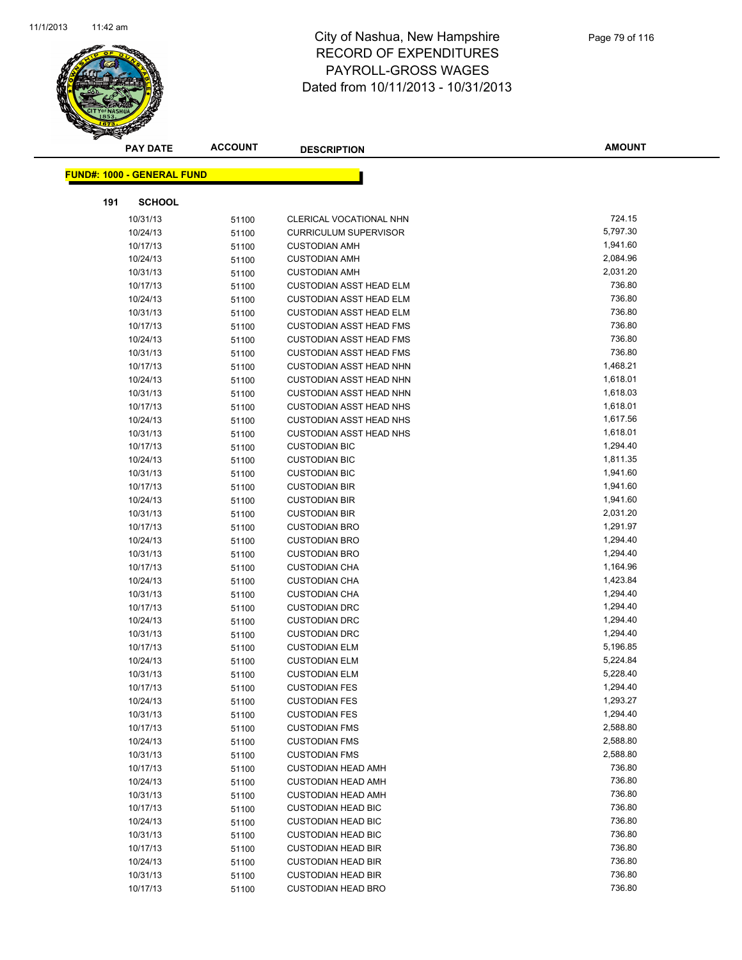

|     | <b>PAY DATE</b>                   | <b>ACCOUNT</b> | <b>DESCRIPTION</b>             | <b>AMOUNT</b> |
|-----|-----------------------------------|----------------|--------------------------------|---------------|
|     | <b>FUND#: 1000 - GENERAL FUND</b> |                |                                |               |
|     |                                   |                |                                |               |
| 191 | <b>SCHOOL</b>                     |                |                                |               |
|     | 10/31/13                          | 51100          | CLERICAL VOCATIONAL NHN        | 724.15        |
|     | 10/24/13                          | 51100          | <b>CURRICULUM SUPERVISOR</b>   | 5,797.30      |
|     | 10/17/13                          | 51100          | <b>CUSTODIAN AMH</b>           | 1,941.60      |
|     | 10/24/13                          | 51100          | <b>CUSTODIAN AMH</b>           | 2,084.96      |
|     | 10/31/13                          | 51100          | <b>CUSTODIAN AMH</b>           | 2,031.20      |
|     | 10/17/13                          | 51100          | <b>CUSTODIAN ASST HEAD ELM</b> | 736.80        |
|     | 10/24/13                          | 51100          | <b>CUSTODIAN ASST HEAD ELM</b> | 736.80        |
|     | 10/31/13                          | 51100          | <b>CUSTODIAN ASST HEAD ELM</b> | 736.80        |
|     | 10/17/13                          | 51100          | <b>CUSTODIAN ASST HEAD FMS</b> | 736.80        |
|     | 10/24/13                          | 51100          | <b>CUSTODIAN ASST HEAD FMS</b> | 736.80        |
|     | 10/31/13                          | 51100          | <b>CUSTODIAN ASST HEAD FMS</b> | 736.80        |
|     | 10/17/13                          | 51100          | <b>CUSTODIAN ASST HEAD NHN</b> | 1,468.21      |
|     | 10/24/13                          | 51100          | <b>CUSTODIAN ASST HEAD NHN</b> | 1,618.01      |
|     | 10/31/13                          | 51100          | <b>CUSTODIAN ASST HEAD NHN</b> | 1,618.03      |
|     | 10/17/13                          | 51100          | <b>CUSTODIAN ASST HEAD NHS</b> | 1,618.01      |
|     | 10/24/13                          | 51100          | <b>CUSTODIAN ASST HEAD NHS</b> | 1,617.56      |
|     | 10/31/13                          | 51100          | <b>CUSTODIAN ASST HEAD NHS</b> | 1,618.01      |
|     | 10/17/13                          | 51100          | <b>CUSTODIAN BIC</b>           | 1,294.40      |
|     | 10/24/13                          | 51100          | <b>CUSTODIAN BIC</b>           | 1,811.35      |
|     | 10/31/13                          | 51100          | <b>CUSTODIAN BIC</b>           | 1,941.60      |
|     | 10/17/13                          | 51100          | <b>CUSTODIAN BIR</b>           | 1,941.60      |
|     | 10/24/13                          | 51100          | <b>CUSTODIAN BIR</b>           | 1,941.60      |
|     | 10/31/13                          | 51100          | <b>CUSTODIAN BIR</b>           | 2,031.20      |
|     | 10/17/13                          | 51100          | <b>CUSTODIAN BRO</b>           | 1,291.97      |
|     | 10/24/13                          | 51100          | <b>CUSTODIAN BRO</b>           | 1,294.40      |
|     | 10/31/13                          | 51100          | <b>CUSTODIAN BRO</b>           | 1,294.40      |
|     | 10/17/13                          | 51100          | <b>CUSTODIAN CHA</b>           | 1,164.96      |
|     | 10/24/13                          | 51100          | <b>CUSTODIAN CHA</b>           | 1,423.84      |
|     | 10/31/13                          | 51100          | <b>CUSTODIAN CHA</b>           | 1,294.40      |
|     | 10/17/13                          | 51100          | <b>CUSTODIAN DRC</b>           | 1,294.40      |
|     | 10/24/13                          | 51100          | <b>CUSTODIAN DRC</b>           | 1,294.40      |
|     | 10/31/13                          | 51100          | <b>CUSTODIAN DRC</b>           | 1,294.40      |
|     | 10/17/13                          | 51100          | <b>CUSTODIAN ELM</b>           | 5,196.85      |
|     | 10/24/13                          | 51100          | <b>CUSTODIAN ELM</b>           | 5,224.84      |
|     | 10/31/13                          | 51100          | <b>CUSTODIAN ELM</b>           | 5,228.40      |
|     | 10/17/13                          | 51100          | <b>CUSTODIAN FES</b>           | 1,294.40      |
|     | 10/24/13                          | 51100          | <b>CUSTODIAN FES</b>           | 1,293.27      |
|     | 10/31/13                          | 51100          | <b>CUSTODIAN FES</b>           | 1,294.40      |
|     | 10/17/13                          | 51100          | <b>CUSTODIAN FMS</b>           | 2,588.80      |
|     | 10/24/13                          | 51100          | <b>CUSTODIAN FMS</b>           | 2,588.80      |
|     | 10/31/13                          | 51100          | <b>CUSTODIAN FMS</b>           | 2,588.80      |
|     | 10/17/13                          | 51100          | <b>CUSTODIAN HEAD AMH</b>      | 736.80        |
|     | 10/24/13                          | 51100          | <b>CUSTODIAN HEAD AMH</b>      | 736.80        |
|     | 10/31/13                          | 51100          | <b>CUSTODIAN HEAD AMH</b>      | 736.80        |
|     | 10/17/13                          | 51100          | <b>CUSTODIAN HEAD BIC</b>      | 736.80        |
|     | 10/24/13                          | 51100          | <b>CUSTODIAN HEAD BIC</b>      | 736.80        |
|     | 10/31/13                          | 51100          | <b>CUSTODIAN HEAD BIC</b>      | 736.80        |
|     | 10/17/13                          | 51100          | <b>CUSTODIAN HEAD BIR</b>      | 736.80        |
|     | 10/24/13                          | 51100          | <b>CUSTODIAN HEAD BIR</b>      | 736.80        |
|     | 10/31/13                          | 51100          | <b>CUSTODIAN HEAD BIR</b>      | 736.80        |
|     | 10/17/13                          | 51100          | <b>CUSTODIAN HEAD BRO</b>      | 736.80        |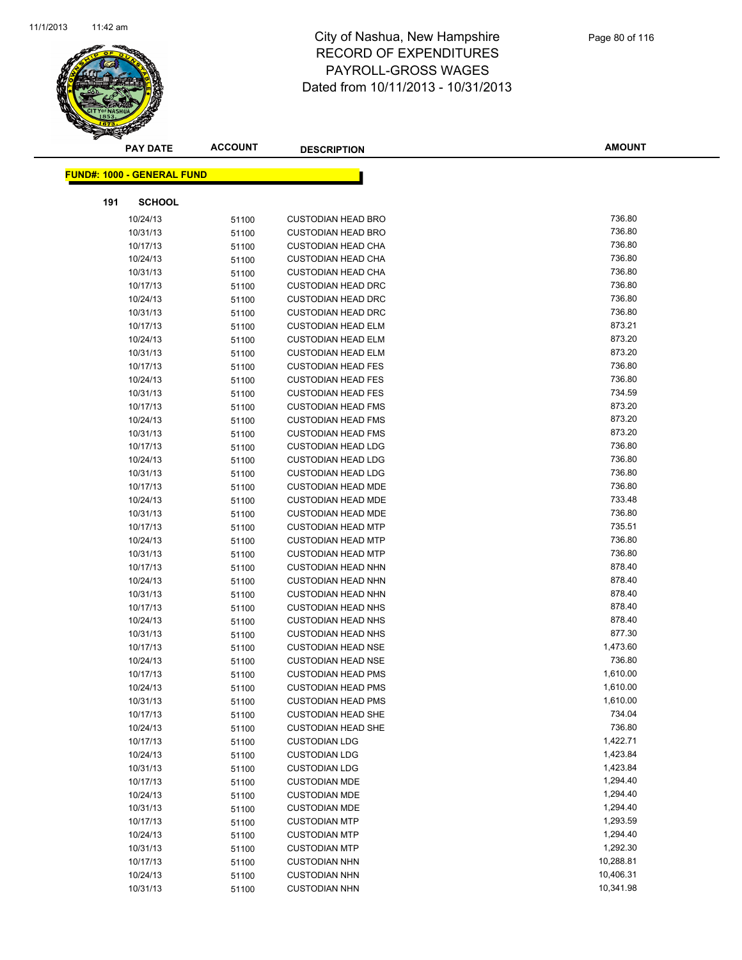

| <b>PAY DATE</b>                   | <b>ACCOUNT</b> | <b>DESCRIPTION</b>                           | <b>AMOUNT</b>        |
|-----------------------------------|----------------|----------------------------------------------|----------------------|
| <b>FUND#: 1000 - GENERAL FUND</b> |                |                                              |                      |
|                                   |                |                                              |                      |
| 191<br><b>SCHOOL</b>              |                |                                              |                      |
| 10/24/13                          | 51100          | <b>CUSTODIAN HEAD BRO</b>                    | 736.80               |
| 10/31/13                          | 51100          | <b>CUSTODIAN HEAD BRO</b>                    | 736.80               |
| 10/17/13                          | 51100          | <b>CUSTODIAN HEAD CHA</b>                    | 736.80               |
| 10/24/13                          | 51100          | <b>CUSTODIAN HEAD CHA</b>                    | 736.80               |
| 10/31/13                          | 51100          | <b>CUSTODIAN HEAD CHA</b>                    | 736.80               |
| 10/17/13                          | 51100          | <b>CUSTODIAN HEAD DRC</b>                    | 736.80               |
| 10/24/13                          | 51100          | <b>CUSTODIAN HEAD DRC</b>                    | 736.80               |
| 10/31/13                          | 51100          | <b>CUSTODIAN HEAD DRC</b>                    | 736.80               |
| 10/17/13                          | 51100          | <b>CUSTODIAN HEAD ELM</b>                    | 873.21               |
| 10/24/13                          | 51100          | <b>CUSTODIAN HEAD ELM</b>                    | 873.20               |
| 10/31/13                          | 51100          | <b>CUSTODIAN HEAD ELM</b>                    | 873.20               |
| 10/17/13                          | 51100          | <b>CUSTODIAN HEAD FES</b>                    | 736.80               |
| 10/24/13                          | 51100          | <b>CUSTODIAN HEAD FES</b>                    | 736.80               |
| 10/31/13                          | 51100          | <b>CUSTODIAN HEAD FES</b>                    | 734.59               |
| 10/17/13                          | 51100          | <b>CUSTODIAN HEAD FMS</b>                    | 873.20               |
| 10/24/13                          | 51100          | <b>CUSTODIAN HEAD FMS</b>                    | 873.20               |
| 10/31/13                          | 51100          | <b>CUSTODIAN HEAD FMS</b>                    | 873.20               |
| 10/17/13                          | 51100          | <b>CUSTODIAN HEAD LDG</b>                    | 736.80               |
| 10/24/13                          | 51100          | <b>CUSTODIAN HEAD LDG</b>                    | 736.80               |
| 10/31/13                          | 51100          | <b>CUSTODIAN HEAD LDG</b>                    | 736.80               |
| 10/17/13                          | 51100          | <b>CUSTODIAN HEAD MDE</b>                    | 736.80               |
| 10/24/13                          | 51100          | <b>CUSTODIAN HEAD MDE</b>                    | 733.48               |
| 10/31/13                          | 51100          | <b>CUSTODIAN HEAD MDE</b>                    | 736.80               |
| 10/17/13                          | 51100          | <b>CUSTODIAN HEAD MTP</b>                    | 735.51               |
| 10/24/13                          | 51100          | <b>CUSTODIAN HEAD MTP</b>                    | 736.80               |
| 10/31/13                          | 51100          | <b>CUSTODIAN HEAD MTP</b>                    | 736.80               |
| 10/17/13                          | 51100          | <b>CUSTODIAN HEAD NHN</b>                    | 878.40               |
| 10/24/13                          | 51100          | <b>CUSTODIAN HEAD NHN</b>                    | 878.40               |
| 10/31/13                          | 51100          | <b>CUSTODIAN HEAD NHN</b>                    | 878.40               |
| 10/17/13                          | 51100          | <b>CUSTODIAN HEAD NHS</b>                    | 878.40               |
| 10/24/13                          | 51100          | <b>CUSTODIAN HEAD NHS</b>                    | 878.40               |
| 10/31/13                          | 51100          | <b>CUSTODIAN HEAD NHS</b>                    | 877.30               |
| 10/17/13                          | 51100          | <b>CUSTODIAN HEAD NSE</b>                    | 1,473.60             |
| 10/24/13                          | 51100          | <b>CUSTODIAN HEAD NSE</b>                    | 736.80               |
| 10/17/13                          | 51100          | <b>CUSTODIAN HEAD PMS</b>                    | 1,610.00             |
| 10/24/13                          | 51100          | <b>CUSTODIAN HEAD PMS</b>                    | 1,610.00             |
| 10/31/13                          | 51100          | <b>CUSTODIAN HEAD PMS</b>                    | 1,610.00             |
| 10/17/13                          | 51100          | <b>CUSTODIAN HEAD SHE</b>                    | 734.04               |
| 10/24/13                          | 51100          | <b>CUSTODIAN HEAD SHE</b>                    | 736.80               |
| 10/17/13                          | 51100          | <b>CUSTODIAN LDG</b>                         | 1,422.71             |
| 10/24/13                          | 51100          | <b>CUSTODIAN LDG</b>                         | 1,423.84             |
| 10/31/13                          | 51100          | <b>CUSTODIAN LDG</b>                         | 1,423.84             |
| 10/17/13                          | 51100          | <b>CUSTODIAN MDE</b>                         | 1,294.40             |
| 10/24/13                          | 51100          | <b>CUSTODIAN MDE</b>                         | 1,294.40             |
| 10/31/13                          | 51100          | <b>CUSTODIAN MDE</b>                         | 1,294.40             |
| 10/17/13                          | 51100          | <b>CUSTODIAN MTP</b>                         | 1,293.59             |
| 10/24/13                          | 51100          | <b>CUSTODIAN MTP</b>                         | 1,294.40<br>1,292.30 |
| 10/31/13                          | 51100          | <b>CUSTODIAN MTP</b>                         | 10,288.81            |
| 10/17/13                          | 51100          | <b>CUSTODIAN NHN</b>                         | 10,406.31            |
| 10/24/13<br>10/31/13              | 51100<br>51100 | <b>CUSTODIAN NHN</b><br><b>CUSTODIAN NHN</b> | 10,341.98            |
|                                   |                |                                              |                      |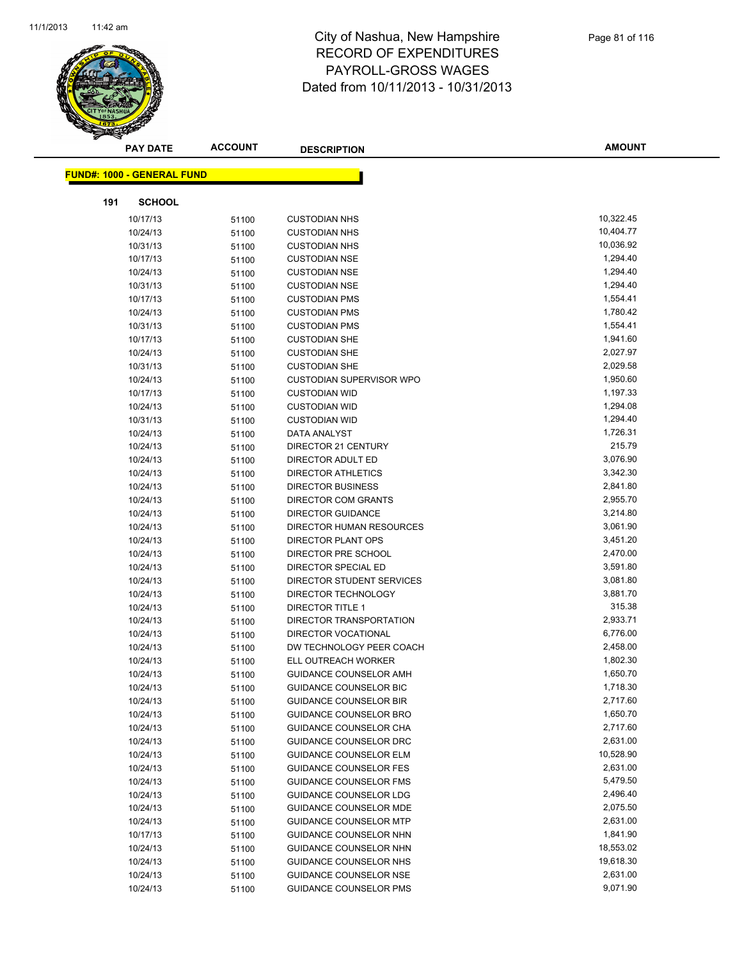

|     | <b>PAY DATE</b>                    | ACCOUNT        | <b>DESCRIPTION</b>                                     | <b>AMOUNT</b>        |
|-----|------------------------------------|----------------|--------------------------------------------------------|----------------------|
|     | <u> FUND#: 1000 - GENERAL FUND</u> |                |                                                        |                      |
|     |                                    |                |                                                        |                      |
| 191 | <b>SCHOOL</b>                      |                |                                                        |                      |
|     | 10/17/13                           | 51100          | <b>CUSTODIAN NHS</b>                                   | 10,322.45            |
|     | 10/24/13                           | 51100          | <b>CUSTODIAN NHS</b>                                   | 10,404.77            |
|     | 10/31/13                           | 51100          | <b>CUSTODIAN NHS</b>                                   | 10,036.92            |
|     | 10/17/13                           | 51100          | <b>CUSTODIAN NSE</b>                                   | 1,294.40             |
|     | 10/24/13                           | 51100          | <b>CUSTODIAN NSE</b>                                   | 1,294.40             |
|     | 10/31/13                           | 51100          | <b>CUSTODIAN NSE</b>                                   | 1,294.40             |
|     | 10/17/13                           | 51100          | <b>CUSTODIAN PMS</b>                                   | 1,554.41             |
|     | 10/24/13                           | 51100          | <b>CUSTODIAN PMS</b>                                   | 1,780.42             |
|     | 10/31/13                           | 51100          | <b>CUSTODIAN PMS</b>                                   | 1,554.41             |
|     | 10/17/13                           | 51100          | <b>CUSTODIAN SHE</b>                                   | 1,941.60             |
|     | 10/24/13                           | 51100          | <b>CUSTODIAN SHE</b>                                   | 2,027.97             |
|     | 10/31/13                           | 51100          | <b>CUSTODIAN SHE</b>                                   | 2,029.58             |
|     | 10/24/13                           | 51100          | <b>CUSTODIAN SUPERVISOR WPO</b>                        | 1,950.60             |
|     | 10/17/13                           | 51100          | <b>CUSTODIAN WID</b>                                   | 1,197.33             |
|     | 10/24/13                           | 51100          | <b>CUSTODIAN WID</b>                                   | 1,294.08             |
|     | 10/31/13                           | 51100          | <b>CUSTODIAN WID</b>                                   | 1,294.40             |
|     | 10/24/13                           | 51100          | DATA ANALYST                                           | 1,726.31             |
|     | 10/24/13                           | 51100          | DIRECTOR 21 CENTURY                                    | 215.79               |
|     | 10/24/13                           | 51100          | DIRECTOR ADULT ED                                      | 3,076.90             |
|     | 10/24/13                           | 51100          | <b>DIRECTOR ATHLETICS</b>                              | 3,342.30             |
|     | 10/24/13                           | 51100          | <b>DIRECTOR BUSINESS</b>                               | 2,841.80             |
|     | 10/24/13                           | 51100          | <b>DIRECTOR COM GRANTS</b><br><b>DIRECTOR GUIDANCE</b> | 2,955.70<br>3,214.80 |
|     | 10/24/13                           | 51100          |                                                        | 3,061.90             |
|     | 10/24/13                           | 51100          | DIRECTOR HUMAN RESOURCES                               | 3,451.20             |
|     | 10/24/13<br>10/24/13               | 51100          | DIRECTOR PLANT OPS<br>DIRECTOR PRE SCHOOL              | 2,470.00             |
|     | 10/24/13                           | 51100          | DIRECTOR SPECIAL ED                                    | 3,591.80             |
|     | 10/24/13                           | 51100<br>51100 | DIRECTOR STUDENT SERVICES                              | 3,081.80             |
|     | 10/24/13                           | 51100          | DIRECTOR TECHNOLOGY                                    | 3,881.70             |
|     | 10/24/13                           | 51100          | DIRECTOR TITLE 1                                       | 315.38               |
|     | 10/24/13                           | 51100          | DIRECTOR TRANSPORTATION                                | 2,933.71             |
|     | 10/24/13                           | 51100          | DIRECTOR VOCATIONAL                                    | 6,776.00             |
|     | 10/24/13                           | 51100          | DW TECHNOLOGY PEER COACH                               | 2,458.00             |
|     | 10/24/13                           | 51100          | ELL OUTREACH WORKER                                    | 1,802.30             |
|     | 10/24/13                           | 51100          | <b>GUIDANCE COUNSELOR AMH</b>                          | 1,650.70             |
|     | 10/24/13                           | 51100          | GUIDANCE COUNSELOR BIC                                 | 1,718.30             |
|     | 10/24/13                           | 51100          | <b>GUIDANCE COUNSELOR BIR</b>                          | 2,717.60             |
|     | 10/24/13                           | 51100          | <b>GUIDANCE COUNSELOR BRO</b>                          | 1,650.70             |
|     | 10/24/13                           | 51100          | <b>GUIDANCE COUNSELOR CHA</b>                          | 2,717.60             |
|     | 10/24/13                           | 51100          | GUIDANCE COUNSELOR DRC                                 | 2,631.00             |
|     | 10/24/13                           | 51100          | <b>GUIDANCE COUNSELOR ELM</b>                          | 10,528.90            |
|     | 10/24/13                           | 51100          | <b>GUIDANCE COUNSELOR FES</b>                          | 2,631.00             |
|     | 10/24/13                           | 51100          | <b>GUIDANCE COUNSELOR FMS</b>                          | 5,479.50             |
|     | 10/24/13                           | 51100          | <b>GUIDANCE COUNSELOR LDG</b>                          | 2,496.40             |
|     | 10/24/13                           | 51100          | GUIDANCE COUNSELOR MDE                                 | 2,075.50             |
|     | 10/24/13                           | 51100          | <b>GUIDANCE COUNSELOR MTP</b>                          | 2,631.00             |
|     | 10/17/13                           | 51100          | <b>GUIDANCE COUNSELOR NHN</b>                          | 1,841.90             |
|     | 10/24/13                           | 51100          | <b>GUIDANCE COUNSELOR NHN</b>                          | 18,553.02            |
|     | 10/24/13                           | 51100          | GUIDANCE COUNSELOR NHS                                 | 19,618.30            |
|     | 10/24/13                           | 51100          | GUIDANCE COUNSELOR NSE                                 | 2,631.00             |
|     | 10/24/13                           | 51100          | GUIDANCE COUNSELOR PMS                                 | 9,071.90             |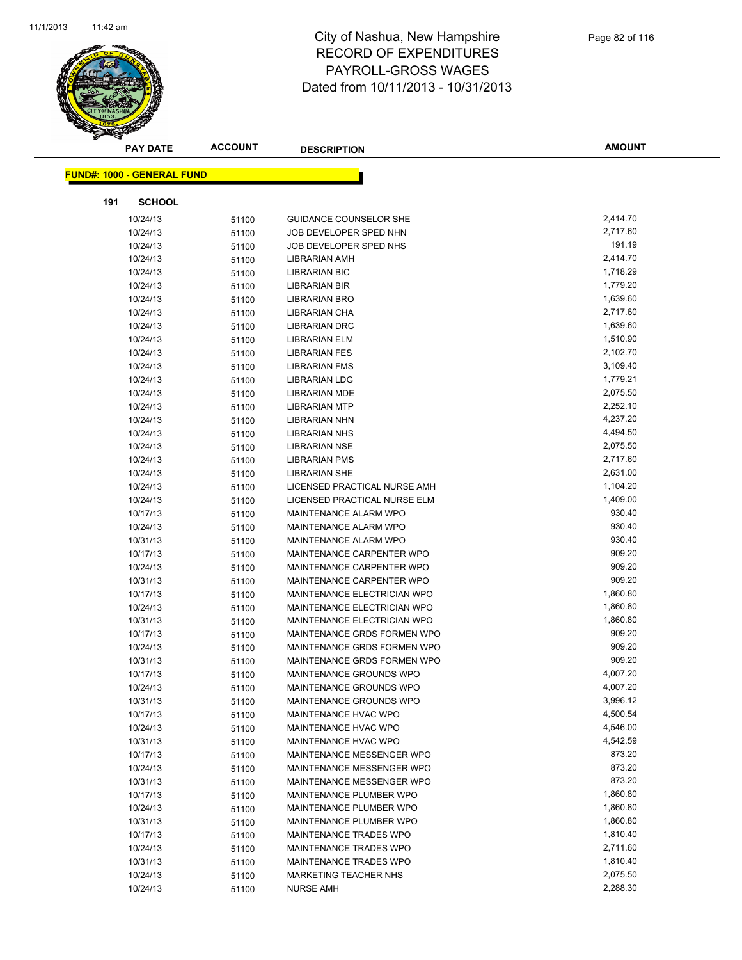

|     | <b>PAY DATE</b>                   | <b>ACCOUNT</b> | <b>DESCRIPTION</b>                 | <b>AMOUNT</b> |
|-----|-----------------------------------|----------------|------------------------------------|---------------|
|     | <b>FUND#: 1000 - GENERAL FUND</b> |                |                                    |               |
|     |                                   |                |                                    |               |
| 191 | <b>SCHOOL</b>                     |                |                                    |               |
|     | 10/24/13                          | 51100          | <b>GUIDANCE COUNSELOR SHE</b>      | 2,414.70      |
|     | 10/24/13                          | 51100          | JOB DEVELOPER SPED NHN             | 2,717.60      |
|     | 10/24/13                          | 51100          | JOB DEVELOPER SPED NHS             | 191.19        |
|     | 10/24/13                          | 51100          | <b>LIBRARIAN AMH</b>               | 2,414.70      |
|     | 10/24/13                          | 51100          | <b>LIBRARIAN BIC</b>               | 1,718.29      |
|     | 10/24/13                          | 51100          | <b>LIBRARIAN BIR</b>               | 1,779.20      |
|     | 10/24/13                          | 51100          | LIBRARIAN BRO                      | 1,639.60      |
|     | 10/24/13                          | 51100          | LIBRARIAN CHA                      | 2,717.60      |
|     | 10/24/13                          | 51100          | <b>LIBRARIAN DRC</b>               | 1,639.60      |
|     | 10/24/13                          | 51100          | <b>LIBRARIAN ELM</b>               | 1,510.90      |
|     | 10/24/13                          | 51100          | <b>LIBRARIAN FES</b>               | 2,102.70      |
|     | 10/24/13                          | 51100          | <b>LIBRARIAN FMS</b>               | 3,109.40      |
|     | 10/24/13                          | 51100          | <b>LIBRARIAN LDG</b>               | 1,779.21      |
|     | 10/24/13                          | 51100          | <b>LIBRARIAN MDE</b>               | 2,075.50      |
|     | 10/24/13                          | 51100          | <b>LIBRARIAN MTP</b>               | 2,252.10      |
|     | 10/24/13                          | 51100          | <b>LIBRARIAN NHN</b>               | 4,237.20      |
|     | 10/24/13                          | 51100          | <b>LIBRARIAN NHS</b>               | 4,494.50      |
|     | 10/24/13                          | 51100          | <b>LIBRARIAN NSE</b>               | 2,075.50      |
|     | 10/24/13                          | 51100          | <b>LIBRARIAN PMS</b>               | 2,717.60      |
|     | 10/24/13                          | 51100          | <b>LIBRARIAN SHE</b>               | 2,631.00      |
|     | 10/24/13                          | 51100          | LICENSED PRACTICAL NURSE AMH       | 1,104.20      |
|     | 10/24/13                          | 51100          | LICENSED PRACTICAL NURSE ELM       | 1,409.00      |
|     | 10/17/13                          | 51100          | MAINTENANCE ALARM WPO              | 930.40        |
|     | 10/24/13                          | 51100          | MAINTENANCE ALARM WPO              | 930.40        |
|     | 10/31/13                          | 51100          | MAINTENANCE ALARM WPO              | 930.40        |
|     | 10/17/13                          | 51100          | MAINTENANCE CARPENTER WPO          | 909.20        |
|     | 10/24/13                          | 51100          | MAINTENANCE CARPENTER WPO          | 909.20        |
|     | 10/31/13                          | 51100          | MAINTENANCE CARPENTER WPO          | 909.20        |
|     | 10/17/13                          | 51100          | MAINTENANCE ELECTRICIAN WPO        | 1,860.80      |
|     | 10/24/13                          | 51100          | MAINTENANCE ELECTRICIAN WPO        | 1,860.80      |
|     | 10/31/13                          | 51100          | <b>MAINTENANCE ELECTRICIAN WPO</b> | 1,860.80      |
|     | 10/17/13                          | 51100          | MAINTENANCE GRDS FORMEN WPO        | 909.20        |
|     | 10/24/13                          | 51100          | MAINTENANCE GRDS FORMEN WPO        | 909.20        |
|     | 10/31/13                          | 51100          | MAINTENANCE GRDS FORMEN WPO        | 909.20        |
|     | 10/17/13                          | 51100          | MAINTENANCE GROUNDS WPO            | 4,007.20      |
|     | 10/24/13                          | 51100          | MAINTENANCE GROUNDS WPO            | 4,007.20      |
|     | 10/31/13                          | 51100          | MAINTENANCE GROUNDS WPO            | 3,996.12      |
|     | 10/17/13                          | 51100          | MAINTENANCE HVAC WPO               | 4,500.54      |
|     | 10/24/13                          | 51100          | <b>MAINTENANCE HVAC WPO</b>        | 4,546.00      |
|     | 10/31/13                          | 51100          | MAINTENANCE HVAC WPO               | 4,542.59      |
|     | 10/17/13                          | 51100          | MAINTENANCE MESSENGER WPO          | 873.20        |
|     | 10/24/13                          | 51100          | MAINTENANCE MESSENGER WPO          | 873.20        |
|     | 10/31/13                          | 51100          | MAINTENANCE MESSENGER WPO          | 873.20        |
|     | 10/17/13                          | 51100          | MAINTENANCE PLUMBER WPO            | 1,860.80      |
|     | 10/24/13                          | 51100          | MAINTENANCE PLUMBER WPO            | 1,860.80      |
|     | 10/31/13                          | 51100          | MAINTENANCE PLUMBER WPO            | 1,860.80      |
|     | 10/17/13                          | 51100          | MAINTENANCE TRADES WPO             | 1,810.40      |
|     | 10/24/13                          | 51100          | MAINTENANCE TRADES WPO             | 2,711.60      |
|     | 10/31/13                          | 51100          | MAINTENANCE TRADES WPO             | 1,810.40      |
|     | 10/24/13                          | 51100          | <b>MARKETING TEACHER NHS</b>       | 2,075.50      |
|     | 10/24/13                          | 51100          | <b>NURSE AMH</b>                   | 2,288.30      |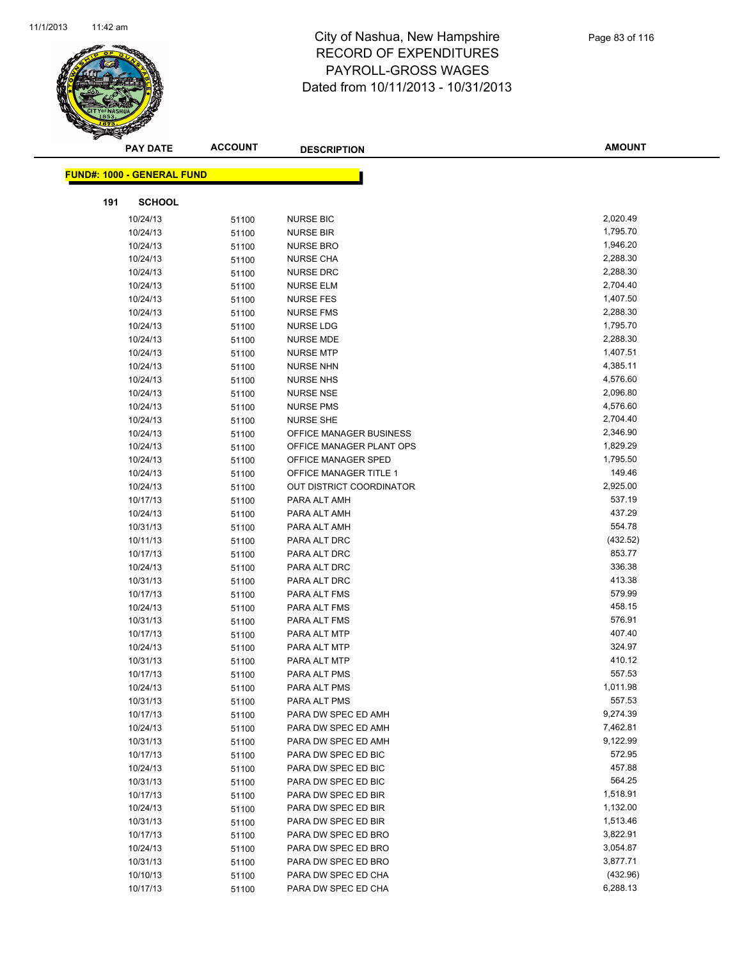

|     | <b>PAY DATE</b>                   | <b>ACCOUNT</b> | <b>DESCRIPTION</b>                  | <b>AMOUNT</b>      |  |
|-----|-----------------------------------|----------------|-------------------------------------|--------------------|--|
|     | <b>FUND#: 1000 - GENERAL FUND</b> |                |                                     |                    |  |
|     |                                   |                |                                     |                    |  |
| 191 | <b>SCHOOL</b>                     |                |                                     |                    |  |
|     | 10/24/13                          | 51100          | <b>NURSE BIC</b>                    | 2,020.49           |  |
|     | 10/24/13                          | 51100          | <b>NURSE BIR</b>                    | 1,795.70           |  |
|     | 10/24/13                          | 51100          | <b>NURSE BRO</b>                    | 1,946.20           |  |
|     | 10/24/13                          | 51100          | <b>NURSE CHA</b>                    | 2,288.30           |  |
|     | 10/24/13                          | 51100          | <b>NURSE DRC</b>                    | 2,288.30           |  |
|     | 10/24/13                          | 51100          | <b>NURSE ELM</b>                    | 2,704.40           |  |
|     | 10/24/13                          | 51100          | <b>NURSE FES</b>                    | 1,407.50           |  |
|     | 10/24/13                          | 51100          | <b>NURSE FMS</b>                    | 2,288.30           |  |
|     | 10/24/13                          | 51100          | <b>NURSE LDG</b>                    | 1,795.70           |  |
|     | 10/24/13                          | 51100          | <b>NURSE MDE</b>                    | 2,288.30           |  |
|     | 10/24/13                          | 51100          | <b>NURSE MTP</b>                    | 1,407.51           |  |
|     | 10/24/13                          | 51100          | <b>NURSE NHN</b>                    | 4,385.11           |  |
|     | 10/24/13                          | 51100          | <b>NURSE NHS</b>                    | 4,576.60           |  |
|     | 10/24/13                          | 51100          | <b>NURSE NSE</b>                    | 2,096.80           |  |
|     | 10/24/13                          | 51100          | <b>NURSE PMS</b>                    | 4,576.60           |  |
|     | 10/24/13                          | 51100          | <b>NURSE SHE</b>                    | 2,704.40           |  |
|     | 10/24/13                          | 51100          | OFFICE MANAGER BUSINESS             | 2,346.90           |  |
|     | 10/24/13                          | 51100          | OFFICE MANAGER PLANT OPS            | 1,829.29           |  |
|     | 10/24/13                          | 51100          | OFFICE MANAGER SPED                 | 1,795.50           |  |
|     | 10/24/13                          | 51100          | <b>OFFICE MANAGER TITLE 1</b>       | 149.46             |  |
|     | 10/24/13                          | 51100          | <b>OUT DISTRICT COORDINATOR</b>     | 2,925.00           |  |
|     | 10/17/13                          | 51100          | PARA ALT AMH                        | 537.19             |  |
|     | 10/24/13                          | 51100          | PARA ALT AMH                        | 437.29             |  |
|     | 10/31/13                          | 51100          | PARA ALT AMH                        | 554.78             |  |
|     | 10/11/13                          | 51100          | PARA ALT DRC                        | (432.52)           |  |
|     | 10/17/13                          | 51100          | PARA ALT DRC                        | 853.77             |  |
|     | 10/24/13                          | 51100          | PARA ALT DRC                        | 336.38             |  |
|     | 10/31/13                          | 51100          | PARA ALT DRC                        | 413.38             |  |
|     | 10/17/13                          | 51100          | PARA ALT FMS                        | 579.99             |  |
|     | 10/24/13                          | 51100          | PARA ALT FMS                        | 458.15<br>576.91   |  |
|     | 10/31/13                          | 51100          | PARA ALT FMS                        |                    |  |
|     | 10/17/13                          | 51100          | PARA ALT MTP                        | 407.40<br>324.97   |  |
|     | 10/24/13                          | 51100          | PARA ALT MTP                        | 410.12             |  |
|     | 10/31/13                          | 51100          | PARA ALT MTP<br>PARA ALT PMS        | 557.53             |  |
|     | 10/17/13                          | 51100          |                                     |                    |  |
|     | 10/24/13<br>10/31/13              | 51100          | PARA ALT PMS                        | 1,011.98<br>557.53 |  |
|     | 10/17/13                          | 51100          | PARA ALT PMS<br>PARA DW SPEC ED AMH | 9,274.39           |  |
|     | 10/24/13                          | 51100          | PARA DW SPEC ED AMH                 | 7,462.81           |  |
|     | 10/31/13                          | 51100          | PARA DW SPEC ED AMH                 | 9,122.99           |  |
|     | 10/17/13                          | 51100<br>51100 | PARA DW SPEC ED BIC                 | 572.95             |  |
|     | 10/24/13                          |                | PARA DW SPEC ED BIC                 | 457.88             |  |
|     | 10/31/13                          | 51100          | PARA DW SPEC ED BIC                 | 564.25             |  |
|     | 10/17/13                          | 51100<br>51100 | PARA DW SPEC ED BIR                 | 1,518.91           |  |
|     | 10/24/13                          | 51100          | PARA DW SPEC ED BIR                 | 1,132.00           |  |
|     | 10/31/13                          | 51100          | PARA DW SPEC ED BIR                 | 1,513.46           |  |
|     | 10/17/13                          | 51100          | PARA DW SPEC ED BRO                 | 3,822.91           |  |
|     | 10/24/13                          | 51100          | PARA DW SPEC ED BRO                 | 3,054.87           |  |
|     | 10/31/13                          | 51100          | PARA DW SPEC ED BRO                 | 3,877.71           |  |
|     | 10/10/13                          | 51100          | PARA DW SPEC ED CHA                 | (432.96)           |  |
|     | 10/17/13                          | 51100          | PARA DW SPEC ED CHA                 | 6,288.13           |  |
|     |                                   |                |                                     |                    |  |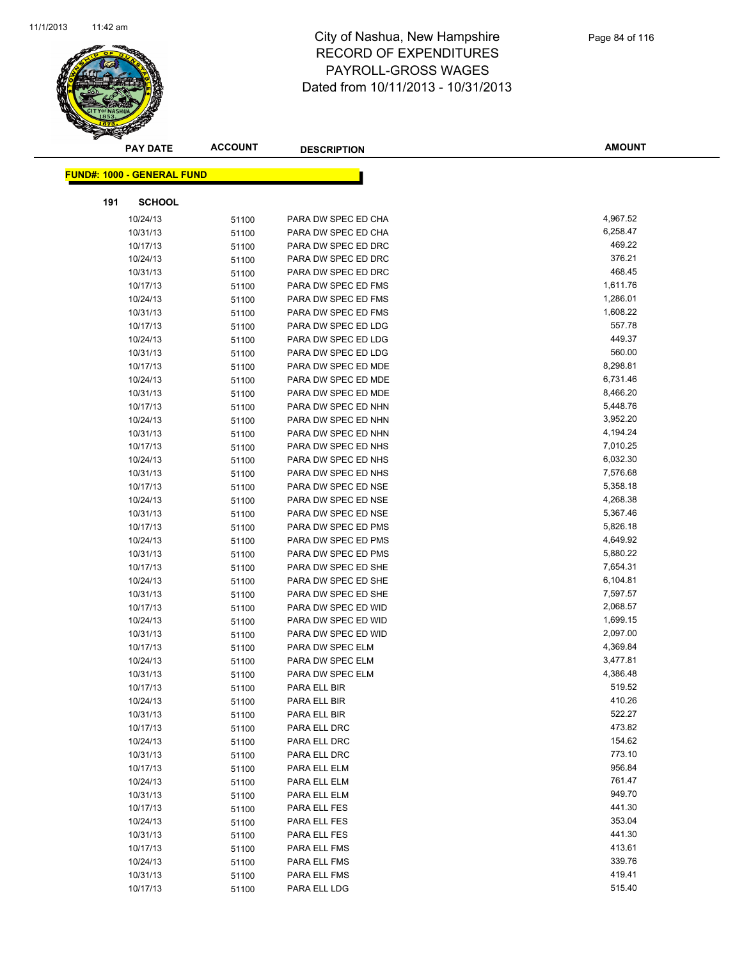

|     | <b>PAY DATE</b>                   | <b>ACCOUNT</b> | <b>DESCRIPTION</b>  | <b>AMOUNT</b> |
|-----|-----------------------------------|----------------|---------------------|---------------|
|     | <b>FUND#: 1000 - GENERAL FUND</b> |                |                     |               |
|     |                                   |                |                     |               |
| 191 | <b>SCHOOL</b>                     |                |                     |               |
|     | 10/24/13                          | 51100          | PARA DW SPEC ED CHA | 4,967.52      |
|     | 10/31/13                          | 51100          | PARA DW SPEC ED CHA | 6,258.47      |
|     | 10/17/13                          | 51100          | PARA DW SPEC ED DRC | 469.22        |
|     | 10/24/13                          | 51100          | PARA DW SPEC ED DRC | 376.21        |
|     | 10/31/13                          | 51100          | PARA DW SPEC ED DRC | 468.45        |
|     | 10/17/13                          | 51100          | PARA DW SPEC ED FMS | 1,611.76      |
|     | 10/24/13                          | 51100          | PARA DW SPEC ED FMS | 1,286.01      |
|     | 10/31/13                          | 51100          | PARA DW SPEC ED FMS | 1,608.22      |
|     | 10/17/13                          | 51100          | PARA DW SPEC ED LDG | 557.78        |
|     | 10/24/13                          | 51100          | PARA DW SPEC ED LDG | 449.37        |
|     | 10/31/13                          | 51100          | PARA DW SPEC ED LDG | 560.00        |
|     | 10/17/13                          | 51100          | PARA DW SPEC ED MDE | 8,298.81      |
|     | 10/24/13                          | 51100          | PARA DW SPEC ED MDE | 6,731.46      |
|     | 10/31/13                          | 51100          | PARA DW SPEC ED MDE | 8,466.20      |
|     | 10/17/13                          | 51100          | PARA DW SPEC ED NHN | 5,448.76      |
|     | 10/24/13                          | 51100          | PARA DW SPEC ED NHN | 3,952.20      |
|     | 10/31/13                          | 51100          | PARA DW SPEC ED NHN | 4,194.24      |
|     | 10/17/13                          | 51100          | PARA DW SPEC ED NHS | 7,010.25      |
|     | 10/24/13                          | 51100          | PARA DW SPEC ED NHS | 6,032.30      |
|     | 10/31/13                          | 51100          | PARA DW SPEC ED NHS | 7,576.68      |
|     | 10/17/13                          | 51100          | PARA DW SPEC ED NSE | 5,358.18      |
|     | 10/24/13                          | 51100          | PARA DW SPEC ED NSE | 4,268.38      |
|     | 10/31/13                          | 51100          | PARA DW SPEC ED NSE | 5,367.46      |
|     | 10/17/13                          | 51100          | PARA DW SPEC ED PMS | 5,826.18      |
|     | 10/24/13                          | 51100          | PARA DW SPEC ED PMS | 4,649.92      |
|     | 10/31/13                          | 51100          | PARA DW SPEC ED PMS | 5,880.22      |
|     | 10/17/13                          | 51100          | PARA DW SPEC ED SHE | 7,654.31      |
|     | 10/24/13                          | 51100          | PARA DW SPEC ED SHE | 6,104.81      |
|     | 10/31/13                          | 51100          | PARA DW SPEC ED SHE | 7,597.57      |
|     | 10/17/13                          | 51100          | PARA DW SPEC ED WID | 2,068.57      |
|     | 10/24/13                          | 51100          | PARA DW SPEC ED WID | 1,699.15      |
|     | 10/31/13                          | 51100          | PARA DW SPEC ED WID | 2,097.00      |
|     | 10/17/13                          | 51100          | PARA DW SPEC ELM    | 4,369.84      |
|     | 10/24/13                          | 51100          | PARA DW SPEC ELM    | 3,477.81      |
|     | 10/31/13                          | 51100          | PARA DW SPEC ELM    | 4,386.48      |
|     | 10/17/13                          | 51100          | PARA ELL BIR        | 519.52        |
|     | 10/24/13                          | 51100          | PARA ELL BIR        | 410.26        |
|     | 10/31/13                          | 51100          | PARA ELL BIR        | 522.27        |
|     | 10/17/13                          | 51100          | PARA ELL DRC        | 473.82        |
|     | 10/24/13                          | 51100          | PARA ELL DRC        | 154.62        |
|     | 10/31/13                          | 51100          | PARA ELL DRC        | 773.10        |
|     | 10/17/13                          | 51100          | PARA ELL ELM        | 956.84        |
|     | 10/24/13                          | 51100          | PARA ELL ELM        | 761.47        |
|     | 10/31/13                          | 51100          | PARA ELL ELM        | 949.70        |
|     | 10/17/13                          | 51100          | PARA ELL FES        | 441.30        |
|     | 10/24/13                          | 51100          | PARA ELL FES        | 353.04        |
|     | 10/31/13                          | 51100          | PARA ELL FES        | 441.30        |
|     | 10/17/13                          | 51100          | PARA ELL FMS        | 413.61        |
|     | 10/24/13                          | 51100          | PARA ELL FMS        | 339.76        |
|     | 10/31/13                          | 51100          | PARA ELL FMS        | 419.41        |
|     | 10/17/13                          | 51100          | PARA ELL LDG        | 515.40        |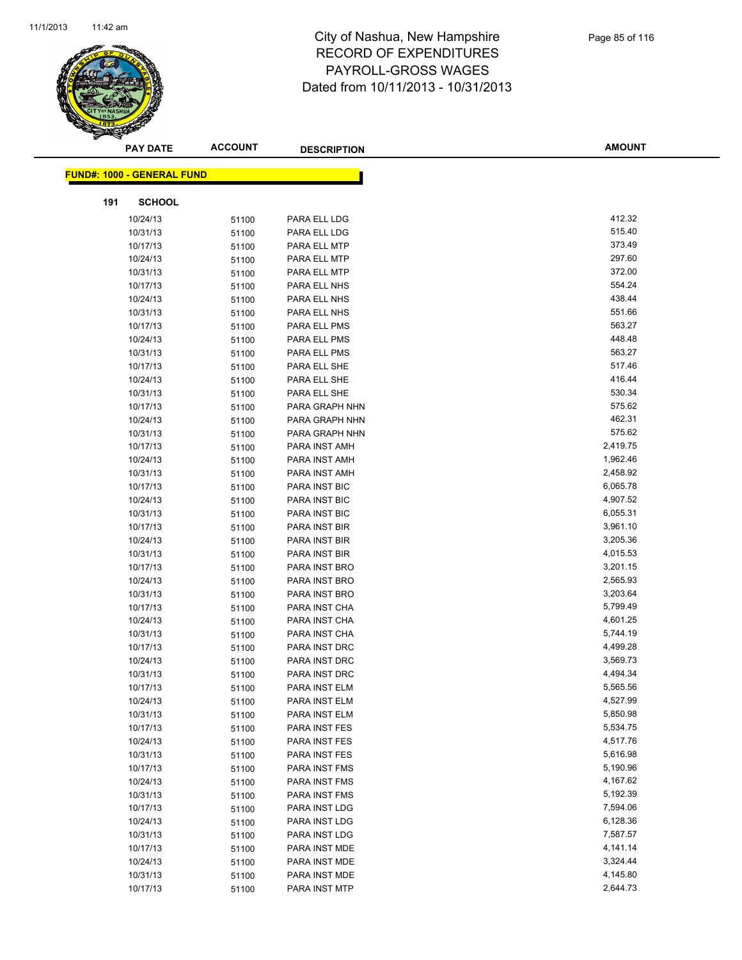

|     | <b>PAY DATE</b>                   | <b>ACCOUNT</b> | <b>DESCRIPTION</b>             | <b>AMOUNT</b>        |
|-----|-----------------------------------|----------------|--------------------------------|----------------------|
|     | <b>FUND#: 1000 - GENERAL FUND</b> |                |                                |                      |
|     |                                   |                |                                |                      |
| 191 | <b>SCHOOL</b>                     |                |                                |                      |
|     | 10/24/13                          | 51100          | PARA ELL LDG                   | 412.32               |
|     | 10/31/13                          | 51100          | PARA ELL LDG                   | 515.40               |
|     | 10/17/13                          | 51100          | PARA ELL MTP                   | 373.49               |
|     | 10/24/13                          | 51100          | PARA ELL MTP                   | 297.60               |
|     | 10/31/13                          | 51100          | PARA ELL MTP                   | 372.00               |
|     | 10/17/13                          | 51100          | PARA ELL NHS                   | 554.24               |
|     | 10/24/13                          | 51100          | PARA ELL NHS                   | 438.44               |
|     | 10/31/13                          | 51100          | PARA ELL NHS                   | 551.66               |
|     | 10/17/13                          | 51100          | PARA ELL PMS                   | 563.27               |
|     | 10/24/13                          | 51100          | PARA ELL PMS                   | 448.48               |
|     | 10/31/13                          | 51100          | PARA ELL PMS                   | 563.27               |
|     | 10/17/13                          | 51100          | PARA ELL SHE                   | 517.46               |
|     | 10/24/13                          | 51100          | PARA ELL SHE                   | 416.44               |
|     | 10/31/13                          | 51100          | PARA ELL SHE                   | 530.34               |
|     | 10/17/13                          | 51100          | PARA GRAPH NHN                 | 575.62               |
|     | 10/24/13                          | 51100          | PARA GRAPH NHN                 | 462.31               |
|     | 10/31/13                          | 51100          | PARA GRAPH NHN                 | 575.62               |
|     | 10/17/13                          | 51100          | PARA INST AMH                  | 2,419.75             |
|     | 10/24/13                          | 51100          | PARA INST AMH                  | 1,962.46             |
|     | 10/31/13                          | 51100          | PARA INST AMH                  | 2,458.92             |
|     | 10/17/13                          | 51100          | PARA INST BIC                  | 6,065.78             |
|     | 10/24/13                          | 51100          | PARA INST BIC                  | 4,907.52             |
|     | 10/31/13                          | 51100          | PARA INST BIC                  | 6,055.31             |
|     | 10/17/13                          | 51100          | PARA INST BIR                  | 3,961.10             |
|     | 10/24/13                          | 51100          | PARA INST BIR                  | 3,205.36             |
|     | 10/31/13                          | 51100          | PARA INST BIR                  | 4,015.53             |
|     | 10/17/13                          | 51100          | PARA INST BRO                  | 3,201.15             |
|     | 10/24/13                          | 51100          | PARA INST BRO                  | 2,565.93             |
|     | 10/31/13                          | 51100          | PARA INST BRO                  | 3,203.64             |
|     | 10/17/13                          | 51100          | PARA INST CHA                  | 5,799.49             |
|     | 10/24/13                          | 51100          | PARA INST CHA                  | 4,601.25             |
|     | 10/31/13                          | 51100          | PARA INST CHA                  | 5,744.19<br>4,499.28 |
|     | 10/17/13                          | 51100          | PARA INST DRC<br>PARA INST DRC | 3,569.73             |
|     | 10/24/13<br>10/31/13              | 51100          | PARA INST DRC                  | 4,494.34             |
|     | 10/17/13                          | 51100<br>51100 | PARA INST ELM                  | 5,565.56             |
|     | 10/24/13                          | 51100          | PARA INST ELM                  | 4,527.99             |
|     | 10/31/13                          | 51100          | PARA INST ELM                  | 5,850.98             |
|     | 10/17/13                          | 51100          | PARA INST FES                  | 5,534.75             |
|     | 10/24/13                          | 51100          | PARA INST FES                  | 4,517.76             |
|     | 10/31/13                          | 51100          | PARA INST FES                  | 5,616.98             |
|     | 10/17/13                          | 51100          | PARA INST FMS                  | 5,190.96             |
|     | 10/24/13                          | 51100          | PARA INST FMS                  | 4,167.62             |
|     | 10/31/13                          | 51100          | PARA INST FMS                  | 5,192.39             |
|     | 10/17/13                          | 51100          | PARA INST LDG                  | 7,594.06             |
|     | 10/24/13                          | 51100          | PARA INST LDG                  | 6,128.36             |
|     | 10/31/13                          | 51100          | PARA INST LDG                  | 7,587.57             |
|     | 10/17/13                          | 51100          | PARA INST MDE                  | 4,141.14             |
|     | 10/24/13                          | 51100          | PARA INST MDE                  | 3,324.44             |
|     | 10/31/13                          | 51100          | PARA INST MDE                  | 4,145.80             |
|     | 10/17/13                          | 51100          | PARA INST MTP                  | 2,644.73             |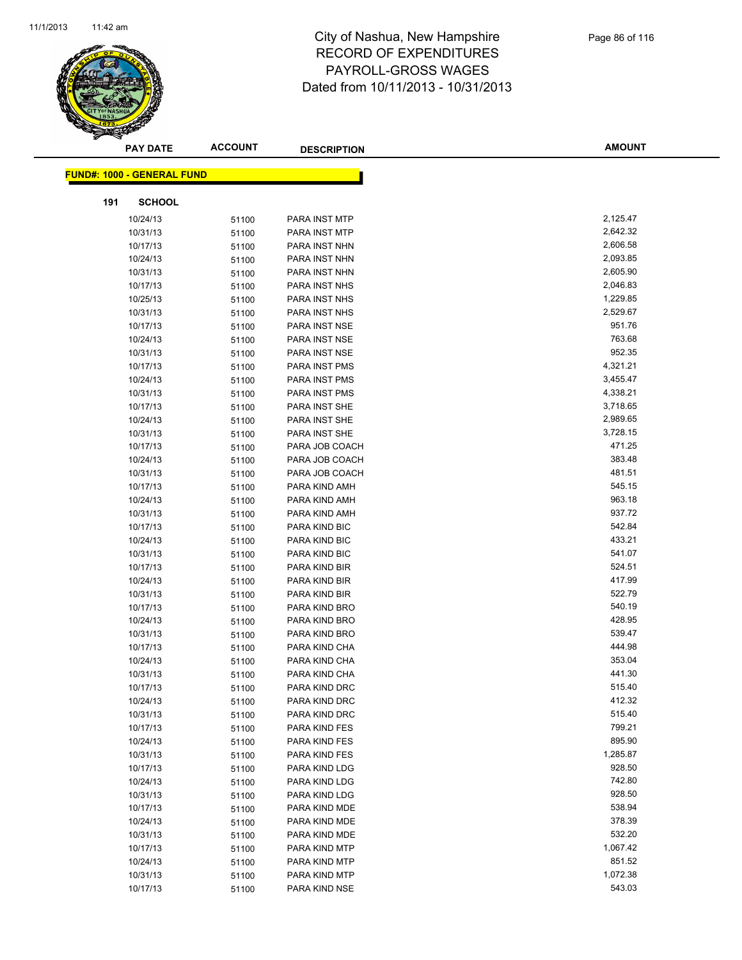

|     | <b>PAY DATE</b>                   | <b>ACCOUNT</b> | <b>DESCRIPTION</b>             | <b>AMOUNT</b>    |
|-----|-----------------------------------|----------------|--------------------------------|------------------|
|     | <b>FUND#: 1000 - GENERAL FUND</b> |                |                                |                  |
|     |                                   |                |                                |                  |
| 191 | <b>SCHOOL</b>                     |                |                                |                  |
|     | 10/24/13                          | 51100          | <b>PARA INST MTP</b>           | 2,125.47         |
|     | 10/31/13                          | 51100          | PARA INST MTP                  | 2,642.32         |
|     | 10/17/13                          | 51100          | PARA INST NHN                  | 2,606.58         |
|     | 10/24/13                          | 51100          | PARA INST NHN                  | 2,093.85         |
|     | 10/31/13                          | 51100          | PARA INST NHN                  | 2,605.90         |
|     | 10/17/13                          | 51100          | PARA INST NHS                  | 2,046.83         |
|     | 10/25/13                          | 51100          | PARA INST NHS                  | 1,229.85         |
|     | 10/31/13                          | 51100          | PARA INST NHS                  | 2,529.67         |
|     | 10/17/13                          | 51100          | PARA INST NSE                  | 951.76           |
|     | 10/24/13                          | 51100          | PARA INST NSE                  | 763.68           |
|     | 10/31/13                          | 51100          | PARA INST NSE                  | 952.35           |
|     | 10/17/13                          | 51100          | PARA INST PMS                  | 4,321.21         |
|     | 10/24/13                          | 51100          | PARA INST PMS                  | 3,455.47         |
|     | 10/31/13                          | 51100          | PARA INST PMS                  | 4,338.21         |
|     | 10/17/13                          | 51100          | PARA INST SHE                  | 3,718.65         |
|     | 10/24/13                          | 51100          | PARA INST SHE                  | 2,989.65         |
|     | 10/31/13                          | 51100          | PARA INST SHE                  | 3,728.15         |
|     | 10/17/13                          | 51100          | PARA JOB COACH                 | 471.25           |
|     | 10/24/13                          | 51100          | PARA JOB COACH                 | 383.48           |
|     | 10/31/13                          | 51100          | PARA JOB COACH                 | 481.51           |
|     | 10/17/13                          | 51100          | PARA KIND AMH                  | 545.15           |
|     | 10/24/13                          | 51100          | PARA KIND AMH                  | 963.18           |
|     | 10/31/13                          | 51100          | PARA KIND AMH                  | 937.72           |
|     | 10/17/13                          | 51100          | PARA KIND BIC                  | 542.84           |
|     | 10/24/13                          | 51100          | PARA KIND BIC                  | 433.21           |
|     | 10/31/13                          | 51100          | PARA KIND BIC                  | 541.07           |
|     | 10/17/13                          | 51100          | PARA KIND BIR                  | 524.51           |
|     | 10/24/13                          | 51100          | PARA KIND BIR                  | 417.99<br>522.79 |
|     | 10/31/13<br>10/17/13              | 51100          | PARA KIND BIR                  | 540.19           |
|     |                                   | 51100          | PARA KIND BRO                  | 428.95           |
|     | 10/24/13                          | 51100          | PARA KIND BRO<br>PARA KIND BRO | 539.47           |
|     | 10/31/13                          | 51100          | PARA KIND CHA                  | 444.98           |
|     | 10/17/13<br>10/24/13              | 51100          | PARA KIND CHA                  | 353.04           |
|     | 10/31/13                          | 51100<br>51100 | PARA KIND CHA                  | 441.30           |
|     | 10/17/13                          |                | PARA KIND DRC                  | 515.40           |
|     | 10/24/13                          | 51100<br>51100 | PARA KIND DRC                  | 412.32           |
|     | 10/31/13                          | 51100          | PARA KIND DRC                  | 515.40           |
|     | 10/17/13                          | 51100          | PARA KIND FES                  | 799.21           |
|     | 10/24/13                          | 51100          | PARA KIND FES                  | 895.90           |
|     | 10/31/13                          | 51100          | PARA KIND FES                  | 1,285.87         |
|     | 10/17/13                          | 51100          | PARA KIND LDG                  | 928.50           |
|     | 10/24/13                          | 51100          | PARA KIND LDG                  | 742.80           |
|     | 10/31/13                          | 51100          | PARA KIND LDG                  | 928.50           |
|     | 10/17/13                          | 51100          | PARA KIND MDE                  | 538.94           |
|     | 10/24/13                          | 51100          | PARA KIND MDE                  | 378.39           |
|     | 10/31/13                          | 51100          | PARA KIND MDE                  | 532.20           |
|     | 10/17/13                          | 51100          | PARA KIND MTP                  | 1,067.42         |
|     | 10/24/13                          | 51100          | PARA KIND MTP                  | 851.52           |
|     | 10/31/13                          | 51100          | PARA KIND MTP                  | 1,072.38         |
|     | 10/17/13                          | 51100          | PARA KIND NSE                  | 543.03           |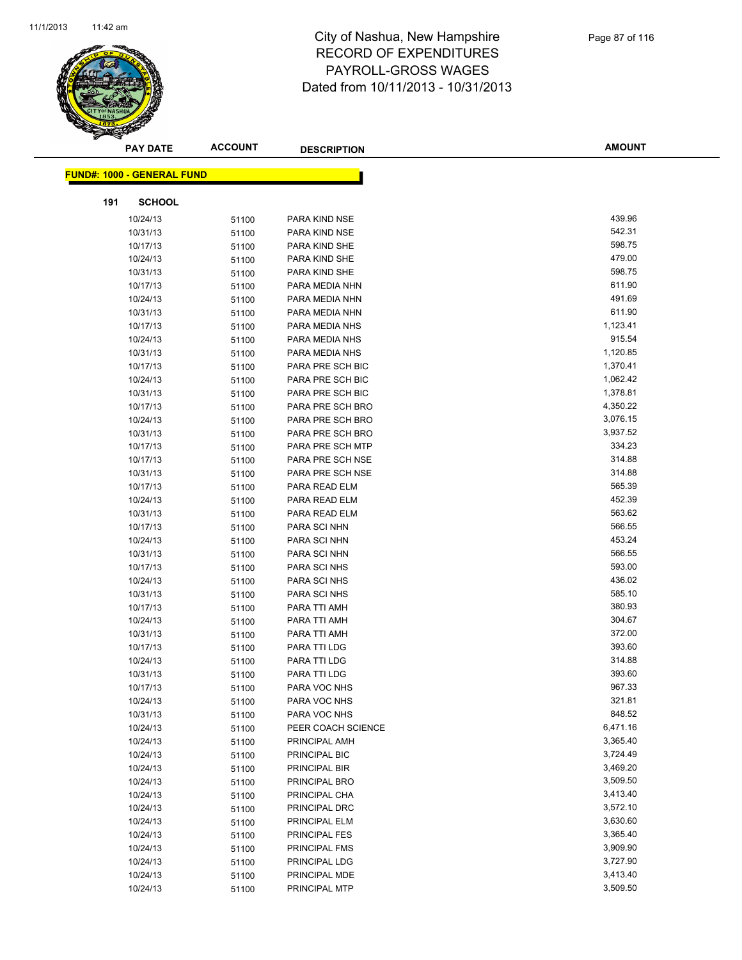

|     | <b>PAY DATE</b>                   | <b>ACCOUNT</b> | <b>DESCRIPTION</b> | <b>AMOUNT</b>        |
|-----|-----------------------------------|----------------|--------------------|----------------------|
|     |                                   |                |                    |                      |
|     | <b>FUND#: 1000 - GENERAL FUND</b> |                |                    |                      |
| 191 | <b>SCHOOL</b>                     |                |                    |                      |
|     | 10/24/13                          | 51100          | PARA KIND NSE      | 439.96               |
|     | 10/31/13                          | 51100          | PARA KIND NSE      | 542.31               |
|     | 10/17/13                          | 51100          | PARA KIND SHE      | 598.75               |
|     | 10/24/13                          | 51100          | PARA KIND SHE      | 479.00               |
|     | 10/31/13                          | 51100          | PARA KIND SHE      | 598.75               |
|     | 10/17/13                          | 51100          | PARA MEDIA NHN     | 611.90               |
|     | 10/24/13                          | 51100          | PARA MEDIA NHN     | 491.69               |
|     | 10/31/13                          | 51100          | PARA MEDIA NHN     | 611.90               |
|     | 10/17/13                          | 51100          | PARA MEDIA NHS     | 1,123.41             |
|     | 10/24/13                          | 51100          | PARA MEDIA NHS     | 915.54               |
|     | 10/31/13                          | 51100          | PARA MEDIA NHS     | 1,120.85             |
|     | 10/17/13                          | 51100          | PARA PRE SCH BIC   | 1,370.41             |
|     | 10/24/13                          | 51100          | PARA PRE SCH BIC   | 1,062.42             |
|     | 10/31/13                          | 51100          | PARA PRE SCH BIC   | 1,378.81             |
|     | 10/17/13                          | 51100          | PARA PRE SCH BRO   | 4,350.22             |
|     | 10/24/13                          | 51100          | PARA PRE SCH BRO   | 3,076.15             |
|     | 10/31/13                          | 51100          | PARA PRE SCH BRO   | 3,937.52             |
|     | 10/17/13                          | 51100          | PARA PRE SCH MTP   | 334.23               |
|     | 10/17/13                          | 51100          | PARA PRE SCH NSE   | 314.88               |
|     | 10/31/13                          | 51100          | PARA PRE SCH NSE   | 314.88               |
|     | 10/17/13                          | 51100          | PARA READ ELM      | 565.39               |
|     | 10/24/13                          | 51100          | PARA READ ELM      | 452.39               |
|     | 10/31/13                          | 51100          | PARA READ ELM      | 563.62               |
|     | 10/17/13                          | 51100          | PARA SCI NHN       | 566.55               |
|     | 10/24/13                          | 51100          | PARA SCI NHN       | 453.24               |
|     | 10/31/13                          | 51100          | PARA SCI NHN       | 566.55               |
|     | 10/17/13                          | 51100          | PARA SCI NHS       | 593.00               |
|     | 10/24/13                          | 51100          | PARA SCI NHS       | 436.02               |
|     | 10/31/13                          | 51100          | PARA SCI NHS       | 585.10               |
|     | 10/17/13                          | 51100          | PARA TTI AMH       | 380.93               |
|     | 10/24/13                          | 51100          | PARA TTI AMH       | 304.67               |
|     | 10/31/13                          | 51100          | PARA TTI AMH       | 372.00               |
|     | 10/17/13                          | 51100          | PARA TTI LDG       | 393.60               |
|     | 10/24/13                          | 51100          | PARA TTI LDG       | 314.88               |
|     | 10/31/13                          | 51100          | PARA TTI LDG       | 393.60               |
|     | 10/17/13                          | 51100          | PARA VOC NHS       | 967.33               |
|     | 10/24/13                          | 51100          | PARA VOC NHS       | 321.81               |
|     | 10/31/13                          | 51100          | PARA VOC NHS       | 848.52               |
|     | 10/24/13                          | 51100          | PEER COACH SCIENCE | 6,471.16             |
|     | 10/24/13                          | 51100          | PRINCIPAL AMH      | 3,365.40             |
|     | 10/24/13                          | 51100          | PRINCIPAL BIC      | 3,724.49             |
|     | 10/24/13                          | 51100          | PRINCIPAL BIR      | 3,469.20             |
|     | 10/24/13                          | 51100          | PRINCIPAL BRO      | 3,509.50             |
|     | 10/24/13                          | 51100          | PRINCIPAL CHA      | 3,413.40             |
|     | 10/24/13                          | 51100          | PRINCIPAL DRC      | 3,572.10             |
|     | 10/24/13                          | 51100          | PRINCIPAL ELM      | 3,630.60             |
|     | 10/24/13                          | 51100          | PRINCIPAL FES      | 3,365.40             |
|     | 10/24/13                          | 51100          | PRINCIPAL FMS      | 3,909.90             |
|     | 10/24/13                          | 51100          | PRINCIPAL LDG      | 3,727.90<br>3,413.40 |
|     | 10/24/13                          | 51100          | PRINCIPAL MDE      |                      |
|     | 10/24/13                          | 51100          | PRINCIPAL MTP      | 3,509.50             |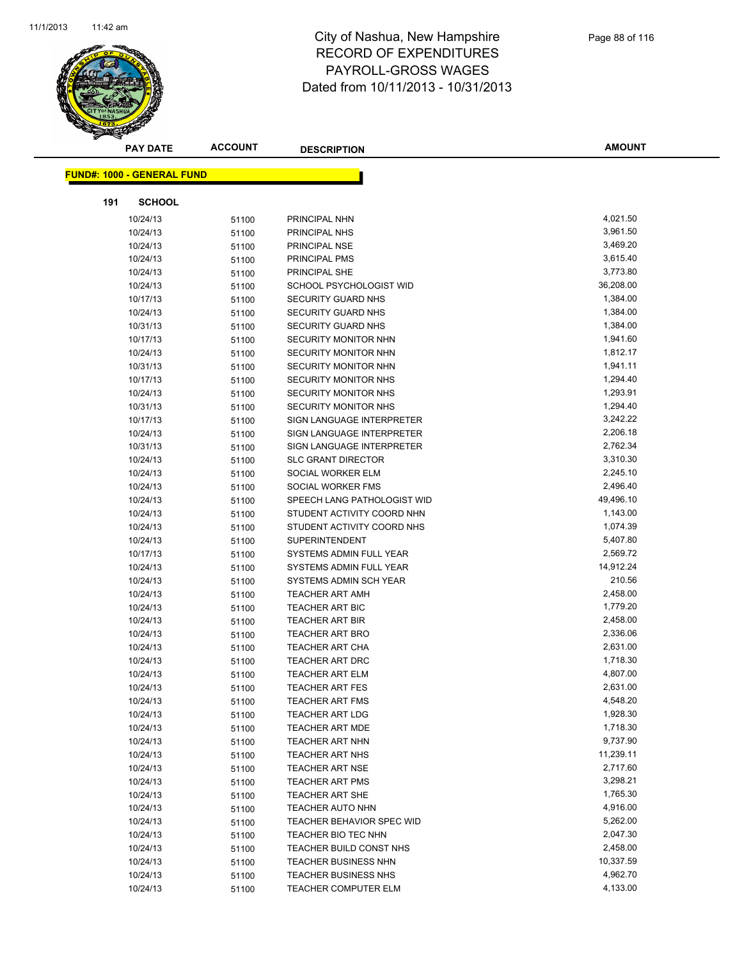

|     | <b>PAY DATE</b>                   | <b>ACCOUNT</b> | <b>DESCRIPTION</b>               | <b>AMOUNT</b>         |
|-----|-----------------------------------|----------------|----------------------------------|-----------------------|
|     |                                   |                |                                  |                       |
|     | <b>FUND#: 1000 - GENERAL FUND</b> |                |                                  |                       |
| 191 | <b>SCHOOL</b>                     |                |                                  |                       |
|     | 10/24/13                          | 51100          | PRINCIPAL NHN                    | 4,021.50              |
|     | 10/24/13                          | 51100          | PRINCIPAL NHS                    | 3,961.50              |
|     | 10/24/13                          | 51100          | PRINCIPAL NSE                    | 3,469.20              |
|     | 10/24/13                          | 51100          | PRINCIPAL PMS                    | 3,615.40              |
|     | 10/24/13                          | 51100          | PRINCIPAL SHE                    | 3,773.80              |
|     | 10/24/13                          | 51100          | SCHOOL PSYCHOLOGIST WID          | 36,208.00             |
|     | 10/17/13                          | 51100          | <b>SECURITY GUARD NHS</b>        | 1,384.00              |
|     | 10/24/13                          | 51100          | <b>SECURITY GUARD NHS</b>        | 1,384.00              |
|     | 10/31/13                          | 51100          | <b>SECURITY GUARD NHS</b>        | 1,384.00              |
|     | 10/17/13                          | 51100          | <b>SECURITY MONITOR NHN</b>      | 1,941.60              |
|     | 10/24/13                          | 51100          | <b>SECURITY MONITOR NHN</b>      | 1,812.17              |
|     | 10/31/13                          | 51100          | <b>SECURITY MONITOR NHN</b>      | 1,941.11              |
|     | 10/17/13                          | 51100          | SECURITY MONITOR NHS             | 1,294.40              |
|     | 10/24/13                          | 51100          | <b>SECURITY MONITOR NHS</b>      | 1,293.91              |
|     | 10/31/13                          | 51100          | <b>SECURITY MONITOR NHS</b>      | 1,294.40              |
|     | 10/17/13                          | 51100          | SIGN LANGUAGE INTERPRETER        | 3,242.22              |
|     | 10/24/13                          | 51100          | SIGN LANGUAGE INTERPRETER        | 2,206.18              |
|     | 10/31/13                          | 51100          | SIGN LANGUAGE INTERPRETER        | 2,762.34              |
|     | 10/24/13                          | 51100          | <b>SLC GRANT DIRECTOR</b>        | 3,310.30              |
|     | 10/24/13                          | 51100          | SOCIAL WORKER ELM                | 2,245.10              |
|     | 10/24/13                          | 51100          | SOCIAL WORKER FMS                | 2,496.40              |
|     | 10/24/13                          | 51100          | SPEECH LANG PATHOLOGIST WID      | 49,496.10             |
|     | 10/24/13                          | 51100          | STUDENT ACTIVITY COORD NHN       | 1,143.00              |
|     | 10/24/13                          | 51100          | STUDENT ACTIVITY COORD NHS       | 1,074.39              |
|     | 10/24/13                          | 51100          | <b>SUPERINTENDENT</b>            | 5,407.80              |
|     | 10/17/13                          | 51100          | SYSTEMS ADMIN FULL YEAR          | 2,569.72              |
|     | 10/24/13                          | 51100          | SYSTEMS ADMIN FULL YEAR          | 14,912.24             |
|     | 10/24/13                          | 51100          | SYSTEMS ADMIN SCH YEAR           | 210.56                |
|     | 10/24/13                          | 51100          | <b>TEACHER ART AMH</b>           | 2,458.00              |
|     | 10/24/13                          | 51100          | <b>TEACHER ART BIC</b>           | 1,779.20              |
|     | 10/24/13                          | 51100          | <b>TEACHER ART BIR</b>           | 2,458.00              |
|     | 10/24/13                          | 51100          | <b>TEACHER ART BRO</b>           | 2,336.06              |
|     | 10/24/13                          | 51100          | TEACHER ART CHA                  | 2,631.00              |
|     | 10/24/13                          | 51100          | TEACHER ART DRC                  | 1,718.30              |
|     | 10/24/13                          | 51100          | <b>TEACHER ART ELM</b>           | 4,807.00              |
|     | 10/24/13                          | 51100          | TEACHER ART FES                  | 2,631.00              |
|     | 10/24/13                          | 51100          | <b>TEACHER ART FMS</b>           | 4,548.20              |
|     | 10/24/13                          | 51100          | <b>TEACHER ART LDG</b>           | 1,928.30              |
|     | 10/24/13                          | 51100          | <b>TEACHER ART MDE</b>           | 1,718.30              |
|     | 10/24/13                          | 51100          | <b>TEACHER ART NHN</b>           | 9,737.90              |
|     | 10/24/13                          | 51100          | <b>TEACHER ART NHS</b>           | 11,239.11             |
|     | 10/24/13                          | 51100          | <b>TEACHER ART NSE</b>           | 2,717.60              |
|     | 10/24/13                          | 51100          | <b>TEACHER ART PMS</b>           | 3,298.21              |
|     | 10/24/13                          | 51100          | <b>TEACHER ART SHE</b>           | 1,765.30              |
|     | 10/24/13                          | 51100          | <b>TEACHER AUTO NHN</b>          | 4,916.00              |
|     | 10/24/13                          | 51100          | <b>TEACHER BEHAVIOR SPEC WID</b> | 5,262.00              |
|     | 10/24/13                          | 51100          | TEACHER BIO TEC NHN              | 2,047.30              |
|     | 10/24/13                          | 51100          | TEACHER BUILD CONST NHS          | 2,458.00              |
|     | 10/24/13                          | 51100          | <b>TEACHER BUSINESS NHN</b>      | 10,337.59<br>4,962.70 |
|     | 10/24/13                          | 51100          | TEACHER BUSINESS NHS             |                       |
|     | 10/24/13                          | 51100          | <b>TEACHER COMPUTER ELM</b>      | 4,133.00              |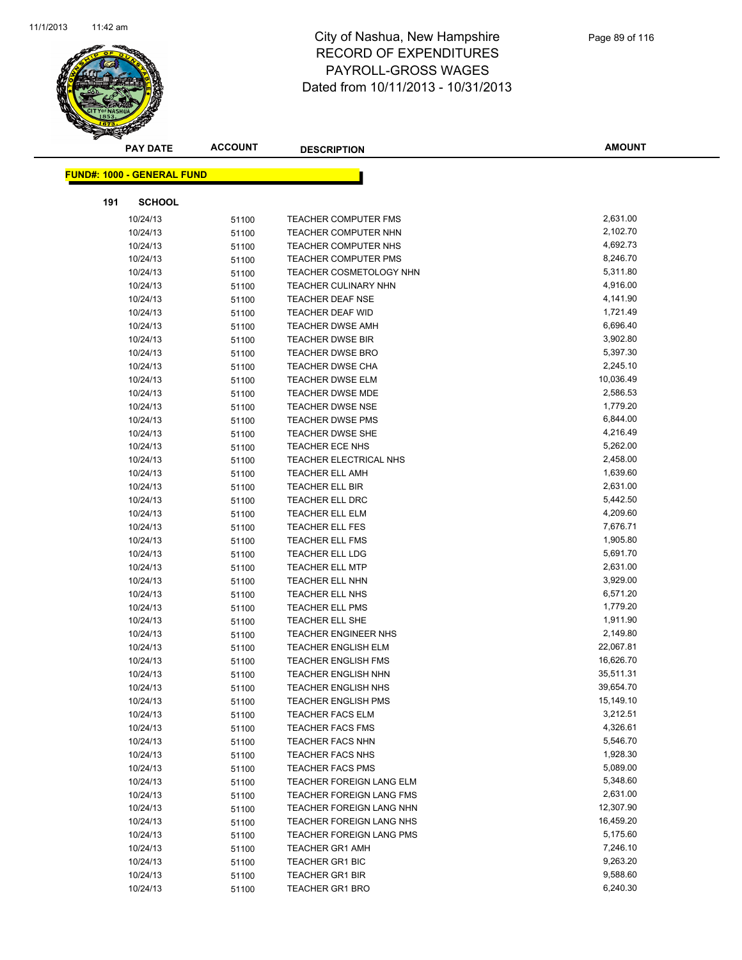

|     | <b>PAY DATE</b>                   | <b>ACCOUNT</b> | <b>DESCRIPTION</b>              | <b>AMOUNT</b> |
|-----|-----------------------------------|----------------|---------------------------------|---------------|
|     | <b>FUND#: 1000 - GENERAL FUND</b> |                |                                 |               |
|     |                                   |                |                                 |               |
| 191 | <b>SCHOOL</b>                     |                |                                 |               |
|     | 10/24/13                          | 51100          | <b>TEACHER COMPUTER FMS</b>     | 2,631.00      |
|     | 10/24/13                          | 51100          | TEACHER COMPUTER NHN            | 2,102.70      |
|     | 10/24/13                          | 51100          | TEACHER COMPUTER NHS            | 4,692.73      |
|     | 10/24/13                          | 51100          | <b>TEACHER COMPUTER PMS</b>     | 8,246.70      |
|     | 10/24/13                          | 51100          | TEACHER COSMETOLOGY NHN         | 5,311.80      |
|     | 10/24/13                          | 51100          | <b>TEACHER CULINARY NHN</b>     | 4,916.00      |
|     | 10/24/13                          | 51100          | <b>TEACHER DEAF NSE</b>         | 4,141.90      |
|     | 10/24/13                          | 51100          | <b>TEACHER DEAF WID</b>         | 1,721.49      |
|     | 10/24/13                          | 51100          | <b>TEACHER DWSE AMH</b>         | 6,696.40      |
|     | 10/24/13                          | 51100          | <b>TEACHER DWSE BIR</b>         | 3,902.80      |
|     | 10/24/13                          | 51100          | <b>TEACHER DWSE BRO</b>         | 5,397.30      |
|     | 10/24/13                          | 51100          | <b>TEACHER DWSE CHA</b>         | 2,245.10      |
|     | 10/24/13                          | 51100          | <b>TEACHER DWSE ELM</b>         | 10,036.49     |
|     | 10/24/13                          | 51100          | <b>TEACHER DWSE MDE</b>         | 2,586.53      |
|     | 10/24/13                          | 51100          | <b>TEACHER DWSE NSE</b>         | 1,779.20      |
|     | 10/24/13                          | 51100          | <b>TEACHER DWSE PMS</b>         | 6,844.00      |
|     | 10/24/13                          | 51100          | <b>TEACHER DWSE SHE</b>         | 4,216.49      |
|     | 10/24/13                          | 51100          | <b>TEACHER ECE NHS</b>          | 5,262.00      |
|     | 10/24/13                          | 51100          | TEACHER ELECTRICAL NHS          | 2,458.00      |
|     | 10/24/13                          | 51100          | <b>TEACHER ELL AMH</b>          | 1,639.60      |
|     | 10/24/13                          | 51100          | <b>TEACHER ELL BIR</b>          | 2,631.00      |
|     | 10/24/13                          | 51100          | <b>TEACHER ELL DRC</b>          | 5,442.50      |
|     | 10/24/13                          | 51100          | <b>TEACHER ELL ELM</b>          | 4,209.60      |
|     | 10/24/13                          | 51100          | <b>TEACHER ELL FES</b>          | 7,676.71      |
|     | 10/24/13                          | 51100          | <b>TEACHER ELL FMS</b>          | 1,905.80      |
|     | 10/24/13                          | 51100          | <b>TEACHER ELL LDG</b>          | 5,691.70      |
|     | 10/24/13                          | 51100          | <b>TEACHER ELL MTP</b>          | 2,631.00      |
|     | 10/24/13                          | 51100          | <b>TEACHER ELL NHN</b>          | 3,929.00      |
|     | 10/24/13                          | 51100          | TEACHER ELL NHS                 | 6,571.20      |
|     | 10/24/13                          | 51100          | <b>TEACHER ELL PMS</b>          | 1,779.20      |
|     | 10/24/13                          | 51100          | TEACHER ELL SHE                 | 1,911.90      |
|     | 10/24/13                          | 51100          | <b>TEACHER ENGINEER NHS</b>     | 2,149.80      |
|     | 10/24/13                          | 51100          | <b>TEACHER ENGLISH ELM</b>      | 22,067.81     |
|     | 10/24/13                          | 51100          | <b>TEACHER ENGLISH FMS</b>      | 16,626.70     |
|     | 10/24/13                          | 51100          | <b>TEACHER ENGLISH NHN</b>      | 35,511.31     |
|     | 10/24/13                          | 51100          | TEACHER ENGLISH NHS             | 39,654.70     |
|     | 10/24/13                          | 51100          | <b>TEACHER ENGLISH PMS</b>      | 15,149.10     |
|     | 10/24/13                          | 51100          | <b>TEACHER FACS ELM</b>         | 3,212.51      |
|     | 10/24/13                          | 51100          | <b>TEACHER FACS FMS</b>         | 4,326.61      |
|     | 10/24/13                          | 51100          | <b>TEACHER FACS NHN</b>         | 5,546.70      |
|     | 10/24/13                          | 51100          | TEACHER FACS NHS                | 1,928.30      |
|     | 10/24/13                          | 51100          | <b>TEACHER FACS PMS</b>         | 5,089.00      |
|     | 10/24/13                          | 51100          | TEACHER FOREIGN LANG ELM        | 5,348.60      |
|     | 10/24/13                          | 51100          | <b>TEACHER FOREIGN LANG FMS</b> | 2,631.00      |
|     | 10/24/13                          | 51100          | TEACHER FOREIGN LANG NHN        | 12,307.90     |
|     | 10/24/13                          | 51100          | <b>TEACHER FOREIGN LANG NHS</b> | 16,459.20     |
|     | 10/24/13                          | 51100          | <b>TEACHER FOREIGN LANG PMS</b> | 5,175.60      |
|     | 10/24/13                          | 51100          | <b>TEACHER GR1 AMH</b>          | 7,246.10      |
|     | 10/24/13                          | 51100          | <b>TEACHER GR1 BIC</b>          | 9,263.20      |
|     | 10/24/13                          | 51100          | <b>TEACHER GR1 BIR</b>          | 9,588.60      |
|     | 10/24/13                          | 51100          | <b>TEACHER GR1 BRO</b>          | 6,240.30      |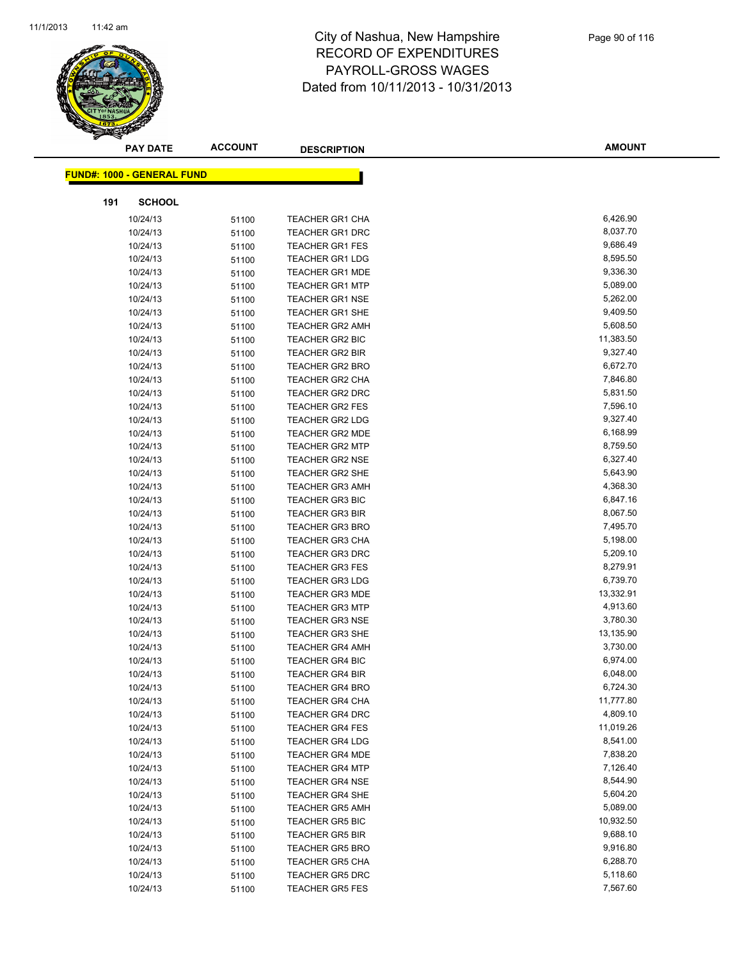

|     | <b>PAY DATE</b>                   | <b>ACCOUNT</b> | <b>DESCRIPTION</b>     | <b>AMOUNT</b> |
|-----|-----------------------------------|----------------|------------------------|---------------|
|     | <b>FUND#: 1000 - GENERAL FUND</b> |                |                        |               |
|     |                                   |                |                        |               |
| 191 | <b>SCHOOL</b>                     |                |                        |               |
|     | 10/24/13                          | 51100          | <b>TEACHER GR1 CHA</b> | 6,426.90      |
|     | 10/24/13                          | 51100          | <b>TEACHER GR1 DRC</b> | 8,037.70      |
|     | 10/24/13                          | 51100          | <b>TEACHER GR1 FES</b> | 9,686.49      |
|     | 10/24/13                          | 51100          | <b>TEACHER GR1 LDG</b> | 8,595.50      |
|     | 10/24/13                          | 51100          | <b>TEACHER GR1 MDE</b> | 9,336.30      |
|     | 10/24/13                          | 51100          | <b>TEACHER GR1 MTP</b> | 5,089.00      |
|     | 10/24/13                          | 51100          | <b>TEACHER GR1 NSE</b> | 5,262.00      |
|     | 10/24/13                          | 51100          | <b>TEACHER GR1 SHE</b> | 9,409.50      |
|     | 10/24/13                          | 51100          | <b>TEACHER GR2 AMH</b> | 5,608.50      |
|     | 10/24/13                          | 51100          | <b>TEACHER GR2 BIC</b> | 11,383.50     |
|     | 10/24/13                          | 51100          | <b>TEACHER GR2 BIR</b> | 9,327.40      |
|     | 10/24/13                          | 51100          | <b>TEACHER GR2 BRO</b> | 6,672.70      |
|     | 10/24/13                          | 51100          | <b>TEACHER GR2 CHA</b> | 7,846.80      |
|     | 10/24/13                          | 51100          | <b>TEACHER GR2 DRC</b> | 5,831.50      |
|     | 10/24/13                          | 51100          | <b>TEACHER GR2 FES</b> | 7,596.10      |
|     | 10/24/13                          | 51100          | <b>TEACHER GR2 LDG</b> | 9,327.40      |
|     | 10/24/13                          | 51100          | <b>TEACHER GR2 MDE</b> | 6,168.99      |
|     | 10/24/13                          | 51100          | <b>TEACHER GR2 MTP</b> | 8,759.50      |
|     | 10/24/13                          | 51100          | <b>TEACHER GR2 NSE</b> | 6,327.40      |
|     | 10/24/13                          | 51100          | <b>TEACHER GR2 SHE</b> | 5,643.90      |
|     | 10/24/13                          | 51100          | <b>TEACHER GR3 AMH</b> | 4,368.30      |
|     | 10/24/13                          | 51100          | <b>TEACHER GR3 BIC</b> | 6,847.16      |
|     | 10/24/13                          | 51100          | <b>TEACHER GR3 BIR</b> | 8,067.50      |
|     | 10/24/13                          | 51100          | <b>TEACHER GR3 BRO</b> | 7,495.70      |
|     | 10/24/13                          | 51100          | <b>TEACHER GR3 CHA</b> | 5,198.00      |
|     | 10/24/13                          | 51100          | <b>TEACHER GR3 DRC</b> | 5,209.10      |
|     | 10/24/13                          | 51100          | <b>TEACHER GR3 FES</b> | 8,279.91      |
|     | 10/24/13                          | 51100          | <b>TEACHER GR3 LDG</b> | 6,739.70      |
|     | 10/24/13                          | 51100          | <b>TEACHER GR3 MDE</b> | 13,332.91     |
|     | 10/24/13                          | 51100          | <b>TEACHER GR3 MTP</b> | 4,913.60      |
|     | 10/24/13                          | 51100          | <b>TEACHER GR3 NSE</b> | 3,780.30      |
|     | 10/24/13                          | 51100          | <b>TEACHER GR3 SHE</b> | 13,135.90     |
|     | 10/24/13                          | 51100          | <b>TEACHER GR4 AMH</b> | 3,730.00      |
|     | 10/24/13                          | 51100          | <b>TEACHER GR4 BIC</b> | 6,974.00      |
|     | 10/24/13                          | 51100          | <b>TEACHER GR4 BIR</b> | 6,048.00      |
|     | 10/24/13                          | 51100          | <b>TEACHER GR4 BRO</b> | 6,724.30      |
|     | 10/24/13                          | 51100          | <b>TEACHER GR4 CHA</b> | 11,777.80     |
|     | 10/24/13                          | 51100          | <b>TEACHER GR4 DRC</b> | 4,809.10      |
|     | 10/24/13                          | 51100          | <b>TEACHER GR4 FES</b> | 11,019.26     |
|     | 10/24/13                          | 51100          | <b>TEACHER GR4 LDG</b> | 8,541.00      |
|     | 10/24/13                          | 51100          | <b>TEACHER GR4 MDE</b> | 7,838.20      |
|     | 10/24/13                          | 51100          | <b>TEACHER GR4 MTP</b> | 7,126.40      |
|     | 10/24/13                          | 51100          | <b>TEACHER GR4 NSE</b> | 8,544.90      |
|     | 10/24/13                          | 51100          | <b>TEACHER GR4 SHE</b> | 5,604.20      |
|     | 10/24/13                          | 51100          | <b>TEACHER GR5 AMH</b> | 5,089.00      |
|     | 10/24/13                          | 51100          | <b>TEACHER GR5 BIC</b> | 10,932.50     |
|     | 10/24/13                          | 51100          | <b>TEACHER GR5 BIR</b> | 9,688.10      |
|     | 10/24/13                          | 51100          | <b>TEACHER GR5 BRO</b> | 9,916.80      |
|     | 10/24/13                          | 51100          | <b>TEACHER GR5 CHA</b> | 6,288.70      |
|     | 10/24/13                          | 51100          | <b>TEACHER GR5 DRC</b> | 5,118.60      |
|     | 10/24/13                          | 51100          | <b>TEACHER GR5 FES</b> | 7,567.60      |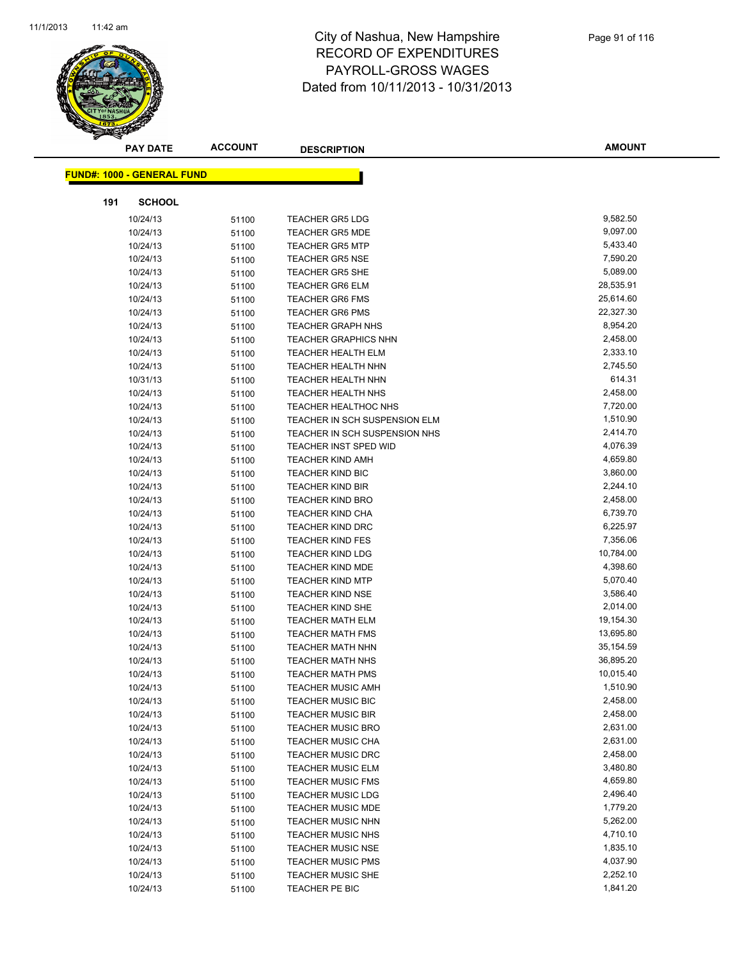

|     | <b>PAY DATE</b>                   | <b>ACCOUNT</b> | <b>DESCRIPTION</b>            | <b>AMOUNT</b>        |
|-----|-----------------------------------|----------------|-------------------------------|----------------------|
|     | <b>FUND#: 1000 - GENERAL FUND</b> |                |                               |                      |
|     |                                   |                |                               |                      |
| 191 | <b>SCHOOL</b>                     |                |                               |                      |
|     | 10/24/13                          | 51100          | <b>TEACHER GR5 LDG</b>        | 9,582.50             |
|     | 10/24/13                          | 51100          | <b>TEACHER GR5 MDE</b>        | 9,097.00             |
|     | 10/24/13                          | 51100          | <b>TEACHER GR5 MTP</b>        | 5,433.40             |
|     | 10/24/13                          | 51100          | <b>TEACHER GR5 NSE</b>        | 7,590.20             |
|     | 10/24/13                          | 51100          | <b>TEACHER GR5 SHE</b>        | 5,089.00             |
|     | 10/24/13                          | 51100          | <b>TEACHER GR6 ELM</b>        | 28,535.91            |
|     | 10/24/13                          | 51100          | <b>TEACHER GR6 FMS</b>        | 25,614.60            |
|     | 10/24/13                          | 51100          | <b>TEACHER GR6 PMS</b>        | 22,327.30            |
|     | 10/24/13                          | 51100          | <b>TEACHER GRAPH NHS</b>      | 8,954.20             |
|     | 10/24/13                          | 51100          | <b>TEACHER GRAPHICS NHN</b>   | 2,458.00             |
|     | 10/24/13                          | 51100          | <b>TEACHER HEALTH ELM</b>     | 2,333.10             |
|     | 10/24/13                          | 51100          | <b>TEACHER HEALTH NHN</b>     | 2,745.50             |
|     | 10/31/13                          | 51100          | <b>TEACHER HEALTH NHN</b>     | 614.31               |
|     | 10/24/13                          | 51100          | <b>TEACHER HEALTH NHS</b>     | 2,458.00             |
|     | 10/24/13                          | 51100          | <b>TEACHER HEALTHOC NHS</b>   | 7,720.00             |
|     | 10/24/13                          | 51100          | TEACHER IN SCH SUSPENSION ELM | 1,510.90             |
|     | 10/24/13                          | 51100          | TEACHER IN SCH SUSPENSION NHS | 2,414.70             |
|     | 10/24/13                          | 51100          | TEACHER INST SPED WID         | 4,076.39             |
|     | 10/24/13                          | 51100          | <b>TEACHER KIND AMH</b>       | 4,659.80             |
|     | 10/24/13                          | 51100          | <b>TEACHER KIND BIC</b>       | 3,860.00             |
|     | 10/24/13                          | 51100          | <b>TEACHER KIND BIR</b>       | 2,244.10             |
|     | 10/24/13                          | 51100          | <b>TEACHER KIND BRO</b>       | 2,458.00             |
|     | 10/24/13                          | 51100          | <b>TEACHER KIND CHA</b>       | 6,739.70             |
|     | 10/24/13                          | 51100          | <b>TEACHER KIND DRC</b>       | 6,225.97             |
|     | 10/24/13                          | 51100          | <b>TEACHER KIND FES</b>       | 7,356.06             |
|     | 10/24/13                          | 51100          | <b>TEACHER KIND LDG</b>       | 10,784.00            |
|     | 10/24/13                          | 51100          | <b>TEACHER KIND MDE</b>       | 4,398.60             |
|     | 10/24/13                          | 51100          | <b>TEACHER KIND MTP</b>       | 5,070.40             |
|     | 10/24/13                          | 51100          | <b>TEACHER KIND NSE</b>       | 3,586.40             |
|     | 10/24/13                          | 51100          | <b>TEACHER KIND SHE</b>       | 2,014.00             |
|     | 10/24/13                          | 51100          | <b>TEACHER MATH ELM</b>       | 19,154.30            |
|     | 10/24/13                          | 51100          | <b>TEACHER MATH FMS</b>       | 13,695.80            |
|     | 10/24/13                          | 51100          | <b>TEACHER MATH NHN</b>       | 35,154.59            |
|     | 10/24/13                          | 51100          | <b>TEACHER MATH NHS</b>       | 36,895.20            |
|     | 10/24/13                          | 51100          | <b>TEACHER MATH PMS</b>       | 10,015.40            |
|     | 10/24/13                          | 51100          | TEACHER MUSIC AMH             | 1,510.90             |
|     | 10/24/13                          | 51100          | <b>TEACHER MUSIC BIC</b>      | 2,458.00             |
|     | 10/24/13                          | 51100          | <b>TEACHER MUSIC BIR</b>      | 2,458.00             |
|     | 10/24/13                          | 51100          | <b>TEACHER MUSIC BRO</b>      | 2,631.00             |
|     | 10/24/13                          | 51100          | <b>TEACHER MUSIC CHA</b>      | 2,631.00             |
|     | 10/24/13                          | 51100          | <b>TEACHER MUSIC DRC</b>      | 2,458.00             |
|     | 10/24/13                          | 51100          | <b>TEACHER MUSIC ELM</b>      | 3,480.80             |
|     | 10/24/13                          | 51100          | <b>TEACHER MUSIC FMS</b>      | 4,659.80             |
|     | 10/24/13                          | 51100          | <b>TEACHER MUSIC LDG</b>      | 2,496.40             |
|     | 10/24/13                          | 51100          | <b>TEACHER MUSIC MDE</b>      | 1,779.20             |
|     | 10/24/13                          | 51100          | <b>TEACHER MUSIC NHN</b>      | 5,262.00             |
|     | 10/24/13                          | 51100          | <b>TEACHER MUSIC NHS</b>      | 4,710.10             |
|     | 10/24/13                          | 51100          | <b>TEACHER MUSIC NSE</b>      | 1,835.10             |
|     | 10/24/13                          | 51100          | <b>TEACHER MUSIC PMS</b>      | 4,037.90             |
|     | 10/24/13                          | 51100          | <b>TEACHER MUSIC SHE</b>      | 2,252.10<br>1,841.20 |
|     | 10/24/13                          | 51100          | TEACHER PE BIC                |                      |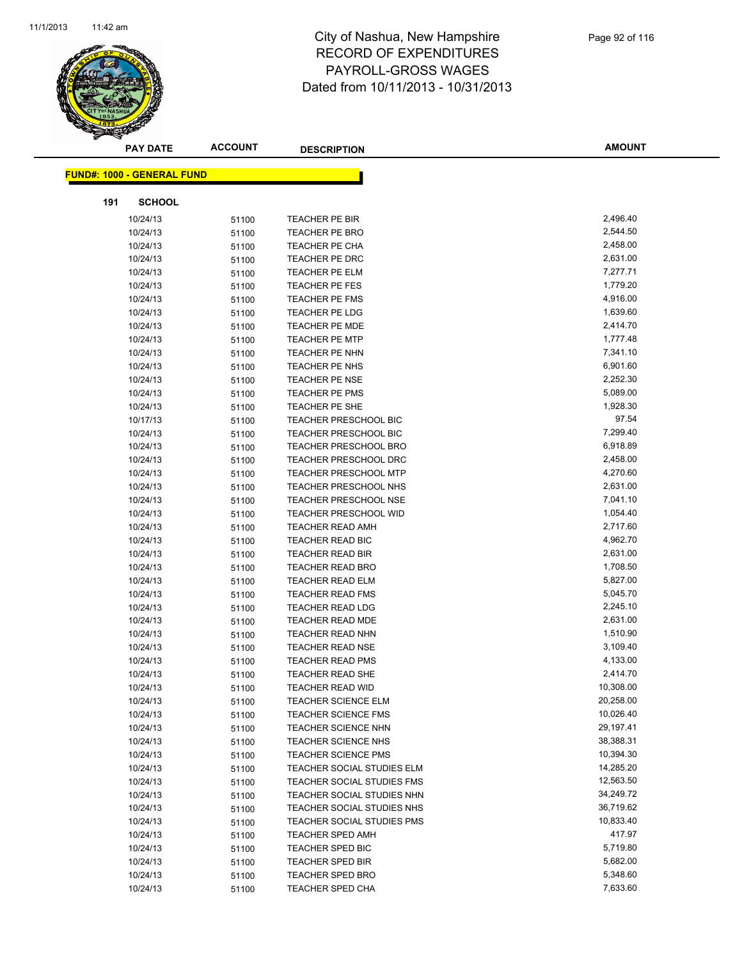

| <b>PAY DATE</b>                   | <b>ACCOUNT</b> | <b>DESCRIPTION</b>                                 | <b>AMOUNT</b>        |
|-----------------------------------|----------------|----------------------------------------------------|----------------------|
| <b>FUND#: 1000 - GENERAL FUND</b> |                |                                                    |                      |
|                                   |                |                                                    |                      |
| 191<br><b>SCHOOL</b>              |                |                                                    |                      |
| 10/24/13                          | 51100          | TEACHER PE BIR                                     | 2,496.40             |
| 10/24/13                          | 51100          | <b>TEACHER PE BRO</b>                              | 2,544.50             |
| 10/24/13                          | 51100          | <b>TEACHER PE CHA</b>                              | 2,458.00             |
| 10/24/13                          | 51100          | TEACHER PE DRC                                     | 2,631.00             |
| 10/24/13                          | 51100          | TEACHER PE ELM                                     | 7,277.71             |
| 10/24/13                          | 51100          | TEACHER PE FES                                     | 1,779.20             |
| 10/24/13                          | 51100          | <b>TEACHER PE FMS</b>                              | 4,916.00             |
| 10/24/13                          | 51100          | TEACHER PE LDG                                     | 1,639.60             |
| 10/24/13                          | 51100          | <b>TEACHER PE MDE</b>                              | 2,414.70             |
| 10/24/13                          | 51100          | <b>TEACHER PE MTP</b>                              | 1,777.48             |
| 10/24/13                          | 51100          | <b>TEACHER PE NHN</b>                              | 7,341.10             |
| 10/24/13                          | 51100          | TEACHER PE NHS                                     | 6,901.60             |
| 10/24/13                          | 51100          | <b>TEACHER PE NSE</b>                              | 2,252.30             |
| 10/24/13                          | 51100          | TEACHER PE PMS                                     | 5,089.00             |
| 10/24/13                          | 51100          | TEACHER PE SHE                                     | 1,928.30             |
| 10/17/13                          | 51100          | <b>TEACHER PRESCHOOL BIC</b>                       | 97.54                |
| 10/24/13                          | 51100          | TEACHER PRESCHOOL BIC                              | 7,299.40             |
| 10/24/13                          | 51100          | <b>TEACHER PRESCHOOL BRO</b>                       | 6,918.89             |
| 10/24/13                          | 51100          | <b>TEACHER PRESCHOOL DRC</b>                       | 2,458.00             |
| 10/24/13                          | 51100          | <b>TEACHER PRESCHOOL MTP</b>                       | 4,270.60             |
| 10/24/13                          | 51100          | <b>TEACHER PRESCHOOL NHS</b>                       | 2,631.00             |
| 10/24/13                          | 51100          | <b>TEACHER PRESCHOOL NSE</b>                       | 7,041.10             |
| 10/24/13                          | 51100          | <b>TEACHER PRESCHOOL WID</b>                       | 1,054.40             |
| 10/24/13                          | 51100          | <b>TEACHER READ AMH</b>                            | 2,717.60             |
| 10/24/13                          | 51100          | <b>TEACHER READ BIC</b>                            | 4,962.70             |
| 10/24/13                          | 51100          | <b>TEACHER READ BIR</b>                            | 2,631.00             |
| 10/24/13                          | 51100          | <b>TEACHER READ BRO</b>                            | 1,708.50             |
| 10/24/13                          | 51100          | <b>TEACHER READ ELM</b>                            | 5,827.00             |
| 10/24/13                          | 51100          | <b>TEACHER READ FMS</b>                            | 5,045.70             |
| 10/24/13                          | 51100          | <b>TEACHER READ LDG</b>                            | 2,245.10             |
| 10/24/13                          | 51100          | <b>TEACHER READ MDE</b>                            | 2,631.00             |
| 10/24/13                          | 51100          | <b>TEACHER READ NHN</b>                            | 1,510.90             |
| 10/24/13                          | 51100          | <b>TEACHER READ NSE</b>                            | 3,109.40             |
| 10/24/13<br>10/24/13              | 51100          | <b>TEACHER READ PMS</b><br><b>TEACHER READ SHE</b> | 4,133.00<br>2,414.70 |
| 10/24/13                          | 51100          | TEACHER READ WID                                   | 10,308.00            |
| 10/24/13                          | 51100<br>51100 | <b>TEACHER SCIENCE ELM</b>                         | 20,258.00            |
| 10/24/13                          | 51100          | <b>TEACHER SCIENCE FMS</b>                         | 10,026.40            |
| 10/24/13                          | 51100          | <b>TEACHER SCIENCE NHN</b>                         | 29,197.41            |
| 10/24/13                          | 51100          | TEACHER SCIENCE NHS                                | 38,388.31            |
| 10/24/13                          | 51100          | <b>TEACHER SCIENCE PMS</b>                         | 10,394.30            |
| 10/24/13                          | 51100          | TEACHER SOCIAL STUDIES ELM                         | 14,285.20            |
| 10/24/13                          | 51100          | TEACHER SOCIAL STUDIES FMS                         | 12,563.50            |
| 10/24/13                          | 51100          | TEACHER SOCIAL STUDIES NHN                         | 34,249.72            |
| 10/24/13                          | 51100          | TEACHER SOCIAL STUDIES NHS                         | 36,719.62            |
| 10/24/13                          | 51100          | TEACHER SOCIAL STUDIES PMS                         | 10,833.40            |
| 10/24/13                          | 51100          | <b>TEACHER SPED AMH</b>                            | 417.97               |
| 10/24/13                          | 51100          | <b>TEACHER SPED BIC</b>                            | 5,719.80             |
| 10/24/13                          | 51100          | <b>TEACHER SPED BIR</b>                            | 5,682.00             |
| 10/24/13                          | 51100          | <b>TEACHER SPED BRO</b>                            | 5,348.60             |
| 10/24/13                          | 51100          | <b>TEACHER SPED CHA</b>                            | 7,633.60             |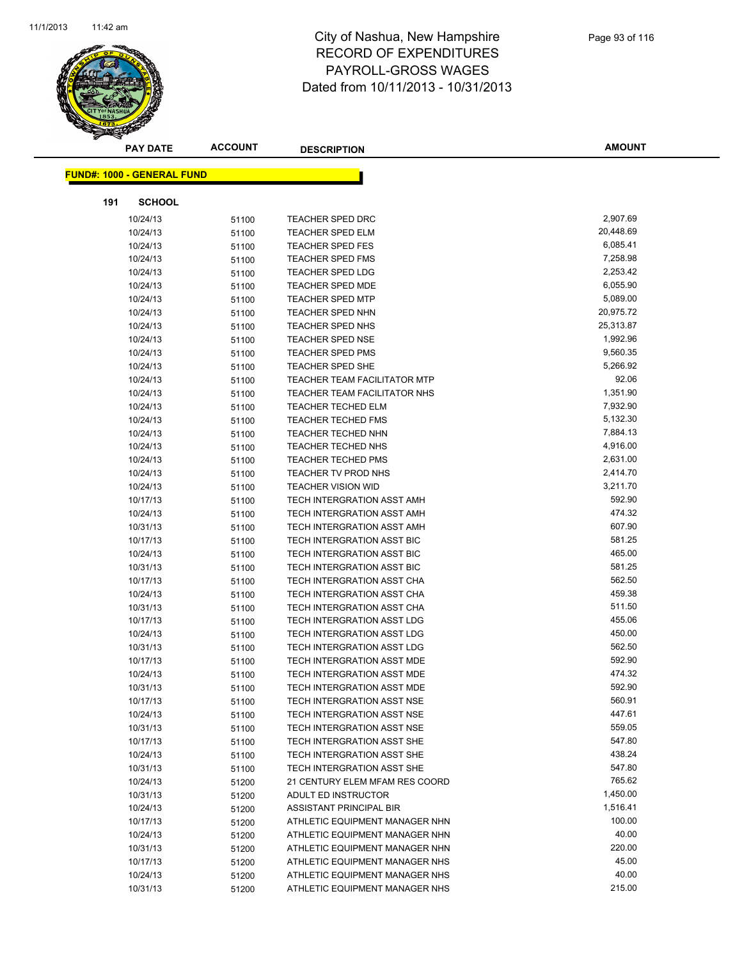

|     | <b>PAY DATE</b>                    | <b>ACCOUNT</b> | <b>DESCRIPTION</b>                          | <b>AMOUNT</b>         |
|-----|------------------------------------|----------------|---------------------------------------------|-----------------------|
|     | <u> FUND#: 1000 - GENERAL FUND</u> |                |                                             |                       |
| 191 | <b>SCHOOL</b>                      |                |                                             |                       |
|     |                                    |                |                                             | 2,907.69              |
|     | 10/24/13                           | 51100          | <b>TEACHER SPED DRC</b>                     |                       |
|     | 10/24/13                           | 51100          | <b>TEACHER SPED ELM</b>                     | 20,448.69<br>6,085.41 |
|     | 10/24/13                           | 51100          | <b>TEACHER SPED FES</b>                     |                       |
|     | 10/24/13                           | 51100          | <b>TEACHER SPED FMS</b>                     | 7,258.98<br>2,253.42  |
|     | 10/24/13                           | 51100          | <b>TEACHER SPED LDG</b>                     |                       |
|     | 10/24/13                           | 51100          | <b>TEACHER SPED MDE</b>                     | 6,055.90<br>5,089.00  |
|     | 10/24/13<br>10/24/13               | 51100          | <b>TEACHER SPED MTP</b>                     | 20,975.72             |
|     |                                    | 51100          | <b>TEACHER SPED NHN</b>                     | 25,313.87             |
|     | 10/24/13<br>10/24/13               | 51100          | TEACHER SPED NHS<br><b>TEACHER SPED NSE</b> | 1,992.96              |
|     | 10/24/13                           | 51100          | <b>TEACHER SPED PMS</b>                     | 9,560.35              |
|     | 10/24/13                           | 51100          | <b>TEACHER SPED SHE</b>                     | 5,266.92              |
|     | 10/24/13                           | 51100          | <b>TEACHER TEAM FACILITATOR MTP</b>         | 92.06                 |
|     | 10/24/13                           | 51100          | <b>TEACHER TEAM FACILITATOR NHS</b>         | 1,351.90              |
|     | 10/24/13                           | 51100          | <b>TEACHER TECHED ELM</b>                   | 7,932.90              |
|     | 10/24/13                           | 51100          | <b>TEACHER TECHED FMS</b>                   | 5,132.30              |
|     | 10/24/13                           | 51100          | TEACHER TECHED NHN                          | 7,884.13              |
|     | 10/24/13                           | 51100          | TEACHER TECHED NHS                          | 4,916.00              |
|     | 10/24/13                           | 51100          | <b>TEACHER TECHED PMS</b>                   | 2,631.00              |
|     | 10/24/13                           | 51100          | <b>TEACHER TV PROD NHS</b>                  | 2,414.70              |
|     | 10/24/13                           | 51100          | <b>TEACHER VISION WID</b>                   | 3,211.70              |
|     | 10/17/13                           | 51100<br>51100 | TECH INTERGRATION ASST AMH                  | 592.90                |
|     | 10/24/13                           | 51100          | TECH INTERGRATION ASST AMH                  | 474.32                |
|     | 10/31/13                           | 51100          | TECH INTERGRATION ASST AMH                  | 607.90                |
|     | 10/17/13                           | 51100          | TECH INTERGRATION ASST BIC                  | 581.25                |
|     | 10/24/13                           | 51100          | TECH INTERGRATION ASST BIC                  | 465.00                |
|     | 10/31/13                           | 51100          | TECH INTERGRATION ASST BIC                  | 581.25                |
|     | 10/17/13                           | 51100          | TECH INTERGRATION ASST CHA                  | 562.50                |
|     | 10/24/13                           | 51100          | TECH INTERGRATION ASST CHA                  | 459.38                |
|     | 10/31/13                           | 51100          | TECH INTERGRATION ASST CHA                  | 511.50                |
|     | 10/17/13                           | 51100          | TECH INTERGRATION ASST LDG                  | 455.06                |
|     | 10/24/13                           | 51100          | TECH INTERGRATION ASST LDG                  | 450.00                |
|     | 10/31/13                           | 51100          | TECH INTERGRATION ASST LDG                  | 562.50                |
|     | 10/17/13                           | 51100          | TECH INTERGRATION ASST MDE                  | 592.90                |
|     | 10/24/13                           | 51100          | TECH INTERGRATION ASST MDE                  | 474.32                |
|     | 10/31/13                           | 51100          | TECH INTERGRATION ASST MDE                  | 592.90                |
|     | 10/17/13                           | 51100          | <b>TECH INTERGRATION ASST NSE</b>           | 560.91                |
|     | 10/24/13                           | 51100          | TECH INTERGRATION ASST NSE                  | 447.61                |
|     | 10/31/13                           | 51100          | TECH INTERGRATION ASST NSE                  | 559.05                |
|     | 10/17/13                           | 51100          | TECH INTERGRATION ASST SHE                  | 547.80                |
|     | 10/24/13                           | 51100          | TECH INTERGRATION ASST SHE                  | 438.24                |
|     | 10/31/13                           | 51100          | TECH INTERGRATION ASST SHE                  | 547.80                |
|     | 10/24/13                           | 51200          | 21 CENTURY ELEM MFAM RES COORD              | 765.62                |
|     | 10/31/13                           | 51200          | ADULT ED INSTRUCTOR                         | 1,450.00              |
|     | 10/24/13                           | 51200          | ASSISTANT PRINCIPAL BIR                     | 1,516.41              |
|     | 10/17/13                           | 51200          | ATHLETIC EQUIPMENT MANAGER NHN              | 100.00                |
|     | 10/24/13                           | 51200          | ATHLETIC EQUIPMENT MANAGER NHN              | 40.00                 |
|     | 10/31/13                           | 51200          | ATHLETIC EQUIPMENT MANAGER NHN              | 220.00                |
|     | 10/17/13                           | 51200          | ATHLETIC EQUIPMENT MANAGER NHS              | 45.00                 |
|     | 10/24/13                           | 51200          | ATHLETIC EQUIPMENT MANAGER NHS              | 40.00                 |
|     | 10/31/13                           | 51200          | ATHLETIC EQUIPMENT MANAGER NHS              | 215.00                |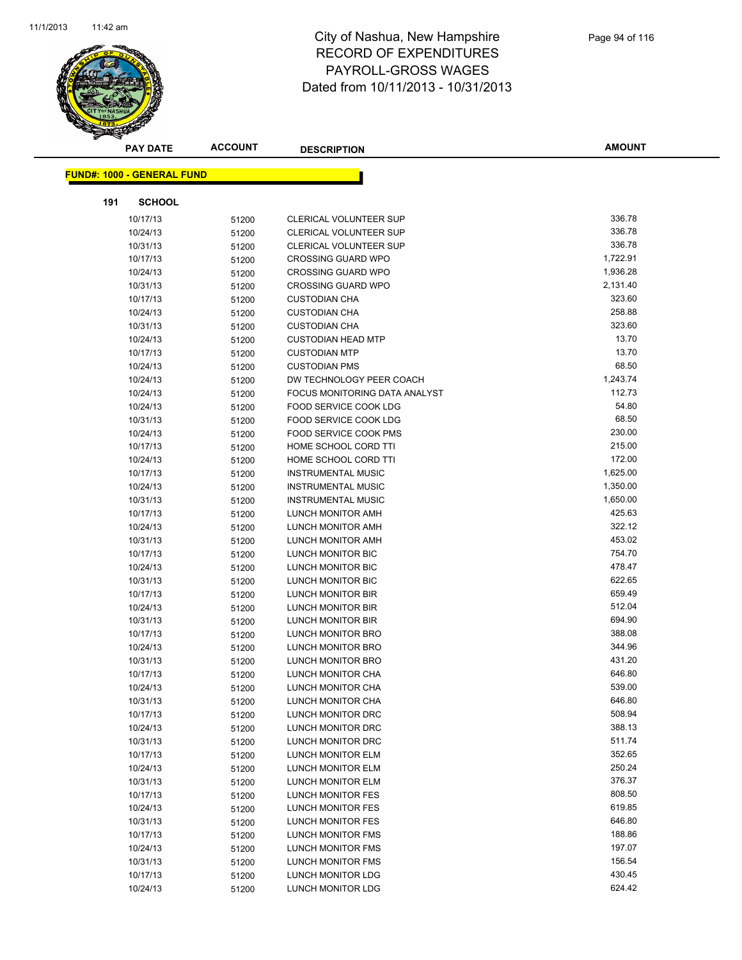

|     | <b>PAY DATE</b>                   | <b>ACCOUNT</b> | <b>DESCRIPTION</b>                     | <b>AMOUNT</b>    |
|-----|-----------------------------------|----------------|----------------------------------------|------------------|
|     |                                   |                |                                        |                  |
|     | <b>FUND#: 1000 - GENERAL FUND</b> |                |                                        |                  |
| 191 | <b>SCHOOL</b>                     |                |                                        |                  |
|     | 10/17/13                          | 51200          | <b>CLERICAL VOLUNTEER SUP</b>          | 336.78           |
|     | 10/24/13                          | 51200          | <b>CLERICAL VOLUNTEER SUP</b>          | 336.78           |
|     | 10/31/13                          | 51200          | <b>CLERICAL VOLUNTEER SUP</b>          | 336.78           |
|     | 10/17/13                          | 51200          | <b>CROSSING GUARD WPO</b>              | 1,722.91         |
|     | 10/24/13                          | 51200          | <b>CROSSING GUARD WPO</b>              | 1,936.28         |
|     | 10/31/13                          | 51200          | <b>CROSSING GUARD WPO</b>              | 2,131.40         |
|     | 10/17/13                          | 51200          | <b>CUSTODIAN CHA</b>                   | 323.60           |
|     | 10/24/13                          | 51200          | <b>CUSTODIAN CHA</b>                   | 258.88           |
|     | 10/31/13                          | 51200          | <b>CUSTODIAN CHA</b>                   | 323.60           |
|     | 10/24/13                          | 51200          | <b>CUSTODIAN HEAD MTP</b>              | 13.70            |
|     | 10/17/13                          | 51200          | <b>CUSTODIAN MTP</b>                   | 13.70            |
|     | 10/24/13                          | 51200          | <b>CUSTODIAN PMS</b>                   | 68.50            |
|     | 10/24/13                          | 51200          | DW TECHNOLOGY PEER COACH               | 1,243.74         |
|     | 10/24/13                          | 51200          | FOCUS MONITORING DATA ANALYST          | 112.73           |
|     | 10/24/13                          | 51200          | FOOD SERVICE COOK LDG                  | 54.80            |
|     | 10/31/13                          | 51200          | FOOD SERVICE COOK LDG                  | 68.50            |
|     | 10/24/13                          | 51200          | <b>FOOD SERVICE COOK PMS</b>           | 230.00           |
|     | 10/17/13                          | 51200          | HOME SCHOOL CORD TTI                   | 215.00           |
|     | 10/24/13                          | 51200          | HOME SCHOOL CORD TTI                   | 172.00           |
|     | 10/17/13                          | 51200          | <b>INSTRUMENTAL MUSIC</b>              | 1,625.00         |
|     | 10/24/13                          | 51200          | <b>INSTRUMENTAL MUSIC</b>              | 1,350.00         |
|     | 10/31/13                          | 51200          | <b>INSTRUMENTAL MUSIC</b>              | 1,650.00         |
|     | 10/17/13                          | 51200          | LUNCH MONITOR AMH                      | 425.63           |
|     | 10/24/13                          | 51200          | LUNCH MONITOR AMH                      | 322.12           |
|     | 10/31/13                          | 51200          | LUNCH MONITOR AMH                      | 453.02           |
|     | 10/17/13                          | 51200          | LUNCH MONITOR BIC                      | 754.70           |
|     | 10/24/13                          | 51200          | LUNCH MONITOR BIC                      | 478.47           |
|     | 10/31/13                          | 51200          | LUNCH MONITOR BIC                      | 622.65           |
|     | 10/17/13                          | 51200          | <b>LUNCH MONITOR BIR</b>               | 659.49           |
|     | 10/24/13                          | 51200          | LUNCH MONITOR BIR                      | 512.04           |
|     | 10/31/13                          | 51200          | <b>LUNCH MONITOR BIR</b>               | 694.90           |
|     | 10/17/13                          | 51200          | LUNCH MONITOR BRO                      | 388.08           |
|     | 10/24/13                          | 51200          | LUNCH MONITOR BRO                      | 344.96           |
|     | 10/31/13                          | 51200          | LUNCH MONITOR BRO                      | 431.20           |
|     | 10/17/13                          | 51200          | LUNCH MONITOR CHA                      | 646.80           |
|     | 10/24/13                          | 51200          | LUNCH MONITOR CHA                      | 539.00           |
|     | 10/31/13                          | 51200          | LUNCH MONITOR CHA                      | 646.80<br>508.94 |
|     | 10/17/13                          | 51200          | LUNCH MONITOR DRC                      | 388.13           |
|     | 10/24/13                          | 51200          | LUNCH MONITOR DRC<br>LUNCH MONITOR DRC | 511.74           |
|     | 10/31/13                          | 51200          |                                        | 352.65           |
|     | 10/17/13<br>10/24/13              | 51200          | LUNCH MONITOR ELM<br>LUNCH MONITOR ELM | 250.24           |
|     | 10/31/13                          | 51200          | LUNCH MONITOR ELM                      | 376.37           |
|     | 10/17/13                          | 51200<br>51200 | LUNCH MONITOR FES                      | 808.50           |
|     | 10/24/13                          | 51200          | LUNCH MONITOR FES                      | 619.85           |
|     | 10/31/13                          | 51200          | LUNCH MONITOR FES                      | 646.80           |
|     | 10/17/13                          | 51200          | LUNCH MONITOR FMS                      | 188.86           |
|     | 10/24/13                          | 51200          | <b>LUNCH MONITOR FMS</b>               | 197.07           |
|     | 10/31/13                          | 51200          | LUNCH MONITOR FMS                      | 156.54           |
|     | 10/17/13                          | 51200          | <b>LUNCH MONITOR LDG</b>               | 430.45           |
|     | 10/24/13                          | 51200          | LUNCH MONITOR LDG                      | 624.42           |
|     |                                   |                |                                        |                  |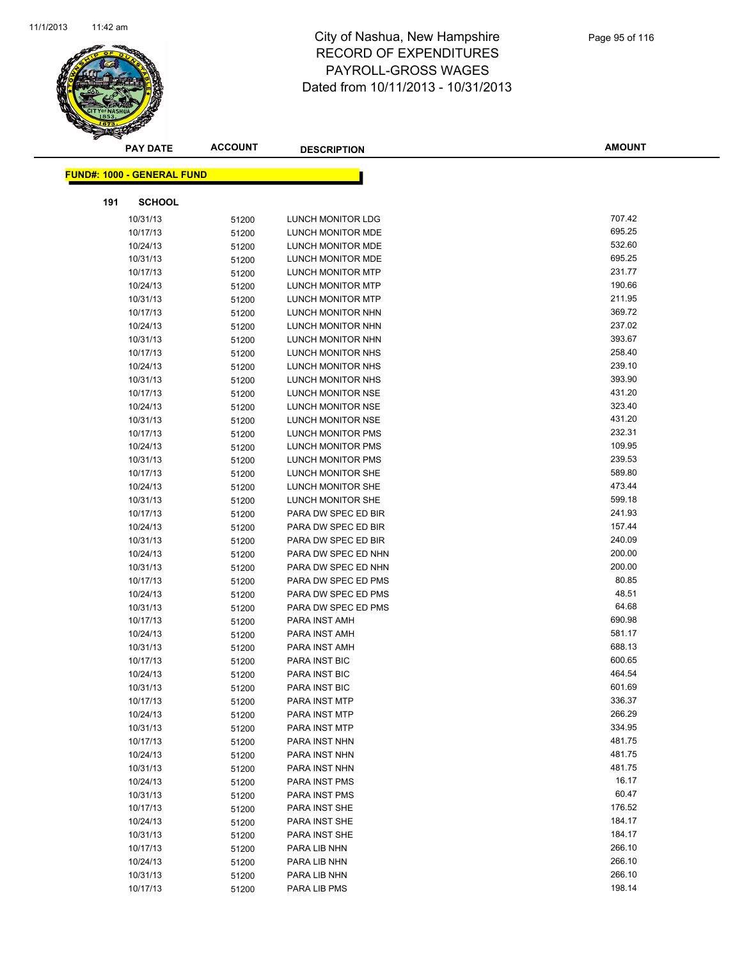

| <b>PAY DATE</b>                   | <b>ACCOUNT</b> | <b>DESCRIPTION</b>             | <b>AMOUNT</b>    |
|-----------------------------------|----------------|--------------------------------|------------------|
| <b>FUND#: 1000 - GENERAL FUND</b> |                |                                |                  |
|                                   |                |                                |                  |
| 191<br><b>SCHOOL</b>              |                |                                |                  |
| 10/31/13                          | 51200          | LUNCH MONITOR LDG              | 707.42           |
| 10/17/13                          | 51200          | LUNCH MONITOR MDE              | 695.25           |
| 10/24/13                          | 51200          | LUNCH MONITOR MDE              | 532.60           |
| 10/31/13                          | 51200          | LUNCH MONITOR MDE              | 695.25           |
| 10/17/13                          | 51200          | LUNCH MONITOR MTP              | 231.77           |
| 10/24/13                          | 51200          | <b>LUNCH MONITOR MTP</b>       | 190.66           |
| 10/31/13                          | 51200          | <b>LUNCH MONITOR MTP</b>       | 211.95           |
| 10/17/13                          | 51200          | LUNCH MONITOR NHN              | 369.72           |
| 10/24/13                          | 51200          | LUNCH MONITOR NHN              | 237.02           |
| 10/31/13                          | 51200          | LUNCH MONITOR NHN              | 393.67           |
| 10/17/13                          | 51200          | LUNCH MONITOR NHS              | 258.40           |
| 10/24/13                          | 51200          | LUNCH MONITOR NHS              | 239.10           |
| 10/31/13                          | 51200          | LUNCH MONITOR NHS              | 393.90           |
| 10/17/13                          | 51200          | LUNCH MONITOR NSE              | 431.20           |
| 10/24/13                          | 51200          | LUNCH MONITOR NSE              | 323.40           |
| 10/31/13                          | 51200          | LUNCH MONITOR NSE              | 431.20           |
| 10/17/13                          | 51200          | LUNCH MONITOR PMS              | 232.31           |
| 10/24/13                          | 51200          | <b>LUNCH MONITOR PMS</b>       | 109.95           |
| 10/31/13                          | 51200          | <b>LUNCH MONITOR PMS</b>       | 239.53           |
| 10/17/13                          | 51200          | LUNCH MONITOR SHE              | 589.80           |
| 10/24/13                          | 51200          | LUNCH MONITOR SHE              | 473.44           |
| 10/31/13                          | 51200          | LUNCH MONITOR SHE              | 599.18           |
| 10/17/13                          | 51200          | PARA DW SPEC ED BIR            | 241.93           |
| 10/24/13                          | 51200          | PARA DW SPEC ED BIR            | 157.44           |
| 10/31/13                          | 51200          | PARA DW SPEC ED BIR            | 240.09           |
| 10/24/13                          | 51200          | PARA DW SPEC ED NHN            | 200.00           |
| 10/31/13                          | 51200          | PARA DW SPEC ED NHN            | 200.00           |
| 10/17/13                          | 51200          | PARA DW SPEC ED PMS            | 80.85            |
| 10/24/13                          | 51200          | PARA DW SPEC ED PMS            | 48.51            |
| 10/31/13                          | 51200          | PARA DW SPEC ED PMS            | 64.68            |
| 10/17/13                          | 51200          | PARA INST AMH                  | 690.98           |
| 10/24/13                          | 51200          | PARA INST AMH                  | 581.17           |
| 10/31/13                          | 51200          | PARA INST AMH                  | 688.13           |
| 10/17/13                          | 51200          | PARA INST BIC                  | 600.65           |
| 10/24/13                          | 51200          | <b>PARA INST BIC</b>           | 464.54           |
| 10/31/13                          | 51200          | PARA INST BIC                  | 601.69           |
| 10/17/13                          | 51200          | PARA INST MTP                  | 336.37<br>266.29 |
| 10/24/13                          | 51200          | PARA INST MTP                  | 334.95           |
| 10/31/13<br>10/17/13              | 51200          | PARA INST MTP<br>PARA INST NHN | 481.75           |
| 10/24/13                          | 51200          | PARA INST NHN                  | 481.75           |
| 10/31/13                          | 51200          | PARA INST NHN                  | 481.75           |
| 10/24/13                          | 51200          | PARA INST PMS                  | 16.17            |
| 10/31/13                          | 51200<br>51200 | PARA INST PMS                  | 60.47            |
| 10/17/13                          |                | PARA INST SHE                  | 176.52           |
| 10/24/13                          | 51200<br>51200 | PARA INST SHE                  | 184.17           |
| 10/31/13                          | 51200          | PARA INST SHE                  | 184.17           |
| 10/17/13                          | 51200          | PARA LIB NHN                   | 266.10           |
| 10/24/13                          | 51200          | PARA LIB NHN                   | 266.10           |
| 10/31/13                          | 51200          | PARA LIB NHN                   | 266.10           |
| 10/17/13                          | 51200          | PARA LIB PMS                   | 198.14           |
|                                   |                |                                |                  |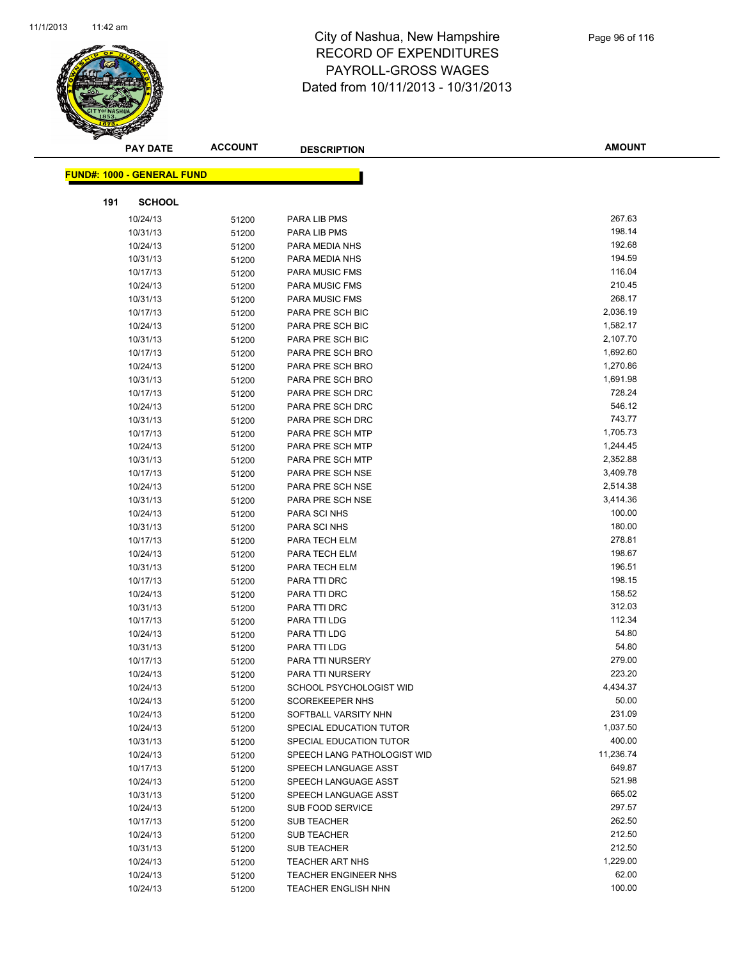

|     | <b>PAY DATE</b>                   | <b>ACCOUNT</b> | <b>DESCRIPTION</b>          | <b>AMOUNT</b> |
|-----|-----------------------------------|----------------|-----------------------------|---------------|
|     | <b>FUND#: 1000 - GENERAL FUND</b> |                |                             |               |
|     |                                   |                |                             |               |
| 191 | <b>SCHOOL</b>                     |                |                             |               |
|     | 10/24/13                          | 51200          | PARA LIB PMS                | 267.63        |
|     | 10/31/13                          | 51200          | PARA LIB PMS                | 198.14        |
|     | 10/24/13                          | 51200          | PARA MEDIA NHS              | 192.68        |
|     | 10/31/13                          | 51200          | PARA MEDIA NHS              | 194.59        |
|     | 10/17/13                          | 51200          | <b>PARA MUSIC FMS</b>       | 116.04        |
|     | 10/24/13                          | 51200          | PARA MUSIC FMS              | 210.45        |
|     | 10/31/13                          | 51200          | <b>PARA MUSIC FMS</b>       | 268.17        |
|     | 10/17/13                          | 51200          | PARA PRE SCH BIC            | 2,036.19      |
|     | 10/24/13                          | 51200          | PARA PRE SCH BIC            | 1,582.17      |
|     | 10/31/13                          | 51200          | PARA PRE SCH BIC            | 2,107.70      |
|     | 10/17/13                          | 51200          | PARA PRE SCH BRO            | 1,692.60      |
|     | 10/24/13                          | 51200          | PARA PRE SCH BRO            | 1,270.86      |
|     | 10/31/13                          | 51200          | PARA PRE SCH BRO            | 1,691.98      |
|     | 10/17/13                          | 51200          | PARA PRE SCH DRC            | 728.24        |
|     | 10/24/13                          | 51200          | PARA PRE SCH DRC            | 546.12        |
|     | 10/31/13                          | 51200          | PARA PRE SCH DRC            | 743.77        |
|     | 10/17/13                          | 51200          | PARA PRE SCH MTP            | 1,705.73      |
|     | 10/24/13                          | 51200          | PARA PRE SCH MTP            | 1,244.45      |
|     | 10/31/13                          | 51200          | PARA PRE SCH MTP            | 2,352.88      |
|     | 10/17/13                          | 51200          | PARA PRE SCH NSE            | 3,409.78      |
|     | 10/24/13                          | 51200          | PARA PRE SCH NSE            | 2,514.38      |
|     | 10/31/13                          | 51200          | PARA PRE SCH NSE            | 3,414.36      |
|     | 10/24/13                          | 51200          | PARA SCI NHS                | 100.00        |
|     | 10/31/13                          | 51200          | PARA SCI NHS                | 180.00        |
|     | 10/17/13                          | 51200          | PARA TECH ELM               | 278.81        |
|     | 10/24/13                          | 51200          | PARA TECH ELM               | 198.67        |
|     | 10/31/13                          | 51200          | PARA TECH ELM               | 196.51        |
|     | 10/17/13                          | 51200          | PARA TTI DRC                | 198.15        |
|     | 10/24/13                          | 51200          | PARA TTI DRC                | 158.52        |
|     | 10/31/13                          | 51200          | PARA TTI DRC                | 312.03        |
|     | 10/17/13                          | 51200          | PARA TTI LDG                | 112.34        |
|     | 10/24/13                          | 51200          | PARA TTI LDG                | 54.80         |
|     | 10/31/13                          | 51200          | PARA TTI LDG                | 54.80         |
|     | 10/17/13                          | 51200          | PARA TTI NURSERY            | 279.00        |
|     | 10/24/13                          | 51200          | <b>PARA TTI NURSERY</b>     | 223.20        |
|     | 10/24/13                          | 51200          | SCHOOL PSYCHOLOGIST WID     | 4,434.37      |
|     | 10/24/13                          | 51200          | <b>SCOREKEEPER NHS</b>      | 50.00         |
|     | 10/24/13                          | 51200          | SOFTBALL VARSITY NHN        | 231.09        |
|     | 10/24/13                          | 51200          | SPECIAL EDUCATION TUTOR     | 1,037.50      |
|     | 10/31/13                          | 51200          | SPECIAL EDUCATION TUTOR     | 400.00        |
|     | 10/24/13                          | 51200          | SPEECH LANG PATHOLOGIST WID | 11,236.74     |
|     | 10/17/13                          | 51200          | SPEECH LANGUAGE ASST        | 649.87        |
|     | 10/24/13                          | 51200          | SPEECH LANGUAGE ASST        | 521.98        |
|     | 10/31/13                          | 51200          | SPEECH LANGUAGE ASST        | 665.02        |
|     | 10/24/13                          | 51200          | <b>SUB FOOD SERVICE</b>     | 297.57        |
|     | 10/17/13                          | 51200          | <b>SUB TEACHER</b>          | 262.50        |
|     | 10/24/13                          | 51200          | <b>SUB TEACHER</b>          | 212.50        |
|     | 10/31/13                          | 51200          | <b>SUB TEACHER</b>          | 212.50        |
|     | 10/24/13                          | 51200          | <b>TEACHER ART NHS</b>      | 1,229.00      |
|     | 10/24/13                          | 51200          | TEACHER ENGINEER NHS        | 62.00         |
|     | 10/24/13                          | 51200          | <b>TEACHER ENGLISH NHN</b>  | 100.00        |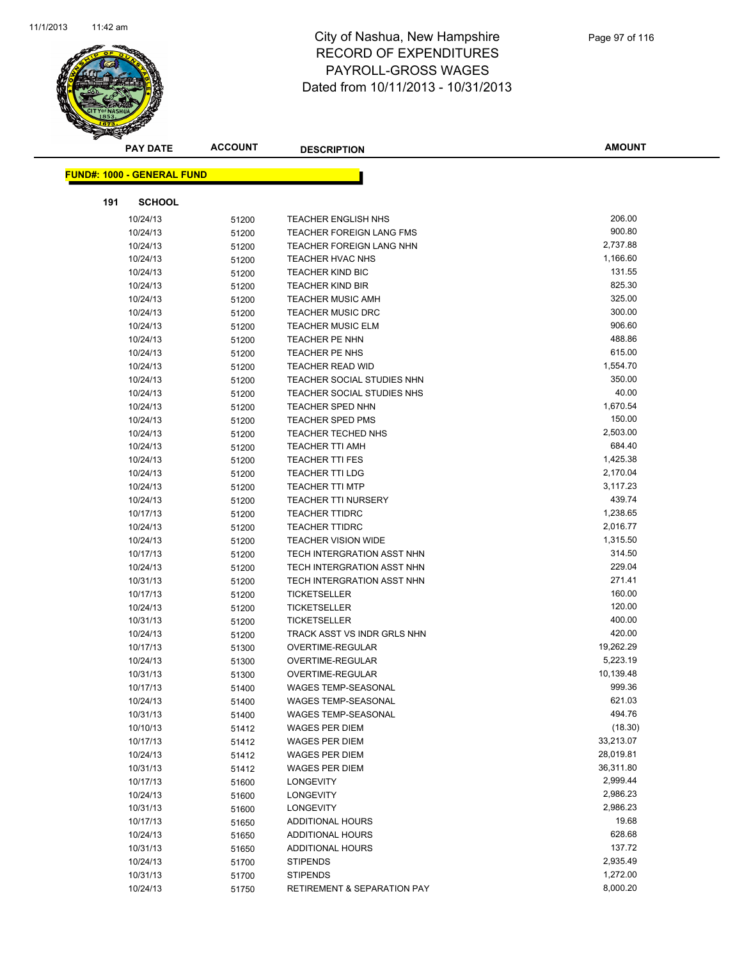

| <b>PAY DATE</b>                   | <b>ACCOUNT</b> | <b>DESCRIPTION</b>         |                             | <b>AMOUNT</b> |
|-----------------------------------|----------------|----------------------------|-----------------------------|---------------|
|                                   |                |                            |                             |               |
| <b>FUND#: 1000 - GENERAL FUND</b> |                |                            |                             |               |
| 191                               | <b>SCHOOL</b>  |                            |                             |               |
| 10/24/13                          | 51200          | <b>TEACHER ENGLISH NHS</b> |                             | 206.00        |
| 10/24/13                          | 51200          |                            | TEACHER FOREIGN LANG FMS    | 900.80        |
| 10/24/13                          | 51200          |                            | TEACHER FOREIGN LANG NHN    | 2,737.88      |
| 10/24/13                          | 51200          | <b>TEACHER HVAC NHS</b>    |                             | 1,166.60      |
| 10/24/13                          | 51200          | <b>TEACHER KIND BIC</b>    |                             | 131.55        |
| 10/24/13                          | 51200          | <b>TEACHER KIND BIR</b>    |                             | 825.30        |
| 10/24/13                          | 51200          | <b>TEACHER MUSIC AMH</b>   |                             | 325.00        |
| 10/24/13                          | 51200          | <b>TEACHER MUSIC DRC</b>   |                             | 300.00        |
| 10/24/13                          | 51200          | <b>TEACHER MUSIC ELM</b>   |                             | 906.60        |
| 10/24/13                          | 51200          | TEACHER PE NHN             |                             | 488.86        |
| 10/24/13                          | 51200          | TEACHER PE NHS             |                             | 615.00        |
| 10/24/13                          | 51200          | <b>TEACHER READ WID</b>    |                             | 1,554.70      |
| 10/24/13                          | 51200          |                            | TEACHER SOCIAL STUDIES NHN  | 350.00        |
| 10/24/13                          | 51200          |                            | TEACHER SOCIAL STUDIES NHS  | 40.00         |
| 10/24/13                          | 51200          | <b>TEACHER SPED NHN</b>    |                             | 1,670.54      |
| 10/24/13                          | 51200          | <b>TEACHER SPED PMS</b>    |                             | 150.00        |
| 10/24/13                          | 51200          | TEACHER TECHED NHS         |                             | 2,503.00      |
| 10/24/13                          | 51200          | <b>TEACHER TTI AMH</b>     |                             | 684.40        |
| 10/24/13                          | 51200          | <b>TEACHER TTI FES</b>     |                             | 1,425.38      |
| 10/24/13                          | 51200          | <b>TEACHER TTI LDG</b>     |                             | 2,170.04      |
| 10/24/13                          | 51200          | <b>TEACHER TTI MTP</b>     |                             | 3,117.23      |
| 10/24/13                          | 51200          | <b>TEACHER TTI NURSERY</b> |                             | 439.74        |
| 10/17/13                          | 51200          | <b>TEACHER TTIDRC</b>      |                             | 1,238.65      |
| 10/24/13                          | 51200          | <b>TEACHER TTIDRC</b>      |                             | 2,016.77      |
| 10/24/13                          | 51200          | <b>TEACHER VISION WIDE</b> |                             | 1,315.50      |
| 10/17/13                          | 51200          |                            | TECH INTERGRATION ASST NHN  | 314.50        |
| 10/24/13                          | 51200          |                            | TECH INTERGRATION ASST NHN  | 229.04        |
| 10/31/13                          | 51200          |                            | TECH INTERGRATION ASST NHN  | 271.41        |
| 10/17/13                          | 51200          | <b>TICKETSELLER</b>        |                             | 160.00        |
| 10/24/13                          | 51200          | <b>TICKETSELLER</b>        |                             | 120.00        |
| 10/31/13                          | 51200          | <b>TICKETSELLER</b>        |                             | 400.00        |
| 10/24/13                          | 51200          |                            | TRACK ASST VS INDR GRLS NHN | 420.00        |
| 10/17/13                          | 51300          | <b>OVERTIME-REGULAR</b>    |                             | 19,262.29     |
| 10/24/13                          | 51300          | OVERTIME-REGULAR           |                             | 5,223.19      |
| 10/31/13                          | 51300          | OVERTIME-REGULAR           |                             | 10,139.48     |
| 10/17/13                          | 51400          | <b>WAGES TEMP-SEASONAL</b> |                             | 999.36        |
| 10/24/13                          | 51400          | WAGES TEMP-SEASONAL        |                             | 621.03        |
| 10/31/13                          | 51400          | WAGES TEMP-SEASONAL        |                             | 494.76        |
| 10/10/13                          | 51412          | <b>WAGES PER DIEM</b>      |                             | (18.30)       |
| 10/17/13                          | 51412          | <b>WAGES PER DIEM</b>      |                             | 33,213.07     |
| 10/24/13                          | 51412          | WAGES PER DIEM             |                             | 28,019.81     |
| 10/31/13                          | 51412          | <b>WAGES PER DIEM</b>      |                             | 36,311.80     |
| 10/17/13                          | 51600          | <b>LONGEVITY</b>           |                             | 2,999.44      |
| 10/24/13                          | 51600          | <b>LONGEVITY</b>           |                             | 2,986.23      |
| 10/31/13                          | 51600          | <b>LONGEVITY</b>           |                             | 2,986.23      |
| 10/17/13                          | 51650          | ADDITIONAL HOURS           |                             | 19.68         |
| 10/24/13                          | 51650          | ADDITIONAL HOURS           |                             | 628.68        |
| 10/31/13                          | 51650          | ADDITIONAL HOURS           |                             | 137.72        |
| 10/24/13                          | 51700          | <b>STIPENDS</b>            |                             | 2,935.49      |
| 10/31/13                          | 51700          | <b>STIPENDS</b>            |                             | 1,272.00      |
| 10/24/13                          | 51750          |                            | RETIREMENT & SEPARATION PAY | 8,000.20      |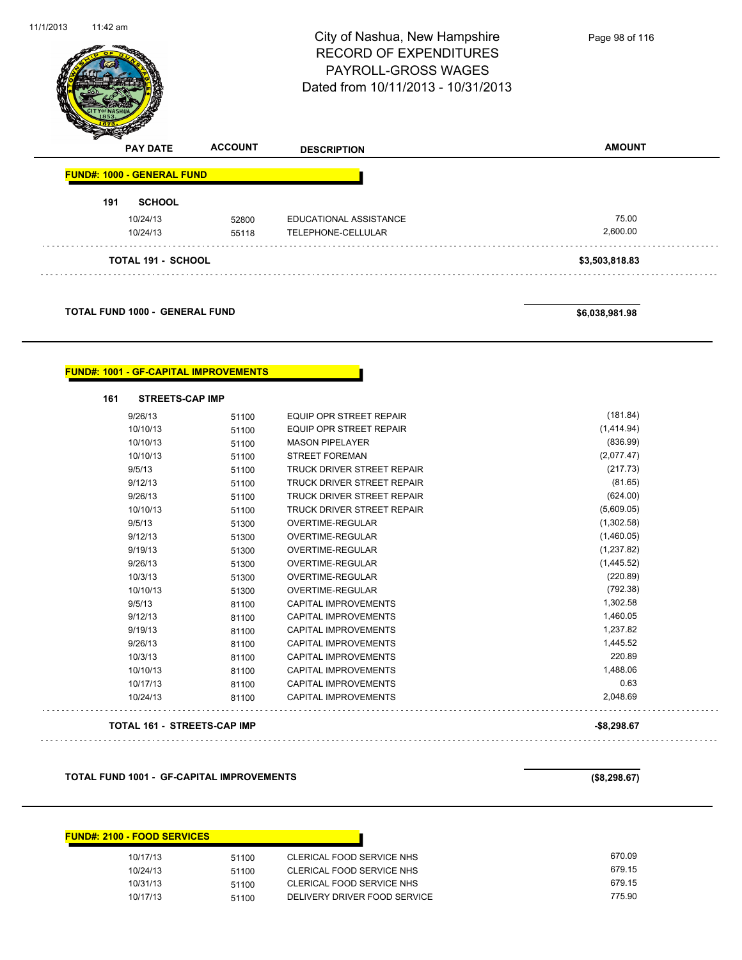| 11:42 am                                     |                | City of Nashua, New Hampshire<br><b>RECORD OF EXPENDITURES</b><br>PAYROLL-GROSS WAGES<br>Dated from 10/11/2013 - 10/31/2013 | Page 98 of 116         |
|----------------------------------------------|----------------|-----------------------------------------------------------------------------------------------------------------------------|------------------------|
| <b>PAY DATE</b>                              | <b>ACCOUNT</b> | <b>DESCRIPTION</b>                                                                                                          | <b>AMOUNT</b>          |
| <b>FUND#: 1000 - GENERAL FUND</b>            |                |                                                                                                                             |                        |
| <b>SCHOOL</b><br>191                         |                |                                                                                                                             |                        |
| 10/24/13                                     | 52800          | EDUCATIONAL ASSISTANCE                                                                                                      | 75.00                  |
| 10/24/13                                     | 55118          | TELEPHONE-CELLULAR                                                                                                          | 2,600.00               |
| <b>TOTAL 191 - SCHOOL</b>                    |                |                                                                                                                             | \$3,503,818.83         |
|                                              |                |                                                                                                                             |                        |
| <b>TOTAL FUND 1000 - GENERAL FUND</b>        |                |                                                                                                                             | \$6,038,981.98         |
| <b>FUND#: 1001 - GF-CAPITAL IMPROVEMENTS</b> |                |                                                                                                                             |                        |
| <b>STREETS-CAP IMP</b><br>161                |                |                                                                                                                             |                        |
| 9/26/13                                      | 51100          | <b>EQUIP OPR STREET REPAIR</b>                                                                                              | (181.84)               |
| 10/10/13                                     | 51100          | <b>EQUIP OPR STREET REPAIR</b>                                                                                              | (1,414.94)             |
| 10/10/13                                     | 51100          | <b>MASON PIPELAYER</b>                                                                                                      | (836.99)               |
| 10/10/13<br>9/5/13                           | 51100<br>51100 | <b>STREET FOREMAN</b><br>TRUCK DRIVER STREET REPAIR                                                                         | (2,077.47)<br>(217.73) |

9/26/13 51100 TRUCK DRIVER STREET REPAIR (624.00) 10/10/13 51100 TRUCK DRIVER STREET REPAIR (5,609.05) 9/5/13 51300 OVERTIME-REGULAR (1,302.58) 9/12/13 51300 OVERTIME-REGULAR (1,460.05)

| 9/19/13  | 51300 | OVERTIME-REGULAR            | (1,237.82) |
|----------|-------|-----------------------------|------------|
| 9/26/13  | 51300 | OVERTIME-REGULAR            | (1,445.52) |
| 10/3/13  | 51300 | OVERTIME-REGULAR            | (220.89)   |
| 10/10/13 | 51300 | OVERTIME-REGULAR            | (792.38)   |
| 9/5/13   | 81100 | CAPITAL IMPROVEMENTS        | 1.302.58   |
| 9/12/13  | 81100 | CAPITAL IMPROVEMENTS        | 1.460.05   |
| 9/19/13  | 81100 | CAPITAL IMPROVEMENTS        | 1.237.82   |
| 9/26/13  | 81100 | CAPITAL IMPROVEMENTS        | 1.445.52   |
| 10/3/13  | 81100 | CAPITAL IMPROVEMENTS        | 220.89     |
| 10/10/13 | 81100 | CAPITAL IMPROVEMENTS        | 1.488.06   |
| 10/17/13 | 81100 | <b>CAPITAL IMPROVEMENTS</b> | 0.63       |
| 10/24/13 | 81100 | CAPITAL IMPROVEMENTS        | 2.048.69   |
|          |       |                             |            |

**TOTAL 161 - STREETS-CAP IMP -\$8,298.67**

**TOTAL FUND 1001 - GF-CAPITAL IMPROVEMENTS (\$8,298.67)**

| <b>FUND#: 2100 - FOOD SERVICES</b> |       |                              |        |
|------------------------------------|-------|------------------------------|--------|
| 10/17/13                           | 51100 | CLERICAL FOOD SERVICE NHS    | 670.09 |
| 10/24/13                           | 51100 | CLERICAL FOOD SERVICE NHS    | 679.15 |
| 10/31/13                           | 51100 | CLERICAL FOOD SERVICE NHS    | 679.15 |
| 10/17/13                           | 51100 | DELIVERY DRIVER FOOD SERVICE | 775.90 |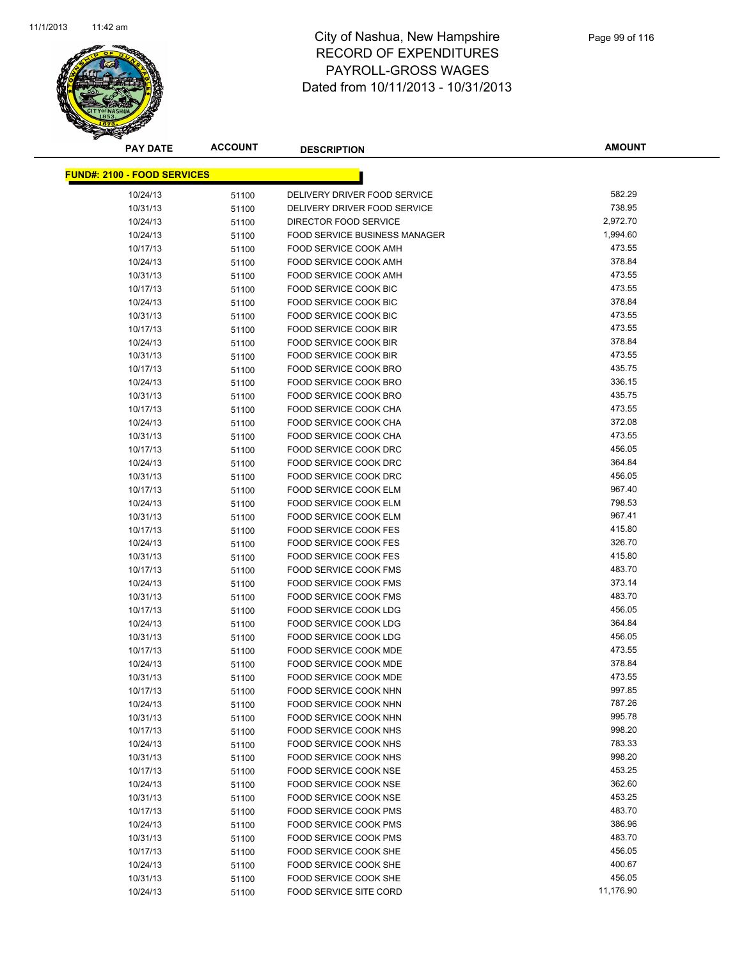

**AMOUNT**

| <u> FUND#: 2100 - FOOD SERVICES</u> |          |                |                                                               |           |
|-------------------------------------|----------|----------------|---------------------------------------------------------------|-----------|
|                                     |          |                | DELIVERY DRIVER FOOD SERVICE                                  | 582.29    |
| 10/24/13                            |          | 51100          |                                                               | 738.95    |
| 10/31/13                            |          | 51100          | DELIVERY DRIVER FOOD SERVICE<br>DIRECTOR FOOD SERVICE         | 2,972.70  |
| 10/24/13                            |          | 51100          |                                                               | 1,994.60  |
| 10/24/13                            |          | 51100          | <b>FOOD SERVICE BUSINESS MANAGER</b><br>FOOD SERVICE COOK AMH | 473.55    |
| 10/17/13                            |          | 51100          | FOOD SERVICE COOK AMH                                         | 378.84    |
| 10/24/13<br>10/31/13                |          | 51100          | FOOD SERVICE COOK AMH                                         | 473.55    |
| 10/17/13                            |          | 51100          | FOOD SERVICE COOK BIC                                         | 473.55    |
| 10/24/13                            |          | 51100          | <b>FOOD SERVICE COOK BIC</b>                                  | 378.84    |
| 10/31/13                            |          | 51100          | FOOD SERVICE COOK BIC                                         | 473.55    |
| 10/17/13                            |          | 51100          | FOOD SERVICE COOK BIR                                         | 473.55    |
| 10/24/13                            |          | 51100          | <b>FOOD SERVICE COOK BIR</b>                                  | 378.84    |
| 10/31/13                            |          | 51100<br>51100 | FOOD SERVICE COOK BIR                                         | 473.55    |
| 10/17/13                            |          | 51100          | FOOD SERVICE COOK BRO                                         | 435.75    |
| 10/24/13                            |          | 51100          | FOOD SERVICE COOK BRO                                         | 336.15    |
| 10/31/13                            |          | 51100          | FOOD SERVICE COOK BRO                                         | 435.75    |
| 10/17/13                            |          | 51100          | FOOD SERVICE COOK CHA                                         | 473.55    |
| 10/24/13                            |          | 51100          | FOOD SERVICE COOK CHA                                         | 372.08    |
| 10/31/13                            |          | 51100          | <b>FOOD SERVICE COOK CHA</b>                                  | 473.55    |
| 10/17/13                            |          | 51100          | FOOD SERVICE COOK DRC                                         | 456.05    |
| 10/24/13                            |          | 51100          | FOOD SERVICE COOK DRC                                         | 364.84    |
| 10/31/13                            |          | 51100          | FOOD SERVICE COOK DRC                                         | 456.05    |
| 10/17/13                            |          | 51100          | FOOD SERVICE COOK ELM                                         | 967.40    |
| 10/24/13                            |          | 51100          | <b>FOOD SERVICE COOK ELM</b>                                  | 798.53    |
| 10/31/13                            |          | 51100          | FOOD SERVICE COOK ELM                                         | 967.41    |
| 10/17/13                            |          | 51100          | <b>FOOD SERVICE COOK FES</b>                                  | 415.80    |
| 10/24/13                            |          | 51100          | <b>FOOD SERVICE COOK FES</b>                                  | 326.70    |
| 10/31/13                            |          | 51100          | <b>FOOD SERVICE COOK FES</b>                                  | 415.80    |
| 10/17/13                            |          | 51100          | <b>FOOD SERVICE COOK FMS</b>                                  | 483.70    |
| 10/24/13                            |          | 51100          | <b>FOOD SERVICE COOK FMS</b>                                  | 373.14    |
| 10/31/13                            |          | 51100          | FOOD SERVICE COOK FMS                                         | 483.70    |
| 10/17/13                            |          | 51100          | FOOD SERVICE COOK LDG                                         | 456.05    |
| 10/24/13                            |          | 51100          | FOOD SERVICE COOK LDG                                         | 364.84    |
| 10/31/13                            |          | 51100          | FOOD SERVICE COOK LDG                                         | 456.05    |
| 10/17/13                            |          | 51100          | FOOD SERVICE COOK MDE                                         | 473.55    |
| 10/24/13                            |          | 51100          | FOOD SERVICE COOK MDE                                         | 378.84    |
| 10/31/13                            |          | 51100          | FOOD SERVICE COOK MDE                                         | 473.55    |
|                                     | 10/17/13 | 51100          | FOOD SERVICE COOK NHN                                         | 997.85    |
|                                     | 10/24/13 | 51100          | FOOD SERVICE COOK NHN                                         | 787.26    |
|                                     | 10/31/13 | 51100          | FOOD SERVICE COOK NHN                                         | 995.78    |
|                                     | 10/17/13 | 51100          | FOOD SERVICE COOK NHS                                         | 998.20    |
|                                     | 10/24/13 | 51100          | FOOD SERVICE COOK NHS                                         | 783.33    |
| 10/31/13                            |          | 51100          | FOOD SERVICE COOK NHS                                         | 998.20    |
|                                     | 10/17/13 | 51100          | FOOD SERVICE COOK NSE                                         | 453.25    |
| 10/24/13                            |          | 51100          | FOOD SERVICE COOK NSE                                         | 362.60    |
| 10/31/13                            |          | 51100          | FOOD SERVICE COOK NSE                                         | 453.25    |
| 10/17/13                            |          | 51100          | FOOD SERVICE COOK PMS                                         | 483.70    |
| 10/24/13                            |          | 51100          | FOOD SERVICE COOK PMS                                         | 386.96    |
| 10/31/13                            |          | 51100          | <b>FOOD SERVICE COOK PMS</b>                                  | 483.70    |
|                                     | 10/17/13 | 51100          | FOOD SERVICE COOK SHE                                         | 456.05    |
|                                     | 10/24/13 | 51100          | FOOD SERVICE COOK SHE                                         | 400.67    |
| 10/31/13                            |          | 51100          | FOOD SERVICE COOK SHE                                         | 456.05    |
| 10/24/13                            |          | 51100          | FOOD SERVICE SITE CORD                                        | 11,176.90 |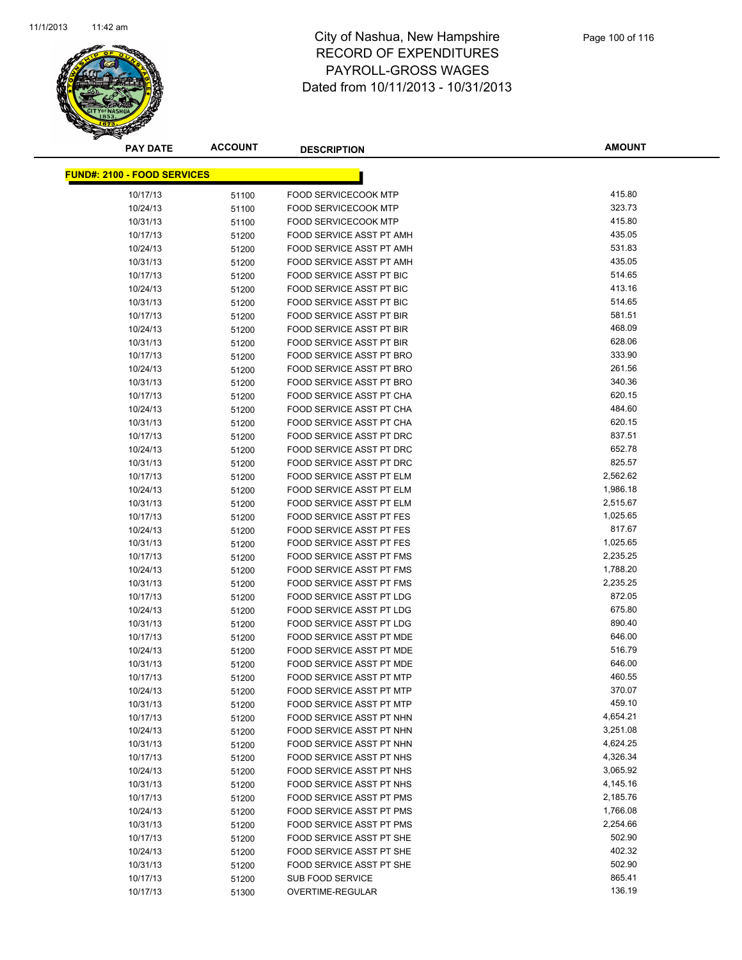

**AMOUNT**

| <u> FUND#: 2100 - FOOD SERVICES</u> |       |                                 |          |
|-------------------------------------|-------|---------------------------------|----------|
| 10/17/13                            | 51100 | <b>FOOD SERVICECOOK MTP</b>     | 415.80   |
| 10/24/13                            | 51100 | <b>FOOD SERVICECOOK MTP</b>     | 323.73   |
| 10/31/13                            | 51100 | <b>FOOD SERVICECOOK MTP</b>     | 415.80   |
| 10/17/13                            | 51200 | FOOD SERVICE ASST PT AMH        | 435.05   |
| 10/24/13                            | 51200 | FOOD SERVICE ASST PT AMH        | 531.83   |
| 10/31/13                            | 51200 | FOOD SERVICE ASST PT AMH        | 435.05   |
| 10/17/13                            | 51200 | FOOD SERVICE ASST PT BIC        | 514.65   |
| 10/24/13                            | 51200 | FOOD SERVICE ASST PT BIC        | 413.16   |
| 10/31/13                            | 51200 | FOOD SERVICE ASST PT BIC        | 514.65   |
| 10/17/13                            | 51200 | FOOD SERVICE ASST PT BIR        | 581.51   |
| 10/24/13                            | 51200 | FOOD SERVICE ASST PT BIR        | 468.09   |
| 10/31/13                            | 51200 | FOOD SERVICE ASST PT BIR        | 628.06   |
| 10/17/13                            | 51200 | FOOD SERVICE ASST PT BRO        | 333.90   |
| 10/24/13                            | 51200 | FOOD SERVICE ASST PT BRO        | 261.56   |
| 10/31/13                            | 51200 | FOOD SERVICE ASST PT BRO        | 340.36   |
| 10/17/13                            | 51200 | FOOD SERVICE ASST PT CHA        | 620.15   |
| 10/24/13                            | 51200 | FOOD SERVICE ASST PT CHA        | 484.60   |
| 10/31/13                            | 51200 | FOOD SERVICE ASST PT CHA        | 620.15   |
| 10/17/13                            | 51200 | FOOD SERVICE ASST PT DRC        | 837.51   |
| 10/24/13                            | 51200 | FOOD SERVICE ASST PT DRC        | 652.78   |
| 10/31/13                            | 51200 | FOOD SERVICE ASST PT DRC        | 825.57   |
| 10/17/13                            | 51200 | FOOD SERVICE ASST PT ELM        | 2,562.62 |
| 10/24/13                            | 51200 | FOOD SERVICE ASST PT ELM        | 1,986.18 |
| 10/31/13                            | 51200 | FOOD SERVICE ASST PT ELM        | 2,515.67 |
| 10/17/13                            | 51200 | FOOD SERVICE ASST PT FES        | 1,025.65 |
| 10/24/13                            | 51200 | FOOD SERVICE ASST PT FES        | 817.67   |
| 10/31/13                            | 51200 | FOOD SERVICE ASST PT FES        | 1,025.65 |
| 10/17/13                            | 51200 | FOOD SERVICE ASST PT FMS        | 2,235.25 |
| 10/24/13                            | 51200 | FOOD SERVICE ASST PT FMS        | 1,788.20 |
| 10/31/13                            | 51200 | FOOD SERVICE ASST PT FMS        | 2,235.25 |
| 10/17/13                            | 51200 | FOOD SERVICE ASST PT LDG        | 872.05   |
| 10/24/13                            | 51200 | FOOD SERVICE ASST PT LDG        | 675.80   |
| 10/31/13                            | 51200 | FOOD SERVICE ASST PT LDG        | 890.40   |
| 10/17/13                            | 51200 | FOOD SERVICE ASST PT MDE        | 646.00   |
| 10/24/13                            | 51200 | <b>FOOD SERVICE ASST PT MDE</b> | 516.79   |
| 10/31/13                            | 51200 | FOOD SERVICE ASST PT MDE        | 646.00   |
| 10/17/13                            | 51200 | FOOD SERVICE ASST PT MTP        | 460.55   |
| 10/24/13                            | 51200 | <b>FOOD SERVICE ASST PT MTP</b> | 370.07   |
| 10/31/13                            | 51200 | FOOD SERVICE ASST PT MTP        | 459.10   |
| 10/17/13                            | 51200 | FOOD SERVICE ASST PT NHN        | 4,654.21 |
| 10/24/13                            | 51200 | FOOD SERVICE ASST PT NHN        | 3,251.08 |
| 10/31/13                            | 51200 | FOOD SERVICE ASST PT NHN        | 4,624.25 |
| 10/17/13                            | 51200 | FOOD SERVICE ASST PT NHS        | 4,326.34 |
| 10/24/13                            | 51200 | FOOD SERVICE ASST PT NHS        | 3,065.92 |
| 10/31/13                            | 51200 | FOOD SERVICE ASST PT NHS        | 4,145.16 |
| 10/17/13                            | 51200 | FOOD SERVICE ASST PT PMS        | 2,185.76 |
| 10/24/13                            | 51200 | FOOD SERVICE ASST PT PMS        | 1,766.08 |
| 10/31/13                            | 51200 | FOOD SERVICE ASST PT PMS        | 2,254.66 |
| 10/17/13                            | 51200 | FOOD SERVICE ASST PT SHE        | 502.90   |
| 10/24/13                            | 51200 | FOOD SERVICE ASST PT SHE        | 402.32   |
| 10/31/13                            | 51200 | FOOD SERVICE ASST PT SHE        | 502.90   |
| 10/17/13                            | 51200 | <b>SUB FOOD SERVICE</b>         | 865.41   |
| 10/17/13                            | 51300 | OVERTIME-REGULAR                | 136.19   |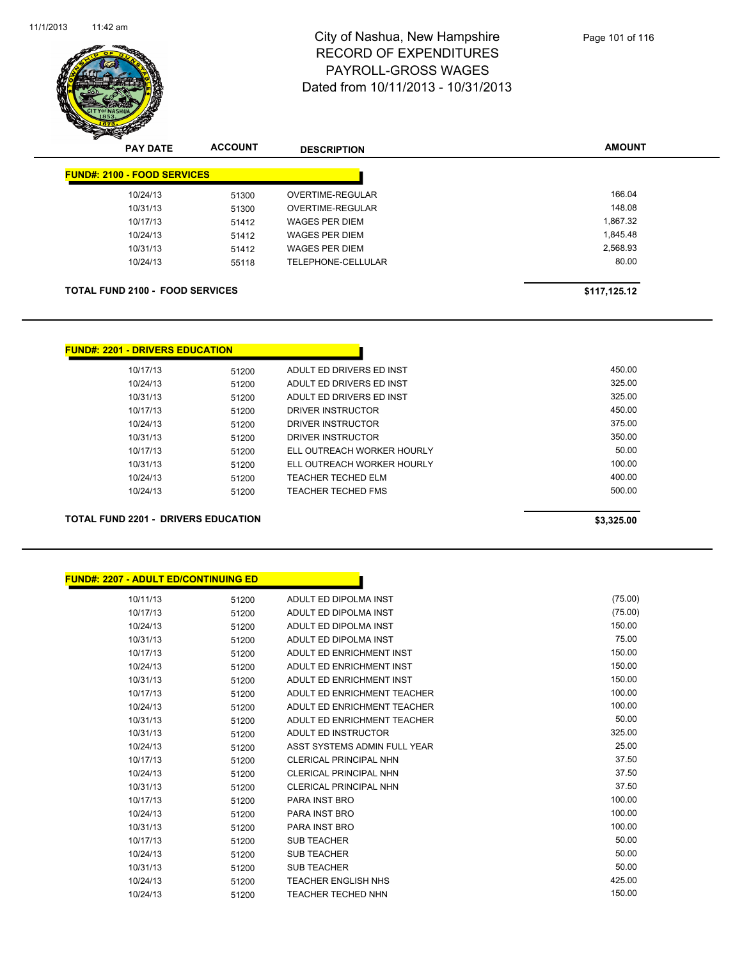

| <b>PAY DATE</b>                        | <b>ACCOUNT</b> | <b>DESCRIPTION</b>    | <b>AMOUNT</b> |
|----------------------------------------|----------------|-----------------------|---------------|
| <b>FUND#: 2100 - FOOD SERVICES</b>     |                |                       |               |
| 10/24/13                               | 51300          | OVERTIME-REGULAR      | 166.04        |
| 10/31/13                               | 51300          | OVERTIME-REGULAR      | 148.08        |
| 10/17/13                               | 51412          | <b>WAGES PER DIEM</b> | 1,867.32      |
| 10/24/13                               | 51412          | <b>WAGES PER DIEM</b> | 1,845.48      |
| 10/31/13                               | 51412          | <b>WAGES PER DIEM</b> | 2,568.93      |
| 10/24/13                               | 55118          | TELEPHONE-CELLULAR    | 80.00         |
| <b>TOTAL FUND 2100 - FOOD SERVICES</b> |                |                       | \$117,125.12  |

#### **FUND#: 2201 - DRIVERS EDUCATION**

| <b>TOTAL FUND 2201 - DRIVERS EDUCATION</b> | \$3,325,00 |                            |        |
|--------------------------------------------|------------|----------------------------|--------|
|                                            |            |                            |        |
| 10/24/13                                   | 51200      | TEACHER TECHED FMS         | 500.00 |
| 10/24/13                                   | 51200      | <b>TEACHER TECHED ELM</b>  | 400.00 |
| 10/31/13                                   | 51200      | ELL OUTREACH WORKER HOURLY | 100.00 |
| 10/17/13                                   | 51200      | ELL OUTREACH WORKER HOURLY | 50.00  |
| 10/31/13                                   | 51200      | DRIVER INSTRUCTOR          | 350.00 |
| 10/24/13                                   | 51200      | DRIVER INSTRUCTOR          | 375.00 |
| 10/17/13                                   | 51200      | DRIVER INSTRUCTOR          | 450.00 |
| 10/31/13                                   | 51200      | ADULT ED DRIVERS ED INST   | 325.00 |
| 10/24/13                                   | 51200      | ADULT ED DRIVERS ED INST   | 325.00 |
| 10/17/13                                   | 51200      | ADULT ED DRIVERS ED INST   | 450.00 |
|                                            |            |                            |        |

| <b>FUND#: 2207 - ADULT ED/CONTINUING ED</b> |       |                               |         |
|---------------------------------------------|-------|-------------------------------|---------|
| 10/11/13                                    | 51200 | ADULT ED DIPOLMA INST         | (75.00) |
| 10/17/13                                    | 51200 | ADULT ED DIPOLMA INST         | (75.00) |
| 10/24/13                                    | 51200 | ADULT ED DIPOLMA INST         | 150.00  |
| 10/31/13                                    | 51200 | ADULT ED DIPOLMA INST         | 75.00   |
| 10/17/13                                    | 51200 | ADULT ED ENRICHMENT INST      | 150.00  |
| 10/24/13                                    | 51200 | ADULT ED ENRICHMENT INST      | 150.00  |
| 10/31/13                                    | 51200 | ADULT ED ENRICHMENT INST      | 150.00  |
| 10/17/13                                    | 51200 | ADULT ED ENRICHMENT TEACHER   | 100.00  |
| 10/24/13                                    | 51200 | ADULT ED ENRICHMENT TEACHER   | 100.00  |
| 10/31/13                                    | 51200 | ADULT ED ENRICHMENT TEACHER   | 50.00   |
| 10/31/13                                    | 51200 | ADULT ED INSTRUCTOR           | 325.00  |
| 10/24/13                                    | 51200 | ASST SYSTEMS ADMIN FULL YEAR  | 25.00   |
| 10/17/13                                    | 51200 | <b>CLERICAL PRINCIPAL NHN</b> | 37.50   |
| 10/24/13                                    | 51200 | <b>CLERICAL PRINCIPAL NHN</b> | 37.50   |
| 10/31/13                                    | 51200 | <b>CLERICAL PRINCIPAL NHN</b> | 37.50   |
| 10/17/13                                    | 51200 | PARA INST BRO                 | 100.00  |
| 10/24/13                                    | 51200 | <b>PARA INST BRO</b>          | 100.00  |
| 10/31/13                                    | 51200 | <b>PARA INST BRO</b>          | 100.00  |
| 10/17/13                                    | 51200 | <b>SUB TEACHER</b>            | 50.00   |
| 10/24/13                                    | 51200 | <b>SUB TEACHER</b>            | 50.00   |
| 10/31/13                                    | 51200 | <b>SUB TEACHER</b>            | 50.00   |
| 10/24/13                                    | 51200 | <b>TEACHER ENGLISH NHS</b>    | 425.00  |
| 10/24/13                                    | 51200 | <b>TEACHER TECHED NHN</b>     | 150.00  |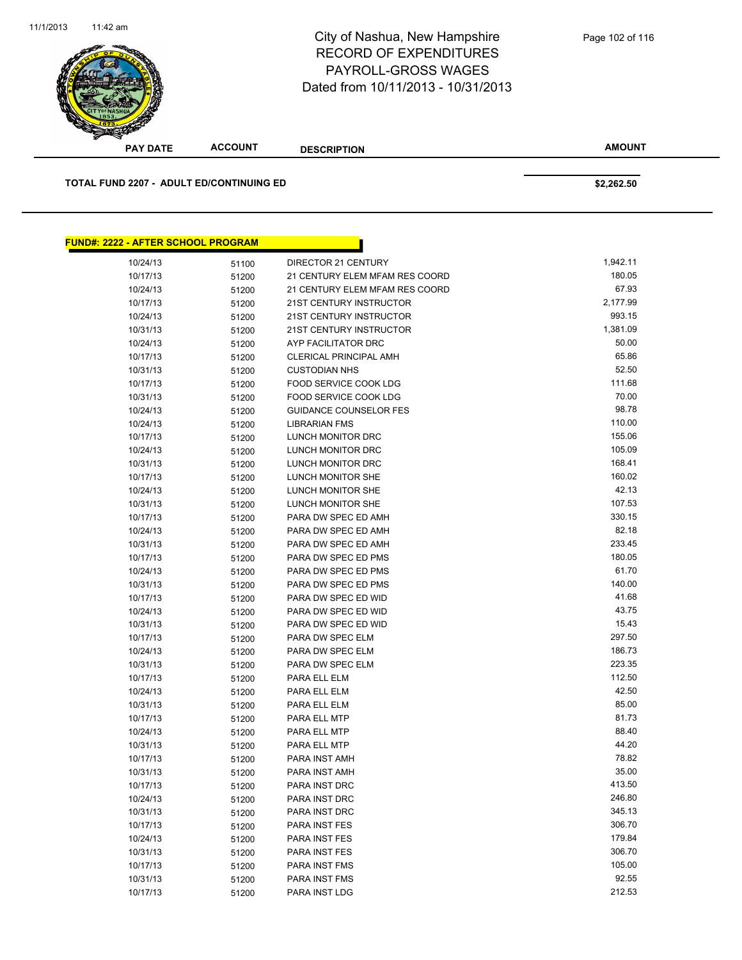**AMOUNT PAY DATE ACCOUNT DESCRIPTION TOTAL FUND 2207 - ADULT ED/CONTINUING ED \$2,262.50 FUND#: 2222 - AFTER SCHOOL PROGRAM** 10/24/13 51100 DIRECTOR 21 CENTURY 1,942.11 10/17/13 51200 21 CENTURY ELEM MFAM RES COORD 180.05 10/24/13 51200 21 CENTURY ELEM MFAM RES COORD 67.93 10/17/13 51200 21ST CENTURY INSTRUCTOR 2,177.99 10/24/13 51200 21ST CENTURY INSTRUCTOR 993.15 10/31/13 51200 21ST CENTURY INSTRUCTOR 1,381.09 10/24/13 51200 AYP FACILITATOR DRC 50.00 10/17/13 51200 CLERICAL PRINCIPAL AMH 65.86 10/31/13 51200 CUSTODIAN NHS 52.50 10/17/13 51200 FOOD SERVICE COOK LDG 10/17/13 51200 51200 10/31/13 51200 FOOD SERVICE COOK LDG 5000 FOOD SERVICE COOK LDG 5 10/24/13 51200 GUIDANCE COUNSELOR FES 98.78 10/24/13 51200 LIBRARIAN FMS 110.00 10/17/13 51200 LUNCH MONITOR DRC 155.06 10/24/13 51200 LUNCH MONITOR DRC 105.09 10/31/13 51200 LUNCH MONITOR DRC 168.41 10/17/13 51200 LUNCH MONITOR SHE 160.02 10/24/13 51200 LUNCH MONITOR SHE 42.13 10/31/13 51200 LUNCH MONITOR SHE 107.53 10/17/13 51200 PARA DW SPEC ED AMH 330.15 10/24/13 51200 PARA DW SPEC ED AMH 82.18 10/31/13 51200 PARA DW SPEC ED AMH 233.45 10/17/13 51200 PARA DW SPEC ED PMS 180.05 10/24/13 51200 PARA DW SPEC ED PMS 61.70 10/31/13 51200 PARA DW SPEC ED PMS 140.00 10/17/13 51200 PARA DW SPEC ED WID 41.68 10/24/13 51200 PARA DW SPEC ED WID 43.75 10/31/13 51200 PARA DW SPEC ED WID 15.43 10/17/13 51200 PARA DW SPEC ELM 297.50 10/24/13 51200 PARA DW SPEC ELM 186.73 10/31/13 51200 PARA DW SPEC ELM 223.35 10/17/13 51200 PARA ELL ELM 112.50 10/24/13 51200 PARA ELL ELM 42.50 10/31/13 51200 PARA ELL ELM 85.00 10/17/13 51200 PARA ELL MTP 81.73 10/24/13 51200 PARA ELL MTP 88.40 10/31/13 51200 PARA ELL MTP 6 120 120 120 120 121 13 14 120

> 10/17/13 51200 PARA INST AMH 78.82 10/31/13 51200 PARA INST AMH 35.00 SEPAND 10/31/13 55.00 10/17/13 51200 PARA INST DRC 51200 51200 PARA INST DRC 10/24/13 51200 PARA INST DRC 246.80 10/31/13 51200 PARA INST DRC 345.13 10/17/13 51200 PARA INST FES 306.70 10/24/13 51200 PARA INST FES 179.84 10/31/13 51200 PARA INST FES 306.70 10/17/13 51200 PARA INST FMS 105.00 51200 PARA INST FMS 10/31/13 51200 PARA INST FMS 92.55 10/17/13 51200 PARA INST LDG 212.53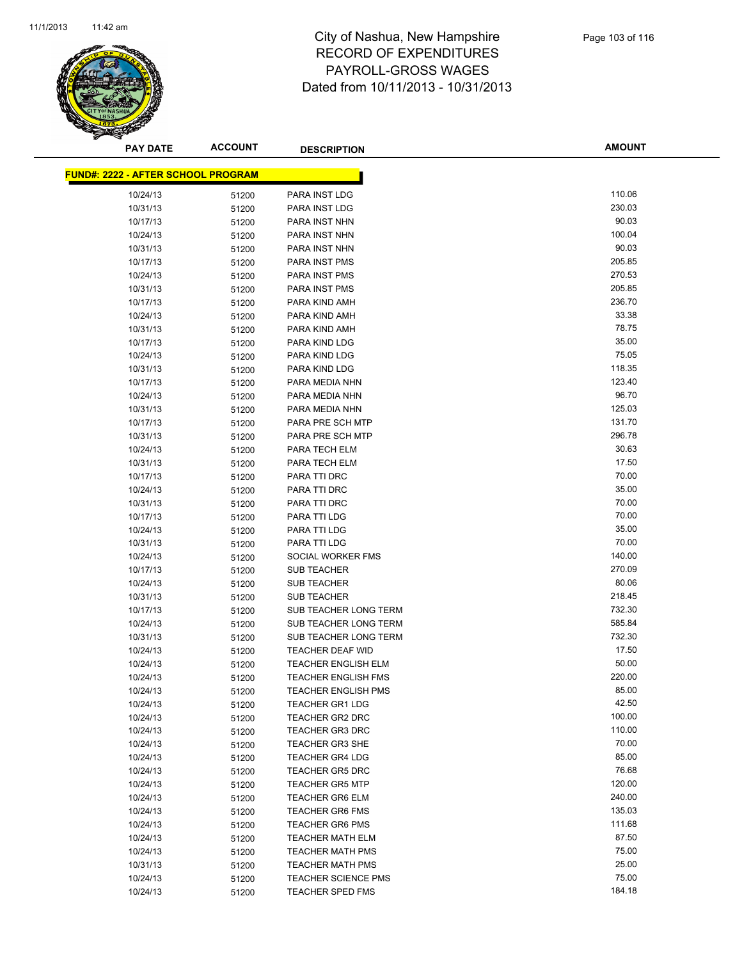

**AMOUNT**

| <u> FUND#: 2222 - AFTER SCHOOL PROGRAM</u> |       |                            |                 |
|--------------------------------------------|-------|----------------------------|-----------------|
| 10/24/13                                   | 51200 | PARA INST LDG              | 110.06          |
| 10/31/13                                   | 51200 | PARA INST LDG              | 230.03          |
| 10/17/13                                   | 51200 | PARA INST NHN              | 90.03           |
| 10/24/13                                   | 51200 | PARA INST NHN              | 100.04          |
| 10/31/13                                   | 51200 | PARA INST NHN              | 90.03           |
| 10/17/13                                   | 51200 | PARA INST PMS              | 205.85          |
| 10/24/13                                   | 51200 | PARA INST PMS              | 270.53          |
| 10/31/13                                   | 51200 | PARA INST PMS              | 205.85          |
| 10/17/13                                   | 51200 | PARA KIND AMH              | 236.70          |
| 10/24/13                                   | 51200 | PARA KIND AMH              | 33.38           |
| 10/31/13                                   | 51200 | PARA KIND AMH              | 78.75           |
| 10/17/13                                   | 51200 | PARA KIND LDG              | 35.00           |
| 10/24/13                                   |       | PARA KIND LDG              | 75.05           |
|                                            | 51200 |                            | 118.35          |
| 10/31/13                                   | 51200 | PARA KIND LDG              |                 |
| 10/17/13                                   | 51200 | PARA MEDIA NHN             | 123.40          |
| 10/24/13                                   | 51200 | PARA MEDIA NHN             | 96.70           |
| 10/31/13                                   | 51200 | PARA MEDIA NHN             | 125.03          |
| 10/17/13                                   | 51200 | PARA PRE SCH MTP           | 131.70          |
| 10/31/13                                   | 51200 | PARA PRE SCH MTP           | 296.78          |
| 10/24/13                                   | 51200 | PARA TECH ELM              | 30.63           |
| 10/31/13                                   | 51200 | PARA TECH ELM              | 17.50           |
| 10/17/13                                   | 51200 | PARA TTI DRC               | 70.00           |
| 10/24/13                                   | 51200 | PARA TTI DRC               | 35.00           |
| 10/31/13                                   | 51200 | PARA TTI DRC               | 70.00           |
| 10/17/13                                   | 51200 | PARA TTI LDG               | 70.00           |
| 10/24/13                                   | 51200 | PARA TTI LDG               | 35.00           |
| 10/31/13                                   | 51200 | PARA TTI LDG               | 70.00           |
| 10/24/13                                   | 51200 | SOCIAL WORKER FMS          | 140.00          |
| 10/17/13                                   | 51200 | <b>SUB TEACHER</b>         | 270.09          |
| 10/24/13                                   | 51200 | <b>SUB TEACHER</b>         | 80.06           |
| 10/31/13                                   | 51200 | <b>SUB TEACHER</b>         | 218.45          |
| 10/17/13                                   | 51200 | SUB TEACHER LONG TERM      | 732.30          |
| 10/24/13                                   | 51200 | SUB TEACHER LONG TERM      | 585.84          |
| 10/31/13                                   | 51200 | SUB TEACHER LONG TERM      | 732.30          |
| 10/24/13                                   | 51200 | <b>TEACHER DEAF WID</b>    | 17.50           |
| 10/24/13                                   | 51200 | <b>TEACHER ENGLISH ELM</b> | 50.00           |
| 10/24/13                                   | 51200 | <b>TEACHER ENGLISH FMS</b> | 220.00          |
| 10/24/13                                   | 51200 | <b>TEACHER ENGLISH PMS</b> | 85.00           |
| 10/24/13                                   | 51200 | TEACHER GR1 LDG            | 42.50           |
| 10/24/13                                   | 51200 | <b>TEACHER GR2 DRC</b>     | 100.00          |
| 10/24/13                                   | 51200 | <b>TEACHER GR3 DRC</b>     | 110.00          |
| 10/24/13                                   |       | TEACHER GR3 SHE            | 70.00           |
| 10/24/13                                   | 51200 |                            | 85.00           |
|                                            | 51200 | <b>TEACHER GR4 LDG</b>     |                 |
| 10/24/13                                   | 51200 | <b>TEACHER GR5 DRC</b>     | 76.68<br>120.00 |
| 10/24/13                                   | 51200 | <b>TEACHER GR5 MTP</b>     |                 |
| 10/24/13                                   | 51200 | <b>TEACHER GR6 ELM</b>     | 240.00          |
| 10/24/13                                   | 51200 | <b>TEACHER GR6 FMS</b>     | 135.03          |
| 10/24/13                                   | 51200 | <b>TEACHER GR6 PMS</b>     | 111.68          |
| 10/24/13                                   | 51200 | <b>TEACHER MATH ELM</b>    | 87.50           |
| 10/24/13                                   | 51200 | <b>TEACHER MATH PMS</b>    | 75.00           |
| 10/31/13                                   | 51200 | <b>TEACHER MATH PMS</b>    | 25.00           |
| 10/24/13                                   | 51200 | <b>TEACHER SCIENCE PMS</b> | 75.00           |
| 10/24/13                                   | 51200 | <b>TEACHER SPED FMS</b>    | 184.18          |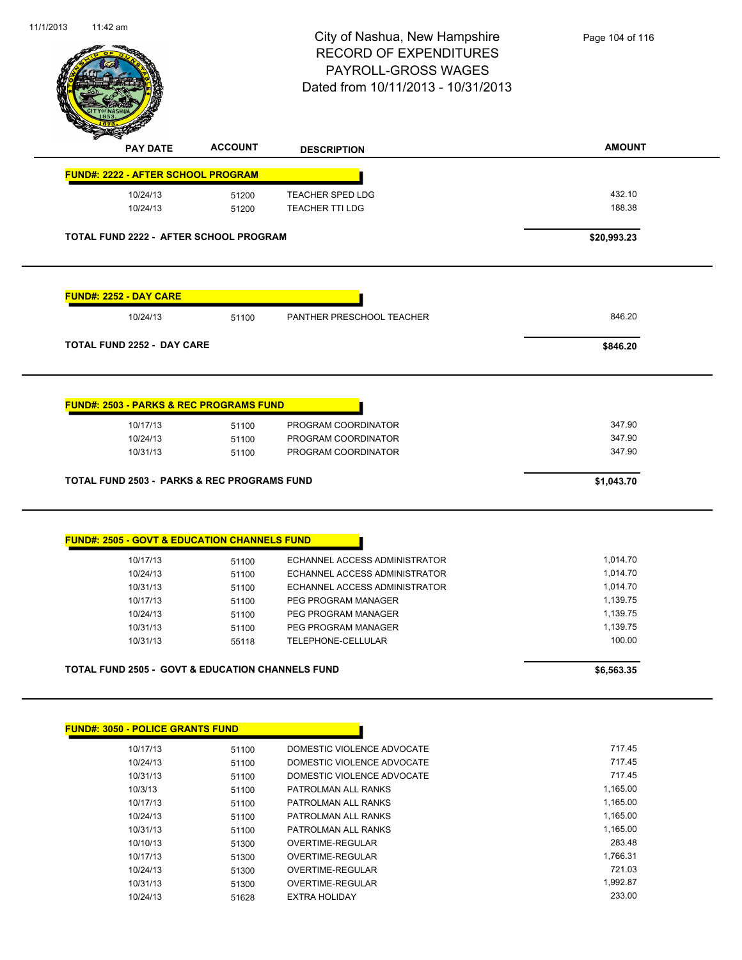

| <b>FUND#: 2222 - AFTER SCHOOL PROGRAM</b><br><b>TEACHER SPED LDG</b><br>10/24/13<br>51200<br><b>TEACHER TTI LDG</b><br>10/24/13<br>51200<br>TOTAL FUND 2222 - AFTER SCHOOL PROGRAM | 432.10      |
|------------------------------------------------------------------------------------------------------------------------------------------------------------------------------------|-------------|
|                                                                                                                                                                                    |             |
|                                                                                                                                                                                    |             |
|                                                                                                                                                                                    | 188.38      |
|                                                                                                                                                                                    | \$20,993.23 |
| <b>FUND#: 2252 - DAY CARE</b>                                                                                                                                                      |             |
| 10/24/13<br>PANTHER PRESCHOOL TEACHER<br>51100                                                                                                                                     | 846.20      |
| <b>TOTAL FUND 2252 - DAY CARE</b>                                                                                                                                                  | \$846.20    |
| <b>FUND#: 2503 - PARKS &amp; REC PROGRAMS FUND</b>                                                                                                                                 |             |
| 10/17/13<br>51100<br>PROGRAM COORDINATOR                                                                                                                                           | 347.90      |
| 10/24/13<br>PROGRAM COORDINATOR<br>51100                                                                                                                                           | 347.90      |
| PROGRAM COORDINATOR<br>10/31/13<br>51100                                                                                                                                           | 347.90      |
| <b>TOTAL FUND 2503 - PARKS &amp; REC PROGRAMS FUND</b>                                                                                                                             | \$1,043.70  |
|                                                                                                                                                                                    |             |
|                                                                                                                                                                                    |             |
| ECHANNEL ACCESS ADMINISTRATOR<br>10/17/13<br>51100                                                                                                                                 | 1,014.70    |
| <b>FUND#: 2505 - GOVT &amp; EDUCATION CHANNELS FUND</b><br>ECHANNEL ACCESS ADMINISTRATOR<br>10/24/13<br>51100                                                                      | 1,014.70    |
| 10/31/13<br>ECHANNEL ACCESS ADMINISTRATOR<br>51100                                                                                                                                 | 1,014.70    |
| PEG PROGRAM MANAGER<br>10/17/13<br>51100                                                                                                                                           | 1,139.75    |
| 10/24/13<br>PEG PROGRAM MANAGER<br>51100                                                                                                                                           | 1,139.75    |
| 10/31/13<br>51100<br>PEG PROGRAM MANAGER                                                                                                                                           | 1,139.75    |
| 10/31/13<br><b>TELEPHONE-CELLULAR</b><br>55118                                                                                                                                     | 100.00      |

| 10/3/13  | 51100 | PATROLMAN ALL RANKS | 1.165.00 |
|----------|-------|---------------------|----------|
| 10/17/13 | 51100 | PATROLMAN ALL RANKS | 1.165.00 |
| 10/24/13 | 51100 | PATROLMAN ALL RANKS | 1.165.00 |
| 10/31/13 | 51100 | PATROLMAN ALL RANKS | 1.165.00 |
| 10/10/13 | 51300 | OVERTIME-REGULAR    | 283.48   |
| 10/17/13 | 51300 | OVERTIME-REGULAR    | 1.766.31 |
| 10/24/13 | 51300 | OVERTIME-REGULAR    | 721.03   |
| 10/31/13 | 51300 | OVERTIME-REGULAR    | 1.992.87 |
| 10/24/13 | 51628 | EXTRA HOLIDAY       | 233.00   |
|          |       |                     |          |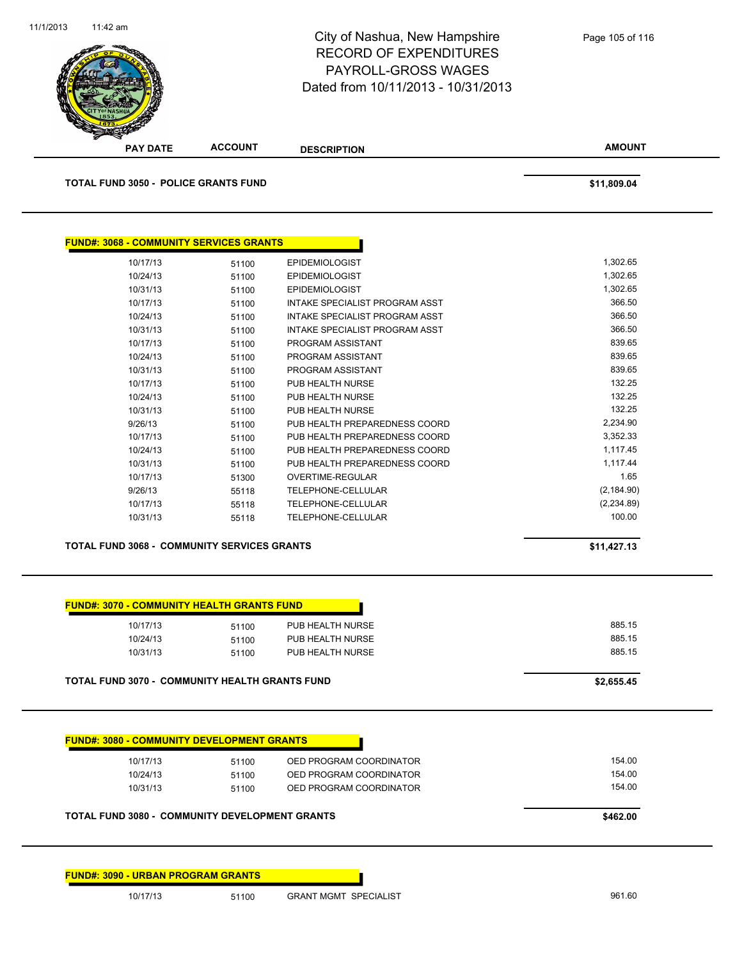

| <u> FUND#: 3068 - COMMUNITY SERVICES GRANTS</u> |       |                                       |             |
|-------------------------------------------------|-------|---------------------------------------|-------------|
| 10/17/13                                        | 51100 | <b>EPIDEMIOLOGIST</b>                 | 1,302.65    |
| 10/24/13                                        | 51100 | <b>EPIDEMIOLOGIST</b>                 | 1,302.65    |
| 10/31/13                                        | 51100 | <b>EPIDEMIOLOGIST</b>                 | 1,302.65    |
| 10/17/13                                        | 51100 | INTAKE SPECIALIST PROGRAM ASST        | 366.50      |
| 10/24/13                                        | 51100 | <b>INTAKE SPECIALIST PROGRAM ASST</b> | 366.50      |
| 10/31/13                                        | 51100 | INTAKE SPECIALIST PROGRAM ASST        | 366.50      |
| 10/17/13                                        | 51100 | PROGRAM ASSISTANT                     | 839.65      |
| 10/24/13                                        | 51100 | PROGRAM ASSISTANT                     | 839.65      |
| 10/31/13                                        | 51100 | PROGRAM ASSISTANT                     | 839.65      |
| 10/17/13                                        | 51100 | PUB HEALTH NURSE                      | 132.25      |
| 10/24/13                                        | 51100 | PUB HEALTH NURSE                      | 132.25      |
| 10/31/13                                        | 51100 | PUB HEALTH NURSE                      | 132.25      |
| 9/26/13                                         | 51100 | PUB HEALTH PREPAREDNESS COORD         | 2,234.90    |
| 10/17/13                                        | 51100 | PUB HEALTH PREPAREDNESS COORD         | 3,352.33    |
| 10/24/13                                        | 51100 | PUB HEALTH PREPAREDNESS COORD         | 1,117.45    |
| 10/31/13                                        | 51100 | PUB HEALTH PREPAREDNESS COORD         | 1,117.44    |
| 10/17/13                                        | 51300 | <b>OVERTIME-REGULAR</b>               |             |
| 9/26/13                                         | 55118 | <b>TELEPHONE-CELLULAR</b>             | (2, 184.90) |
| 10/17/13                                        | 55118 | <b>TELEPHONE-CELLULAR</b>             | (2,234.89)  |
| 10/31/13                                        | 55118 | <b>TELEPHONE-CELLULAR</b>             | 100.00      |

**TOTAL FUND 3068 - COMMUNITY SERVICES GRANTS \$11,427.13** 

| 10/17/13                                              | 51100 | PUB HEALTH NURSE | 885.15     |
|-------------------------------------------------------|-------|------------------|------------|
| 10/24/13                                              | 51100 | PUB HEALTH NURSE | 885.15     |
| 10/31/13                                              | 51100 | PUB HEALTH NURSE | 885.15     |
| <b>TOTAL FUND 3070 - COMMUNITY HEALTH GRANTS FUND</b> |       |                  | \$2,655.45 |

| 51100 | OED PROGRAM COORDINATOR | 154.00 |
|-------|-------------------------|--------|
| 51100 | OED PROGRAM COORDINATOR | 154.00 |
| 51100 | OED PROGRAM COORDINATOR | 154.00 |

**FUND#: 3090 - URBAN PROGRAM GRANTS**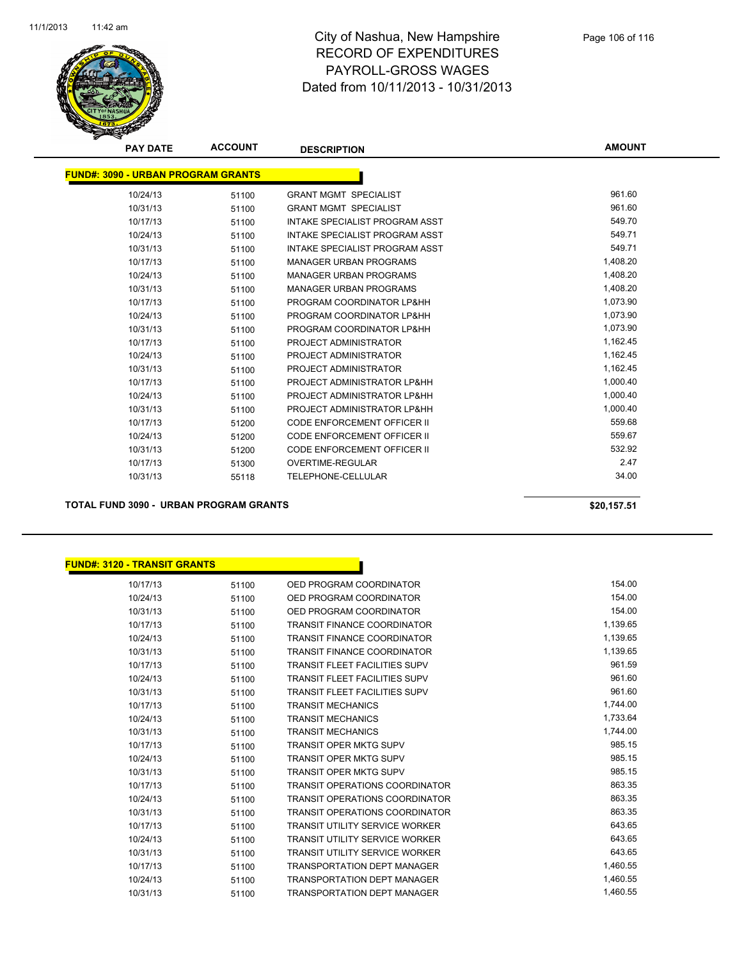

| <b>PAY DATE</b>                           | <b>ACCOUNT</b> | <b>DESCRIPTION</b>                    | <b>AMOUNT</b> |
|-------------------------------------------|----------------|---------------------------------------|---------------|
| <b>FUND#: 3090 - URBAN PROGRAM GRANTS</b> |                |                                       |               |
| 10/24/13                                  | 51100          | <b>GRANT MGMT SPECIALIST</b>          | 961.60        |
| 10/31/13                                  | 51100          | <b>GRANT MGMT SPECIALIST</b>          | 961.60        |
| 10/17/13                                  | 51100          | <b>INTAKE SPECIALIST PROGRAM ASST</b> | 549.70        |
| 10/24/13                                  | 51100          | INTAKE SPECIALIST PROGRAM ASST        | 549.71        |
| 10/31/13                                  | 51100          | <b>INTAKE SPECIALIST PROGRAM ASST</b> | 549.71        |
| 10/17/13                                  | 51100          | <b>MANAGER URBAN PROGRAMS</b>         | 1,408.20      |
| 10/24/13                                  | 51100          | <b>MANAGER URBAN PROGRAMS</b>         | 1,408.20      |
| 10/31/13                                  | 51100          | <b>MANAGER URBAN PROGRAMS</b>         | 1,408.20      |
| 10/17/13                                  | 51100          | PROGRAM COORDINATOR LP&HH             | 1,073.90      |
| 10/24/13                                  | 51100          | PROGRAM COORDINATOR LP&HH             | 1,073.90      |
| 10/31/13                                  | 51100          | PROGRAM COORDINATOR LP&HH             | 1,073.90      |
| 10/17/13                                  | 51100          | PROJECT ADMINISTRATOR                 | 1,162.45      |
| 10/24/13                                  | 51100          | PROJECT ADMINISTRATOR                 | 1,162.45      |
| 10/31/13                                  | 51100          | PROJECT ADMINISTRATOR                 | 1,162.45      |
| 10/17/13                                  | 51100          | PROJECT ADMINISTRATOR LP&HH           | 1,000.40      |
| 10/24/13                                  | 51100          | PROJECT ADMINISTRATOR LP&HH           | 1,000.40      |
| 10/31/13                                  | 51100          | PROJECT ADMINISTRATOR LP&HH           | 1,000.40      |
| 10/17/13                                  | 51200          | <b>CODE ENFORCEMENT OFFICER II</b>    | 559.68        |
| 10/24/13                                  | 51200          | <b>CODE ENFORCEMENT OFFICER II</b>    | 559.67        |
| 10/31/13                                  | 51200          | <b>CODE ENFORCEMENT OFFICER II</b>    | 532.92        |
| 10/17/13                                  | 51300          | <b>OVERTIME-REGULAR</b>               | 2.47          |
| 10/31/13                                  | 55118          | TELEPHONE-CELLULAR                    | 34.00         |

**TOTAL FUND 3090 - URBAN PROGRAM GRANTS \$20,157.51** 

#### **FUND#: 3120 - TRANSIT GRANTS**

| 10/17/13 | 51100 | OED PROGRAM COORDINATOR               | 154.00   |
|----------|-------|---------------------------------------|----------|
| 10/24/13 | 51100 | OED PROGRAM COORDINATOR               | 154.00   |
| 10/31/13 | 51100 | OED PROGRAM COORDINATOR               | 154.00   |
| 10/17/13 | 51100 | <b>TRANSIT FINANCE COORDINATOR</b>    | 1,139.65 |
| 10/24/13 | 51100 | <b>TRANSIT FINANCE COORDINATOR</b>    | 1,139.65 |
| 10/31/13 | 51100 | <b>TRANSIT FINANCE COORDINATOR</b>    | 1,139.65 |
| 10/17/13 | 51100 | <b>TRANSIT FLEET FACILITIES SUPV</b>  | 961.59   |
| 10/24/13 | 51100 | <b>TRANSIT FLEET FACILITIES SUPV</b>  | 961.60   |
| 10/31/13 | 51100 | <b>TRANSIT FLEET FACILITIES SUPV</b>  | 961.60   |
| 10/17/13 | 51100 | <b>TRANSIT MECHANICS</b>              | 1,744.00 |
| 10/24/13 | 51100 | <b>TRANSIT MECHANICS</b>              | 1,733.64 |
| 10/31/13 | 51100 | <b>TRANSIT MECHANICS</b>              | 1,744.00 |
| 10/17/13 | 51100 | <b>TRANSIT OPER MKTG SUPV</b>         | 985.15   |
| 10/24/13 | 51100 | <b>TRANSIT OPER MKTG SUPV</b>         | 985.15   |
| 10/31/13 | 51100 | <b>TRANSIT OPER MKTG SUPV</b>         | 985.15   |
| 10/17/13 | 51100 | <b>TRANSIT OPERATIONS COORDINATOR</b> | 863.35   |
| 10/24/13 | 51100 | <b>TRANSIT OPERATIONS COORDINATOR</b> | 863.35   |
| 10/31/13 | 51100 | <b>TRANSIT OPERATIONS COORDINATOR</b> | 863.35   |
| 10/17/13 | 51100 | <b>TRANSIT UTILITY SERVICE WORKER</b> | 643.65   |
| 10/24/13 | 51100 | <b>TRANSIT UTILITY SERVICE WORKER</b> | 643.65   |
| 10/31/13 | 51100 | <b>TRANSIT UTILITY SERVICE WORKER</b> | 643.65   |
| 10/17/13 | 51100 | <b>TRANSPORTATION DEPT MANAGER</b>    | 1,460.55 |
| 10/24/13 | 51100 | <b>TRANSPORTATION DEPT MANAGER</b>    | 1,460.55 |
| 10/31/13 | 51100 | <b>TRANSPORTATION DEPT MANAGER</b>    | 1,460.55 |

h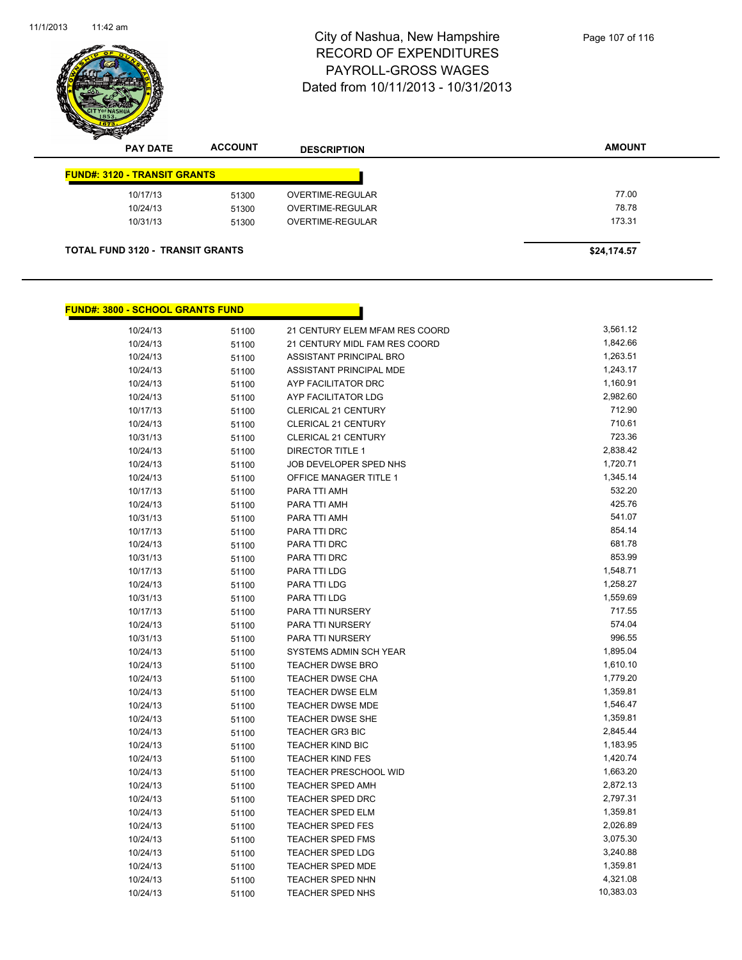

| <b>PAY DATE</b>                         | <b>ACCOUNT</b> | <b>DESCRIPTION</b>      | <b>AMOUNT</b> |
|-----------------------------------------|----------------|-------------------------|---------------|
| <b>FUND#: 3120 - TRANSIT GRANTS</b>     |                |                         |               |
| 10/17/13                                | 51300          | OVERTIME-REGULAR        | 77.00         |
| 10/24/13                                | 51300          | <b>OVERTIME-REGULAR</b> | 78.78         |
| 10/31/13                                | 51300          | OVERTIME-REGULAR        | 173.31        |
| <b>TOTAL FUND 3120 - TRANSIT GRANTS</b> |                |                         | \$24,174.57   |

Г

#### **FUND#: 3800 - SCHOOL GRANTS FUND**

| 10/24/13 | 51100 | 21 CENTURY ELEM MFAM RES COORD | 3,561.12  |
|----------|-------|--------------------------------|-----------|
| 10/24/13 | 51100 | 21 CENTURY MIDL FAM RES COORD  | 1,842.66  |
| 10/24/13 | 51100 | ASSISTANT PRINCIPAL BRO        | 1,263.51  |
| 10/24/13 | 51100 | ASSISTANT PRINCIPAL MDE        | 1,243.17  |
| 10/24/13 | 51100 | AYP FACILITATOR DRC            | 1,160.91  |
| 10/24/13 | 51100 | AYP FACILITATOR LDG            | 2,982.60  |
| 10/17/13 | 51100 | <b>CLERICAL 21 CENTURY</b>     | 712.90    |
| 10/24/13 | 51100 | CLERICAL 21 CENTURY            | 710.61    |
| 10/31/13 | 51100 | <b>CLERICAL 21 CENTURY</b>     | 723.36    |
| 10/24/13 | 51100 | <b>DIRECTOR TITLE 1</b>        | 2,838.42  |
| 10/24/13 | 51100 | JOB DEVELOPER SPED NHS         | 1,720.71  |
| 10/24/13 | 51100 | OFFICE MANAGER TITLE 1         | 1,345.14  |
| 10/17/13 | 51100 | PARA TTI AMH                   | 532.20    |
| 10/24/13 | 51100 | PARA TTI AMH                   | 425.76    |
| 10/31/13 | 51100 | PARA TTI AMH                   | 541.07    |
| 10/17/13 | 51100 | PARA TTI DRC                   | 854.14    |
| 10/24/13 | 51100 | PARA TTI DRC                   | 681.78    |
| 10/31/13 | 51100 | PARA TTI DRC                   | 853.99    |
| 10/17/13 | 51100 | PARA TTI LDG                   | 1,548.71  |
| 10/24/13 | 51100 | PARA TTI LDG                   | 1,258.27  |
| 10/31/13 | 51100 | PARA TTI LDG                   | 1,559.69  |
| 10/17/13 | 51100 | PARA TTI NURSERY               | 717.55    |
| 10/24/13 | 51100 | PARA TTI NURSERY               | 574.04    |
| 10/31/13 | 51100 | PARA TTI NURSERY               | 996.55    |
| 10/24/13 | 51100 | SYSTEMS ADMIN SCH YEAR         | 1,895.04  |
| 10/24/13 | 51100 | <b>TEACHER DWSE BRO</b>        | 1,610.10  |
| 10/24/13 | 51100 | <b>TEACHER DWSE CHA</b>        | 1,779.20  |
| 10/24/13 | 51100 | <b>TEACHER DWSE ELM</b>        | 1,359.81  |
| 10/24/13 | 51100 | <b>TEACHER DWSE MDE</b>        | 1,546.47  |
| 10/24/13 | 51100 | TEACHER DWSE SHE               | 1,359.81  |
| 10/24/13 | 51100 | <b>TEACHER GR3 BIC</b>         | 2,845.44  |
| 10/24/13 | 51100 | <b>TEACHER KIND BIC</b>        | 1,183.95  |
| 10/24/13 | 51100 | <b>TEACHER KIND FES</b>        | 1,420.74  |
| 10/24/13 | 51100 | <b>TEACHER PRESCHOOL WID</b>   | 1,663.20  |
| 10/24/13 | 51100 | <b>TEACHER SPED AMH</b>        | 2,872.13  |
| 10/24/13 | 51100 | TEACHER SPED DRC               | 2,797.31  |
| 10/24/13 | 51100 | TEACHER SPED ELM               | 1,359.81  |
| 10/24/13 | 51100 | <b>TEACHER SPED FES</b>        | 2,026.89  |
| 10/24/13 | 51100 | <b>TEACHER SPED FMS</b>        | 3,075.30  |
| 10/24/13 | 51100 | <b>TEACHER SPED LDG</b>        | 3,240.88  |
| 10/24/13 | 51100 | <b>TEACHER SPED MDE</b>        | 1,359.81  |
| 10/24/13 | 51100 | <b>TEACHER SPED NHN</b>        | 4,321.08  |
| 10/24/13 | 51100 | <b>TEACHER SPED NHS</b>        | 10,383.03 |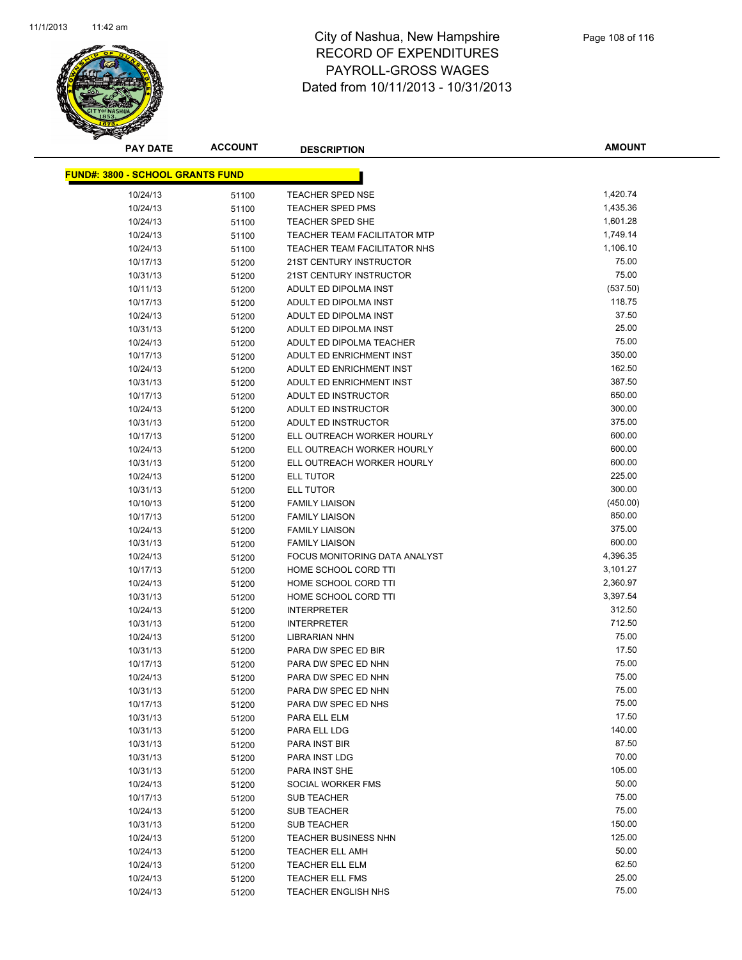

**AMOUNT**

| <u> FUND#: 3800 - SCHOOL GRANTS FUND</u> |       |                               |                |
|------------------------------------------|-------|-------------------------------|----------------|
| 10/24/13                                 | 51100 | <b>TEACHER SPED NSE</b>       | 1,420.74       |
| 10/24/13                                 | 51100 | <b>TEACHER SPED PMS</b>       | 1,435.36       |
| 10/24/13                                 | 51100 | TEACHER SPED SHE              | 1,601.28       |
| 10/24/13                                 | 51100 | TEACHER TEAM FACILITATOR MTP  | 1,749.14       |
| 10/24/13                                 | 51100 | TEACHER TEAM FACILITATOR NHS  | 1,106.10       |
| 10/17/13                                 | 51200 | 21ST CENTURY INSTRUCTOR       | 75.00          |
| 10/31/13                                 | 51200 | 21ST CENTURY INSTRUCTOR       | 75.00          |
| 10/11/13                                 | 51200 | ADULT ED DIPOLMA INST         | (537.50)       |
| 10/17/13                                 | 51200 | ADULT ED DIPOLMA INST         | 118.75         |
| 10/24/13                                 | 51200 | ADULT ED DIPOLMA INST         | 37.50          |
| 10/31/13                                 | 51200 | ADULT ED DIPOLMA INST         | 25.00          |
| 10/24/13                                 | 51200 | ADULT ED DIPOLMA TEACHER      | 75.00          |
| 10/17/13                                 | 51200 | ADULT ED ENRICHMENT INST      | 350.00         |
| 10/24/13                                 | 51200 | ADULT ED ENRICHMENT INST      | 162.50         |
| 10/31/13                                 | 51200 | ADULT ED ENRICHMENT INST      | 387.50         |
| 10/17/13                                 | 51200 | ADULT ED INSTRUCTOR           | 650.00         |
| 10/24/13                                 | 51200 | ADULT ED INSTRUCTOR           | 300.00         |
| 10/31/13                                 | 51200 | ADULT ED INSTRUCTOR           | 375.00         |
| 10/17/13                                 | 51200 | ELL OUTREACH WORKER HOURLY    | 600.00         |
| 10/24/13                                 | 51200 | ELL OUTREACH WORKER HOURLY    | 600.00         |
| 10/31/13                                 | 51200 | ELL OUTREACH WORKER HOURLY    | 600.00         |
| 10/24/13                                 | 51200 | <b>ELL TUTOR</b>              | 225.00         |
| 10/31/13                                 | 51200 | ELL TUTOR                     | 300.00         |
| 10/10/13                                 | 51200 | <b>FAMILY LIAISON</b>         | (450.00)       |
| 10/17/13                                 | 51200 | <b>FAMILY LIAISON</b>         | 850.00         |
| 10/24/13                                 | 51200 | <b>FAMILY LIAISON</b>         | 375.00         |
| 10/31/13                                 | 51200 | <b>FAMILY LIAISON</b>         | 600.00         |
| 10/24/13                                 | 51200 | FOCUS MONITORING DATA ANALYST | 4,396.35       |
| 10/17/13                                 | 51200 | HOME SCHOOL CORD TTI          | 3,101.27       |
| 10/24/13                                 | 51200 | HOME SCHOOL CORD TTI          | 2,360.97       |
| 10/31/13                                 | 51200 | HOME SCHOOL CORD TTI          | 3,397.54       |
| 10/24/13                                 | 51200 | <b>INTERPRETER</b>            | 312.50         |
| 10/31/13                                 | 51200 | <b>INTERPRETER</b>            | 712.50         |
| 10/24/13                                 | 51200 | LIBRARIAN NHN                 | 75.00          |
| 10/31/13                                 | 51200 | PARA DW SPEC ED BIR           | 17.50          |
| 10/17/13                                 | 51200 | PARA DW SPEC ED NHN           | 75.00          |
| 10/24/13                                 | 51200 | PARA DW SPEC ED NHN           | 75.00          |
| 10/31/13                                 | 51200 | PARA DW SPEC ED NHN           | 75.00          |
| 10/17/13                                 | 51200 | PARA DW SPEC ED NHS           | 75.00          |
| 10/31/13                                 | 51200 | PARA ELL ELM                  | 17.50          |
| 10/31/13                                 | 51200 | PARA ELL LDG                  | 140.00         |
| 10/31/13                                 | 51200 | PARA INST BIR                 | 87.50          |
| 10/31/13                                 | 51200 | PARA INST LDG                 | 70.00          |
| 10/31/13                                 | 51200 | PARA INST SHE                 | 105.00         |
| 10/24/13                                 | 51200 | SOCIAL WORKER FMS             | 50.00          |
| 10/17/13                                 | 51200 | SUB TEACHER                   | 75.00          |
| 10/24/13                                 | 51200 | SUB TEACHER                   | 75.00          |
| 10/31/13                                 | 51200 | SUB TEACHER                   | 150.00         |
| 10/24/13                                 | 51200 | <b>TEACHER BUSINESS NHN</b>   | 125.00         |
| 10/24/13                                 | 51200 | <b>TEACHER ELL AMH</b>        | 50.00          |
| 10/24/13                                 | 51200 | <b>TEACHER ELL ELM</b>        | 62.50<br>25.00 |
| 10/24/13                                 | 51200 | TEACHER ELL FMS               | 75.00          |
| 10/24/13                                 | 51200 | <b>TEACHER ENGLISH NHS</b>    |                |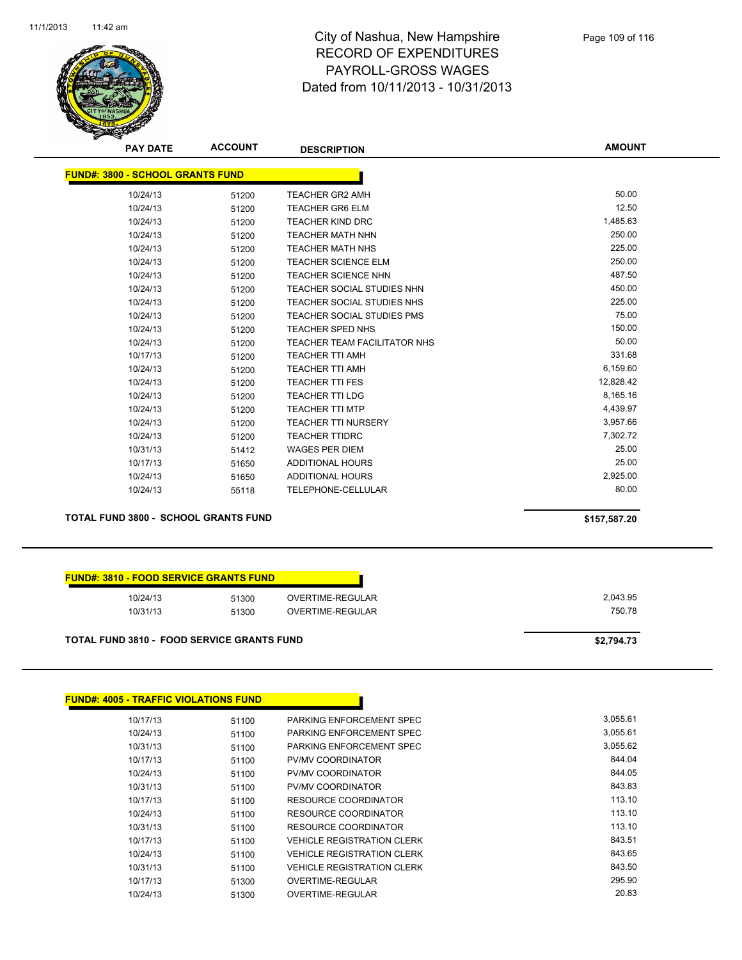

**AMOUNT**

| <b>FUND#: 3800 - SCHOOL GRANTS FUND</b> |       |                                     |           |
|-----------------------------------------|-------|-------------------------------------|-----------|
| 10/24/13                                | 51200 | <b>TEACHER GR2 AMH</b>              | 50.00     |
| 10/24/13                                | 51200 | <b>TEACHER GR6 ELM</b>              | 12.50     |
| 10/24/13                                | 51200 | <b>TEACHER KIND DRC</b>             | 1,485.63  |
| 10/24/13                                | 51200 | <b>TEACHER MATH NHN</b>             | 250.00    |
| 10/24/13                                | 51200 | <b>TEACHER MATH NHS</b>             | 225.00    |
| 10/24/13                                | 51200 | <b>TEACHER SCIENCE ELM</b>          | 250.00    |
| 10/24/13                                | 51200 | <b>TEACHER SCIENCE NHN</b>          | 487.50    |
| 10/24/13                                | 51200 | TEACHER SOCIAL STUDIES NHN          | 450.00    |
| 10/24/13                                | 51200 | TEACHER SOCIAL STUDIES NHS          | 225.00    |
| 10/24/13                                | 51200 | TEACHER SOCIAL STUDIES PMS          | 75.00     |
| 10/24/13                                | 51200 | <b>TEACHER SPED NHS</b>             | 150.00    |
| 10/24/13                                | 51200 | <b>TEACHER TEAM FACILITATOR NHS</b> | 50.00     |
| 10/17/13                                | 51200 | <b>TEACHER TTI AMH</b>              | 331.68    |
| 10/24/13                                | 51200 | <b>TEACHER TTI AMH</b>              | 6,159.60  |
| 10/24/13                                | 51200 | <b>TEACHER TTI FES</b>              | 12,828.42 |
| 10/24/13                                | 51200 | <b>TEACHER TTI LDG</b>              | 8,165.16  |
| 10/24/13                                | 51200 | <b>TEACHER TTI MTP</b>              | 4,439.97  |
| 10/24/13                                | 51200 | <b>TEACHER TTI NURSERY</b>          | 3,957.66  |
| 10/24/13                                | 51200 | <b>TEACHER TTIDRC</b>               | 7,302.72  |
| 10/31/13                                | 51412 | <b>WAGES PER DIEM</b>               | 25.00     |
| 10/17/13                                | 51650 | <b>ADDITIONAL HOURS</b>             | 25.00     |
| 10/24/13                                | 51650 | <b>ADDITIONAL HOURS</b>             | 2,925.00  |
| 10/24/13                                | 55118 | <b>TELEPHONE-CELLULAR</b>           | 80.00     |

**TOTAL FUND 3800 - SCHOOL GRANTS FUND \$157,587.20** 

|          | <b>FUND#: 3810 - FOOD SERVICE GRANTS FUND</b> |          |
|----------|-----------------------------------------------|----------|
| 10/24/13 | OVERTIME-REGULAR<br>51300                     | 2,043.95 |
| 10/31/13 | OVERTIME-REGULAR<br>51300                     | 750.78   |
|          |                                               |          |

| <b>FUND#: 4005 - TRAFFIC VIOLATIONS FUND</b> |       |                                   |          |
|----------------------------------------------|-------|-----------------------------------|----------|
| 10/17/13                                     | 51100 | PARKING ENFORCEMENT SPEC          | 3,055.61 |
| 10/24/13                                     | 51100 | PARKING ENFORCEMENT SPEC          | 3,055.61 |
| 10/31/13                                     | 51100 | PARKING ENFORCEMENT SPEC          | 3,055.62 |
| 10/17/13                                     | 51100 | <b>PV/MV COORDINATOR</b>          | 844.04   |
| 10/24/13                                     | 51100 | <b>PV/MV COORDINATOR</b>          | 844.05   |
| 10/31/13                                     | 51100 | <b>PV/MV COORDINATOR</b>          | 843.83   |
| 10/17/13                                     | 51100 | RESOURCE COORDINATOR              | 113.10   |
| 10/24/13                                     | 51100 | RESOURCE COORDINATOR              | 113.10   |
| 10/31/13                                     | 51100 | RESOURCE COORDINATOR              | 113.10   |
| 10/17/13                                     | 51100 | <b>VEHICLE REGISTRATION CLERK</b> | 843.51   |
| 10/24/13                                     | 51100 | <b>VEHICLE REGISTRATION CLERK</b> | 843.65   |
| 10/31/13                                     | 51100 | <b>VEHICLE REGISTRATION CLERK</b> | 843.50   |
| 10/17/13                                     | 51300 | OVERTIME-REGULAR                  | 295.90   |
| 10/24/13                                     | 51300 | OVERTIME-REGULAR                  | 20.83    |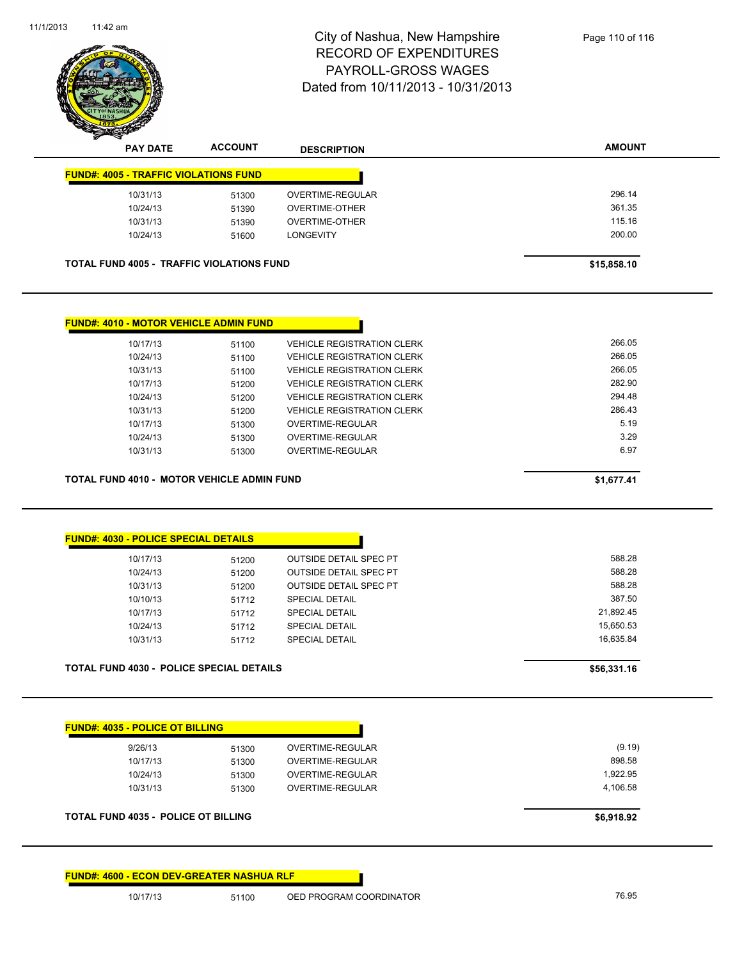

| <b>PAY DATE</b>                              | <b>ACCOUNT</b>                                   | <b>DESCRIPTION</b>    | <b>AMOUNT</b> |
|----------------------------------------------|--------------------------------------------------|-----------------------|---------------|
| <b>FUND#: 4005 - TRAFFIC VIOLATIONS FUND</b> |                                                  |                       |               |
| 10/31/13                                     | 51300                                            | OVERTIME-REGULAR      | 296.14        |
| 10/24/13                                     | 51390                                            | OVERTIME-OTHER        | 361.35        |
| 10/31/13                                     | 51390                                            | <b>OVERTIME-OTHER</b> | 115.16        |
| 10/24/13                                     | 51600                                            | <b>LONGEVITY</b>      | 200.00        |
|                                              | <b>TOTAL FUND 4005 - TRAFFIC VIOLATIONS FUND</b> |                       | \$15,858.10   |

| <b>FUND#: 4010 - MOTOR VEHICLE ADMIN FUND</b>     |       |                                   |            |
|---------------------------------------------------|-------|-----------------------------------|------------|
| 10/17/13                                          | 51100 | <b>VEHICLE REGISTRATION CLERK</b> | 266.05     |
| 10/24/13                                          | 51100 | <b>VEHICLE REGISTRATION CLERK</b> | 266.05     |
| 10/31/13                                          | 51100 | <b>VEHICLE REGISTRATION CLERK</b> | 266.05     |
| 10/17/13                                          | 51200 | <b>VEHICLE REGISTRATION CLERK</b> | 282.90     |
| 10/24/13                                          | 51200 | <b>VEHICLE REGISTRATION CLERK</b> | 294.48     |
| 10/31/13                                          | 51200 | <b>VEHICLE REGISTRATION CLERK</b> | 286.43     |
| 10/17/13                                          | 51300 | OVERTIME-REGULAR                  | 5.19       |
| 10/24/13                                          | 51300 | OVERTIME-REGULAR                  | 3.29       |
| 10/31/13                                          | 51300 | OVERTIME-REGULAR                  | 6.97       |
| <b>TOTAL FUND 4010 - MOTOR VEHICLE ADMIN FUND</b> |       |                                   | \$1.677.41 |

| 588.28    | <b>OUTSIDE DETAIL SPEC PT</b> | 51200 | 10/17/13 |
|-----------|-------------------------------|-------|----------|
| 588.28    | <b>OUTSIDE DETAIL SPEC PT</b> | 51200 | 10/24/13 |
| 588.28    | <b>OUTSIDE DETAIL SPEC PT</b> | 51200 | 10/31/13 |
| 387.50    | <b>SPECIAL DETAIL</b>         | 51712 | 10/10/13 |
| 21,892.45 | <b>SPECIAL DETAIL</b>         | 51712 | 10/17/13 |
| 15,650.53 | <b>SPECIAL DETAIL</b>         | 51712 | 10/24/13 |
| 16.635.84 | <b>SPECIAL DETAIL</b>         | 51712 | 10/31/13 |

| 9/26/13  | 51300 | OVERTIME-REGULAR | (9.19)   |
|----------|-------|------------------|----------|
| 10/17/13 | 51300 | OVERTIME-REGULAR | 898.58   |
| 10/24/13 | 51300 | OVERTIME-REGULAR | 1,922.95 |
| 10/31/13 | 51300 | OVERTIME-REGULAR | 4,106.58 |

**FUND#: 4600 - ECON DEV-GREATER NASHUA RLF**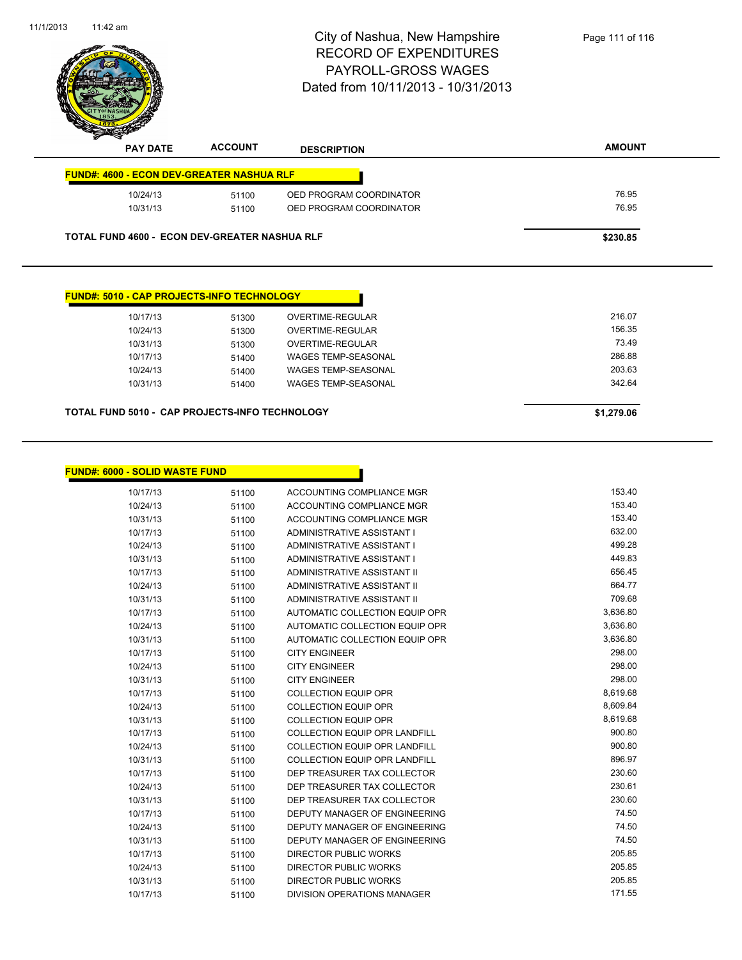|                                                   |                | City of Nashua, New Hampshire<br><b>RECORD OF EXPENDITURES</b><br>PAYROLL-GROSS WAGES<br>Dated from 10/11/2013 - 10/31/2013 | Page 111 of 116 |
|---------------------------------------------------|----------------|-----------------------------------------------------------------------------------------------------------------------------|-----------------|
| <b>PAY DATE</b>                                   | <b>ACCOUNT</b> | <b>DESCRIPTION</b>                                                                                                          | <b>AMOUNT</b>   |
| <b>FUND#: 4600 - ECON DEV-GREATER NASHUA RLF</b>  |                |                                                                                                                             |                 |
| 10/24/13                                          | 51100          | OED PROGRAM COORDINATOR                                                                                                     | 76.95           |
|                                                   |                |                                                                                                                             |                 |
| 10/31/13                                          | 51100          | OED PROGRAM COORDINATOR                                                                                                     | 76.95           |
| TOTAL FUND 4600 - ECON DEV-GREATER NASHUA RLF     |                |                                                                                                                             | \$230.85        |
| <b>FUND#: 5010 - CAP PROJECTS-INFO TECHNOLOGY</b> |                |                                                                                                                             |                 |
| 10/17/13                                          | 51300          | <b>OVERTIME-REGULAR</b>                                                                                                     | 216.07          |
| 10/24/13                                          | 51300          | OVERTIME-REGULAR                                                                                                            | 156.35          |
| 10/31/13                                          | 51300          | <b>OVERTIME-REGULAR</b>                                                                                                     | 73.49           |
| 10/17/13                                          | 51400          | <b>WAGES TEMP-SEASONAL</b>                                                                                                  | 286.88          |
| 10/24/13                                          | 51400          | <b>WAGES TEMP-SEASONAL</b>                                                                                                  | 203.63          |
| 10/31/13                                          | 51400          | WAGES TEMP-SEASONAL                                                                                                         | 342.64          |

| <b>FUND#: 6000 - SOLID WASTE FUND</b> |       |                                      |          |
|---------------------------------------|-------|--------------------------------------|----------|
| 10/17/13                              | 51100 | ACCOUNTING COMPLIANCE MGR            | 153.40   |
| 10/24/13                              | 51100 | ACCOUNTING COMPLIANCE MGR            | 153.40   |
| 10/31/13                              | 51100 | ACCOUNTING COMPLIANCE MGR            | 153.40   |
| 10/17/13                              | 51100 | ADMINISTRATIVE ASSISTANT I           | 632.00   |
| 10/24/13                              | 51100 | ADMINISTRATIVE ASSISTANT I           | 499.28   |
| 10/31/13                              | 51100 | ADMINISTRATIVE ASSISTANT I           | 449.83   |
| 10/17/13                              | 51100 | ADMINISTRATIVE ASSISTANT II          | 656.45   |
| 10/24/13                              | 51100 | ADMINISTRATIVE ASSISTANT II          | 664.77   |
| 10/31/13                              | 51100 | ADMINISTRATIVE ASSISTANT II          | 709.68   |
| 10/17/13                              | 51100 | AUTOMATIC COLLECTION EQUIP OPR       | 3,636.80 |
| 10/24/13                              | 51100 | AUTOMATIC COLLECTION EQUIP OPR       | 3,636.80 |
| 10/31/13                              | 51100 | AUTOMATIC COLLECTION EQUIP OPR       | 3,636.80 |
| 10/17/13                              | 51100 | <b>CITY ENGINEER</b>                 | 298.00   |
| 10/24/13                              | 51100 | <b>CITY ENGINEER</b>                 | 298.00   |
| 10/31/13                              | 51100 | <b>CITY ENGINEER</b>                 | 298.00   |
| 10/17/13                              | 51100 | <b>COLLECTION EQUIP OPR</b>          | 8,619.68 |
| 10/24/13                              | 51100 | <b>COLLECTION EQUIP OPR</b>          | 8,609.84 |
| 10/31/13                              | 51100 | <b>COLLECTION EQUIP OPR</b>          | 8,619.68 |
| 10/17/13                              | 51100 | <b>COLLECTION EQUIP OPR LANDFILL</b> | 900.80   |
| 10/24/13                              | 51100 | <b>COLLECTION EQUIP OPR LANDFILL</b> | 900.80   |
| 10/31/13                              | 51100 | <b>COLLECTION EQUIP OPR LANDFILL</b> | 896.97   |
| 10/17/13                              | 51100 | DEP TREASURER TAX COLLECTOR          | 230.60   |
| 10/24/13                              | 51100 | DEP TREASURER TAX COLLECTOR          | 230.61   |
| 10/31/13                              | 51100 | DEP TREASURER TAX COLLECTOR          | 230.60   |
| 10/17/13                              | 51100 | DEPUTY MANAGER OF ENGINEERING        | 74.50    |
| 10/24/13                              | 51100 | <b>DEPUTY MANAGER OF ENGINEERING</b> | 74.50    |
| 10/31/13                              | 51100 | DEPUTY MANAGER OF ENGINEERING        | 74.50    |
| 10/17/13                              | 51100 | <b>DIRECTOR PUBLIC WORKS</b>         | 205.85   |
| 10/24/13                              | 51100 | <b>DIRECTOR PUBLIC WORKS</b>         | 205.85   |
| 10/31/13                              | 51100 | <b>DIRECTOR PUBLIC WORKS</b>         | 205.85   |
| 10/17/13                              | 51100 | DIVISION OPERATIONS MANAGER          | 171.55   |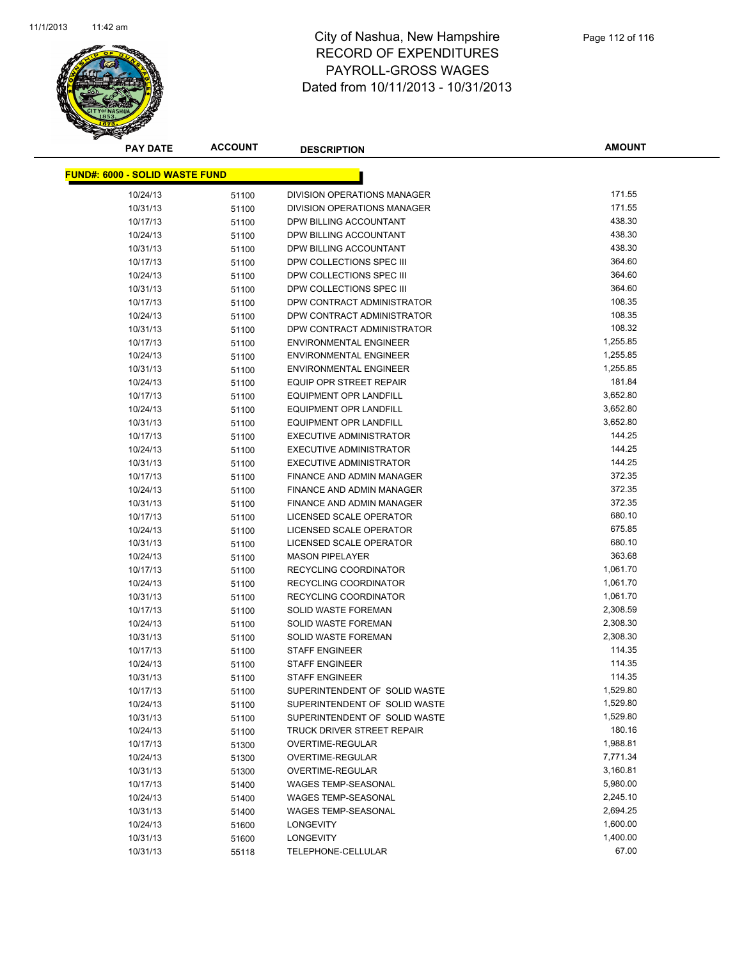

**AMOUNT**

| <u> FUND#: 6000 - SOLID WASTE FUND</u> |       |                                |          |
|----------------------------------------|-------|--------------------------------|----------|
| 10/24/13                               | 51100 | DIVISION OPERATIONS MANAGER    | 171.55   |
| 10/31/13                               | 51100 | DIVISION OPERATIONS MANAGER    | 171.55   |
| 10/17/13                               | 51100 | DPW BILLING ACCOUNTANT         | 438.30   |
| 10/24/13                               | 51100 | DPW BILLING ACCOUNTANT         | 438.30   |
| 10/31/13                               | 51100 | DPW BILLING ACCOUNTANT         | 438.30   |
| 10/17/13                               | 51100 | DPW COLLECTIONS SPEC III       | 364.60   |
| 10/24/13                               | 51100 | DPW COLLECTIONS SPEC III       | 364.60   |
| 10/31/13                               | 51100 | DPW COLLECTIONS SPEC III       | 364.60   |
| 10/17/13                               | 51100 | DPW CONTRACT ADMINISTRATOR     | 108.35   |
| 10/24/13                               | 51100 | DPW CONTRACT ADMINISTRATOR     | 108.35   |
| 10/31/13                               | 51100 | DPW CONTRACT ADMINISTRATOR     | 108.32   |
| 10/17/13                               | 51100 | <b>ENVIRONMENTAL ENGINEER</b>  | 1,255.85 |
| 10/24/13                               | 51100 | <b>ENVIRONMENTAL ENGINEER</b>  | 1,255.85 |
| 10/31/13                               | 51100 | <b>ENVIRONMENTAL ENGINEER</b>  | 1,255.85 |
| 10/24/13                               | 51100 | EQUIP OPR STREET REPAIR        | 181.84   |
| 10/17/13                               | 51100 | <b>EQUIPMENT OPR LANDFILL</b>  | 3,652.80 |
| 10/24/13                               | 51100 | <b>EQUIPMENT OPR LANDFILL</b>  | 3,652.80 |
| 10/31/13                               | 51100 | <b>EQUIPMENT OPR LANDFILL</b>  | 3,652.80 |
| 10/17/13                               | 51100 | <b>EXECUTIVE ADMINISTRATOR</b> | 144.25   |
| 10/24/13                               | 51100 | <b>EXECUTIVE ADMINISTRATOR</b> | 144.25   |
| 10/31/13                               | 51100 | <b>EXECUTIVE ADMINISTRATOR</b> | 144.25   |
| 10/17/13                               | 51100 | FINANCE AND ADMIN MANAGER      | 372.35   |
| 10/24/13                               | 51100 | FINANCE AND ADMIN MANAGER      | 372.35   |
| 10/31/13                               | 51100 | FINANCE AND ADMIN MANAGER      | 372.35   |
| 10/17/13                               | 51100 | LICENSED SCALE OPERATOR        | 680.10   |
| 10/24/13                               | 51100 | LICENSED SCALE OPERATOR        | 675.85   |
| 10/31/13                               | 51100 | LICENSED SCALE OPERATOR        | 680.10   |
| 10/24/13                               | 51100 | <b>MASON PIPELAYER</b>         | 363.68   |
| 10/17/13                               | 51100 | RECYCLING COORDINATOR          | 1,061.70 |
| 10/24/13                               | 51100 | RECYCLING COORDINATOR          | 1,061.70 |
| 10/31/13                               | 51100 | RECYCLING COORDINATOR          | 1,061.70 |
| 10/17/13                               | 51100 | SOLID WASTE FOREMAN            | 2,308.59 |
| 10/24/13                               | 51100 | SOLID WASTE FOREMAN            | 2,308.30 |
| 10/31/13                               | 51100 | <b>SOLID WASTE FOREMAN</b>     | 2,308.30 |
| 10/17/13                               | 51100 | <b>STAFF ENGINEER</b>          | 114.35   |
| 10/24/13                               | 51100 | <b>STAFF ENGINEER</b>          | 114.35   |
| 10/31/13                               | 51100 | <b>STAFF ENGINEER</b>          | 114.35   |
| 10/17/13                               | 51100 | SUPERINTENDENT OF SOLID WASTE  | 1,529.80 |
| 10/24/13                               | 51100 | SUPERINTENDENT OF SOLID WASTE  | 1,529.80 |
| 10/31/13                               | 51100 | SUPERINTENDENT OF SOLID WASTE  | 1,529.80 |
| 10/24/13                               | 51100 | TRUCK DRIVER STREET REPAIR     | 180.16   |
| 10/17/13                               | 51300 | OVERTIME-REGULAR               | 1,988.81 |
| 10/24/13                               | 51300 | OVERTIME-REGULAR               | 7,771.34 |
| 10/31/13                               | 51300 | OVERTIME-REGULAR               | 3,160.81 |
| 10/17/13                               | 51400 | <b>WAGES TEMP-SEASONAL</b>     | 5,980.00 |
| 10/24/13                               | 51400 | <b>WAGES TEMP-SEASONAL</b>     | 2,245.10 |
| 10/31/13                               | 51400 | WAGES TEMP-SEASONAL            | 2,694.25 |
| 10/24/13                               | 51600 | <b>LONGEVITY</b>               | 1,600.00 |
| 10/31/13                               | 51600 | <b>LONGEVITY</b>               | 1,400.00 |
| 10/31/13                               | 55118 | TELEPHONE-CELLULAR             | 67.00    |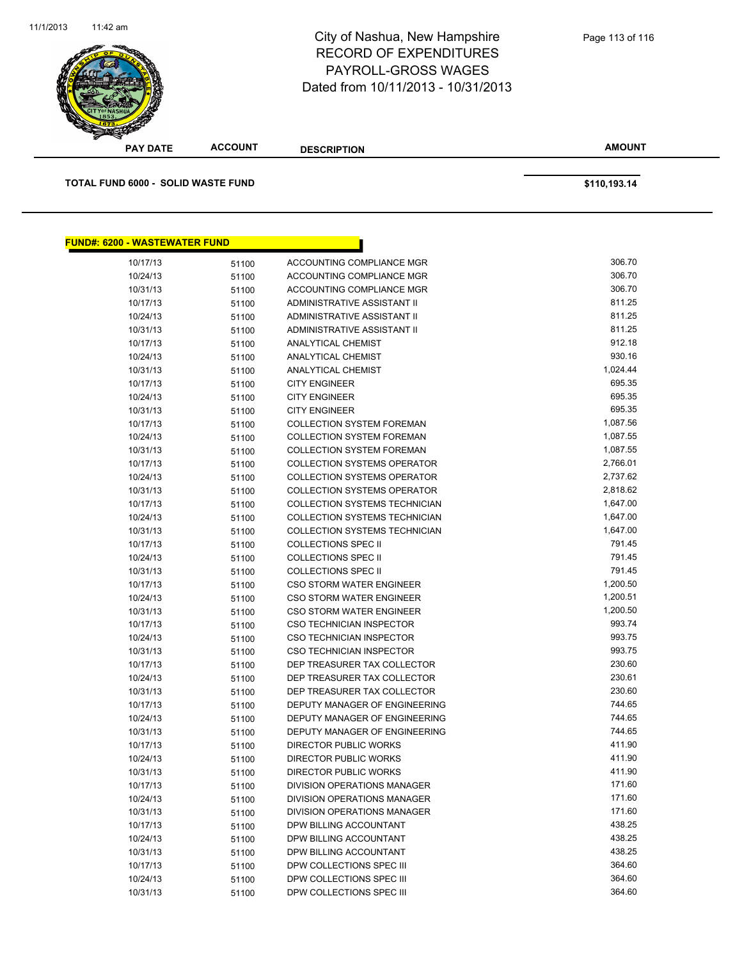

**AMOUNT PAY DATE ACCOUNT DESCRIPTION TOTAL FUND 6000 - SOLID WASTE FUND \$110,193.14 FUND#: 6200 - WASTEWATER FUND** 10/17/13 51100 ACCOUNTING COMPLIANCE MGR 306.70 10/24/13 51100 ACCOUNTING COMPLIANCE MGR 306.70 10/31/13 51100 ACCOUNTING COMPLIANCE MGR 306.70 10/17/13 51100 ADMINISTRATIVE ASSISTANT II 811.25 10/24/13 51100 ADMINISTRATIVE ASSISTANT II 811.25 10/31/13 51100 ADMINISTRATIVE ASSISTANT II 811.25 10/17/13 51100 ANALYTICAL CHEMIST 912.18 10/24/13 51100 ANALYTICAL CHEMIST 930.16 10/31/13 51100 ANALYTICAL CHEMIST 1,024.44 10/17/13 51100 CITY ENGINEER 695.35 10/24/13 51100 CITY ENGINEER 695.35 10/31/13 51100 CITY ENGINEER 695.35 10/17/13 51100 COLLECTION SYSTEM FOREMAN 1,087.56 10/24/13 51100 COLLECTION SYSTEM FOREMAN 1,087.55 10/31/13 51100 COLLECTION SYSTEM FOREMAN 1,087.55 10/17/13 51100 COLLECTION SYSTEMS OPERATOR 2,766.01 10/24/13 51100 COLLECTION SYSTEMS OPERATOR 2,737.62 10/31/13 51100 COLLECTION SYSTEMS OPERATOR 2,818.62 10/17/13 51100 COLLECTION SYSTEMS TECHNICIAN 1,647.00 10/24/13 51100 COLLECTION SYSTEMS TECHNICIAN 1,647.00 10/31/13 51100 COLLECTION SYSTEMS TECHNICIAN 551100 51100 1,647.00 10/17/13 51100 COLLECTIONS SPEC II 791.45 10/24/13 51100 COLLECTIONS SPEC II 791.45 10/31/13 51100 COLLECTIONS SPEC II 791.45 10/17/13 51100 CSO STORM WATER ENGINEER 1,200.50 10/24/13 51100 CSO STORM WATER ENGINEER 1,200.51 10/31/13 51100 CSO STORM WATER ENGINEER 1,200.50 10/17/13 51100 CSO TECHNICIAN INSPECTOR 993.74 10/24/13 51100 CSO TECHNICIAN INSPECTOR 993.75 10/31/13 51100 CSO TECHNICIAN INSPECTOR 993.75 10/17/13 51100 DEP TREASURER TAX COLLECTOR 230.60 10/24/13 51100 DEP TREASURER TAX COLLECTOR 230.61 10/31/13 51100 DEP TREASURER TAX COLLECTOR 230.60 10/17/13 51100 DEPUTY MANAGER OF ENGINEERING 744.65 10/24/13 51100 DEPUTY MANAGER OF ENGINEERING 744.65 10/31/13 51100 DEPUTY MANAGER OF ENGINEERING 744.65 10/17/13 51100 DIRECTOR PUBLIC WORKS 411.90 10/24/13 51100 DIRECTOR PUBLIC WORKS 411.90 10/31/13 51100 DIRECTOR PUBLIC WORKS 411.90 10/17/13 51100 DIVISION OPERATIONS MANAGER 171.60 10/24/13 51100 DIVISION OPERATIONS MANAGER 171.60 10/31/13 51100 DIVISION OPERATIONS MANAGER 171.60 10/17/13 51100 DPW BILLING ACCOUNTANT 438.25 10/24/13 51100 DPW BILLING ACCOUNTANT 438.25

10/31/13 51100 DPW BILLING ACCOUNTANT 438.25 10/17/13 51100 DPW COLLECTIONS SPEC III 364.60 10/24/13 51100 DPW COLLECTIONS SPEC III 364.60 10/31/13 51100 DPW COLLECTIONS SPEC III 364.60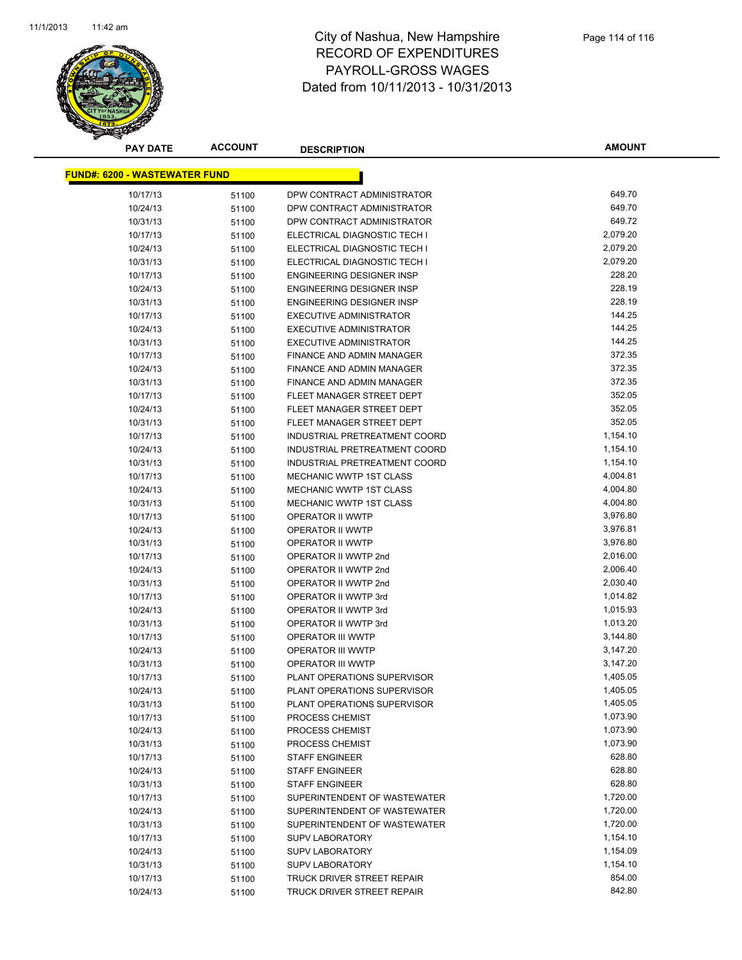

**AMOUNT**

| <u> FUND#: 6200 - WASTEWATER FUND</u> |       |                                |          |
|---------------------------------------|-------|--------------------------------|----------|
| 10/17/13                              | 51100 | DPW CONTRACT ADMINISTRATOR     | 649.70   |
| 10/24/13                              | 51100 | DPW CONTRACT ADMINISTRATOR     | 649.70   |
| 10/31/13                              | 51100 | DPW CONTRACT ADMINISTRATOR     | 649.72   |
| 10/17/13                              | 51100 | ELECTRICAL DIAGNOSTIC TECH I   | 2,079.20 |
| 10/24/13                              | 51100 | ELECTRICAL DIAGNOSTIC TECH I   | 2,079.20 |
| 10/31/13                              | 51100 | ELECTRICAL DIAGNOSTIC TECH I   | 2,079.20 |
| 10/17/13                              | 51100 | ENGINEERING DESIGNER INSP      | 228.20   |
| 10/24/13                              | 51100 | ENGINEERING DESIGNER INSP      | 228.19   |
| 10/31/13                              | 51100 | ENGINEERING DESIGNER INSP      | 228.19   |
| 10/17/13                              | 51100 | <b>EXECUTIVE ADMINISTRATOR</b> | 144.25   |
| 10/24/13                              | 51100 | <b>EXECUTIVE ADMINISTRATOR</b> | 144.25   |
| 10/31/13                              | 51100 | <b>EXECUTIVE ADMINISTRATOR</b> | 144.25   |
| 10/17/13                              | 51100 | FINANCE AND ADMIN MANAGER      | 372.35   |
| 10/24/13                              | 51100 | FINANCE AND ADMIN MANAGER      | 372.35   |
| 10/31/13                              | 51100 | FINANCE AND ADMIN MANAGER      | 372.35   |
| 10/17/13                              | 51100 | FLEET MANAGER STREET DEPT      | 352.05   |
| 10/24/13                              | 51100 | FLEET MANAGER STREET DEPT      | 352.05   |
| 10/31/13                              | 51100 | FLEET MANAGER STREET DEPT      | 352.05   |
| 10/17/13                              | 51100 | INDUSTRIAL PRETREATMENT COORD  | 1,154.10 |
| 10/24/13                              | 51100 | INDUSTRIAL PRETREATMENT COORD  | 1,154.10 |
| 10/31/13                              | 51100 | INDUSTRIAL PRETREATMENT COORD  | 1,154.10 |
| 10/17/13                              | 51100 | MECHANIC WWTP 1ST CLASS        | 4,004.81 |
| 10/24/13                              | 51100 | <b>MECHANIC WWTP 1ST CLASS</b> | 4,004.80 |
| 10/31/13                              | 51100 | MECHANIC WWTP 1ST CLASS        | 4,004.80 |
| 10/17/13                              | 51100 | OPERATOR II WWTP               | 3,976.80 |
| 10/24/13                              | 51100 | OPERATOR II WWTP               | 3,976.81 |
| 10/31/13                              | 51100 | OPERATOR II WWTP               | 3,976.80 |
| 10/17/13                              | 51100 | OPERATOR II WWTP 2nd           | 2,016.00 |
| 10/24/13                              | 51100 | OPERATOR II WWTP 2nd           | 2,006.40 |
| 10/31/13                              | 51100 | OPERATOR II WWTP 2nd           | 2,030.40 |
| 10/17/13                              | 51100 | OPERATOR II WWTP 3rd           | 1,014.82 |
| 10/24/13                              | 51100 | OPERATOR II WWTP 3rd           | 1,015.93 |
| 10/31/13                              | 51100 | OPERATOR II WWTP 3rd           | 1,013.20 |
| 10/17/13                              | 51100 | <b>OPERATOR III WWTP</b>       | 3,144.80 |
| 10/24/13                              | 51100 | OPERATOR III WWTP              | 3,147.20 |
| 10/31/13                              | 51100 | OPERATOR III WWTP              | 3,147.20 |
| 10/17/13                              | 51100 | PLANT OPERATIONS SUPERVISOR    | 1,405.05 |
| 10/24/13                              | 51100 | PLANT OPERATIONS SUPERVISOR    | 1,405.05 |
| 10/31/13                              | 51100 | PLANT OPERATIONS SUPERVISOR    | 1,405.05 |
| 10/17/13                              | 51100 | PROCESS CHEMIST                | 1,073.90 |
| 10/24/13                              | 51100 | PROCESS CHEMIST                | 1,073.90 |
| 10/31/13                              | 51100 | PROCESS CHEMIST                | 1,073.90 |
| 10/17/13                              | 51100 | <b>STAFF ENGINEER</b>          | 628.80   |
| 10/24/13                              | 51100 | <b>STAFF ENGINEER</b>          | 628.80   |
| 10/31/13                              | 51100 | <b>STAFF ENGINEER</b>          | 628.80   |
| 10/17/13                              | 51100 | SUPERINTENDENT OF WASTEWATER   | 1,720.00 |
| 10/24/13                              | 51100 | SUPERINTENDENT OF WASTEWATER   | 1,720.00 |
| 10/31/13                              | 51100 | SUPERINTENDENT OF WASTEWATER   | 1,720.00 |
| 10/17/13                              | 51100 | <b>SUPV LABORATORY</b>         | 1,154.10 |
| 10/24/13                              | 51100 | <b>SUPV LABORATORY</b>         | 1,154.09 |
| 10/31/13                              | 51100 | <b>SUPV LABORATORY</b>         | 1,154.10 |
| 10/17/13                              | 51100 | TRUCK DRIVER STREET REPAIR     | 854.00   |
| 10/24/13                              | 51100 | TRUCK DRIVER STREET REPAIR     | 842.80   |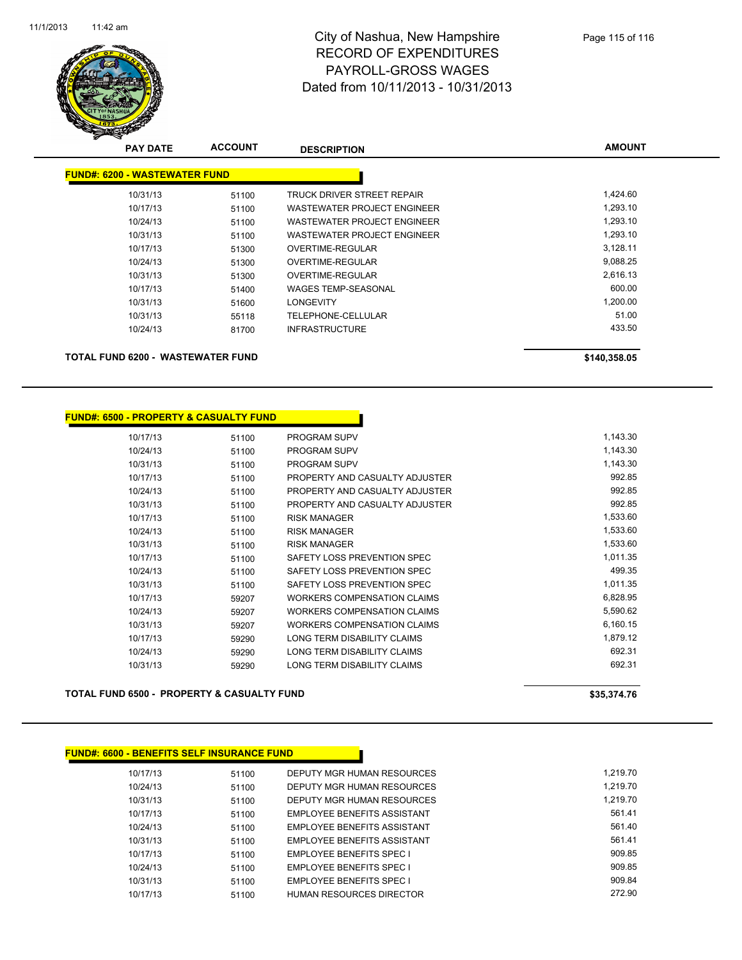

| <b>PAY DATE</b>                      | <b>ACCOUNT</b> | <b>DESCRIPTION</b>          | <b>AMOUNT</b> |
|--------------------------------------|----------------|-----------------------------|---------------|
| <b>FUND#: 6200 - WASTEWATER FUND</b> |                |                             |               |
| 10/31/13                             | 51100          | TRUCK DRIVER STREET REPAIR  | 1,424.60      |
| 10/17/13                             | 51100          | WASTEWATER PROJECT ENGINEER | 1,293.10      |
| 10/24/13                             | 51100          | WASTEWATER PROJECT ENGINEER | 1,293.10      |
| 10/31/13                             | 51100          | WASTEWATER PROJECT ENGINEER | 1,293.10      |
| 10/17/13                             | 51300          | OVERTIME-REGULAR            | 3,128.11      |
| 10/24/13                             | 51300          | OVERTIME-REGULAR            | 9,088.25      |
| 10/31/13                             | 51300          | OVERTIME-REGULAR            | 2,616.13      |
| 10/17/13                             | 51400          | <b>WAGES TEMP-SEASONAL</b>  | 600.00        |
| 10/31/13                             | 51600          | <b>LONGEVITY</b>            | 1,200.00      |
| 10/31/13                             | 55118          | TELEPHONE-CELLULAR          | 51.00         |
| 10/24/13                             | 81700          | <b>INFRASTRUCTURE</b>       | 433.50        |
| TOTAL FUND 6200 - WASTEWATER FUND    |                |                             | \$140,358.05  |

#### **FUND#: 6500 - PROPERTY & CASUALTY FUND**

| 10/17/13 | 51100 | <b>PROGRAM SUPV</b>                | 1,143.30 |
|----------|-------|------------------------------------|----------|
| 10/24/13 | 51100 | PROGRAM SUPV                       | 1,143.30 |
| 10/31/13 | 51100 | <b>PROGRAM SUPV</b>                | 1,143.30 |
| 10/17/13 | 51100 | PROPERTY AND CASUALTY ADJUSTER     | 992.85   |
| 10/24/13 | 51100 | PROPERTY AND CASUALTY ADJUSTER     | 992.85   |
| 10/31/13 | 51100 | PROPERTY AND CASUALTY ADJUSTER     | 992.85   |
| 10/17/13 | 51100 | <b>RISK MANAGER</b>                | 1,533.60 |
| 10/24/13 | 51100 | <b>RISK MANAGER</b>                | 1,533.60 |
| 10/31/13 | 51100 | <b>RISK MANAGER</b>                | 1,533.60 |
| 10/17/13 | 51100 | SAFETY LOSS PREVENTION SPEC        | 1,011.35 |
| 10/24/13 | 51100 | SAFETY LOSS PREVENTION SPEC        | 499.35   |
| 10/31/13 | 51100 | SAFETY LOSS PREVENTION SPEC        | 1,011.35 |
| 10/17/13 | 59207 | WORKERS COMPENSATION CLAIMS        | 6,828.95 |
| 10/24/13 | 59207 | WORKERS COMPENSATION CLAIMS        | 5,590.62 |
| 10/31/13 | 59207 | <b>WORKERS COMPENSATION CLAIMS</b> | 6,160.15 |
| 10/17/13 | 59290 | LONG TERM DISABILITY CLAIMS        | 1,879.12 |
| 10/24/13 | 59290 | LONG TERM DISABILITY CLAIMS        | 692.31   |
| 10/31/13 | 59290 | LONG TERM DISABILITY CLAIMS        | 692.31   |
|          |       |                                    |          |

#### **TOTAL FUND 6500 - PROPERTY & CASUALTY FUND \$35,374.76**

| <b>FUND#: 6600 - BENEFITS SELF INSURANCE FUND</b> |       |                                 |          |
|---------------------------------------------------|-------|---------------------------------|----------|
| 10/17/13                                          | 51100 | DEPUTY MGR HUMAN RESOURCES      | 1.219.70 |
| 10/24/13                                          | 51100 | DEPUTY MGR HUMAN RESOURCES      | 1.219.70 |
| 10/31/13                                          | 51100 | DEPUTY MGR HUMAN RESOURCES      | 1.219.70 |
| 10/17/13                                          | 51100 | EMPLOYEE BENEFITS ASSISTANT     | 561.41   |
| 10/24/13                                          | 51100 | EMPLOYEE BENEFITS ASSISTANT     | 561.40   |
| 10/31/13                                          | 51100 | EMPLOYEE BENEFITS ASSISTANT     | 561.41   |
| 10/17/13                                          | 51100 | <b>EMPLOYEE BENEFITS SPEC I</b> | 909.85   |
| 10/24/13                                          | 51100 | <b>EMPLOYEE BENEFITS SPEC I</b> | 909.85   |
| 10/31/13                                          | 51100 | <b>EMPLOYEE BENEFITS SPEC I</b> | 909.84   |
| 10/17/13                                          | 51100 | <b>HUMAN RESOURCES DIRECTOR</b> | 272.90   |